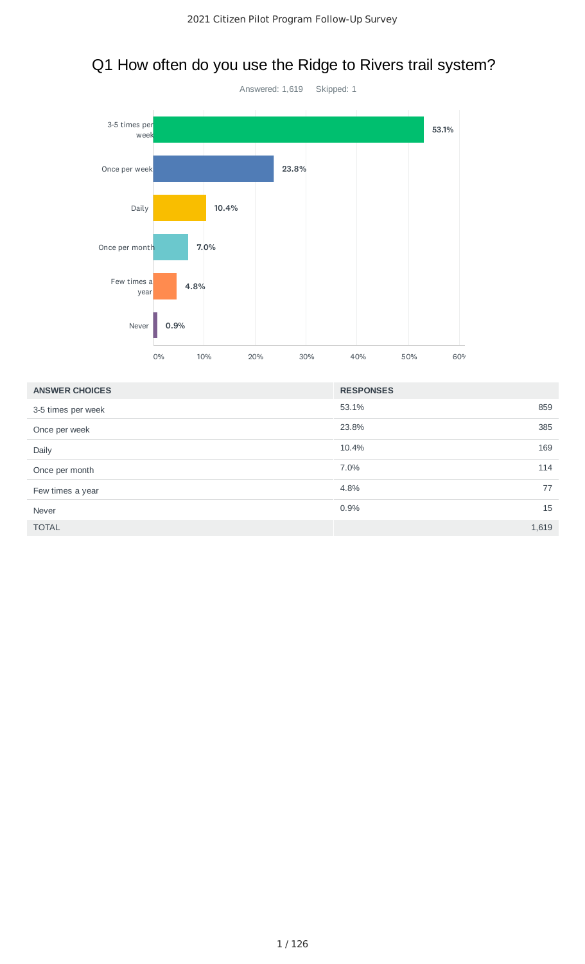# Q1 How often do you use the Ridge to Rivers trail system?



| <b>ANSWER CHOICES</b> | <b>RESPONSES</b> |       |
|-----------------------|------------------|-------|
| 3-5 times per week    | 53.1%            | 859   |
| Once per week         | 23.8%            | 385   |
| Daily                 | 10.4%            | 169   |
| Once per month        | 7.0%             | 114   |
| Few times a year      | 4.8%             | 77    |
| Never                 | 0.9%             | 15    |
| <b>TOTAL</b>          |                  | 1,619 |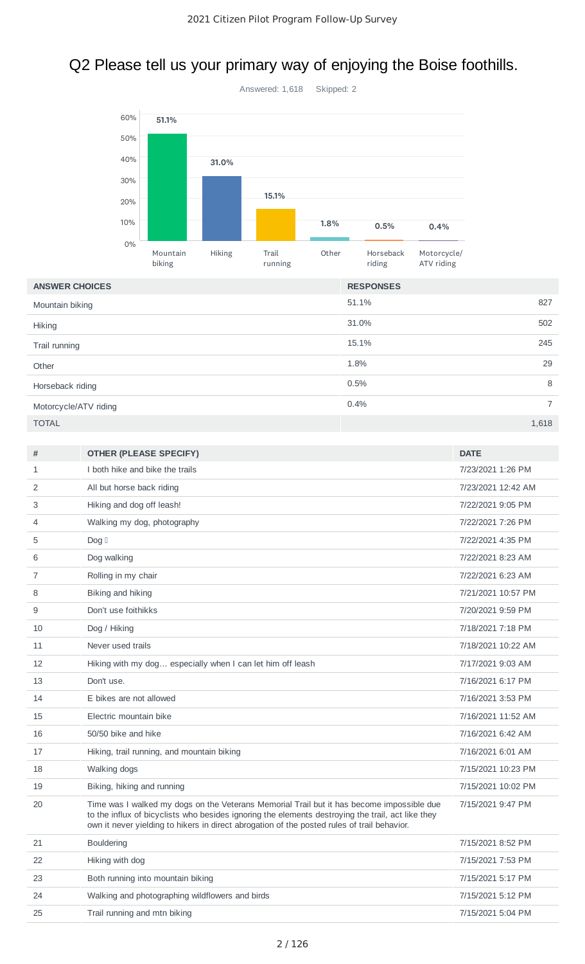# Q2 Please tell us your primary way of enjoying the Boise foothills.



| <b>ANSWER CHOICES</b> | <b>RESPONSES</b>       |
|-----------------------|------------------------|
| Mountain biking       | 827<br>51.1%           |
| <b>Hiking</b>         | 31.0%<br>502           |
| Trail running         | 15.1%<br>245           |
| Other                 | 29<br>1.8%             |
| Horseback riding      | 8<br>0.5%              |
| Motorcycle/ATV riding | 0.4%<br>$\overline{7}$ |
| <b>TOTAL</b>          | 1,618                  |

| #            | <b>OTHER (PLEASE SPECIFY)</b>                                                                                                                                                                                                                                                                 | <b>DATE</b>        |
|--------------|-----------------------------------------------------------------------------------------------------------------------------------------------------------------------------------------------------------------------------------------------------------------------------------------------|--------------------|
| $\mathbf{1}$ | I both hike and bike the trails                                                                                                                                                                                                                                                               | 7/23/2021 1:26 PM  |
| 2            | All but horse back riding                                                                                                                                                                                                                                                                     | 7/23/2021 12:42 AM |
| 3            | Hiking and dog off leash!                                                                                                                                                                                                                                                                     | 7/22/2021 9:05 PM  |
| 4            | Walking my dog, photography                                                                                                                                                                                                                                                                   | 7/22/2021 7:26 PM  |
| 5            | $\textsf{Dog}\; \mathbb{I}$                                                                                                                                                                                                                                                                   | 7/22/2021 4:35 PM  |
| 6            | Dog walking                                                                                                                                                                                                                                                                                   | 7/22/2021 8:23 AM  |
| 7            | Rolling in my chair                                                                                                                                                                                                                                                                           | 7/22/2021 6:23 AM  |
| 8            | Biking and hiking                                                                                                                                                                                                                                                                             | 7/21/2021 10:57 PM |
| 9            | Don't use foithikks                                                                                                                                                                                                                                                                           | 7/20/2021 9:59 PM  |
| 10           | Dog / Hiking                                                                                                                                                                                                                                                                                  | 7/18/2021 7:18 PM  |
| 11           | Never used trails                                                                                                                                                                                                                                                                             | 7/18/2021 10:22 AM |
| 12           | Hiking with my dog especially when I can let him off leash                                                                                                                                                                                                                                    | 7/17/2021 9:03 AM  |
| 13           | Don't use.                                                                                                                                                                                                                                                                                    | 7/16/2021 6:17 PM  |
| 14           | E bikes are not allowed                                                                                                                                                                                                                                                                       | 7/16/2021 3:53 PM  |
| 15           | Electric mountain bike                                                                                                                                                                                                                                                                        | 7/16/2021 11:52 AM |
| 16           | 50/50 bike and hike                                                                                                                                                                                                                                                                           | 7/16/2021 6:42 AM  |
| 17           | Hiking, trail running, and mountain biking                                                                                                                                                                                                                                                    | 7/16/2021 6:01 AM  |
| 18           | Walking dogs                                                                                                                                                                                                                                                                                  | 7/15/2021 10:23 PM |
| 19           | Biking, hiking and running                                                                                                                                                                                                                                                                    | 7/15/2021 10:02 PM |
| 20           | Time was I walked my dogs on the Veterans Memorial Trail but it has become impossible due<br>to the influx of bicyclists who besides ignoring the elements destroying the trail, act like they<br>own it never yielding to hikers in direct abrogation of the posted rules of trail behavior. | 7/15/2021 9:47 PM  |
| 21           | <b>Bouldering</b>                                                                                                                                                                                                                                                                             | 7/15/2021 8:52 PM  |
| 22           | Hiking with dog                                                                                                                                                                                                                                                                               | 7/15/2021 7:53 PM  |
| 23           | Both running into mountain biking                                                                                                                                                                                                                                                             | 7/15/2021 5:17 PM  |
| 24           | Walking and photographing wildflowers and birds                                                                                                                                                                                                                                               | 7/15/2021 5:12 PM  |
| 25           | Trail running and mtn biking                                                                                                                                                                                                                                                                  | 7/15/2021 5:04 PM  |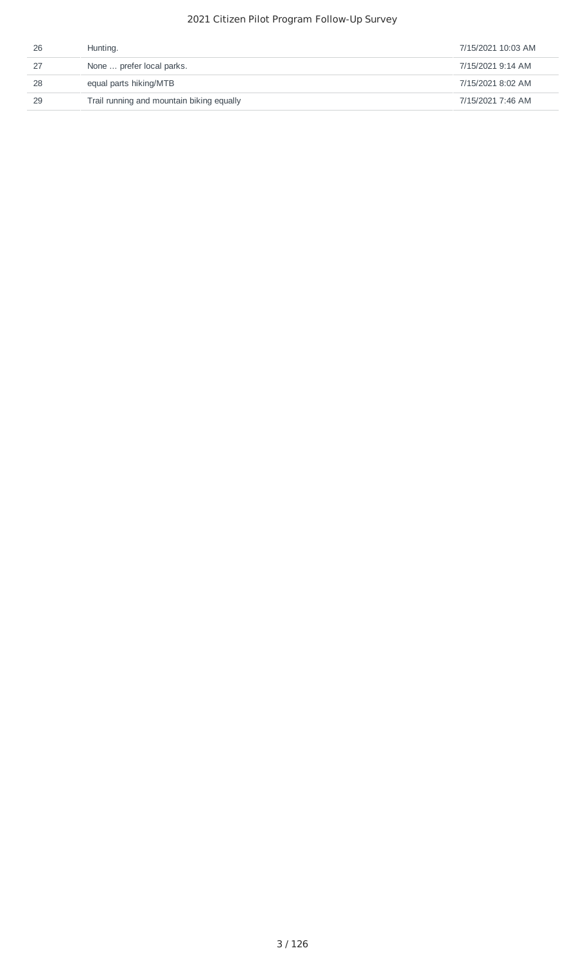| 26 | Hunting.                                  | 7/15/2021 10:03 AM |
|----|-------------------------------------------|--------------------|
| 27 | None  prefer local parks.                 | 7/15/2021 9:14 AM  |
| 28 | equal parts hiking/MTB                    | 7/15/2021 8:02 AM  |
| 29 | Trail running and mountain biking equally | 7/15/2021 7:46 AM  |
|    |                                           |                    |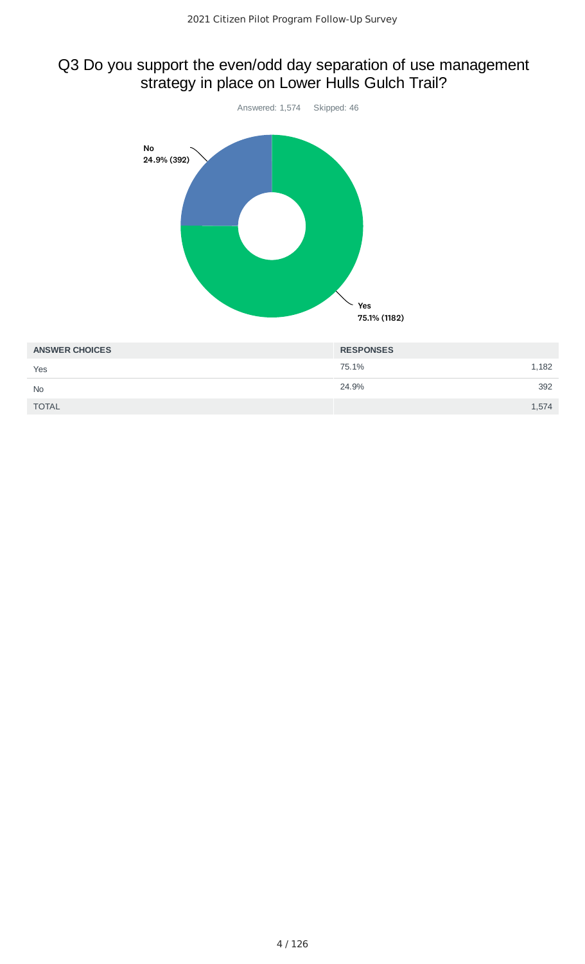# Q3 Do you support the even/odd day separation of use management strategy in place on Lower Hulls Gulch Trail?



| <b>AINSWER UNUILES</b> | <b>RESPUNSES</b> |  |
|------------------------|------------------|--|
| Yes                    | 75.1%<br>1,182   |  |
| <b>No</b>              | 24.9%<br>392     |  |
| <b>TOTAL</b>           | 1,574            |  |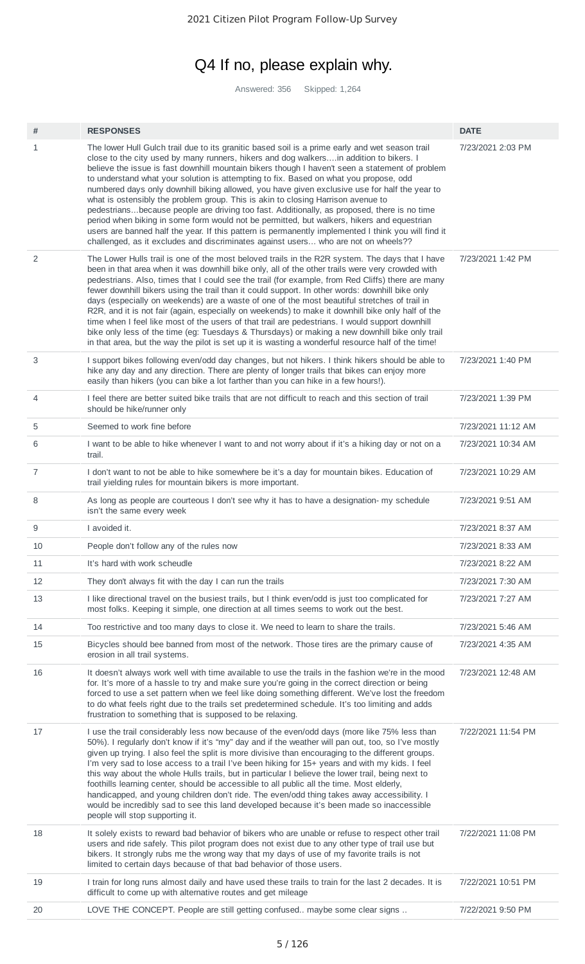# Q4 If no, please explain why.

Answered: 356 Skipped: 1,264

| #              | <b>RESPONSES</b>                                                                                                                                                                                                                                                                                                                                                                                                                                                                                                                                                                                                                                                                                                                                                                                                                                                                                                                                                     | <b>DATE</b>        |
|----------------|----------------------------------------------------------------------------------------------------------------------------------------------------------------------------------------------------------------------------------------------------------------------------------------------------------------------------------------------------------------------------------------------------------------------------------------------------------------------------------------------------------------------------------------------------------------------------------------------------------------------------------------------------------------------------------------------------------------------------------------------------------------------------------------------------------------------------------------------------------------------------------------------------------------------------------------------------------------------|--------------------|
| 1              | The lower Hull Gulch trail due to its granitic based soil is a prime early and wet season trail<br>close to the city used by many runners, hikers and dog walkersin addition to bikers. I<br>believe the issue is fast downhill mountain bikers though I haven't seen a statement of problem<br>to understand what your solution is attempting to fix. Based on what you propose, odd<br>numbered days only downhill biking allowed, you have given exclusive use for half the year to<br>what is ostensibly the problem group. This is akin to closing Harrison avenue to<br>pedestriansbecause people are driving too fast. Additionally, as proposed, there is no time<br>period when biking in some form would not be permitted, but walkers, hikers and equestrian<br>users are banned half the year. If this pattern is permanently implemented I think you will find it<br>challenged, as it excludes and discriminates against users who are not on wheels?? | 7/23/2021 2:03 PM  |
| 2              | The Lower Hulls trail is one of the most beloved trails in the R2R system. The days that I have<br>been in that area when it was downhill bike only, all of the other trails were very crowded with<br>pedestrians. Also, times that I could see the trail (for example, from Red Cliffs) there are many<br>fewer downhill bikers using the trail than it could support. In other words: downhill bike only<br>days (especially on weekends) are a waste of one of the most beautiful stretches of trail in<br>R2R, and it is not fair (again, especially on weekends) to make it downhill bike only half of the<br>time when I feel like most of the users of that trail are pedestrians. I would support downhill<br>bike only less of the time (eg: Tuesdays & Thursdays) or making a new downhill bike only trail<br>in that area, but the way the pilot is set up it is wasting a wonderful resource half of the time!                                          | 7/23/2021 1:42 PM  |
| 3              | I support bikes following even/odd day changes, but not hikers. I think hikers should be able to<br>hike any day and any direction. There are plenty of longer trails that bikes can enjoy more<br>easily than hikers (you can bike a lot farther than you can hike in a few hours!).                                                                                                                                                                                                                                                                                                                                                                                                                                                                                                                                                                                                                                                                                | 7/23/2021 1:40 PM  |
| $\overline{4}$ | I feel there are better suited bike trails that are not difficult to reach and this section of trail<br>should be hike/runner only                                                                                                                                                                                                                                                                                                                                                                                                                                                                                                                                                                                                                                                                                                                                                                                                                                   | 7/23/2021 1:39 PM  |
| 5              | Seemed to work fine before                                                                                                                                                                                                                                                                                                                                                                                                                                                                                                                                                                                                                                                                                                                                                                                                                                                                                                                                           | 7/23/2021 11:12 AM |
| 6              | I want to be able to hike whenever I want to and not worry about if it's a hiking day or not on a<br>trail.                                                                                                                                                                                                                                                                                                                                                                                                                                                                                                                                                                                                                                                                                                                                                                                                                                                          | 7/23/2021 10:34 AM |
| $\overline{7}$ | I don't want to not be able to hike somewhere be it's a day for mountain bikes. Education of<br>trail yielding rules for mountain bikers is more important.                                                                                                                                                                                                                                                                                                                                                                                                                                                                                                                                                                                                                                                                                                                                                                                                          | 7/23/2021 10:29 AM |
| 8              | As long as people are courteous I don't see why it has to have a designation- my schedule<br>isn't the same every week                                                                                                                                                                                                                                                                                                                                                                                                                                                                                                                                                                                                                                                                                                                                                                                                                                               | 7/23/2021 9:51 AM  |
| 9              | I avoided it.                                                                                                                                                                                                                                                                                                                                                                                                                                                                                                                                                                                                                                                                                                                                                                                                                                                                                                                                                        | 7/23/2021 8:37 AM  |
| 10             | People don't follow any of the rules now                                                                                                                                                                                                                                                                                                                                                                                                                                                                                                                                                                                                                                                                                                                                                                                                                                                                                                                             | 7/23/2021 8:33 AM  |
| 11             | It's hard with work scheudle                                                                                                                                                                                                                                                                                                                                                                                                                                                                                                                                                                                                                                                                                                                                                                                                                                                                                                                                         | 7/23/2021 8:22 AM  |
| 12             | They don't always fit with the day I can run the trails                                                                                                                                                                                                                                                                                                                                                                                                                                                                                                                                                                                                                                                                                                                                                                                                                                                                                                              |                    |
|                |                                                                                                                                                                                                                                                                                                                                                                                                                                                                                                                                                                                                                                                                                                                                                                                                                                                                                                                                                                      | 7/23/2021 7:30 AM  |
| 13             | I like directional travel on the busiest trails, but I think even/odd is just too complicated for<br>most folks. Keeping it simple, one direction at all times seems to work out the best.                                                                                                                                                                                                                                                                                                                                                                                                                                                                                                                                                                                                                                                                                                                                                                           | 7/23/2021 7:27 AM  |
| 14             | Too restrictive and too many days to close it. We need to learn to share the trails.                                                                                                                                                                                                                                                                                                                                                                                                                                                                                                                                                                                                                                                                                                                                                                                                                                                                                 | 7/23/2021 5:46 AM  |
| 15             | Bicycles should bee banned from most of the network. Those tires are the primary cause of<br>erosion in all trail systems.                                                                                                                                                                                                                                                                                                                                                                                                                                                                                                                                                                                                                                                                                                                                                                                                                                           | 7/23/2021 4:35 AM  |
| 16             | It doesn't always work well with time available to use the trails in the fashion we're in the mood<br>for. It's more of a hassle to try and make sure you're going in the correct direction or being<br>forced to use a set pattern when we feel like doing something different. We've lost the freedom<br>to do what feels right due to the trails set predetermined schedule. It's too limiting and adds<br>frustration to something that is supposed to be relaxing.                                                                                                                                                                                                                                                                                                                                                                                                                                                                                              | 7/23/2021 12:48 AM |
| 17             | I use the trail considerably less now because of the even/odd days (more like 75% less than<br>50%). I regularly don't know if it's "my" day and if the weather will pan out, too, so I've mostly<br>given up trying. I also feel the split is more divisive than encouraging to the different groups.<br>I'm very sad to lose access to a trail I've been hiking for 15+ years and with my kids. I feel<br>this way about the whole Hulls trails, but in particular I believe the lower trail, being next to<br>foothills learning center, should be accessible to all public all the time. Most elderly,<br>handicapped, and young children don't ride. The even/odd thing takes away accessibility. I<br>would be incredibly sad to see this land developed because it's been made so inaccessible<br>people will stop supporting it.                                                                                                                             | 7/22/2021 11:54 PM |
| 18             | It solely exists to reward bad behavior of bikers who are unable or refuse to respect other trail<br>users and ride safely. This pilot program does not exist due to any other type of trail use but<br>bikers. It strongly rubs me the wrong way that my days of use of my favorite trails is not<br>limited to certain days because of that bad behavior of those users.                                                                                                                                                                                                                                                                                                                                                                                                                                                                                                                                                                                           | 7/22/2021 11:08 PM |
| 19             | I train for long runs almost daily and have used these trails to train for the last 2 decades. It is<br>difficult to come up with alternative routes and get mileage                                                                                                                                                                                                                                                                                                                                                                                                                                                                                                                                                                                                                                                                                                                                                                                                 | 7/22/2021 10:51 PM |
| 20             | LOVE THE CONCEPT. People are still getting confused maybe some clear signs                                                                                                                                                                                                                                                                                                                                                                                                                                                                                                                                                                                                                                                                                                                                                                                                                                                                                           | 7/22/2021 9:50 PM  |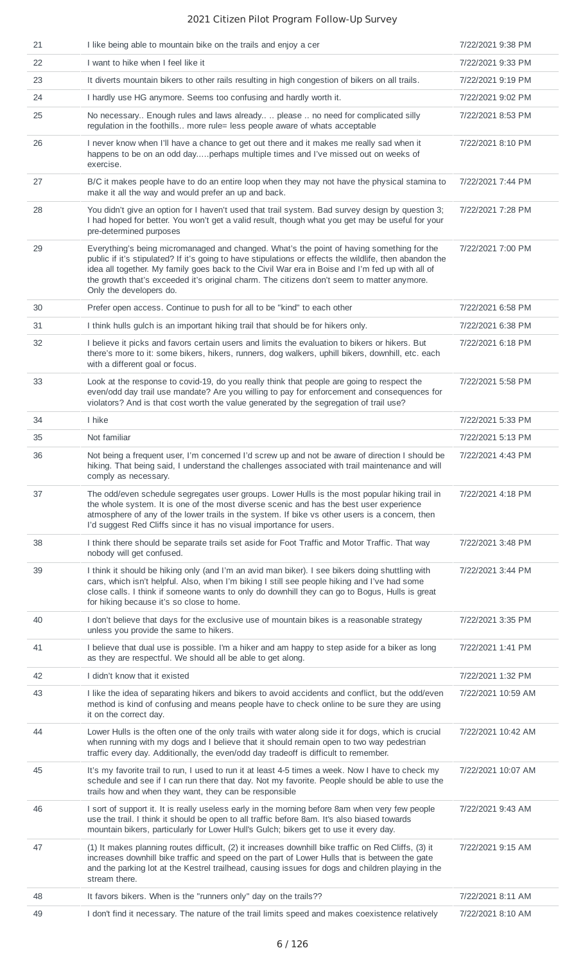| 21 | I like being able to mountain bike on the trails and enjoy a cer                                                                                                                                                                                                                                                                                                                                                                 | 7/22/2021 9:38 PM  |
|----|----------------------------------------------------------------------------------------------------------------------------------------------------------------------------------------------------------------------------------------------------------------------------------------------------------------------------------------------------------------------------------------------------------------------------------|--------------------|
| 22 | I want to hike when I feel like it                                                                                                                                                                                                                                                                                                                                                                                               | 7/22/2021 9:33 PM  |
| 23 | It diverts mountain bikers to other rails resulting in high congestion of bikers on all trails.                                                                                                                                                                                                                                                                                                                                  | 7/22/2021 9:19 PM  |
| 24 | I hardly use HG anymore. Seems too confusing and hardly worth it.                                                                                                                                                                                                                                                                                                                                                                | 7/22/2021 9:02 PM  |
| 25 | No necessary Enough rules and laws already  please  no need for complicated silly<br>regulation in the foothills more rule= less people aware of whats acceptable                                                                                                                                                                                                                                                                | 7/22/2021 8:53 PM  |
| 26 | I never know when I'll have a chance to get out there and it makes me really sad when it<br>happens to be on an odd dayperhaps multiple times and I've missed out on weeks of<br>exercise.                                                                                                                                                                                                                                       | 7/22/2021 8:10 PM  |
| 27 | B/C it makes people have to do an entire loop when they may not have the physical stamina to<br>make it all the way and would prefer an up and back.                                                                                                                                                                                                                                                                             | 7/22/2021 7:44 PM  |
| 28 | You didn't give an option for I haven't used that trail system. Bad survey design by question 3;<br>I had hoped for better. You won't get a valid result, though what you get may be useful for your<br>pre-determined purposes                                                                                                                                                                                                  | 7/22/2021 7:28 PM  |
| 29 | Everything's being micromanaged and changed. What's the point of having something for the<br>public if it's stipulated? If it's going to have stipulations or effects the wildlife, then abandon the<br>idea all together. My family goes back to the Civil War era in Boise and I'm fed up with all of<br>the growth that's exceeded it's original charm. The citizens don't seem to matter anymore.<br>Only the developers do. | 7/22/2021 7:00 PM  |
| 30 | Prefer open access. Continue to push for all to be "kind" to each other                                                                                                                                                                                                                                                                                                                                                          | 7/22/2021 6:58 PM  |
| 31 | I think hulls gulch is an important hiking trail that should be for hikers only.                                                                                                                                                                                                                                                                                                                                                 | 7/22/2021 6:38 PM  |
| 32 | I believe it picks and favors certain users and limits the evaluation to bikers or hikers. But<br>there's more to it: some bikers, hikers, runners, dog walkers, uphill bikers, downhill, etc. each<br>with a different goal or focus.                                                                                                                                                                                           | 7/22/2021 6:18 PM  |
| 33 | Look at the response to covid-19, do you really think that people are going to respect the<br>even/odd day trail use mandate? Are you willing to pay for enforcement and consequences for<br>violators? And is that cost worth the value generated by the segregation of trail use?                                                                                                                                              | 7/22/2021 5:58 PM  |
| 34 | I hike                                                                                                                                                                                                                                                                                                                                                                                                                           | 7/22/2021 5:33 PM  |
| 35 | Not familiar                                                                                                                                                                                                                                                                                                                                                                                                                     | 7/22/2021 5:13 PM  |
| 36 | Not being a frequent user, I'm concerned I'd screw up and not be aware of direction I should be<br>hiking. That being said, I understand the challenges associated with trail maintenance and will<br>comply as necessary.                                                                                                                                                                                                       | 7/22/2021 4:43 PM  |
| 37 | The odd/even schedule segregates user groups. Lower Hulls is the most popular hiking trail in<br>the whole system. It is one of the most diverse scenic and has the best user experience<br>atmosphere of any of the lower trails in the system. If bike vs other users is a concern, then<br>I'd suggest Red Cliffs since it has no visual importance for users.                                                                | 7/22/2021 4:18 PM  |
| 38 | I think there should be separate trails set aside for Foot Traffic and Motor Traffic. That way<br>nobody will get confused.                                                                                                                                                                                                                                                                                                      | 7/22/2021 3:48 PM  |
| 39 | I think it should be hiking only (and I'm an avid man biker). I see bikers doing shuttling with<br>cars, which isn't helpful. Also, when I'm biking I still see people hiking and I've had some<br>close calls. I think if someone wants to only do downhill they can go to Bogus, Hulls is great<br>for hiking because it's so close to home.                                                                                   | 7/22/2021 3:44 PM  |
| 40 | I don't believe that days for the exclusive use of mountain bikes is a reasonable strategy<br>unless you provide the same to hikers.                                                                                                                                                                                                                                                                                             | 7/22/2021 3:35 PM  |
| 41 | I believe that dual use is possible. I'm a hiker and am happy to step aside for a biker as long<br>as they are respectful. We should all be able to get along.                                                                                                                                                                                                                                                                   | 7/22/2021 1:41 PM  |
| 42 | I didn't know that it existed                                                                                                                                                                                                                                                                                                                                                                                                    | 7/22/2021 1:32 PM  |
| 43 | I like the idea of separating hikers and bikers to avoid accidents and conflict, but the odd/even<br>method is kind of confusing and means people have to check online to be sure they are using<br>it on the correct day.                                                                                                                                                                                                       | 7/22/2021 10:59 AM |
| 44 | Lower Hulls is the often one of the only trails with water along side it for dogs, which is crucial<br>when running with my dogs and I believe that it should remain open to two way pedestrian<br>traffic every day. Additionally, the even/odd day tradeoff is difficult to remember.                                                                                                                                          | 7/22/2021 10:42 AM |
| 45 | It's my favorite trail to run, I used to run it at least 4-5 times a week. Now I have to check my<br>schedule and see if I can run there that day. Not my favorite. People should be able to use the<br>trails how and when they want, they can be responsible                                                                                                                                                                   | 7/22/2021 10:07 AM |
| 46 | I sort of support it. It is really useless early in the morning before 8am when very few people<br>use the trail. I think it should be open to all traffic before 8am. It's also biased towards<br>mountain bikers, particularly for Lower Hull's Gulch; bikers get to use it every day.                                                                                                                                         | 7/22/2021 9:43 AM  |
| 47 | (1) It makes planning routes difficult, (2) it increases downhill bike traffic on Red Cliffs, (3) it<br>increases downhill bike traffic and speed on the part of Lower Hulls that is between the gate<br>and the parking lot at the Kestrel trailhead, causing issues for dogs and children playing in the<br>stream there.                                                                                                      | 7/22/2021 9:15 AM  |
| 48 | It favors bikers. When is the "runners only" day on the trails??                                                                                                                                                                                                                                                                                                                                                                 | 7/22/2021 8:11 AM  |
| 49 | I don't find it necessary. The nature of the trail limits speed and makes coexistence relatively                                                                                                                                                                                                                                                                                                                                 | 7/22/2021 8:10 AM  |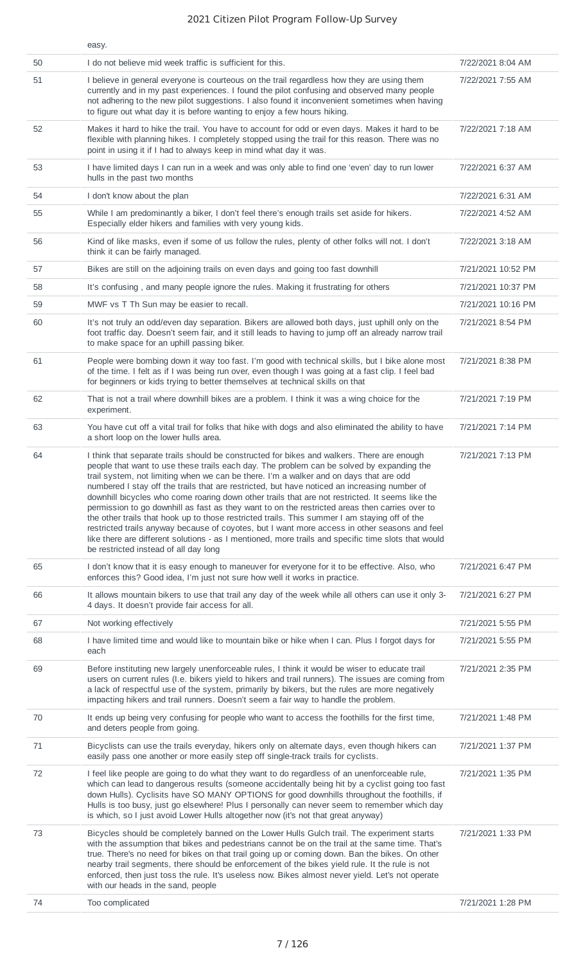|    | easy.                                                                                                                                                                                                                                                                                                                                                                                                                                                                                                                                                                                                                                                                                                                                                                                                                                                                                                                                    |                    |
|----|------------------------------------------------------------------------------------------------------------------------------------------------------------------------------------------------------------------------------------------------------------------------------------------------------------------------------------------------------------------------------------------------------------------------------------------------------------------------------------------------------------------------------------------------------------------------------------------------------------------------------------------------------------------------------------------------------------------------------------------------------------------------------------------------------------------------------------------------------------------------------------------------------------------------------------------|--------------------|
| 50 | I do not believe mid week traffic is sufficient for this.                                                                                                                                                                                                                                                                                                                                                                                                                                                                                                                                                                                                                                                                                                                                                                                                                                                                                | 7/22/2021 8:04 AM  |
| 51 | I believe in general everyone is courteous on the trail regardless how they are using them<br>currently and in my past experiences. I found the pilot confusing and observed many people<br>not adhering to the new pilot suggestions. I also found it inconvenient sometimes when having<br>to figure out what day it is before wanting to enjoy a few hours hiking.                                                                                                                                                                                                                                                                                                                                                                                                                                                                                                                                                                    | 7/22/2021 7:55 AM  |
| 52 | Makes it hard to hike the trail. You have to account for odd or even days. Makes it hard to be<br>flexible with planning hikes. I completely stopped using the trail for this reason. There was no<br>point in using it if I had to always keep in mind what day it was.                                                                                                                                                                                                                                                                                                                                                                                                                                                                                                                                                                                                                                                                 | 7/22/2021 7:18 AM  |
| 53 | I have limited days I can run in a week and was only able to find one 'even' day to run lower<br>hulls in the past two months                                                                                                                                                                                                                                                                                                                                                                                                                                                                                                                                                                                                                                                                                                                                                                                                            | 7/22/2021 6:37 AM  |
| 54 | I don't know about the plan                                                                                                                                                                                                                                                                                                                                                                                                                                                                                                                                                                                                                                                                                                                                                                                                                                                                                                              | 7/22/2021 6:31 AM  |
| 55 | While I am predominantly a biker, I don't feel there's enough trails set aside for hikers.<br>Especially elder hikers and families with very young kids.                                                                                                                                                                                                                                                                                                                                                                                                                                                                                                                                                                                                                                                                                                                                                                                 | 7/22/2021 4:52 AM  |
| 56 | Kind of like masks, even if some of us follow the rules, plenty of other folks will not. I don't<br>think it can be fairly managed.                                                                                                                                                                                                                                                                                                                                                                                                                                                                                                                                                                                                                                                                                                                                                                                                      | 7/22/2021 3:18 AM  |
| 57 | Bikes are still on the adjoining trails on even days and going too fast downhill                                                                                                                                                                                                                                                                                                                                                                                                                                                                                                                                                                                                                                                                                                                                                                                                                                                         | 7/21/2021 10:52 PM |
| 58 | It's confusing, and many people ignore the rules. Making it frustrating for others                                                                                                                                                                                                                                                                                                                                                                                                                                                                                                                                                                                                                                                                                                                                                                                                                                                       | 7/21/2021 10:37 PM |
| 59 | MWF vs T Th Sun may be easier to recall.                                                                                                                                                                                                                                                                                                                                                                                                                                                                                                                                                                                                                                                                                                                                                                                                                                                                                                 | 7/21/2021 10:16 PM |
| 60 | It's not truly an odd/even day separation. Bikers are allowed both days, just uphill only on the<br>foot traffic day. Doesn't seem fair, and it still leads to having to jump off an already narrow trail<br>to make space for an uphill passing biker.                                                                                                                                                                                                                                                                                                                                                                                                                                                                                                                                                                                                                                                                                  | 7/21/2021 8:54 PM  |
| 61 | People were bombing down it way too fast. I'm good with technical skills, but I bike alone most<br>of the time. I felt as if I was being run over, even though I was going at a fast clip. I feel bad<br>for beginners or kids trying to better themselves at technical skills on that                                                                                                                                                                                                                                                                                                                                                                                                                                                                                                                                                                                                                                                   | 7/21/2021 8:38 PM  |
| 62 | That is not a trail where downhill bikes are a problem. I think it was a wing choice for the<br>experiment.                                                                                                                                                                                                                                                                                                                                                                                                                                                                                                                                                                                                                                                                                                                                                                                                                              | 7/21/2021 7:19 PM  |
| 63 | You have cut off a vital trail for folks that hike with dogs and also eliminated the ability to have<br>a short loop on the lower hulls area.                                                                                                                                                                                                                                                                                                                                                                                                                                                                                                                                                                                                                                                                                                                                                                                            | 7/21/2021 7:14 PM  |
| 64 | I think that separate trails should be constructed for bikes and walkers. There are enough<br>people that want to use these trails each day. The problem can be solved by expanding the<br>trail system, not limiting when we can be there. I'm a walker and on days that are odd<br>numbered I stay off the trails that are restricted, but have noticed an increasing number of<br>downhill bicycles who come roaring down other trails that are not restricted. It seems like the<br>permission to go downhill as fast as they want to on the restricted areas then carries over to<br>the other trails that hook up to those restricted trails. This summer I am staying off of the<br>restricted trails anyway because of coyotes, but I want more access in other seasons and feel<br>like there are different solutions - as I mentioned, more trails and specific time slots that would<br>be restricted instead of all day long | 7/21/2021 7:13 PM  |
| 65 | I don't know that it is easy enough to maneuver for everyone for it to be effective. Also, who<br>enforces this? Good idea, I'm just not sure how well it works in practice.                                                                                                                                                                                                                                                                                                                                                                                                                                                                                                                                                                                                                                                                                                                                                             | 7/21/2021 6:47 PM  |
| 66 | It allows mountain bikers to use that trail any day of the week while all others can use it only 3-<br>4 days. It doesn't provide fair access for all.                                                                                                                                                                                                                                                                                                                                                                                                                                                                                                                                                                                                                                                                                                                                                                                   | 7/21/2021 6:27 PM  |
| 67 | Not working effectively                                                                                                                                                                                                                                                                                                                                                                                                                                                                                                                                                                                                                                                                                                                                                                                                                                                                                                                  | 7/21/2021 5:55 PM  |
| 68 | I have limited time and would like to mountain bike or hike when I can. Plus I forgot days for<br>each                                                                                                                                                                                                                                                                                                                                                                                                                                                                                                                                                                                                                                                                                                                                                                                                                                   | 7/21/2021 5:55 PM  |
| 69 | Before instituting new largely unenforceable rules, I think it would be wiser to educate trail<br>users on current rules (I.e. bikers yield to hikers and trail runners). The issues are coming from<br>a lack of respectful use of the system, primarily by bikers, but the rules are more negatively<br>impacting hikers and trail runners. Doesn't seem a fair way to handle the problem.                                                                                                                                                                                                                                                                                                                                                                                                                                                                                                                                             | 7/21/2021 2:35 PM  |
| 70 | It ends up being very confusing for people who want to access the foothills for the first time,<br>and deters people from going.                                                                                                                                                                                                                                                                                                                                                                                                                                                                                                                                                                                                                                                                                                                                                                                                         | 7/21/2021 1:48 PM  |
| 71 | Bicyclists can use the trails everyday, hikers only on alternate days, even though hikers can<br>easily pass one another or more easily step off single-track trails for cyclists.                                                                                                                                                                                                                                                                                                                                                                                                                                                                                                                                                                                                                                                                                                                                                       | 7/21/2021 1:37 PM  |
| 72 | I feel like people are going to do what they want to do regardless of an unenforceable rule,<br>which can lead to dangerous results (someone accidentally being hit by a cyclist going too fast<br>down Hulls). Cyclisits have SO MANY OPTIONS for good downhills throughout the foothills, if<br>Hulls is too busy, just go elsewhere! Plus I personally can never seem to remember which day<br>is which, so I just avoid Lower Hulls altogether now (it's not that great anyway)                                                                                                                                                                                                                                                                                                                                                                                                                                                      | 7/21/2021 1:35 PM  |
| 73 | Bicycles should be completely banned on the Lower Hulls Gulch trail. The experiment starts<br>with the assumption that bikes and pedestrians cannot be on the trail at the same time. That's<br>true. There's no need for bikes on that trail going up or coming down. Ban the bikes. On other<br>nearby trail segments, there should be enforcement of the bikes yield rule. It the rule is not<br>enforced, then just toss the rule. It's useless now. Bikes almost never yield. Let's not operate<br>with our heads in the sand, people                                                                                                                                                                                                                                                                                                                                                                                               | 7/21/2021 1:33 PM  |
| 74 | Too complicated                                                                                                                                                                                                                                                                                                                                                                                                                                                                                                                                                                                                                                                                                                                                                                                                                                                                                                                          | 7/21/2021 1:28 PM  |
|    |                                                                                                                                                                                                                                                                                                                                                                                                                                                                                                                                                                                                                                                                                                                                                                                                                                                                                                                                          |                    |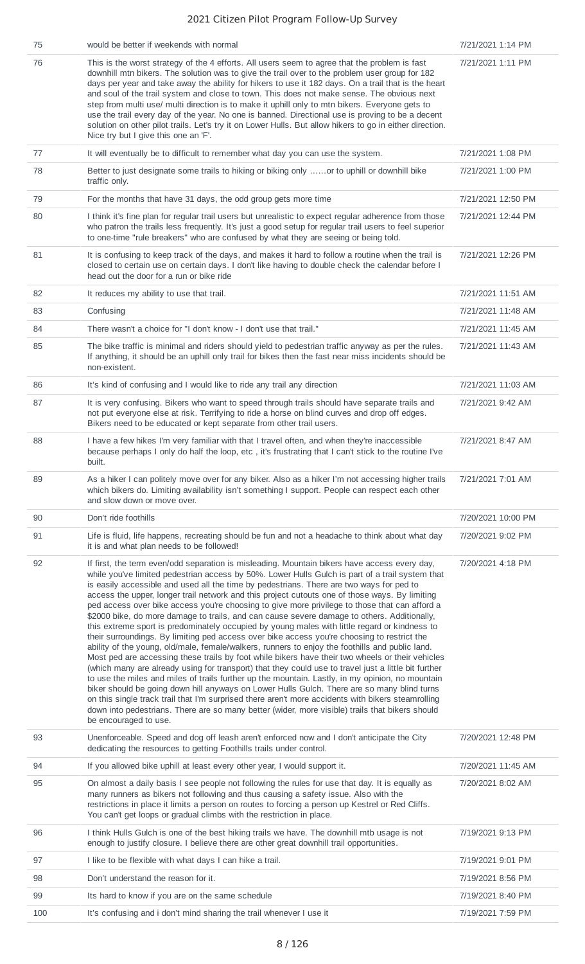| 75  | would be better if weekends with normal                                                                                                                                                                                                                                                                                                                                                                                                                                                                                                                                                                                                                                                                                                                                                                                                                                                                                                                                                                                                                                                                                                                                                                                                                                                                                                                                                                                                                                                                                                           | 7/21/2021 1:14 PM  |
|-----|---------------------------------------------------------------------------------------------------------------------------------------------------------------------------------------------------------------------------------------------------------------------------------------------------------------------------------------------------------------------------------------------------------------------------------------------------------------------------------------------------------------------------------------------------------------------------------------------------------------------------------------------------------------------------------------------------------------------------------------------------------------------------------------------------------------------------------------------------------------------------------------------------------------------------------------------------------------------------------------------------------------------------------------------------------------------------------------------------------------------------------------------------------------------------------------------------------------------------------------------------------------------------------------------------------------------------------------------------------------------------------------------------------------------------------------------------------------------------------------------------------------------------------------------------|--------------------|
| 76  | This is the worst strategy of the 4 efforts. All users seem to agree that the problem is fast<br>downhill mtn bikers. The solution was to give the trail over to the problem user group for 182<br>days per year and take away the ability for hikers to use it 182 days. On a trail that is the heart<br>and soul of the trail system and close to town. This does not make sense. The obvious next<br>step from multi use/ multi direction is to make it uphill only to mtn bikers. Everyone gets to<br>use the trail every day of the year. No one is banned. Directional use is proving to be a decent<br>solution on other pilot trails. Let's try it on Lower Hulls. But allow hikers to go in either direction.<br>Nice try but I give this one an 'F'.                                                                                                                                                                                                                                                                                                                                                                                                                                                                                                                                                                                                                                                                                                                                                                                    | 7/21/2021 1:11 PM  |
| 77  | It will eventually be to difficult to remember what day you can use the system.                                                                                                                                                                                                                                                                                                                                                                                                                                                                                                                                                                                                                                                                                                                                                                                                                                                                                                                                                                                                                                                                                                                                                                                                                                                                                                                                                                                                                                                                   | 7/21/2021 1:08 PM  |
| 78  | Better to just designate some trails to hiking or biking only or to uphill or downhill bike<br>traffic only.                                                                                                                                                                                                                                                                                                                                                                                                                                                                                                                                                                                                                                                                                                                                                                                                                                                                                                                                                                                                                                                                                                                                                                                                                                                                                                                                                                                                                                      | 7/21/2021 1:00 PM  |
| 79  | For the months that have 31 days, the odd group gets more time                                                                                                                                                                                                                                                                                                                                                                                                                                                                                                                                                                                                                                                                                                                                                                                                                                                                                                                                                                                                                                                                                                                                                                                                                                                                                                                                                                                                                                                                                    | 7/21/2021 12:50 PM |
| 80  | I think it's fine plan for regular trail users but unrealistic to expect regular adherence from those<br>who patron the trails less frequently. It's just a good setup for regular trail users to feel superior<br>to one-time "rule breakers" who are confused by what they are seeing or being told.                                                                                                                                                                                                                                                                                                                                                                                                                                                                                                                                                                                                                                                                                                                                                                                                                                                                                                                                                                                                                                                                                                                                                                                                                                            | 7/21/2021 12:44 PM |
| 81  | It is confusing to keep track of the days, and makes it hard to follow a routine when the trail is<br>closed to certain use on certain days. I don't like having to double check the calendar before I<br>head out the door for a run or bike ride                                                                                                                                                                                                                                                                                                                                                                                                                                                                                                                                                                                                                                                                                                                                                                                                                                                                                                                                                                                                                                                                                                                                                                                                                                                                                                | 7/21/2021 12:26 PM |
| 82  | It reduces my ability to use that trail.                                                                                                                                                                                                                                                                                                                                                                                                                                                                                                                                                                                                                                                                                                                                                                                                                                                                                                                                                                                                                                                                                                                                                                                                                                                                                                                                                                                                                                                                                                          | 7/21/2021 11:51 AM |
| 83  | Confusing                                                                                                                                                                                                                                                                                                                                                                                                                                                                                                                                                                                                                                                                                                                                                                                                                                                                                                                                                                                                                                                                                                                                                                                                                                                                                                                                                                                                                                                                                                                                         | 7/21/2021 11:48 AM |
| 84  | There wasn't a choice for "I don't know - I don't use that trail."                                                                                                                                                                                                                                                                                                                                                                                                                                                                                                                                                                                                                                                                                                                                                                                                                                                                                                                                                                                                                                                                                                                                                                                                                                                                                                                                                                                                                                                                                | 7/21/2021 11:45 AM |
| 85  | The bike traffic is minimal and riders should yield to pedestrian traffic anyway as per the rules.<br>If anything, it should be an uphill only trail for bikes then the fast near miss incidents should be<br>non-existent.                                                                                                                                                                                                                                                                                                                                                                                                                                                                                                                                                                                                                                                                                                                                                                                                                                                                                                                                                                                                                                                                                                                                                                                                                                                                                                                       | 7/21/2021 11:43 AM |
| 86  | It's kind of confusing and I would like to ride any trail any direction                                                                                                                                                                                                                                                                                                                                                                                                                                                                                                                                                                                                                                                                                                                                                                                                                                                                                                                                                                                                                                                                                                                                                                                                                                                                                                                                                                                                                                                                           | 7/21/2021 11:03 AM |
| 87  | It is very confusing. Bikers who want to speed through trails should have separate trails and<br>not put everyone else at risk. Terrifying to ride a horse on blind curves and drop off edges.<br>Bikers need to be educated or kept separate from other trail users.                                                                                                                                                                                                                                                                                                                                                                                                                                                                                                                                                                                                                                                                                                                                                                                                                                                                                                                                                                                                                                                                                                                                                                                                                                                                             | 7/21/2021 9:42 AM  |
| 88  | I have a few hikes I'm very familiar with that I travel often, and when they're inaccessible<br>because perhaps I only do half the loop, etc, it's frustrating that I can't stick to the routine I've<br>built.                                                                                                                                                                                                                                                                                                                                                                                                                                                                                                                                                                                                                                                                                                                                                                                                                                                                                                                                                                                                                                                                                                                                                                                                                                                                                                                                   | 7/21/2021 8:47 AM  |
| 89  | As a hiker I can politely move over for any biker. Also as a hiker I'm not accessing higher trails<br>which bikers do. Limiting availability isn't something I support. People can respect each other<br>and slow down or move over.                                                                                                                                                                                                                                                                                                                                                                                                                                                                                                                                                                                                                                                                                                                                                                                                                                                                                                                                                                                                                                                                                                                                                                                                                                                                                                              | 7/21/2021 7:01 AM  |
| 90  | Don't ride foothills                                                                                                                                                                                                                                                                                                                                                                                                                                                                                                                                                                                                                                                                                                                                                                                                                                                                                                                                                                                                                                                                                                                                                                                                                                                                                                                                                                                                                                                                                                                              | 7/20/2021 10:00 PM |
| 91  | Life is fluid, life happens, recreating should be fun and not a headache to think about what day<br>it is and what plan needs to be followed!                                                                                                                                                                                                                                                                                                                                                                                                                                                                                                                                                                                                                                                                                                                                                                                                                                                                                                                                                                                                                                                                                                                                                                                                                                                                                                                                                                                                     | 7/20/2021 9:02 PM  |
| 92  | If first, the term even/odd separation is misleading. Mountain bikers have access every day,<br>while you've limited pedestrian access by 50%. Lower Hulls Gulch is part of a trail system that<br>is easily accessible and used all the time by pedestrians. There are two ways for ped to<br>access the upper, longer trail network and this project cutouts one of those ways. By limiting<br>ped access over bike access you're choosing to give more privilege to those that can afford a<br>\$2000 bike, do more damage to trails, and can cause severe damage to others. Additionally,<br>this extreme sport is predominately occupied by young males with little regard or kindness to<br>their surroundings. By limiting ped access over bike access you're choosing to restrict the<br>ability of the young, old/male, female/walkers, runners to enjoy the foothills and public land.<br>Most ped are accessing these trails by foot while bikers have their two wheels or their vehicles<br>(which many are already using for transport) that they could use to travel just a little bit further<br>to use the miles and miles of trails further up the mountain. Lastly, in my opinion, no mountain<br>biker should be going down hill anyways on Lower Hulls Gulch. There are so many blind turns<br>on this single track trail that I'm surprised there aren't more accidents with bikers steamrolling<br>down into pedestrians. There are so many better (wider, more visible) trails that bikers should<br>be encouraged to use. | 7/20/2021 4:18 PM  |
| 93  | Unenforceable. Speed and dog off leash aren't enforced now and I don't anticipate the City<br>dedicating the resources to getting Foothills trails under control.                                                                                                                                                                                                                                                                                                                                                                                                                                                                                                                                                                                                                                                                                                                                                                                                                                                                                                                                                                                                                                                                                                                                                                                                                                                                                                                                                                                 | 7/20/2021 12:48 PM |
| 94  | If you allowed bike uphill at least every other year, I would support it.                                                                                                                                                                                                                                                                                                                                                                                                                                                                                                                                                                                                                                                                                                                                                                                                                                                                                                                                                                                                                                                                                                                                                                                                                                                                                                                                                                                                                                                                         | 7/20/2021 11:45 AM |
| 95  | On almost a daily basis I see people not following the rules for use that day. It is equally as<br>many runners as bikers not following and thus causing a safety issue. Also with the<br>restrictions in place it limits a person on routes to forcing a person up Kestrel or Red Cliffs.<br>You can't get loops or gradual climbs with the restriction in place.                                                                                                                                                                                                                                                                                                                                                                                                                                                                                                                                                                                                                                                                                                                                                                                                                                                                                                                                                                                                                                                                                                                                                                                | 7/20/2021 8:02 AM  |
| 96  | I think Hulls Gulch is one of the best hiking trails we have. The downhill mtb usage is not<br>enough to justify closure. I believe there are other great downhill trail opportunities.                                                                                                                                                                                                                                                                                                                                                                                                                                                                                                                                                                                                                                                                                                                                                                                                                                                                                                                                                                                                                                                                                                                                                                                                                                                                                                                                                           | 7/19/2021 9:13 PM  |
| 97  | I like to be flexible with what days I can hike a trail.                                                                                                                                                                                                                                                                                                                                                                                                                                                                                                                                                                                                                                                                                                                                                                                                                                                                                                                                                                                                                                                                                                                                                                                                                                                                                                                                                                                                                                                                                          | 7/19/2021 9:01 PM  |
| 98  | Don't understand the reason for it.                                                                                                                                                                                                                                                                                                                                                                                                                                                                                                                                                                                                                                                                                                                                                                                                                                                                                                                                                                                                                                                                                                                                                                                                                                                                                                                                                                                                                                                                                                               | 7/19/2021 8:56 PM  |
| 99  | Its hard to know if you are on the same schedule                                                                                                                                                                                                                                                                                                                                                                                                                                                                                                                                                                                                                                                                                                                                                                                                                                                                                                                                                                                                                                                                                                                                                                                                                                                                                                                                                                                                                                                                                                  | 7/19/2021 8:40 PM  |
| 100 | It's confusing and i don't mind sharing the trail whenever I use it                                                                                                                                                                                                                                                                                                                                                                                                                                                                                                                                                                                                                                                                                                                                                                                                                                                                                                                                                                                                                                                                                                                                                                                                                                                                                                                                                                                                                                                                               | 7/19/2021 7:59 PM  |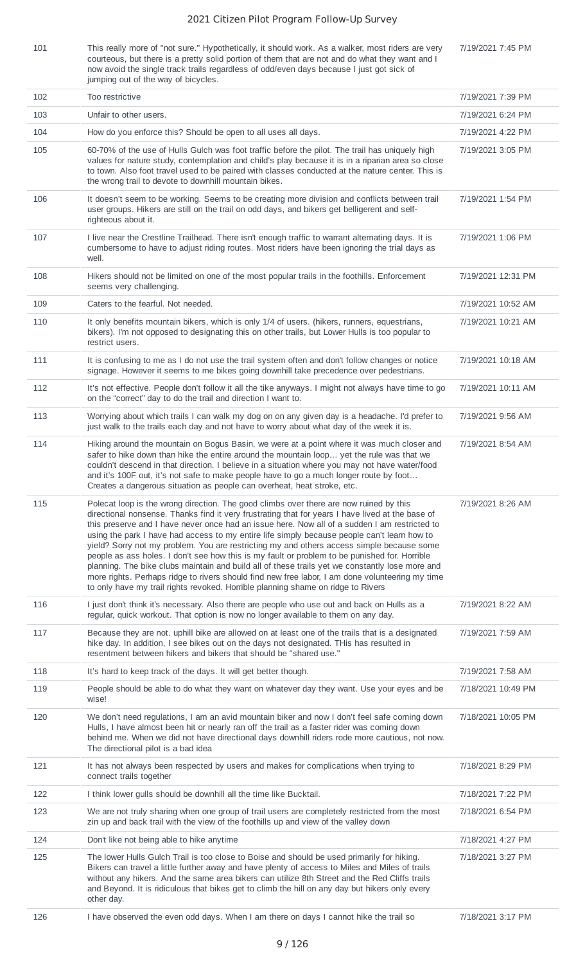101 This really more of "not sure." Hypothetically, it should work. As a walker, most riders are very courteous, but there is a pretty solid portion of them that are not and do what they want and I now avoid the single track trails regardless of odd/even days because I just got sick of jumping out of the way of bicycles.

7/19/2021 7:45 PM

| 102 | Too restrictive                                                                                                                                                                                                                                                                                                                                                                                                                                                                                                                                                                                                                                                                                                                                                                                                                                                                    | 7/19/2021 7:39 PM  |
|-----|------------------------------------------------------------------------------------------------------------------------------------------------------------------------------------------------------------------------------------------------------------------------------------------------------------------------------------------------------------------------------------------------------------------------------------------------------------------------------------------------------------------------------------------------------------------------------------------------------------------------------------------------------------------------------------------------------------------------------------------------------------------------------------------------------------------------------------------------------------------------------------|--------------------|
| 103 | Unfair to other users.                                                                                                                                                                                                                                                                                                                                                                                                                                                                                                                                                                                                                                                                                                                                                                                                                                                             | 7/19/2021 6:24 PM  |
| 104 | How do you enforce this? Should be open to all uses all days.                                                                                                                                                                                                                                                                                                                                                                                                                                                                                                                                                                                                                                                                                                                                                                                                                      | 7/19/2021 4:22 PM  |
| 105 | 60-70% of the use of Hulls Gulch was foot traffic before the pilot. The trail has uniquely high<br>values for nature study, contemplation and child's play because it is in a riparian area so close<br>to town. Also foot travel used to be paired with classes conducted at the nature center. This is<br>the wrong trail to devote to downhill mountain bikes.                                                                                                                                                                                                                                                                                                                                                                                                                                                                                                                  | 7/19/2021 3:05 PM  |
| 106 | It doesn't seem to be working. Seems to be creating more division and conflicts between trail<br>user groups. Hikers are still on the trail on odd days, and bikers get belligerent and self-<br>righteous about it.                                                                                                                                                                                                                                                                                                                                                                                                                                                                                                                                                                                                                                                               | 7/19/2021 1:54 PM  |
| 107 | I live near the Crestline Trailhead. There isn't enough traffic to warrant alternating days. It is<br>cumbersome to have to adjust riding routes. Most riders have been ignoring the trial days as<br>well.                                                                                                                                                                                                                                                                                                                                                                                                                                                                                                                                                                                                                                                                        | 7/19/2021 1:06 PM  |
| 108 | Hikers should not be limited on one of the most popular trails in the foothills. Enforcement<br>seems very challenging.                                                                                                                                                                                                                                                                                                                                                                                                                                                                                                                                                                                                                                                                                                                                                            | 7/19/2021 12:31 PM |
| 109 | Caters to the fearful. Not needed.                                                                                                                                                                                                                                                                                                                                                                                                                                                                                                                                                                                                                                                                                                                                                                                                                                                 | 7/19/2021 10:52 AM |
| 110 | It only benefits mountain bikers, which is only 1/4 of users. (hikers, runners, equestrians,<br>bikers). I'm not opposed to designating this on other trails, but Lower Hulls is too popular to<br>restrict users.                                                                                                                                                                                                                                                                                                                                                                                                                                                                                                                                                                                                                                                                 | 7/19/2021 10:21 AM |
| 111 | It is confusing to me as I do not use the trail system often and don't follow changes or notice<br>signage. However it seems to me bikes going downhill take precedence over pedestrians.                                                                                                                                                                                                                                                                                                                                                                                                                                                                                                                                                                                                                                                                                          | 7/19/2021 10:18 AM |
| 112 | It's not effective. People don't follow it all the tike anyways. I might not always have time to go<br>on the "correct" day to do the trail and direction I want to.                                                                                                                                                                                                                                                                                                                                                                                                                                                                                                                                                                                                                                                                                                               | 7/19/2021 10:11 AM |
| 113 | Worrying about which trails I can walk my dog on on any given day is a headache. I'd prefer to<br>just walk to the trails each day and not have to worry about what day of the week it is.                                                                                                                                                                                                                                                                                                                                                                                                                                                                                                                                                                                                                                                                                         | 7/19/2021 9:56 AM  |
| 114 | Hiking around the mountain on Bogus Basin, we were at a point where it was much closer and<br>safer to hike down than hike the entire around the mountain loop yet the rule was that we<br>couldn't descend in that direction. I believe in a situation where you may not have water/food<br>and it's 100F out, it's not safe to make people have to go a much longer route by foot<br>Creates a dangerous situation as people can overheat, heat stroke, etc.                                                                                                                                                                                                                                                                                                                                                                                                                     | 7/19/2021 8:54 AM  |
| 115 | Polecat loop is the wrong direction. The good climbs over there are now ruined by this<br>directional nonsense. Thanks find it very frustrating that for years I have lived at the base of<br>this preserve and I have never once had an issue here. Now all of a sudden I am restricted to<br>using the park I have had access to my entire life simply because people can't learn how to<br>yield? Sorry not my problem. You are restricting my and others access simple because some<br>people as ass holes. I don't see how this is my fault or problem to be punished for. Horrible<br>planning. The bike clubs maintain and build all of these trails yet we constantly lose more and<br>more rights. Perhaps ridge to rivers should find new free labor, I am done volunteering my time<br>to only have my trail rights revoked. Horrible planning shame on ridge to Rivers | 7/19/2021 8:26 AM  |
| 116 | I just don't think it's necessary. Also there are people who use out and back on Hulls as a<br>regular, quick workout. That option is now no longer available to them on any day.                                                                                                                                                                                                                                                                                                                                                                                                                                                                                                                                                                                                                                                                                                  | 7/19/2021 8:22 AM  |
| 117 | Because they are not. uphill bike are allowed on at least one of the trails that is a designated<br>hike day. In addition, I see bikes out on the days not designated. THis has resulted in<br>resentment between hikers and bikers that should be "shared use."                                                                                                                                                                                                                                                                                                                                                                                                                                                                                                                                                                                                                   | 7/19/2021 7:59 AM  |
| 118 | It's hard to keep track of the days. It will get better though.                                                                                                                                                                                                                                                                                                                                                                                                                                                                                                                                                                                                                                                                                                                                                                                                                    | 7/19/2021 7:58 AM  |
| 119 | People should be able to do what they want on whatever day they want. Use your eyes and be<br>wise!                                                                                                                                                                                                                                                                                                                                                                                                                                                                                                                                                                                                                                                                                                                                                                                | 7/18/2021 10:49 PM |
| 120 | We don't need regulations, I am an avid mountain biker and now I don't feel safe coming down<br>Hulls, I have almost been hit or nearly ran off the trail as a faster rider was coming down<br>behind me. When we did not have directional days downhill riders rode more cautious, not now.<br>The directional pilot is a bad idea                                                                                                                                                                                                                                                                                                                                                                                                                                                                                                                                                | 7/18/2021 10:05 PM |
| 121 | It has not always been respected by users and makes for complications when trying to<br>connect trails together                                                                                                                                                                                                                                                                                                                                                                                                                                                                                                                                                                                                                                                                                                                                                                    | 7/18/2021 8:29 PM  |
| 122 | I think lower gulls should be downhill all the time like Bucktail.                                                                                                                                                                                                                                                                                                                                                                                                                                                                                                                                                                                                                                                                                                                                                                                                                 | 7/18/2021 7:22 PM  |
| 123 | We are not truly sharing when one group of trail users are completely restricted from the most<br>zin up and back trail with the view of the foothills up and view of the valley down                                                                                                                                                                                                                                                                                                                                                                                                                                                                                                                                                                                                                                                                                              | 7/18/2021 6:54 PM  |
| 124 | Don't like not being able to hike anytime                                                                                                                                                                                                                                                                                                                                                                                                                                                                                                                                                                                                                                                                                                                                                                                                                                          | 7/18/2021 4:27 PM  |
| 125 | The lower Hulls Gulch Trail is too close to Boise and should be used primarily for hiking.<br>Bikers can travel a little further away and have plenty of access to Miles and Miles of trails<br>without any hikers. And the same area bikers can utilize 8th Street and the Red Cliffs trails<br>and Beyond. It is ridiculous that bikes get to climb the hill on any day but hikers only every<br>other day.                                                                                                                                                                                                                                                                                                                                                                                                                                                                      | 7/18/2021 3:27 PM  |
|     |                                                                                                                                                                                                                                                                                                                                                                                                                                                                                                                                                                                                                                                                                                                                                                                                                                                                                    |                    |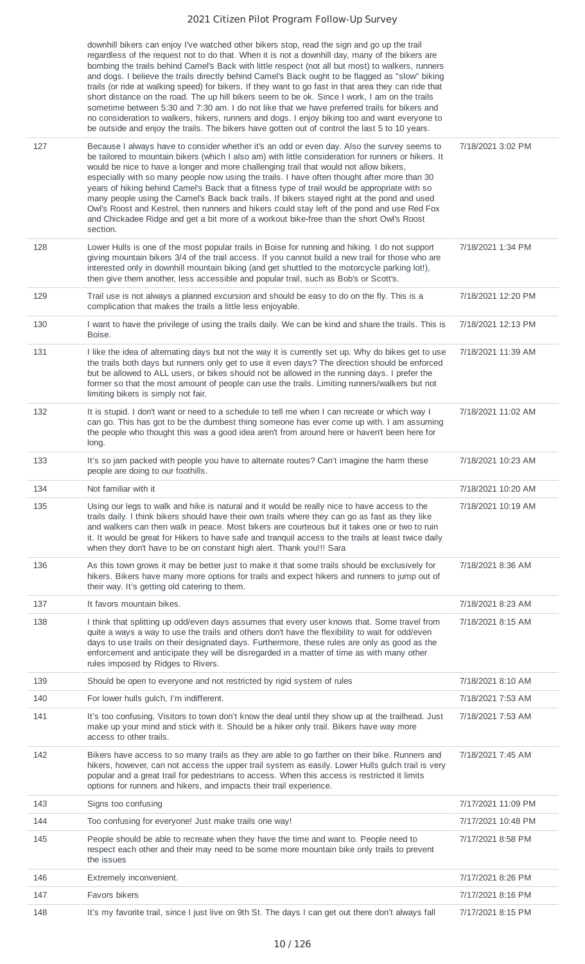downhill bikers can enjoy I've watched other bikers stop, read the sign and go up the trail regardless of the request not to do that. When it is not a downhill day, many of the bikers are bombing the trails behind Camel's Back with little respect (not all but most) to walkers, runners and dogs. I believe the trails directly behind Camel's Back ought to be flagged as "slow" biking trails (or ride at walking speed) for bikers. If they want to go fast in that area they can ride that short distance on the road. The up hill bikers seem to be ok. Since I work, I am on the trails sometime between 5:30 and 7:30 am. I do not like that we have preferred trails for bikers and no consideration to walkers, hikers, runners and dogs. I enjoy biking too and want everyone to be outside and enjoy the trails. The bikers have gotten out of control the last 5 to 10 years.

|     | no consideration to walkers, hikers, runners and dogs. I enjoy biking too and want everyone to<br>be outside and enjoy the trails. The bikers have gotten out of control the last 5 to 10 years.                                                                                                                                                                                                                                                                                                                                                                                                                                                                                                                                                                                                      |                    |
|-----|-------------------------------------------------------------------------------------------------------------------------------------------------------------------------------------------------------------------------------------------------------------------------------------------------------------------------------------------------------------------------------------------------------------------------------------------------------------------------------------------------------------------------------------------------------------------------------------------------------------------------------------------------------------------------------------------------------------------------------------------------------------------------------------------------------|--------------------|
| 127 | Because I always have to consider whether it's an odd or even day. Also the survey seems to<br>be tailored to mountain bikers (which I also am) with little consideration for runners or hikers. It<br>would be nice to have a longer and more challenging trail that would not allow bikers,<br>especially with so many people now using the trails. I have often thought after more than 30<br>years of hiking behind Camel's Back that a fitness type of trail would be appropriate with so<br>many people using the Camel's Back back trails. If bikers stayed right at the pond and used<br>Owl's Roost and Kestrel, then runners and hikers could stay left of the pond and use Red Fox<br>and Chickadee Ridge and get a bit more of a workout bike-free than the short Owl's Roost<br>section. | 7/18/2021 3:02 PM  |
| 128 | Lower Hulls is one of the most popular trails in Boise for running and hiking. I do not support<br>giving mountain bikers 3/4 of the trail access. If you cannot build a new trail for those who are<br>interested only in downhill mountain biking (and get shuttled to the motorcycle parking lot!),<br>then give them another, less accessible and popular trail, such as Bob's or Scott's.                                                                                                                                                                                                                                                                                                                                                                                                        | 7/18/2021 1:34 PM  |
| 129 | Trail use is not always a planned excursion and should be easy to do on the fly. This is a<br>complication that makes the trails a little less enjoyable.                                                                                                                                                                                                                                                                                                                                                                                                                                                                                                                                                                                                                                             | 7/18/2021 12:20 PM |
| 130 | I want to have the privilege of using the trails daily. We can be kind and share the trails. This is<br>Boise.                                                                                                                                                                                                                                                                                                                                                                                                                                                                                                                                                                                                                                                                                        | 7/18/2021 12:13 PM |
| 131 | I like the idea of alternating days but not the way it is currently set up. Why do bikes get to use<br>the trails both days but runners only get to use it even days? The direction should be enforced<br>but be allowed to ALL users, or bikes should not be allowed in the running days. I prefer the<br>former so that the most amount of people can use the trails. Limiting runners/walkers but not<br>limiting bikers is simply not fair.                                                                                                                                                                                                                                                                                                                                                       | 7/18/2021 11:39 AM |
| 132 | It is stupid. I don't want or need to a schedule to tell me when I can recreate or which way I<br>can go. This has got to be the dumbest thing someone has ever come up with. I am assuming<br>the people who thought this was a good idea aren't from around here or haven't been here for<br>long.                                                                                                                                                                                                                                                                                                                                                                                                                                                                                                  | 7/18/2021 11:02 AM |
| 133 | It's so jam packed with people you have to alternate routes? Can't imagine the harm these<br>people are doing to our foothills.                                                                                                                                                                                                                                                                                                                                                                                                                                                                                                                                                                                                                                                                       | 7/18/2021 10:23 AM |
| 134 | Not familiar with it                                                                                                                                                                                                                                                                                                                                                                                                                                                                                                                                                                                                                                                                                                                                                                                  | 7/18/2021 10:20 AM |
| 135 | Using our legs to walk and hike is natural and it would be really nice to have access to the<br>trails daily. I think bikers should have their own trails where they can go as fast as they like<br>and walkers can then walk in peace. Most bikers are courteous but it takes one or two to ruin<br>it. It would be great for Hikers to have safe and tranquil access to the trails at least twice daily<br>when they don't have to be on constant high alert. Thank you!!! Sara                                                                                                                                                                                                                                                                                                                     | 7/18/2021 10:19 AM |
| 136 | As this town grows it may be better just to make it that some trails should be exclusively for<br>hikers. Bikers have many more options for trails and expect hikers and runners to jump out of<br>their way. It's getting old catering to them.                                                                                                                                                                                                                                                                                                                                                                                                                                                                                                                                                      | 7/18/2021 8:36 AM  |
| 137 | It favors mountain bikes.                                                                                                                                                                                                                                                                                                                                                                                                                                                                                                                                                                                                                                                                                                                                                                             | 7/18/2021 8:23 AM  |
| 138 | I think that splitting up odd/even days assumes that every user knows that. Some travel from<br>quite a ways a way to use the trails and others don't have the flexibility to wait for odd/even<br>days to use trails on their designated days. Furthermore, these rules are only as good as the<br>enforcement and anticipate they will be disregarded in a matter of time as with many other<br>rules imposed by Ridges to Rivers.                                                                                                                                                                                                                                                                                                                                                                  | 7/18/2021 8:15 AM  |
| 139 | Should be open to everyone and not restricted by rigid system of rules                                                                                                                                                                                                                                                                                                                                                                                                                                                                                                                                                                                                                                                                                                                                | 7/18/2021 8:10 AM  |
| 140 | For lower hulls gulch, I'm indifferent.                                                                                                                                                                                                                                                                                                                                                                                                                                                                                                                                                                                                                                                                                                                                                               | 7/18/2021 7:53 AM  |
| 141 | It's too confusing. Visitors to town don't know the deal until they show up at the trailhead. Just<br>make up your mind and stick with it. Should be a hiker only trail. Bikers have way more<br>access to other trails.                                                                                                                                                                                                                                                                                                                                                                                                                                                                                                                                                                              | 7/18/2021 7:53 AM  |
| 142 | Bikers have access to so many trails as they are able to go farther on their bike. Runners and<br>hikers, however, can not access the upper trail system as easily. Lower Hulls gulch trail is very<br>popular and a great trail for pedestrians to access. When this access is restricted it limits<br>options for runners and hikers, and impacts their trail experience.                                                                                                                                                                                                                                                                                                                                                                                                                           | 7/18/2021 7:45 AM  |
| 143 | Signs too confusing                                                                                                                                                                                                                                                                                                                                                                                                                                                                                                                                                                                                                                                                                                                                                                                   | 7/17/2021 11:09 PM |
| 144 | Too confusing for everyone! Just make trails one way!                                                                                                                                                                                                                                                                                                                                                                                                                                                                                                                                                                                                                                                                                                                                                 | 7/17/2021 10:48 PM |
| 145 | People should be able to recreate when they have the time and want to. People need to<br>respect each other and their may need to be some more mountain bike only trails to prevent<br>the issues                                                                                                                                                                                                                                                                                                                                                                                                                                                                                                                                                                                                     | 7/17/2021 8:58 PM  |
| 146 | Extremely inconvenient.                                                                                                                                                                                                                                                                                                                                                                                                                                                                                                                                                                                                                                                                                                                                                                               | 7/17/2021 8:26 PM  |
| 147 | Favors bikers                                                                                                                                                                                                                                                                                                                                                                                                                                                                                                                                                                                                                                                                                                                                                                                         | 7/17/2021 8:16 PM  |
| 148 | It's my favorite trail, since I just live on 9th St. The days I can get out there don't always fall                                                                                                                                                                                                                                                                                                                                                                                                                                                                                                                                                                                                                                                                                                   | 7/17/2021 8:15 PM  |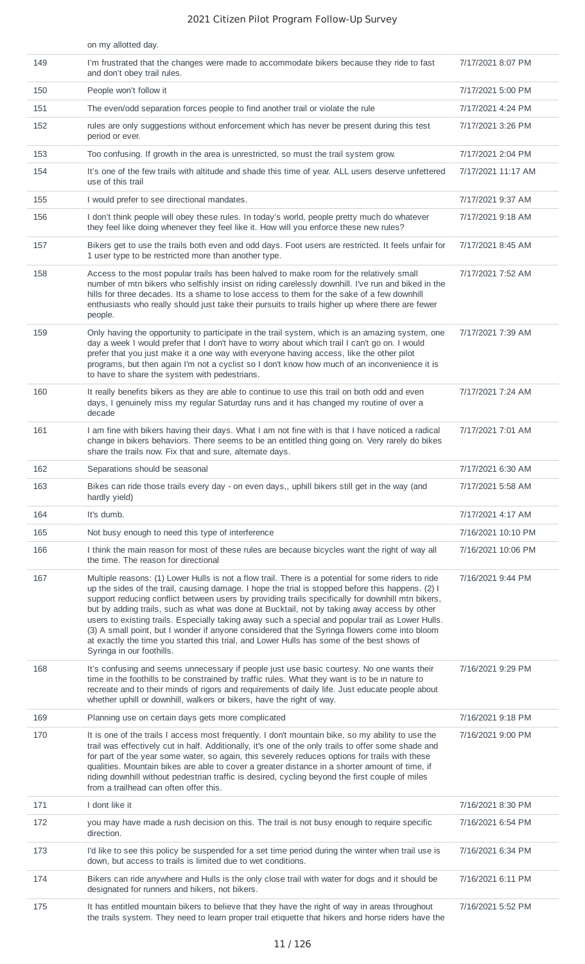|     | on my allotted day.                                                                                                                                                                                                                                                                                                                                                                                                                                                                                                                                                                                                                                                                                                                          |                    |
|-----|----------------------------------------------------------------------------------------------------------------------------------------------------------------------------------------------------------------------------------------------------------------------------------------------------------------------------------------------------------------------------------------------------------------------------------------------------------------------------------------------------------------------------------------------------------------------------------------------------------------------------------------------------------------------------------------------------------------------------------------------|--------------------|
| 149 | I'm frustrated that the changes were made to accommodate bikers because they ride to fast<br>and don't obey trail rules.                                                                                                                                                                                                                                                                                                                                                                                                                                                                                                                                                                                                                     | 7/17/2021 8:07 PM  |
| 150 | People won't follow it                                                                                                                                                                                                                                                                                                                                                                                                                                                                                                                                                                                                                                                                                                                       | 7/17/2021 5:00 PM  |
| 151 | The even/odd separation forces people to find another trail or violate the rule                                                                                                                                                                                                                                                                                                                                                                                                                                                                                                                                                                                                                                                              | 7/17/2021 4:24 PM  |
| 152 | rules are only suggestions without enforcement which has never be present during this test<br>period or ever.                                                                                                                                                                                                                                                                                                                                                                                                                                                                                                                                                                                                                                | 7/17/2021 3:26 PM  |
| 153 | Too confusing. If growth in the area is unrestricted, so must the trail system grow.                                                                                                                                                                                                                                                                                                                                                                                                                                                                                                                                                                                                                                                         | 7/17/2021 2:04 PM  |
| 154 | It's one of the few trails with altitude and shade this time of year. ALL users deserve unfettered<br>use of this trail                                                                                                                                                                                                                                                                                                                                                                                                                                                                                                                                                                                                                      | 7/17/2021 11:17 AM |
| 155 | I would prefer to see directional mandates.                                                                                                                                                                                                                                                                                                                                                                                                                                                                                                                                                                                                                                                                                                  | 7/17/2021 9:37 AM  |
| 156 | I don't think people will obey these rules. In today's world, people pretty much do whatever<br>they feel like doing whenever they feel like it. How will you enforce these new rules?                                                                                                                                                                                                                                                                                                                                                                                                                                                                                                                                                       | 7/17/2021 9:18 AM  |
| 157 | Bikers get to use the trails both even and odd days. Foot users are restricted. It feels unfair for<br>1 user type to be restricted more than another type.                                                                                                                                                                                                                                                                                                                                                                                                                                                                                                                                                                                  | 7/17/2021 8:45 AM  |
| 158 | Access to the most popular trails has been halved to make room for the relatively small<br>number of mtn bikers who selfishly insist on riding carelessly downhill. I've run and biked in the<br>hills for three decades. Its a shame to lose access to them for the sake of a few downhill<br>enthusiasts who really should just take their pursuits to trails higher up where there are fewer<br>people.                                                                                                                                                                                                                                                                                                                                   | 7/17/2021 7:52 AM  |
| 159 | Only having the opportunity to participate in the trail system, which is an amazing system, one<br>day a week I would prefer that I don't have to worry about which trail I can't go on. I would<br>prefer that you just make it a one way with everyone having access, like the other pilot<br>programs, but then again I'm not a cyclist so I don't know how much of an inconvenience it is<br>to have to share the system with pedestrians.                                                                                                                                                                                                                                                                                               | 7/17/2021 7:39 AM  |
| 160 | It really benefits bikers as they are able to continue to use this trail on both odd and even<br>days, I genuinely miss my regular Saturday runs and it has changed my routine of over a<br>decade                                                                                                                                                                                                                                                                                                                                                                                                                                                                                                                                           | 7/17/2021 7:24 AM  |
| 161 | I am fine with bikers having their days. What I am not fine with is that I have noticed a radical<br>change in bikers behaviors. There seems to be an entitled thing going on. Very rarely do bikes<br>share the trails now. Fix that and sure, alternate days.                                                                                                                                                                                                                                                                                                                                                                                                                                                                              | 7/17/2021 7:01 AM  |
| 162 | Separations should be seasonal                                                                                                                                                                                                                                                                                                                                                                                                                                                                                                                                                                                                                                                                                                               | 7/17/2021 6:30 AM  |
| 163 | Bikes can ride those trails every day - on even days,, uphill bikers still get in the way (and<br>hardly yield)                                                                                                                                                                                                                                                                                                                                                                                                                                                                                                                                                                                                                              | 7/17/2021 5:58 AM  |
| 164 | It's dumb.                                                                                                                                                                                                                                                                                                                                                                                                                                                                                                                                                                                                                                                                                                                                   | 7/17/2021 4:17 AM  |
| 165 | Not busy enough to need this type of interference                                                                                                                                                                                                                                                                                                                                                                                                                                                                                                                                                                                                                                                                                            | 7/16/2021 10:10 PM |
| 166 | I think the main reason for most of these rules are because bicycles want the right of way all<br>the time. The reason for directional                                                                                                                                                                                                                                                                                                                                                                                                                                                                                                                                                                                                       | 7/16/2021 10:06 PM |
| 167 | Multiple reasons: (1) Lower Hulls is not a flow trail. There is a potential for some riders to ride<br>up the sides of the trail, causing damage. I hope the trial is stopped before this happens. (2) I<br>support reducing conflict between users by providing trails specifically for downhill mtn bikers,<br>but by adding trails, such as what was done at Bucktail, not by taking away access by other<br>users to existing trails. Especially taking away such a special and popular trail as Lower Hulls.<br>(3) A small point, but I wonder if anyone considered that the Syringa flowers come into bloom<br>at exactly the time you started this trial, and Lower Hulls has some of the best shows of<br>Syringa in our foothills. | 7/16/2021 9:44 PM  |
| 168 | It's confusing and seems unnecessary if people just use basic courtesy. No one wants their<br>time in the foothills to be constrained by traffic rules. What they want is to be in nature to<br>recreate and to their minds of rigors and requirements of daily life. Just educate people about<br>whether uphill or downhill, walkers or bikers, have the right of way.                                                                                                                                                                                                                                                                                                                                                                     | 7/16/2021 9:29 PM  |
| 169 | Planning use on certain days gets more complicated                                                                                                                                                                                                                                                                                                                                                                                                                                                                                                                                                                                                                                                                                           | 7/16/2021 9:18 PM  |
| 170 | It is one of the trails I access most frequently. I don't mountain bike, so my ability to use the<br>trail was effectively cut in half. Additionally, it's one of the only trails to offer some shade and<br>for part of the year some water, so again, this severely reduces options for trails with these<br>qualities. Mountain bikes are able to cover a greater distance in a shorter amount of time, if<br>riding downhill without pedestrian traffic is desired, cycling beyond the first couple of miles<br>from a trailhead can often offer this.                                                                                                                                                                                   | 7/16/2021 9:00 PM  |
| 171 | I dont like it                                                                                                                                                                                                                                                                                                                                                                                                                                                                                                                                                                                                                                                                                                                               | 7/16/2021 8:30 PM  |
| 172 | you may have made a rush decision on this. The trail is not busy enough to require specific<br>direction.                                                                                                                                                                                                                                                                                                                                                                                                                                                                                                                                                                                                                                    | 7/16/2021 6:54 PM  |
| 173 | I'd like to see this policy be suspended for a set time period during the winter when trail use is<br>down, but access to trails is limited due to wet conditions.                                                                                                                                                                                                                                                                                                                                                                                                                                                                                                                                                                           | 7/16/2021 6:34 PM  |
| 174 | Bikers can ride anywhere and Hulls is the only close trail with water for dogs and it should be<br>designated for runners and hikers, not bikers.                                                                                                                                                                                                                                                                                                                                                                                                                                                                                                                                                                                            | 7/16/2021 6:11 PM  |
| 175 | It has entitled mountain bikers to believe that they have the right of way in areas throughout<br>the trails system. They need to learn proper trail etiquette that hikers and horse riders have the                                                                                                                                                                                                                                                                                                                                                                                                                                                                                                                                         | 7/16/2021 5:52 PM  |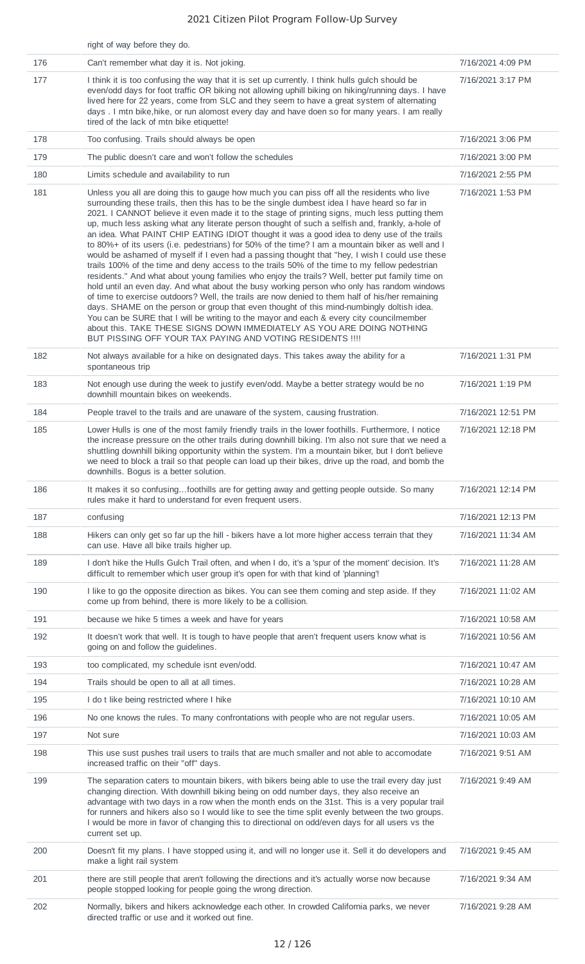|     | right of way before they do.                                                                                                                                                                                                                                                                                                                                                                                                                                                                                                                                                                                                                                                                                                                                                                                                                                                                                                                                                                                                                                                                                                                                                                                                                                                                                                                                                                                                            |                    |
|-----|-----------------------------------------------------------------------------------------------------------------------------------------------------------------------------------------------------------------------------------------------------------------------------------------------------------------------------------------------------------------------------------------------------------------------------------------------------------------------------------------------------------------------------------------------------------------------------------------------------------------------------------------------------------------------------------------------------------------------------------------------------------------------------------------------------------------------------------------------------------------------------------------------------------------------------------------------------------------------------------------------------------------------------------------------------------------------------------------------------------------------------------------------------------------------------------------------------------------------------------------------------------------------------------------------------------------------------------------------------------------------------------------------------------------------------------------|--------------------|
| 176 | Can't remember what day it is. Not joking.                                                                                                                                                                                                                                                                                                                                                                                                                                                                                                                                                                                                                                                                                                                                                                                                                                                                                                                                                                                                                                                                                                                                                                                                                                                                                                                                                                                              | 7/16/2021 4:09 PM  |
| 177 | I think it is too confusing the way that it is set up currently. I think hulls gulch should be<br>even/odd days for foot traffic OR biking not allowing uphill biking on hiking/running days. I have<br>lived here for 22 years, come from SLC and they seem to have a great system of alternating<br>days. I mtn bike, hike, or run alomost every day and have doen so for many years. I am really<br>tired of the lack of mtn bike etiquette!                                                                                                                                                                                                                                                                                                                                                                                                                                                                                                                                                                                                                                                                                                                                                                                                                                                                                                                                                                                         | 7/16/2021 3:17 PM  |
| 178 | Too confusing. Trails should always be open                                                                                                                                                                                                                                                                                                                                                                                                                                                                                                                                                                                                                                                                                                                                                                                                                                                                                                                                                                                                                                                                                                                                                                                                                                                                                                                                                                                             | 7/16/2021 3:06 PM  |
| 179 | The public doesn't care and won't follow the schedules                                                                                                                                                                                                                                                                                                                                                                                                                                                                                                                                                                                                                                                                                                                                                                                                                                                                                                                                                                                                                                                                                                                                                                                                                                                                                                                                                                                  | 7/16/2021 3:00 PM  |
| 180 | Limits schedule and availability to run                                                                                                                                                                                                                                                                                                                                                                                                                                                                                                                                                                                                                                                                                                                                                                                                                                                                                                                                                                                                                                                                                                                                                                                                                                                                                                                                                                                                 | 7/16/2021 2:55 PM  |
| 181 | Unless you all are doing this to gauge how much you can piss off all the residents who live<br>surrounding these trails, then this has to be the single dumbest idea I have heard so far in<br>2021. I CANNOT believe it even made it to the stage of printing signs, much less putting them<br>up, much less asking what any literate person thought of such a selfish and, frankly, a-hole of<br>an idea. What PAINT CHIP EATING IDIOT thought it was a good idea to deny use of the trails<br>to 80%+ of its users (i.e. pedestrians) for 50% of the time? I am a mountain biker as well and I<br>would be ashamed of myself if I even had a passing thought that "hey, I wish I could use these<br>trails 100% of the time and deny access to the trails 50% of the time to my fellow pedestrian<br>residents." And what about young families who enjoy the trails? Well, better put family time on<br>hold until an even day. And what about the busy working person who only has random windows<br>of time to exercise outdoors? Well, the trails are now denied to them half of his/her remaining<br>days. SHAME on the person or group that even thought of this mind-numbingly doltish idea.<br>You can be SURE that I will be writing to the mayor and each & every city councilmember<br>about this. TAKE THESE SIGNS DOWN IMMEDIATELY AS YOU ARE DOING NOTHING<br>BUT PISSING OFF YOUR TAX PAYING AND VOTING RESIDENTS !!!! | 7/16/2021 1:53 PM  |
| 182 | Not always available for a hike on designated days. This takes away the ability for a<br>spontaneous trip                                                                                                                                                                                                                                                                                                                                                                                                                                                                                                                                                                                                                                                                                                                                                                                                                                                                                                                                                                                                                                                                                                                                                                                                                                                                                                                               | 7/16/2021 1:31 PM  |
| 183 | Not enough use during the week to justify even/odd. Maybe a better strategy would be no<br>downhill mountain bikes on weekends.                                                                                                                                                                                                                                                                                                                                                                                                                                                                                                                                                                                                                                                                                                                                                                                                                                                                                                                                                                                                                                                                                                                                                                                                                                                                                                         | 7/16/2021 1:19 PM  |
| 184 | People travel to the trails and are unaware of the system, causing frustration.                                                                                                                                                                                                                                                                                                                                                                                                                                                                                                                                                                                                                                                                                                                                                                                                                                                                                                                                                                                                                                                                                                                                                                                                                                                                                                                                                         | 7/16/2021 12:51 PM |
| 185 | Lower Hulls is one of the most family friendly trails in the lower foothills. Furthermore, I notice<br>the increase pressure on the other trails during downhill biking. I'm also not sure that we need a<br>shuttling downhill biking opportunity within the system. I'm a mountain biker, but I don't believe<br>we need to block a trail so that people can load up their bikes, drive up the road, and bomb the<br>downhills. Bogus is a better solution.                                                                                                                                                                                                                                                                                                                                                                                                                                                                                                                                                                                                                                                                                                                                                                                                                                                                                                                                                                           | 7/16/2021 12:18 PM |
| 186 | It makes it so confusingfoothills are for getting away and getting people outside. So many<br>rules make it hard to understand for even frequent users.                                                                                                                                                                                                                                                                                                                                                                                                                                                                                                                                                                                                                                                                                                                                                                                                                                                                                                                                                                                                                                                                                                                                                                                                                                                                                 | 7/16/2021 12:14 PM |
| 187 | confusing                                                                                                                                                                                                                                                                                                                                                                                                                                                                                                                                                                                                                                                                                                                                                                                                                                                                                                                                                                                                                                                                                                                                                                                                                                                                                                                                                                                                                               | 7/16/2021 12:13 PM |
| 188 | Hikers can only get so far up the hill - bikers have a lot more higher access terrain that they<br>can use. Have all bike trails higher up.                                                                                                                                                                                                                                                                                                                                                                                                                                                                                                                                                                                                                                                                                                                                                                                                                                                                                                                                                                                                                                                                                                                                                                                                                                                                                             | 7/16/2021 11:34 AM |
| 189 | I don't hike the Hulls Gulch Trail often, and when I do, it's a 'spur of the moment' decision. It's<br>difficult to remember which user group it's open for with that kind of 'planning'!                                                                                                                                                                                                                                                                                                                                                                                                                                                                                                                                                                                                                                                                                                                                                                                                                                                                                                                                                                                                                                                                                                                                                                                                                                               | 7/16/2021 11:28 AM |
| 190 | I like to go the opposite direction as bikes. You can see them coming and step aside. If they<br>come up from behind, there is more likely to be a collision.                                                                                                                                                                                                                                                                                                                                                                                                                                                                                                                                                                                                                                                                                                                                                                                                                                                                                                                                                                                                                                                                                                                                                                                                                                                                           | 7/16/2021 11:02 AM |
| 191 | because we hike 5 times a week and have for years                                                                                                                                                                                                                                                                                                                                                                                                                                                                                                                                                                                                                                                                                                                                                                                                                                                                                                                                                                                                                                                                                                                                                                                                                                                                                                                                                                                       | 7/16/2021 10:58 AM |
| 192 | It doesn't work that well. It is tough to have people that aren't frequent users know what is<br>going on and follow the guidelines.                                                                                                                                                                                                                                                                                                                                                                                                                                                                                                                                                                                                                                                                                                                                                                                                                                                                                                                                                                                                                                                                                                                                                                                                                                                                                                    | 7/16/2021 10:56 AM |
| 193 | too complicated, my schedule isnt even/odd.                                                                                                                                                                                                                                                                                                                                                                                                                                                                                                                                                                                                                                                                                                                                                                                                                                                                                                                                                                                                                                                                                                                                                                                                                                                                                                                                                                                             | 7/16/2021 10:47 AM |
| 194 | Trails should be open to all at all times.                                                                                                                                                                                                                                                                                                                                                                                                                                                                                                                                                                                                                                                                                                                                                                                                                                                                                                                                                                                                                                                                                                                                                                                                                                                                                                                                                                                              | 7/16/2021 10:28 AM |
| 195 | I do t like being restricted where I hike                                                                                                                                                                                                                                                                                                                                                                                                                                                                                                                                                                                                                                                                                                                                                                                                                                                                                                                                                                                                                                                                                                                                                                                                                                                                                                                                                                                               | 7/16/2021 10:10 AM |
| 196 | No one knows the rules. To many confrontations with people who are not regular users.                                                                                                                                                                                                                                                                                                                                                                                                                                                                                                                                                                                                                                                                                                                                                                                                                                                                                                                                                                                                                                                                                                                                                                                                                                                                                                                                                   | 7/16/2021 10:05 AM |
| 197 | Not sure                                                                                                                                                                                                                                                                                                                                                                                                                                                                                                                                                                                                                                                                                                                                                                                                                                                                                                                                                                                                                                                                                                                                                                                                                                                                                                                                                                                                                                | 7/16/2021 10:03 AM |
| 198 | This use sust pushes trail users to trails that are much smaller and not able to accomodate<br>increased traffic on their "off" days.                                                                                                                                                                                                                                                                                                                                                                                                                                                                                                                                                                                                                                                                                                                                                                                                                                                                                                                                                                                                                                                                                                                                                                                                                                                                                                   | 7/16/2021 9:51 AM  |
| 199 | The separation caters to mountain bikers, with bikers being able to use the trail every day just<br>changing direction. With downhill biking being on odd number days, they also receive an<br>advantage with two days in a row when the month ends on the 31st. This is a very popular trail<br>for runners and hikers also so I would like to see the time split evenly between the two groups.<br>I would be more in favor of changing this to directional on odd/even days for all users vs the<br>current set up.                                                                                                                                                                                                                                                                                                                                                                                                                                                                                                                                                                                                                                                                                                                                                                                                                                                                                                                  | 7/16/2021 9:49 AM  |
| 200 | Doesn't fit my plans. I have stopped using it, and will no longer use it. Sell it do developers and<br>make a light rail system                                                                                                                                                                                                                                                                                                                                                                                                                                                                                                                                                                                                                                                                                                                                                                                                                                                                                                                                                                                                                                                                                                                                                                                                                                                                                                         | 7/16/2021 9:45 AM  |
| 201 | there are still people that aren't following the directions and it's actually worse now because<br>people stopped looking for people going the wrong direction.                                                                                                                                                                                                                                                                                                                                                                                                                                                                                                                                                                                                                                                                                                                                                                                                                                                                                                                                                                                                                                                                                                                                                                                                                                                                         | 7/16/2021 9:34 AM  |
| 202 | Normally, bikers and hikers acknowledge each other. In crowded California parks, we never<br>directed traffic or use and it worked out fine.                                                                                                                                                                                                                                                                                                                                                                                                                                                                                                                                                                                                                                                                                                                                                                                                                                                                                                                                                                                                                                                                                                                                                                                                                                                                                            | 7/16/2021 9:28 AM  |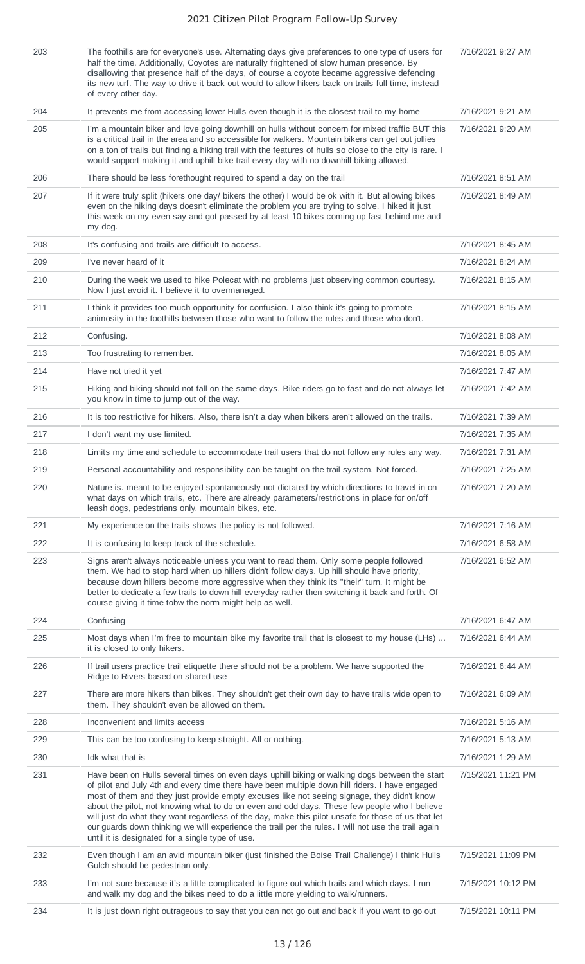| 203 | The foothills are for everyone's use. Alternating days give preferences to one type of users for<br>half the time. Additionally, Coyotes are naturally frightened of slow human presence. By<br>disallowing that presence half of the days, of course a coyote became aggressive defending<br>its new turf. The way to drive it back out would to allow hikers back on trails full time, instead<br>of every other day.                                                                                                                                                                                                                                        | 7/16/2021 9:27 AM  |
|-----|----------------------------------------------------------------------------------------------------------------------------------------------------------------------------------------------------------------------------------------------------------------------------------------------------------------------------------------------------------------------------------------------------------------------------------------------------------------------------------------------------------------------------------------------------------------------------------------------------------------------------------------------------------------|--------------------|
| 204 | It prevents me from accessing lower Hulls even though it is the closest trail to my home                                                                                                                                                                                                                                                                                                                                                                                                                                                                                                                                                                       | 7/16/2021 9:21 AM  |
| 205 | I'm a mountain biker and love going downhill on hulls without concern for mixed traffic BUT this<br>is a critical trail in the area and so accessible for walkers. Mountain bikers can get out jollies<br>on a ton of trails but finding a hiking trail with the features of hulls so close to the city is rare. I<br>would support making it and uphill bike trail every day with no downhill biking allowed.                                                                                                                                                                                                                                                 | 7/16/2021 9:20 AM  |
| 206 | There should be less forethought required to spend a day on the trail                                                                                                                                                                                                                                                                                                                                                                                                                                                                                                                                                                                          | 7/16/2021 8:51 AM  |
| 207 | If it were truly split (hikers one day/ bikers the other) I would be ok with it. But allowing bikes<br>even on the hiking days doesn't eliminate the problem you are trying to solve. I hiked it just<br>this week on my even say and got passed by at least 10 bikes coming up fast behind me and<br>my dog.                                                                                                                                                                                                                                                                                                                                                  | 7/16/2021 8:49 AM  |
| 208 | It's confusing and trails are difficult to access.                                                                                                                                                                                                                                                                                                                                                                                                                                                                                                                                                                                                             | 7/16/2021 8:45 AM  |
| 209 | I've never heard of it                                                                                                                                                                                                                                                                                                                                                                                                                                                                                                                                                                                                                                         | 7/16/2021 8:24 AM  |
| 210 | During the week we used to hike Polecat with no problems just observing common courtesy.<br>Now I just avoid it. I believe it to overmanaged.                                                                                                                                                                                                                                                                                                                                                                                                                                                                                                                  | 7/16/2021 8:15 AM  |
| 211 | I think it provides too much opportunity for confusion. I also think it's going to promote<br>animosity in the foothills between those who want to follow the rules and those who don't.                                                                                                                                                                                                                                                                                                                                                                                                                                                                       | 7/16/2021 8:15 AM  |
| 212 | Confusing.                                                                                                                                                                                                                                                                                                                                                                                                                                                                                                                                                                                                                                                     | 7/16/2021 8:08 AM  |
| 213 | Too frustrating to remember.                                                                                                                                                                                                                                                                                                                                                                                                                                                                                                                                                                                                                                   | 7/16/2021 8:05 AM  |
| 214 | Have not tried it yet                                                                                                                                                                                                                                                                                                                                                                                                                                                                                                                                                                                                                                          | 7/16/2021 7:47 AM  |
| 215 | Hiking and biking should not fall on the same days. Bike riders go to fast and do not always let<br>you know in time to jump out of the way.                                                                                                                                                                                                                                                                                                                                                                                                                                                                                                                   | 7/16/2021 7:42 AM  |
| 216 | It is too restrictive for hikers. Also, there isn't a day when bikers aren't allowed on the trails.                                                                                                                                                                                                                                                                                                                                                                                                                                                                                                                                                            | 7/16/2021 7:39 AM  |
| 217 | I don't want my use limited.                                                                                                                                                                                                                                                                                                                                                                                                                                                                                                                                                                                                                                   | 7/16/2021 7:35 AM  |
| 218 | Limits my time and schedule to accommodate trail users that do not follow any rules any way.                                                                                                                                                                                                                                                                                                                                                                                                                                                                                                                                                                   | 7/16/2021 7:31 AM  |
| 219 | Personal accountability and responsibility can be taught on the trail system. Not forced.                                                                                                                                                                                                                                                                                                                                                                                                                                                                                                                                                                      | 7/16/2021 7:25 AM  |
| 220 | Nature is. meant to be enjoyed spontaneously not dictated by which directions to travel in on<br>what days on which trails, etc. There are already parameters/restrictions in place for on/off<br>leash dogs, pedestrians only, mountain bikes, etc.                                                                                                                                                                                                                                                                                                                                                                                                           | 7/16/2021 7:20 AM  |
| 221 | My experience on the trails shows the policy is not followed.                                                                                                                                                                                                                                                                                                                                                                                                                                                                                                                                                                                                  | 7/16/2021 7:16 AM  |
| 222 | It is confusing to keep track of the schedule.                                                                                                                                                                                                                                                                                                                                                                                                                                                                                                                                                                                                                 | 7/16/2021 6:58 AM  |
| 223 | Signs aren't always noticeable unless you want to read them. Only some people followed<br>them. We had to stop hard when up hillers didn't follow days. Up hill should have priority,<br>because down hillers become more aggressive when they think its "their" turn. It might be<br>better to dedicate a few trails to down hill everyday rather then switching it back and forth. Of<br>course giving it time tobw the norm might help as well.                                                                                                                                                                                                             | 7/16/2021 6:52 AM  |
| 224 | Confusing                                                                                                                                                                                                                                                                                                                                                                                                                                                                                                                                                                                                                                                      | 7/16/2021 6:47 AM  |
| 225 | Most days when I'm free to mountain bike my favorite trail that is closest to my house (LHs)<br>it is closed to only hikers.                                                                                                                                                                                                                                                                                                                                                                                                                                                                                                                                   | 7/16/2021 6:44 AM  |
| 226 | If trail users practice trail etiquette there should not be a problem. We have supported the<br>Ridge to Rivers based on shared use                                                                                                                                                                                                                                                                                                                                                                                                                                                                                                                            | 7/16/2021 6:44 AM  |
| 227 | There are more hikers than bikes. They shouldn't get their own day to have trails wide open to<br>them. They shouldn't even be allowed on them.                                                                                                                                                                                                                                                                                                                                                                                                                                                                                                                | 7/16/2021 6:09 AM  |
| 228 | Inconvenient and limits access                                                                                                                                                                                                                                                                                                                                                                                                                                                                                                                                                                                                                                 | 7/16/2021 5:16 AM  |
| 229 | This can be too confusing to keep straight. All or nothing.                                                                                                                                                                                                                                                                                                                                                                                                                                                                                                                                                                                                    | 7/16/2021 5:13 AM  |
| 230 | Idk what that is                                                                                                                                                                                                                                                                                                                                                                                                                                                                                                                                                                                                                                               | 7/16/2021 1:29 AM  |
| 231 | Have been on Hulls several times on even days uphill biking or walking dogs between the start<br>of pilot and July 4th and every time there have been multiple down hill riders. I have engaged<br>most of them and they just provide empty excuses like not seeing signage, they didn't know<br>about the pilot, not knowing what to do on even and odd days. These few people who I believe<br>will just do what they want regardless of the day, make this pilot unsafe for those of us that let<br>our guards down thinking we will experience the trail per the rules. I will not use the trail again<br>until it is designated for a single type of use. | 7/15/2021 11:21 PM |
| 232 | Even though I am an avid mountain biker (just finished the Boise Trail Challenge) I think Hulls<br>Gulch should be pedestrian only.                                                                                                                                                                                                                                                                                                                                                                                                                                                                                                                            | 7/15/2021 11:09 PM |
| 233 | I'm not sure because it's a little complicated to figure out which trails and which days. I run<br>and walk my dog and the bikes need to do a little more yielding to walk/runners.                                                                                                                                                                                                                                                                                                                                                                                                                                                                            | 7/15/2021 10:12 PM |
| 234 | It is just down right outrageous to say that you can not go out and back if you want to go out                                                                                                                                                                                                                                                                                                                                                                                                                                                                                                                                                                 | 7/15/2021 10:11 PM |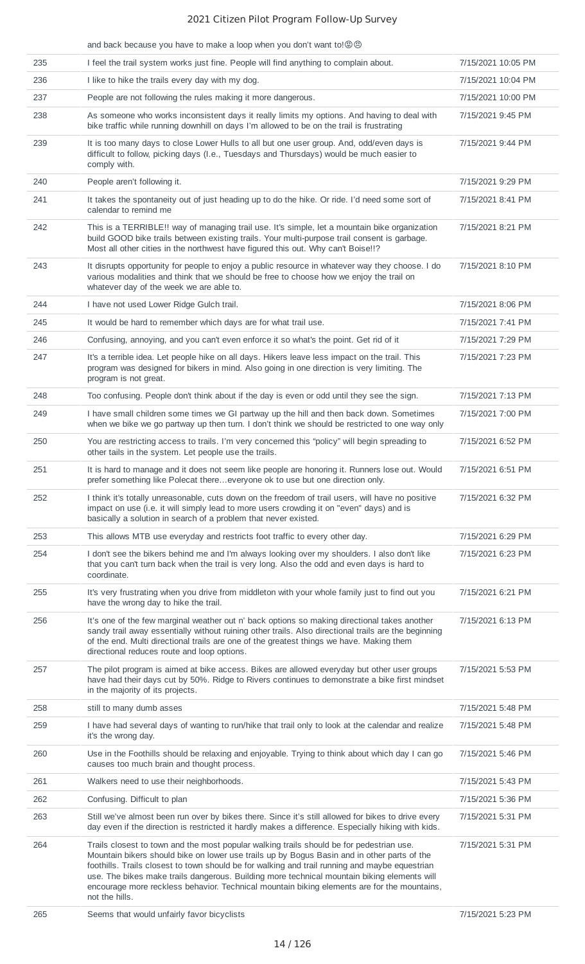|     | and back because you have to make a loop when you don't want to! <b>@</b>                                                                                                                                                                                                                                                                                                                                                                                                                                 |                    |
|-----|-----------------------------------------------------------------------------------------------------------------------------------------------------------------------------------------------------------------------------------------------------------------------------------------------------------------------------------------------------------------------------------------------------------------------------------------------------------------------------------------------------------|--------------------|
| 235 | I feel the trail system works just fine. People will find anything to complain about.                                                                                                                                                                                                                                                                                                                                                                                                                     | 7/15/2021 10:05 PM |
| 236 | I like to hike the trails every day with my dog.                                                                                                                                                                                                                                                                                                                                                                                                                                                          | 7/15/2021 10:04 PM |
| 237 | People are not following the rules making it more dangerous.                                                                                                                                                                                                                                                                                                                                                                                                                                              | 7/15/2021 10:00 PM |
| 238 | As someone who works inconsistent days it really limits my options. And having to deal with<br>bike traffic while running downhill on days I'm allowed to be on the trail is frustrating                                                                                                                                                                                                                                                                                                                  | 7/15/2021 9:45 PM  |
| 239 | It is too many days to close Lower Hulls to all but one user group. And, odd/even days is<br>difficult to follow, picking days (I.e., Tuesdays and Thursdays) would be much easier to<br>comply with.                                                                                                                                                                                                                                                                                                     | 7/15/2021 9:44 PM  |
| 240 | People aren't following it.                                                                                                                                                                                                                                                                                                                                                                                                                                                                               | 7/15/2021 9:29 PM  |
| 241 | It takes the spontaneity out of just heading up to do the hike. Or ride. I'd need some sort of<br>calendar to remind me                                                                                                                                                                                                                                                                                                                                                                                   | 7/15/2021 8:41 PM  |
| 242 | This is a TERRIBLE!! way of managing trail use. It's simple, let a mountain bike organization<br>build GOOD bike trails between existing trails. Your multi-purpose trail consent is garbage.<br>Most all other cities in the northwest have figured this out. Why can't Boise!!?                                                                                                                                                                                                                         | 7/15/2021 8:21 PM  |
| 243 | It disrupts opportunity for people to enjoy a public resource in whatever way they choose. I do<br>various modalities and think that we should be free to choose how we enjoy the trail on<br>whatever day of the week we are able to.                                                                                                                                                                                                                                                                    | 7/15/2021 8:10 PM  |
| 244 | I have not used Lower Ridge Gulch trail.                                                                                                                                                                                                                                                                                                                                                                                                                                                                  | 7/15/2021 8:06 PM  |
| 245 | It would be hard to remember which days are for what trail use.                                                                                                                                                                                                                                                                                                                                                                                                                                           | 7/15/2021 7:41 PM  |
| 246 | Confusing, annoying, and you can't even enforce it so what's the point. Get rid of it                                                                                                                                                                                                                                                                                                                                                                                                                     | 7/15/2021 7:29 PM  |
| 247 | It's a terrible idea. Let people hike on all days. Hikers leave less impact on the trail. This<br>program was designed for bikers in mind. Also going in one direction is very limiting. The<br>program is not great.                                                                                                                                                                                                                                                                                     | 7/15/2021 7:23 PM  |
| 248 | Too confusing. People don't think about if the day is even or odd until they see the sign.                                                                                                                                                                                                                                                                                                                                                                                                                | 7/15/2021 7:13 PM  |
| 249 | I have small children some times we GI partway up the hill and then back down. Sometimes<br>when we bike we go partway up then turn. I don't think we should be restricted to one way only                                                                                                                                                                                                                                                                                                                | 7/15/2021 7:00 PM  |
| 250 | You are restricting access to trails. I'm very concerned this "policy" will begin spreading to<br>other tails in the system. Let people use the trails.                                                                                                                                                                                                                                                                                                                                                   | 7/15/2021 6:52 PM  |
| 251 | It is hard to manage and it does not seem like people are honoring it. Runners lose out. Would<br>prefer something like Polecat thereeveryone ok to use but one direction only.                                                                                                                                                                                                                                                                                                                           | 7/15/2021 6:51 PM  |
| 252 | I think it's totally unreasonable, cuts down on the freedom of trail users, will have no positive<br>impact on use (i.e. it will simply lead to more users crowding it on "even" days) and is<br>basically a solution in search of a problem that never existed.                                                                                                                                                                                                                                          | 7/15/2021 6:32 PM  |
| 253 | This allows MTB use everyday and restricts foot traffic to every other day.                                                                                                                                                                                                                                                                                                                                                                                                                               | 7/15/2021 6:29 PM  |
| 254 | I don't see the bikers behind me and I'm always looking over my shoulders. I also don't like<br>that you can't turn back when the trail is very long. Also the odd and even days is hard to<br>coordinate.                                                                                                                                                                                                                                                                                                | 7/15/2021 6:23 PM  |
| 255 | It's very frustrating when you drive from middleton with your whole family just to find out you<br>have the wrong day to hike the trail.                                                                                                                                                                                                                                                                                                                                                                  | 7/15/2021 6:21 PM  |
| 256 | It's one of the few marginal weather out n' back options so making directional takes another<br>sandy trail away essentially without ruining other trails. Also directional trails are the beginning<br>of the end. Multi directional trails are one of the greatest things we have. Making them<br>directional reduces route and loop options.                                                                                                                                                           | 7/15/2021 6:13 PM  |
| 257 | The pilot program is aimed at bike access. Bikes are allowed everyday but other user groups<br>have had their days cut by 50%. Ridge to Rivers continues to demonstrate a bike first mindset<br>in the majority of its projects.                                                                                                                                                                                                                                                                          | 7/15/2021 5:53 PM  |
| 258 | still to many dumb asses                                                                                                                                                                                                                                                                                                                                                                                                                                                                                  | 7/15/2021 5:48 PM  |
| 259 | I have had several days of wanting to run/hike that trail only to look at the calendar and realize<br>it's the wrong day.                                                                                                                                                                                                                                                                                                                                                                                 | 7/15/2021 5:48 PM  |
| 260 | Use in the Foothills should be relaxing and enjoyable. Trying to think about which day I can go<br>causes too much brain and thought process.                                                                                                                                                                                                                                                                                                                                                             | 7/15/2021 5:46 PM  |
| 261 | Walkers need to use their neighborhoods.                                                                                                                                                                                                                                                                                                                                                                                                                                                                  | 7/15/2021 5:43 PM  |
| 262 | Confusing. Difficult to plan                                                                                                                                                                                                                                                                                                                                                                                                                                                                              | 7/15/2021 5:36 PM  |
| 263 | Still we've almost been run over by bikes there. Since it's still allowed for bikes to drive every<br>day even if the direction is restricted it hardly makes a difference. Especially hiking with kids.                                                                                                                                                                                                                                                                                                  | 7/15/2021 5:31 PM  |
| 264 | Trails closest to town and the most popular walking trails should be for pedestrian use.<br>Mountain bikers should bike on lower use trails up by Bogus Basin and in other parts of the<br>foothills. Trails closest to town should be for walking and trail running and maybe equestrian<br>use. The bikes make trails dangerous. Building more technical mountain biking elements will<br>encourage more reckless behavior. Technical mountain biking elements are for the mountains,<br>not the hills. | 7/15/2021 5:31 PM  |
| 265 | Seems that would unfairly favor bicyclists                                                                                                                                                                                                                                                                                                                                                                                                                                                                | 7/15/2021 5:23 PM  |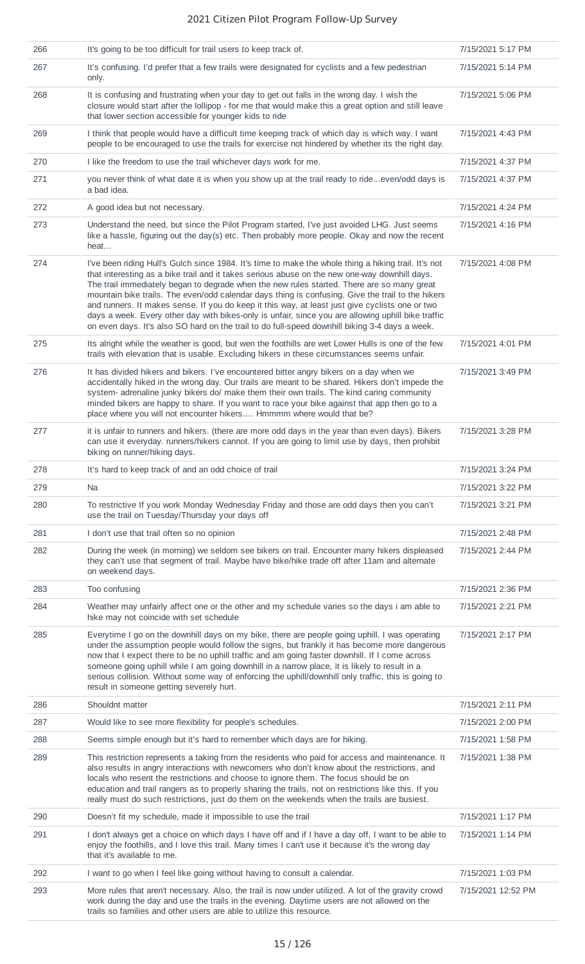| 266 | It's going to be too difficult for trail users to keep track of.                                                                                                                                                                                                                                                                                                                                                                                                                                                                                                                                                                                                                                                    | 7/15/2021 5:17 PM  |
|-----|---------------------------------------------------------------------------------------------------------------------------------------------------------------------------------------------------------------------------------------------------------------------------------------------------------------------------------------------------------------------------------------------------------------------------------------------------------------------------------------------------------------------------------------------------------------------------------------------------------------------------------------------------------------------------------------------------------------------|--------------------|
| 267 | It's confusing. I'd prefer that a few trails were designated for cyclists and a few pedestrian<br>only.                                                                                                                                                                                                                                                                                                                                                                                                                                                                                                                                                                                                             | 7/15/2021 5:14 PM  |
| 268 | It is confusing and frustrating when your day to get out falls in the wrong day. I wish the<br>closure would start after the lollipop - for me that would make this a great option and still leave<br>that lower section accessible for younger kids to ride                                                                                                                                                                                                                                                                                                                                                                                                                                                        | 7/15/2021 5:06 PM  |
| 269 | I think that people would have a difficult time keeping track of which day is which way. I want<br>people to be encouraged to use the trails for exercise not hindered by whether its the right day.                                                                                                                                                                                                                                                                                                                                                                                                                                                                                                                | 7/15/2021 4:43 PM  |
| 270 | I like the freedom to use the trail whichever days work for me.                                                                                                                                                                                                                                                                                                                                                                                                                                                                                                                                                                                                                                                     | 7/15/2021 4:37 PM  |
| 271 | you never think of what date it is when you show up at the trail ready to rideeven/odd days is<br>a bad idea.                                                                                                                                                                                                                                                                                                                                                                                                                                                                                                                                                                                                       | 7/15/2021 4:37 PM  |
| 272 | A good idea but not necessary.                                                                                                                                                                                                                                                                                                                                                                                                                                                                                                                                                                                                                                                                                      | 7/15/2021 4:24 PM  |
| 273 | Understand the need, but since the Pilot Program started, I've just avoided LHG. Just seems<br>like a hassle, figuring out the day(s) etc. Then probably more people. Okay and now the recent<br>heat                                                                                                                                                                                                                                                                                                                                                                                                                                                                                                               | 7/15/2021 4:16 PM  |
| 274 | I've been riding Hull's Gulch since 1984. It's time to make the whole thing a hiking trail. It's not<br>that interesting as a bike trail and it takes serious abuse on the new one-way downhill days.<br>The trail immediately began to degrade when the new rules started. There are so many great<br>mountain bike trails. The even/odd calendar days thing is confusing. Give the trail to the hikers<br>and runners. It makes sense. If you do keep it this way, at least just give cyclists one or two<br>days a week. Every other day with bikes-only is unfair, since you are allowing uphill bike traffic<br>on even days. It's also SO hard on the trail to do full-speed downhill biking 3-4 days a week. | 7/15/2021 4:08 PM  |
| 275 | Its alright while the weather is good, but wen the foothills are wet Lower Hulls is one of the few<br>trails with elevation that is usable. Excluding hikers in these circumstances seems unfair.                                                                                                                                                                                                                                                                                                                                                                                                                                                                                                                   | 7/15/2021 4:01 PM  |
| 276 | It has divided hikers and bikers. I've encountered bitter angry bikers on a day when we<br>accidentally hiked in the wrong day. Our trails are meant to be shared. Hikers don't impede the<br>system- adrenaline junky bikers do/ make them their own trails. The kind caring community<br>minded bikers are happy to share. If you want to race your bike against that app then go to a<br>place where you will not encounter hikers Hmmmm where would that be?                                                                                                                                                                                                                                                    | 7/15/2021 3:49 PM  |
| 277 | it is unfair to runners and hikers. (there are more odd days in the year than even days). Bikers<br>can use it everyday. runners/hikers cannot. If you are going to limit use by days, then prohibit<br>biking on runner/hiking days.                                                                                                                                                                                                                                                                                                                                                                                                                                                                               | 7/15/2021 3:28 PM  |
| 278 | It's hard to keep track of and an odd choice of trail                                                                                                                                                                                                                                                                                                                                                                                                                                                                                                                                                                                                                                                               | 7/15/2021 3:24 PM  |
| 279 | Na                                                                                                                                                                                                                                                                                                                                                                                                                                                                                                                                                                                                                                                                                                                  | 7/15/2021 3:22 PM  |
| 280 | To restrictive If you work Monday Wednesday Friday and those are odd days then you can't<br>use the trail on Tuesday/Thursday your days off                                                                                                                                                                                                                                                                                                                                                                                                                                                                                                                                                                         | 7/15/2021 3:21 PM  |
| 281 | I don't use that trail often so no opinion                                                                                                                                                                                                                                                                                                                                                                                                                                                                                                                                                                                                                                                                          | 7/15/2021 2:48 PM  |
| 282 | During the week (in morning) we seldom see bikers on trail. Encounter many hikers displeased<br>they can't use that segment of trail. Maybe have bike/hike trade off after 11am and alternate<br>on weekend days.                                                                                                                                                                                                                                                                                                                                                                                                                                                                                                   | 7/15/2021 2:44 PM  |
| 283 | Too confusing                                                                                                                                                                                                                                                                                                                                                                                                                                                                                                                                                                                                                                                                                                       | 7/15/2021 2:36 PM  |
| 284 | Weather may unfairly affect one or the other and my schedule varies so the days i am able to<br>hike may not coincide with set schedule                                                                                                                                                                                                                                                                                                                                                                                                                                                                                                                                                                             | 7/15/2021 2:21 PM  |
| 285 | Everytime I go on the downhill days on my bike, there are people going uphill. I was operating<br>under the assumption people would follow the signs, but frankly it has become more dangerous<br>now that I expect there to be no uphill traffic and am going faster downhill. If I come across<br>someone going uphill while I am going downhill in a narrow place, it is likely to result in a<br>serious collision. Without some way of enforcing the uphill/downhill only traffic, this is going to<br>result in someone getting severely hurt.                                                                                                                                                                | 7/15/2021 2:17 PM  |
| 286 | Shouldnt matter                                                                                                                                                                                                                                                                                                                                                                                                                                                                                                                                                                                                                                                                                                     | 7/15/2021 2:11 PM  |
| 287 | Would like to see more flexibility for people's schedules.                                                                                                                                                                                                                                                                                                                                                                                                                                                                                                                                                                                                                                                          | 7/15/2021 2:00 PM  |
| 288 | Seems simple enough but it's hard to remember which days are for hiking.                                                                                                                                                                                                                                                                                                                                                                                                                                                                                                                                                                                                                                            | 7/15/2021 1:58 PM  |
| 289 | This restriction represents a taking from the residents who paid for access and maintenance. It<br>also results in angry interactions with newcomers who don't know about the restrictions, and<br>locals who resent the restrictions and choose to ignore them. The focus should be on<br>education and trail rangers as to properly sharing the trails, not on restrictions like this. If you<br>really must do such restrictions, just do them on the weekends when the trails are busiest.                                                                                                                                                                                                                      | 7/15/2021 1:38 PM  |
| 290 | Doesn't fit my schedule, made it impossible to use the trail                                                                                                                                                                                                                                                                                                                                                                                                                                                                                                                                                                                                                                                        | 7/15/2021 1:17 PM  |
| 291 | I don't always get a choice on which days I have off and if I have a day off, I want to be able to<br>enjoy the foothills, and I love this trail. Many times I can't use it because it's the wrong day<br>that it's available to me.                                                                                                                                                                                                                                                                                                                                                                                                                                                                                | 7/15/2021 1:14 PM  |
| 292 | I want to go when I feel like going without having to consult a calendar.                                                                                                                                                                                                                                                                                                                                                                                                                                                                                                                                                                                                                                           | 7/15/2021 1:03 PM  |
| 293 | More rules that aren't necessary. Also, the trail is now under utilized. A lot of the gravity crowd<br>work during the day and use the trails in the evening. Daytime users are not allowed on the<br>trails so families and other users are able to utilize this resource.                                                                                                                                                                                                                                                                                                                                                                                                                                         | 7/15/2021 12:52 PM |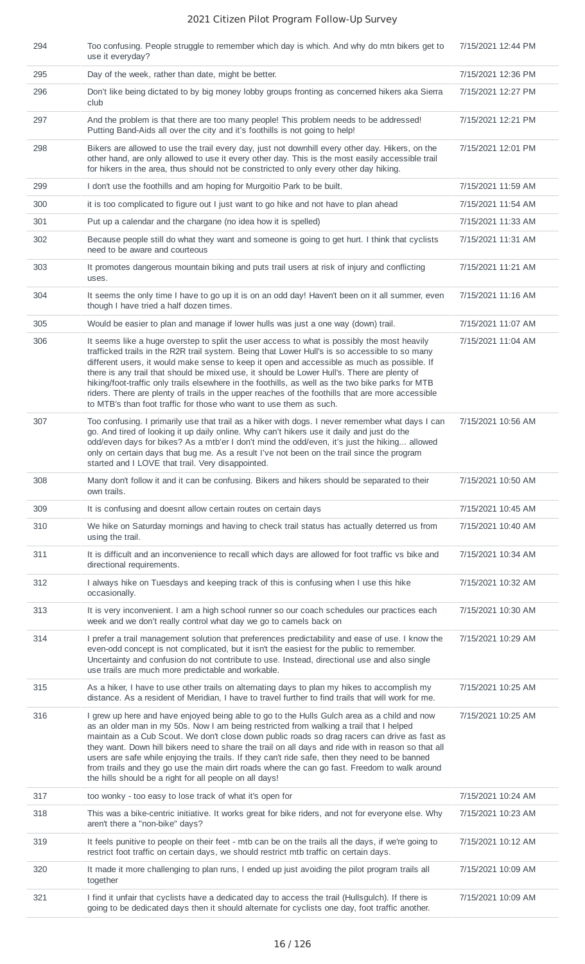| 294 | Too confusing. People struggle to remember which day is which. And why do mtn bikers get to<br>use it everyday?                                                                                                                                                                                                                                                                                                                                                                                                                                                                                                                                                             | 7/15/2021 12:44 PM |
|-----|-----------------------------------------------------------------------------------------------------------------------------------------------------------------------------------------------------------------------------------------------------------------------------------------------------------------------------------------------------------------------------------------------------------------------------------------------------------------------------------------------------------------------------------------------------------------------------------------------------------------------------------------------------------------------------|--------------------|
| 295 | Day of the week, rather than date, might be better.                                                                                                                                                                                                                                                                                                                                                                                                                                                                                                                                                                                                                         | 7/15/2021 12:36 PM |
| 296 | Don't like being dictated to by big money lobby groups fronting as concerned hikers aka Sierra<br>club                                                                                                                                                                                                                                                                                                                                                                                                                                                                                                                                                                      | 7/15/2021 12:27 PM |
| 297 | And the problem is that there are too many people! This problem needs to be addressed!<br>Putting Band-Aids all over the city and it's foothills is not going to help!                                                                                                                                                                                                                                                                                                                                                                                                                                                                                                      | 7/15/2021 12:21 PM |
| 298 | Bikers are allowed to use the trail every day, just not downhill every other day. Hikers, on the<br>other hand, are only allowed to use it every other day. This is the most easily accessible trail<br>for hikers in the area, thus should not be constricted to only every other day hiking.                                                                                                                                                                                                                                                                                                                                                                              | 7/15/2021 12:01 PM |
| 299 | I don't use the foothills and am hoping for Murgoitio Park to be built.                                                                                                                                                                                                                                                                                                                                                                                                                                                                                                                                                                                                     | 7/15/2021 11:59 AM |
| 300 | it is too complicated to figure out I just want to go hike and not have to plan ahead                                                                                                                                                                                                                                                                                                                                                                                                                                                                                                                                                                                       | 7/15/2021 11:54 AM |
| 301 | Put up a calendar and the chargane (no idea how it is spelled)                                                                                                                                                                                                                                                                                                                                                                                                                                                                                                                                                                                                              | 7/15/2021 11:33 AM |
| 302 | Because people still do what they want and someone is going to get hurt. I think that cyclists<br>need to be aware and courteous                                                                                                                                                                                                                                                                                                                                                                                                                                                                                                                                            | 7/15/2021 11:31 AM |
| 303 | It promotes dangerous mountain biking and puts trail users at risk of injury and conflicting<br>uses.                                                                                                                                                                                                                                                                                                                                                                                                                                                                                                                                                                       | 7/15/2021 11:21 AM |
| 304 | It seems the only time I have to go up it is on an odd day! Haven't been on it all summer, even<br>though I have tried a half dozen times.                                                                                                                                                                                                                                                                                                                                                                                                                                                                                                                                  | 7/15/2021 11:16 AM |
| 305 | Would be easier to plan and manage if lower hulls was just a one way (down) trail.                                                                                                                                                                                                                                                                                                                                                                                                                                                                                                                                                                                          | 7/15/2021 11:07 AM |
| 306 | It seems like a huge overstep to split the user access to what is possibly the most heavily<br>trafficked trails in the R2R trail system. Being that Lower Hull's is so accessible to so many<br>different users, it would make sense to keep it open and accessible as much as possible. If<br>there is any trail that should be mixed use, it should be Lower Hull's. There are plenty of<br>hiking/foot-traffic only trails elsewhere in the foothills, as well as the two bike parks for MTB<br>riders. There are plenty of trails in the upper reaches of the foothills that are more accessible<br>to MTB's than foot traffic for those who want to use them as such. | 7/15/2021 11:04 AM |
| 307 | Too confusing. I primarily use that trail as a hiker with dogs. I never remember what days I can<br>go. And tired of looking it up daily online. Why can't hikers use it daily and just do the<br>odd/even days for bikes? As a mtb'er I don't mind the odd/even, it's just the hiking allowed<br>only on certain days that bug me. As a result I've not been on the trail since the program<br>started and I LOVE that trail. Very disappointed.                                                                                                                                                                                                                           | 7/15/2021 10:56 AM |
| 308 | Many don't follow it and it can be confusing. Bikers and hikers should be separated to their                                                                                                                                                                                                                                                                                                                                                                                                                                                                                                                                                                                | 7/15/2021 10:50 AM |
|     | own trails.                                                                                                                                                                                                                                                                                                                                                                                                                                                                                                                                                                                                                                                                 |                    |
| 309 | It is confusing and doesnt allow certain routes on certain days                                                                                                                                                                                                                                                                                                                                                                                                                                                                                                                                                                                                             | 7/15/2021 10:45 AM |
| 310 | We hike on Saturday mornings and having to check trail status has actually deterred us from<br>using the trail.                                                                                                                                                                                                                                                                                                                                                                                                                                                                                                                                                             | 7/15/2021 10:40 AM |
| 311 | It is difficult and an inconvenience to recall which days are allowed for foot traffic vs bike and<br>directional requirements.                                                                                                                                                                                                                                                                                                                                                                                                                                                                                                                                             | 7/15/2021 10:34 AM |
| 312 | I always hike on Tuesdays and keeping track of this is confusing when I use this hike<br>occasionally.                                                                                                                                                                                                                                                                                                                                                                                                                                                                                                                                                                      | 7/15/2021 10:32 AM |
| 313 | It is very inconvenient. I am a high school runner so our coach schedules our practices each<br>week and we don't really control what day we go to camels back on                                                                                                                                                                                                                                                                                                                                                                                                                                                                                                           | 7/15/2021 10:30 AM |
| 314 | I prefer a trail management solution that preferences predictability and ease of use. I know the<br>even-odd concept is not complicated, but it isn't the easiest for the public to remember.<br>Uncertainty and confusion do not contribute to use. Instead, directional use and also single<br>use trails are much more predictable and workable.                                                                                                                                                                                                                                                                                                                         | 7/15/2021 10:29 AM |
| 315 | As a hiker, I have to use other trails on alternating days to plan my hikes to accomplish my<br>distance. As a resident of Meridian, I have to travel further to find trails that will work for me.                                                                                                                                                                                                                                                                                                                                                                                                                                                                         | 7/15/2021 10:25 AM |
| 316 | I grew up here and have enjoyed being able to go to the Hulls Gulch area as a child and now<br>as an older man in my 50s. Now I am being restricted from walking a trail that I helped<br>maintain as a Cub Scout. We don't close down public roads so drag racers can drive as fast as<br>they want. Down hill bikers need to share the trail on all days and ride with in reason so that all<br>users are safe while enjoying the trails. If they can't ride safe, then they need to be banned<br>from trails and they go use the main dirt roads where the can go fast. Freedom to walk around<br>the hills should be a right for all people on all days!                | 7/15/2021 10:25 AM |
| 317 | too wonky - too easy to lose track of what it's open for                                                                                                                                                                                                                                                                                                                                                                                                                                                                                                                                                                                                                    | 7/15/2021 10:24 AM |
| 318 | This was a bike-centric initiative. It works great for bike riders, and not for everyone else. Why<br>aren't there a "non-bike" days?                                                                                                                                                                                                                                                                                                                                                                                                                                                                                                                                       | 7/15/2021 10:23 AM |
| 319 | It feels punitive to people on their feet - mtb can be on the trails all the days, if we're going to<br>restrict foot traffic on certain days, we should restrict mtb traffic on certain days.                                                                                                                                                                                                                                                                                                                                                                                                                                                                              | 7/15/2021 10:12 AM |
| 320 | It made it more challenging to plan runs, I ended up just avoiding the pilot program trails all<br>together                                                                                                                                                                                                                                                                                                                                                                                                                                                                                                                                                                 | 7/15/2021 10:09 AM |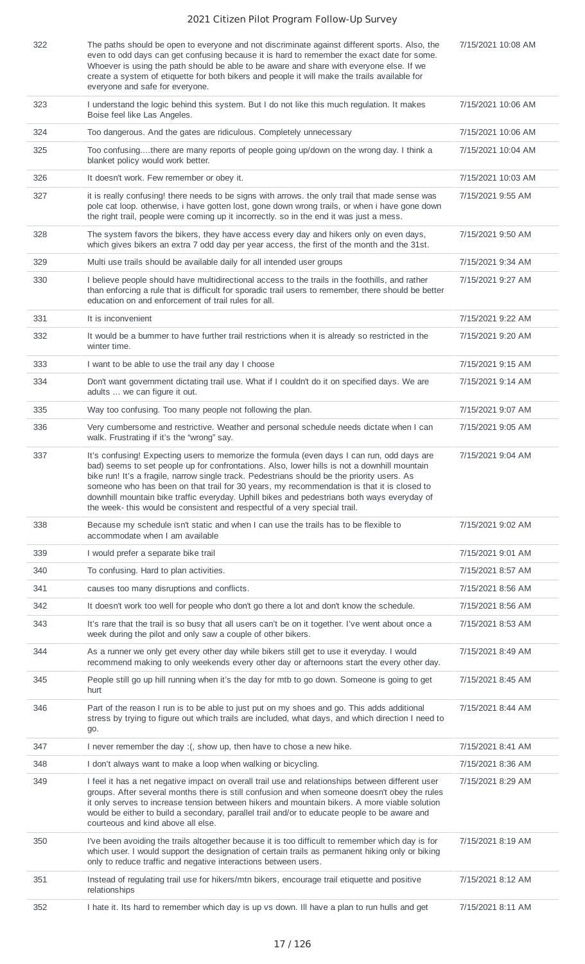| 322 | The paths should be open to everyone and not discriminate against different sports. Also, the<br>even to odd days can get confusing because it is hard to remember the exact date for some.<br>Whoever is using the path should be able to be aware and share with everyone else. If we<br>create a system of etiquette for both bikers and people it will make the trails available for<br>everyone and safe for everyone.                                                                                                                                          | 7/15/2021 10:08 AM |
|-----|----------------------------------------------------------------------------------------------------------------------------------------------------------------------------------------------------------------------------------------------------------------------------------------------------------------------------------------------------------------------------------------------------------------------------------------------------------------------------------------------------------------------------------------------------------------------|--------------------|
| 323 | I understand the logic behind this system. But I do not like this much regulation. It makes<br>Boise feel like Las Angeles.                                                                                                                                                                                                                                                                                                                                                                                                                                          | 7/15/2021 10:06 AM |
| 324 | Too dangerous. And the gates are ridiculous. Completely unnecessary                                                                                                                                                                                                                                                                                                                                                                                                                                                                                                  | 7/15/2021 10:06 AM |
| 325 | Too confusingthere are many reports of people going up/down on the wrong day. I think a<br>blanket policy would work better.                                                                                                                                                                                                                                                                                                                                                                                                                                         | 7/15/2021 10:04 AM |
| 326 | It doesn't work. Few remember or obey it.                                                                                                                                                                                                                                                                                                                                                                                                                                                                                                                            | 7/15/2021 10:03 AM |
| 327 | it is really confusing! there needs to be signs with arrows. the only trail that made sense was<br>pole cat loop. otherwise, i have gotten lost, gone down wrong trails, or when i have gone down<br>the right trail, people were coming up it incorrectly. so in the end it was just a mess.                                                                                                                                                                                                                                                                        | 7/15/2021 9:55 AM  |
| 328 | The system favors the bikers, they have access every day and hikers only on even days,<br>which gives bikers an extra 7 odd day per year access, the first of the month and the 31st.                                                                                                                                                                                                                                                                                                                                                                                | 7/15/2021 9:50 AM  |
| 329 | Multi use trails should be available daily for all intended user groups                                                                                                                                                                                                                                                                                                                                                                                                                                                                                              | 7/15/2021 9:34 AM  |
| 330 | I believe people should have multidirectional access to the trails in the foothills, and rather<br>than enforcing a rule that is difficult for sporadic trail users to remember, there should be better<br>education on and enforcement of trail rules for all.                                                                                                                                                                                                                                                                                                      | 7/15/2021 9:27 AM  |
| 331 | It is inconvenient                                                                                                                                                                                                                                                                                                                                                                                                                                                                                                                                                   | 7/15/2021 9:22 AM  |
| 332 | It would be a bummer to have further trail restrictions when it is already so restricted in the<br>winter time.                                                                                                                                                                                                                                                                                                                                                                                                                                                      | 7/15/2021 9:20 AM  |
| 333 | I want to be able to use the trail any day I choose                                                                                                                                                                                                                                                                                                                                                                                                                                                                                                                  | 7/15/2021 9:15 AM  |
| 334 | Don't want government dictating trail use. What if I couldn't do it on specified days. We are<br>adults  we can figure it out.                                                                                                                                                                                                                                                                                                                                                                                                                                       | 7/15/2021 9:14 AM  |
| 335 | Way too confusing. Too many people not following the plan.                                                                                                                                                                                                                                                                                                                                                                                                                                                                                                           | 7/15/2021 9:07 AM  |
| 336 | Very cumbersome and restrictive. Weather and personal schedule needs dictate when I can<br>walk. Frustrating if it's the "wrong" say.                                                                                                                                                                                                                                                                                                                                                                                                                                | 7/15/2021 9:05 AM  |
| 337 | It's confusing! Expecting users to memorize the formula (even days I can run, odd days are<br>bad) seems to set people up for confrontations. Also, lower hills is not a downhill mountain<br>bike run! It's a fragile, narrow single track. Pedestrians should be the priority users. As<br>someone who has been on that trail for 30 years, my recommendation is that it is closed to<br>downhill mountain bike traffic everyday. Uphill bikes and pedestrians both ways everyday of<br>the week- this would be consistent and respectful of a very special trail. | 7/15/2021 9:04 AM  |
| 338 | Because my schedule isn't static and when I can use the trails has to be flexible to<br>accommodate when I am available                                                                                                                                                                                                                                                                                                                                                                                                                                              | 7/15/2021 9:02 AM  |
| 339 | I would prefer a separate bike trail                                                                                                                                                                                                                                                                                                                                                                                                                                                                                                                                 | 7/15/2021 9:01 AM  |
| 340 | To confusing. Hard to plan activities.                                                                                                                                                                                                                                                                                                                                                                                                                                                                                                                               | 7/15/2021 8:57 AM  |
| 341 | causes too many disruptions and conflicts.                                                                                                                                                                                                                                                                                                                                                                                                                                                                                                                           | 7/15/2021 8:56 AM  |
| 342 | It doesn't work too well for people who don't go there a lot and don't know the schedule.                                                                                                                                                                                                                                                                                                                                                                                                                                                                            | 7/15/2021 8:56 AM  |
| 343 | It's rare that the trail is so busy that all users can't be on it together. I've went about once a<br>week during the pilot and only saw a couple of other bikers.                                                                                                                                                                                                                                                                                                                                                                                                   | 7/15/2021 8:53 AM  |
| 344 | As a runner we only get every other day while bikers still get to use it everyday. I would<br>recommend making to only weekends every other day or afternoons start the every other day.                                                                                                                                                                                                                                                                                                                                                                             | 7/15/2021 8:49 AM  |
| 345 | People still go up hill running when it's the day for mtb to go down. Someone is going to get<br>hurt                                                                                                                                                                                                                                                                                                                                                                                                                                                                | 7/15/2021 8:45 AM  |
| 346 | Part of the reason I run is to be able to just put on my shoes and go. This adds additional<br>stress by trying to figure out which trails are included, what days, and which direction I need to<br>go.                                                                                                                                                                                                                                                                                                                                                             | 7/15/2021 8:44 AM  |
| 347 | I never remember the day : (, show up, then have to chose a new hike.                                                                                                                                                                                                                                                                                                                                                                                                                                                                                                | 7/15/2021 8:41 AM  |
| 348 | I don't always want to make a loop when walking or bicycling.                                                                                                                                                                                                                                                                                                                                                                                                                                                                                                        | 7/15/2021 8:36 AM  |
| 349 | I feel it has a net negative impact on overall trail use and relationships between different user<br>groups. After several months there is still confusion and when someone doesn't obey the rules<br>it only serves to increase tension between hikers and mountain bikers. A more viable solution<br>would be either to build a secondary, parallel trail and/or to educate people to be aware and<br>courteous and kind above all else.                                                                                                                           | 7/15/2021 8:29 AM  |
| 350 | I've been avoiding the trails altogether because it is too difficult to remember which day is for<br>which user. I would support the designation of certain trails as permanent hiking only or biking<br>only to reduce traffic and negative interactions between users.                                                                                                                                                                                                                                                                                             | 7/15/2021 8:19 AM  |
| 351 | Instead of regulating trail use for hikers/mtn bikers, encourage trail etiquette and positive<br>relationships                                                                                                                                                                                                                                                                                                                                                                                                                                                       | 7/15/2021 8:12 AM  |
| 352 | I hate it. Its hard to remember which day is up vs down. Ill have a plan to run hulls and get                                                                                                                                                                                                                                                                                                                                                                                                                                                                        | 7/15/2021 8:11 AM  |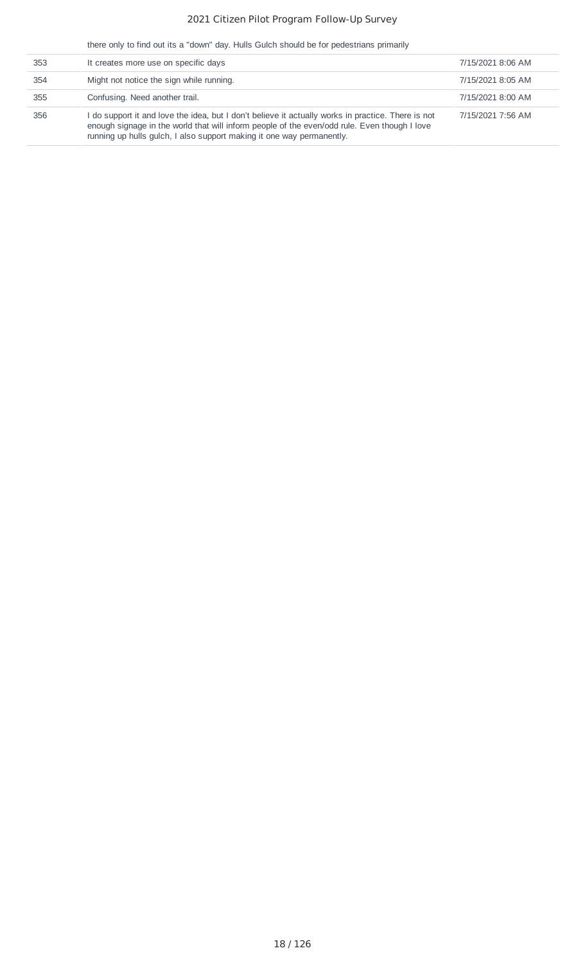there only to find out its a "down" day. Hulls Gulch should be for pedestrians primarily

| 353 | It creates more use on specific days                                                                                                                                                                                                                                        | 7/15/2021 8:06 AM |
|-----|-----------------------------------------------------------------------------------------------------------------------------------------------------------------------------------------------------------------------------------------------------------------------------|-------------------|
| 354 | Might not notice the sign while running.                                                                                                                                                                                                                                    | 7/15/2021 8:05 AM |
| 355 | Confusing. Need another trail.                                                                                                                                                                                                                                              | 7/15/2021 8:00 AM |
| 356 | I do support it and love the idea, but I don't believe it actually works in practice. There is not<br>enough signage in the world that will inform people of the even/odd rule. Even though I love<br>running up hulls gulch, I also support making it one way permanently. | 7/15/2021 7:56 AM |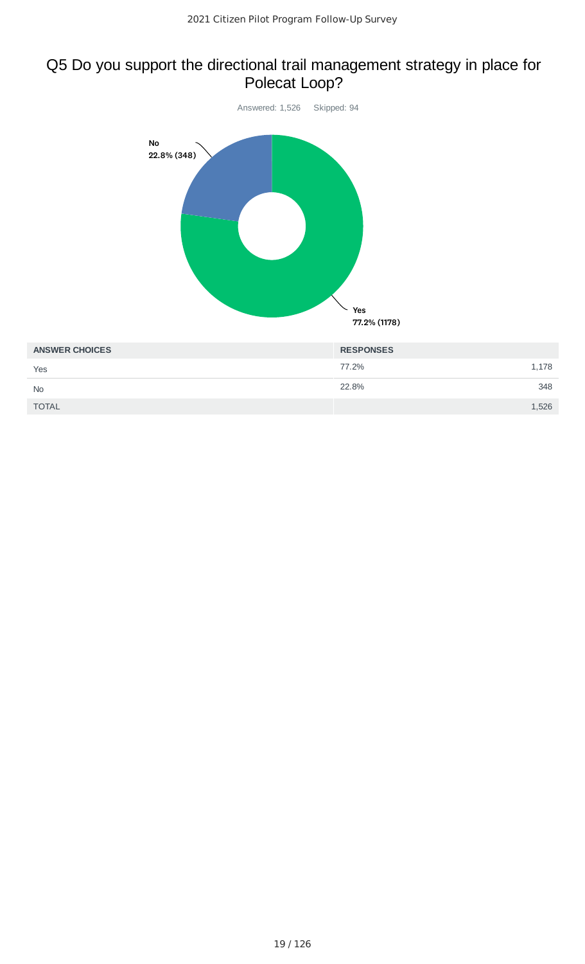# Q5 Do you support the directional trail management strategy in place for Polecat Loop?



Yes

No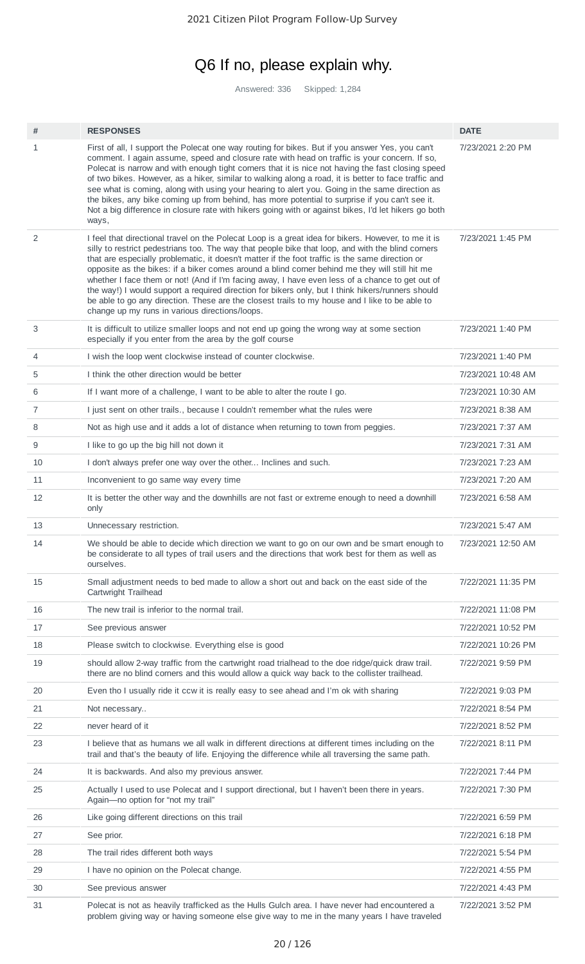# Q6 If no, please explain why.

Answered: 336 Skipped: 1,284

| #              | <b>RESPONSES</b>                                                                                                                                                                                                                                                                                                                                                                                                                                                                                                                                                                                                                                                                                                                                                          | <b>DATE</b>        |
|----------------|---------------------------------------------------------------------------------------------------------------------------------------------------------------------------------------------------------------------------------------------------------------------------------------------------------------------------------------------------------------------------------------------------------------------------------------------------------------------------------------------------------------------------------------------------------------------------------------------------------------------------------------------------------------------------------------------------------------------------------------------------------------------------|--------------------|
| 1              | First of all, I support the Polecat one way routing for bikes. But if you answer Yes, you can't<br>comment. I again assume, speed and closure rate with head on traffic is your concern. If so,<br>Polecat is narrow and with enough tight corners that it is nice not having the fast closing speed<br>of two bikes. However, as a hiker, similar to walking along a road, it is better to face traffic and<br>see what is coming, along with using your hearing to alert you. Going in the same direction as<br>the bikes, any bike coming up from behind, has more potential to surprise if you can't see it.<br>Not a big difference in closure rate with hikers going with or against bikes, I'd let hikers go both<br>ways,                                         | 7/23/2021 2:20 PM  |
| $\overline{2}$ | I feel that directional travel on the Polecat Loop is a great idea for bikers. However, to me it is<br>silly to restrict pedestrians too. The way that people bike that loop, and with the blind corners<br>that are especially problematic, it doesn't matter if the foot traffic is the same direction or<br>opposite as the bikes: if a biker comes around a blind corner behind me they will still hit me<br>whether I face them or not! (And if I'm facing away, I have even less of a chance to get out of<br>the way!) I would support a required direction for bikers only, but I think hikers/runners should<br>be able to go any direction. These are the closest trails to my house and I like to be able to<br>change up my runs in various directions/loops. | 7/23/2021 1:45 PM  |
| 3              | It is difficult to utilize smaller loops and not end up going the wrong way at some section<br>especially if you enter from the area by the golf course                                                                                                                                                                                                                                                                                                                                                                                                                                                                                                                                                                                                                   | 7/23/2021 1:40 PM  |
| 4              | I wish the loop went clockwise instead of counter clockwise.                                                                                                                                                                                                                                                                                                                                                                                                                                                                                                                                                                                                                                                                                                              | 7/23/2021 1:40 PM  |
| 5              | I think the other direction would be better                                                                                                                                                                                                                                                                                                                                                                                                                                                                                                                                                                                                                                                                                                                               | 7/23/2021 10:48 AM |
| 6              | If I want more of a challenge, I want to be able to alter the route I go.                                                                                                                                                                                                                                                                                                                                                                                                                                                                                                                                                                                                                                                                                                 | 7/23/2021 10:30 AM |
| $\overline{7}$ | I just sent on other trails., because I couldn't remember what the rules were                                                                                                                                                                                                                                                                                                                                                                                                                                                                                                                                                                                                                                                                                             | 7/23/2021 8:38 AM  |
| 8              | Not as high use and it adds a lot of distance when returning to town from peggies.                                                                                                                                                                                                                                                                                                                                                                                                                                                                                                                                                                                                                                                                                        | 7/23/2021 7:37 AM  |
| 9              | I like to go up the big hill not down it                                                                                                                                                                                                                                                                                                                                                                                                                                                                                                                                                                                                                                                                                                                                  | 7/23/2021 7:31 AM  |
| 10             | I don't always prefer one way over the other Inclines and such.                                                                                                                                                                                                                                                                                                                                                                                                                                                                                                                                                                                                                                                                                                           | 7/23/2021 7:23 AM  |
| 11             | Inconvenient to go same way every time                                                                                                                                                                                                                                                                                                                                                                                                                                                                                                                                                                                                                                                                                                                                    | 7/23/2021 7:20 AM  |
| 12             | It is better the other way and the downhills are not fast or extreme enough to need a downhill<br>only                                                                                                                                                                                                                                                                                                                                                                                                                                                                                                                                                                                                                                                                    | 7/23/2021 6:58 AM  |
| 13             | Unnecessary restriction.                                                                                                                                                                                                                                                                                                                                                                                                                                                                                                                                                                                                                                                                                                                                                  | 7/23/2021 5:47 AM  |
| 14             | We should be able to decide which direction we want to go on our own and be smart enough to<br>be considerate to all types of trail users and the directions that work best for them as well as<br>ourselves.                                                                                                                                                                                                                                                                                                                                                                                                                                                                                                                                                             | 7/23/2021 12:50 AM |
| 15             | Small adjustment needs to bed made to allow a short out and back on the east side of the<br>Cartwright Trailhead                                                                                                                                                                                                                                                                                                                                                                                                                                                                                                                                                                                                                                                          | 7/22/2021 11:35 PM |
| 16             | The new trail is inferior to the normal trail.                                                                                                                                                                                                                                                                                                                                                                                                                                                                                                                                                                                                                                                                                                                            | 7/22/2021 11:08 PM |
| 17             | See previous answer                                                                                                                                                                                                                                                                                                                                                                                                                                                                                                                                                                                                                                                                                                                                                       | 7/22/2021 10:52 PM |
| 18             | Please switch to clockwise. Everything else is good                                                                                                                                                                                                                                                                                                                                                                                                                                                                                                                                                                                                                                                                                                                       | 7/22/2021 10:26 PM |
| 19             | should allow 2-way traffic from the cartwright road trialhead to the doe ridge/quick draw trail.<br>there are no blind corners and this would allow a quick way back to the collister trailhead.                                                                                                                                                                                                                                                                                                                                                                                                                                                                                                                                                                          | 7/22/2021 9:59 PM  |
| 20             | Even tho I usually ride it ccw it is really easy to see ahead and I'm ok with sharing                                                                                                                                                                                                                                                                                                                                                                                                                                                                                                                                                                                                                                                                                     | 7/22/2021 9:03 PM  |
| 21             | Not necessary                                                                                                                                                                                                                                                                                                                                                                                                                                                                                                                                                                                                                                                                                                                                                             | 7/22/2021 8:54 PM  |
| 22             | never heard of it                                                                                                                                                                                                                                                                                                                                                                                                                                                                                                                                                                                                                                                                                                                                                         | 7/22/2021 8:52 PM  |
| 23             | I believe that as humans we all walk in different directions at different times including on the<br>trail and that's the beauty of life. Enjoying the difference while all traversing the same path.                                                                                                                                                                                                                                                                                                                                                                                                                                                                                                                                                                      | 7/22/2021 8:11 PM  |
| 24             | It is backwards. And also my previous answer.                                                                                                                                                                                                                                                                                                                                                                                                                                                                                                                                                                                                                                                                                                                             | 7/22/2021 7:44 PM  |
| 25             | Actually I used to use Polecat and I support directional, but I haven't been there in years.<br>Again-no option for "not my trail"                                                                                                                                                                                                                                                                                                                                                                                                                                                                                                                                                                                                                                        | 7/22/2021 7:30 PM  |
| 26             | Like going different directions on this trail                                                                                                                                                                                                                                                                                                                                                                                                                                                                                                                                                                                                                                                                                                                             | 7/22/2021 6:59 PM  |
| 27             | See prior.                                                                                                                                                                                                                                                                                                                                                                                                                                                                                                                                                                                                                                                                                                                                                                | 7/22/2021 6:18 PM  |
| 28             | The trail rides different both ways                                                                                                                                                                                                                                                                                                                                                                                                                                                                                                                                                                                                                                                                                                                                       | 7/22/2021 5:54 PM  |
| 29             | I have no opinion on the Polecat change.                                                                                                                                                                                                                                                                                                                                                                                                                                                                                                                                                                                                                                                                                                                                  | 7/22/2021 4:55 PM  |
| 30             | See previous answer                                                                                                                                                                                                                                                                                                                                                                                                                                                                                                                                                                                                                                                                                                                                                       | 7/22/2021 4:43 PM  |
| 31             | Polecat is not as heavily trafficked as the Hulls Gulch area. I have never had encountered a<br>problem giving way or having someone else give way to me in the many years I have traveled                                                                                                                                                                                                                                                                                                                                                                                                                                                                                                                                                                                | 7/22/2021 3:52 PM  |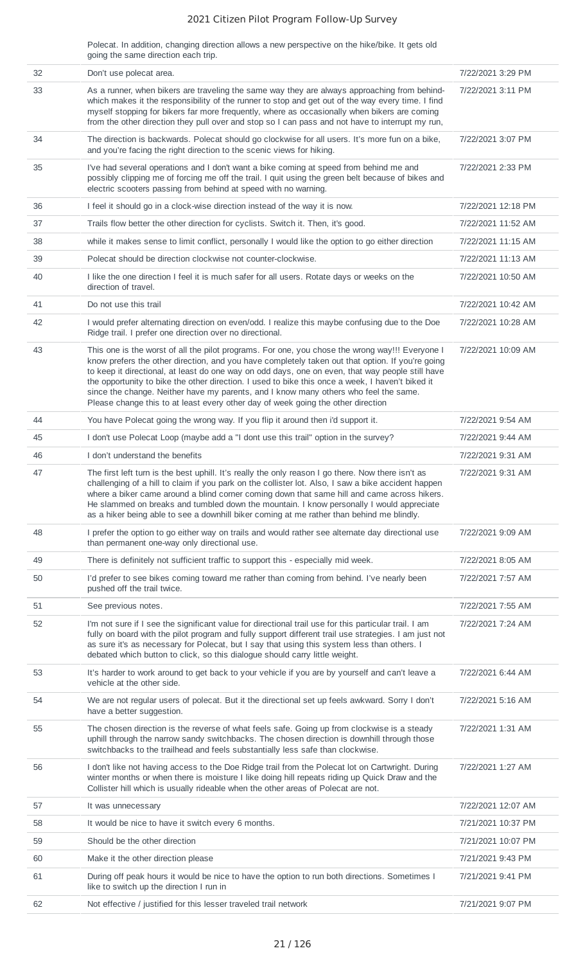Polecat. In addition, changing direction allows a new perspective on the hike/bike. It gets old going the same direction each trip.

| 32 | Don't use polecat area.                                                                                                                                                                                                                                                                                                                                                                                                                                                                                                                                                                 | 7/22/2021 3:29 PM  |
|----|-----------------------------------------------------------------------------------------------------------------------------------------------------------------------------------------------------------------------------------------------------------------------------------------------------------------------------------------------------------------------------------------------------------------------------------------------------------------------------------------------------------------------------------------------------------------------------------------|--------------------|
| 33 | As a runner, when bikers are traveling the same way they are always approaching from behind-<br>which makes it the responsibility of the runner to stop and get out of the way every time. I find<br>myself stopping for bikers far more frequently, where as occasionally when bikers are coming<br>from the other direction they pull over and stop so I can pass and not have to interrupt my run,                                                                                                                                                                                   | 7/22/2021 3:11 PM  |
| 34 | The direction is backwards. Polecat should go clockwise for all users. It's more fun on a bike,<br>and you're facing the right direction to the scenic views for hiking.                                                                                                                                                                                                                                                                                                                                                                                                                | 7/22/2021 3:07 PM  |
| 35 | I've had several operations and I don't want a bike coming at speed from behind me and<br>possibly clipping me of forcing me off the trail. I quit using the green belt because of bikes and<br>electric scooters passing from behind at speed with no warning.                                                                                                                                                                                                                                                                                                                         | 7/22/2021 2:33 PM  |
| 36 | I feel it should go in a clock-wise direction instead of the way it is now.                                                                                                                                                                                                                                                                                                                                                                                                                                                                                                             | 7/22/2021 12:18 PM |
| 37 | Trails flow better the other direction for cyclists. Switch it. Then, it's good.                                                                                                                                                                                                                                                                                                                                                                                                                                                                                                        | 7/22/2021 11:52 AM |
| 38 | while it makes sense to limit conflict, personally I would like the option to go either direction                                                                                                                                                                                                                                                                                                                                                                                                                                                                                       | 7/22/2021 11:15 AM |
| 39 | Polecat should be direction clockwise not counter-clockwise.                                                                                                                                                                                                                                                                                                                                                                                                                                                                                                                            | 7/22/2021 11:13 AM |
| 40 | I like the one direction I feel it is much safer for all users. Rotate days or weeks on the<br>direction of travel.                                                                                                                                                                                                                                                                                                                                                                                                                                                                     | 7/22/2021 10:50 AM |
| 41 | Do not use this trail                                                                                                                                                                                                                                                                                                                                                                                                                                                                                                                                                                   | 7/22/2021 10:42 AM |
| 42 | I would prefer alternating direction on even/odd. I realize this maybe confusing due to the Doe<br>Ridge trail. I prefer one direction over no directional.                                                                                                                                                                                                                                                                                                                                                                                                                             | 7/22/2021 10:28 AM |
| 43 | This one is the worst of all the pilot programs. For one, you chose the wrong way!!! Everyone I<br>know prefers the other direction, and you have completely taken out that option. If you're going<br>to keep it directional, at least do one way on odd days, one on even, that way people still have<br>the opportunity to bike the other direction. I used to bike this once a week, I haven't biked it<br>since the change. Neither have my parents, and I know many others who feel the same.<br>Please change this to at least every other day of week going the other direction | 7/22/2021 10:09 AM |
| 44 | You have Polecat going the wrong way. If you flip it around then i'd support it.                                                                                                                                                                                                                                                                                                                                                                                                                                                                                                        | 7/22/2021 9:54 AM  |
| 45 | I don't use Polecat Loop (maybe add a "I dont use this trail" option in the survey?                                                                                                                                                                                                                                                                                                                                                                                                                                                                                                     | 7/22/2021 9:44 AM  |
| 46 | I don't understand the benefits                                                                                                                                                                                                                                                                                                                                                                                                                                                                                                                                                         | 7/22/2021 9:31 AM  |
| 47 | The first left turn is the best uphill. It's really the only reason I go there. Now there isn't as<br>challenging of a hill to claim if you park on the collister lot. Also, I saw a bike accident happen<br>where a biker came around a blind corner coming down that same hill and came across hikers.<br>He slammed on breaks and tumbled down the mountain. I know personally I would appreciate<br>as a hiker being able to see a downhill biker coming at me rather than behind me blindly.                                                                                       | 7/22/2021 9:31 AM  |
| 48 | I prefer the option to go either way on trails and would rather see alternate day directional use<br>than permanent one-way only directional use.                                                                                                                                                                                                                                                                                                                                                                                                                                       | 7/22/2021 9:09 AM  |
| 49 | There is definitely not sufficient traffic to support this - especially mid week.                                                                                                                                                                                                                                                                                                                                                                                                                                                                                                       | 7/22/2021 8:05 AM  |
| 50 | I'd prefer to see bikes coming toward me rather than coming from behind. I've nearly been<br>pushed off the trail twice.                                                                                                                                                                                                                                                                                                                                                                                                                                                                | 7/22/2021 7:57 AM  |
| 51 | See previous notes.                                                                                                                                                                                                                                                                                                                                                                                                                                                                                                                                                                     | 7/22/2021 7:55 AM  |
| 52 | I'm not sure if I see the significant value for directional trail use for this particular trail. I am<br>fully on board with the pilot program and fully support different trail use strategies. I am just not<br>as sure it's as necessary for Polecat, but I say that using this system less than others. I<br>debated which button to click, so this dialogue should carry little weight.                                                                                                                                                                                            | 7/22/2021 7:24 AM  |
| 53 | It's harder to work around to get back to your vehicle if you are by yourself and can't leave a<br>vehicle at the other side.                                                                                                                                                                                                                                                                                                                                                                                                                                                           | 7/22/2021 6:44 AM  |
| 54 | We are not regular users of polecat. But it the directional set up feels awkward. Sorry I don't<br>have a better suggestion.                                                                                                                                                                                                                                                                                                                                                                                                                                                            | 7/22/2021 5:16 AM  |
| 55 | The chosen direction is the reverse of what feels safe. Going up from clockwise is a steady<br>uphill through the narrow sandy switchbacks. The chosen direction is downhill through those<br>switchbacks to the trailhead and feels substantially less safe than clockwise.                                                                                                                                                                                                                                                                                                            | 7/22/2021 1:31 AM  |
| 56 | I don't like not having access to the Doe Ridge trail from the Polecat lot on Cartwright. During<br>winter months or when there is moisture I like doing hill repeats riding up Quick Draw and the<br>Collister hill which is usually rideable when the other areas of Polecat are not.                                                                                                                                                                                                                                                                                                 | 7/22/2021 1:27 AM  |
| 57 | It was unnecessary                                                                                                                                                                                                                                                                                                                                                                                                                                                                                                                                                                      | 7/22/2021 12:07 AM |
| 58 | It would be nice to have it switch every 6 months.                                                                                                                                                                                                                                                                                                                                                                                                                                                                                                                                      | 7/21/2021 10:37 PM |
| 59 | Should be the other direction                                                                                                                                                                                                                                                                                                                                                                                                                                                                                                                                                           | 7/21/2021 10:07 PM |
| 60 | Make it the other direction please                                                                                                                                                                                                                                                                                                                                                                                                                                                                                                                                                      | 7/21/2021 9:43 PM  |
| 61 | During off peak hours it would be nice to have the option to run both directions. Sometimes I<br>like to switch up the direction I run in                                                                                                                                                                                                                                                                                                                                                                                                                                               | 7/21/2021 9:41 PM  |
| 62 | Not effective / justified for this lesser traveled trail network                                                                                                                                                                                                                                                                                                                                                                                                                                                                                                                        | 7/21/2021 9:07 PM  |
|    |                                                                                                                                                                                                                                                                                                                                                                                                                                                                                                                                                                                         |                    |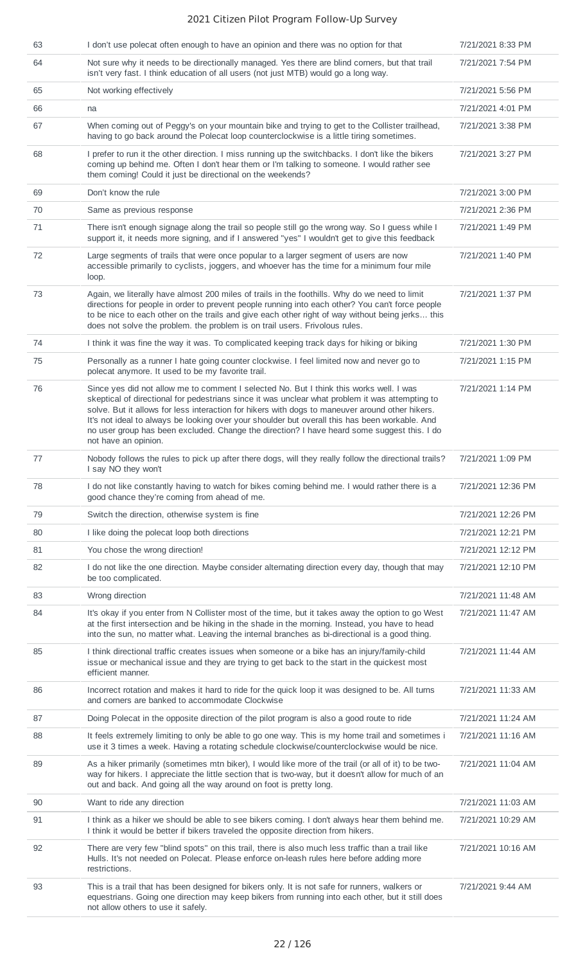| 63 | I don't use polecat often enough to have an opinion and there was no option for that                                                                                                                                                                                                                                                                                                                                                                                                                                   | 7/21/2021 8:33 PM  |
|----|------------------------------------------------------------------------------------------------------------------------------------------------------------------------------------------------------------------------------------------------------------------------------------------------------------------------------------------------------------------------------------------------------------------------------------------------------------------------------------------------------------------------|--------------------|
|    |                                                                                                                                                                                                                                                                                                                                                                                                                                                                                                                        |                    |
| 64 | Not sure why it needs to be directionally managed. Yes there are blind corners, but that trail<br>isn't very fast. I think education of all users (not just MTB) would go a long way.                                                                                                                                                                                                                                                                                                                                  | 7/21/2021 7:54 PM  |
| 65 | Not working effectively                                                                                                                                                                                                                                                                                                                                                                                                                                                                                                | 7/21/2021 5:56 PM  |
| 66 | na                                                                                                                                                                                                                                                                                                                                                                                                                                                                                                                     | 7/21/2021 4:01 PM  |
| 67 | When coming out of Peggy's on your mountain bike and trying to get to the Collister trailhead,<br>having to go back around the Polecat loop counterclockwise is a little tiring sometimes.                                                                                                                                                                                                                                                                                                                             | 7/21/2021 3:38 PM  |
| 68 | I prefer to run it the other direction. I miss running up the switchbacks. I don't like the bikers<br>coming up behind me. Often I don't hear them or I'm talking to someone. I would rather see<br>them coming! Could it just be directional on the weekends?                                                                                                                                                                                                                                                         | 7/21/2021 3:27 PM  |
| 69 | Don't know the rule                                                                                                                                                                                                                                                                                                                                                                                                                                                                                                    | 7/21/2021 3:00 PM  |
| 70 | Same as previous response                                                                                                                                                                                                                                                                                                                                                                                                                                                                                              | 7/21/2021 2:36 PM  |
| 71 | There isn't enough signage along the trail so people still go the wrong way. So I guess while I<br>support it, it needs more signing, and if I answered "yes" I wouldn't get to give this feedback                                                                                                                                                                                                                                                                                                                     | 7/21/2021 1:49 PM  |
| 72 | Large segments of trails that were once popular to a larger segment of users are now<br>accessible primarily to cyclists, joggers, and whoever has the time for a minimum four mile<br>loop.                                                                                                                                                                                                                                                                                                                           | 7/21/2021 1:40 PM  |
| 73 | Again, we literally have almost 200 miles of trails in the foothills. Why do we need to limit<br>directions for people in order to prevent people running into each other? You can't force people<br>to be nice to each other on the trails and give each other right of way without being jerks this<br>does not solve the problem. the problem is on trail users. Frivolous rules.                                                                                                                                   | 7/21/2021 1:37 PM  |
| 74 | I think it was fine the way it was. To complicated keeping track days for hiking or biking                                                                                                                                                                                                                                                                                                                                                                                                                             | 7/21/2021 1:30 PM  |
| 75 | Personally as a runner I hate going counter clockwise. I feel limited now and never go to<br>polecat anymore. It used to be my favorite trail.                                                                                                                                                                                                                                                                                                                                                                         | 7/21/2021 1:15 PM  |
| 76 | Since yes did not allow me to comment I selected No. But I think this works well. I was<br>skeptical of directional for pedestrians since it was unclear what problem it was attempting to<br>solve. But it allows for less interaction for hikers with dogs to maneuver around other hikers.<br>It's not ideal to always be looking over your shoulder but overall this has been workable. And<br>no user group has been excluded. Change the direction? I have heard some suggest this. I do<br>not have an opinion. | 7/21/2021 1:14 PM  |
| 77 | Nobody follows the rules to pick up after there dogs, will they really follow the directional trails?<br>I say NO they won't                                                                                                                                                                                                                                                                                                                                                                                           | 7/21/2021 1:09 PM  |
| 78 | I do not like constantly having to watch for bikes coming behind me. I would rather there is a<br>good chance they're coming from ahead of me.                                                                                                                                                                                                                                                                                                                                                                         | 7/21/2021 12:36 PM |
| 79 | Switch the direction, otherwise system is fine                                                                                                                                                                                                                                                                                                                                                                                                                                                                         | 7/21/2021 12:26 PM |
| 80 | I like doing the polecat loop both directions                                                                                                                                                                                                                                                                                                                                                                                                                                                                          | 7/21/2021 12:21 PM |
| 81 | You chose the wrong direction!                                                                                                                                                                                                                                                                                                                                                                                                                                                                                         | 7/21/2021 12:12 PM |
| 82 | I do not like the one direction. Maybe consider alternating direction every day, though that may<br>be too complicated.                                                                                                                                                                                                                                                                                                                                                                                                | 7/21/2021 12:10 PM |
| 83 | Wrong direction                                                                                                                                                                                                                                                                                                                                                                                                                                                                                                        | 7/21/2021 11:48 AM |
| 84 | It's okay if you enter from N Collister most of the time, but it takes away the option to go West<br>at the first intersection and be hiking in the shade in the morning. Instead, you have to head<br>into the sun, no matter what. Leaving the internal branches as bi-directional is a good thing.                                                                                                                                                                                                                  | 7/21/2021 11:47 AM |
| 85 | I think directional traffic creates issues when someone or a bike has an injury/family-child<br>issue or mechanical issue and they are trying to get back to the start in the quickest most<br>efficient manner.                                                                                                                                                                                                                                                                                                       | 7/21/2021 11:44 AM |
| 86 | Incorrect rotation and makes it hard to ride for the quick loop it was designed to be. All turns<br>and corners are banked to accommodate Clockwise                                                                                                                                                                                                                                                                                                                                                                    | 7/21/2021 11:33 AM |
| 87 | Doing Polecat in the opposite direction of the pilot program is also a good route to ride                                                                                                                                                                                                                                                                                                                                                                                                                              | 7/21/2021 11:24 AM |
| 88 | It feels extremely limiting to only be able to go one way. This is my home trail and sometimes i<br>use it 3 times a week. Having a rotating schedule clockwise/counterclockwise would be nice.                                                                                                                                                                                                                                                                                                                        | 7/21/2021 11:16 AM |
| 89 | As a hiker primarily (sometimes mtn biker), I would like more of the trail (or all of it) to be two-<br>way for hikers. I appreciate the little section that is two-way, but it doesn't allow for much of an<br>out and back. And going all the way around on foot is pretty long.                                                                                                                                                                                                                                     | 7/21/2021 11:04 AM |
| 90 | Want to ride any direction                                                                                                                                                                                                                                                                                                                                                                                                                                                                                             | 7/21/2021 11:03 AM |
| 91 | I think as a hiker we should be able to see bikers coming. I don't always hear them behind me.<br>I think it would be better if bikers traveled the opposite direction from hikers.                                                                                                                                                                                                                                                                                                                                    | 7/21/2021 10:29 AM |
| 92 | There are very few "blind spots" on this trail, there is also much less traffic than a trail like<br>Hulls. It's not needed on Polecat. Please enforce on-leash rules here before adding more<br>restrictions.                                                                                                                                                                                                                                                                                                         | 7/21/2021 10:16 AM |
| 93 | This is a trail that has been designed for bikers only. It is not safe for runners, walkers or<br>equestrians. Going one direction may keep bikers from running into each other, but it still does<br>not allow others to use it safely.                                                                                                                                                                                                                                                                               | 7/21/2021 9:44 AM  |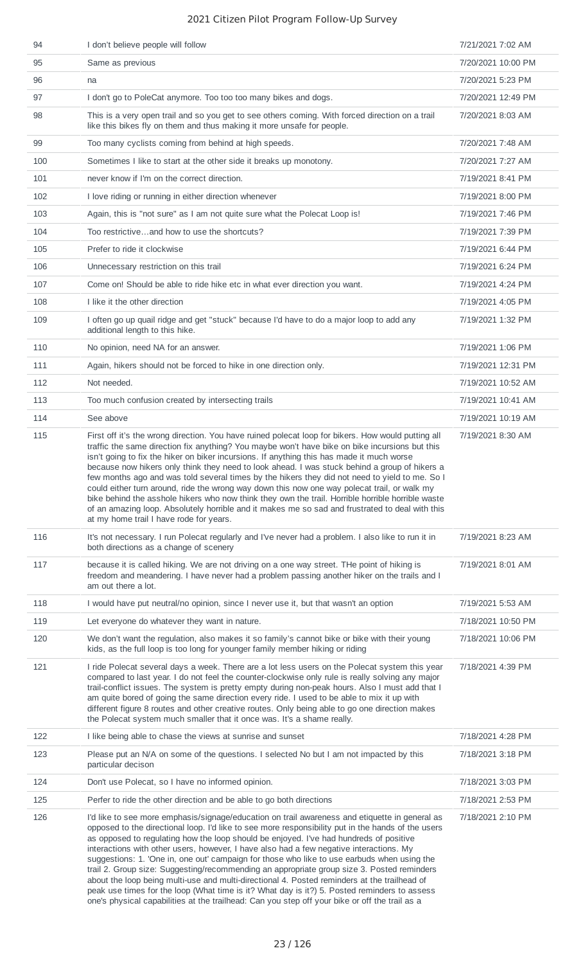| 94  | I don't believe people will follow                                                                                                                                                                                                                                                                                                                                                                                                                                                                                                                                                                                                                                                                                                                                                                                                                                                       | 7/21/2021 7:02 AM  |
|-----|------------------------------------------------------------------------------------------------------------------------------------------------------------------------------------------------------------------------------------------------------------------------------------------------------------------------------------------------------------------------------------------------------------------------------------------------------------------------------------------------------------------------------------------------------------------------------------------------------------------------------------------------------------------------------------------------------------------------------------------------------------------------------------------------------------------------------------------------------------------------------------------|--------------------|
| 95  | Same as previous                                                                                                                                                                                                                                                                                                                                                                                                                                                                                                                                                                                                                                                                                                                                                                                                                                                                         | 7/20/2021 10:00 PM |
| 96  | na                                                                                                                                                                                                                                                                                                                                                                                                                                                                                                                                                                                                                                                                                                                                                                                                                                                                                       | 7/20/2021 5:23 PM  |
| 97  | I don't go to PoleCat anymore. Too too too many bikes and dogs.                                                                                                                                                                                                                                                                                                                                                                                                                                                                                                                                                                                                                                                                                                                                                                                                                          | 7/20/2021 12:49 PM |
| 98  | This is a very open trail and so you get to see others coming. With forced direction on a trail<br>like this bikes fly on them and thus making it more unsafe for people.                                                                                                                                                                                                                                                                                                                                                                                                                                                                                                                                                                                                                                                                                                                | 7/20/2021 8:03 AM  |
| 99  | Too many cyclists coming from behind at high speeds.                                                                                                                                                                                                                                                                                                                                                                                                                                                                                                                                                                                                                                                                                                                                                                                                                                     | 7/20/2021 7:48 AM  |
| 100 | Sometimes I like to start at the other side it breaks up monotony.                                                                                                                                                                                                                                                                                                                                                                                                                                                                                                                                                                                                                                                                                                                                                                                                                       | 7/20/2021 7:27 AM  |
| 101 | never know if I'm on the correct direction.                                                                                                                                                                                                                                                                                                                                                                                                                                                                                                                                                                                                                                                                                                                                                                                                                                              | 7/19/2021 8:41 PM  |
| 102 | I love riding or running in either direction whenever                                                                                                                                                                                                                                                                                                                                                                                                                                                                                                                                                                                                                                                                                                                                                                                                                                    | 7/19/2021 8:00 PM  |
| 103 | Again, this is "not sure" as I am not quite sure what the Polecat Loop is!                                                                                                                                                                                                                                                                                                                                                                                                                                                                                                                                                                                                                                                                                                                                                                                                               | 7/19/2021 7:46 PM  |
| 104 | Too restrictiveand how to use the shortcuts?                                                                                                                                                                                                                                                                                                                                                                                                                                                                                                                                                                                                                                                                                                                                                                                                                                             | 7/19/2021 7:39 PM  |
| 105 | Prefer to ride it clockwise                                                                                                                                                                                                                                                                                                                                                                                                                                                                                                                                                                                                                                                                                                                                                                                                                                                              | 7/19/2021 6:44 PM  |
| 106 | Unnecessary restriction on this trail                                                                                                                                                                                                                                                                                                                                                                                                                                                                                                                                                                                                                                                                                                                                                                                                                                                    | 7/19/2021 6:24 PM  |
| 107 | Come on! Should be able to ride hike etc in what ever direction you want.                                                                                                                                                                                                                                                                                                                                                                                                                                                                                                                                                                                                                                                                                                                                                                                                                | 7/19/2021 4:24 PM  |
| 108 | I like it the other direction                                                                                                                                                                                                                                                                                                                                                                                                                                                                                                                                                                                                                                                                                                                                                                                                                                                            | 7/19/2021 4:05 PM  |
| 109 | I often go up quail ridge and get "stuck" because I'd have to do a major loop to add any<br>additional length to this hike.                                                                                                                                                                                                                                                                                                                                                                                                                                                                                                                                                                                                                                                                                                                                                              | 7/19/2021 1:32 PM  |
| 110 | No opinion, need NA for an answer.                                                                                                                                                                                                                                                                                                                                                                                                                                                                                                                                                                                                                                                                                                                                                                                                                                                       | 7/19/2021 1:06 PM  |
| 111 | Again, hikers should not be forced to hike in one direction only.                                                                                                                                                                                                                                                                                                                                                                                                                                                                                                                                                                                                                                                                                                                                                                                                                        | 7/19/2021 12:31 PM |
| 112 | Not needed.                                                                                                                                                                                                                                                                                                                                                                                                                                                                                                                                                                                                                                                                                                                                                                                                                                                                              | 7/19/2021 10:52 AM |
| 113 | Too much confusion created by intersecting trails                                                                                                                                                                                                                                                                                                                                                                                                                                                                                                                                                                                                                                                                                                                                                                                                                                        | 7/19/2021 10:41 AM |
| 114 | See above                                                                                                                                                                                                                                                                                                                                                                                                                                                                                                                                                                                                                                                                                                                                                                                                                                                                                | 7/19/2021 10:19 AM |
| 115 | First off it's the wrong direction. You have ruined polecat loop for bikers. How would putting all<br>traffic the same direction fix anything? You maybe won't have bike on bike incursions but this<br>isn't going to fix the hiker on biker incursions. If anything this has made it much worse<br>because now hikers only think they need to look ahead. I was stuck behind a group of hikers a<br>few months ago and was told several times by the hikers they did not need to yield to me. So I<br>could either turn around, ride the wrong way down this now one way polecat trail, or walk my<br>bike behind the asshole hikers who now think they own the trail. Horrible horrible horrible waste<br>of an amazing loop. Absolutely horrible and it makes me so sad and frustrated to deal with this<br>at my home trail I have rode for years.                                  | 7/19/2021 8:30 AM  |
| 116 | It's not necessary. I run Polecat regularly and I've never had a problem. I also like to run it in<br>both directions as a change of scenery                                                                                                                                                                                                                                                                                                                                                                                                                                                                                                                                                                                                                                                                                                                                             | 7/19/2021 8:23 AM  |
| 117 | because it is called hiking. We are not driving on a one way street. THe point of hiking is<br>freedom and meandering. I have never had a problem passing another hiker on the trails and I<br>am out there a lot.                                                                                                                                                                                                                                                                                                                                                                                                                                                                                                                                                                                                                                                                       | 7/19/2021 8:01 AM  |
| 118 | I would have put neutral/no opinion, since I never use it, but that wasn't an option                                                                                                                                                                                                                                                                                                                                                                                                                                                                                                                                                                                                                                                                                                                                                                                                     | 7/19/2021 5:53 AM  |
| 119 | Let everyone do whatever they want in nature.                                                                                                                                                                                                                                                                                                                                                                                                                                                                                                                                                                                                                                                                                                                                                                                                                                            | 7/18/2021 10:50 PM |
| 120 | We don't want the regulation, also makes it so family's cannot bike or bike with their young<br>kids, as the full loop is too long for younger family member hiking or riding                                                                                                                                                                                                                                                                                                                                                                                                                                                                                                                                                                                                                                                                                                            | 7/18/2021 10:06 PM |
| 121 | I ride Polecat several days a week. There are a lot less users on the Polecat system this year<br>compared to last year. I do not feel the counter-clockwise only rule is really solving any major<br>trail-conflict issues. The system is pretty empty during non-peak hours. Also I must add that I<br>am quite bored of going the same direction every ride. I used to be able to mix it up with<br>different figure 8 routes and other creative routes. Only being able to go one direction makes<br>the Polecat system much smaller that it once was. It's a shame really.                                                                                                                                                                                                                                                                                                          | 7/18/2021 4:39 PM  |
| 122 | I like being able to chase the views at sunrise and sunset                                                                                                                                                                                                                                                                                                                                                                                                                                                                                                                                                                                                                                                                                                                                                                                                                               | 7/18/2021 4:28 PM  |
| 123 | Please put an N/A on some of the questions. I selected No but I am not impacted by this<br>particular decison                                                                                                                                                                                                                                                                                                                                                                                                                                                                                                                                                                                                                                                                                                                                                                            | 7/18/2021 3:18 PM  |
| 124 | Don't use Polecat, so I have no informed opinion.                                                                                                                                                                                                                                                                                                                                                                                                                                                                                                                                                                                                                                                                                                                                                                                                                                        | 7/18/2021 3:03 PM  |
| 125 | Perfer to ride the other direction and be able to go both directions                                                                                                                                                                                                                                                                                                                                                                                                                                                                                                                                                                                                                                                                                                                                                                                                                     | 7/18/2021 2:53 PM  |
| 126 | I'd like to see more emphasis/signage/education on trail awareness and etiquette in general as<br>opposed to the directional loop. I'd like to see more responsibility put in the hands of the users<br>as opposed to regulating how the loop should be enjoyed. I've had hundreds of positive<br>interactions with other users, however, I have also had a few negative interactions. My<br>suggestions: 1. 'One in, one out' campaign for those who like to use earbuds when using the<br>trail 2. Group size: Suggesting/recommending an appropriate group size 3. Posted reminders<br>about the loop being multi-use and multi-directional 4. Posted reminders at the trailhead of<br>peak use times for the loop (What time is it? What day is it?) 5. Posted reminders to assess<br>one's physical capabilities at the trailhead: Can you step off your bike or off the trail as a | 7/18/2021 2:10 PM  |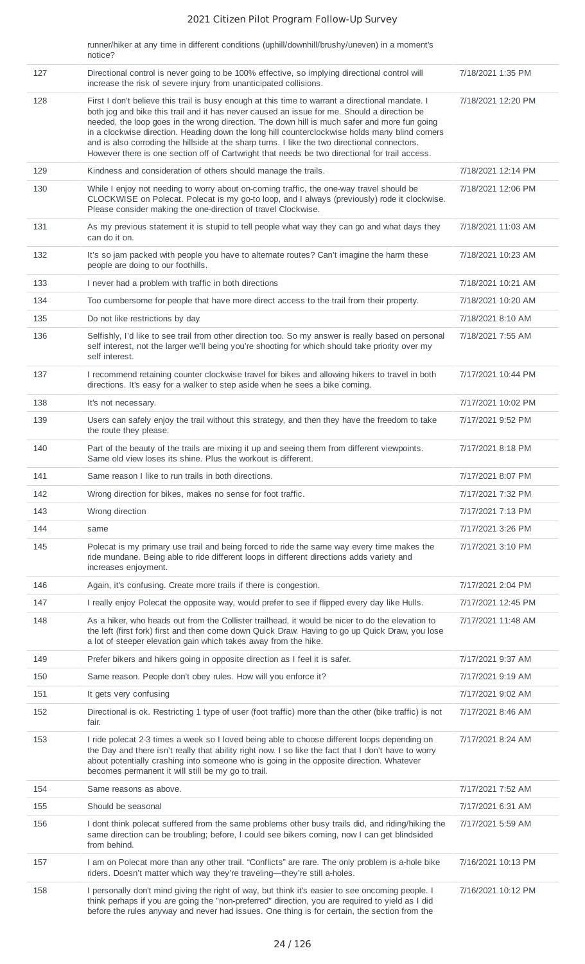runner/hiker at any time in different conditions (uphill/downhill/brushy/uneven) in a moment's notice?

|     | <b>INDUCT:</b>                                                                                                                                                                                                                                                                                                                                                                                                                                                                                                                                                                                       |                    |
|-----|------------------------------------------------------------------------------------------------------------------------------------------------------------------------------------------------------------------------------------------------------------------------------------------------------------------------------------------------------------------------------------------------------------------------------------------------------------------------------------------------------------------------------------------------------------------------------------------------------|--------------------|
| 127 | Directional control is never going to be 100% effective, so implying directional control will<br>increase the risk of severe injury from unanticipated collisions.                                                                                                                                                                                                                                                                                                                                                                                                                                   | 7/18/2021 1:35 PM  |
| 128 | First I don't believe this trail is busy enough at this time to warrant a directional mandate. I<br>both jog and bike this trail and it has never caused an issue for me. Should a direction be<br>needed, the loop goes in the wrong direction. The down hill is much safer and more fun going<br>in a clockwise direction. Heading down the long hill counterclockwise holds many blind corners<br>and is also corroding the hillside at the sharp turns. I like the two directional connectors.<br>However there is one section off of Cartwright that needs be two directional for trail access. | 7/18/2021 12:20 PM |
| 129 | Kindness and consideration of others should manage the trails.                                                                                                                                                                                                                                                                                                                                                                                                                                                                                                                                       | 7/18/2021 12:14 PM |
| 130 | While I enjoy not needing to worry about on-coming traffic, the one-way travel should be<br>CLOCKWISE on Polecat. Polecat is my go-to loop, and I always (previously) rode it clockwise.<br>Please consider making the one-direction of travel Clockwise.                                                                                                                                                                                                                                                                                                                                            | 7/18/2021 12:06 PM |
| 131 | As my previous statement it is stupid to tell people what way they can go and what days they<br>can do it on.                                                                                                                                                                                                                                                                                                                                                                                                                                                                                        | 7/18/2021 11:03 AM |
| 132 | It's so jam packed with people you have to alternate routes? Can't imagine the harm these<br>people are doing to our foothills.                                                                                                                                                                                                                                                                                                                                                                                                                                                                      | 7/18/2021 10:23 AM |
| 133 | I never had a problem with traffic in both directions                                                                                                                                                                                                                                                                                                                                                                                                                                                                                                                                                | 7/18/2021 10:21 AM |
| 134 | Too cumbersome for people that have more direct access to the trail from their property.                                                                                                                                                                                                                                                                                                                                                                                                                                                                                                             | 7/18/2021 10:20 AM |
| 135 | Do not like restrictions by day                                                                                                                                                                                                                                                                                                                                                                                                                                                                                                                                                                      | 7/18/2021 8:10 AM  |
| 136 | Selfishly, I'd like to see trail from other direction too. So my answer is really based on personal<br>self interest, not the larger we'll being you're shooting for which should take priority over my<br>self interest.                                                                                                                                                                                                                                                                                                                                                                            | 7/18/2021 7:55 AM  |
| 137 | I recommend retaining counter clockwise travel for bikes and allowing hikers to travel in both<br>directions. It's easy for a walker to step aside when he sees a bike coming.                                                                                                                                                                                                                                                                                                                                                                                                                       | 7/17/2021 10:44 PM |
| 138 | It's not necessary.                                                                                                                                                                                                                                                                                                                                                                                                                                                                                                                                                                                  | 7/17/2021 10:02 PM |
| 139 | Users can safely enjoy the trail without this strategy, and then they have the freedom to take<br>the route they please.                                                                                                                                                                                                                                                                                                                                                                                                                                                                             | 7/17/2021 9:52 PM  |
| 140 | Part of the beauty of the trails are mixing it up and seeing them from different viewpoints.<br>Same old view loses its shine. Plus the workout is different.                                                                                                                                                                                                                                                                                                                                                                                                                                        | 7/17/2021 8:18 PM  |
| 141 | Same reason I like to run trails in both directions.                                                                                                                                                                                                                                                                                                                                                                                                                                                                                                                                                 | 7/17/2021 8:07 PM  |
| 142 | Wrong direction for bikes, makes no sense for foot traffic.                                                                                                                                                                                                                                                                                                                                                                                                                                                                                                                                          | 7/17/2021 7:32 PM  |
| 143 | Wrong direction                                                                                                                                                                                                                                                                                                                                                                                                                                                                                                                                                                                      | 7/17/2021 7:13 PM  |
| 144 | same                                                                                                                                                                                                                                                                                                                                                                                                                                                                                                                                                                                                 | 7/17/2021 3:26 PM  |
| 145 | Polecat is my primary use trail and being forced to ride the same way every time makes the<br>ride mundane. Being able to ride different loops in different directions adds variety and<br>increases enjoyment.                                                                                                                                                                                                                                                                                                                                                                                      | 7/17/2021 3:10 PM  |
| 146 | Again, it's confusing. Create more trails if there is congestion.                                                                                                                                                                                                                                                                                                                                                                                                                                                                                                                                    | 7/17/2021 2:04 PM  |
| 147 | I really enjoy Polecat the opposite way, would prefer to see if flipped every day like Hulls.                                                                                                                                                                                                                                                                                                                                                                                                                                                                                                        | 7/17/2021 12:45 PM |
| 148 | As a hiker, who heads out from the Collister trailhead, it would be nicer to do the elevation to<br>the left (first fork) first and then come down Quick Draw. Having to go up Quick Draw, you lose<br>a lot of steeper elevation gain which takes away from the hike.                                                                                                                                                                                                                                                                                                                               | 7/17/2021 11:48 AM |
| 149 | Prefer bikers and hikers going in opposite direction as I feel it is safer.                                                                                                                                                                                                                                                                                                                                                                                                                                                                                                                          | 7/17/2021 9:37 AM  |
| 150 | Same reason. People don't obey rules. How will you enforce it?                                                                                                                                                                                                                                                                                                                                                                                                                                                                                                                                       | 7/17/2021 9:19 AM  |
| 151 | It gets very confusing                                                                                                                                                                                                                                                                                                                                                                                                                                                                                                                                                                               | 7/17/2021 9:02 AM  |
| 152 | Directional is ok. Restricting 1 type of user (foot traffic) more than the other (bike traffic) is not<br>fair.                                                                                                                                                                                                                                                                                                                                                                                                                                                                                      | 7/17/2021 8:46 AM  |
| 153 | I ride polecat 2-3 times a week so I loved being able to choose different loops depending on<br>the Day and there isn't really that ability right now. I so like the fact that I don't have to worry<br>about potentially crashing into someone who is going in the opposite direction. Whatever<br>becomes permanent it will still be my go to trail.                                                                                                                                                                                                                                               | 7/17/2021 8:24 AM  |
| 154 | Same reasons as above.                                                                                                                                                                                                                                                                                                                                                                                                                                                                                                                                                                               | 7/17/2021 7:52 AM  |
| 155 | Should be seasonal                                                                                                                                                                                                                                                                                                                                                                                                                                                                                                                                                                                   | 7/17/2021 6:31 AM  |
| 156 | I dont think polecat suffered from the same problems other busy trails did, and riding/hiking the<br>same direction can be troubling; before, I could see bikers coming, now I can get blindsided<br>from behind.                                                                                                                                                                                                                                                                                                                                                                                    | 7/17/2021 5:59 AM  |
| 157 | I am on Polecat more than any other trail. "Conflicts" are rare. The only problem is a-hole bike<br>riders. Doesn't matter which way they're traveling-they're still a-holes.                                                                                                                                                                                                                                                                                                                                                                                                                        | 7/16/2021 10:13 PM |
| 158 | I personally don't mind giving the right of way, but think it's easier to see oncoming people. I<br>think perhaps if you are going the "non-preferred" direction, you are required to yield as I did<br>before the rules anyway and never had issues. One thing is for certain, the section from the                                                                                                                                                                                                                                                                                                 | 7/16/2021 10:12 PM |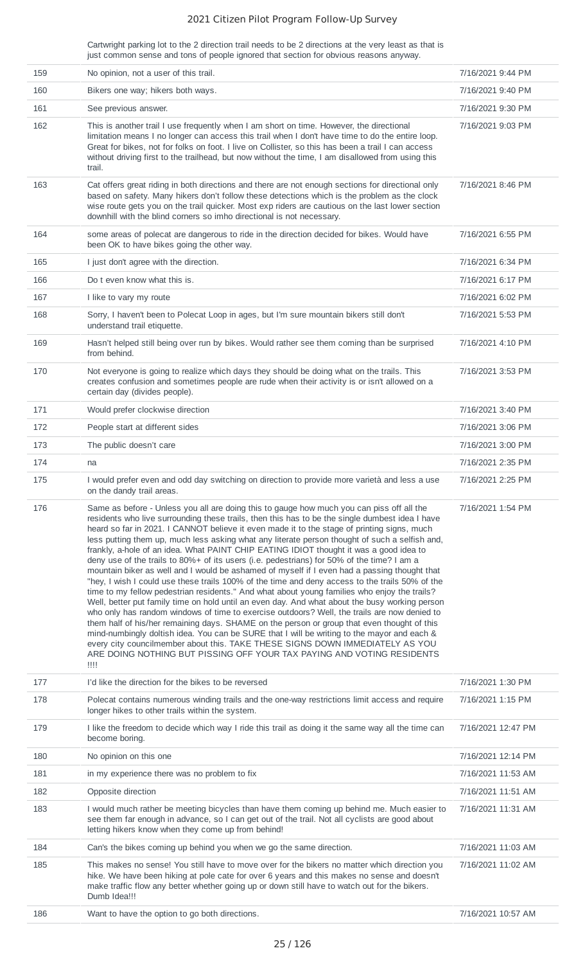Cartwright parking lot to the 2 direction trail needs to be 2 directions at the very least as that is just common sense and tons of people ignored that section for obvious reasons anyway.

| 159 | No opinion, not a user of this trail.                                                                                                                                                                                                                                                                                                                                                                                                                                                                                                                                                                                                                                                                                                                                                                                                                                                                                                                                                                                                                                                                                                                                                                                                                                                                                                                                                                                                                                    | 7/16/2021 9:44 PM  |
|-----|--------------------------------------------------------------------------------------------------------------------------------------------------------------------------------------------------------------------------------------------------------------------------------------------------------------------------------------------------------------------------------------------------------------------------------------------------------------------------------------------------------------------------------------------------------------------------------------------------------------------------------------------------------------------------------------------------------------------------------------------------------------------------------------------------------------------------------------------------------------------------------------------------------------------------------------------------------------------------------------------------------------------------------------------------------------------------------------------------------------------------------------------------------------------------------------------------------------------------------------------------------------------------------------------------------------------------------------------------------------------------------------------------------------------------------------------------------------------------|--------------------|
| 160 | Bikers one way; hikers both ways.                                                                                                                                                                                                                                                                                                                                                                                                                                                                                                                                                                                                                                                                                                                                                                                                                                                                                                                                                                                                                                                                                                                                                                                                                                                                                                                                                                                                                                        | 7/16/2021 9:40 PM  |
| 161 | See previous answer.                                                                                                                                                                                                                                                                                                                                                                                                                                                                                                                                                                                                                                                                                                                                                                                                                                                                                                                                                                                                                                                                                                                                                                                                                                                                                                                                                                                                                                                     | 7/16/2021 9:30 PM  |
| 162 | This is another trail I use frequently when I am short on time. However, the directional<br>limitation means I no longer can access this trail when I don't have time to do the entire loop.<br>Great for bikes, not for folks on foot. I live on Collister, so this has been a trail I can access<br>without driving first to the trailhead, but now without the time, I am disallowed from using this<br>trail.                                                                                                                                                                                                                                                                                                                                                                                                                                                                                                                                                                                                                                                                                                                                                                                                                                                                                                                                                                                                                                                        | 7/16/2021 9:03 PM  |
| 163 | Cat offers great riding in both directions and there are not enough sections for directional only<br>based on safety. Many hikers don't follow these detections which is the problem as the clock<br>wise route gets you on the trail quicker. Most exp riders are cautious on the last lower section<br>downhill with the blind corners so imho directional is not necessary.                                                                                                                                                                                                                                                                                                                                                                                                                                                                                                                                                                                                                                                                                                                                                                                                                                                                                                                                                                                                                                                                                           | 7/16/2021 8:46 PM  |
| 164 | some areas of polecat are dangerous to ride in the direction decided for bikes. Would have<br>been OK to have bikes going the other way.                                                                                                                                                                                                                                                                                                                                                                                                                                                                                                                                                                                                                                                                                                                                                                                                                                                                                                                                                                                                                                                                                                                                                                                                                                                                                                                                 | 7/16/2021 6:55 PM  |
| 165 | I just don't agree with the direction.                                                                                                                                                                                                                                                                                                                                                                                                                                                                                                                                                                                                                                                                                                                                                                                                                                                                                                                                                                                                                                                                                                                                                                                                                                                                                                                                                                                                                                   | 7/16/2021 6:34 PM  |
| 166 | Do t even know what this is.                                                                                                                                                                                                                                                                                                                                                                                                                                                                                                                                                                                                                                                                                                                                                                                                                                                                                                                                                                                                                                                                                                                                                                                                                                                                                                                                                                                                                                             | 7/16/2021 6:17 PM  |
| 167 | I like to vary my route                                                                                                                                                                                                                                                                                                                                                                                                                                                                                                                                                                                                                                                                                                                                                                                                                                                                                                                                                                                                                                                                                                                                                                                                                                                                                                                                                                                                                                                  | 7/16/2021 6:02 PM  |
| 168 | Sorry, I haven't been to Polecat Loop in ages, but I'm sure mountain bikers still don't<br>understand trail etiquette.                                                                                                                                                                                                                                                                                                                                                                                                                                                                                                                                                                                                                                                                                                                                                                                                                                                                                                                                                                                                                                                                                                                                                                                                                                                                                                                                                   | 7/16/2021 5:53 PM  |
| 169 | Hasn't helped still being over run by bikes. Would rather see them coming than be surprised<br>from behind.                                                                                                                                                                                                                                                                                                                                                                                                                                                                                                                                                                                                                                                                                                                                                                                                                                                                                                                                                                                                                                                                                                                                                                                                                                                                                                                                                              | 7/16/2021 4:10 PM  |
| 170 | Not everyone is going to realize which days they should be doing what on the trails. This<br>creates confusion and sometimes people are rude when their activity is or isn't allowed on a<br>certain day (divides people).                                                                                                                                                                                                                                                                                                                                                                                                                                                                                                                                                                                                                                                                                                                                                                                                                                                                                                                                                                                                                                                                                                                                                                                                                                               | 7/16/2021 3:53 PM  |
| 171 | Would prefer clockwise direction                                                                                                                                                                                                                                                                                                                                                                                                                                                                                                                                                                                                                                                                                                                                                                                                                                                                                                                                                                                                                                                                                                                                                                                                                                                                                                                                                                                                                                         | 7/16/2021 3:40 PM  |
| 172 | People start at different sides                                                                                                                                                                                                                                                                                                                                                                                                                                                                                                                                                                                                                                                                                                                                                                                                                                                                                                                                                                                                                                                                                                                                                                                                                                                                                                                                                                                                                                          | 7/16/2021 3:06 PM  |
| 173 | The public doesn't care                                                                                                                                                                                                                                                                                                                                                                                                                                                                                                                                                                                                                                                                                                                                                                                                                                                                                                                                                                                                                                                                                                                                                                                                                                                                                                                                                                                                                                                  | 7/16/2021 3:00 PM  |
| 174 | na                                                                                                                                                                                                                                                                                                                                                                                                                                                                                                                                                                                                                                                                                                                                                                                                                                                                                                                                                                                                                                                                                                                                                                                                                                                                                                                                                                                                                                                                       | 7/16/2021 2:35 PM  |
| 175 | I would prefer even and odd day switching on direction to provide more varietà and less a use<br>on the dandy trail areas.                                                                                                                                                                                                                                                                                                                                                                                                                                                                                                                                                                                                                                                                                                                                                                                                                                                                                                                                                                                                                                                                                                                                                                                                                                                                                                                                               | 7/16/2021 2:25 PM  |
| 176 | Same as before - Unless you all are doing this to gauge how much you can piss off all the<br>residents who live surrounding these trails, then this has to be the single dumbest idea I have<br>heard so far in 2021. I CANNOT believe it even made it to the stage of printing signs, much<br>less putting them up, much less asking what any literate person thought of such a selfish and,<br>frankly, a-hole of an idea. What PAINT CHIP EATING IDIOT thought it was a good idea to<br>deny use of the trails to 80%+ of its users (i.e. pedestrians) for 50% of the time? I am a<br>mountain biker as well and I would be ashamed of myself if I even had a passing thought that<br>"hey, I wish I could use these trails 100% of the time and deny access to the trails 50% of the<br>time to my fellow pedestrian residents." And what about young families who enjoy the trails?<br>Well, better put family time on hold until an even day. And what about the busy working person<br>who only has random windows of time to exercise outdoors? Well, the trails are now denied to<br>them half of his/her remaining days. SHAME on the person or group that even thought of this<br>mind-numbingly doltish idea. You can be SURE that I will be writing to the mayor and each &<br>every city councilmember about this. TAKE THESE SIGNS DOWN IMMEDIATELY AS YOU<br>ARE DOING NOTHING BUT PISSING OFF YOUR TAX PAYING AND VOTING RESIDENTS<br>$\overline{1111}$ | 7/16/2021 1:54 PM  |
| 177 | I'd like the direction for the bikes to be reversed                                                                                                                                                                                                                                                                                                                                                                                                                                                                                                                                                                                                                                                                                                                                                                                                                                                                                                                                                                                                                                                                                                                                                                                                                                                                                                                                                                                                                      | 7/16/2021 1:30 PM  |
| 178 | Polecat contains numerous winding trails and the one-way restrictions limit access and require<br>longer hikes to other trails within the system.                                                                                                                                                                                                                                                                                                                                                                                                                                                                                                                                                                                                                                                                                                                                                                                                                                                                                                                                                                                                                                                                                                                                                                                                                                                                                                                        | 7/16/2021 1:15 PM  |
| 179 | I like the freedom to decide which way I ride this trail as doing it the same way all the time can<br>become boring.                                                                                                                                                                                                                                                                                                                                                                                                                                                                                                                                                                                                                                                                                                                                                                                                                                                                                                                                                                                                                                                                                                                                                                                                                                                                                                                                                     | 7/16/2021 12:47 PM |
| 180 | No opinion on this one                                                                                                                                                                                                                                                                                                                                                                                                                                                                                                                                                                                                                                                                                                                                                                                                                                                                                                                                                                                                                                                                                                                                                                                                                                                                                                                                                                                                                                                   | 7/16/2021 12:14 PM |
| 181 | in my experience there was no problem to fix                                                                                                                                                                                                                                                                                                                                                                                                                                                                                                                                                                                                                                                                                                                                                                                                                                                                                                                                                                                                                                                                                                                                                                                                                                                                                                                                                                                                                             | 7/16/2021 11:53 AM |
| 182 | Opposite direction                                                                                                                                                                                                                                                                                                                                                                                                                                                                                                                                                                                                                                                                                                                                                                                                                                                                                                                                                                                                                                                                                                                                                                                                                                                                                                                                                                                                                                                       | 7/16/2021 11:51 AM |
| 183 | I would much rather be meeting bicycles than have them coming up behind me. Much easier to<br>see them far enough in advance, so I can get out of the trail. Not all cyclists are good about<br>letting hikers know when they come up from behind!                                                                                                                                                                                                                                                                                                                                                                                                                                                                                                                                                                                                                                                                                                                                                                                                                                                                                                                                                                                                                                                                                                                                                                                                                       | 7/16/2021 11:31 AM |
| 184 | Can's the bikes coming up behind you when we go the same direction.                                                                                                                                                                                                                                                                                                                                                                                                                                                                                                                                                                                                                                                                                                                                                                                                                                                                                                                                                                                                                                                                                                                                                                                                                                                                                                                                                                                                      | 7/16/2021 11:03 AM |
| 185 | This makes no sense! You still have to move over for the bikers no matter which direction you<br>hike. We have been hiking at pole cate for over 6 years and this makes no sense and doesn't<br>make traffic flow any better whether going up or down still have to watch out for the bikers.<br>Dumb Idea!!!                                                                                                                                                                                                                                                                                                                                                                                                                                                                                                                                                                                                                                                                                                                                                                                                                                                                                                                                                                                                                                                                                                                                                            | 7/16/2021 11:02 AM |
| 186 | Want to have the option to go both directions.                                                                                                                                                                                                                                                                                                                                                                                                                                                                                                                                                                                                                                                                                                                                                                                                                                                                                                                                                                                                                                                                                                                                                                                                                                                                                                                                                                                                                           | 7/16/2021 10:57 AM |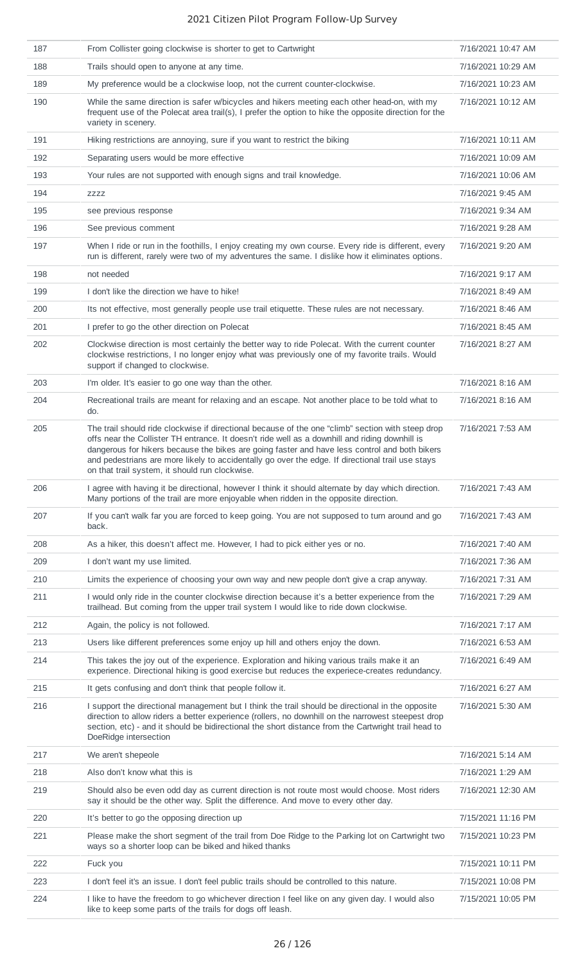| 187 | From Collister going clockwise is shorter to get to Cartwright                                                                                                                                                                                                                                                                                                                                                                                             | 7/16/2021 10:47 AM |
|-----|------------------------------------------------------------------------------------------------------------------------------------------------------------------------------------------------------------------------------------------------------------------------------------------------------------------------------------------------------------------------------------------------------------------------------------------------------------|--------------------|
| 188 | Trails should open to anyone at any time.                                                                                                                                                                                                                                                                                                                                                                                                                  | 7/16/2021 10:29 AM |
| 189 | My preference would be a clockwise loop, not the current counter-clockwise.                                                                                                                                                                                                                                                                                                                                                                                | 7/16/2021 10:23 AM |
| 190 | While the same direction is safer w/bicycles and hikers meeting each other head-on, with my<br>frequent use of the Polecat area trail(s), I prefer the option to hike the opposite direction for the<br>variety in scenery.                                                                                                                                                                                                                                | 7/16/2021 10:12 AM |
| 191 | Hiking restrictions are annoying, sure if you want to restrict the biking                                                                                                                                                                                                                                                                                                                                                                                  | 7/16/2021 10:11 AM |
| 192 | Separating users would be more effective                                                                                                                                                                                                                                                                                                                                                                                                                   | 7/16/2021 10:09 AM |
| 193 | Your rules are not supported with enough signs and trail knowledge.                                                                                                                                                                                                                                                                                                                                                                                        | 7/16/2021 10:06 AM |
| 194 | ZZZZ                                                                                                                                                                                                                                                                                                                                                                                                                                                       | 7/16/2021 9:45 AM  |
| 195 | see previous response                                                                                                                                                                                                                                                                                                                                                                                                                                      | 7/16/2021 9:34 AM  |
| 196 | See previous comment                                                                                                                                                                                                                                                                                                                                                                                                                                       | 7/16/2021 9:28 AM  |
| 197 | When I ride or run in the foothills, I enjoy creating my own course. Every ride is different, every<br>run is different, rarely were two of my adventures the same. I dislike how it eliminates options.                                                                                                                                                                                                                                                   | 7/16/2021 9:20 AM  |
| 198 | not needed                                                                                                                                                                                                                                                                                                                                                                                                                                                 | 7/16/2021 9:17 AM  |
| 199 | I don't like the direction we have to hike!                                                                                                                                                                                                                                                                                                                                                                                                                | 7/16/2021 8:49 AM  |
| 200 | Its not effective, most generally people use trail etiquette. These rules are not necessary.                                                                                                                                                                                                                                                                                                                                                               | 7/16/2021 8:46 AM  |
| 201 | I prefer to go the other direction on Polecat                                                                                                                                                                                                                                                                                                                                                                                                              | 7/16/2021 8:45 AM  |
| 202 | Clockwise direction is most certainly the better way to ride Polecat. With the current counter<br>clockwise restrictions, I no longer enjoy what was previously one of my favorite trails. Would<br>support if changed to clockwise.                                                                                                                                                                                                                       | 7/16/2021 8:27 AM  |
| 203 | I'm older. It's easier to go one way than the other.                                                                                                                                                                                                                                                                                                                                                                                                       | 7/16/2021 8:16 AM  |
| 204 | Recreational trails are meant for relaxing and an escape. Not another place to be told what to<br>do.                                                                                                                                                                                                                                                                                                                                                      | 7/16/2021 8:16 AM  |
| 205 | The trail should ride clockwise if directional because of the one "climb" section with steep drop<br>offs near the Collister TH entrance. It doesn't ride well as a downhill and riding downhill is<br>dangerous for hikers because the bikes are going faster and have less control and both bikers<br>and pedestrians are more likely to accidentally go over the edge. If directional trail use stays<br>on that trail system, it should run clockwise. | 7/16/2021 7:53 AM  |
| 206 | I agree with having it be directional, however I think it should alternate by day which direction.<br>Many portions of the trail are more enjoyable when ridden in the opposite direction.                                                                                                                                                                                                                                                                 | 7/16/2021 7:43 AM  |
| 207 | If you can't walk far you are forced to keep going. You are not supposed to turn around and go<br>back.                                                                                                                                                                                                                                                                                                                                                    | 7/16/2021 7:43 AM  |
| 208 | As a hiker, this doesn't affect me. However, I had to pick either yes or no.                                                                                                                                                                                                                                                                                                                                                                               | 7/16/2021 7:40 AM  |
| 209 | I don't want my use limited.                                                                                                                                                                                                                                                                                                                                                                                                                               | 7/16/2021 7:36 AM  |
| 210 | Limits the experience of choosing your own way and new people don't give a crap anyway.                                                                                                                                                                                                                                                                                                                                                                    | 7/16/2021 7:31 AM  |
| 211 | I would only ride in the counter clockwise direction because it's a better experience from the<br>trailhead. But coming from the upper trail system I would like to ride down clockwise.                                                                                                                                                                                                                                                                   | 7/16/2021 7:29 AM  |
| 212 | Again, the policy is not followed.                                                                                                                                                                                                                                                                                                                                                                                                                         | 7/16/2021 7:17 AM  |
| 213 | Users like different preferences some enjoy up hill and others enjoy the down.                                                                                                                                                                                                                                                                                                                                                                             | 7/16/2021 6:53 AM  |
| 214 | This takes the joy out of the experience. Exploration and hiking various trails make it an<br>experience. Directional hiking is good exercise but reduces the experiece-creates redundancy.                                                                                                                                                                                                                                                                | 7/16/2021 6:49 AM  |
| 215 | It gets confusing and don't think that people follow it.                                                                                                                                                                                                                                                                                                                                                                                                   | 7/16/2021 6:27 AM  |
| 216 | I support the directional management but I think the trail should be directional in the opposite<br>direction to allow riders a better experience (rollers, no downhill on the narrowest steepest drop<br>section, etc) - and it should be bidirectional the short distance from the Cartwright trail head to<br>DoeRidge intersection                                                                                                                     | 7/16/2021 5:30 AM  |
| 217 | We aren't shepeole                                                                                                                                                                                                                                                                                                                                                                                                                                         | 7/16/2021 5:14 AM  |
| 218 | Also don't know what this is                                                                                                                                                                                                                                                                                                                                                                                                                               | 7/16/2021 1:29 AM  |
| 219 | Should also be even odd day as current direction is not route most would choose. Most riders<br>say it should be the other way. Split the difference. And move to every other day.                                                                                                                                                                                                                                                                         | 7/16/2021 12:30 AM |
| 220 | It's better to go the opposing direction up                                                                                                                                                                                                                                                                                                                                                                                                                | 7/15/2021 11:16 PM |
| 221 | Please make the short segment of the trail from Doe Ridge to the Parking lot on Cartwright two<br>ways so a shorter loop can be biked and hiked thanks                                                                                                                                                                                                                                                                                                     | 7/15/2021 10:23 PM |
| 222 | Fuck you                                                                                                                                                                                                                                                                                                                                                                                                                                                   | 7/15/2021 10:11 PM |
| 223 | I don't feel it's an issue. I don't feel public trails should be controlled to this nature.                                                                                                                                                                                                                                                                                                                                                                | 7/15/2021 10:08 PM |
| 224 | I like to have the freedom to go whichever direction I feel like on any given day. I would also<br>like to keep some parts of the trails for dogs off leash.                                                                                                                                                                                                                                                                                               | 7/15/2021 10:05 PM |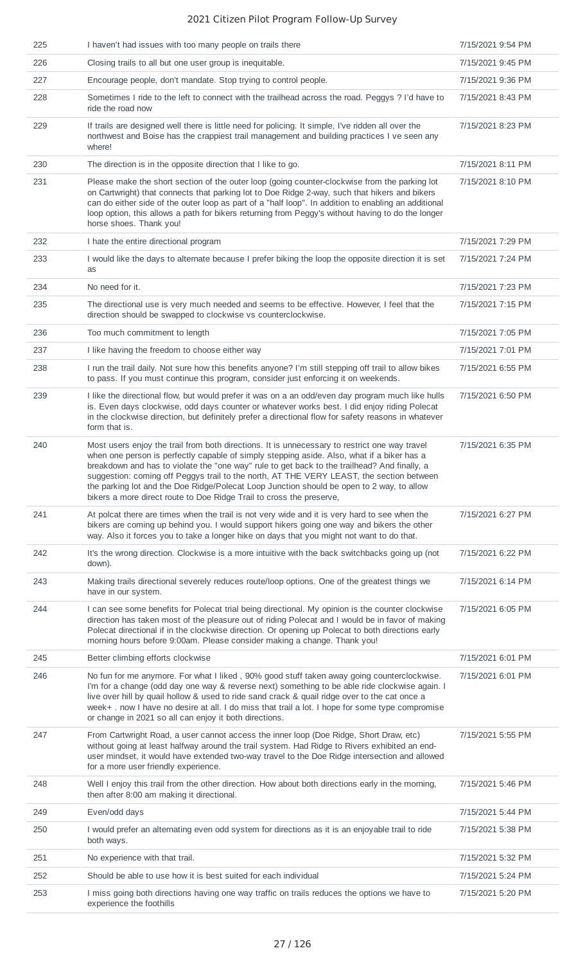| 225 | I haven't had issues with too many people on trails there                                                                                                                                                                                                                                                                                                                                                                                                                                                                                                    | 7/15/2021 9:54 PM |
|-----|--------------------------------------------------------------------------------------------------------------------------------------------------------------------------------------------------------------------------------------------------------------------------------------------------------------------------------------------------------------------------------------------------------------------------------------------------------------------------------------------------------------------------------------------------------------|-------------------|
| 226 | Closing trails to all but one user group is inequitable.                                                                                                                                                                                                                                                                                                                                                                                                                                                                                                     | 7/15/2021 9:45 PM |
| 227 | Encourage people, don't mandate. Stop trying to control people.                                                                                                                                                                                                                                                                                                                                                                                                                                                                                              | 7/15/2021 9:36 PM |
| 228 | Sometimes I ride to the left to connect with the trailhead across the road. Peggys ? I'd have to<br>ride the road now                                                                                                                                                                                                                                                                                                                                                                                                                                        | 7/15/2021 8:43 PM |
| 229 | If trails are designed well there is little need for policing. It simple, I've ridden all over the<br>northwest and Boise has the crappiest trail management and building practices I ve seen any<br>where!                                                                                                                                                                                                                                                                                                                                                  | 7/15/2021 8:23 PM |
| 230 | The direction is in the opposite direction that I like to go.                                                                                                                                                                                                                                                                                                                                                                                                                                                                                                | 7/15/2021 8:11 PM |
| 231 | Please make the short section of the outer loop (going counter-clockwise from the parking lot<br>on Cartwright) that connects that parking lot to Doe Ridge 2-way, such that hikers and bikers<br>can do either side of the outer loop as part of a "half loop". In addition to enabling an additional<br>loop option, this allows a path for bikers returning from Peggy's without having to do the longer<br>horse shoes. Thank you!                                                                                                                       | 7/15/2021 8:10 PM |
| 232 | I hate the entire directional program                                                                                                                                                                                                                                                                                                                                                                                                                                                                                                                        | 7/15/2021 7:29 PM |
| 233 | I would like the days to alternate because I prefer biking the loop the opposite direction it is set<br>as                                                                                                                                                                                                                                                                                                                                                                                                                                                   | 7/15/2021 7:24 PM |
| 234 | No need for it.                                                                                                                                                                                                                                                                                                                                                                                                                                                                                                                                              | 7/15/2021 7:23 PM |
| 235 | The directional use is very much needed and seems to be effective. However, I feel that the<br>direction should be swapped to clockwise vs counterclockwise.                                                                                                                                                                                                                                                                                                                                                                                                 | 7/15/2021 7:15 PM |
| 236 | Too much commitment to length                                                                                                                                                                                                                                                                                                                                                                                                                                                                                                                                | 7/15/2021 7:05 PM |
| 237 | I like having the freedom to choose either way                                                                                                                                                                                                                                                                                                                                                                                                                                                                                                               | 7/15/2021 7:01 PM |
| 238 | I run the trail daily. Not sure how this benefits anyone? I'm still stepping off trail to allow bikes<br>to pass. If you must continue this program, consider just enforcing it on weekends.                                                                                                                                                                                                                                                                                                                                                                 | 7/15/2021 6:55 PM |
| 239 | I like the directional flow, but would prefer it was on a an odd/even day program much like hulls<br>is. Even days clockwise, odd days counter or whatever works best. I did enjoy riding Polecat<br>in the clockwise direction, but definitely prefer a directional flow for safety reasons in whatever<br>form that is.                                                                                                                                                                                                                                    | 7/15/2021 6:50 PM |
| 240 | Most users enjoy the trail from both directions. It is unnecessary to restrict one way travel<br>when one person is perfectly capable of simply stepping aside. Also, what if a biker has a<br>breakdown and has to violate the "one way" rule to get back to the trailhead? And finally, a<br>suggestion: coming off Peggys trail to the north, AT THE VERY LEAST, the section between<br>the parking lot and the Doe Ridge/Polecat Loop Junction should be open to 2 way, to allow<br>bikers a more direct route to Doe Ridge Trail to cross the preserve, | 7/15/2021 6:35 PM |
| 241 | At polcat there are times when the trail is not very wide and it is very hard to see when the<br>bikers are coming up behind you. I would support hikers going one way and bikers the other<br>way. Also it forces you to take a longer hike on days that you might not want to do that.                                                                                                                                                                                                                                                                     | 7/15/2021 6:27 PM |
| 242 | It's the wrong direction. Clockwise is a more intuitive with the back switchbacks going up (not<br>down).                                                                                                                                                                                                                                                                                                                                                                                                                                                    | 7/15/2021 6:22 PM |
| 243 | Making trails directional severely reduces route/loop options. One of the greatest things we<br>have in our system.                                                                                                                                                                                                                                                                                                                                                                                                                                          | 7/15/2021 6:14 PM |
| 244 | I can see some benefits for Polecat trial being directional. My opinion is the counter clockwise<br>direction has taken most of the pleasure out of riding Polecat and I would be in favor of making<br>Polecat directional if in the clockwise direction. Or opening up Polecat to both directions early<br>morning hours before 9:00am. Please consider making a change. Thank you!                                                                                                                                                                        | 7/15/2021 6:05 PM |
| 245 | Better climbing efforts clockwise                                                                                                                                                                                                                                                                                                                                                                                                                                                                                                                            | 7/15/2021 6:01 PM |
| 246 | No fun for me anymore. For what I liked, 90% good stuff taken away going counterclockwise.<br>I'm for a change (odd day one way & reverse next) something to be able ride clockwise again. I<br>live over hill by quail hollow & used to ride sand crack & quail ridge over to the cat once a<br>week+ . now I have no desire at all. I do miss that trail a lot. I hope for some type compromise<br>or change in 2021 so all can enjoy it both directions.                                                                                                  | 7/15/2021 6:01 PM |
| 247 | From Cartwright Road, a user cannot access the inner loop (Doe Ridge, Short Draw, etc)<br>without going at least halfway around the trail system. Had Ridge to Rivers exhibited an end-<br>user mindset, it would have extended two-way travel to the Doe Ridge intersection and allowed<br>for a more user friendly experience.                                                                                                                                                                                                                             | 7/15/2021 5:55 PM |
| 248 | Well I enjoy this trail from the other direction. How about both directions early in the morning,<br>then after 8:00 am making it directional.                                                                                                                                                                                                                                                                                                                                                                                                               | 7/15/2021 5:46 PM |
| 249 | Even/odd days                                                                                                                                                                                                                                                                                                                                                                                                                                                                                                                                                | 7/15/2021 5:44 PM |
| 250 | I would prefer an alternating even odd system for directions as it is an enjoyable trail to ride<br>both ways.                                                                                                                                                                                                                                                                                                                                                                                                                                               | 7/15/2021 5:38 PM |
| 251 | No experience with that trail.                                                                                                                                                                                                                                                                                                                                                                                                                                                                                                                               | 7/15/2021 5:32 PM |
| 252 | Should be able to use how it is best suited for each individual                                                                                                                                                                                                                                                                                                                                                                                                                                                                                              | 7/15/2021 5:24 PM |
| 253 | I miss going both directions having one way traffic on trails reduces the options we have to<br>experience the foothills                                                                                                                                                                                                                                                                                                                                                                                                                                     | 7/15/2021 5:20 PM |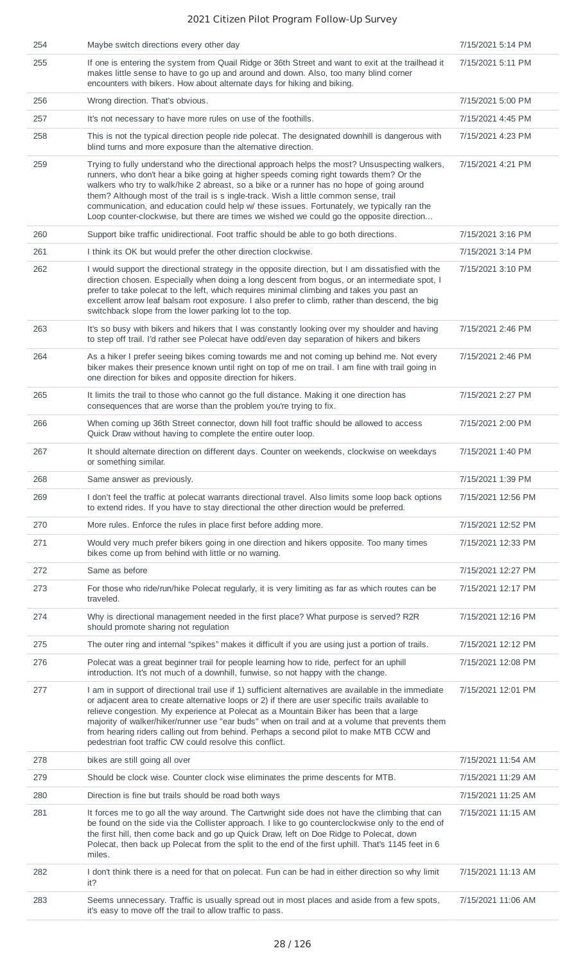| 254 | Maybe switch directions every other day                                                                                                                                                                                                                                                                                                                                                                                                                                                                                                                                 | 7/15/2021 5:14 PM  |
|-----|-------------------------------------------------------------------------------------------------------------------------------------------------------------------------------------------------------------------------------------------------------------------------------------------------------------------------------------------------------------------------------------------------------------------------------------------------------------------------------------------------------------------------------------------------------------------------|--------------------|
| 255 | If one is entering the system from Quail Ridge or 36th Street and want to exit at the trailhead it<br>makes little sense to have to go up and around and down. Also, too many blind corner<br>encounters with bikers. How about alternate days for hiking and biking.                                                                                                                                                                                                                                                                                                   | 7/15/2021 5:11 PM  |
| 256 | Wrong direction. That's obvious.                                                                                                                                                                                                                                                                                                                                                                                                                                                                                                                                        | 7/15/2021 5:00 PM  |
| 257 | It's not necessary to have more rules on use of the foothills.                                                                                                                                                                                                                                                                                                                                                                                                                                                                                                          | 7/15/2021 4:45 PM  |
| 258 | This is not the typical direction people ride polecat. The designated downhill is dangerous with<br>blind turns and more exposure than the alternative direction.                                                                                                                                                                                                                                                                                                                                                                                                       | 7/15/2021 4:23 PM  |
| 259 | Trying to fully understand who the directional approach helps the most? Unsuspecting walkers,<br>runners, who don't hear a bike going at higher speeds coming right towards them? Or the<br>walkers who try to walk/hike 2 abreast, so a bike or a runner has no hope of going around<br>them? Although most of the trail is s ingle-track. Wish a little common sense, trail<br>communication, and education could help w/ these issues. Fortunately, we typically ran the<br>Loop counter-clockwise, but there are times we wished we could go the opposite direction | 7/15/2021 4:21 PM  |
| 260 | Support bike traffic unidirectional. Foot traffic should be able to go both directions.                                                                                                                                                                                                                                                                                                                                                                                                                                                                                 | 7/15/2021 3:16 PM  |
| 261 | I think its OK but would prefer the other direction clockwise.                                                                                                                                                                                                                                                                                                                                                                                                                                                                                                          | 7/15/2021 3:14 PM  |
| 262 | I would support the directional strategy in the opposite direction, but I am dissatisfied with the<br>direction chosen. Especially when doing a long descent from bogus, or an intermediate spot, I<br>prefer to take polecat to the left, which requires minimal climbing and takes you past an<br>excellent arrow leaf balsam root exposure. I also prefer to climb, rather than descend, the big<br>switchback slope from the lower parking lot to the top.                                                                                                          | 7/15/2021 3:10 PM  |
| 263 | It's so busy with bikers and hikers that I was constantly looking over my shoulder and having<br>to step off trail. I'd rather see Polecat have odd/even day separation of hikers and bikers                                                                                                                                                                                                                                                                                                                                                                            | 7/15/2021 2:46 PM  |
| 264 | As a hiker I prefer seeing bikes coming towards me and not coming up behind me. Not every<br>biker makes their presence known until right on top of me on trail. I am fine with trail going in<br>one direction for bikes and opposite direction for hikers.                                                                                                                                                                                                                                                                                                            | 7/15/2021 2:46 PM  |
| 265 | It limits the trail to those who cannot go the full distance. Making it one direction has<br>consequences that are worse than the problem you're trying to fix.                                                                                                                                                                                                                                                                                                                                                                                                         | 7/15/2021 2:27 PM  |
| 266 | When coming up 36th Street connector, down hill foot traffic should be allowed to access<br>Quick Draw without having to complete the entire outer loop.                                                                                                                                                                                                                                                                                                                                                                                                                | 7/15/2021 2:00 PM  |
| 267 | It should alternate direction on different days. Counter on weekends, clockwise on weekdays<br>or something similar.                                                                                                                                                                                                                                                                                                                                                                                                                                                    | 7/15/2021 1:40 PM  |
| 268 | Same answer as previously.                                                                                                                                                                                                                                                                                                                                                                                                                                                                                                                                              | 7/15/2021 1:39 PM  |
| 269 | I don't feel the traffic at polecat warrants directional travel. Also limits some loop back options<br>to extend rides. If you have to stay directional the other direction would be preferred.                                                                                                                                                                                                                                                                                                                                                                         | 7/15/2021 12:56 PM |
| 270 | More rules. Enforce the rules in place first before adding more.                                                                                                                                                                                                                                                                                                                                                                                                                                                                                                        | 7/15/2021 12:52 PM |
| 271 | Would very much prefer bikers going in one direction and hikers opposite. Too many times<br>bikes come up from behind with little or no warning.                                                                                                                                                                                                                                                                                                                                                                                                                        | 7/15/2021 12:33 PM |
| 272 | Same as before                                                                                                                                                                                                                                                                                                                                                                                                                                                                                                                                                          | 7/15/2021 12:27 PM |
| 273 | For those who ride/run/hike Polecat regularly, it is very limiting as far as which routes can be<br>traveled.                                                                                                                                                                                                                                                                                                                                                                                                                                                           | 7/15/2021 12:17 PM |
| 274 | Why is directional management needed in the first place? What purpose is served? R2R<br>should promote sharing not regulation                                                                                                                                                                                                                                                                                                                                                                                                                                           | 7/15/2021 12:16 PM |
| 275 | The outer ring and internal "spikes" makes it difficult if you are using just a portion of trails.                                                                                                                                                                                                                                                                                                                                                                                                                                                                      | 7/15/2021 12:12 PM |
| 276 | Polecat was a great beginner trail for people learning how to ride, perfect for an uphill<br>introduction. It's not much of a downhill, funwise, so not happy with the change.                                                                                                                                                                                                                                                                                                                                                                                          | 7/15/2021 12:08 PM |
| 277 | I am in support of directional trail use if 1) sufficient alternatives are available in the immediate<br>or adjacent area to create alternative loops or 2) if there are user specific trails available to<br>relieve congestion. My experience at Polecat as a Mountain Biker has been that a large<br>majority of walker/hiker/runner use "ear buds" when on trail and at a volume that prevents them<br>from hearing riders calling out from behind. Perhaps a second pilot to make MTB CCW and<br>pedestrian foot traffic CW could resolve this conflict.           | 7/15/2021 12:01 PM |
| 278 | bikes are still going all over                                                                                                                                                                                                                                                                                                                                                                                                                                                                                                                                          | 7/15/2021 11:54 AM |
| 279 | Should be clock wise. Counter clock wise eliminates the prime descents for MTB.                                                                                                                                                                                                                                                                                                                                                                                                                                                                                         | 7/15/2021 11:29 AM |
| 280 | Direction is fine but trails should be road both ways                                                                                                                                                                                                                                                                                                                                                                                                                                                                                                                   | 7/15/2021 11:25 AM |
| 281 | It forces me to go all the way around. The Cartwright side does not have the climbing that can<br>be found on the side via the Collister approach. I like to go counterclockwise only to the end of<br>the first hill, then come back and go up Quick Draw, left on Doe Ridge to Polecat, down<br>Polecat, then back up Polecat from the split to the end of the first uphill. That's 1145 feet in 6<br>miles.                                                                                                                                                          | 7/15/2021 11:15 AM |
| 282 | I don't think there is a need for that on polecat. Fun can be had in either direction so why limit<br>it?                                                                                                                                                                                                                                                                                                                                                                                                                                                               | 7/15/2021 11:13 AM |
| 283 | Seems unnecessary. Traffic is usually spread out in most places and aside from a few spots,<br>it's easy to move off the trail to allow traffic to pass.                                                                                                                                                                                                                                                                                                                                                                                                                | 7/15/2021 11:06 AM |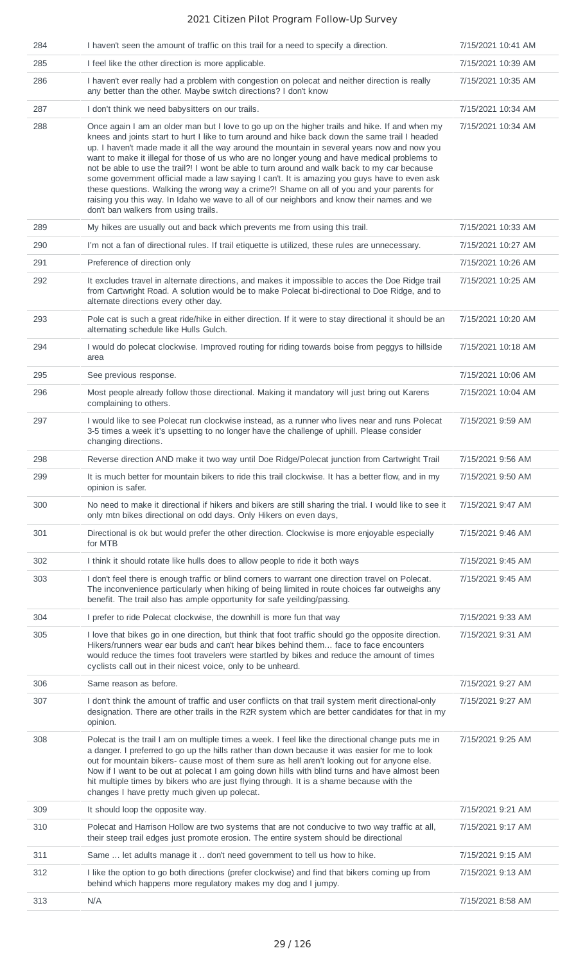| 284 | I haven't seen the amount of traffic on this trail for a need to specify a direction.                                                                                                                                                                                                                                                                                                                                                                                                                                                                                                                                                                                                                                                                                                                                              | 7/15/2021 10:41 AM |
|-----|------------------------------------------------------------------------------------------------------------------------------------------------------------------------------------------------------------------------------------------------------------------------------------------------------------------------------------------------------------------------------------------------------------------------------------------------------------------------------------------------------------------------------------------------------------------------------------------------------------------------------------------------------------------------------------------------------------------------------------------------------------------------------------------------------------------------------------|--------------------|
| 285 | I feel like the other direction is more applicable.                                                                                                                                                                                                                                                                                                                                                                                                                                                                                                                                                                                                                                                                                                                                                                                | 7/15/2021 10:39 AM |
| 286 | I haven't ever really had a problem with congestion on polecat and neither direction is really<br>any better than the other. Maybe switch directions? I don't know                                                                                                                                                                                                                                                                                                                                                                                                                                                                                                                                                                                                                                                                 | 7/15/2021 10:35 AM |
| 287 | I don't think we need babysitters on our trails.                                                                                                                                                                                                                                                                                                                                                                                                                                                                                                                                                                                                                                                                                                                                                                                   | 7/15/2021 10:34 AM |
| 288 | Once again I am an older man but I love to go up on the higher trails and hike. If and when my<br>knees and joints start to hurt I like to turn around and hike back down the same trail I headed<br>up. I haven't made made it all the way around the mountain in several years now and now you<br>want to make it illegal for those of us who are no longer young and have medical problems to<br>not be able to use the trail?! I wont be able to turn around and walk back to my car because<br>some government official made a law saying I can't. It is amazing you guys have to even ask<br>these questions. Walking the wrong way a crime?! Shame on all of you and your parents for<br>raising you this way. In Idaho we wave to all of our neighbors and know their names and we<br>don't ban walkers from using trails. | 7/15/2021 10:34 AM |
| 289 | My hikes are usually out and back which prevents me from using this trail.                                                                                                                                                                                                                                                                                                                                                                                                                                                                                                                                                                                                                                                                                                                                                         | 7/15/2021 10:33 AM |
| 290 | I'm not a fan of directional rules. If trail etiquette is utilized, these rules are unnecessary.                                                                                                                                                                                                                                                                                                                                                                                                                                                                                                                                                                                                                                                                                                                                   | 7/15/2021 10:27 AM |
| 291 | Preference of direction only                                                                                                                                                                                                                                                                                                                                                                                                                                                                                                                                                                                                                                                                                                                                                                                                       | 7/15/2021 10:26 AM |
| 292 | It excludes travel in alternate directions, and makes it impossible to acces the Doe Ridge trail<br>from Cartwright Road. A solution would be to make Polecat bi-directional to Doe Ridge, and to<br>alternate directions every other day.                                                                                                                                                                                                                                                                                                                                                                                                                                                                                                                                                                                         | 7/15/2021 10:25 AM |
| 293 | Pole cat is such a great ride/hike in either direction. If it were to stay directional it should be an<br>alternating schedule like Hulls Gulch.                                                                                                                                                                                                                                                                                                                                                                                                                                                                                                                                                                                                                                                                                   | 7/15/2021 10:20 AM |
| 294 | I would do polecat clockwise. Improved routing for riding towards boise from peggys to hillside<br>area                                                                                                                                                                                                                                                                                                                                                                                                                                                                                                                                                                                                                                                                                                                            | 7/15/2021 10:18 AM |
| 295 | See previous response.                                                                                                                                                                                                                                                                                                                                                                                                                                                                                                                                                                                                                                                                                                                                                                                                             | 7/15/2021 10:06 AM |
| 296 | Most people already follow those directional. Making it mandatory will just bring out Karens<br>complaining to others.                                                                                                                                                                                                                                                                                                                                                                                                                                                                                                                                                                                                                                                                                                             | 7/15/2021 10:04 AM |
| 297 | I would like to see Polecat run clockwise instead, as a runner who lives near and runs Polecat<br>3-5 times a week it's upsetting to no longer have the challenge of uphill. Please consider<br>changing directions.                                                                                                                                                                                                                                                                                                                                                                                                                                                                                                                                                                                                               | 7/15/2021 9:59 AM  |
| 298 | Reverse direction AND make it two way until Doe Ridge/Polecat junction from Cartwright Trail                                                                                                                                                                                                                                                                                                                                                                                                                                                                                                                                                                                                                                                                                                                                       | 7/15/2021 9:56 AM  |
| 299 | It is much better for mountain bikers to ride this trail clockwise. It has a better flow, and in my<br>opinion is safer.                                                                                                                                                                                                                                                                                                                                                                                                                                                                                                                                                                                                                                                                                                           | 7/15/2021 9:50 AM  |
| 300 | No need to make it directional if hikers and bikers are still sharing the trial. I would like to see it<br>only mtn bikes directional on odd days. Only Hikers on even days,                                                                                                                                                                                                                                                                                                                                                                                                                                                                                                                                                                                                                                                       | 7/15/2021 9:47 AM  |
| 301 | Directional is ok but would prefer the other direction. Clockwise is more enjoyable especially<br>for MTB                                                                                                                                                                                                                                                                                                                                                                                                                                                                                                                                                                                                                                                                                                                          | 7/15/2021 9:46 AM  |
| 302 | I think it should rotate like hulls does to allow people to ride it both ways                                                                                                                                                                                                                                                                                                                                                                                                                                                                                                                                                                                                                                                                                                                                                      | 7/15/2021 9:45 AM  |
| 303 | I don't feel there is enough traffic or blind corners to warrant one direction travel on Polecat.<br>The inconvenience particularly when hiking of being limited in route choices far outweighs any<br>benefit. The trail also has ample opportunity for safe yeilding/passing.                                                                                                                                                                                                                                                                                                                                                                                                                                                                                                                                                    | 7/15/2021 9:45 AM  |
| 304 | I prefer to ride Polecat clockwise, the downhill is more fun that way                                                                                                                                                                                                                                                                                                                                                                                                                                                                                                                                                                                                                                                                                                                                                              | 7/15/2021 9:33 AM  |
| 305 | I love that bikes go in one direction, but think that foot traffic should go the opposite direction.<br>Hikers/runners wear ear buds and can't hear bikes behind them face to face encounters<br>would reduce the times foot travelers were startled by bikes and reduce the amount of times<br>cyclists call out in their nicest voice, only to be unheard.                                                                                                                                                                                                                                                                                                                                                                                                                                                                       | 7/15/2021 9:31 AM  |
| 306 | Same reason as before.                                                                                                                                                                                                                                                                                                                                                                                                                                                                                                                                                                                                                                                                                                                                                                                                             | 7/15/2021 9:27 AM  |
| 307 | I don't think the amount of traffic and user conflicts on that trail system merit directional-only<br>designation. There are other trails in the R2R system which are better candidates for that in my<br>opinion.                                                                                                                                                                                                                                                                                                                                                                                                                                                                                                                                                                                                                 | 7/15/2021 9:27 AM  |
| 308 | Polecat is the trail I am on multiple times a week. I feel like the directional change puts me in<br>a danger. I preferred to go up the hills rather than down because it was easier for me to look<br>out for mountain bikers- cause most of them sure as hell aren't looking out for anyone else.<br>Now if I want to be out at polecat I am going down hills with blind turns and have almost been<br>hit multiple times by bikers who are just flying through. It is a shame because with the<br>changes I have pretty much given up polecat.                                                                                                                                                                                                                                                                                  | 7/15/2021 9:25 AM  |
| 309 | It should loop the opposite way.                                                                                                                                                                                                                                                                                                                                                                                                                                                                                                                                                                                                                                                                                                                                                                                                   | 7/15/2021 9:21 AM  |
| 310 | Polecat and Harrison Hollow are two systems that are not conducive to two way traffic at all,<br>their steep trail edges just promote erosion. The entire system should be directional                                                                                                                                                                                                                                                                                                                                                                                                                                                                                                                                                                                                                                             | 7/15/2021 9:17 AM  |
| 311 | Same  let adults manage it  don't need government to tell us how to hike.                                                                                                                                                                                                                                                                                                                                                                                                                                                                                                                                                                                                                                                                                                                                                          | 7/15/2021 9:15 AM  |
| 312 | I like the option to go both directions (prefer clockwise) and find that bikers coming up from<br>behind which happens more regulatory makes my dog and I jumpy.                                                                                                                                                                                                                                                                                                                                                                                                                                                                                                                                                                                                                                                                   | 7/15/2021 9:13 AM  |
| 313 | N/A                                                                                                                                                                                                                                                                                                                                                                                                                                                                                                                                                                                                                                                                                                                                                                                                                                | 7/15/2021 8:58 AM  |
|     |                                                                                                                                                                                                                                                                                                                                                                                                                                                                                                                                                                                                                                                                                                                                                                                                                                    |                    |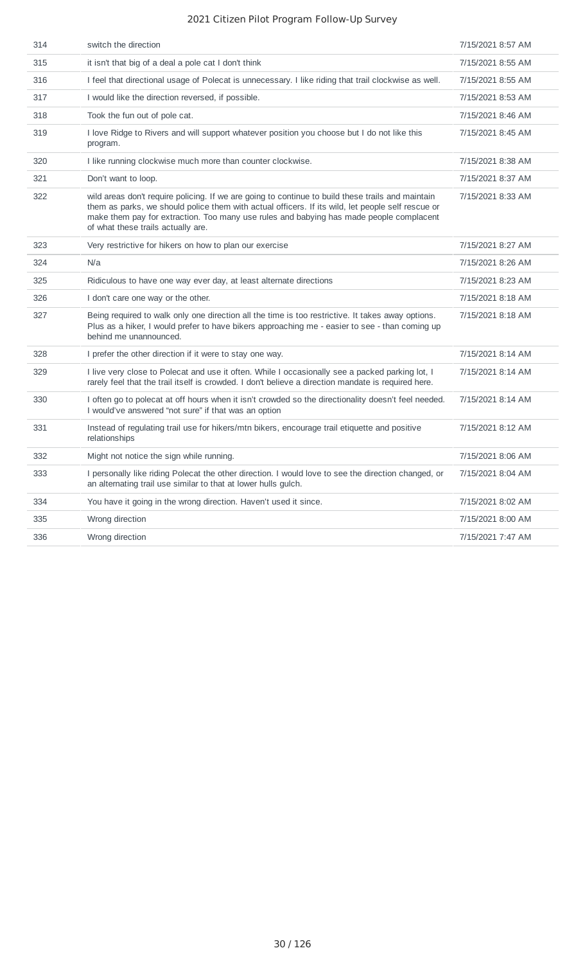| 314 | switch the direction                                                                                                                                                                                                                                                                                                                    | 7/15/2021 8:57 AM |
|-----|-----------------------------------------------------------------------------------------------------------------------------------------------------------------------------------------------------------------------------------------------------------------------------------------------------------------------------------------|-------------------|
| 315 | it isn't that big of a deal a pole cat I don't think                                                                                                                                                                                                                                                                                    | 7/15/2021 8:55 AM |
| 316 | I feel that directional usage of Polecat is unnecessary. I like riding that trail clockwise as well.                                                                                                                                                                                                                                    | 7/15/2021 8:55 AM |
| 317 | I would like the direction reversed, if possible.                                                                                                                                                                                                                                                                                       | 7/15/2021 8:53 AM |
| 318 | Took the fun out of pole cat.                                                                                                                                                                                                                                                                                                           | 7/15/2021 8:46 AM |
| 319 | I love Ridge to Rivers and will support whatever position you choose but I do not like this<br>program.                                                                                                                                                                                                                                 | 7/15/2021 8:45 AM |
| 320 | I like running clockwise much more than counter clockwise.                                                                                                                                                                                                                                                                              | 7/15/2021 8:38 AM |
| 321 | Don't want to loop.                                                                                                                                                                                                                                                                                                                     | 7/15/2021 8:37 AM |
| 322 | wild areas don't require policing. If we are going to continue to build these trails and maintain<br>them as parks, we should police them with actual officers. If its wild, let people self rescue or<br>make them pay for extraction. Too many use rules and babying has made people complacent<br>of what these trails actually are. | 7/15/2021 8:33 AM |
| 323 | Very restrictive for hikers on how to plan our exercise                                                                                                                                                                                                                                                                                 | 7/15/2021 8:27 AM |
| 324 | N/a                                                                                                                                                                                                                                                                                                                                     | 7/15/2021 8:26 AM |
| 325 | Ridiculous to have one way ever day, at least alternate directions                                                                                                                                                                                                                                                                      | 7/15/2021 8:23 AM |
| 326 | I don't care one way or the other.                                                                                                                                                                                                                                                                                                      | 7/15/2021 8:18 AM |
| 327 | Being required to walk only one direction all the time is too restrictive. It takes away options.<br>Plus as a hiker, I would prefer to have bikers approaching me - easier to see - than coming up<br>behind me unannounced.                                                                                                           | 7/15/2021 8:18 AM |
| 328 | I prefer the other direction if it were to stay one way.                                                                                                                                                                                                                                                                                | 7/15/2021 8:14 AM |
| 329 | I live very close to Polecat and use it often. While I occasionally see a packed parking lot, I<br>rarely feel that the trail itself is crowded. I don't believe a direction mandate is required here.                                                                                                                                  | 7/15/2021 8:14 AM |
| 330 | I often go to polecat at off hours when it isn't crowded so the directionality doesn't feel needed.<br>I would've answered "not sure" if that was an option                                                                                                                                                                             | 7/15/2021 8:14 AM |
| 331 | Instead of regulating trail use for hikers/mtn bikers, encourage trail etiquette and positive<br>relationships                                                                                                                                                                                                                          | 7/15/2021 8:12 AM |
| 332 | Might not notice the sign while running.                                                                                                                                                                                                                                                                                                | 7/15/2021 8:06 AM |
| 333 | I personally like riding Polecat the other direction. I would love to see the direction changed, or<br>an alternating trail use similar to that at lower hulls gulch.                                                                                                                                                                   | 7/15/2021 8:04 AM |
| 334 | You have it going in the wrong direction. Haven't used it since.                                                                                                                                                                                                                                                                        | 7/15/2021 8:02 AM |
| 335 | Wrong direction                                                                                                                                                                                                                                                                                                                         | 7/15/2021 8:00 AM |
| 336 | Wrong direction                                                                                                                                                                                                                                                                                                                         | 7/15/2021 7:47 AM |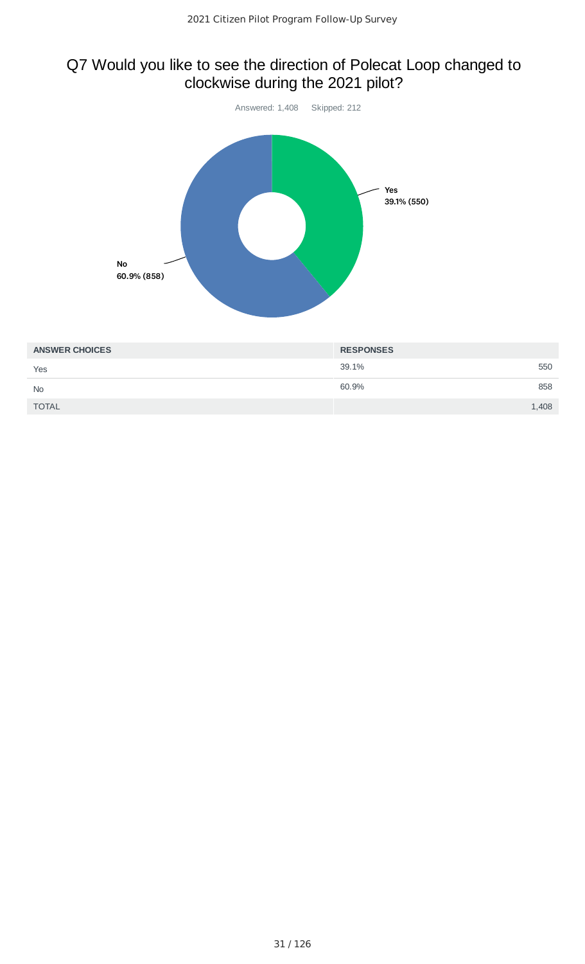# Q7 Would you like to see the direction of Polecat Loop changed to clockwise during the 2021 pilot?



| <b>ANSWER CHOICES</b> | <b>RESPONSES</b> |
|-----------------------|------------------|
| Yes                   | 39.1%<br>550     |
| <b>No</b>             | 60.9%<br>858     |
| <b>TOTAL</b>          | 1,408            |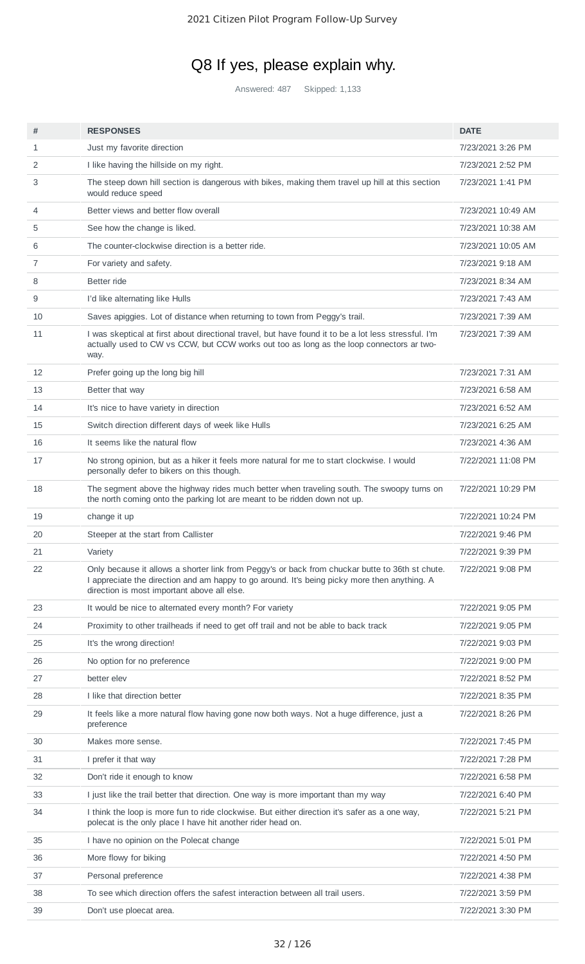# Q8 If yes, please explain why.

Answered: 487 Skipped: 1,133

| #  | <b>RESPONSES</b>                                                                                                                                                                                                                               | <b>DATE</b>        |
|----|------------------------------------------------------------------------------------------------------------------------------------------------------------------------------------------------------------------------------------------------|--------------------|
| 1  | Just my favorite direction                                                                                                                                                                                                                     | 7/23/2021 3:26 PM  |
| 2  | I like having the hillside on my right.                                                                                                                                                                                                        | 7/23/2021 2:52 PM  |
| 3  | The steep down hill section is dangerous with bikes, making them travel up hill at this section<br>would reduce speed                                                                                                                          | 7/23/2021 1:41 PM  |
| 4  | Better views and better flow overall                                                                                                                                                                                                           | 7/23/2021 10:49 AM |
| 5  | See how the change is liked.                                                                                                                                                                                                                   | 7/23/2021 10:38 AM |
| 6  | The counter-clockwise direction is a better ride.                                                                                                                                                                                              | 7/23/2021 10:05 AM |
| 7  | For variety and safety.                                                                                                                                                                                                                        | 7/23/2021 9:18 AM  |
| 8  | Better ride                                                                                                                                                                                                                                    | 7/23/2021 8:34 AM  |
| 9  | I'd like alternating like Hulls                                                                                                                                                                                                                | 7/23/2021 7:43 AM  |
| 10 | Saves apiggies. Lot of distance when returning to town from Peggy's trail.                                                                                                                                                                     | 7/23/2021 7:39 AM  |
| 11 | I was skeptical at first about directional travel, but have found it to be a lot less stressful. I'm<br>actually used to CW vs CCW, but CCW works out too as long as the loop connectors ar two-<br>way.                                       | 7/23/2021 7:39 AM  |
| 12 | Prefer going up the long big hill                                                                                                                                                                                                              | 7/23/2021 7:31 AM  |
| 13 | Better that way                                                                                                                                                                                                                                | 7/23/2021 6:58 AM  |
| 14 | It's nice to have variety in direction                                                                                                                                                                                                         | 7/23/2021 6:52 AM  |
| 15 | Switch direction different days of week like Hulls                                                                                                                                                                                             | 7/23/2021 6:25 AM  |
| 16 | It seems like the natural flow                                                                                                                                                                                                                 | 7/23/2021 4:36 AM  |
| 17 | No strong opinion, but as a hiker it feels more natural for me to start clockwise. I would<br>personally defer to bikers on this though.                                                                                                       | 7/22/2021 11:08 PM |
| 18 | The segment above the highway rides much better when traveling south. The swoopy turns on<br>the north coming onto the parking lot are meant to be ridden down not up.                                                                         | 7/22/2021 10:29 PM |
| 19 | change it up                                                                                                                                                                                                                                   | 7/22/2021 10:24 PM |
| 20 | Steeper at the start from Callister                                                                                                                                                                                                            | 7/22/2021 9:46 PM  |
| 21 | Variety                                                                                                                                                                                                                                        | 7/22/2021 9:39 PM  |
| 22 | Only because it allows a shorter link from Peggy's or back from chuckar butte to 36th st chute.<br>I appreciate the direction and am happy to go around. It's being picky more then anything. A<br>direction is most important above all else. | 7/22/2021 9:08 PM  |
| 23 | It would be nice to alternated every month? For variety                                                                                                                                                                                        | 7/22/2021 9:05 PM  |
| 24 | Proximity to other trailheads if need to get off trail and not be able to back track                                                                                                                                                           | 7/22/2021 9:05 PM  |
| 25 | It's the wrong direction!                                                                                                                                                                                                                      | 7/22/2021 9:03 PM  |
| 26 | No option for no preference                                                                                                                                                                                                                    | 7/22/2021 9:00 PM  |
| 27 | better elev                                                                                                                                                                                                                                    | 7/22/2021 8:52 PM  |
| 28 | I like that direction better                                                                                                                                                                                                                   | 7/22/2021 8:35 PM  |
| 29 | It feels like a more natural flow having gone now both ways. Not a huge difference, just a<br>preference                                                                                                                                       | 7/22/2021 8:26 PM  |
| 30 | Makes more sense.                                                                                                                                                                                                                              | 7/22/2021 7:45 PM  |
| 31 | I prefer it that way                                                                                                                                                                                                                           | 7/22/2021 7:28 PM  |
| 32 | Don't ride it enough to know                                                                                                                                                                                                                   | 7/22/2021 6:58 PM  |
| 33 | I just like the trail better that direction. One way is more important than my way                                                                                                                                                             | 7/22/2021 6:40 PM  |
| 34 | I think the loop is more fun to ride clockwise. But either direction it's safer as a one way,<br>polecat is the only place I have hit another rider head on.                                                                                   | 7/22/2021 5:21 PM  |
| 35 | I have no opinion on the Polecat change                                                                                                                                                                                                        | 7/22/2021 5:01 PM  |
| 36 | More flowy for biking                                                                                                                                                                                                                          | 7/22/2021 4:50 PM  |
| 37 | Personal preference                                                                                                                                                                                                                            | 7/22/2021 4:38 PM  |
| 38 | To see which direction offers the safest interaction between all trail users.                                                                                                                                                                  | 7/22/2021 3:59 PM  |
| 39 | Don't use ploecat area.                                                                                                                                                                                                                        | 7/22/2021 3:30 PM  |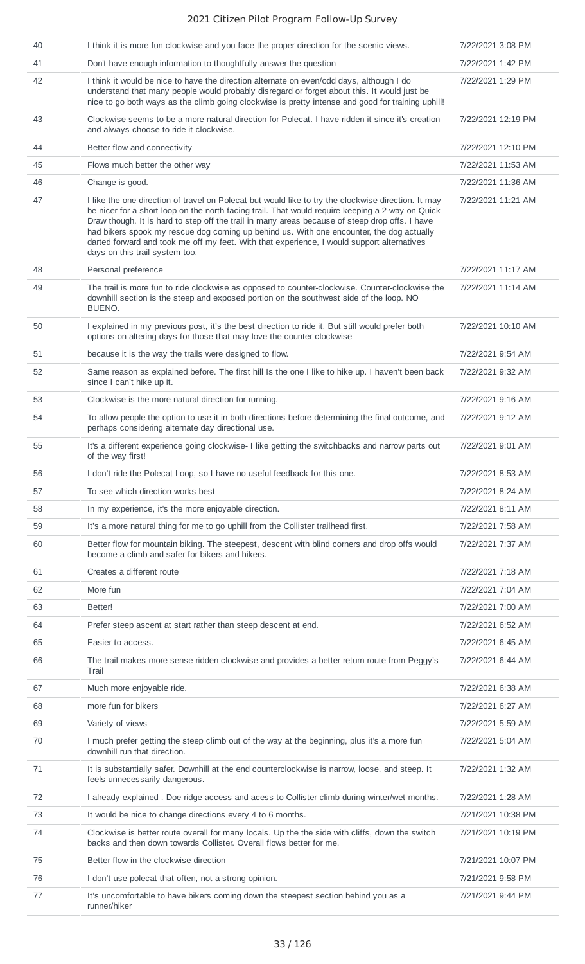| 40 | I think it is more fun clockwise and you face the proper direction for the scenic views.                                                                                                                                                                                                                                                                                                                                                                                                                                              | 7/22/2021 3:08 PM  |
|----|---------------------------------------------------------------------------------------------------------------------------------------------------------------------------------------------------------------------------------------------------------------------------------------------------------------------------------------------------------------------------------------------------------------------------------------------------------------------------------------------------------------------------------------|--------------------|
| 41 | Don't have enough information to thoughtfully answer the question                                                                                                                                                                                                                                                                                                                                                                                                                                                                     | 7/22/2021 1:42 PM  |
| 42 | I think it would be nice to have the direction alternate on even/odd days, although I do<br>understand that many people would probably disregard or forget about this. It would just be<br>nice to go both ways as the climb going clockwise is pretty intense and good for training uphill!                                                                                                                                                                                                                                          | 7/22/2021 1:29 PM  |
| 43 | Clockwise seems to be a more natural direction for Polecat. I have ridden it since it's creation<br>and always choose to ride it clockwise.                                                                                                                                                                                                                                                                                                                                                                                           | 7/22/2021 12:19 PM |
| 44 | Better flow and connectivity                                                                                                                                                                                                                                                                                                                                                                                                                                                                                                          | 7/22/2021 12:10 PM |
| 45 | Flows much better the other way                                                                                                                                                                                                                                                                                                                                                                                                                                                                                                       | 7/22/2021 11:53 AM |
| 46 | Change is good.                                                                                                                                                                                                                                                                                                                                                                                                                                                                                                                       | 7/22/2021 11:36 AM |
| 47 | I like the one direction of travel on Polecat but would like to try the clockwise direction. It may<br>be nicer for a short loop on the north facing trail. That would require keeping a 2-way on Quick<br>Draw though. It is hard to step off the trail in many areas because of steep drop offs. I have<br>had bikers spook my rescue dog coming up behind us. With one encounter, the dog actually<br>darted forward and took me off my feet. With that experience, I would support alternatives<br>days on this trail system too. | 7/22/2021 11:21 AM |
| 48 | Personal preference                                                                                                                                                                                                                                                                                                                                                                                                                                                                                                                   | 7/22/2021 11:17 AM |
| 49 | The trail is more fun to ride clockwise as opposed to counter-clockwise. Counter-clockwise the<br>downhill section is the steep and exposed portion on the southwest side of the loop. NO<br>BUENO.                                                                                                                                                                                                                                                                                                                                   | 7/22/2021 11:14 AM |
| 50 | I explained in my previous post, it's the best direction to ride it. But still would prefer both<br>options on altering days for those that may love the counter clockwise                                                                                                                                                                                                                                                                                                                                                            | 7/22/2021 10:10 AM |
| 51 | because it is the way the trails were designed to flow.                                                                                                                                                                                                                                                                                                                                                                                                                                                                               | 7/22/2021 9:54 AM  |
| 52 | Same reason as explained before. The first hill Is the one I like to hike up. I haven't been back<br>since I can't hike up it.                                                                                                                                                                                                                                                                                                                                                                                                        | 7/22/2021 9:32 AM  |
| 53 | Clockwise is the more natural direction for running.                                                                                                                                                                                                                                                                                                                                                                                                                                                                                  | 7/22/2021 9:16 AM  |
| 54 | To allow people the option to use it in both directions before determining the final outcome, and<br>perhaps considering alternate day directional use.                                                                                                                                                                                                                                                                                                                                                                               | 7/22/2021 9:12 AM  |
| 55 | It's a different experience going clockwise- I like getting the switchbacks and narrow parts out<br>of the way first!                                                                                                                                                                                                                                                                                                                                                                                                                 | 7/22/2021 9:01 AM  |
| 56 | I don't ride the Polecat Loop, so I have no useful feedback for this one.                                                                                                                                                                                                                                                                                                                                                                                                                                                             | 7/22/2021 8:53 AM  |
| 57 | To see which direction works best                                                                                                                                                                                                                                                                                                                                                                                                                                                                                                     | 7/22/2021 8:24 AM  |
| 58 | In my experience, it's the more enjoyable direction.                                                                                                                                                                                                                                                                                                                                                                                                                                                                                  | 7/22/2021 8:11 AM  |
| 59 | It's a more natural thing for me to go uphill from the Collister trailhead first.                                                                                                                                                                                                                                                                                                                                                                                                                                                     | 7/22/2021 7:58 AM  |
| 60 | Better flow for mountain biking. The steepest, descent with blind corners and drop offs would<br>become a climb and safer for bikers and hikers.                                                                                                                                                                                                                                                                                                                                                                                      | 7/22/2021 7:37 AM  |
| 61 | Creates a different route                                                                                                                                                                                                                                                                                                                                                                                                                                                                                                             | 7/22/2021 7:18 AM  |
| 62 | More fun                                                                                                                                                                                                                                                                                                                                                                                                                                                                                                                              | 7/22/2021 7:04 AM  |
| 63 | Better!                                                                                                                                                                                                                                                                                                                                                                                                                                                                                                                               | 7/22/2021 7:00 AM  |
| 64 | Prefer steep ascent at start rather than steep descent at end.                                                                                                                                                                                                                                                                                                                                                                                                                                                                        | 7/22/2021 6:52 AM  |
| 65 | Easier to access.                                                                                                                                                                                                                                                                                                                                                                                                                                                                                                                     | 7/22/2021 6:45 AM  |
| 66 | The trail makes more sense ridden clockwise and provides a better return route from Peggy's<br>Trail                                                                                                                                                                                                                                                                                                                                                                                                                                  | 7/22/2021 6:44 AM  |
| 67 | Much more enjoyable ride.                                                                                                                                                                                                                                                                                                                                                                                                                                                                                                             | 7/22/2021 6:38 AM  |
| 68 | more fun for bikers                                                                                                                                                                                                                                                                                                                                                                                                                                                                                                                   | 7/22/2021 6:27 AM  |
| 69 | Variety of views                                                                                                                                                                                                                                                                                                                                                                                                                                                                                                                      | 7/22/2021 5:59 AM  |
| 70 | I much prefer getting the steep climb out of the way at the beginning, plus it's a more fun<br>downhill run that direction.                                                                                                                                                                                                                                                                                                                                                                                                           | 7/22/2021 5:04 AM  |
| 71 | It is substantially safer. Downhill at the end counterclockwise is narrow, loose, and steep. It<br>feels unnecessarily dangerous.                                                                                                                                                                                                                                                                                                                                                                                                     | 7/22/2021 1:32 AM  |
| 72 | I already explained . Doe ridge access and acess to Collister climb during winter/wet months.                                                                                                                                                                                                                                                                                                                                                                                                                                         | 7/22/2021 1:28 AM  |
| 73 | It would be nice to change directions every 4 to 6 months.                                                                                                                                                                                                                                                                                                                                                                                                                                                                            | 7/21/2021 10:38 PM |
| 74 | Clockwise is better route overall for many locals. Up the the side with cliffs, down the switch<br>backs and then down towards Collister. Overall flows better for me.                                                                                                                                                                                                                                                                                                                                                                | 7/21/2021 10:19 PM |
| 75 | Better flow in the clockwise direction                                                                                                                                                                                                                                                                                                                                                                                                                                                                                                | 7/21/2021 10:07 PM |
| 76 | I don't use polecat that often, not a strong opinion.                                                                                                                                                                                                                                                                                                                                                                                                                                                                                 | 7/21/2021 9:58 PM  |
| 77 | It's uncomfortable to have bikers coming down the steepest section behind you as a<br>runner/hiker                                                                                                                                                                                                                                                                                                                                                                                                                                    | 7/21/2021 9:44 PM  |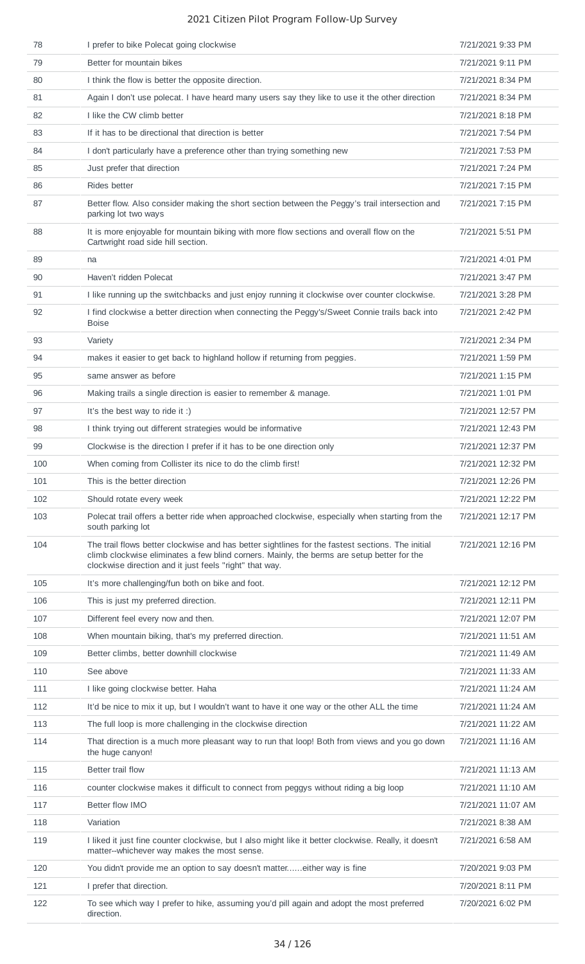| 78  | I prefer to bike Polecat going clockwise                                                                                                                                                                                                                  | 7/21/2021 9:33 PM  |
|-----|-----------------------------------------------------------------------------------------------------------------------------------------------------------------------------------------------------------------------------------------------------------|--------------------|
| 79  | Better for mountain bikes                                                                                                                                                                                                                                 | 7/21/2021 9:11 PM  |
| 80  | I think the flow is better the opposite direction.                                                                                                                                                                                                        | 7/21/2021 8:34 PM  |
| 81  | Again I don't use polecat. I have heard many users say they like to use it the other direction                                                                                                                                                            | 7/21/2021 8:34 PM  |
| 82  | I like the CW climb better                                                                                                                                                                                                                                | 7/21/2021 8:18 PM  |
| 83  | If it has to be directional that direction is better                                                                                                                                                                                                      | 7/21/2021 7:54 PM  |
| 84  | I don't particularly have a preference other than trying something new                                                                                                                                                                                    | 7/21/2021 7:53 PM  |
| 85  | Just prefer that direction                                                                                                                                                                                                                                | 7/21/2021 7:24 PM  |
| 86  | Rides better                                                                                                                                                                                                                                              | 7/21/2021 7:15 PM  |
| 87  | Better flow. Also consider making the short section between the Peggy's trail intersection and<br>parking lot two ways                                                                                                                                    | 7/21/2021 7:15 PM  |
| 88  | It is more enjoyable for mountain biking with more flow sections and overall flow on the<br>Cartwright road side hill section.                                                                                                                            | 7/21/2021 5:51 PM  |
| 89  | na                                                                                                                                                                                                                                                        | 7/21/2021 4:01 PM  |
| 90  | Haven't ridden Polecat                                                                                                                                                                                                                                    | 7/21/2021 3:47 PM  |
| 91  | I like running up the switchbacks and just enjoy running it clockwise over counter clockwise.                                                                                                                                                             | 7/21/2021 3:28 PM  |
| 92  | I find clockwise a better direction when connecting the Peggy's/Sweet Connie trails back into<br><b>Boise</b>                                                                                                                                             | 7/21/2021 2:42 PM  |
| 93  | Variety                                                                                                                                                                                                                                                   | 7/21/2021 2:34 PM  |
| 94  | makes it easier to get back to highland hollow if returning from peggies.                                                                                                                                                                                 | 7/21/2021 1:59 PM  |
| 95  | same answer as before                                                                                                                                                                                                                                     | 7/21/2021 1:15 PM  |
| 96  | Making trails a single direction is easier to remember & manage.                                                                                                                                                                                          | 7/21/2021 1:01 PM  |
| 97  | It's the best way to ride it :)                                                                                                                                                                                                                           | 7/21/2021 12:57 PM |
| 98  | I think trying out different strategies would be informative                                                                                                                                                                                              | 7/21/2021 12:43 PM |
| 99  | Clockwise is the direction I prefer if it has to be one direction only                                                                                                                                                                                    | 7/21/2021 12:37 PM |
| 100 | When coming from Collister its nice to do the climb first!                                                                                                                                                                                                | 7/21/2021 12:32 PM |
| 101 | This is the better direction                                                                                                                                                                                                                              | 7/21/2021 12:26 PM |
| 102 | Should rotate every week                                                                                                                                                                                                                                  | 7/21/2021 12:22 PM |
| 103 | Polecat trail offers a better ride when approached clockwise, especially when starting from the<br>south parking lot                                                                                                                                      | 7/21/2021 12:17 PM |
| 104 | The trail flows better clockwise and has better sightlines for the fastest sections. The initial<br>climb clockwise eliminates a few blind corners. Mainly, the berms are setup better for the<br>clockwise direction and it just feels "right" that way. | 7/21/2021 12:16 PM |
| 105 | It's more challenging/fun both on bike and foot.                                                                                                                                                                                                          | 7/21/2021 12:12 PM |
| 106 | This is just my preferred direction.                                                                                                                                                                                                                      | 7/21/2021 12:11 PM |
| 107 | Different feel every now and then.                                                                                                                                                                                                                        | 7/21/2021 12:07 PM |
| 108 | When mountain biking, that's my preferred direction.                                                                                                                                                                                                      | 7/21/2021 11:51 AM |
| 109 | Better climbs, better downhill clockwise                                                                                                                                                                                                                  | 7/21/2021 11:49 AM |
| 110 | See above                                                                                                                                                                                                                                                 | 7/21/2021 11:33 AM |
| 111 | I like going clockwise better. Haha                                                                                                                                                                                                                       | 7/21/2021 11:24 AM |
| 112 | It'd be nice to mix it up, but I wouldn't want to have it one way or the other ALL the time                                                                                                                                                               | 7/21/2021 11:24 AM |
| 113 | The full loop is more challenging in the clockwise direction                                                                                                                                                                                              | 7/21/2021 11:22 AM |
| 114 | That direction is a much more pleasant way to run that loop! Both from views and you go down<br>the huge canyon!                                                                                                                                          | 7/21/2021 11:16 AM |
| 115 | Better trail flow                                                                                                                                                                                                                                         | 7/21/2021 11:13 AM |
| 116 | counter clockwise makes it difficult to connect from peggys without riding a big loop                                                                                                                                                                     | 7/21/2021 11:10 AM |
| 117 | Better flow IMO                                                                                                                                                                                                                                           | 7/21/2021 11:07 AM |
| 118 | Variation                                                                                                                                                                                                                                                 | 7/21/2021 8:38 AM  |
| 119 | I liked it just fine counter clockwise, but I also might like it better clockwise. Really, it doesn't<br>matter--whichever way makes the most sense.                                                                                                      | 7/21/2021 6:58 AM  |
| 120 | You didn't provide me an option to say doesn't matter either way is fine                                                                                                                                                                                  | 7/20/2021 9:03 PM  |
| 121 | I prefer that direction.                                                                                                                                                                                                                                  | 7/20/2021 8:11 PM  |
| 122 | To see which way I prefer to hike, assuming you'd pill again and adopt the most preferred<br>direction.                                                                                                                                                   | 7/20/2021 6:02 PM  |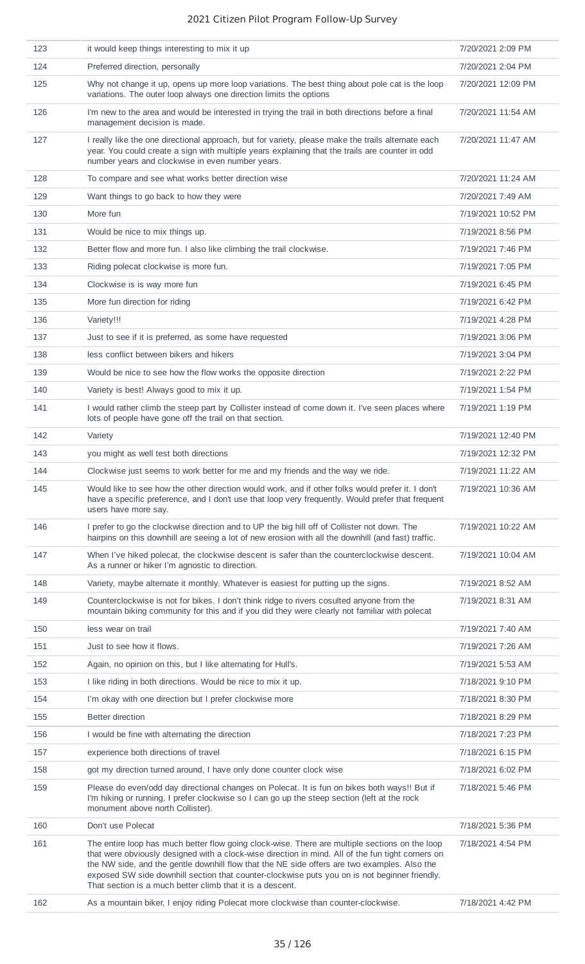| 123 | it would keep things interesting to mix it up                                                                                                                                                                                                                                                                                                                                                                                                                     | 7/20/2021 2:09 PM  |
|-----|-------------------------------------------------------------------------------------------------------------------------------------------------------------------------------------------------------------------------------------------------------------------------------------------------------------------------------------------------------------------------------------------------------------------------------------------------------------------|--------------------|
| 124 | Preferred direction, personally                                                                                                                                                                                                                                                                                                                                                                                                                                   | 7/20/2021 2:04 PM  |
| 125 | Why not change it up, opens up more loop variations. The best thing about pole cat is the loop<br>variations. The outer loop always one direction limits the options                                                                                                                                                                                                                                                                                              | 7/20/2021 12:09 PM |
| 126 | I'm new to the area and would be interested in trying the trail in both directions before a final<br>management decision is made.                                                                                                                                                                                                                                                                                                                                 | 7/20/2021 11:54 AM |
| 127 | I really like the one directional approach, but for variety, please make the trails alternate each<br>year. You could create a sign with multiple years explaining that the trails are counter in odd<br>number years and clockwise in even number years.                                                                                                                                                                                                         | 7/20/2021 11:47 AM |
| 128 | To compare and see what works better direction wise                                                                                                                                                                                                                                                                                                                                                                                                               | 7/20/2021 11:24 AM |
| 129 | Want things to go back to how they were                                                                                                                                                                                                                                                                                                                                                                                                                           | 7/20/2021 7:49 AM  |
| 130 | More fun                                                                                                                                                                                                                                                                                                                                                                                                                                                          | 7/19/2021 10:52 PM |
| 131 | Would be nice to mix things up.                                                                                                                                                                                                                                                                                                                                                                                                                                   | 7/19/2021 8:56 PM  |
| 132 | Better flow and more fun. I also like climbing the trail clockwise.                                                                                                                                                                                                                                                                                                                                                                                               | 7/19/2021 7:46 PM  |
| 133 | Riding polecat clockwise is more fun.                                                                                                                                                                                                                                                                                                                                                                                                                             | 7/19/2021 7:05 PM  |
| 134 | Clockwise is is way more fun                                                                                                                                                                                                                                                                                                                                                                                                                                      | 7/19/2021 6:45 PM  |
| 135 | More fun direction for riding                                                                                                                                                                                                                                                                                                                                                                                                                                     | 7/19/2021 6:42 PM  |
| 136 | Variety!!!                                                                                                                                                                                                                                                                                                                                                                                                                                                        | 7/19/2021 4:28 PM  |
| 137 | Just to see if it is preferred, as some have requested                                                                                                                                                                                                                                                                                                                                                                                                            | 7/19/2021 3:06 PM  |
| 138 | less conflict between bikers and hikers                                                                                                                                                                                                                                                                                                                                                                                                                           | 7/19/2021 3:04 PM  |
| 139 | Would be nice to see how the flow works the opposite direction                                                                                                                                                                                                                                                                                                                                                                                                    | 7/19/2021 2:22 PM  |
| 140 | Variety is best! Always good to mix it up.                                                                                                                                                                                                                                                                                                                                                                                                                        | 7/19/2021 1:54 PM  |
| 141 | I would rather climb the steep part by Collister instead of come down it. I've seen places where<br>lots of people have gone off the trail on that section.                                                                                                                                                                                                                                                                                                       | 7/19/2021 1:19 PM  |
| 142 | Variety                                                                                                                                                                                                                                                                                                                                                                                                                                                           | 7/19/2021 12:40 PM |
| 143 | you might as well test both directions                                                                                                                                                                                                                                                                                                                                                                                                                            | 7/19/2021 12:32 PM |
| 144 | Clockwise just seems to work better for me and my friends and the way we ride.                                                                                                                                                                                                                                                                                                                                                                                    | 7/19/2021 11:22 AM |
| 145 | Would like to see how the other direction would work, and if other folks would prefer it. I don't<br>have a specific preference, and I don't use that loop very frequently. Would prefer that frequent<br>users have more say.                                                                                                                                                                                                                                    | 7/19/2021 10:36 AM |
| 146 | I prefer to go the clockwise direction and to UP the big hill off of Collister not down. The<br>hairpins on this downhill are seeing a lot of new erosion with all the downhill (and fast) traffic.                                                                                                                                                                                                                                                               | 7/19/2021 10:22 AM |
| 147 | When I've hiked polecat, the clockwise descent is safer than the counterclockwise descent.<br>As a runner or hiker I'm agnostic to direction.                                                                                                                                                                                                                                                                                                                     | 7/19/2021 10:04 AM |
| 148 | Variety, maybe alternate it monthly. Whatever is easiest for putting up the signs.                                                                                                                                                                                                                                                                                                                                                                                | 7/19/2021 8:52 AM  |
| 149 | Counterclockwise is not for bikes. I don't think ridge to rivers cosulted anyone from the<br>mountain biking community for this and if you did they were clearly not familiar with polecat                                                                                                                                                                                                                                                                        | 7/19/2021 8:31 AM  |
| 150 | less wear on trail                                                                                                                                                                                                                                                                                                                                                                                                                                                | 7/19/2021 7:40 AM  |
| 151 | Just to see how it flows.                                                                                                                                                                                                                                                                                                                                                                                                                                         | 7/19/2021 7:26 AM  |
| 152 | Again, no opinion on this, but I like alternating for Hull's.                                                                                                                                                                                                                                                                                                                                                                                                     | 7/19/2021 5:53 AM  |
| 153 | I like riding in both directions. Would be nice to mix it up.                                                                                                                                                                                                                                                                                                                                                                                                     | 7/18/2021 9:10 PM  |
| 154 | I'm okay with one direction but I prefer clockwise more                                                                                                                                                                                                                                                                                                                                                                                                           | 7/18/2021 8:30 PM  |
| 155 | <b>Better direction</b>                                                                                                                                                                                                                                                                                                                                                                                                                                           | 7/18/2021 8:29 PM  |
| 156 | I would be fine with alternating the direction                                                                                                                                                                                                                                                                                                                                                                                                                    | 7/18/2021 7:23 PM  |
| 157 | experience both directions of travel                                                                                                                                                                                                                                                                                                                                                                                                                              | 7/18/2021 6:15 PM  |
| 158 | got my direction turned around, I have only done counter clock wise                                                                                                                                                                                                                                                                                                                                                                                               | 7/18/2021 6:02 PM  |
| 159 | Please do even/odd day directional changes on Polecat. It is fun on bikes both ways!! But if<br>I'm hiking or running, I prefer clockwise so I can go up the steep section (left at the rock<br>monument above north Collister).                                                                                                                                                                                                                                  | 7/18/2021 5:46 PM  |
| 160 | Don't use Polecat                                                                                                                                                                                                                                                                                                                                                                                                                                                 | 7/18/2021 5:36 PM  |
| 161 | The entire loop has much better flow going clock-wise. There are multiple sections on the loop<br>that were obviously designed with a clock-wise direction in mind. All of the fun tight corners on<br>the NW side, and the gentle downhill flow that the NE side offers are two examples. Also the<br>exposed SW side downhill section that counter-clockwise puts you on is not beginner friendly.<br>That section is a much better climb that it is a descent. | 7/18/2021 4:54 PM  |
| 162 | As a mountain biker, I enjoy riding Polecat more clockwise than counter-clockwise.                                                                                                                                                                                                                                                                                                                                                                                | 7/18/2021 4:42 PM  |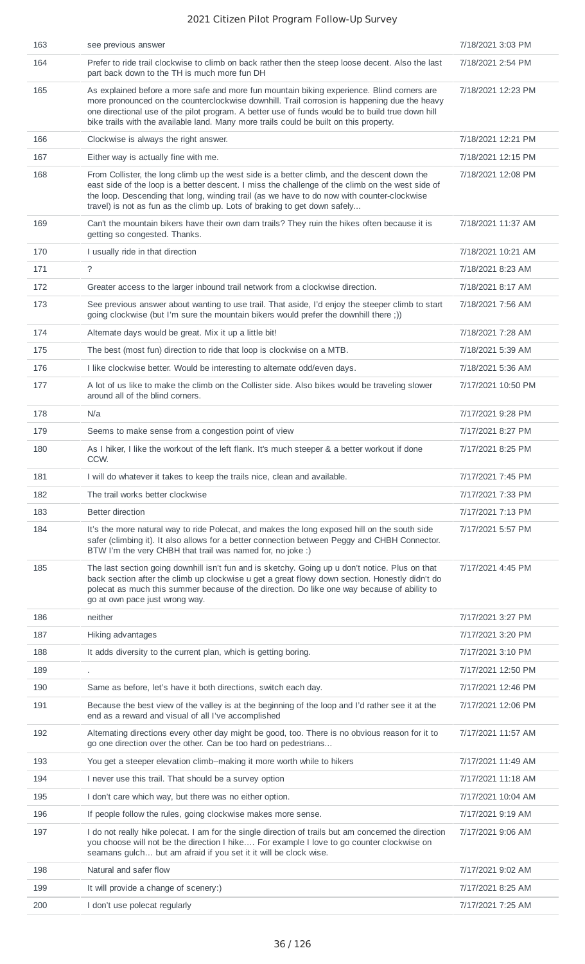| 163 | see previous answer                                                                                                                                                                                                                                                                                                                                                                      | 7/18/2021 3:03 PM  |
|-----|------------------------------------------------------------------------------------------------------------------------------------------------------------------------------------------------------------------------------------------------------------------------------------------------------------------------------------------------------------------------------------------|--------------------|
| 164 | Prefer to ride trail clockwise to climb on back rather then the steep loose decent. Also the last<br>part back down to the TH is much more fun DH                                                                                                                                                                                                                                        | 7/18/2021 2:54 PM  |
| 165 | As explained before a more safe and more fun mountain biking experience. Blind corners are<br>more pronounced on the counterclockwise downhill. Trail corrosion is happening due the heavy<br>one directional use of the pilot program. A better use of funds would be to build true down hill<br>bike trails with the available land. Many more trails could be built on this property. | 7/18/2021 12:23 PM |
| 166 | Clockwise is always the right answer.                                                                                                                                                                                                                                                                                                                                                    | 7/18/2021 12:21 PM |
| 167 | Either way is actually fine with me.                                                                                                                                                                                                                                                                                                                                                     | 7/18/2021 12:15 PM |
| 168 | From Collister, the long climb up the west side is a better climb, and the descent down the<br>east side of the loop is a better descent. I miss the challenge of the climb on the west side of<br>the loop. Descending that long, winding trail (as we have to do now with counter-clockwise<br>travel) is not as fun as the climb up. Lots of braking to get down safely               | 7/18/2021 12:08 PM |
| 169 | Can't the mountain bikers have their own darn trails? They ruin the hikes often because it is<br>getting so congested. Thanks.                                                                                                                                                                                                                                                           | 7/18/2021 11:37 AM |
| 170 | I usually ride in that direction                                                                                                                                                                                                                                                                                                                                                         | 7/18/2021 10:21 AM |
| 171 | $\tilde{?}$                                                                                                                                                                                                                                                                                                                                                                              | 7/18/2021 8:23 AM  |
| 172 | Greater access to the larger inbound trail network from a clockwise direction.                                                                                                                                                                                                                                                                                                           | 7/18/2021 8:17 AM  |
| 173 | See previous answer about wanting to use trail. That aside, I'd enjoy the steeper climb to start<br>going clockwise (but I'm sure the mountain bikers would prefer the downhill there ;))                                                                                                                                                                                                | 7/18/2021 7:56 AM  |
| 174 | Alternate days would be great. Mix it up a little bit!                                                                                                                                                                                                                                                                                                                                   | 7/18/2021 7:28 AM  |
| 175 | The best (most fun) direction to ride that loop is clockwise on a MTB.                                                                                                                                                                                                                                                                                                                   | 7/18/2021 5:39 AM  |
| 176 | I like clockwise better. Would be interesting to alternate odd/even days.                                                                                                                                                                                                                                                                                                                | 7/18/2021 5:36 AM  |
| 177 | A lot of us like to make the climb on the Collister side. Also bikes would be traveling slower<br>around all of the blind corners.                                                                                                                                                                                                                                                       | 7/17/2021 10:50 PM |
| 178 | N/a                                                                                                                                                                                                                                                                                                                                                                                      | 7/17/2021 9:28 PM  |
| 179 | Seems to make sense from a congestion point of view                                                                                                                                                                                                                                                                                                                                      | 7/17/2021 8:27 PM  |
| 180 | As I hiker, I like the workout of the left flank. It's much steeper & a better workout if done<br>CCW.                                                                                                                                                                                                                                                                                   | 7/17/2021 8:25 PM  |
| 181 | I will do whatever it takes to keep the trails nice, clean and available.                                                                                                                                                                                                                                                                                                                | 7/17/2021 7:45 PM  |
| 182 | The trail works better clockwise                                                                                                                                                                                                                                                                                                                                                         | 7/17/2021 7:33 PM  |
| 183 | <b>Better direction</b>                                                                                                                                                                                                                                                                                                                                                                  | 7/17/2021 7:13 PM  |
| 184 | It's the more natural way to ride Polecat, and makes the long exposed hill on the south side<br>safer (climbing it). It also allows for a better connection between Peggy and CHBH Connector.<br>BTW I'm the very CHBH that trail was named for, no joke :)                                                                                                                              | 7/17/2021 5:57 PM  |
| 185 | The last section going downhill isn't fun and is sketchy. Going up u don't notice. Plus on that<br>back section after the climb up clockwise u get a great flowy down section. Honestly didn't do<br>polecat as much this summer because of the direction. Do like one way because of ability to<br>go at own pace just wrong way.                                                       | 7/17/2021 4:45 PM  |
| 186 | neither                                                                                                                                                                                                                                                                                                                                                                                  | 7/17/2021 3:27 PM  |
| 187 | Hiking advantages                                                                                                                                                                                                                                                                                                                                                                        | 7/17/2021 3:20 PM  |
| 188 | It adds diversity to the current plan, which is getting boring.                                                                                                                                                                                                                                                                                                                          | 7/17/2021 3:10 PM  |
| 189 |                                                                                                                                                                                                                                                                                                                                                                                          | 7/17/2021 12:50 PM |
| 190 | Same as before, let's have it both directions, switch each day.                                                                                                                                                                                                                                                                                                                          | 7/17/2021 12:46 PM |
| 191 | Because the best view of the valley is at the beginning of the loop and I'd rather see it at the<br>end as a reward and visual of all I've accomplished                                                                                                                                                                                                                                  | 7/17/2021 12:06 PM |
| 192 | Alternating directions every other day might be good, too. There is no obvious reason for it to<br>go one direction over the other. Can be too hard on pedestrians                                                                                                                                                                                                                       | 7/17/2021 11:57 AM |
| 193 | You get a steeper elevation climb--making it more worth while to hikers                                                                                                                                                                                                                                                                                                                  | 7/17/2021 11:49 AM |
| 194 | I never use this trail. That should be a survey option                                                                                                                                                                                                                                                                                                                                   | 7/17/2021 11:18 AM |
| 195 | I don't care which way, but there was no either option.                                                                                                                                                                                                                                                                                                                                  | 7/17/2021 10:04 AM |
| 196 | If people follow the rules, going clockwise makes more sense.                                                                                                                                                                                                                                                                                                                            | 7/17/2021 9:19 AM  |
| 197 | I do not really hike polecat. I am for the single direction of trails but am concerned the direction<br>you choose will not be the direction I hike For example I love to go counter clockwise on<br>seamans gulch but am afraid if you set it it will be clock wise.                                                                                                                    | 7/17/2021 9:06 AM  |
| 198 | Natural and safer flow                                                                                                                                                                                                                                                                                                                                                                   | 7/17/2021 9:02 AM  |
| 199 | It will provide a change of scenery:)                                                                                                                                                                                                                                                                                                                                                    | 7/17/2021 8:25 AM  |
| 200 | I don't use polecat regularly                                                                                                                                                                                                                                                                                                                                                            | 7/17/2021 7:25 AM  |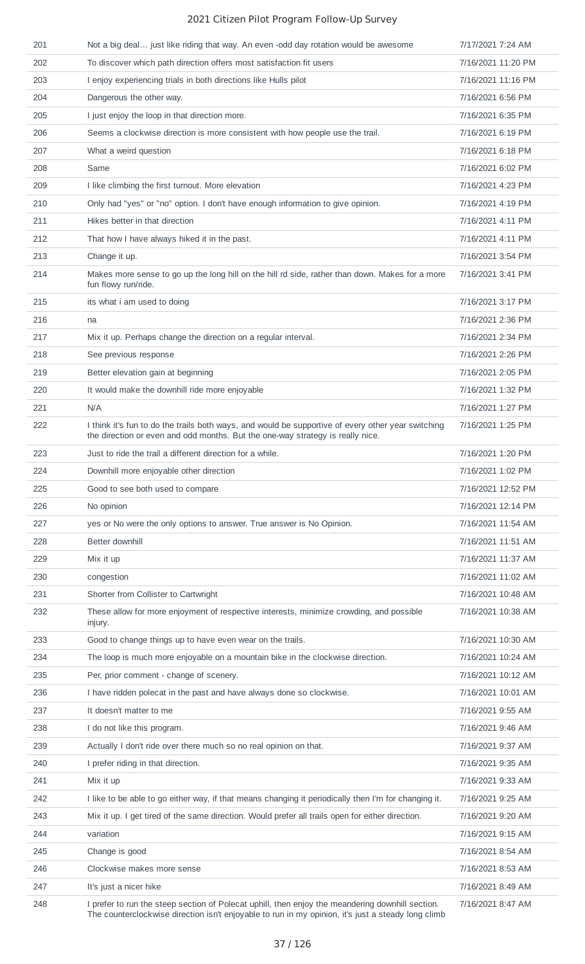| 201 | Not a big deal just like riding that way. An even -odd day rotation would be awesome                                                                                                 | 7/17/2021 7:24 AM  |
|-----|--------------------------------------------------------------------------------------------------------------------------------------------------------------------------------------|--------------------|
| 202 | To discover which path direction offers most satisfaction fit users                                                                                                                  | 7/16/2021 11:20 PM |
| 203 | I enjoy experiencing trials in both directions like Hulls pilot                                                                                                                      | 7/16/2021 11:16 PM |
| 204 | Dangerous the other way.                                                                                                                                                             | 7/16/2021 6:56 PM  |
| 205 | I just enjoy the loop in that direction more.                                                                                                                                        | 7/16/2021 6:35 PM  |
| 206 | Seems a clockwise direction is more consistent with how people use the trail.                                                                                                        | 7/16/2021 6:19 PM  |
| 207 | What a weird question                                                                                                                                                                | 7/16/2021 6:18 PM  |
| 208 | Same                                                                                                                                                                                 | 7/16/2021 6:02 PM  |
| 209 | I like climbing the first turnout. More elevation                                                                                                                                    | 7/16/2021 4:23 PM  |
| 210 | Only had "yes" or "no" option. I don't have enough information to give opinion.                                                                                                      | 7/16/2021 4:19 PM  |
| 211 | Hikes better in that direction                                                                                                                                                       | 7/16/2021 4:11 PM  |
| 212 | That how I have always hiked it in the past.                                                                                                                                         | 7/16/2021 4:11 PM  |
| 213 | Change it up.                                                                                                                                                                        | 7/16/2021 3:54 PM  |
| 214 | Makes more sense to go up the long hill on the hill rd side, rather than down. Makes for a more<br>fun flowy run/ride.                                                               | 7/16/2021 3:41 PM  |
| 215 | its what i am used to doing                                                                                                                                                          | 7/16/2021 3:17 PM  |
| 216 | na                                                                                                                                                                                   | 7/16/2021 2:36 PM  |
| 217 | Mix it up. Perhaps change the direction on a regular interval.                                                                                                                       | 7/16/2021 2:34 PM  |
| 218 | See previous response                                                                                                                                                                | 7/16/2021 2:26 PM  |
| 219 | Better elevation gain at beginning                                                                                                                                                   | 7/16/2021 2:05 PM  |
| 220 | It would make the downhill ride more enjoyable                                                                                                                                       | 7/16/2021 1:32 PM  |
| 221 | N/A                                                                                                                                                                                  | 7/16/2021 1:27 PM  |
| 222 | I think it's fun to do the trails both ways, and would be supportive of every other year switching<br>the direction or even and odd months. But the one-way strategy is really nice. | 7/16/2021 1:25 PM  |
| 223 | Just to ride the trail a different direction for a while.                                                                                                                            | 7/16/2021 1:20 PM  |
| 224 | Downhill more enjoyable other direction                                                                                                                                              | 7/16/2021 1:02 PM  |
| 225 | Good to see both used to compare                                                                                                                                                     | 7/16/2021 12:52 PM |
| 226 | No opinion                                                                                                                                                                           | 7/16/2021 12:14 PM |
| 227 | yes or No were the only options to answer. True answer is No Opinion.                                                                                                                | 7/16/2021 11:54 AM |
| 228 | Better downhill                                                                                                                                                                      | 7/16/2021 11:51 AM |
| 229 | Mix it up                                                                                                                                                                            | 7/16/2021 11:37 AM |
| 230 | congestion                                                                                                                                                                           | 7/16/2021 11:02 AM |
| 231 | Shorter from Collister to Cartwright                                                                                                                                                 | 7/16/2021 10:48 AM |
| 232 | These allow for more enjoyment of respective interests, minimize crowding, and possible<br>injury.                                                                                   | 7/16/2021 10:38 AM |
| 233 | Good to change things up to have even wear on the trails.                                                                                                                            | 7/16/2021 10:30 AM |
| 234 | The loop is much more enjoyable on a mountain bike in the clockwise direction.                                                                                                       | 7/16/2021 10:24 AM |
| 235 | Per, prior comment - change of scenery.                                                                                                                                              | 7/16/2021 10:12 AM |
| 236 | I have ridden polecat in the past and have always done so clockwise.                                                                                                                 | 7/16/2021 10:01 AM |
| 237 | It doesn't matter to me                                                                                                                                                              | 7/16/2021 9:55 AM  |
| 238 | I do not like this program.                                                                                                                                                          | 7/16/2021 9:46 AM  |
| 239 | Actually I don't ride over there much so no real opinion on that.                                                                                                                    | 7/16/2021 9:37 AM  |
| 240 | I prefer riding in that direction.                                                                                                                                                   | 7/16/2021 9:35 AM  |
| 241 | Mix it up                                                                                                                                                                            | 7/16/2021 9:33 AM  |
| 242 | I like to be able to go either way, if that means changing it periodically then I'm for changing it.                                                                                 | 7/16/2021 9:25 AM  |
| 243 | Mix it up. I get tired of the same direction. Would prefer all trails open for either direction.                                                                                     | 7/16/2021 9:20 AM  |
| 244 | variation                                                                                                                                                                            | 7/16/2021 9:15 AM  |
| 245 | Change is good                                                                                                                                                                       | 7/16/2021 8:54 AM  |
| 246 | Clockwise makes more sense                                                                                                                                                           | 7/16/2021 8:53 AM  |
| 247 | It's just a nicer hike                                                                                                                                                               | 7/16/2021 8:49 AM  |
| 248 | I prefer to run the steep section of Polecat uphill, then enjoy the meandering downhill section.                                                                                     | 7/16/2021 8:47 AM  |
|     | The counterclockwise direction isn't enjoyable to run in my opinion, it's just a steady long climb                                                                                   |                    |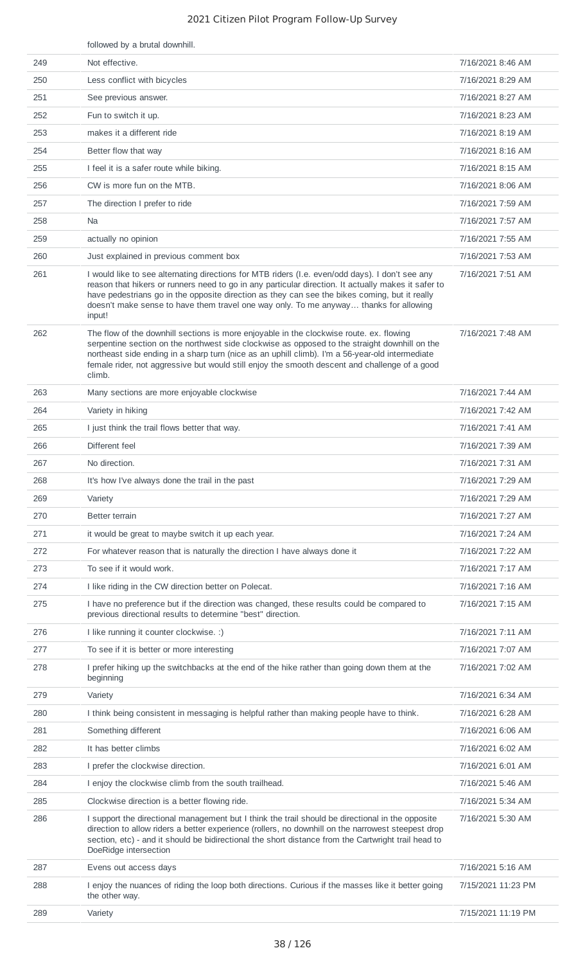|     | followed by a brutal downhill.                                                                                                                                                                                                                                                                                                                                                                             |                    |
|-----|------------------------------------------------------------------------------------------------------------------------------------------------------------------------------------------------------------------------------------------------------------------------------------------------------------------------------------------------------------------------------------------------------------|--------------------|
| 249 | Not effective.                                                                                                                                                                                                                                                                                                                                                                                             | 7/16/2021 8:46 AM  |
| 250 | Less conflict with bicycles                                                                                                                                                                                                                                                                                                                                                                                | 7/16/2021 8:29 AM  |
| 251 | See previous answer.                                                                                                                                                                                                                                                                                                                                                                                       | 7/16/2021 8:27 AM  |
| 252 | Fun to switch it up.                                                                                                                                                                                                                                                                                                                                                                                       | 7/16/2021 8:23 AM  |
| 253 | makes it a different ride                                                                                                                                                                                                                                                                                                                                                                                  | 7/16/2021 8:19 AM  |
| 254 | Better flow that way                                                                                                                                                                                                                                                                                                                                                                                       | 7/16/2021 8:16 AM  |
| 255 | I feel it is a safer route while biking.                                                                                                                                                                                                                                                                                                                                                                   | 7/16/2021 8:15 AM  |
| 256 | CW is more fun on the MTB.                                                                                                                                                                                                                                                                                                                                                                                 | 7/16/2021 8:06 AM  |
| 257 | The direction I prefer to ride                                                                                                                                                                                                                                                                                                                                                                             | 7/16/2021 7:59 AM  |
| 258 | Na                                                                                                                                                                                                                                                                                                                                                                                                         | 7/16/2021 7:57 AM  |
| 259 | actually no opinion                                                                                                                                                                                                                                                                                                                                                                                        | 7/16/2021 7:55 AM  |
| 260 | Just explained in previous comment box                                                                                                                                                                                                                                                                                                                                                                     | 7/16/2021 7:53 AM  |
| 261 | I would like to see alternating directions for MTB riders (I.e. even/odd days). I don't see any<br>reason that hikers or runners need to go in any particular direction. It actually makes it safer to<br>have pedestrians go in the opposite direction as they can see the bikes coming, but it really<br>doesn't make sense to have them travel one way only. To me anyway thanks for allowing<br>input! | 7/16/2021 7:51 AM  |
| 262 | The flow of the downhill sections is more enjoyable in the clockwise route. ex. flowing<br>serpentine section on the northwest side clockwise as opposed to the straight downhill on the<br>northeast side ending in a sharp turn (nice as an uphill climb). I'm a 56-year-old intermediate<br>female rider, not aggressive but would still enjoy the smooth descent and challenge of a good<br>climb.     | 7/16/2021 7:48 AM  |
| 263 | Many sections are more enjoyable clockwise                                                                                                                                                                                                                                                                                                                                                                 | 7/16/2021 7:44 AM  |
| 264 | Variety in hiking                                                                                                                                                                                                                                                                                                                                                                                          | 7/16/2021 7:42 AM  |
| 265 | I just think the trail flows better that way.                                                                                                                                                                                                                                                                                                                                                              | 7/16/2021 7:41 AM  |
| 266 | Different feel                                                                                                                                                                                                                                                                                                                                                                                             | 7/16/2021 7:39 AM  |
| 267 | No direction.                                                                                                                                                                                                                                                                                                                                                                                              | 7/16/2021 7:31 AM  |
| 268 | It's how I've always done the trail in the past                                                                                                                                                                                                                                                                                                                                                            | 7/16/2021 7:29 AM  |
| 269 | Variety                                                                                                                                                                                                                                                                                                                                                                                                    | 7/16/2021 7:29 AM  |
| 270 | Better terrain                                                                                                                                                                                                                                                                                                                                                                                             | 7/16/2021 7:27 AM  |
| 271 | it would be great to maybe switch it up each year.                                                                                                                                                                                                                                                                                                                                                         | 7/16/2021 7:24 AM  |
| 272 | For whatever reason that is naturally the direction I have always done it                                                                                                                                                                                                                                                                                                                                  | 7/16/2021 7:22 AM  |
| 273 | To see if it would work.                                                                                                                                                                                                                                                                                                                                                                                   | 7/16/2021 7:17 AM  |
| 274 | I like riding in the CW direction better on Polecat.                                                                                                                                                                                                                                                                                                                                                       | 7/16/2021 7:16 AM  |
| 275 | I have no preference but if the direction was changed, these results could be compared to<br>previous directional results to determine "best" direction.                                                                                                                                                                                                                                                   | 7/16/2021 7:15 AM  |
| 276 | I like running it counter clockwise. :)                                                                                                                                                                                                                                                                                                                                                                    | 7/16/2021 7:11 AM  |
| 277 | To see if it is better or more interesting                                                                                                                                                                                                                                                                                                                                                                 | 7/16/2021 7:07 AM  |
| 278 | I prefer hiking up the switchbacks at the end of the hike rather than going down them at the<br>beginning                                                                                                                                                                                                                                                                                                  | 7/16/2021 7:02 AM  |
| 279 | Variety                                                                                                                                                                                                                                                                                                                                                                                                    | 7/16/2021 6:34 AM  |
| 280 | I think being consistent in messaging is helpful rather than making people have to think.                                                                                                                                                                                                                                                                                                                  | 7/16/2021 6:28 AM  |
| 281 | Something different                                                                                                                                                                                                                                                                                                                                                                                        | 7/16/2021 6:06 AM  |
| 282 | It has better climbs                                                                                                                                                                                                                                                                                                                                                                                       | 7/16/2021 6:02 AM  |
| 283 | I prefer the clockwise direction.                                                                                                                                                                                                                                                                                                                                                                          | 7/16/2021 6:01 AM  |
| 284 | I enjoy the clockwise climb from the south trailhead.                                                                                                                                                                                                                                                                                                                                                      | 7/16/2021 5:46 AM  |
| 285 | Clockwise direction is a better flowing ride.                                                                                                                                                                                                                                                                                                                                                              | 7/16/2021 5:34 AM  |
| 286 | I support the directional management but I think the trail should be directional in the opposite<br>direction to allow riders a better experience (rollers, no downhill on the narrowest steepest drop<br>section, etc) - and it should be bidirectional the short distance from the Cartwright trail head to<br>DoeRidge intersection                                                                     | 7/16/2021 5:30 AM  |
| 287 | Evens out access days                                                                                                                                                                                                                                                                                                                                                                                      | 7/16/2021 5:16 AM  |
| 288 | I enjoy the nuances of riding the loop both directions. Curious if the masses like it better going<br>the other way.                                                                                                                                                                                                                                                                                       | 7/15/2021 11:23 PM |
| 289 | Variety                                                                                                                                                                                                                                                                                                                                                                                                    | 7/15/2021 11:19 PM |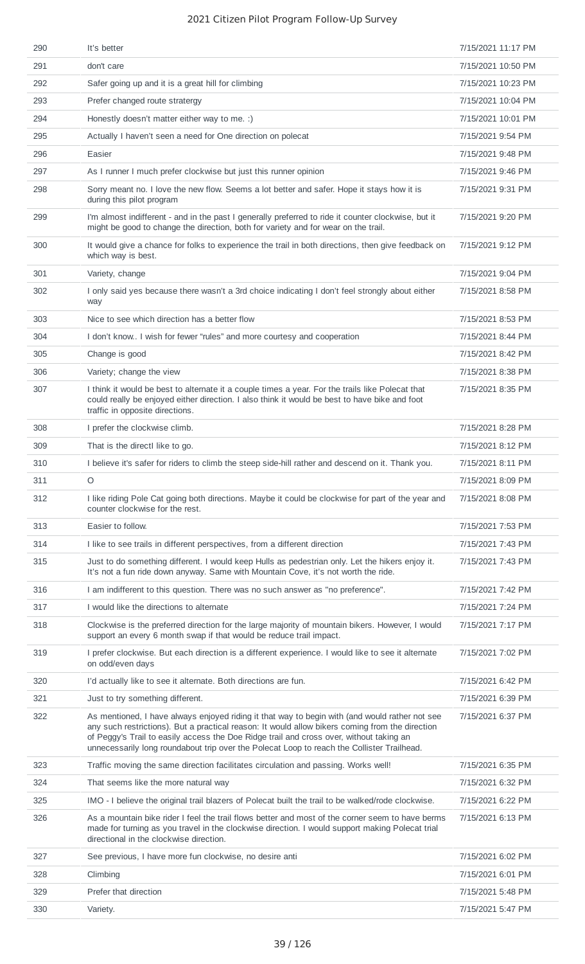| 290 | It's better                                                                                                                                                                                                                                                                                                                                                                                | 7/15/2021 11:17 PM |
|-----|--------------------------------------------------------------------------------------------------------------------------------------------------------------------------------------------------------------------------------------------------------------------------------------------------------------------------------------------------------------------------------------------|--------------------|
| 291 | don't care                                                                                                                                                                                                                                                                                                                                                                                 | 7/15/2021 10:50 PM |
| 292 | Safer going up and it is a great hill for climbing                                                                                                                                                                                                                                                                                                                                         | 7/15/2021 10:23 PM |
| 293 | Prefer changed route stratergy                                                                                                                                                                                                                                                                                                                                                             | 7/15/2021 10:04 PM |
| 294 | Honestly doesn't matter either way to me. :)                                                                                                                                                                                                                                                                                                                                               | 7/15/2021 10:01 PM |
| 295 | Actually I haven't seen a need for One direction on polecat                                                                                                                                                                                                                                                                                                                                | 7/15/2021 9:54 PM  |
| 296 | Easier                                                                                                                                                                                                                                                                                                                                                                                     | 7/15/2021 9:48 PM  |
| 297 | As I runner I much prefer clockwise but just this runner opinion                                                                                                                                                                                                                                                                                                                           | 7/15/2021 9:46 PM  |
| 298 | Sorry meant no. I love the new flow. Seems a lot better and safer. Hope it stays how it is<br>during this pilot program                                                                                                                                                                                                                                                                    | 7/15/2021 9:31 PM  |
| 299 | I'm almost indifferent - and in the past I generally preferred to ride it counter clockwise, but it<br>might be good to change the direction, both for variety and for wear on the trail.                                                                                                                                                                                                  | 7/15/2021 9:20 PM  |
| 300 | It would give a chance for folks to experience the trail in both directions, then give feedback on<br>which way is best.                                                                                                                                                                                                                                                                   | 7/15/2021 9:12 PM  |
| 301 | Variety, change                                                                                                                                                                                                                                                                                                                                                                            | 7/15/2021 9:04 PM  |
| 302 | I only said yes because there wasn't a 3rd choice indicating I don't feel strongly about either<br>way                                                                                                                                                                                                                                                                                     | 7/15/2021 8:58 PM  |
| 303 | Nice to see which direction has a better flow                                                                                                                                                                                                                                                                                                                                              | 7/15/2021 8:53 PM  |
| 304 | I don't know I wish for fewer "rules" and more courtesy and cooperation                                                                                                                                                                                                                                                                                                                    | 7/15/2021 8:44 PM  |
| 305 | Change is good                                                                                                                                                                                                                                                                                                                                                                             | 7/15/2021 8:42 PM  |
| 306 | Variety; change the view                                                                                                                                                                                                                                                                                                                                                                   | 7/15/2021 8:38 PM  |
| 307 | I think it would be best to alternate it a couple times a year. For the trails like Polecat that<br>could really be enjoyed either direction. I also think it would be best to have bike and foot<br>traffic in opposite directions.                                                                                                                                                       | 7/15/2021 8:35 PM  |
| 308 | I prefer the clockwise climb.                                                                                                                                                                                                                                                                                                                                                              | 7/15/2021 8:28 PM  |
| 309 | That is the directl like to go.                                                                                                                                                                                                                                                                                                                                                            | 7/15/2021 8:12 PM  |
| 310 | I believe it's safer for riders to climb the steep side-hill rather and descend on it. Thank you.                                                                                                                                                                                                                                                                                          | 7/15/2021 8:11 PM  |
| 311 | $\circ$                                                                                                                                                                                                                                                                                                                                                                                    | 7/15/2021 8:09 PM  |
| 312 | I like riding Pole Cat going both directions. Maybe it could be clockwise for part of the year and<br>counter clockwise for the rest.                                                                                                                                                                                                                                                      | 7/15/2021 8:08 PM  |
| 313 | Easier to follow.                                                                                                                                                                                                                                                                                                                                                                          | 7/15/2021 7:53 PM  |
| 314 | I like to see trails in different perspectives, from a different direction                                                                                                                                                                                                                                                                                                                 | 7/15/2021 7:43 PM  |
| 315 | Just to do something different. I would keep Hulls as pedestrian only. Let the hikers enjoy it.<br>It's not a fun ride down anyway. Same with Mountain Cove, it's not worth the ride.                                                                                                                                                                                                      | 7/15/2021 7:43 PM  |
| 316 | I am indifferent to this question. There was no such answer as "no preference".                                                                                                                                                                                                                                                                                                            | 7/15/2021 7:42 PM  |
| 317 | I would like the directions to alternate                                                                                                                                                                                                                                                                                                                                                   | 7/15/2021 7:24 PM  |
| 318 | Clockwise is the preferred direction for the large majority of mountain bikers. However, I would<br>support an every 6 month swap if that would be reduce trail impact.                                                                                                                                                                                                                    | 7/15/2021 7:17 PM  |
| 319 | I prefer clockwise. But each direction is a different experience. I would like to see it alternate<br>on odd/even days                                                                                                                                                                                                                                                                     | 7/15/2021 7:02 PM  |
| 320 | I'd actually like to see it alternate. Both directions are fun.                                                                                                                                                                                                                                                                                                                            | 7/15/2021 6:42 PM  |
| 321 | Just to try something different.                                                                                                                                                                                                                                                                                                                                                           | 7/15/2021 6:39 PM  |
| 322 | As mentioned, I have always enjoyed riding it that way to begin with (and would rather not see<br>any such restrictions). But a practical reason: It would allow bikers coming from the direction<br>of Peggy's Trail to easily access the Doe Ridge trail and cross over, without taking an<br>unnecessarily long roundabout trip over the Polecat Loop to reach the Collister Trailhead. | 7/15/2021 6:37 PM  |
| 323 | Traffic moving the same direction facilitates circulation and passing. Works well!                                                                                                                                                                                                                                                                                                         | 7/15/2021 6:35 PM  |
| 324 | That seems like the more natural way                                                                                                                                                                                                                                                                                                                                                       | 7/15/2021 6:32 PM  |
| 325 | IMO - I believe the original trail blazers of Polecat built the trail to be walked/rode clockwise.                                                                                                                                                                                                                                                                                         | 7/15/2021 6:22 PM  |
| 326 | As a mountain bike rider I feel the trail flows better and most of the corner seem to have berms<br>made for turning as you travel in the clockwise direction. I would support making Polecat trial<br>directional in the clockwise direction.                                                                                                                                             | 7/15/2021 6:13 PM  |
| 327 | See previous, I have more fun clockwise, no desire anti                                                                                                                                                                                                                                                                                                                                    | 7/15/2021 6:02 PM  |
| 328 | Climbing                                                                                                                                                                                                                                                                                                                                                                                   | 7/15/2021 6:01 PM  |
| 329 | Prefer that direction                                                                                                                                                                                                                                                                                                                                                                      | 7/15/2021 5:48 PM  |
| 330 | Variety.                                                                                                                                                                                                                                                                                                                                                                                   | 7/15/2021 5:47 PM  |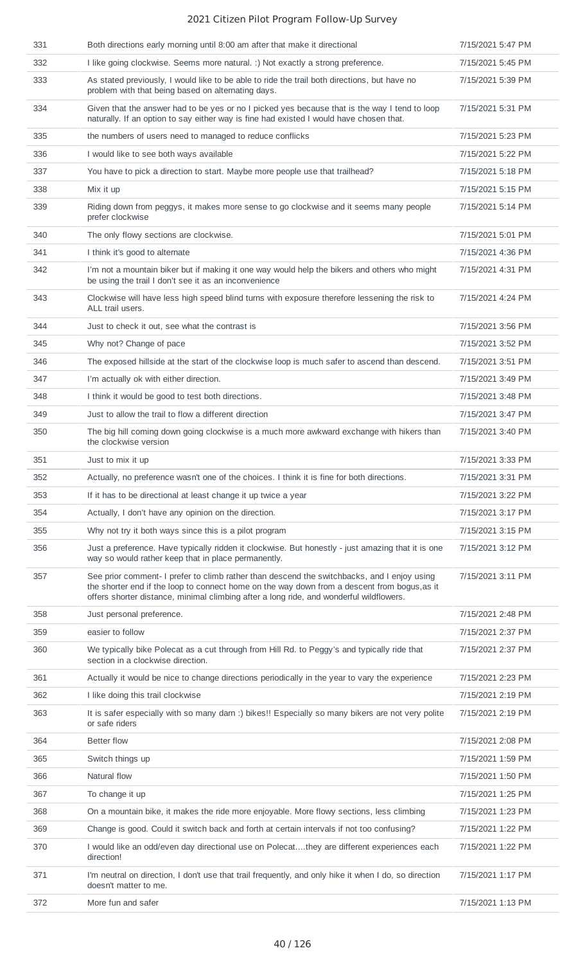| 331 | Both directions early morning until 8:00 am after that make it directional                                                                                                                                                                                                             | 7/15/2021 5:47 PM |
|-----|----------------------------------------------------------------------------------------------------------------------------------------------------------------------------------------------------------------------------------------------------------------------------------------|-------------------|
| 332 | I like going clockwise. Seems more natural. :) Not exactly a strong preference.                                                                                                                                                                                                        | 7/15/2021 5:45 PM |
| 333 | As stated previously, I would like to be able to ride the trail both directions, but have no<br>problem with that being based on alternating days.                                                                                                                                     | 7/15/2021 5:39 PM |
| 334 | Given that the answer had to be yes or no I picked yes because that is the way I tend to loop<br>naturally. If an option to say either way is fine had existed I would have chosen that.                                                                                               | 7/15/2021 5:31 PM |
| 335 | the numbers of users need to managed to reduce conflicks                                                                                                                                                                                                                               | 7/15/2021 5:23 PM |
| 336 | I would like to see both ways available                                                                                                                                                                                                                                                | 7/15/2021 5:22 PM |
| 337 | You have to pick a direction to start. Maybe more people use that trailhead?                                                                                                                                                                                                           | 7/15/2021 5:18 PM |
| 338 | Mix it up                                                                                                                                                                                                                                                                              | 7/15/2021 5:15 PM |
| 339 | Riding down from peggys, it makes more sense to go clockwise and it seems many people<br>prefer clockwise                                                                                                                                                                              | 7/15/2021 5:14 PM |
| 340 | The only flowy sections are clockwise.                                                                                                                                                                                                                                                 | 7/15/2021 5:01 PM |
| 341 | I think it's good to alternate                                                                                                                                                                                                                                                         | 7/15/2021 4:36 PM |
| 342 | I'm not a mountain biker but if making it one way would help the bikers and others who might<br>be using the trail I don't see it as an inconvenience                                                                                                                                  | 7/15/2021 4:31 PM |
| 343 | Clockwise will have less high speed blind turns with exposure therefore lessening the risk to<br>ALL trail users.                                                                                                                                                                      | 7/15/2021 4:24 PM |
| 344 | Just to check it out, see what the contrast is                                                                                                                                                                                                                                         | 7/15/2021 3:56 PM |
| 345 | Why not? Change of pace                                                                                                                                                                                                                                                                | 7/15/2021 3:52 PM |
| 346 | The exposed hillside at the start of the clockwise loop is much safer to ascend than descend.                                                                                                                                                                                          | 7/15/2021 3:51 PM |
| 347 | I'm actually ok with either direction.                                                                                                                                                                                                                                                 | 7/15/2021 3:49 PM |
| 348 | I think it would be good to test both directions.                                                                                                                                                                                                                                      | 7/15/2021 3:48 PM |
| 349 | Just to allow the trail to flow a different direction                                                                                                                                                                                                                                  | 7/15/2021 3:47 PM |
| 350 | The big hill coming down going clockwise is a much more awkward exchange with hikers than<br>the clockwise version                                                                                                                                                                     | 7/15/2021 3:40 PM |
| 351 | Just to mix it up                                                                                                                                                                                                                                                                      | 7/15/2021 3:33 PM |
| 352 | Actually, no preference wasn't one of the choices. I think it is fine for both directions.                                                                                                                                                                                             | 7/15/2021 3:31 PM |
| 353 | If it has to be directional at least change it up twice a year                                                                                                                                                                                                                         | 7/15/2021 3:22 PM |
| 354 | Actually, I don't have any opinion on the direction.                                                                                                                                                                                                                                   | 7/15/2021 3:17 PM |
| 355 | Why not try it both ways since this is a pilot program                                                                                                                                                                                                                                 | 7/15/2021 3:15 PM |
| 356 | Just a preference. Have typically ridden it clockwise. But honestly - just amazing that it is one<br>way so would rather keep that in place permanently.                                                                                                                               | 7/15/2021 3:12 PM |
| 357 | See prior comment- I prefer to climb rather than descend the switchbacks, and I enjoy using<br>the shorter end if the loop to connect home on the way down from a descent from bogus, as it<br>offers shorter distance, minimal climbing after a long ride, and wonderful wildflowers. | 7/15/2021 3:11 PM |
| 358 | Just personal preference.                                                                                                                                                                                                                                                              | 7/15/2021 2:48 PM |
| 359 | easier to follow                                                                                                                                                                                                                                                                       | 7/15/2021 2:37 PM |
| 360 | We typically bike Polecat as a cut through from Hill Rd. to Peggy's and typically ride that<br>section in a clockwise direction.                                                                                                                                                       | 7/15/2021 2:37 PM |
| 361 | Actually it would be nice to change directions periodically in the year to vary the experience                                                                                                                                                                                         | 7/15/2021 2:23 PM |
| 362 | I like doing this trail clockwise                                                                                                                                                                                                                                                      | 7/15/2021 2:19 PM |
| 363 | It is safer especially with so many darn :) bikes!! Especially so many bikers are not very polite<br>or safe riders                                                                                                                                                                    | 7/15/2021 2:19 PM |
| 364 | <b>Better flow</b>                                                                                                                                                                                                                                                                     | 7/15/2021 2:08 PM |
| 365 | Switch things up                                                                                                                                                                                                                                                                       | 7/15/2021 1:59 PM |
| 366 | Natural flow                                                                                                                                                                                                                                                                           | 7/15/2021 1:50 PM |
| 367 | To change it up                                                                                                                                                                                                                                                                        | 7/15/2021 1:25 PM |
| 368 | On a mountain bike, it makes the ride more enjoyable. More flowy sections, less climbing                                                                                                                                                                                               | 7/15/2021 1:23 PM |
| 369 | Change is good. Could it switch back and forth at certain intervals if not too confusing?                                                                                                                                                                                              | 7/15/2021 1:22 PM |
| 370 | I would like an odd/even day directional use on Polecatthey are different experiences each<br>direction!                                                                                                                                                                               | 7/15/2021 1:22 PM |
| 371 | I'm neutral on direction, I don't use that trail frequently, and only hike it when I do, so direction<br>doesn't matter to me.                                                                                                                                                         | 7/15/2021 1:17 PM |
| 372 | More fun and safer                                                                                                                                                                                                                                                                     | 7/15/2021 1:13 PM |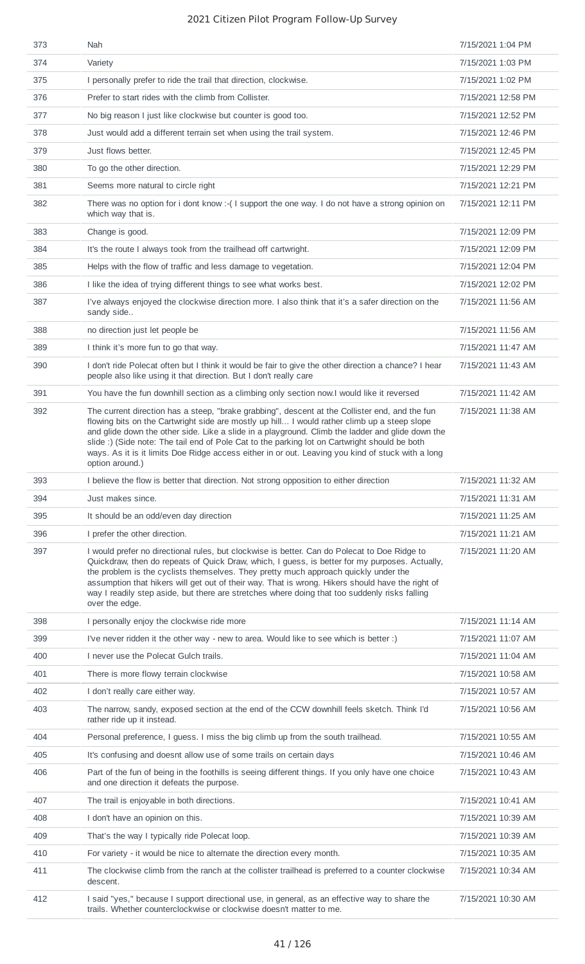| 373 | Nah                                                                                                                                                                                                                                                                                                                                                                                                                                                                                                                         | 7/15/2021 1:04 PM  |
|-----|-----------------------------------------------------------------------------------------------------------------------------------------------------------------------------------------------------------------------------------------------------------------------------------------------------------------------------------------------------------------------------------------------------------------------------------------------------------------------------------------------------------------------------|--------------------|
| 374 | Variety                                                                                                                                                                                                                                                                                                                                                                                                                                                                                                                     | 7/15/2021 1:03 PM  |
| 375 | I personally prefer to ride the trail that direction, clockwise.                                                                                                                                                                                                                                                                                                                                                                                                                                                            | 7/15/2021 1:02 PM  |
| 376 | Prefer to start rides with the climb from Collister.                                                                                                                                                                                                                                                                                                                                                                                                                                                                        | 7/15/2021 12:58 PM |
| 377 | No big reason I just like clockwise but counter is good too.                                                                                                                                                                                                                                                                                                                                                                                                                                                                | 7/15/2021 12:52 PM |
| 378 | Just would add a different terrain set when using the trail system.                                                                                                                                                                                                                                                                                                                                                                                                                                                         | 7/15/2021 12:46 PM |
| 379 | Just flows better.                                                                                                                                                                                                                                                                                                                                                                                                                                                                                                          | 7/15/2021 12:45 PM |
| 380 | To go the other direction.                                                                                                                                                                                                                                                                                                                                                                                                                                                                                                  | 7/15/2021 12:29 PM |
| 381 | Seems more natural to circle right                                                                                                                                                                                                                                                                                                                                                                                                                                                                                          | 7/15/2021 12:21 PM |
| 382 | There was no option for i dont know :- (I support the one way. I do not have a strong opinion on<br>which way that is.                                                                                                                                                                                                                                                                                                                                                                                                      | 7/15/2021 12:11 PM |
| 383 | Change is good.                                                                                                                                                                                                                                                                                                                                                                                                                                                                                                             | 7/15/2021 12:09 PM |
| 384 | It's the route I always took from the trailhead off cartwright.                                                                                                                                                                                                                                                                                                                                                                                                                                                             | 7/15/2021 12:09 PM |
| 385 | Helps with the flow of traffic and less damage to vegetation.                                                                                                                                                                                                                                                                                                                                                                                                                                                               | 7/15/2021 12:04 PM |
| 386 | I like the idea of trying different things to see what works best.                                                                                                                                                                                                                                                                                                                                                                                                                                                          | 7/15/2021 12:02 PM |
| 387 | I've always enjoyed the clockwise direction more. I also think that it's a safer direction on the<br>sandy side                                                                                                                                                                                                                                                                                                                                                                                                             | 7/15/2021 11:56 AM |
| 388 | no direction just let people be                                                                                                                                                                                                                                                                                                                                                                                                                                                                                             | 7/15/2021 11:56 AM |
| 389 | I think it's more fun to go that way.                                                                                                                                                                                                                                                                                                                                                                                                                                                                                       | 7/15/2021 11:47 AM |
| 390 | I don't ride Polecat often but I think it would be fair to give the other direction a chance? I hear<br>people also like using it that direction. But I don't really care                                                                                                                                                                                                                                                                                                                                                   | 7/15/2021 11:43 AM |
| 391 | You have the fun downhill section as a climbing only section now.I would like it reversed                                                                                                                                                                                                                                                                                                                                                                                                                                   | 7/15/2021 11:42 AM |
| 392 | The current direction has a steep, "brake grabbing", descent at the Collister end, and the fun<br>flowing bits on the Cartwright side are mostly up hill I would rather climb up a steep slope<br>and glide down the other side. Like a slide in a playground. Climb the ladder and glide down the<br>slide :) (Side note: The tail end of Pole Cat to the parking lot on Cartwright should be both<br>ways. As it is it limits Doe Ridge access either in or out. Leaving you kind of stuck with a long<br>option around.) | 7/15/2021 11:38 AM |
| 393 | I believe the flow is better that direction. Not strong opposition to either direction                                                                                                                                                                                                                                                                                                                                                                                                                                      | 7/15/2021 11:32 AM |
| 394 | Just makes since.                                                                                                                                                                                                                                                                                                                                                                                                                                                                                                           | 7/15/2021 11:31 AM |
| 395 | It should be an odd/even day direction                                                                                                                                                                                                                                                                                                                                                                                                                                                                                      | 7/15/2021 11:25 AM |
| 396 | I prefer the other direction.                                                                                                                                                                                                                                                                                                                                                                                                                                                                                               | 7/15/2021 11:21 AM |
| 397 | I would prefer no directional rules, but clockwise is better. Can do Polecat to Doe Ridge to<br>Quickdraw, then do repeats of Quick Draw, which, I guess, is better for my purposes. Actually,<br>the problem is the cyclists themselves. They pretty much approach quickly under the<br>assumption that hikers will get out of their way. That is wrong. Hikers should have the right of<br>way I readily step aside, but there are stretches where doing that too suddenly risks falling<br>over the edge.                | 7/15/2021 11:20 AM |
| 398 | I personally enjoy the clockwise ride more                                                                                                                                                                                                                                                                                                                                                                                                                                                                                  | 7/15/2021 11:14 AM |
| 399 | I've never ridden it the other way - new to area. Would like to see which is better :)                                                                                                                                                                                                                                                                                                                                                                                                                                      | 7/15/2021 11:07 AM |
| 400 | I never use the Polecat Gulch trails.                                                                                                                                                                                                                                                                                                                                                                                                                                                                                       | 7/15/2021 11:04 AM |
| 401 | There is more flowy terrain clockwise                                                                                                                                                                                                                                                                                                                                                                                                                                                                                       | 7/15/2021 10:58 AM |
| 402 |                                                                                                                                                                                                                                                                                                                                                                                                                                                                                                                             |                    |
|     | I don't really care either way.                                                                                                                                                                                                                                                                                                                                                                                                                                                                                             | 7/15/2021 10:57 AM |
| 403 | The narrow, sandy, exposed section at the end of the CCW downhill feels sketch. Think I'd<br>rather ride up it instead.                                                                                                                                                                                                                                                                                                                                                                                                     | 7/15/2021 10:56 AM |
| 404 | Personal preference, I guess. I miss the big climb up from the south trailhead.                                                                                                                                                                                                                                                                                                                                                                                                                                             | 7/15/2021 10:55 AM |
| 405 | It's confusing and doesnt allow use of some trails on certain days                                                                                                                                                                                                                                                                                                                                                                                                                                                          | 7/15/2021 10:46 AM |
| 406 | Part of the fun of being in the foothills is seeing different things. If you only have one choice<br>and one direction it defeats the purpose.                                                                                                                                                                                                                                                                                                                                                                              | 7/15/2021 10:43 AM |
| 407 | The trail is enjoyable in both directions.                                                                                                                                                                                                                                                                                                                                                                                                                                                                                  | 7/15/2021 10:41 AM |
| 408 | I don't have an opinion on this.                                                                                                                                                                                                                                                                                                                                                                                                                                                                                            | 7/15/2021 10:39 AM |
| 409 | That's the way I typically ride Polecat loop.                                                                                                                                                                                                                                                                                                                                                                                                                                                                               | 7/15/2021 10:39 AM |
| 410 | For variety - it would be nice to alternate the direction every month.                                                                                                                                                                                                                                                                                                                                                                                                                                                      | 7/15/2021 10:35 AM |
| 411 | The clockwise climb from the ranch at the collister trailhead is preferred to a counter clockwise<br>descent.                                                                                                                                                                                                                                                                                                                                                                                                               | 7/15/2021 10:34 AM |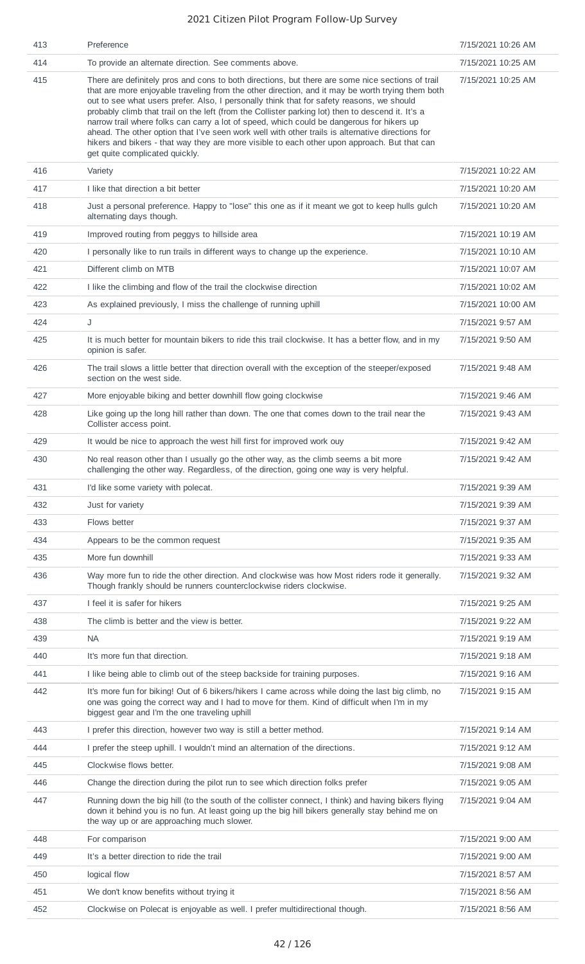| 413 | Preference                                                                                                                                                                                                                                                                                                                                                                                                                                                                                                                                                                                                                                                                                                                                | 7/15/2021 10:26 AM |
|-----|-------------------------------------------------------------------------------------------------------------------------------------------------------------------------------------------------------------------------------------------------------------------------------------------------------------------------------------------------------------------------------------------------------------------------------------------------------------------------------------------------------------------------------------------------------------------------------------------------------------------------------------------------------------------------------------------------------------------------------------------|--------------------|
| 414 | To provide an alternate direction. See comments above.                                                                                                                                                                                                                                                                                                                                                                                                                                                                                                                                                                                                                                                                                    | 7/15/2021 10:25 AM |
| 415 | There are definitely pros and cons to both directions, but there are some nice sections of trail<br>that are more enjoyable traveling from the other direction, and it may be worth trying them both<br>out to see what users prefer. Also, I personally think that for safety reasons, we should<br>probably climb that trail on the left (from the Collister parking lot) then to descend it. It's a<br>narrow trail where folks can carry a lot of speed, which could be dangerous for hikers up<br>ahead. The other option that I've seen work well with other trails is alternative directions for<br>hikers and bikers - that way they are more visible to each other upon approach. But that can<br>get quite complicated quickly. | 7/15/2021 10:25 AM |
| 416 | Variety                                                                                                                                                                                                                                                                                                                                                                                                                                                                                                                                                                                                                                                                                                                                   | 7/15/2021 10:22 AM |
| 417 | I like that direction a bit better                                                                                                                                                                                                                                                                                                                                                                                                                                                                                                                                                                                                                                                                                                        | 7/15/2021 10:20 AM |
| 418 | Just a personal preference. Happy to "lose" this one as if it meant we got to keep hulls gulch<br>alternating days though.                                                                                                                                                                                                                                                                                                                                                                                                                                                                                                                                                                                                                | 7/15/2021 10:20 AM |
| 419 | Improved routing from peggys to hillside area                                                                                                                                                                                                                                                                                                                                                                                                                                                                                                                                                                                                                                                                                             | 7/15/2021 10:19 AM |
| 420 | I personally like to run trails in different ways to change up the experience.                                                                                                                                                                                                                                                                                                                                                                                                                                                                                                                                                                                                                                                            | 7/15/2021 10:10 AM |
| 421 | Different climb on MTB                                                                                                                                                                                                                                                                                                                                                                                                                                                                                                                                                                                                                                                                                                                    | 7/15/2021 10:07 AM |
| 422 | I like the climbing and flow of the trail the clockwise direction                                                                                                                                                                                                                                                                                                                                                                                                                                                                                                                                                                                                                                                                         | 7/15/2021 10:02 AM |
| 423 | As explained previously, I miss the challenge of running uphill                                                                                                                                                                                                                                                                                                                                                                                                                                                                                                                                                                                                                                                                           | 7/15/2021 10:00 AM |
| 424 | J                                                                                                                                                                                                                                                                                                                                                                                                                                                                                                                                                                                                                                                                                                                                         | 7/15/2021 9:57 AM  |
| 425 | It is much better for mountain bikers to ride this trail clockwise. It has a better flow, and in my<br>opinion is safer.                                                                                                                                                                                                                                                                                                                                                                                                                                                                                                                                                                                                                  | 7/15/2021 9:50 AM  |
| 426 | The trail slows a little better that direction overall with the exception of the steeper/exposed<br>section on the west side.                                                                                                                                                                                                                                                                                                                                                                                                                                                                                                                                                                                                             | 7/15/2021 9:48 AM  |
| 427 | More enjoyable biking and better downhill flow going clockwise                                                                                                                                                                                                                                                                                                                                                                                                                                                                                                                                                                                                                                                                            | 7/15/2021 9:46 AM  |
| 428 | Like going up the long hill rather than down. The one that comes down to the trail near the<br>Collister access point.                                                                                                                                                                                                                                                                                                                                                                                                                                                                                                                                                                                                                    | 7/15/2021 9:43 AM  |
| 429 | It would be nice to approach the west hill first for improved work ouy                                                                                                                                                                                                                                                                                                                                                                                                                                                                                                                                                                                                                                                                    | 7/15/2021 9:42 AM  |
| 430 | No real reason other than I usually go the other way, as the climb seems a bit more<br>challenging the other way. Regardless, of the direction, going one way is very helpful.                                                                                                                                                                                                                                                                                                                                                                                                                                                                                                                                                            | 7/15/2021 9:42 AM  |
| 431 | I'd like some variety with polecat.                                                                                                                                                                                                                                                                                                                                                                                                                                                                                                                                                                                                                                                                                                       | 7/15/2021 9:39 AM  |
| 432 | Just for variety                                                                                                                                                                                                                                                                                                                                                                                                                                                                                                                                                                                                                                                                                                                          | 7/15/2021 9:39 AM  |
| 433 | Flows better                                                                                                                                                                                                                                                                                                                                                                                                                                                                                                                                                                                                                                                                                                                              | 7/15/2021 9:37 AM  |
| 434 | Appears to be the common request                                                                                                                                                                                                                                                                                                                                                                                                                                                                                                                                                                                                                                                                                                          | 7/15/2021 9:35 AM  |
| 435 | More fun downhill                                                                                                                                                                                                                                                                                                                                                                                                                                                                                                                                                                                                                                                                                                                         | 7/15/2021 9:33 AM  |
| 436 | Way more fun to ride the other direction. And clockwise was how Most riders rode it generally.<br>Though frankly should be runners counterclockwise riders clockwise.                                                                                                                                                                                                                                                                                                                                                                                                                                                                                                                                                                     | 7/15/2021 9:32 AM  |
| 437 | I feel it is safer for hikers                                                                                                                                                                                                                                                                                                                                                                                                                                                                                                                                                                                                                                                                                                             | 7/15/2021 9:25 AM  |
| 438 | The climb is better and the view is better.                                                                                                                                                                                                                                                                                                                                                                                                                                                                                                                                                                                                                                                                                               | 7/15/2021 9:22 AM  |
| 439 | <b>NA</b>                                                                                                                                                                                                                                                                                                                                                                                                                                                                                                                                                                                                                                                                                                                                 | 7/15/2021 9:19 AM  |
| 440 | It's more fun that direction.                                                                                                                                                                                                                                                                                                                                                                                                                                                                                                                                                                                                                                                                                                             | 7/15/2021 9:18 AM  |
| 441 | I like being able to climb out of the steep backside for training purposes.                                                                                                                                                                                                                                                                                                                                                                                                                                                                                                                                                                                                                                                               | 7/15/2021 9:16 AM  |
| 442 | It's more fun for biking! Out of 6 bikers/hikers I came across while doing the last big climb, no<br>one was going the correct way and I had to move for them. Kind of difficult when I'm in my<br>biggest gear and I'm the one traveling uphill                                                                                                                                                                                                                                                                                                                                                                                                                                                                                          | 7/15/2021 9:15 AM  |
| 443 | I prefer this direction, however two way is still a better method.                                                                                                                                                                                                                                                                                                                                                                                                                                                                                                                                                                                                                                                                        | 7/15/2021 9:14 AM  |
| 444 | I prefer the steep uphill. I wouldn't mind an alternation of the directions.                                                                                                                                                                                                                                                                                                                                                                                                                                                                                                                                                                                                                                                              | 7/15/2021 9:12 AM  |
| 445 | Clockwise flows better.                                                                                                                                                                                                                                                                                                                                                                                                                                                                                                                                                                                                                                                                                                                   | 7/15/2021 9:08 AM  |
| 446 | Change the direction during the pilot run to see which direction folks prefer                                                                                                                                                                                                                                                                                                                                                                                                                                                                                                                                                                                                                                                             | 7/15/2021 9:05 AM  |
| 447 | Running down the big hill (to the south of the collister connect, I think) and having bikers flying<br>down it behind you is no fun. At least going up the big hill bikers generally stay behind me on<br>the way up or are approaching much slower.                                                                                                                                                                                                                                                                                                                                                                                                                                                                                      | 7/15/2021 9:04 AM  |
| 448 | For comparison                                                                                                                                                                                                                                                                                                                                                                                                                                                                                                                                                                                                                                                                                                                            | 7/15/2021 9:00 AM  |
| 449 | It's a better direction to ride the trail                                                                                                                                                                                                                                                                                                                                                                                                                                                                                                                                                                                                                                                                                                 | 7/15/2021 9:00 AM  |
| 450 | logical flow                                                                                                                                                                                                                                                                                                                                                                                                                                                                                                                                                                                                                                                                                                                              | 7/15/2021 8:57 AM  |
| 451 | We don't know benefits without trying it                                                                                                                                                                                                                                                                                                                                                                                                                                                                                                                                                                                                                                                                                                  | 7/15/2021 8:56 AM  |
| 452 | Clockwise on Polecat is enjoyable as well. I prefer multidirectional though.                                                                                                                                                                                                                                                                                                                                                                                                                                                                                                                                                                                                                                                              | 7/15/2021 8:56 AM  |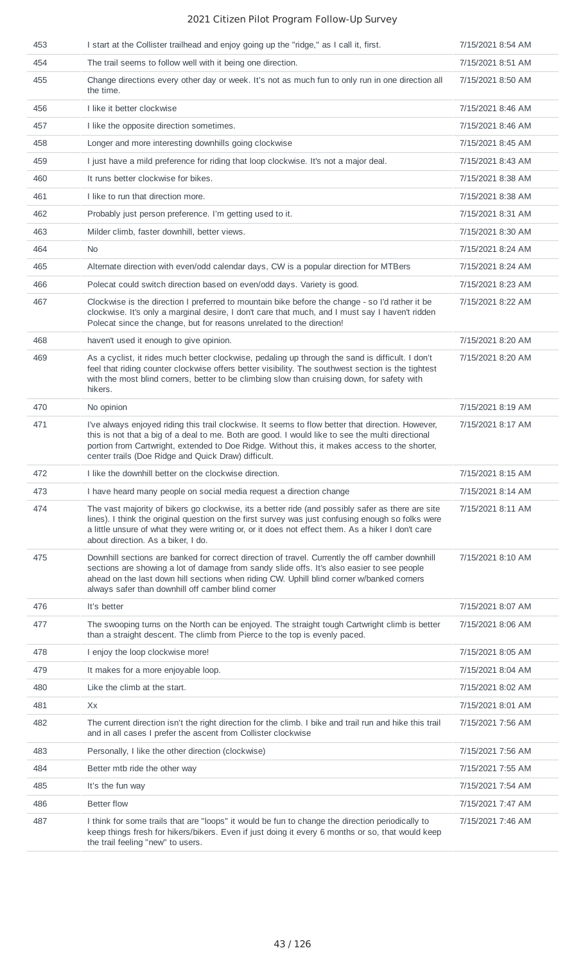| 453 | I start at the Collister trailhead and enjoy going up the "ridge," as I call it, first.                                                                                                                                                                                                                                                                       | 7/15/2021 8:54 AM |
|-----|---------------------------------------------------------------------------------------------------------------------------------------------------------------------------------------------------------------------------------------------------------------------------------------------------------------------------------------------------------------|-------------------|
| 454 | The trail seems to follow well with it being one direction.                                                                                                                                                                                                                                                                                                   | 7/15/2021 8:51 AM |
| 455 | Change directions every other day or week. It's not as much fun to only run in one direction all<br>the time.                                                                                                                                                                                                                                                 | 7/15/2021 8:50 AM |
| 456 | I like it better clockwise                                                                                                                                                                                                                                                                                                                                    | 7/15/2021 8:46 AM |
| 457 | I like the opposite direction sometimes.                                                                                                                                                                                                                                                                                                                      | 7/15/2021 8:46 AM |
| 458 | Longer and more interesting downhills going clockwise                                                                                                                                                                                                                                                                                                         | 7/15/2021 8:45 AM |
| 459 | I just have a mild preference for riding that loop clockwise. It's not a major deal.                                                                                                                                                                                                                                                                          | 7/15/2021 8:43 AM |
| 460 | It runs better clockwise for bikes.                                                                                                                                                                                                                                                                                                                           | 7/15/2021 8:38 AM |
| 461 | I like to run that direction more.                                                                                                                                                                                                                                                                                                                            | 7/15/2021 8:38 AM |
| 462 | Probably just person preference. I'm getting used to it.                                                                                                                                                                                                                                                                                                      | 7/15/2021 8:31 AM |
| 463 | Milder climb, faster downhill, better views.                                                                                                                                                                                                                                                                                                                  | 7/15/2021 8:30 AM |
| 464 | No.                                                                                                                                                                                                                                                                                                                                                           | 7/15/2021 8:24 AM |
| 465 | Alternate direction with even/odd calendar days, CW is a popular direction for MTBers                                                                                                                                                                                                                                                                         | 7/15/2021 8:24 AM |
| 466 | Polecat could switch direction based on even/odd days. Variety is good.                                                                                                                                                                                                                                                                                       | 7/15/2021 8:23 AM |
| 467 | Clockwise is the direction I preferred to mountain bike before the change - so I'd rather it be<br>clockwise. It's only a marginal desire, I don't care that much, and I must say I haven't ridden<br>Polecat since the change, but for reasons unrelated to the direction!                                                                                   | 7/15/2021 8:22 AM |
| 468 | haven't used it enough to give opinion.                                                                                                                                                                                                                                                                                                                       | 7/15/2021 8:20 AM |
| 469 | As a cyclist, it rides much better clockwise, pedaling up through the sand is difficult. I don't<br>feel that riding counter clockwise offers better visibility. The southwest section is the tightest<br>with the most blind corners, better to be climbing slow than cruising down, for safety with<br>hikers.                                              | 7/15/2021 8:20 AM |
| 470 | No opinion                                                                                                                                                                                                                                                                                                                                                    | 7/15/2021 8:19 AM |
| 471 | I've always enjoyed riding this trail clockwise. It seems to flow better that direction. However,<br>this is not that a big of a deal to me. Both are good. I would like to see the multi directional<br>portion from Cartwright, extended to Doe Ridge. Without this, it makes access to the shorter,<br>center trails (Doe Ridge and Quick Draw) difficult. | 7/15/2021 8:17 AM |
| 472 | I like the downhill better on the clockwise direction.                                                                                                                                                                                                                                                                                                        | 7/15/2021 8:15 AM |
| 473 | I have heard many people on social media request a direction change                                                                                                                                                                                                                                                                                           | 7/15/2021 8:14 AM |
| 474 | The vast majority of bikers go clockwise, its a better ride (and possibly safer as there are site<br>lines). I think the original question on the first survey was just confusing enough so folks were<br>a little unsure of what they were writing or, or it does not effect them. As a hiker I don't care<br>about direction. As a biker, I do.             | 7/15/2021 8:11 AM |
| 475 | Downhill sections are banked for correct direction of travel. Currently the off camber downhill<br>sections are showing a lot of damage from sandy slide offs. It's also easier to see people<br>ahead on the last down hill sections when riding CW. Uphill blind corner w/banked corners<br>always safer than downhill off camber blind corner              | 7/15/2021 8:10 AM |
| 476 | It's better                                                                                                                                                                                                                                                                                                                                                   | 7/15/2021 8:07 AM |
| 477 | The swooping turns on the North can be enjoyed. The straight tough Cartwright climb is better<br>than a straight descent. The climb from Pierce to the top is evenly paced.                                                                                                                                                                                   | 7/15/2021 8:06 AM |
| 478 | I enjoy the loop clockwise more!                                                                                                                                                                                                                                                                                                                              | 7/15/2021 8:05 AM |
| 479 | It makes for a more enjoyable loop.                                                                                                                                                                                                                                                                                                                           | 7/15/2021 8:04 AM |
| 480 | Like the climb at the start.                                                                                                                                                                                                                                                                                                                                  | 7/15/2021 8:02 AM |
| 481 | Xx                                                                                                                                                                                                                                                                                                                                                            | 7/15/2021 8:01 AM |
| 482 | The current direction isn't the right direction for the climb. I bike and trail run and hike this trail<br>and in all cases I prefer the ascent from Collister clockwise                                                                                                                                                                                      | 7/15/2021 7:56 AM |
| 483 | Personally, I like the other direction (clockwise)                                                                                                                                                                                                                                                                                                            | 7/15/2021 7:56 AM |
| 484 | Better mtb ride the other way                                                                                                                                                                                                                                                                                                                                 | 7/15/2021 7:55 AM |
| 485 | It's the fun way                                                                                                                                                                                                                                                                                                                                              | 7/15/2021 7:54 AM |
| 486 | <b>Better flow</b>                                                                                                                                                                                                                                                                                                                                            | 7/15/2021 7:47 AM |
| 487 | I think for some trails that are "loops" it would be fun to change the direction periodically to<br>keep things fresh for hikers/bikers. Even if just doing it every 6 months or so, that would keep<br>the trail feeling "new" to users.                                                                                                                     | 7/15/2021 7:46 AM |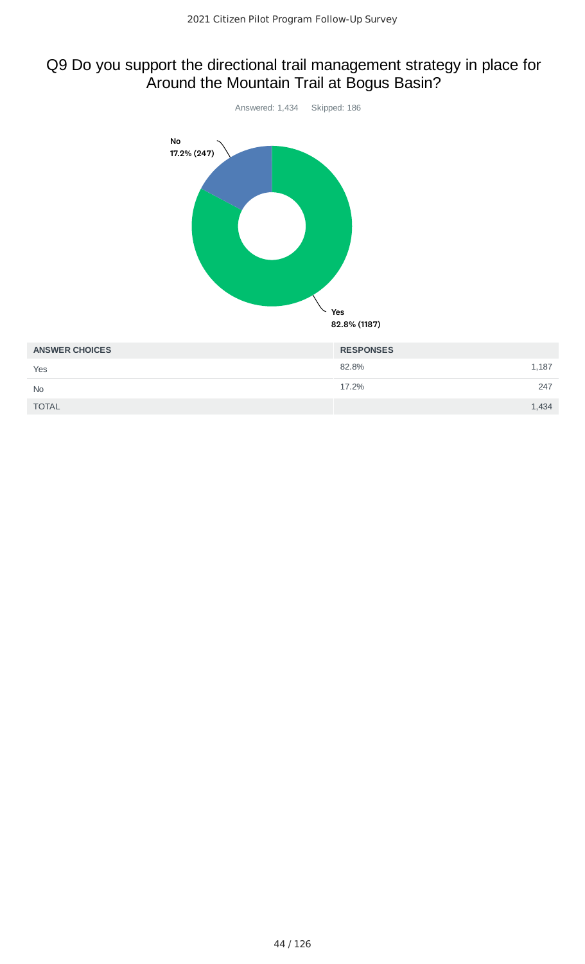## Q9 Do you support the directional trail management strategy in place for Around the Mountain Trail at Bogus Basin?



| ANUMENT UNIVER | טשטויט ועבוו |       |
|----------------|--------------|-------|
| Yes            | 82.8%        | 1,187 |
| No             | 17.2%        | 247   |
| <b>TOTAL</b>   |              | 1,434 |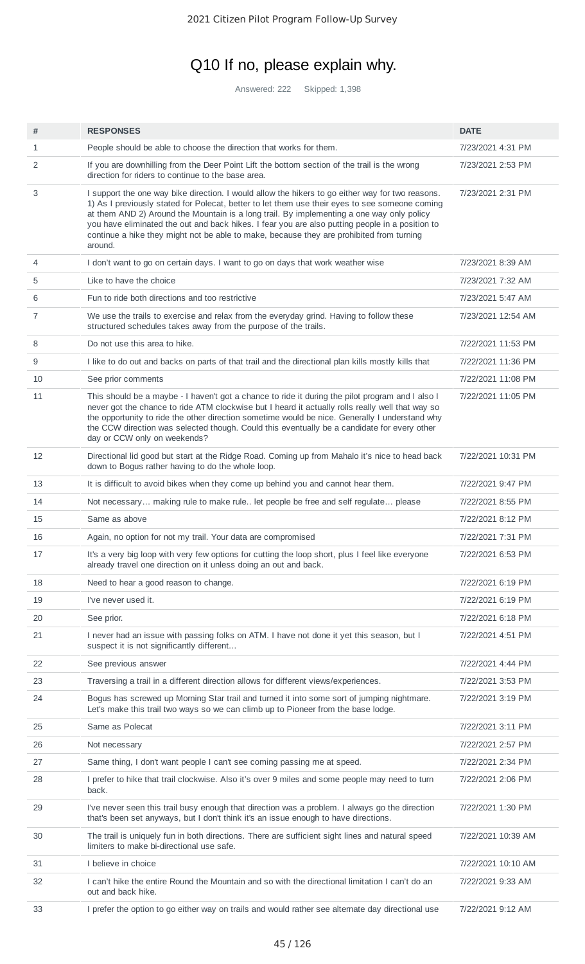# Q10 If no, please explain why.

Answered: 222 Skipped: 1,398

| #  | <b>RESPONSES</b>                                                                                                                                                                                                                                                                                                                                                                                                                                                                                          | <b>DATE</b>        |
|----|-----------------------------------------------------------------------------------------------------------------------------------------------------------------------------------------------------------------------------------------------------------------------------------------------------------------------------------------------------------------------------------------------------------------------------------------------------------------------------------------------------------|--------------------|
| 1  | People should be able to choose the direction that works for them.                                                                                                                                                                                                                                                                                                                                                                                                                                        | 7/23/2021 4:31 PM  |
| 2  | If you are downhilling from the Deer Point Lift the bottom section of the trail is the wrong<br>direction for riders to continue to the base area.                                                                                                                                                                                                                                                                                                                                                        | 7/23/2021 2:53 PM  |
| 3  | I support the one way bike direction. I would allow the hikers to go either way for two reasons.<br>1) As I previously stated for Polecat, better to let them use their eyes to see someone coming<br>at them AND 2) Around the Mountain is a long trail. By implementing a one way only policy<br>you have eliminated the out and back hikes. I fear you are also putting people in a position to<br>continue a hike they might not be able to make, because they are prohibited from turning<br>around. | 7/23/2021 2:31 PM  |
| 4  | I don't want to go on certain days. I want to go on days that work weather wise                                                                                                                                                                                                                                                                                                                                                                                                                           | 7/23/2021 8:39 AM  |
| 5  | Like to have the choice                                                                                                                                                                                                                                                                                                                                                                                                                                                                                   | 7/23/2021 7:32 AM  |
| 6  | Fun to ride both directions and too restrictive                                                                                                                                                                                                                                                                                                                                                                                                                                                           | 7/23/2021 5:47 AM  |
| 7  | We use the trails to exercise and relax from the everyday grind. Having to follow these<br>structured schedules takes away from the purpose of the trails.                                                                                                                                                                                                                                                                                                                                                | 7/23/2021 12:54 AM |
| 8  | Do not use this area to hike.                                                                                                                                                                                                                                                                                                                                                                                                                                                                             | 7/22/2021 11:53 PM |
| 9  | I like to do out and backs on parts of that trail and the directional plan kills mostly kills that                                                                                                                                                                                                                                                                                                                                                                                                        | 7/22/2021 11:36 PM |
| 10 | See prior comments                                                                                                                                                                                                                                                                                                                                                                                                                                                                                        | 7/22/2021 11:08 PM |
| 11 | This should be a maybe - I haven't got a chance to ride it during the pilot program and I also I<br>never got the chance to ride ATM clockwise but I heard it actually rolls really well that way so<br>the opportunity to ride the other direction sometime would be nice. Generally I understand why<br>the CCW direction was selected though. Could this eventually be a candidate for every other<br>day or CCW only on weekends?                                                                     | 7/22/2021 11:05 PM |
| 12 | Directional lid good but start at the Ridge Road. Coming up from Mahalo it's nice to head back<br>down to Bogus rather having to do the whole loop.                                                                                                                                                                                                                                                                                                                                                       | 7/22/2021 10:31 PM |
| 13 | It is difficult to avoid bikes when they come up behind you and cannot hear them.                                                                                                                                                                                                                                                                                                                                                                                                                         | 7/22/2021 9:47 PM  |
| 14 | Not necessary making rule to make rule let people be free and self regulate please                                                                                                                                                                                                                                                                                                                                                                                                                        | 7/22/2021 8:55 PM  |
| 15 | Same as above                                                                                                                                                                                                                                                                                                                                                                                                                                                                                             | 7/22/2021 8:12 PM  |
| 16 | Again, no option for not my trail. Your data are compromised                                                                                                                                                                                                                                                                                                                                                                                                                                              | 7/22/2021 7:31 PM  |
| 17 | It's a very big loop with very few options for cutting the loop short, plus I feel like everyone<br>already travel one direction on it unless doing an out and back.                                                                                                                                                                                                                                                                                                                                      | 7/22/2021 6:53 PM  |
| 18 | Need to hear a good reason to change.                                                                                                                                                                                                                                                                                                                                                                                                                                                                     | 7/22/2021 6:19 PM  |
| 19 | I've never used it.                                                                                                                                                                                                                                                                                                                                                                                                                                                                                       | 7/22/2021 6:19 PM  |
| 20 | See prior.                                                                                                                                                                                                                                                                                                                                                                                                                                                                                                | 7/22/2021 6:18 PM  |
| 21 | I never had an issue with passing folks on ATM. I have not done it yet this season, but I<br>suspect it is not significantly different                                                                                                                                                                                                                                                                                                                                                                    | 7/22/2021 4:51 PM  |
| 22 | See previous answer                                                                                                                                                                                                                                                                                                                                                                                                                                                                                       | 7/22/2021 4:44 PM  |
| 23 | Traversing a trail in a different direction allows for different views/experiences.                                                                                                                                                                                                                                                                                                                                                                                                                       | 7/22/2021 3:53 PM  |
| 24 | Bogus has screwed up Morning Star trail and turned it into some sort of jumping nightmare.<br>Let's make this trail two ways so we can climb up to Pioneer from the base lodge.                                                                                                                                                                                                                                                                                                                           | 7/22/2021 3:19 PM  |
| 25 | Same as Polecat                                                                                                                                                                                                                                                                                                                                                                                                                                                                                           | 7/22/2021 3:11 PM  |
| 26 | Not necessary                                                                                                                                                                                                                                                                                                                                                                                                                                                                                             | 7/22/2021 2:57 PM  |
| 27 | Same thing, I don't want people I can't see coming passing me at speed.                                                                                                                                                                                                                                                                                                                                                                                                                                   | 7/22/2021 2:34 PM  |
| 28 | I prefer to hike that trail clockwise. Also it's over 9 miles and some people may need to turn<br>back.                                                                                                                                                                                                                                                                                                                                                                                                   | 7/22/2021 2:06 PM  |
| 29 | I've never seen this trail busy enough that direction was a problem. I always go the direction<br>that's been set anyways, but I don't think it's an issue enough to have directions.                                                                                                                                                                                                                                                                                                                     | 7/22/2021 1:30 PM  |
| 30 | The trail is uniquely fun in both directions. There are sufficient sight lines and natural speed<br>limiters to make bi-directional use safe.                                                                                                                                                                                                                                                                                                                                                             | 7/22/2021 10:39 AM |
| 31 | I believe in choice                                                                                                                                                                                                                                                                                                                                                                                                                                                                                       | 7/22/2021 10:10 AM |
| 32 | I can't hike the entire Round the Mountain and so with the directional limitation I can't do an<br>out and back hike.                                                                                                                                                                                                                                                                                                                                                                                     | 7/22/2021 9:33 AM  |
| 33 | I prefer the option to go either way on trails and would rather see alternate day directional use                                                                                                                                                                                                                                                                                                                                                                                                         | 7/22/2021 9:12 AM  |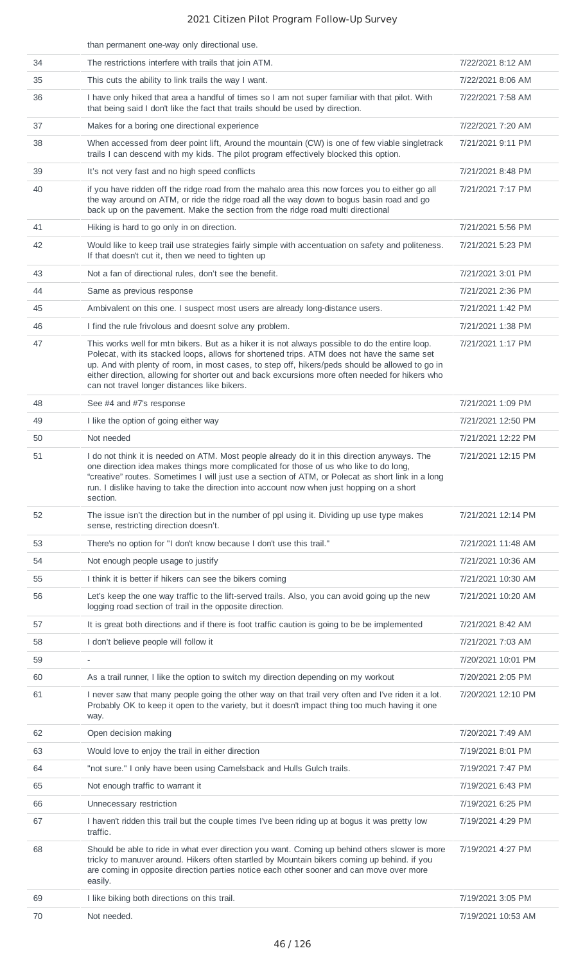|    | than permanent one-way only directional use.                                                                                                                                                                                                                                                                                                                                                                                                         |                    |
|----|------------------------------------------------------------------------------------------------------------------------------------------------------------------------------------------------------------------------------------------------------------------------------------------------------------------------------------------------------------------------------------------------------------------------------------------------------|--------------------|
| 34 | The restrictions interfere with trails that join ATM.                                                                                                                                                                                                                                                                                                                                                                                                | 7/22/2021 8:12 AM  |
| 35 | This cuts the ability to link trails the way I want.                                                                                                                                                                                                                                                                                                                                                                                                 | 7/22/2021 8:06 AM  |
| 36 | I have only hiked that area a handful of times so I am not super familiar with that pilot. With<br>that being said I don't like the fact that trails should be used by direction.                                                                                                                                                                                                                                                                    | 7/22/2021 7:58 AM  |
| 37 | Makes for a boring one directional experience                                                                                                                                                                                                                                                                                                                                                                                                        | 7/22/2021 7:20 AM  |
| 38 | When accessed from deer point lift, Around the mountain (CW) is one of few viable singletrack<br>trails I can descend with my kids. The pilot program effectively blocked this option.                                                                                                                                                                                                                                                               | 7/21/2021 9:11 PM  |
| 39 | It's not very fast and no high speed conflicts                                                                                                                                                                                                                                                                                                                                                                                                       | 7/21/2021 8:48 PM  |
| 40 | if you have ridden off the ridge road from the mahalo area this now forces you to either go all<br>the way around on ATM, or ride the ridge road all the way down to bogus basin road and go<br>back up on the pavement. Make the section from the ridge road multi directional                                                                                                                                                                      | 7/21/2021 7:17 PM  |
| 41 | Hiking is hard to go only in on direction.                                                                                                                                                                                                                                                                                                                                                                                                           | 7/21/2021 5:56 PM  |
| 42 | Would like to keep trail use strategies fairly simple with accentuation on safety and politeness.<br>If that doesn't cut it, then we need to tighten up                                                                                                                                                                                                                                                                                              | 7/21/2021 5:23 PM  |
| 43 | Not a fan of directional rules, don't see the benefit.                                                                                                                                                                                                                                                                                                                                                                                               | 7/21/2021 3:01 PM  |
| 44 | Same as previous response                                                                                                                                                                                                                                                                                                                                                                                                                            | 7/21/2021 2:36 PM  |
| 45 | Ambivalent on this one. I suspect most users are already long-distance users.                                                                                                                                                                                                                                                                                                                                                                        | 7/21/2021 1:42 PM  |
| 46 | I find the rule frivolous and doesnt solve any problem.                                                                                                                                                                                                                                                                                                                                                                                              | 7/21/2021 1:38 PM  |
| 47 | This works well for mtn bikers. But as a hiker it is not always possible to do the entire loop.<br>Polecat, with its stacked loops, allows for shortened trips. ATM does not have the same set<br>up. And with plenty of room, in most cases, to step off, hikers/peds should be allowed to go in<br>either direction, allowing for shorter out and back excursions more often needed for hikers who<br>can not travel longer distances like bikers. | 7/21/2021 1:17 PM  |
| 48 | See #4 and #7's response                                                                                                                                                                                                                                                                                                                                                                                                                             | 7/21/2021 1:09 PM  |
| 49 | I like the option of going either way                                                                                                                                                                                                                                                                                                                                                                                                                | 7/21/2021 12:50 PM |
| 50 | Not needed                                                                                                                                                                                                                                                                                                                                                                                                                                           | 7/21/2021 12:22 PM |
| 51 | I do not think it is needed on ATM. Most people already do it in this direction anyways. The<br>one direction idea makes things more complicated for those of us who like to do long,<br>"creative" routes. Sometimes I will just use a section of ATM, or Polecat as short link in a long<br>run. I dislike having to take the direction into account now when just hopping on a short<br>section.                                                  | 7/21/2021 12:15 PM |
| 52 | The issue isn't the direction but in the number of ppl using it. Dividing up use type makes<br>sense, restricting direction doesn't.                                                                                                                                                                                                                                                                                                                 | 7/21/2021 12:14 PM |
| 53 | There's no option for "I don't know because I don't use this trail."                                                                                                                                                                                                                                                                                                                                                                                 | 7/21/2021 11:48 AM |
| 54 | Not enough people usage to justify                                                                                                                                                                                                                                                                                                                                                                                                                   | 7/21/2021 10:36 AM |
| 55 | I think it is better if hikers can see the bikers coming                                                                                                                                                                                                                                                                                                                                                                                             | 7/21/2021 10:30 AM |
| 56 | Let's keep the one way traffic to the lift-served trails. Also, you can avoid going up the new<br>logging road section of trail in the opposite direction.                                                                                                                                                                                                                                                                                           | 7/21/2021 10:20 AM |
| 57 | It is great both directions and if there is foot traffic caution is going to be be implemented                                                                                                                                                                                                                                                                                                                                                       | 7/21/2021 8:42 AM  |
| 58 | I don't believe people will follow it                                                                                                                                                                                                                                                                                                                                                                                                                | 7/21/2021 7:03 AM  |
| 59 |                                                                                                                                                                                                                                                                                                                                                                                                                                                      | 7/20/2021 10:01 PM |
| 60 | As a trail runner, I like the option to switch my direction depending on my workout                                                                                                                                                                                                                                                                                                                                                                  | 7/20/2021 2:05 PM  |
| 61 | I never saw that many people going the other way on that trail very often and I've riden it a lot.<br>Probably OK to keep it open to the variety, but it doesn't impact thing too much having it one<br>way.                                                                                                                                                                                                                                         | 7/20/2021 12:10 PM |
| 62 | Open decision making                                                                                                                                                                                                                                                                                                                                                                                                                                 | 7/20/2021 7:49 AM  |
| 63 | Would love to enjoy the trail in either direction                                                                                                                                                                                                                                                                                                                                                                                                    | 7/19/2021 8:01 PM  |
| 64 | "not sure." I only have been using Camelsback and Hulls Gulch trails.                                                                                                                                                                                                                                                                                                                                                                                | 7/19/2021 7:47 PM  |
| 65 | Not enough traffic to warrant it                                                                                                                                                                                                                                                                                                                                                                                                                     | 7/19/2021 6:43 PM  |
| 66 | Unnecessary restriction                                                                                                                                                                                                                                                                                                                                                                                                                              | 7/19/2021 6:25 PM  |
| 67 | I haven't ridden this trail but the couple times I've been riding up at bogus it was pretty low<br>traffic.                                                                                                                                                                                                                                                                                                                                          | 7/19/2021 4:29 PM  |
| 68 | Should be able to ride in what ever direction you want. Coming up behind others slower is more<br>tricky to manuver around. Hikers often startled by Mountain bikers coming up behind. if you<br>are coming in opposite direction parties notice each other sooner and can move over more<br>easily.                                                                                                                                                 | 7/19/2021 4:27 PM  |
| 69 | I like biking both directions on this trail.                                                                                                                                                                                                                                                                                                                                                                                                         | 7/19/2021 3:05 PM  |
| 70 | Not needed.                                                                                                                                                                                                                                                                                                                                                                                                                                          | 7/19/2021 10:53 AM |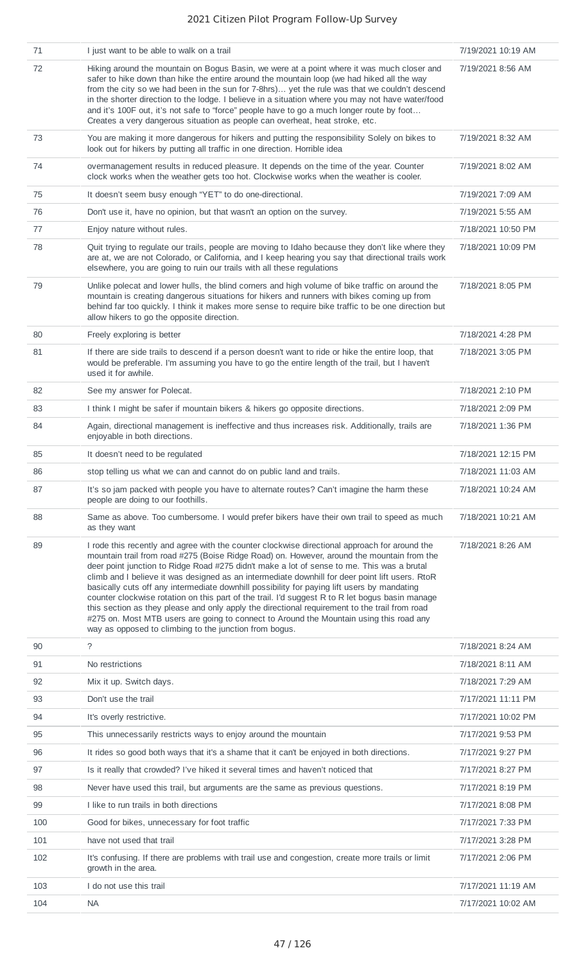| 71  | I just want to be able to walk on a trail                                                                                                                                                                                                                                                                                                                                                                                                                                                                                                                                                                                                                                                                                                                                                                                                            | 7/19/2021 10:19 AM |
|-----|------------------------------------------------------------------------------------------------------------------------------------------------------------------------------------------------------------------------------------------------------------------------------------------------------------------------------------------------------------------------------------------------------------------------------------------------------------------------------------------------------------------------------------------------------------------------------------------------------------------------------------------------------------------------------------------------------------------------------------------------------------------------------------------------------------------------------------------------------|--------------------|
| 72  | Hiking around the mountain on Bogus Basin, we were at a point where it was much closer and<br>safer to hike down than hike the entire around the mountain loop (we had hiked all the way<br>from the city so we had been in the sun for 7-8hrs) yet the rule was that we couldn't descend<br>in the shorter direction to the lodge. I believe in a situation where you may not have water/food<br>and it's 100F out, it's not safe to "force" people have to go a much longer route by foot<br>Creates a very dangerous situation as people can overheat, heat stroke, etc.                                                                                                                                                                                                                                                                          | 7/19/2021 8:56 AM  |
| 73  | You are making it more dangerous for hikers and putting the responsibility Solely on bikes to<br>look out for hikers by putting all traffic in one direction. Horrible idea                                                                                                                                                                                                                                                                                                                                                                                                                                                                                                                                                                                                                                                                          | 7/19/2021 8:32 AM  |
| 74  | overmanagement results in reduced pleasure. It depends on the time of the year. Counter<br>clock works when the weather gets too hot. Clockwise works when the weather is cooler.                                                                                                                                                                                                                                                                                                                                                                                                                                                                                                                                                                                                                                                                    | 7/19/2021 8:02 AM  |
| 75  | It doesn't seem busy enough "YET" to do one-directional.                                                                                                                                                                                                                                                                                                                                                                                                                                                                                                                                                                                                                                                                                                                                                                                             | 7/19/2021 7:09 AM  |
| 76  | Don't use it, have no opinion, but that wasn't an option on the survey.                                                                                                                                                                                                                                                                                                                                                                                                                                                                                                                                                                                                                                                                                                                                                                              | 7/19/2021 5:55 AM  |
| 77  | Enjoy nature without rules.                                                                                                                                                                                                                                                                                                                                                                                                                                                                                                                                                                                                                                                                                                                                                                                                                          | 7/18/2021 10:50 PM |
| 78  | Quit trying to regulate our trails, people are moving to Idaho because they don't like where they<br>are at, we are not Colorado, or California, and I keep hearing you say that directional trails work<br>elsewhere, you are going to ruin our trails with all these regulations                                                                                                                                                                                                                                                                                                                                                                                                                                                                                                                                                                   | 7/18/2021 10:09 PM |
| 79  | Unlike polecat and lower hulls, the blind corners and high volume of bike traffic on around the<br>mountain is creating dangerous situations for hikers and runners with bikes coming up from<br>behind far too quickly. I think it makes more sense to require bike traffic to be one direction but<br>allow hikers to go the opposite direction.                                                                                                                                                                                                                                                                                                                                                                                                                                                                                                   | 7/18/2021 8:05 PM  |
| 80  | Freely exploring is better                                                                                                                                                                                                                                                                                                                                                                                                                                                                                                                                                                                                                                                                                                                                                                                                                           | 7/18/2021 4:28 PM  |
| 81  | If there are side trails to descend if a person doesn't want to ride or hike the entire loop, that<br>would be preferable. I'm assuming you have to go the entire length of the trail, but I haven't<br>used it for awhile.                                                                                                                                                                                                                                                                                                                                                                                                                                                                                                                                                                                                                          | 7/18/2021 3:05 PM  |
| 82  | See my answer for Polecat.                                                                                                                                                                                                                                                                                                                                                                                                                                                                                                                                                                                                                                                                                                                                                                                                                           | 7/18/2021 2:10 PM  |
| 83  | I think I might be safer if mountain bikers & hikers go opposite directions.                                                                                                                                                                                                                                                                                                                                                                                                                                                                                                                                                                                                                                                                                                                                                                         | 7/18/2021 2:09 PM  |
| 84  | Again, directional management is ineffective and thus increases risk. Additionally, trails are<br>enjoyable in both directions.                                                                                                                                                                                                                                                                                                                                                                                                                                                                                                                                                                                                                                                                                                                      | 7/18/2021 1:36 PM  |
| 85  | It doesn't need to be regulated                                                                                                                                                                                                                                                                                                                                                                                                                                                                                                                                                                                                                                                                                                                                                                                                                      | 7/18/2021 12:15 PM |
| 86  | stop telling us what we can and cannot do on public land and trails.                                                                                                                                                                                                                                                                                                                                                                                                                                                                                                                                                                                                                                                                                                                                                                                 | 7/18/2021 11:03 AM |
| 87  | It's so jam packed with people you have to alternate routes? Can't imagine the harm these<br>people are doing to our foothills.                                                                                                                                                                                                                                                                                                                                                                                                                                                                                                                                                                                                                                                                                                                      | 7/18/2021 10:24 AM |
| 88  | Same as above. Too cumbersome. I would prefer bikers have their own trail to speed as much<br>as they want                                                                                                                                                                                                                                                                                                                                                                                                                                                                                                                                                                                                                                                                                                                                           | 7/18/2021 10:21 AM |
| 89  | I rode this recently and agree with the counter clockwise directional approach for around the<br>mountain trail from road #275 (Boise Ridge Road) on. However, around the mountain from the<br>deer point junction to Ridge Road #275 didn't make a lot of sense to me. This was a brutal<br>climb and I believe it was designed as an intermediate downhill for deer point lift users. RtoR<br>basically cuts off any intermediate downhill possibility for paying lift users by mandating<br>counter clockwise rotation on this part of the trail. I'd suggest R to R let bogus basin manage<br>this section as they please and only apply the directional requirement to the trail from road<br>#275 on. Most MTB users are going to connect to Around the Mountain using this road any<br>way as opposed to climbing to the junction from bogus. | 7/18/2021 8:26 AM  |
| 90  | ?                                                                                                                                                                                                                                                                                                                                                                                                                                                                                                                                                                                                                                                                                                                                                                                                                                                    | 7/18/2021 8:24 AM  |
| 91  | No restrictions                                                                                                                                                                                                                                                                                                                                                                                                                                                                                                                                                                                                                                                                                                                                                                                                                                      | 7/18/2021 8:11 AM  |
| 92  | Mix it up. Switch days.                                                                                                                                                                                                                                                                                                                                                                                                                                                                                                                                                                                                                                                                                                                                                                                                                              | 7/18/2021 7:29 AM  |
| 93  | Don't use the trail                                                                                                                                                                                                                                                                                                                                                                                                                                                                                                                                                                                                                                                                                                                                                                                                                                  | 7/17/2021 11:11 PM |
| 94  | It's overly restrictive.                                                                                                                                                                                                                                                                                                                                                                                                                                                                                                                                                                                                                                                                                                                                                                                                                             | 7/17/2021 10:02 PM |
| 95  | This unnecessarily restricts ways to enjoy around the mountain                                                                                                                                                                                                                                                                                                                                                                                                                                                                                                                                                                                                                                                                                                                                                                                       | 7/17/2021 9:53 PM  |
| 96  | It rides so good both ways that it's a shame that it can't be enjoyed in both directions.                                                                                                                                                                                                                                                                                                                                                                                                                                                                                                                                                                                                                                                                                                                                                            | 7/17/2021 9:27 PM  |
| 97  | Is it really that crowded? I've hiked it several times and haven't noticed that                                                                                                                                                                                                                                                                                                                                                                                                                                                                                                                                                                                                                                                                                                                                                                      | 7/17/2021 8:27 PM  |
| 98  | Never have used this trail, but arguments are the same as previous questions.                                                                                                                                                                                                                                                                                                                                                                                                                                                                                                                                                                                                                                                                                                                                                                        | 7/17/2021 8:19 PM  |
| 99  | I like to run trails in both directions                                                                                                                                                                                                                                                                                                                                                                                                                                                                                                                                                                                                                                                                                                                                                                                                              | 7/17/2021 8:08 PM  |
| 100 | Good for bikes, unnecessary for foot traffic                                                                                                                                                                                                                                                                                                                                                                                                                                                                                                                                                                                                                                                                                                                                                                                                         | 7/17/2021 7:33 PM  |
| 101 | have not used that trail                                                                                                                                                                                                                                                                                                                                                                                                                                                                                                                                                                                                                                                                                                                                                                                                                             | 7/17/2021 3:28 PM  |
| 102 | It's confusing. If there are problems with trail use and congestion, create more trails or limit<br>growth in the area.                                                                                                                                                                                                                                                                                                                                                                                                                                                                                                                                                                                                                                                                                                                              | 7/17/2021 2:06 PM  |
| 103 | I do not use this trail                                                                                                                                                                                                                                                                                                                                                                                                                                                                                                                                                                                                                                                                                                                                                                                                                              | 7/17/2021 11:19 AM |
| 104 | <b>NA</b>                                                                                                                                                                                                                                                                                                                                                                                                                                                                                                                                                                                                                                                                                                                                                                                                                                            | 7/17/2021 10:02 AM |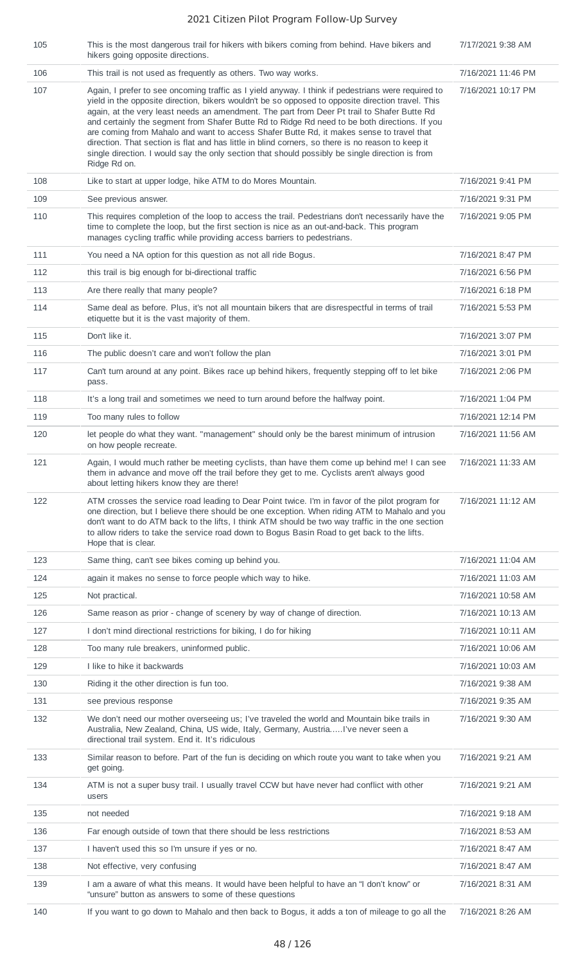| 105 | This is the most dangerous trail for hikers with bikers coming from behind. Have bikers and<br>hikers going opposite directions.                                                                                                                                                                                                                                                                                                                                                                                                                                                                                                                                                                                            | 7/17/2021 9:38 AM  |
|-----|-----------------------------------------------------------------------------------------------------------------------------------------------------------------------------------------------------------------------------------------------------------------------------------------------------------------------------------------------------------------------------------------------------------------------------------------------------------------------------------------------------------------------------------------------------------------------------------------------------------------------------------------------------------------------------------------------------------------------------|--------------------|
| 106 | This trail is not used as frequently as others. Two way works.                                                                                                                                                                                                                                                                                                                                                                                                                                                                                                                                                                                                                                                              | 7/16/2021 11:46 PM |
| 107 | Again, I prefer to see oncoming traffic as I yield anyway. I think if pedestrians were required to<br>yield in the opposite direction, bikers wouldn't be so opposed to opposite direction travel. This<br>again, at the very least needs an amendment. The part from Deer Pt trail to Shafer Butte Rd<br>and certainly the segment from Shafer Butte Rd to Ridge Rd need to be both directions. If you<br>are coming from Mahalo and want to access Shafer Butte Rd, it makes sense to travel that<br>direction. That section is flat and has little in blind corners, so there is no reason to keep it<br>single direction. I would say the only section that should possibly be single direction is from<br>Ridge Rd on. | 7/16/2021 10:17 PM |
| 108 | Like to start at upper lodge, hike ATM to do Mores Mountain.                                                                                                                                                                                                                                                                                                                                                                                                                                                                                                                                                                                                                                                                | 7/16/2021 9:41 PM  |
| 109 | See previous answer.                                                                                                                                                                                                                                                                                                                                                                                                                                                                                                                                                                                                                                                                                                        | 7/16/2021 9:31 PM  |
| 110 | This requires completion of the loop to access the trail. Pedestrians don't necessarily have the<br>time to complete the loop, but the first section is nice as an out-and-back. This program<br>manages cycling traffic while providing access barriers to pedestrians.                                                                                                                                                                                                                                                                                                                                                                                                                                                    | 7/16/2021 9:05 PM  |
| 111 | You need a NA option for this question as not all ride Bogus.                                                                                                                                                                                                                                                                                                                                                                                                                                                                                                                                                                                                                                                               | 7/16/2021 8:47 PM  |
| 112 | this trail is big enough for bi-directional traffic                                                                                                                                                                                                                                                                                                                                                                                                                                                                                                                                                                                                                                                                         | 7/16/2021 6:56 PM  |
| 113 | Are there really that many people?                                                                                                                                                                                                                                                                                                                                                                                                                                                                                                                                                                                                                                                                                          | 7/16/2021 6:18 PM  |
| 114 | Same deal as before. Plus, it's not all mountain bikers that are disrespectful in terms of trail<br>etiquette but it is the vast majority of them.                                                                                                                                                                                                                                                                                                                                                                                                                                                                                                                                                                          | 7/16/2021 5:53 PM  |
| 115 | Don't like it.                                                                                                                                                                                                                                                                                                                                                                                                                                                                                                                                                                                                                                                                                                              | 7/16/2021 3:07 PM  |
| 116 | The public doesn't care and won't follow the plan                                                                                                                                                                                                                                                                                                                                                                                                                                                                                                                                                                                                                                                                           | 7/16/2021 3:01 PM  |
| 117 | Can't turn around at any point. Bikes race up behind hikers, frequently stepping off to let bike<br>pass.                                                                                                                                                                                                                                                                                                                                                                                                                                                                                                                                                                                                                   | 7/16/2021 2:06 PM  |
| 118 | It's a long trail and sometimes we need to turn around before the halfway point.                                                                                                                                                                                                                                                                                                                                                                                                                                                                                                                                                                                                                                            | 7/16/2021 1:04 PM  |
| 119 | Too many rules to follow                                                                                                                                                                                                                                                                                                                                                                                                                                                                                                                                                                                                                                                                                                    | 7/16/2021 12:14 PM |
| 120 | let people do what they want. "management" should only be the barest minimum of intrusion<br>on how people recreate.                                                                                                                                                                                                                                                                                                                                                                                                                                                                                                                                                                                                        | 7/16/2021 11:56 AM |
| 121 | Again, I would much rather be meeting cyclists, than have them come up behind me! I can see<br>them in advance and move off the trail before they get to me. Cyclists aren't always good<br>about letting hikers know they are there!                                                                                                                                                                                                                                                                                                                                                                                                                                                                                       | 7/16/2021 11:33 AM |
| 122 | ATM crosses the service road leading to Dear Point twice. I'm in favor of the pilot program for<br>one direction, but I believe there should be one exception. When riding ATM to Mahalo and you<br>don't want to do ATM back to the lifts, I think ATM should be two way traffic in the one section<br>to allow riders to take the service road down to Bogus Basin Road to get back to the lifts.<br>Hope that is clear.                                                                                                                                                                                                                                                                                                  | 7/16/2021 11:12 AM |
| 123 | Same thing, can't see bikes coming up behind you.                                                                                                                                                                                                                                                                                                                                                                                                                                                                                                                                                                                                                                                                           | 7/16/2021 11:04 AM |
| 124 | again it makes no sense to force people which way to hike.                                                                                                                                                                                                                                                                                                                                                                                                                                                                                                                                                                                                                                                                  | 7/16/2021 11:03 AM |
| 125 | Not practical.                                                                                                                                                                                                                                                                                                                                                                                                                                                                                                                                                                                                                                                                                                              | 7/16/2021 10:58 AM |
| 126 | Same reason as prior - change of scenery by way of change of direction.                                                                                                                                                                                                                                                                                                                                                                                                                                                                                                                                                                                                                                                     | 7/16/2021 10:13 AM |
| 127 | I don't mind directional restrictions for biking, I do for hiking                                                                                                                                                                                                                                                                                                                                                                                                                                                                                                                                                                                                                                                           | 7/16/2021 10:11 AM |
| 128 | Too many rule breakers, uninformed public.                                                                                                                                                                                                                                                                                                                                                                                                                                                                                                                                                                                                                                                                                  | 7/16/2021 10:06 AM |
| 129 | I like to hike it backwards                                                                                                                                                                                                                                                                                                                                                                                                                                                                                                                                                                                                                                                                                                 | 7/16/2021 10:03 AM |
| 130 | Riding it the other direction is fun too.                                                                                                                                                                                                                                                                                                                                                                                                                                                                                                                                                                                                                                                                                   | 7/16/2021 9:38 AM  |
| 131 | see previous response                                                                                                                                                                                                                                                                                                                                                                                                                                                                                                                                                                                                                                                                                                       | 7/16/2021 9:35 AM  |
| 132 | We don't need our mother overseeing us; I've traveled the world and Mountain bike trails in<br>Australia, New Zealand, China, US wide, Italy, Germany, AustriaI've never seen a<br>directional trail system. End it. It's ridiculous                                                                                                                                                                                                                                                                                                                                                                                                                                                                                        | 7/16/2021 9:30 AM  |
| 133 | Similar reason to before. Part of the fun is deciding on which route you want to take when you<br>get going.                                                                                                                                                                                                                                                                                                                                                                                                                                                                                                                                                                                                                | 7/16/2021 9:21 AM  |
| 134 | ATM is not a super busy trail. I usually travel CCW but have never had conflict with other<br>users                                                                                                                                                                                                                                                                                                                                                                                                                                                                                                                                                                                                                         | 7/16/2021 9:21 AM  |
| 135 | not needed                                                                                                                                                                                                                                                                                                                                                                                                                                                                                                                                                                                                                                                                                                                  | 7/16/2021 9:18 AM  |
| 136 | Far enough outside of town that there should be less restrictions                                                                                                                                                                                                                                                                                                                                                                                                                                                                                                                                                                                                                                                           | 7/16/2021 8:53 AM  |
| 137 | I haven't used this so I'm unsure if yes or no.                                                                                                                                                                                                                                                                                                                                                                                                                                                                                                                                                                                                                                                                             | 7/16/2021 8:47 AM  |
| 138 | Not effective, very confusing                                                                                                                                                                                                                                                                                                                                                                                                                                                                                                                                                                                                                                                                                               | 7/16/2021 8:47 AM  |
| 139 | I am a aware of what this means. It would have been helpful to have an "I don't know" or<br>"unsure" button as answers to some of these questions                                                                                                                                                                                                                                                                                                                                                                                                                                                                                                                                                                           | 7/16/2021 8:31 AM  |
| 140 | If you want to go down to Mahalo and then back to Bogus, it adds a ton of mileage to go all the                                                                                                                                                                                                                                                                                                                                                                                                                                                                                                                                                                                                                             | 7/16/2021 8:26 AM  |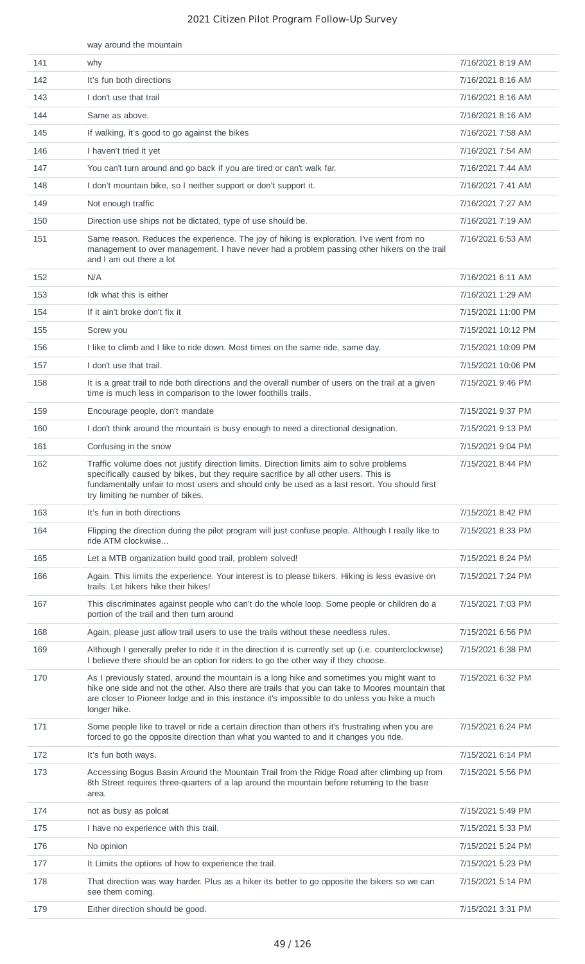|     | way around the mountain                                                                                                                                                                                                                                                                                               |                    |
|-----|-----------------------------------------------------------------------------------------------------------------------------------------------------------------------------------------------------------------------------------------------------------------------------------------------------------------------|--------------------|
| 141 | why                                                                                                                                                                                                                                                                                                                   | 7/16/2021 8:19 AM  |
| 142 | It's fun both directions                                                                                                                                                                                                                                                                                              | 7/16/2021 8:16 AM  |
| 143 | I don't use that trail                                                                                                                                                                                                                                                                                                | 7/16/2021 8:16 AM  |
| 144 | Same as above.                                                                                                                                                                                                                                                                                                        | 7/16/2021 8:16 AM  |
| 145 | If walking, it's good to go against the bikes                                                                                                                                                                                                                                                                         | 7/16/2021 7:58 AM  |
| 146 | I haven't tried it yet                                                                                                                                                                                                                                                                                                | 7/16/2021 7:54 AM  |
| 147 | You can't turn around and go back if you are tired or can't walk far.                                                                                                                                                                                                                                                 | 7/16/2021 7:44 AM  |
| 148 | I don't mountain bike, so I neither support or don't support it.                                                                                                                                                                                                                                                      | 7/16/2021 7:41 AM  |
| 149 | Not enough traffic                                                                                                                                                                                                                                                                                                    | 7/16/2021 7:27 AM  |
| 150 | Direction use ships not be dictated, type of use should be.                                                                                                                                                                                                                                                           | 7/16/2021 7:19 AM  |
| 151 | Same reason. Reduces the experience. The joy of hiking is exploration. I've went from no<br>management to over management. I have never had a problem passing other hikers on the trail<br>and I am out there a lot                                                                                                   | 7/16/2021 6:53 AM  |
| 152 | N/A                                                                                                                                                                                                                                                                                                                   | 7/16/2021 6:11 AM  |
| 153 | Idk what this is either                                                                                                                                                                                                                                                                                               | 7/16/2021 1:29 AM  |
| 154 | If it ain't broke don't fix it                                                                                                                                                                                                                                                                                        | 7/15/2021 11:00 PM |
| 155 | Screw you                                                                                                                                                                                                                                                                                                             | 7/15/2021 10:12 PM |
| 156 | I like to climb and I like to ride down. Most times on the same ride, same day.                                                                                                                                                                                                                                       | 7/15/2021 10:09 PM |
| 157 | I don't use that trail.                                                                                                                                                                                                                                                                                               | 7/15/2021 10:06 PM |
| 158 | It is a great trail to ride both directions and the overall number of users on the trail at a given<br>time is much less in comparison to the lower foothills trails.                                                                                                                                                 | 7/15/2021 9:46 PM  |
| 159 | Encourage people, don't mandate                                                                                                                                                                                                                                                                                       | 7/15/2021 9:37 PM  |
| 160 | I don't think around the mountain is busy enough to need a directional designation.                                                                                                                                                                                                                                   | 7/15/2021 9:13 PM  |
| 161 | Confusing in the snow                                                                                                                                                                                                                                                                                                 | 7/15/2021 9:04 PM  |
| 162 | Traffic volume does not justify direction limits. Direction limits aim to solve problems<br>specifically caused by bikes, but they require sacrifice by all other users. This is<br>fundamentally unfair to most users and should only be used as a last resort. You should first<br>try limiting he number of bikes. | 7/15/2021 8:44 PM  |
| 163 | It's fun in both directions                                                                                                                                                                                                                                                                                           | 7/15/2021 8:42 PM  |
| 164 | Flipping the direction during the pilot program will just confuse people. Although I really like to<br>ride ATM clockwise                                                                                                                                                                                             | 7/15/2021 8:33 PM  |
| 165 | Let a MTB organization build good trail, problem solved!                                                                                                                                                                                                                                                              | 7/15/2021 8:24 PM  |
| 166 | Again. This limits the experience. Your interest is to please bikers. Hiking is less evasive on<br>trails. Let hikers hike their hikes!                                                                                                                                                                               | 7/15/2021 7:24 PM  |
| 167 | This discriminates against people who can't do the whole loop. Some people or children do a<br>portion of the trail and then turn around                                                                                                                                                                              | 7/15/2021 7:03 PM  |
| 168 | Again, please just allow trail users to use the trails without these needless rules.                                                                                                                                                                                                                                  | 7/15/2021 6:56 PM  |
| 169 | Although I generally prefer to ride it in the direction it is currently set up (i.e. counterclockwise)<br>I believe there should be an option for riders to go the other way if they choose.                                                                                                                          | 7/15/2021 6:38 PM  |
| 170 | As I previously stated, around the mountain is a long hike and sometimes you might want to<br>hike one side and not the other. Also there are trails that you can take to Moores mountain that<br>are closer to Pioneer lodge and in this instance it's impossible to do unless you hike a much<br>longer hike.       | 7/15/2021 6:32 PM  |
| 171 | Some people like to travel or ride a certain direction than others it's frustrating when you are<br>forced to go the opposite direction than what you wanted to and it changes you ride.                                                                                                                              | 7/15/2021 6:24 PM  |
| 172 | It's fun both ways.                                                                                                                                                                                                                                                                                                   | 7/15/2021 6:14 PM  |
| 173 | Accessing Bogus Basin Around the Mountain Trail from the Ridge Road after climbing up from<br>8th Street requires three-quarters of a lap around the mountain before returning to the base<br>area.                                                                                                                   | 7/15/2021 5:56 PM  |
| 174 | not as busy as polcat                                                                                                                                                                                                                                                                                                 | 7/15/2021 5:49 PM  |
| 175 | I have no experience with this trail.                                                                                                                                                                                                                                                                                 | 7/15/2021 5:33 PM  |
| 176 | No opinion                                                                                                                                                                                                                                                                                                            | 7/15/2021 5:24 PM  |
| 177 | It Limits the options of how to experience the trail.                                                                                                                                                                                                                                                                 | 7/15/2021 5:23 PM  |
| 178 | That direction was way harder. Plus as a hiker its better to go opposite the bikers so we can<br>see them coming.                                                                                                                                                                                                     | 7/15/2021 5:14 PM  |
| 179 | Either direction should be good.                                                                                                                                                                                                                                                                                      | 7/15/2021 3:31 PM  |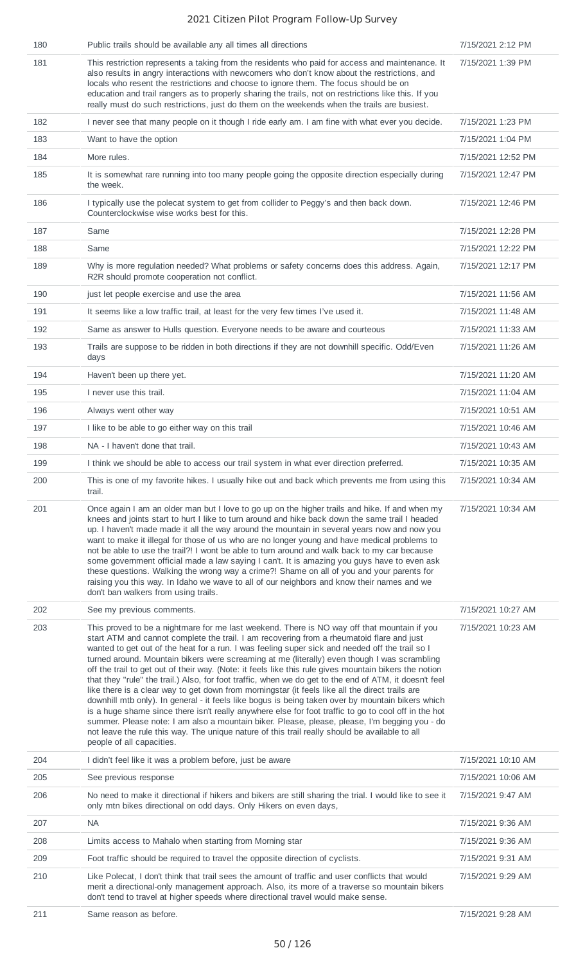| 180 | Public trails should be available any all times all directions                                                                                                                                                                                                                                                                                                                                                                                                                                                                                                                                                                                                                                                                                                                                                                                                                                                                                                                                                                                                                                                                                                  | 7/15/2021 2:12 PM  |
|-----|-----------------------------------------------------------------------------------------------------------------------------------------------------------------------------------------------------------------------------------------------------------------------------------------------------------------------------------------------------------------------------------------------------------------------------------------------------------------------------------------------------------------------------------------------------------------------------------------------------------------------------------------------------------------------------------------------------------------------------------------------------------------------------------------------------------------------------------------------------------------------------------------------------------------------------------------------------------------------------------------------------------------------------------------------------------------------------------------------------------------------------------------------------------------|--------------------|
| 181 | This restriction represents a taking from the residents who paid for access and maintenance. It<br>also results in angry interactions with newcomers who don't know about the restrictions, and<br>locals who resent the restrictions and choose to ignore them. The focus should be on<br>education and trail rangers as to properly sharing the trails, not on restrictions like this. If you<br>really must do such restrictions, just do them on the weekends when the trails are busiest.                                                                                                                                                                                                                                                                                                                                                                                                                                                                                                                                                                                                                                                                  | 7/15/2021 1:39 PM  |
| 182 | I never see that many people on it though I ride early am. I am fine with what ever you decide.                                                                                                                                                                                                                                                                                                                                                                                                                                                                                                                                                                                                                                                                                                                                                                                                                                                                                                                                                                                                                                                                 | 7/15/2021 1:23 PM  |
| 183 | Want to have the option                                                                                                                                                                                                                                                                                                                                                                                                                                                                                                                                                                                                                                                                                                                                                                                                                                                                                                                                                                                                                                                                                                                                         | 7/15/2021 1:04 PM  |
| 184 | More rules.                                                                                                                                                                                                                                                                                                                                                                                                                                                                                                                                                                                                                                                                                                                                                                                                                                                                                                                                                                                                                                                                                                                                                     | 7/15/2021 12:52 PM |
| 185 | It is somewhat rare running into too many people going the opposite direction especially during<br>the week.                                                                                                                                                                                                                                                                                                                                                                                                                                                                                                                                                                                                                                                                                                                                                                                                                                                                                                                                                                                                                                                    | 7/15/2021 12:47 PM |
| 186 | I typically use the polecat system to get from collider to Peggy's and then back down.<br>Counterclockwise wise works best for this.                                                                                                                                                                                                                                                                                                                                                                                                                                                                                                                                                                                                                                                                                                                                                                                                                                                                                                                                                                                                                            | 7/15/2021 12:46 PM |
| 187 | Same                                                                                                                                                                                                                                                                                                                                                                                                                                                                                                                                                                                                                                                                                                                                                                                                                                                                                                                                                                                                                                                                                                                                                            | 7/15/2021 12:28 PM |
| 188 | Same                                                                                                                                                                                                                                                                                                                                                                                                                                                                                                                                                                                                                                                                                                                                                                                                                                                                                                                                                                                                                                                                                                                                                            | 7/15/2021 12:22 PM |
| 189 | Why is more regulation needed? What problems or safety concerns does this address. Again,<br>R2R should promote cooperation not conflict.                                                                                                                                                                                                                                                                                                                                                                                                                                                                                                                                                                                                                                                                                                                                                                                                                                                                                                                                                                                                                       | 7/15/2021 12:17 PM |
| 190 | just let people exercise and use the area                                                                                                                                                                                                                                                                                                                                                                                                                                                                                                                                                                                                                                                                                                                                                                                                                                                                                                                                                                                                                                                                                                                       | 7/15/2021 11:56 AM |
| 191 | It seems like a low traffic trail, at least for the very few times I've used it.                                                                                                                                                                                                                                                                                                                                                                                                                                                                                                                                                                                                                                                                                                                                                                                                                                                                                                                                                                                                                                                                                | 7/15/2021 11:48 AM |
| 192 | Same as answer to Hulls question. Everyone needs to be aware and courteous                                                                                                                                                                                                                                                                                                                                                                                                                                                                                                                                                                                                                                                                                                                                                                                                                                                                                                                                                                                                                                                                                      | 7/15/2021 11:33 AM |
| 193 | Trails are suppose to be ridden in both directions if they are not downhill specific. Odd/Even<br>days                                                                                                                                                                                                                                                                                                                                                                                                                                                                                                                                                                                                                                                                                                                                                                                                                                                                                                                                                                                                                                                          | 7/15/2021 11:26 AM |
| 194 | Haven't been up there yet.                                                                                                                                                                                                                                                                                                                                                                                                                                                                                                                                                                                                                                                                                                                                                                                                                                                                                                                                                                                                                                                                                                                                      | 7/15/2021 11:20 AM |
| 195 | I never use this trail.                                                                                                                                                                                                                                                                                                                                                                                                                                                                                                                                                                                                                                                                                                                                                                                                                                                                                                                                                                                                                                                                                                                                         | 7/15/2021 11:04 AM |
| 196 | Always went other way                                                                                                                                                                                                                                                                                                                                                                                                                                                                                                                                                                                                                                                                                                                                                                                                                                                                                                                                                                                                                                                                                                                                           | 7/15/2021 10:51 AM |
| 197 | I like to be able to go either way on this trail                                                                                                                                                                                                                                                                                                                                                                                                                                                                                                                                                                                                                                                                                                                                                                                                                                                                                                                                                                                                                                                                                                                | 7/15/2021 10:46 AM |
| 198 | NA - I haven't done that trail.                                                                                                                                                                                                                                                                                                                                                                                                                                                                                                                                                                                                                                                                                                                                                                                                                                                                                                                                                                                                                                                                                                                                 | 7/15/2021 10:43 AM |
| 199 | I think we should be able to access our trail system in what ever direction preferred.                                                                                                                                                                                                                                                                                                                                                                                                                                                                                                                                                                                                                                                                                                                                                                                                                                                                                                                                                                                                                                                                          | 7/15/2021 10:35 AM |
| 200 | This is one of my favorite hikes. I usually hike out and back which prevents me from using this<br>trail.                                                                                                                                                                                                                                                                                                                                                                                                                                                                                                                                                                                                                                                                                                                                                                                                                                                                                                                                                                                                                                                       | 7/15/2021 10:34 AM |
| 201 | Once again I am an older man but I love to go up on the higher trails and hike. If and when my<br>knees and joints start to hurt I like to turn around and hike back down the same trail I headed<br>up. I haven't made made it all the way around the mountain in several years now and now you<br>want to make it illegal for those of us who are no longer young and have medical problems to<br>not be able to use the trail?! I wont be able to turn around and walk back to my car because<br>some government official made a law saying I can't. It is amazing you guys have to even ask<br>these questions. Walking the wrong way a crime?! Shame on all of you and your parents for<br>raising you this way. In Idaho we wave to all of our neighbors and know their names and we<br>don't ban walkers from using trails.                                                                                                                                                                                                                                                                                                                              | 7/15/2021 10:34 AM |
| 202 | See my previous comments.                                                                                                                                                                                                                                                                                                                                                                                                                                                                                                                                                                                                                                                                                                                                                                                                                                                                                                                                                                                                                                                                                                                                       | 7/15/2021 10:27 AM |
| 203 | This proved to be a nightmare for me last weekend. There is NO way off that mountain if you<br>start ATM and cannot complete the trail. I am recovering from a rheumatoid flare and just<br>wanted to get out of the heat for a run. I was feeling super sick and needed off the trail so I<br>turned around. Mountain bikers were screaming at me (literally) even though I was scrambling<br>off the trail to get out of their way. (Note: it feels like this rule gives mountain bikers the notion<br>that they "rule" the trail.) Also, for foot traffic, when we do get to the end of ATM, it doesn't feel<br>like there is a clear way to get down from morningstar (it feels like all the direct trails are<br>downhill mtb only). In general - it feels like bogus is being taken over by mountain bikers which<br>is a huge shame since there isn't really anywhere else for foot traffic to go to cool off in the hot<br>summer. Please note: I am also a mountain biker. Please, please, please, I'm begging you - do<br>not leave the rule this way. The unique nature of this trail really should be available to all<br>people of all capacities. | 7/15/2021 10:23 AM |
| 204 | I didn't feel like it was a problem before, just be aware                                                                                                                                                                                                                                                                                                                                                                                                                                                                                                                                                                                                                                                                                                                                                                                                                                                                                                                                                                                                                                                                                                       | 7/15/2021 10:10 AM |
| 205 | See previous response                                                                                                                                                                                                                                                                                                                                                                                                                                                                                                                                                                                                                                                                                                                                                                                                                                                                                                                                                                                                                                                                                                                                           | 7/15/2021 10:06 AM |
| 206 | No need to make it directional if hikers and bikers are still sharing the trial. I would like to see it<br>only mtn bikes directional on odd days. Only Hikers on even days,                                                                                                                                                                                                                                                                                                                                                                                                                                                                                                                                                                                                                                                                                                                                                                                                                                                                                                                                                                                    | 7/15/2021 9:47 AM  |
| 207 | <b>NA</b>                                                                                                                                                                                                                                                                                                                                                                                                                                                                                                                                                                                                                                                                                                                                                                                                                                                                                                                                                                                                                                                                                                                                                       | 7/15/2021 9:36 AM  |
| 208 | Limits access to Mahalo when starting from Morning star                                                                                                                                                                                                                                                                                                                                                                                                                                                                                                                                                                                                                                                                                                                                                                                                                                                                                                                                                                                                                                                                                                         | 7/15/2021 9:36 AM  |
| 209 | Foot traffic should be required to travel the opposite direction of cyclists.                                                                                                                                                                                                                                                                                                                                                                                                                                                                                                                                                                                                                                                                                                                                                                                                                                                                                                                                                                                                                                                                                   | 7/15/2021 9:31 AM  |
| 210 | Like Polecat, I don't think that trail sees the amount of traffic and user conflicts that would<br>merit a directional-only management approach. Also, its more of a traverse so mountain bikers<br>don't tend to travel at higher speeds where directional travel would make sense.                                                                                                                                                                                                                                                                                                                                                                                                                                                                                                                                                                                                                                                                                                                                                                                                                                                                            | 7/15/2021 9:29 AM  |
| 211 | Same reason as before.                                                                                                                                                                                                                                                                                                                                                                                                                                                                                                                                                                                                                                                                                                                                                                                                                                                                                                                                                                                                                                                                                                                                          | 7/15/2021 9:28 AM  |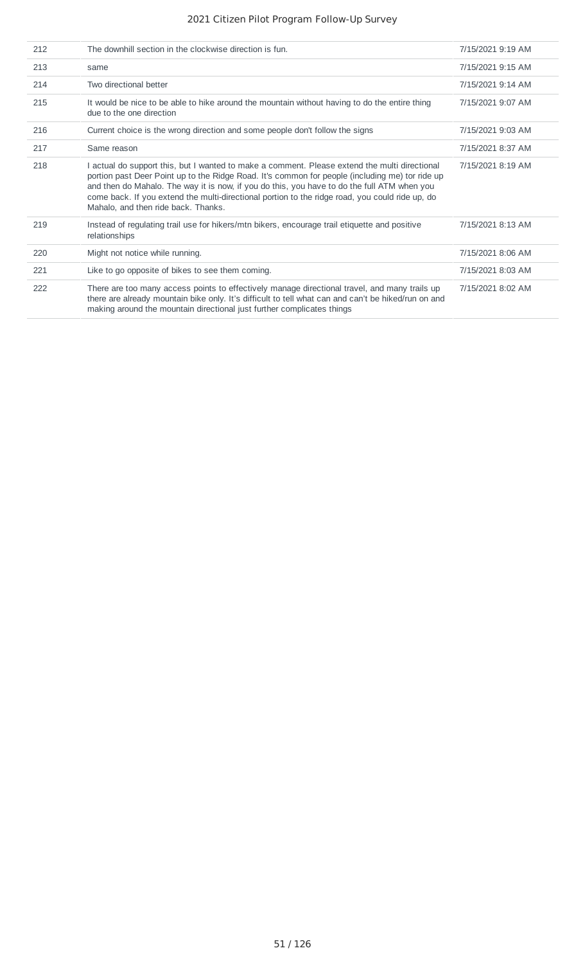| 212 | The downhill section in the clockwise direction is fun.                                                                                                                                                                                                                                                                                                                                                                                   | 7/15/2021 9:19 AM |
|-----|-------------------------------------------------------------------------------------------------------------------------------------------------------------------------------------------------------------------------------------------------------------------------------------------------------------------------------------------------------------------------------------------------------------------------------------------|-------------------|
| 213 | same                                                                                                                                                                                                                                                                                                                                                                                                                                      | 7/15/2021 9:15 AM |
| 214 | Two directional better                                                                                                                                                                                                                                                                                                                                                                                                                    | 7/15/2021 9:14 AM |
| 215 | It would be nice to be able to hike around the mountain without having to do the entire thing<br>due to the one direction                                                                                                                                                                                                                                                                                                                 | 7/15/2021 9:07 AM |
| 216 | Current choice is the wrong direction and some people don't follow the signs                                                                                                                                                                                                                                                                                                                                                              | 7/15/2021 9:03 AM |
| 217 | Same reason                                                                                                                                                                                                                                                                                                                                                                                                                               | 7/15/2021 8:37 AM |
| 218 | I actual do support this, but I wanted to make a comment. Please extend the multi directional<br>portion past Deer Point up to the Ridge Road. It's common for people (including me) tor ride up<br>and then do Mahalo. The way it is now, if you do this, you have to do the full ATM when you<br>come back. If you extend the multi-directional portion to the ridge road, you could ride up, do<br>Mahalo, and then ride back. Thanks. | 7/15/2021 8:19 AM |
| 219 | Instead of regulating trail use for hikers/mtn bikers, encourage trail etiquette and positive<br>relationships                                                                                                                                                                                                                                                                                                                            | 7/15/2021 8:13 AM |
| 220 | Might not notice while running.                                                                                                                                                                                                                                                                                                                                                                                                           | 7/15/2021 8:06 AM |
| 221 | Like to go opposite of bikes to see them coming.                                                                                                                                                                                                                                                                                                                                                                                          | 7/15/2021 8:03 AM |
| 222 | There are too many access points to effectively manage directional travel, and many trails up<br>there are already mountain bike only. It's difficult to tell what can and can't be hiked/run on and<br>making around the mountain directional just further complicates things                                                                                                                                                            | 7/15/2021 8:02 AM |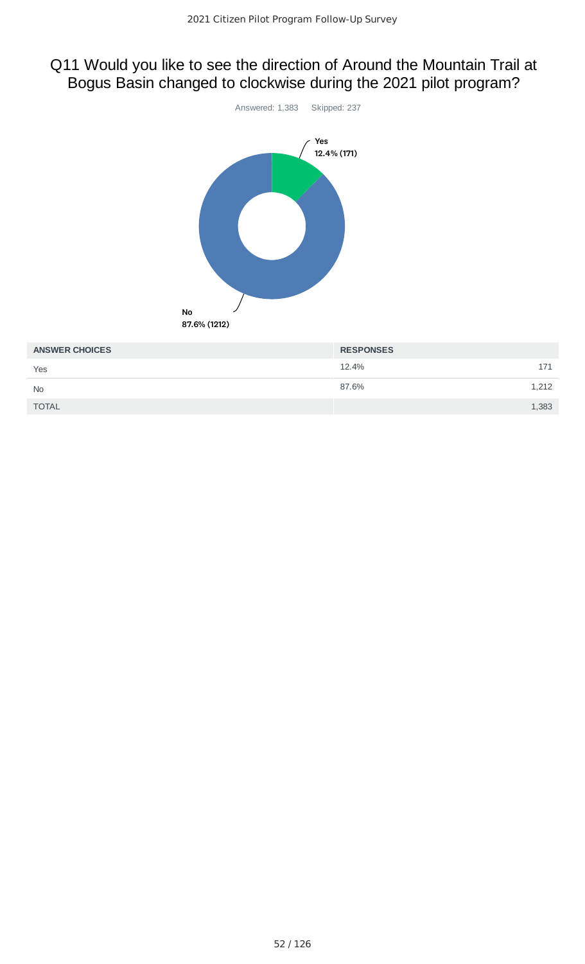# Q11 Would you like to see the direction of Around the Mountain Trail at Bogus Basin changed to clockwise during the 2021 pilot program?



| <b>ANSWER CHOICES</b> | <b>RESPONSES</b> |  |
|-----------------------|------------------|--|
| Yes                   | 12.4%<br>171     |  |
| <b>No</b>             | 87.6%<br>1,212   |  |
| <b>TOTAL</b>          | 1,383            |  |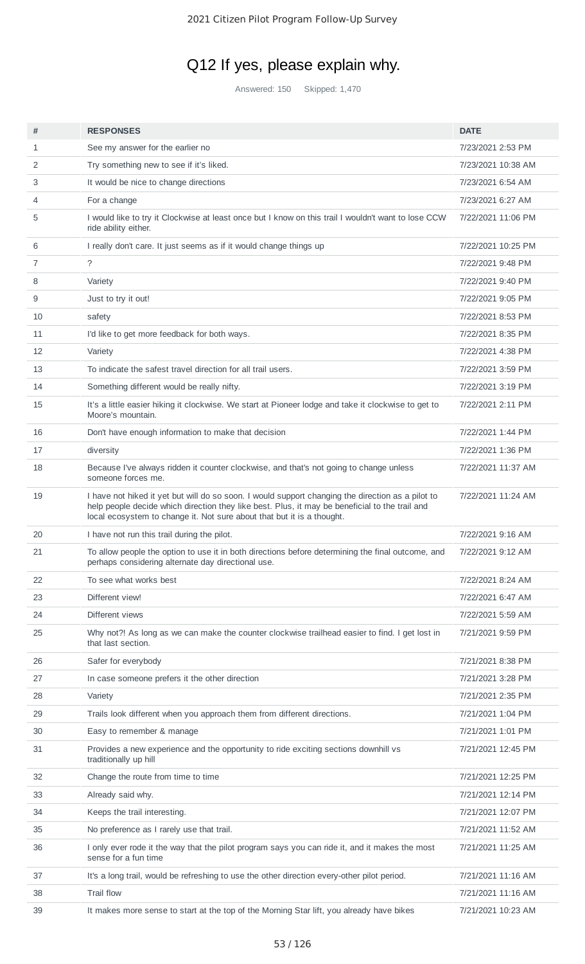# Q12 If yes, please explain why.

Answered: 150 Skipped: 1,470

| #  | <b>RESPONSES</b>                                                                                                                                                                                                                                                              | <b>DATE</b>        |
|----|-------------------------------------------------------------------------------------------------------------------------------------------------------------------------------------------------------------------------------------------------------------------------------|--------------------|
| 1  | See my answer for the earlier no                                                                                                                                                                                                                                              | 7/23/2021 2:53 PM  |
| 2  | Try something new to see if it's liked.                                                                                                                                                                                                                                       | 7/23/2021 10:38 AM |
| 3  | It would be nice to change directions                                                                                                                                                                                                                                         | 7/23/2021 6:54 AM  |
| 4  | For a change                                                                                                                                                                                                                                                                  | 7/23/2021 6:27 AM  |
| 5  | I would like to try it Clockwise at least once but I know on this trail I wouldn't want to lose CCW<br>ride ability either.                                                                                                                                                   | 7/22/2021 11:06 PM |
| 6  | I really don't care. It just seems as if it would change things up                                                                                                                                                                                                            | 7/22/2021 10:25 PM |
| 7  | $\tilde{ }$                                                                                                                                                                                                                                                                   | 7/22/2021 9:48 PM  |
| 8  | Variety                                                                                                                                                                                                                                                                       | 7/22/2021 9:40 PM  |
| 9  | Just to try it out!                                                                                                                                                                                                                                                           | 7/22/2021 9:05 PM  |
| 10 | safety                                                                                                                                                                                                                                                                        | 7/22/2021 8:53 PM  |
| 11 | I'd like to get more feedback for both ways.                                                                                                                                                                                                                                  | 7/22/2021 8:35 PM  |
| 12 | Variety                                                                                                                                                                                                                                                                       | 7/22/2021 4:38 PM  |
| 13 | To indicate the safest travel direction for all trail users.                                                                                                                                                                                                                  | 7/22/2021 3:59 PM  |
| 14 | Something different would be really nifty.                                                                                                                                                                                                                                    | 7/22/2021 3:19 PM  |
| 15 | It's a little easier hiking it clockwise. We start at Pioneer lodge and take it clockwise to get to<br>Moore's mountain.                                                                                                                                                      | 7/22/2021 2:11 PM  |
| 16 | Don't have enough information to make that decision                                                                                                                                                                                                                           | 7/22/2021 1:44 PM  |
| 17 | diversity                                                                                                                                                                                                                                                                     | 7/22/2021 1:36 PM  |
| 18 | Because I've always ridden it counter clockwise, and that's not going to change unless<br>someone forces me.                                                                                                                                                                  | 7/22/2021 11:37 AM |
| 19 | I have not hiked it yet but will do so soon. I would support changing the direction as a pilot to<br>help people decide which direction they like best. Plus, it may be beneficial to the trail and<br>local ecosystem to change it. Not sure about that but it is a thought. | 7/22/2021 11:24 AM |
| 20 | I have not run this trail during the pilot.                                                                                                                                                                                                                                   | 7/22/2021 9:16 AM  |
| 21 | To allow people the option to use it in both directions before determining the final outcome, and<br>perhaps considering alternate day directional use.                                                                                                                       | 7/22/2021 9:12 AM  |
| 22 | To see what works best                                                                                                                                                                                                                                                        | 7/22/2021 8:24 AM  |
| 23 | Different view!                                                                                                                                                                                                                                                               | 7/22/2021 6:47 AM  |
| 24 | Different views                                                                                                                                                                                                                                                               | 7/22/2021 5:59 AM  |
| 25 | Why not?! As long as we can make the counter clockwise trailhead easier to find. I get lost in<br>that last section.                                                                                                                                                          | 7/21/2021 9:59 PM  |
| 26 | Safer for everybody                                                                                                                                                                                                                                                           | 7/21/2021 8:38 PM  |
| 27 | In case someone prefers it the other direction                                                                                                                                                                                                                                | 7/21/2021 3:28 PM  |
| 28 | Variety                                                                                                                                                                                                                                                                       | 7/21/2021 2:35 PM  |
| 29 | Trails look different when you approach them from different directions.                                                                                                                                                                                                       | 7/21/2021 1:04 PM  |
| 30 | Easy to remember & manage                                                                                                                                                                                                                                                     | 7/21/2021 1:01 PM  |
| 31 | Provides a new experience and the opportunity to ride exciting sections downhill vs<br>traditionally up hill                                                                                                                                                                  | 7/21/2021 12:45 PM |
| 32 | Change the route from time to time                                                                                                                                                                                                                                            | 7/21/2021 12:25 PM |
| 33 | Already said why.                                                                                                                                                                                                                                                             | 7/21/2021 12:14 PM |
| 34 | Keeps the trail interesting.                                                                                                                                                                                                                                                  | 7/21/2021 12:07 PM |
| 35 | No preference as I rarely use that trail.                                                                                                                                                                                                                                     | 7/21/2021 11:52 AM |
| 36 | I only ever rode it the way that the pilot program says you can ride it, and it makes the most<br>sense for a fun time                                                                                                                                                        | 7/21/2021 11:25 AM |
| 37 | It's a long trail, would be refreshing to use the other direction every-other pilot period.                                                                                                                                                                                   | 7/21/2021 11:16 AM |
| 38 | <b>Trail flow</b>                                                                                                                                                                                                                                                             | 7/21/2021 11:16 AM |
| 39 | It makes more sense to start at the top of the Morning Star lift, you already have bikes                                                                                                                                                                                      | 7/21/2021 10:23 AM |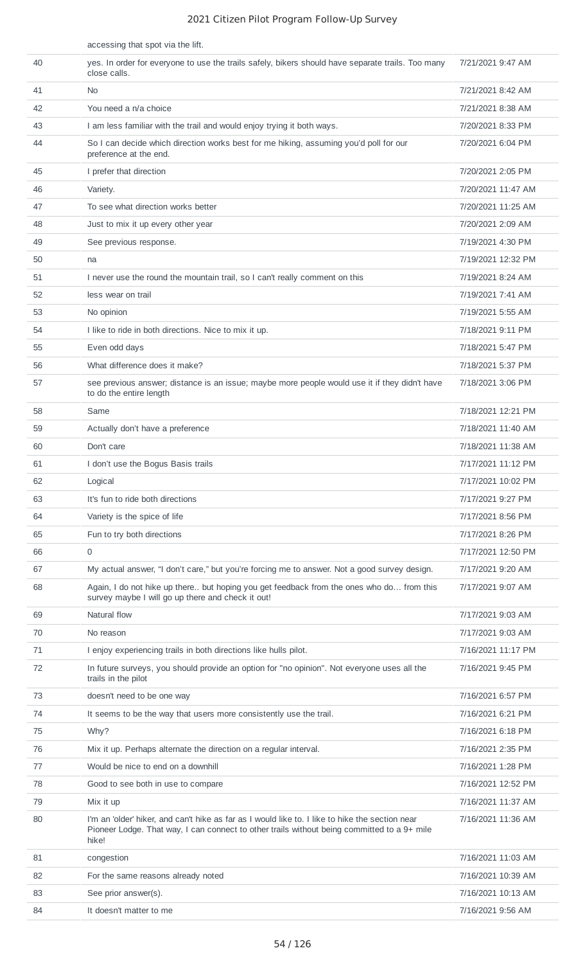|    | accessing that spot via the lift.                                                                                                                                                                       |                    |
|----|---------------------------------------------------------------------------------------------------------------------------------------------------------------------------------------------------------|--------------------|
| 40 | yes. In order for everyone to use the trails safely, bikers should have separate trails. Too many<br>close calls.                                                                                       | 7/21/2021 9:47 AM  |
| 41 | N <sub>0</sub>                                                                                                                                                                                          | 7/21/2021 8:42 AM  |
| 42 | You need a n/a choice                                                                                                                                                                                   | 7/21/2021 8:38 AM  |
| 43 | I am less familiar with the trail and would enjoy trying it both ways.                                                                                                                                  | 7/20/2021 8:33 PM  |
| 44 | So I can decide which direction works best for me hiking, assuming you'd poll for our<br>preference at the end.                                                                                         | 7/20/2021 6:04 PM  |
| 45 | I prefer that direction                                                                                                                                                                                 | 7/20/2021 2:05 PM  |
| 46 | Variety.                                                                                                                                                                                                | 7/20/2021 11:47 AM |
| 47 | To see what direction works better                                                                                                                                                                      | 7/20/2021 11:25 AM |
| 48 | Just to mix it up every other year                                                                                                                                                                      | 7/20/2021 2:09 AM  |
| 49 | See previous response.                                                                                                                                                                                  | 7/19/2021 4:30 PM  |
| 50 | na                                                                                                                                                                                                      | 7/19/2021 12:32 PM |
| 51 | I never use the round the mountain trail, so I can't really comment on this                                                                                                                             | 7/19/2021 8:24 AM  |
| 52 | less wear on trail                                                                                                                                                                                      | 7/19/2021 7:41 AM  |
| 53 | No opinion                                                                                                                                                                                              | 7/19/2021 5:55 AM  |
| 54 | I like to ride in both directions. Nice to mix it up.                                                                                                                                                   | 7/18/2021 9:11 PM  |
| 55 | Even odd days                                                                                                                                                                                           | 7/18/2021 5:47 PM  |
| 56 | What difference does it make?                                                                                                                                                                           | 7/18/2021 5:37 PM  |
| 57 | see previous answer; distance is an issue; maybe more people would use it if they didn't have<br>to do the entire length                                                                                | 7/18/2021 3:06 PM  |
| 58 | Same                                                                                                                                                                                                    | 7/18/2021 12:21 PM |
| 59 | Actually don't have a preference                                                                                                                                                                        | 7/18/2021 11:40 AM |
| 60 | Don't care                                                                                                                                                                                              | 7/18/2021 11:38 AM |
| 61 | I don't use the Bogus Basis trails                                                                                                                                                                      | 7/17/2021 11:12 PM |
| 62 | Logical                                                                                                                                                                                                 | 7/17/2021 10:02 PM |
| 63 | It's fun to ride both directions                                                                                                                                                                        | 7/17/2021 9:27 PM  |
| 64 | Variety is the spice of life                                                                                                                                                                            | 7/17/2021 8:56 PM  |
| 65 | Fun to try both directions                                                                                                                                                                              | 7/17/2021 8:26 PM  |
| 66 | $\mathbf 0$                                                                                                                                                                                             | 7/17/2021 12:50 PM |
| 67 | My actual answer, "I don't care," but you're forcing me to answer. Not a good survey design.                                                                                                            | 7/17/2021 9:20 AM  |
| 68 | Again, I do not hike up there but hoping you get feedback from the ones who do from this<br>survey maybe I will go up there and check it out!                                                           | 7/17/2021 9:07 AM  |
| 69 | Natural flow                                                                                                                                                                                            | 7/17/2021 9:03 AM  |
| 70 | No reason                                                                                                                                                                                               | 7/17/2021 9:03 AM  |
| 71 | I enjoy experiencing trails in both directions like hulls pilot.                                                                                                                                        | 7/16/2021 11:17 PM |
| 72 | In future surveys, you should provide an option for "no opinion". Not everyone uses all the<br>trails in the pilot                                                                                      | 7/16/2021 9:45 PM  |
| 73 | doesn't need to be one way                                                                                                                                                                              | 7/16/2021 6:57 PM  |
| 74 | It seems to be the way that users more consistently use the trail.                                                                                                                                      | 7/16/2021 6:21 PM  |
| 75 | Why?                                                                                                                                                                                                    | 7/16/2021 6:18 PM  |
| 76 | Mix it up. Perhaps alternate the direction on a regular interval.                                                                                                                                       | 7/16/2021 2:35 PM  |
| 77 | Would be nice to end on a downhill                                                                                                                                                                      | 7/16/2021 1:28 PM  |
| 78 | Good to see both in use to compare                                                                                                                                                                      | 7/16/2021 12:52 PM |
| 79 | Mix it up                                                                                                                                                                                               | 7/16/2021 11:37 AM |
| 80 | I'm an 'older' hiker, and can't hike as far as I would like to. I like to hike the section near<br>Pioneer Lodge. That way, I can connect to other trails without being committed to a 9+ mile<br>hike! | 7/16/2021 11:36 AM |
| 81 | congestion                                                                                                                                                                                              | 7/16/2021 11:03 AM |
| 82 | For the same reasons already noted                                                                                                                                                                      | 7/16/2021 10:39 AM |
| 83 | See prior answer(s).                                                                                                                                                                                    | 7/16/2021 10:13 AM |
| 84 | It doesn't matter to me                                                                                                                                                                                 | 7/16/2021 9:56 AM  |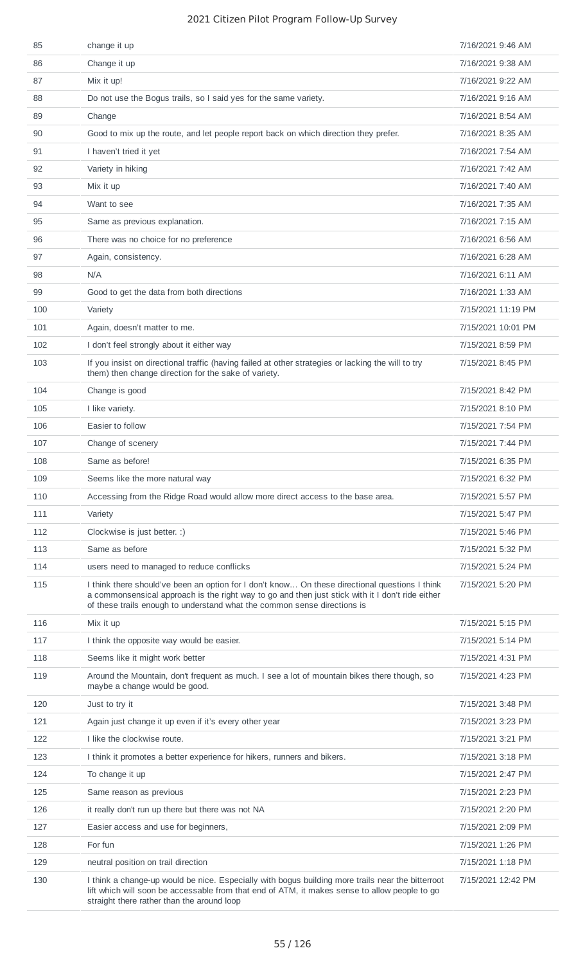| 85  | change it up                                                                                                                                                                                                                                                                   | 7/16/2021 9:46 AM  |
|-----|--------------------------------------------------------------------------------------------------------------------------------------------------------------------------------------------------------------------------------------------------------------------------------|--------------------|
| 86  | Change it up                                                                                                                                                                                                                                                                   | 7/16/2021 9:38 AM  |
| 87  | Mix it up!                                                                                                                                                                                                                                                                     | 7/16/2021 9:22 AM  |
| 88  | Do not use the Bogus trails, so I said yes for the same variety.                                                                                                                                                                                                               | 7/16/2021 9:16 AM  |
| 89  | Change                                                                                                                                                                                                                                                                         | 7/16/2021 8:54 AM  |
| 90  | Good to mix up the route, and let people report back on which direction they prefer.                                                                                                                                                                                           | 7/16/2021 8:35 AM  |
| 91  | I haven't tried it yet                                                                                                                                                                                                                                                         | 7/16/2021 7:54 AM  |
| 92  | Variety in hiking                                                                                                                                                                                                                                                              | 7/16/2021 7:42 AM  |
| 93  | Mix it up                                                                                                                                                                                                                                                                      | 7/16/2021 7:40 AM  |
| 94  | Want to see                                                                                                                                                                                                                                                                    | 7/16/2021 7:35 AM  |
| 95  | Same as previous explanation.                                                                                                                                                                                                                                                  | 7/16/2021 7:15 AM  |
| 96  | There was no choice for no preference                                                                                                                                                                                                                                          | 7/16/2021 6:56 AM  |
| 97  | Again, consistency.                                                                                                                                                                                                                                                            | 7/16/2021 6:28 AM  |
| 98  | N/A                                                                                                                                                                                                                                                                            | 7/16/2021 6:11 AM  |
| 99  | Good to get the data from both directions                                                                                                                                                                                                                                      | 7/16/2021 1:33 AM  |
| 100 | Variety                                                                                                                                                                                                                                                                        | 7/15/2021 11:19 PM |
| 101 | Again, doesn't matter to me.                                                                                                                                                                                                                                                   | 7/15/2021 10:01 PM |
| 102 | I don't feel strongly about it either way                                                                                                                                                                                                                                      | 7/15/2021 8:59 PM  |
| 103 | If you insist on directional traffic (having failed at other strategies or lacking the will to try<br>them) then change direction for the sake of variety.                                                                                                                     | 7/15/2021 8:45 PM  |
| 104 | Change is good                                                                                                                                                                                                                                                                 | 7/15/2021 8:42 PM  |
| 105 | I like variety.                                                                                                                                                                                                                                                                | 7/15/2021 8:10 PM  |
| 106 | Easier to follow                                                                                                                                                                                                                                                               | 7/15/2021 7:54 PM  |
| 107 | Change of scenery                                                                                                                                                                                                                                                              | 7/15/2021 7:44 PM  |
| 108 | Same as before!                                                                                                                                                                                                                                                                | 7/15/2021 6:35 PM  |
| 109 | Seems like the more natural way                                                                                                                                                                                                                                                | 7/15/2021 6:32 PM  |
| 110 | Accessing from the Ridge Road would allow more direct access to the base area.                                                                                                                                                                                                 | 7/15/2021 5:57 PM  |
| 111 | Variety                                                                                                                                                                                                                                                                        | 7/15/2021 5:47 PM  |
| 112 | Clockwise is just better. :)                                                                                                                                                                                                                                                   | 7/15/2021 5:46 PM  |
| 113 | Same as before                                                                                                                                                                                                                                                                 | 7/15/2021 5:32 PM  |
| 114 | users need to managed to reduce conflicks                                                                                                                                                                                                                                      | 7/15/2021 5:24 PM  |
| 115 | I think there should've been an option for I don't know On these directional questions I think<br>a commonsensical approach is the right way to go and then just stick with it I don't ride either<br>of these trails enough to understand what the common sense directions is | 7/15/2021 5:20 PM  |
| 116 | Mix it up                                                                                                                                                                                                                                                                      | 7/15/2021 5:15 PM  |
| 117 | I think the opposite way would be easier.                                                                                                                                                                                                                                      | 7/15/2021 5:14 PM  |
| 118 | Seems like it might work better                                                                                                                                                                                                                                                | 7/15/2021 4:31 PM  |
| 119 | Around the Mountain, don't frequent as much. I see a lot of mountain bikes there though, so<br>maybe a change would be good.                                                                                                                                                   | 7/15/2021 4:23 PM  |
| 120 | Just to try it                                                                                                                                                                                                                                                                 | 7/15/2021 3:48 PM  |
| 121 | Again just change it up even if it's every other year                                                                                                                                                                                                                          | 7/15/2021 3:23 PM  |
| 122 | I like the clockwise route.                                                                                                                                                                                                                                                    | 7/15/2021 3:21 PM  |
| 123 | I think it promotes a better experience for hikers, runners and bikers.                                                                                                                                                                                                        | 7/15/2021 3:18 PM  |
| 124 | To change it up                                                                                                                                                                                                                                                                | 7/15/2021 2:47 PM  |
| 125 | Same reason as previous                                                                                                                                                                                                                                                        | 7/15/2021 2:23 PM  |
| 126 | it really don't run up there but there was not NA                                                                                                                                                                                                                              | 7/15/2021 2:20 PM  |
| 127 | Easier access and use for beginners,                                                                                                                                                                                                                                           | 7/15/2021 2:09 PM  |
| 128 | For fun                                                                                                                                                                                                                                                                        | 7/15/2021 1:26 PM  |
| 129 | neutral position on trail direction                                                                                                                                                                                                                                            | 7/15/2021 1:18 PM  |
| 130 | I think a change-up would be nice. Especially with bogus building more trails near the bitterroot<br>lift which will soon be accessable from that end of ATM, it makes sense to allow people to go<br>straight there rather than the around loop                               | 7/15/2021 12:42 PM |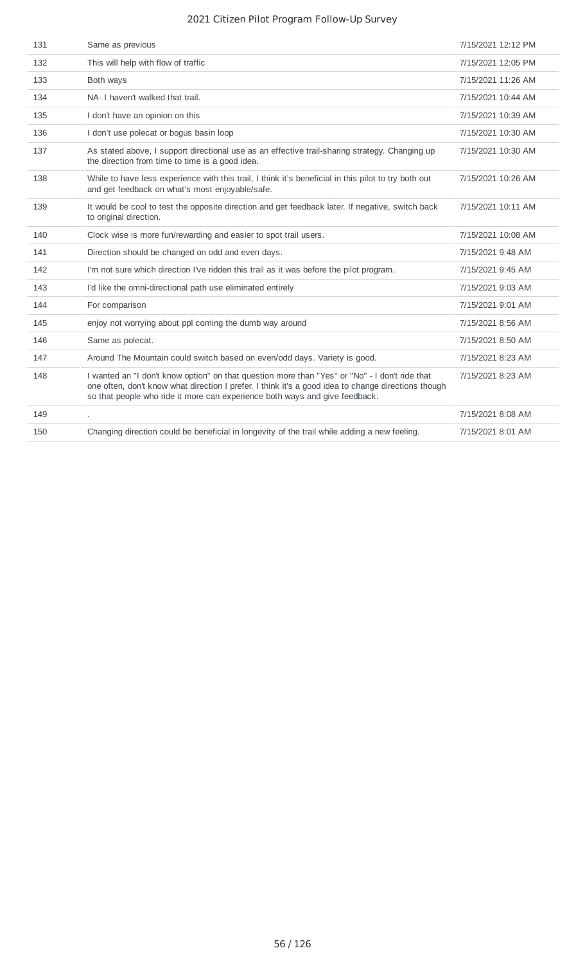| 131 | Same as previous                                                                                                                                                                                                                                                                     | 7/15/2021 12:12 PM |
|-----|--------------------------------------------------------------------------------------------------------------------------------------------------------------------------------------------------------------------------------------------------------------------------------------|--------------------|
| 132 | This will help with flow of traffic                                                                                                                                                                                                                                                  | 7/15/2021 12:05 PM |
| 133 | Both ways                                                                                                                                                                                                                                                                            | 7/15/2021 11:26 AM |
| 134 | NA- I haven't walked that trail.                                                                                                                                                                                                                                                     | 7/15/2021 10:44 AM |
| 135 | I don't have an opinion on this                                                                                                                                                                                                                                                      | 7/15/2021 10:39 AM |
| 136 | I don't use polecat or bogus basin loop                                                                                                                                                                                                                                              | 7/15/2021 10:30 AM |
| 137 | As stated above, I support directional use as an effective trail-sharing strategy. Changing up<br>the direction from time to time is a good idea.                                                                                                                                    | 7/15/2021 10:30 AM |
| 138 | While to have less experience with this trail, I think it's beneficial in this pilot to try both out<br>and get feedback on what's most enjoyable/safe.                                                                                                                              | 7/15/2021 10:26 AM |
| 139 | It would be cool to test the opposite direction and get feedback later. If negative, switch back<br>to original direction.                                                                                                                                                           | 7/15/2021 10:11 AM |
| 140 | Clock wise is more fun/rewarding and easier to spot trail users.                                                                                                                                                                                                                     | 7/15/2021 10:08 AM |
| 141 | Direction should be changed on odd and even days.                                                                                                                                                                                                                                    | 7/15/2021 9:48 AM  |
| 142 | I'm not sure which direction I've ridden this trail as it was before the pilot program.                                                                                                                                                                                              | 7/15/2021 9:45 AM  |
| 143 | I'd like the omni-directional path use eliminated entirely                                                                                                                                                                                                                           | 7/15/2021 9:03 AM  |
| 144 | For comparison                                                                                                                                                                                                                                                                       | 7/15/2021 9:01 AM  |
| 145 | enjoy not worrying about ppl coming the dumb way around                                                                                                                                                                                                                              | 7/15/2021 8:56 AM  |
| 146 | Same as polecat.                                                                                                                                                                                                                                                                     | 7/15/2021 8:50 AM  |
| 147 | Around The Mountain could switch based on even/odd days. Variety is good.                                                                                                                                                                                                            | 7/15/2021 8:23 AM  |
| 148 | I wanted an "I don't know option" on that question more than "Yes" or "No" - I don't ride that<br>one often, don't know what direction I prefer. I think it's a good idea to change directions though<br>so that people who ride it more can experience both ways and give feedback. | 7/15/2021 8:23 AM  |
| 149 |                                                                                                                                                                                                                                                                                      | 7/15/2021 8:08 AM  |
| 150 | Changing direction could be beneficial in longevity of the trail while adding a new feeling.                                                                                                                                                                                         | 7/15/2021 8:01 AM  |
|     |                                                                                                                                                                                                                                                                                      |                    |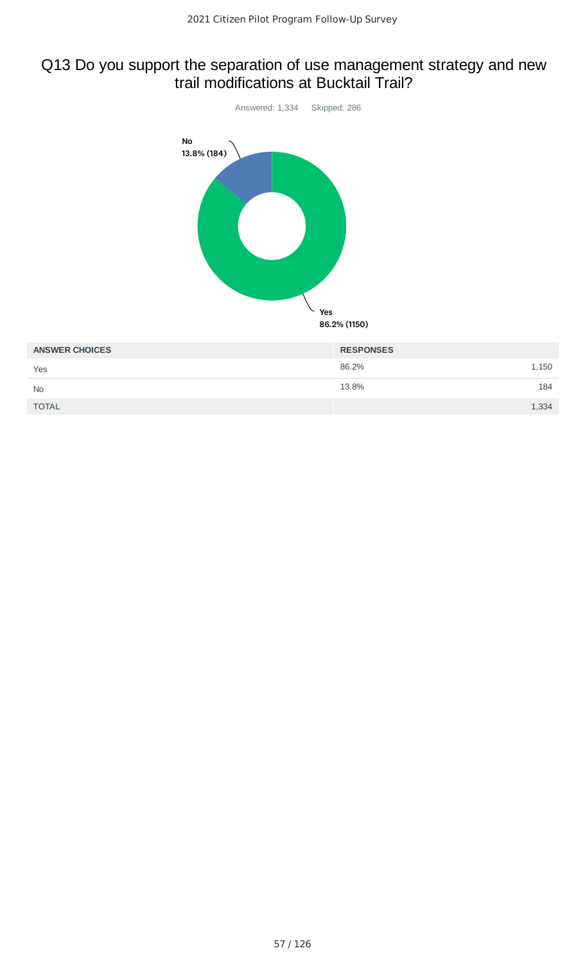## Q13 Do you support the separation of use management strategy and new trail modifications at Bucktail Trail?



| <b>ANSWER CHOICES</b> | <b>RESPONSES</b> |
|-----------------------|------------------|
| Yes                   | 86.2%<br>1,150   |
| <b>No</b>             | 13.8%<br>184     |
| <b>TOTAL</b>          | 1,334            |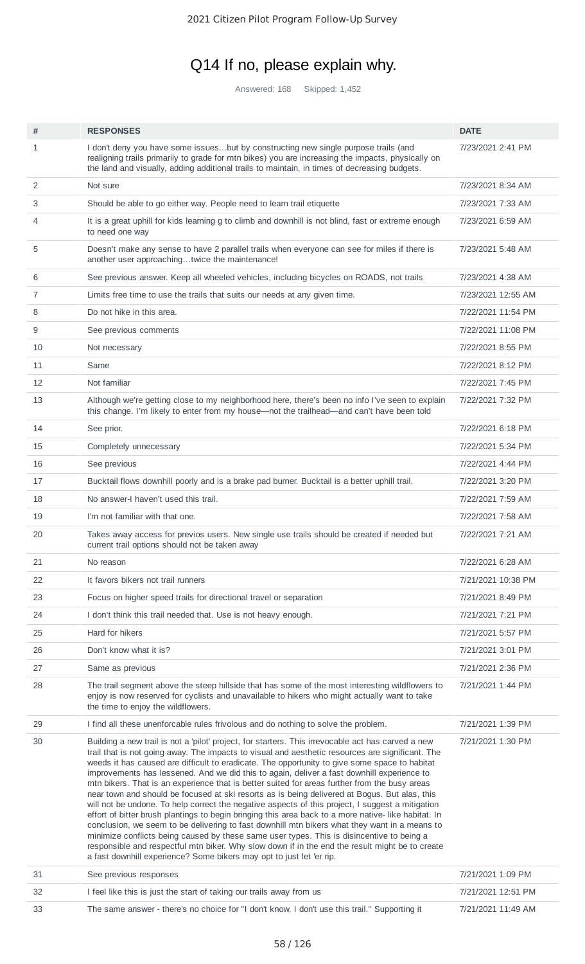# Q14 If no, please explain why.

Answered: 168 Skipped: 1,452

| #              | <b>RESPONSES</b>                                                                                                                                                                                                                                                                                                                                                                                                                                                                                                                                                                                                                                                                                                                                                                                                                                                                                                                                                                                                                                                                                                                                                                             | <b>DATE</b>        |
|----------------|----------------------------------------------------------------------------------------------------------------------------------------------------------------------------------------------------------------------------------------------------------------------------------------------------------------------------------------------------------------------------------------------------------------------------------------------------------------------------------------------------------------------------------------------------------------------------------------------------------------------------------------------------------------------------------------------------------------------------------------------------------------------------------------------------------------------------------------------------------------------------------------------------------------------------------------------------------------------------------------------------------------------------------------------------------------------------------------------------------------------------------------------------------------------------------------------|--------------------|
| $\mathbf{1}$   | I don't deny you have some issuesbut by constructing new single purpose trails (and<br>realigning trails primarily to grade for mtn bikes) you are increasing the impacts, physically on<br>the land and visually, adding additional trails to maintain, in times of decreasing budgets.                                                                                                                                                                                                                                                                                                                                                                                                                                                                                                                                                                                                                                                                                                                                                                                                                                                                                                     | 7/23/2021 2:41 PM  |
| 2              | Not sure                                                                                                                                                                                                                                                                                                                                                                                                                                                                                                                                                                                                                                                                                                                                                                                                                                                                                                                                                                                                                                                                                                                                                                                     | 7/23/2021 8:34 AM  |
| 3              | Should be able to go either way. People need to learn trail etiquette                                                                                                                                                                                                                                                                                                                                                                                                                                                                                                                                                                                                                                                                                                                                                                                                                                                                                                                                                                                                                                                                                                                        | 7/23/2021 7:33 AM  |
| 4              | It is a great uphill for kids learning g to climb and downhill is not blind, fast or extreme enough<br>to need one way                                                                                                                                                                                                                                                                                                                                                                                                                                                                                                                                                                                                                                                                                                                                                                                                                                                                                                                                                                                                                                                                       | 7/23/2021 6:59 AM  |
| 5              | Doesn't make any sense to have 2 parallel trails when everyone can see for miles if there is<br>another user approachingtwice the maintenance!                                                                                                                                                                                                                                                                                                                                                                                                                                                                                                                                                                                                                                                                                                                                                                                                                                                                                                                                                                                                                                               | 7/23/2021 5:48 AM  |
| 6              | See previous answer. Keep all wheeled vehicles, including bicycles on ROADS, not trails                                                                                                                                                                                                                                                                                                                                                                                                                                                                                                                                                                                                                                                                                                                                                                                                                                                                                                                                                                                                                                                                                                      | 7/23/2021 4:38 AM  |
| $\overline{7}$ | Limits free time to use the trails that suits our needs at any given time.                                                                                                                                                                                                                                                                                                                                                                                                                                                                                                                                                                                                                                                                                                                                                                                                                                                                                                                                                                                                                                                                                                                   | 7/23/2021 12:55 AM |
| 8              | Do not hike in this area.                                                                                                                                                                                                                                                                                                                                                                                                                                                                                                                                                                                                                                                                                                                                                                                                                                                                                                                                                                                                                                                                                                                                                                    | 7/22/2021 11:54 PM |
| 9              | See previous comments                                                                                                                                                                                                                                                                                                                                                                                                                                                                                                                                                                                                                                                                                                                                                                                                                                                                                                                                                                                                                                                                                                                                                                        | 7/22/2021 11:08 PM |
| 10             | Not necessary                                                                                                                                                                                                                                                                                                                                                                                                                                                                                                                                                                                                                                                                                                                                                                                                                                                                                                                                                                                                                                                                                                                                                                                | 7/22/2021 8:55 PM  |
| 11             | Same                                                                                                                                                                                                                                                                                                                                                                                                                                                                                                                                                                                                                                                                                                                                                                                                                                                                                                                                                                                                                                                                                                                                                                                         | 7/22/2021 8:12 PM  |
| 12             | Not familiar                                                                                                                                                                                                                                                                                                                                                                                                                                                                                                                                                                                                                                                                                                                                                                                                                                                                                                                                                                                                                                                                                                                                                                                 | 7/22/2021 7:45 PM  |
| 13             | Although we're getting close to my neighborhood here, there's been no info I've seen to explain<br>this change. I'm likely to enter from my house—not the trailhead—and can't have been told                                                                                                                                                                                                                                                                                                                                                                                                                                                                                                                                                                                                                                                                                                                                                                                                                                                                                                                                                                                                 | 7/22/2021 7:32 PM  |
| 14             | See prior.                                                                                                                                                                                                                                                                                                                                                                                                                                                                                                                                                                                                                                                                                                                                                                                                                                                                                                                                                                                                                                                                                                                                                                                   | 7/22/2021 6:18 PM  |
| 15             | Completely unnecessary                                                                                                                                                                                                                                                                                                                                                                                                                                                                                                                                                                                                                                                                                                                                                                                                                                                                                                                                                                                                                                                                                                                                                                       | 7/22/2021 5:34 PM  |
| 16             | See previous                                                                                                                                                                                                                                                                                                                                                                                                                                                                                                                                                                                                                                                                                                                                                                                                                                                                                                                                                                                                                                                                                                                                                                                 | 7/22/2021 4:44 PM  |
| 17             | Bucktail flows downhill poorly and is a brake pad burner. Bucktail is a better uphill trail.                                                                                                                                                                                                                                                                                                                                                                                                                                                                                                                                                                                                                                                                                                                                                                                                                                                                                                                                                                                                                                                                                                 | 7/22/2021 3:20 PM  |
| 18             | No answer-I haven't used this trail.                                                                                                                                                                                                                                                                                                                                                                                                                                                                                                                                                                                                                                                                                                                                                                                                                                                                                                                                                                                                                                                                                                                                                         | 7/22/2021 7:59 AM  |
| 19             | I'm not familiar with that one.                                                                                                                                                                                                                                                                                                                                                                                                                                                                                                                                                                                                                                                                                                                                                                                                                                                                                                                                                                                                                                                                                                                                                              | 7/22/2021 7:58 AM  |
| 20             | Takes away access for previos users. New single use trails should be created if needed but<br>current trail options should not be taken away                                                                                                                                                                                                                                                                                                                                                                                                                                                                                                                                                                                                                                                                                                                                                                                                                                                                                                                                                                                                                                                 | 7/22/2021 7:21 AM  |
| 21             | No reason                                                                                                                                                                                                                                                                                                                                                                                                                                                                                                                                                                                                                                                                                                                                                                                                                                                                                                                                                                                                                                                                                                                                                                                    | 7/22/2021 6:28 AM  |
| 22             | It favors bikers not trail runners                                                                                                                                                                                                                                                                                                                                                                                                                                                                                                                                                                                                                                                                                                                                                                                                                                                                                                                                                                                                                                                                                                                                                           | 7/21/2021 10:38 PM |
| 23             | Focus on higher speed trails for directional travel or separation                                                                                                                                                                                                                                                                                                                                                                                                                                                                                                                                                                                                                                                                                                                                                                                                                                                                                                                                                                                                                                                                                                                            | 7/21/2021 8:49 PM  |
| 24             | I don't think this trail needed that. Use is not heavy enough.                                                                                                                                                                                                                                                                                                                                                                                                                                                                                                                                                                                                                                                                                                                                                                                                                                                                                                                                                                                                                                                                                                                               | 7/21/2021 7:21 PM  |
| 25             | Hard for hikers                                                                                                                                                                                                                                                                                                                                                                                                                                                                                                                                                                                                                                                                                                                                                                                                                                                                                                                                                                                                                                                                                                                                                                              | 7/21/2021 5:57 PM  |
| 26             | Don't know what it is?                                                                                                                                                                                                                                                                                                                                                                                                                                                                                                                                                                                                                                                                                                                                                                                                                                                                                                                                                                                                                                                                                                                                                                       | 7/21/2021 3:01 PM  |
| 27             | Same as previous                                                                                                                                                                                                                                                                                                                                                                                                                                                                                                                                                                                                                                                                                                                                                                                                                                                                                                                                                                                                                                                                                                                                                                             | 7/21/2021 2:36 PM  |
| 28             | The trail segment above the steep hillside that has some of the most interesting wildflowers to<br>enjoy is now reserved for cyclists and unavailable to hikers who might actually want to take<br>the time to enjoy the wildflowers.                                                                                                                                                                                                                                                                                                                                                                                                                                                                                                                                                                                                                                                                                                                                                                                                                                                                                                                                                        | 7/21/2021 1:44 PM  |
| 29             | I find all these unenforcable rules frivolous and do nothing to solve the problem.                                                                                                                                                                                                                                                                                                                                                                                                                                                                                                                                                                                                                                                                                                                                                                                                                                                                                                                                                                                                                                                                                                           | 7/21/2021 1:39 PM  |
| 30             | Building a new trail is not a 'pilot' project, for starters. This irrevocable act has carved a new<br>trail that is not going away. The impacts to visual and aesthetic resources are significant. The<br>weeds it has caused are difficult to eradicate. The opportunity to give some space to habitat<br>improvements has lessened. And we did this to again, deliver a fast downhill experience to<br>mtn bikers. That is an experience that is better suited for areas further from the busy areas<br>near town and should be focused at ski resorts as is being delivered at Bogus. But alas, this<br>will not be undone. To help correct the negative aspects of this project, I suggest a mitigation<br>effort of bitter brush plantings to begin bringing this area back to a more native- like habitat. In<br>conclusion, we seem to be delivering to fast downhill mtn bikers what they want in a means to<br>minimize conflicts being caused by these same user types. This is disincentive to being a<br>responsible and respectful mtn biker. Why slow down if in the end the result might be to create<br>a fast downhill experience? Some bikers may opt to just let 'er rip. | 7/21/2021 1:30 PM  |
| 31             | See previous responses                                                                                                                                                                                                                                                                                                                                                                                                                                                                                                                                                                                                                                                                                                                                                                                                                                                                                                                                                                                                                                                                                                                                                                       | 7/21/2021 1:09 PM  |
| 32             | I feel like this is just the start of taking our trails away from us                                                                                                                                                                                                                                                                                                                                                                                                                                                                                                                                                                                                                                                                                                                                                                                                                                                                                                                                                                                                                                                                                                                         | 7/21/2021 12:51 PM |
| 33             | The same answer - there's no choice for "I don't know, I don't use this trail." Supporting it                                                                                                                                                                                                                                                                                                                                                                                                                                                                                                                                                                                                                                                                                                                                                                                                                                                                                                                                                                                                                                                                                                | 7/21/2021 11:49 AM |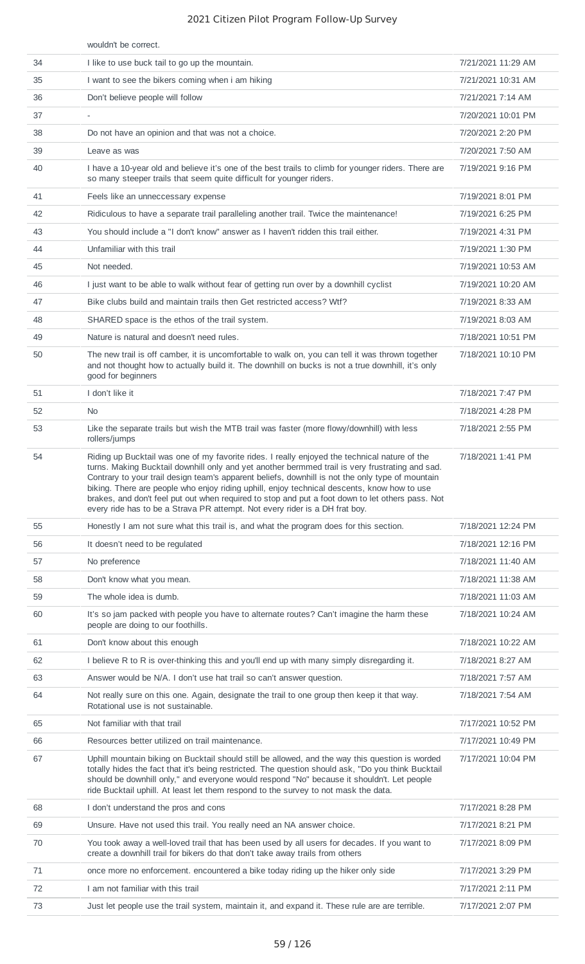|    | wouldn't be correct.                                                                                                                                                                                                                                                                                                                                                                                                                                                                                                                                                                   |                    |
|----|----------------------------------------------------------------------------------------------------------------------------------------------------------------------------------------------------------------------------------------------------------------------------------------------------------------------------------------------------------------------------------------------------------------------------------------------------------------------------------------------------------------------------------------------------------------------------------------|--------------------|
| 34 | I like to use buck tail to go up the mountain.                                                                                                                                                                                                                                                                                                                                                                                                                                                                                                                                         | 7/21/2021 11:29 AM |
| 35 | I want to see the bikers coming when i am hiking                                                                                                                                                                                                                                                                                                                                                                                                                                                                                                                                       | 7/21/2021 10:31 AM |
| 36 | Don't believe people will follow                                                                                                                                                                                                                                                                                                                                                                                                                                                                                                                                                       | 7/21/2021 7:14 AM  |
| 37 | $\overline{\phantom{a}}$                                                                                                                                                                                                                                                                                                                                                                                                                                                                                                                                                               | 7/20/2021 10:01 PM |
| 38 | Do not have an opinion and that was not a choice.                                                                                                                                                                                                                                                                                                                                                                                                                                                                                                                                      | 7/20/2021 2:20 PM  |
| 39 | Leave as was                                                                                                                                                                                                                                                                                                                                                                                                                                                                                                                                                                           | 7/20/2021 7:50 AM  |
| 40 | I have a 10-year old and believe it's one of the best trails to climb for younger riders. There are<br>so many steeper trails that seem quite difficult for younger riders.                                                                                                                                                                                                                                                                                                                                                                                                            | 7/19/2021 9:16 PM  |
| 41 | Feels like an unneccessary expense                                                                                                                                                                                                                                                                                                                                                                                                                                                                                                                                                     | 7/19/2021 8:01 PM  |
| 42 | Ridiculous to have a separate trail paralleling another trail. Twice the maintenance!                                                                                                                                                                                                                                                                                                                                                                                                                                                                                                  | 7/19/2021 6:25 PM  |
| 43 | You should include a "I don't know" answer as I haven't ridden this trail either.                                                                                                                                                                                                                                                                                                                                                                                                                                                                                                      | 7/19/2021 4:31 PM  |
| 44 | Unfamiliar with this trail                                                                                                                                                                                                                                                                                                                                                                                                                                                                                                                                                             | 7/19/2021 1:30 PM  |
| 45 | Not needed.                                                                                                                                                                                                                                                                                                                                                                                                                                                                                                                                                                            | 7/19/2021 10:53 AM |
| 46 | I just want to be able to walk without fear of getting run over by a downhill cyclist                                                                                                                                                                                                                                                                                                                                                                                                                                                                                                  | 7/19/2021 10:20 AM |
| 47 | Bike clubs build and maintain trails then Get restricted access? Wtf?                                                                                                                                                                                                                                                                                                                                                                                                                                                                                                                  | 7/19/2021 8:33 AM  |
| 48 | SHARED space is the ethos of the trail system.                                                                                                                                                                                                                                                                                                                                                                                                                                                                                                                                         | 7/19/2021 8:03 AM  |
| 49 | Nature is natural and doesn't need rules.                                                                                                                                                                                                                                                                                                                                                                                                                                                                                                                                              | 7/18/2021 10:51 PM |
| 50 | The new trail is off camber, it is uncomfortable to walk on, you can tell it was thrown together<br>and not thought how to actually build it. The downhill on bucks is not a true downhill, it's only<br>good for beginners                                                                                                                                                                                                                                                                                                                                                            | 7/18/2021 10:10 PM |
| 51 | I don't like it                                                                                                                                                                                                                                                                                                                                                                                                                                                                                                                                                                        | 7/18/2021 7:47 PM  |
| 52 | <b>No</b>                                                                                                                                                                                                                                                                                                                                                                                                                                                                                                                                                                              | 7/18/2021 4:28 PM  |
| 53 | Like the separate trails but wish the MTB trail was faster (more flowy/downhill) with less<br>rollers/jumps                                                                                                                                                                                                                                                                                                                                                                                                                                                                            | 7/18/2021 2:55 PM  |
| 54 | Riding up Bucktail was one of my favorite rides. I really enjoyed the technical nature of the<br>turns. Making Bucktail downhill only and yet another bermmed trail is very frustrating and sad.<br>Contrary to your trail design team's apparent beliefs, downhill is not the only type of mountain<br>biking. There are people who enjoy riding uphill, enjoy technical descents, know how to use<br>brakes, and don't feel put out when required to stop and put a foot down to let others pass. Not<br>every ride has to be a Strava PR attempt. Not every rider is a DH frat boy. | 7/18/2021 1:41 PM  |
| 55 | Honestly I am not sure what this trail is, and what the program does for this section.                                                                                                                                                                                                                                                                                                                                                                                                                                                                                                 | 7/18/2021 12:24 PM |
| 56 | It doesn't need to be regulated                                                                                                                                                                                                                                                                                                                                                                                                                                                                                                                                                        | 7/18/2021 12:16 PM |
| 57 | No preference                                                                                                                                                                                                                                                                                                                                                                                                                                                                                                                                                                          | 7/18/2021 11:40 AM |
| 58 | Don't know what you mean.                                                                                                                                                                                                                                                                                                                                                                                                                                                                                                                                                              | 7/18/2021 11:38 AM |
| 59 | The whole idea is dumb.                                                                                                                                                                                                                                                                                                                                                                                                                                                                                                                                                                | 7/18/2021 11:03 AM |
| 60 | It's so jam packed with people you have to alternate routes? Can't imagine the harm these<br>people are doing to our foothills.                                                                                                                                                                                                                                                                                                                                                                                                                                                        | 7/18/2021 10:24 AM |
| 61 | Don't know about this enough                                                                                                                                                                                                                                                                                                                                                                                                                                                                                                                                                           | 7/18/2021 10:22 AM |
| 62 | I believe R to R is over-thinking this and you'll end up with many simply disregarding it.                                                                                                                                                                                                                                                                                                                                                                                                                                                                                             | 7/18/2021 8:27 AM  |
| 63 | Answer would be N/A. I don't use hat trail so can't answer question.                                                                                                                                                                                                                                                                                                                                                                                                                                                                                                                   | 7/18/2021 7:57 AM  |
| 64 | Not really sure on this one. Again, designate the trail to one group then keep it that way.<br>Rotational use is not sustainable.                                                                                                                                                                                                                                                                                                                                                                                                                                                      | 7/18/2021 7:54 AM  |
| 65 | Not familiar with that trail                                                                                                                                                                                                                                                                                                                                                                                                                                                                                                                                                           | 7/17/2021 10:52 PM |
| 66 | Resources better utilized on trail maintenance.                                                                                                                                                                                                                                                                                                                                                                                                                                                                                                                                        | 7/17/2021 10:49 PM |
| 67 | Uphill mountain biking on Bucktail should still be allowed, and the way this question is worded<br>totally hides the fact that it's being restricted. The question should ask, "Do you think Bucktail<br>should be downhill only," and everyone would respond "No" because it shouldn't. Let people<br>ride Bucktail uphill. At least let them respond to the survey to not mask the data.                                                                                                                                                                                             | 7/17/2021 10:04 PM |
| 68 | I don't understand the pros and cons                                                                                                                                                                                                                                                                                                                                                                                                                                                                                                                                                   | 7/17/2021 8:28 PM  |
| 69 | Unsure. Have not used this trail. You really need an NA answer choice.                                                                                                                                                                                                                                                                                                                                                                                                                                                                                                                 | 7/17/2021 8:21 PM  |
| 70 | You took away a well-loved trail that has been used by all users for decades. If you want to<br>create a downhill trail for bikers do that don't take away trails from others                                                                                                                                                                                                                                                                                                                                                                                                          | 7/17/2021 8:09 PM  |
| 71 | once more no enforcement. encountered a bike today riding up the hiker only side                                                                                                                                                                                                                                                                                                                                                                                                                                                                                                       | 7/17/2021 3:29 PM  |
| 72 | I am not familiar with this trail                                                                                                                                                                                                                                                                                                                                                                                                                                                                                                                                                      | 7/17/2021 2:11 PM  |
| 73 | Just let people use the trail system, maintain it, and expand it. These rule are are terrible.                                                                                                                                                                                                                                                                                                                                                                                                                                                                                         | 7/17/2021 2:07 PM  |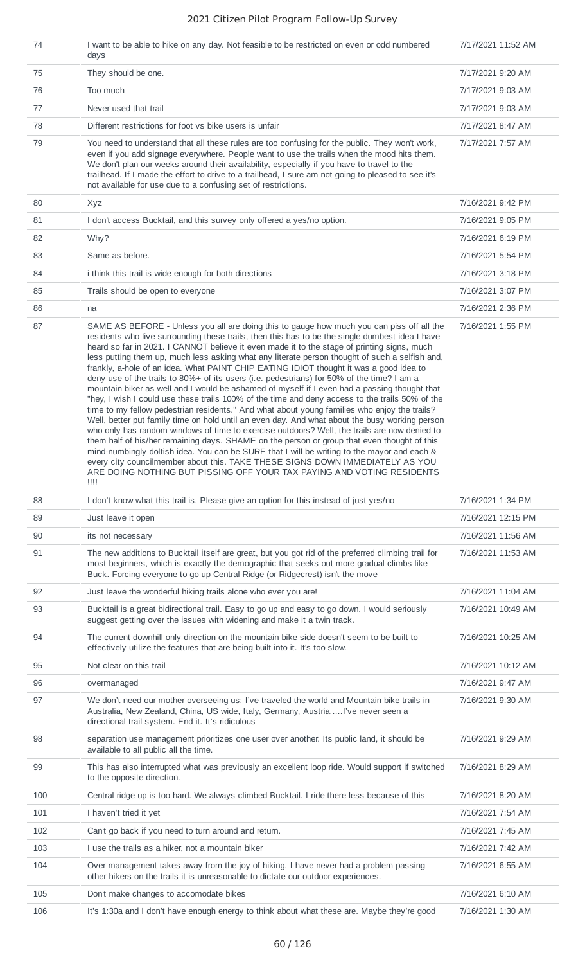| 74  | I want to be able to hike on any day. Not feasible to be restricted on even or odd numbered<br>days                                                                                                                                                                                                                                                                                                                                                                                                                                                                                                                                                                                                                                                                                                                                                                                                                                                                                                                                                                                                                                                                                                                                                                                                                                                                                                                                                                   | 7/17/2021 11:52 AM |
|-----|-----------------------------------------------------------------------------------------------------------------------------------------------------------------------------------------------------------------------------------------------------------------------------------------------------------------------------------------------------------------------------------------------------------------------------------------------------------------------------------------------------------------------------------------------------------------------------------------------------------------------------------------------------------------------------------------------------------------------------------------------------------------------------------------------------------------------------------------------------------------------------------------------------------------------------------------------------------------------------------------------------------------------------------------------------------------------------------------------------------------------------------------------------------------------------------------------------------------------------------------------------------------------------------------------------------------------------------------------------------------------------------------------------------------------------------------------------------------------|--------------------|
| 75  | They should be one.                                                                                                                                                                                                                                                                                                                                                                                                                                                                                                                                                                                                                                                                                                                                                                                                                                                                                                                                                                                                                                                                                                                                                                                                                                                                                                                                                                                                                                                   | 7/17/2021 9:20 AM  |
| 76  | Too much                                                                                                                                                                                                                                                                                                                                                                                                                                                                                                                                                                                                                                                                                                                                                                                                                                                                                                                                                                                                                                                                                                                                                                                                                                                                                                                                                                                                                                                              | 7/17/2021 9:03 AM  |
| 77  | Never used that trail                                                                                                                                                                                                                                                                                                                                                                                                                                                                                                                                                                                                                                                                                                                                                                                                                                                                                                                                                                                                                                                                                                                                                                                                                                                                                                                                                                                                                                                 | 7/17/2021 9:03 AM  |
| 78  | Different restrictions for foot vs bike users is unfair                                                                                                                                                                                                                                                                                                                                                                                                                                                                                                                                                                                                                                                                                                                                                                                                                                                                                                                                                                                                                                                                                                                                                                                                                                                                                                                                                                                                               | 7/17/2021 8:47 AM  |
| 79  | You need to understand that all these rules are too confusing for the public. They won't work,<br>even if you add signage everywhere. People want to use the trails when the mood hits them.<br>We don't plan our weeks around their availability, especially if you have to travel to the<br>trailhead. If I made the effort to drive to a trailhead, I sure am not going to pleased to see it's<br>not available for use due to a confusing set of restrictions.                                                                                                                                                                                                                                                                                                                                                                                                                                                                                                                                                                                                                                                                                                                                                                                                                                                                                                                                                                                                    | 7/17/2021 7:57 AM  |
| 80  | Xyz                                                                                                                                                                                                                                                                                                                                                                                                                                                                                                                                                                                                                                                                                                                                                                                                                                                                                                                                                                                                                                                                                                                                                                                                                                                                                                                                                                                                                                                                   | 7/16/2021 9:42 PM  |
| 81  | I don't access Bucktail, and this survey only offered a yes/no option.                                                                                                                                                                                                                                                                                                                                                                                                                                                                                                                                                                                                                                                                                                                                                                                                                                                                                                                                                                                                                                                                                                                                                                                                                                                                                                                                                                                                | 7/16/2021 9:05 PM  |
| 82  | Why?                                                                                                                                                                                                                                                                                                                                                                                                                                                                                                                                                                                                                                                                                                                                                                                                                                                                                                                                                                                                                                                                                                                                                                                                                                                                                                                                                                                                                                                                  | 7/16/2021 6:19 PM  |
| 83  | Same as before.                                                                                                                                                                                                                                                                                                                                                                                                                                                                                                                                                                                                                                                                                                                                                                                                                                                                                                                                                                                                                                                                                                                                                                                                                                                                                                                                                                                                                                                       | 7/16/2021 5:54 PM  |
| 84  | i think this trail is wide enough for both directions                                                                                                                                                                                                                                                                                                                                                                                                                                                                                                                                                                                                                                                                                                                                                                                                                                                                                                                                                                                                                                                                                                                                                                                                                                                                                                                                                                                                                 | 7/16/2021 3:18 PM  |
| 85  | Trails should be open to everyone                                                                                                                                                                                                                                                                                                                                                                                                                                                                                                                                                                                                                                                                                                                                                                                                                                                                                                                                                                                                                                                                                                                                                                                                                                                                                                                                                                                                                                     | 7/16/2021 3:07 PM  |
| 86  | na                                                                                                                                                                                                                                                                                                                                                                                                                                                                                                                                                                                                                                                                                                                                                                                                                                                                                                                                                                                                                                                                                                                                                                                                                                                                                                                                                                                                                                                                    | 7/16/2021 2:36 PM  |
| 87  | SAME AS BEFORE - Unless you all are doing this to gauge how much you can piss off all the<br>residents who live surrounding these trails, then this has to be the single dumbest idea I have<br>heard so far in 2021. I CANNOT believe it even made it to the stage of printing signs, much<br>less putting them up, much less asking what any literate person thought of such a selfish and,<br>frankly, a-hole of an idea. What PAINT CHIP EATING IDIOT thought it was a good idea to<br>deny use of the trails to 80%+ of its users (i.e. pedestrians) for 50% of the time? I am a<br>mountain biker as well and I would be ashamed of myself if I even had a passing thought that<br>"hey, I wish I could use these trails 100% of the time and deny access to the trails 50% of the<br>time to my fellow pedestrian residents." And what about young families who enjoy the trails?<br>Well, better put family time on hold until an even day. And what about the busy working person<br>who only has random windows of time to exercise outdoors? Well, the trails are now denied to<br>them half of his/her remaining days. SHAME on the person or group that even thought of this<br>mind-numbingly doltish idea. You can be SURE that I will be writing to the mayor and each &<br>every city councilmember about this. TAKE THESE SIGNS DOWN IMMEDIATELY AS YOU<br>ARE DOING NOTHING BUT PISSING OFF YOUR TAX PAYING AND VOTING RESIDENTS<br>$\overline{1}$ | 7/16/2021 1:55 PM  |
| 88  | I don't know what this trail is. Please give an option for this instead of just yes/no                                                                                                                                                                                                                                                                                                                                                                                                                                                                                                                                                                                                                                                                                                                                                                                                                                                                                                                                                                                                                                                                                                                                                                                                                                                                                                                                                                                | 7/16/2021 1:34 PM  |
| 89  | Just leave it open                                                                                                                                                                                                                                                                                                                                                                                                                                                                                                                                                                                                                                                                                                                                                                                                                                                                                                                                                                                                                                                                                                                                                                                                                                                                                                                                                                                                                                                    | 7/16/2021 12:15 PM |
| 90  | its not necessary                                                                                                                                                                                                                                                                                                                                                                                                                                                                                                                                                                                                                                                                                                                                                                                                                                                                                                                                                                                                                                                                                                                                                                                                                                                                                                                                                                                                                                                     | 7/16/2021 11:56 AM |
| 91  | The new additions to Bucktail itself are great, but you got rid of the preferred climbing trail for<br>most beginners, which is exactly the demographic that seeks out more gradual climbs like<br>Buck. Forcing everyone to go up Central Ridge (or Ridgecrest) isn't the move                                                                                                                                                                                                                                                                                                                                                                                                                                                                                                                                                                                                                                                                                                                                                                                                                                                                                                                                                                                                                                                                                                                                                                                       | 7/16/2021 11:53 AM |
| 92  | Just leave the wonderful hiking trails alone who ever you are!                                                                                                                                                                                                                                                                                                                                                                                                                                                                                                                                                                                                                                                                                                                                                                                                                                                                                                                                                                                                                                                                                                                                                                                                                                                                                                                                                                                                        | 7/16/2021 11:04 AM |
| 93  | Bucktail is a great bidirectional trail. Easy to go up and easy to go down. I would seriously<br>suggest getting over the issues with widening and make it a twin track.                                                                                                                                                                                                                                                                                                                                                                                                                                                                                                                                                                                                                                                                                                                                                                                                                                                                                                                                                                                                                                                                                                                                                                                                                                                                                              | 7/16/2021 10:49 AM |
| 94  | The current downhill only direction on the mountain bike side doesn't seem to be built to<br>effectively utilize the features that are being built into it. It's too slow.                                                                                                                                                                                                                                                                                                                                                                                                                                                                                                                                                                                                                                                                                                                                                                                                                                                                                                                                                                                                                                                                                                                                                                                                                                                                                            | 7/16/2021 10:25 AM |
| 95  | Not clear on this trail                                                                                                                                                                                                                                                                                                                                                                                                                                                                                                                                                                                                                                                                                                                                                                                                                                                                                                                                                                                                                                                                                                                                                                                                                                                                                                                                                                                                                                               | 7/16/2021 10:12 AM |
| 96  | overmanaged                                                                                                                                                                                                                                                                                                                                                                                                                                                                                                                                                                                                                                                                                                                                                                                                                                                                                                                                                                                                                                                                                                                                                                                                                                                                                                                                                                                                                                                           | 7/16/2021 9:47 AM  |
| 97  | We don't need our mother overseeing us; I've traveled the world and Mountain bike trails in<br>Australia, New Zealand, China, US wide, Italy, Germany, AustriaI've never seen a<br>directional trail system. End it. It's ridiculous                                                                                                                                                                                                                                                                                                                                                                                                                                                                                                                                                                                                                                                                                                                                                                                                                                                                                                                                                                                                                                                                                                                                                                                                                                  | 7/16/2021 9:30 AM  |
| 98  | separation use management prioritizes one user over another. Its public land, it should be<br>available to all public all the time.                                                                                                                                                                                                                                                                                                                                                                                                                                                                                                                                                                                                                                                                                                                                                                                                                                                                                                                                                                                                                                                                                                                                                                                                                                                                                                                                   | 7/16/2021 9:29 AM  |
| 99  | This has also interrupted what was previously an excellent loop ride. Would support if switched<br>to the opposite direction.                                                                                                                                                                                                                                                                                                                                                                                                                                                                                                                                                                                                                                                                                                                                                                                                                                                                                                                                                                                                                                                                                                                                                                                                                                                                                                                                         | 7/16/2021 8:29 AM  |
| 100 | Central ridge up is too hard. We always climbed Bucktail. I ride there less because of this                                                                                                                                                                                                                                                                                                                                                                                                                                                                                                                                                                                                                                                                                                                                                                                                                                                                                                                                                                                                                                                                                                                                                                                                                                                                                                                                                                           | 7/16/2021 8:20 AM  |
| 101 | I haven't tried it yet                                                                                                                                                                                                                                                                                                                                                                                                                                                                                                                                                                                                                                                                                                                                                                                                                                                                                                                                                                                                                                                                                                                                                                                                                                                                                                                                                                                                                                                | 7/16/2021 7:54 AM  |
| 102 | Can't go back if you need to turn around and return.                                                                                                                                                                                                                                                                                                                                                                                                                                                                                                                                                                                                                                                                                                                                                                                                                                                                                                                                                                                                                                                                                                                                                                                                                                                                                                                                                                                                                  | 7/16/2021 7:45 AM  |
| 103 | I use the trails as a hiker, not a mountain biker                                                                                                                                                                                                                                                                                                                                                                                                                                                                                                                                                                                                                                                                                                                                                                                                                                                                                                                                                                                                                                                                                                                                                                                                                                                                                                                                                                                                                     | 7/16/2021 7:42 AM  |
| 104 | Over management takes away from the joy of hiking. I have never had a problem passing<br>other hikers on the trails it is unreasonable to dictate our outdoor experiences.                                                                                                                                                                                                                                                                                                                                                                                                                                                                                                                                                                                                                                                                                                                                                                                                                                                                                                                                                                                                                                                                                                                                                                                                                                                                                            | 7/16/2021 6:55 AM  |
| 105 | Don't make changes to accomodate bikes                                                                                                                                                                                                                                                                                                                                                                                                                                                                                                                                                                                                                                                                                                                                                                                                                                                                                                                                                                                                                                                                                                                                                                                                                                                                                                                                                                                                                                | 7/16/2021 6:10 AM  |
| 106 | It's 1:30a and I don't have enough energy to think about what these are. Maybe they're good                                                                                                                                                                                                                                                                                                                                                                                                                                                                                                                                                                                                                                                                                                                                                                                                                                                                                                                                                                                                                                                                                                                                                                                                                                                                                                                                                                           | 7/16/2021 1:30 AM  |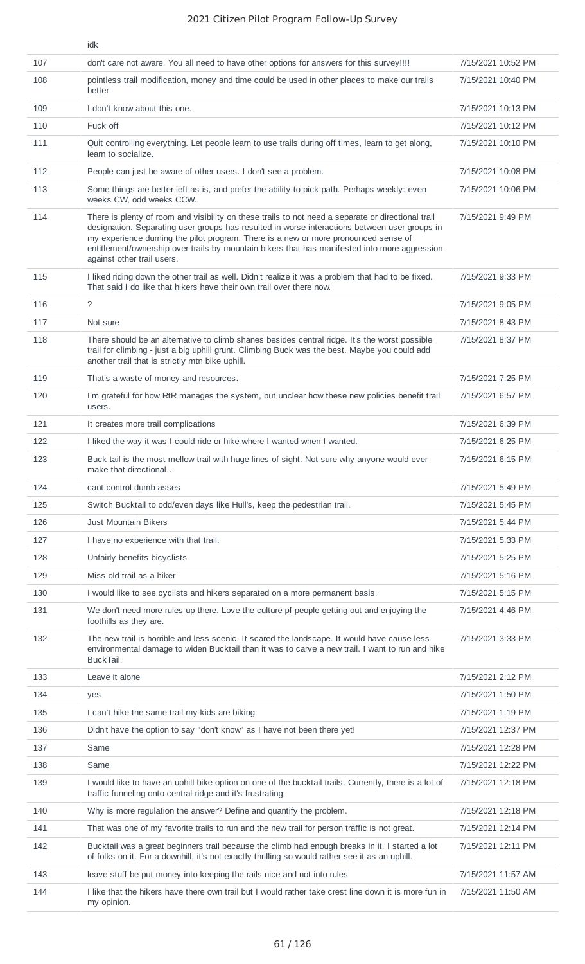|     | idk                                                                                                                                                                                                                                                                                                                                                                                                                       |                    |
|-----|---------------------------------------------------------------------------------------------------------------------------------------------------------------------------------------------------------------------------------------------------------------------------------------------------------------------------------------------------------------------------------------------------------------------------|--------------------|
| 107 | don't care not aware. You all need to have other options for answers for this survey!!!!                                                                                                                                                                                                                                                                                                                                  | 7/15/2021 10:52 PM |
| 108 | pointless trail modification, money and time could be used in other places to make our trails<br>better                                                                                                                                                                                                                                                                                                                   | 7/15/2021 10:40 PM |
| 109 | I don't know about this one.                                                                                                                                                                                                                                                                                                                                                                                              | 7/15/2021 10:13 PM |
| 110 | Fuck off                                                                                                                                                                                                                                                                                                                                                                                                                  | 7/15/2021 10:12 PM |
| 111 | Quit controlling everything. Let people learn to use trails during off times, learn to get along,<br>learn to socialize.                                                                                                                                                                                                                                                                                                  | 7/15/2021 10:10 PM |
| 112 | People can just be aware of other users. I don't see a problem.                                                                                                                                                                                                                                                                                                                                                           | 7/15/2021 10:08 PM |
| 113 | Some things are better left as is, and prefer the ability to pick path. Perhaps weekly: even<br>weeks CW, odd weeks CCW.                                                                                                                                                                                                                                                                                                  | 7/15/2021 10:06 PM |
| 114 | There is plenty of room and visibility on these trails to not need a separate or directional trail<br>designation. Separating user groups has resulted in worse interactions between user groups in<br>my experience durning the pilot program. There is a new or more pronounced sense of<br>entitlement/ownership over trails by mountain bikers that has manifested into more aggression<br>against other trail users. | 7/15/2021 9:49 PM  |
| 115 | I liked riding down the other trail as well. Didn't realize it was a problem that had to be fixed.<br>That said I do like that hikers have their own trail over there now.                                                                                                                                                                                                                                                | 7/15/2021 9:33 PM  |
| 116 | $\tilde{ }$                                                                                                                                                                                                                                                                                                                                                                                                               | 7/15/2021 9:05 PM  |
| 117 | Not sure                                                                                                                                                                                                                                                                                                                                                                                                                  | 7/15/2021 8:43 PM  |
| 118 | There should be an alternative to climb shanes besides central ridge. It's the worst possible<br>trail for climbing - just a big uphill grunt. Climbing Buck was the best. Maybe you could add<br>another trail that is strictly mtn bike uphill.                                                                                                                                                                         | 7/15/2021 8:37 PM  |
| 119 | That's a waste of money and resources.                                                                                                                                                                                                                                                                                                                                                                                    | 7/15/2021 7:25 PM  |
| 120 | I'm grateful for how RtR manages the system, but unclear how these new policies benefit trail<br>users.                                                                                                                                                                                                                                                                                                                   | 7/15/2021 6:57 PM  |
| 121 | It creates more trail complications                                                                                                                                                                                                                                                                                                                                                                                       | 7/15/2021 6:39 PM  |
| 122 | I liked the way it was I could ride or hike where I wanted when I wanted.                                                                                                                                                                                                                                                                                                                                                 | 7/15/2021 6:25 PM  |
| 123 | Buck tail is the most mellow trail with huge lines of sight. Not sure why anyone would ever<br>make that directional                                                                                                                                                                                                                                                                                                      | 7/15/2021 6:15 PM  |
| 124 | cant control dumb asses                                                                                                                                                                                                                                                                                                                                                                                                   | 7/15/2021 5:49 PM  |
| 125 | Switch Bucktail to odd/even days like Hull's, keep the pedestrian trail.                                                                                                                                                                                                                                                                                                                                                  | 7/15/2021 5:45 PM  |
| 126 | <b>Just Mountain Bikers</b>                                                                                                                                                                                                                                                                                                                                                                                               | 7/15/2021 5:44 PM  |
| 127 | I have no experience with that trail.                                                                                                                                                                                                                                                                                                                                                                                     | 7/15/2021 5:33 PM  |
| 128 | Unfairly benefits bicyclists                                                                                                                                                                                                                                                                                                                                                                                              | 7/15/2021 5:25 PM  |
| 129 | Miss old trail as a hiker                                                                                                                                                                                                                                                                                                                                                                                                 | 7/15/2021 5:16 PM  |
| 130 | I would like to see cyclists and hikers separated on a more permanent basis.                                                                                                                                                                                                                                                                                                                                              | 7/15/2021 5:15 PM  |
| 131 | We don't need more rules up there. Love the culture pf people getting out and enjoying the<br>foothills as they are.                                                                                                                                                                                                                                                                                                      | 7/15/2021 4:46 PM  |
| 132 | The new trail is horrible and less scenic. It scared the landscape. It would have cause less<br>environmental damage to widen Bucktail than it was to carve a new trail. I want to run and hike<br>BuckTail.                                                                                                                                                                                                              | 7/15/2021 3:33 PM  |
| 133 | Leave it alone                                                                                                                                                                                                                                                                                                                                                                                                            | 7/15/2021 2:12 PM  |
| 134 | yes                                                                                                                                                                                                                                                                                                                                                                                                                       | 7/15/2021 1:50 PM  |
| 135 | I can't hike the same trail my kids are biking                                                                                                                                                                                                                                                                                                                                                                            | 7/15/2021 1:19 PM  |
| 136 | Didn't have the option to say "don't know" as I have not been there yet!                                                                                                                                                                                                                                                                                                                                                  | 7/15/2021 12:37 PM |
| 137 | Same                                                                                                                                                                                                                                                                                                                                                                                                                      | 7/15/2021 12:28 PM |
| 138 | Same                                                                                                                                                                                                                                                                                                                                                                                                                      | 7/15/2021 12:22 PM |
| 139 | I would like to have an uphill bike option on one of the bucktail trails. Currently, there is a lot of<br>traffic funneling onto central ridge and it's frustrating.                                                                                                                                                                                                                                                      | 7/15/2021 12:18 PM |
| 140 | Why is more regulation the answer? Define and quantify the problem.                                                                                                                                                                                                                                                                                                                                                       | 7/15/2021 12:18 PM |
| 141 | That was one of my favorite trails to run and the new trail for person traffic is not great.                                                                                                                                                                                                                                                                                                                              | 7/15/2021 12:14 PM |
| 142 | Bucktail was a great beginners trail because the climb had enough breaks in it. I started a lot<br>of folks on it. For a downhill, it's not exactly thrilling so would rather see it as an uphill.                                                                                                                                                                                                                        | 7/15/2021 12:11 PM |
| 143 | leave stuff be put money into keeping the rails nice and not into rules                                                                                                                                                                                                                                                                                                                                                   | 7/15/2021 11:57 AM |
| 144 | I like that the hikers have there own trail but I would rather take crest line down it is more fun in<br>my opinion.                                                                                                                                                                                                                                                                                                      | 7/15/2021 11:50 AM |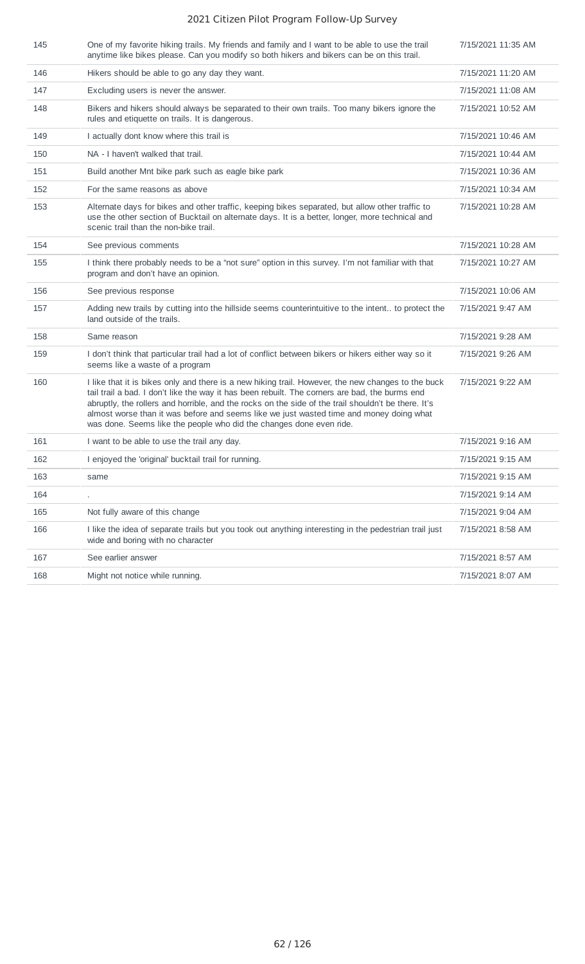| 145 | One of my favorite hiking trails. My friends and family and I want to be able to use the trail<br>anytime like bikes please. Can you modify so both hikers and bikers can be on this trail.                                                                                                                                                                                                                                                                                   | 7/15/2021 11:35 AM |
|-----|-------------------------------------------------------------------------------------------------------------------------------------------------------------------------------------------------------------------------------------------------------------------------------------------------------------------------------------------------------------------------------------------------------------------------------------------------------------------------------|--------------------|
| 146 | Hikers should be able to go any day they want.                                                                                                                                                                                                                                                                                                                                                                                                                                | 7/15/2021 11:20 AM |
| 147 | Excluding users is never the answer.                                                                                                                                                                                                                                                                                                                                                                                                                                          | 7/15/2021 11:08 AM |
| 148 | Bikers and hikers should always be separated to their own trails. Too many bikers ignore the<br>rules and etiquette on trails. It is dangerous.                                                                                                                                                                                                                                                                                                                               | 7/15/2021 10:52 AM |
| 149 | I actually dont know where this trail is                                                                                                                                                                                                                                                                                                                                                                                                                                      | 7/15/2021 10:46 AM |
| 150 | NA - I haven't walked that trail.                                                                                                                                                                                                                                                                                                                                                                                                                                             | 7/15/2021 10:44 AM |
| 151 | Build another Mnt bike park such as eagle bike park                                                                                                                                                                                                                                                                                                                                                                                                                           | 7/15/2021 10:36 AM |
| 152 | For the same reasons as above                                                                                                                                                                                                                                                                                                                                                                                                                                                 | 7/15/2021 10:34 AM |
| 153 | Alternate days for bikes and other traffic, keeping bikes separated, but allow other traffic to<br>use the other section of Bucktail on alternate days. It is a better, longer, more technical and<br>scenic trail than the non-bike trail.                                                                                                                                                                                                                                   | 7/15/2021 10:28 AM |
| 154 | See previous comments                                                                                                                                                                                                                                                                                                                                                                                                                                                         | 7/15/2021 10:28 AM |
| 155 | I think there probably needs to be a "not sure" option in this survey. I'm not familiar with that<br>program and don't have an opinion.                                                                                                                                                                                                                                                                                                                                       | 7/15/2021 10:27 AM |
| 156 | See previous response                                                                                                                                                                                                                                                                                                                                                                                                                                                         | 7/15/2021 10:06 AM |
| 157 | Adding new trails by cutting into the hillside seems counterintuitive to the intent to protect the<br>land outside of the trails.                                                                                                                                                                                                                                                                                                                                             | 7/15/2021 9:47 AM  |
| 158 | Same reason                                                                                                                                                                                                                                                                                                                                                                                                                                                                   | 7/15/2021 9:28 AM  |
| 159 | I don't think that particular trail had a lot of conflict between bikers or hikers either way so it<br>seems like a waste of a program                                                                                                                                                                                                                                                                                                                                        | 7/15/2021 9:26 AM  |
| 160 | I like that it is bikes only and there is a new hiking trail. However, the new changes to the buck<br>tail trail a bad. I don't like the way it has been rebuilt. The corners are bad, the burms end<br>abruptly, the rollers and horrible, and the rocks on the side of the trail shouldn't be there. It's<br>almost worse than it was before and seems like we just wasted time and money doing what<br>was done. Seems like the people who did the changes done even ride. | 7/15/2021 9:22 AM  |
| 161 | I want to be able to use the trail any day.                                                                                                                                                                                                                                                                                                                                                                                                                                   | 7/15/2021 9:16 AM  |
| 162 | I enjoyed the 'original' bucktail trail for running.                                                                                                                                                                                                                                                                                                                                                                                                                          | 7/15/2021 9:15 AM  |
| 163 | same                                                                                                                                                                                                                                                                                                                                                                                                                                                                          | 7/15/2021 9:15 AM  |
| 164 |                                                                                                                                                                                                                                                                                                                                                                                                                                                                               | 7/15/2021 9:14 AM  |
| 165 | Not fully aware of this change                                                                                                                                                                                                                                                                                                                                                                                                                                                | 7/15/2021 9:04 AM  |
| 166 | I like the idea of separate trails but you took out anything interesting in the pedestrian trail just<br>wide and boring with no character                                                                                                                                                                                                                                                                                                                                    | 7/15/2021 8:58 AM  |
| 167 | See earlier answer                                                                                                                                                                                                                                                                                                                                                                                                                                                            | 7/15/2021 8:57 AM  |
| 168 | Might not notice while running.                                                                                                                                                                                                                                                                                                                                                                                                                                               | 7/15/2021 8:07 AM  |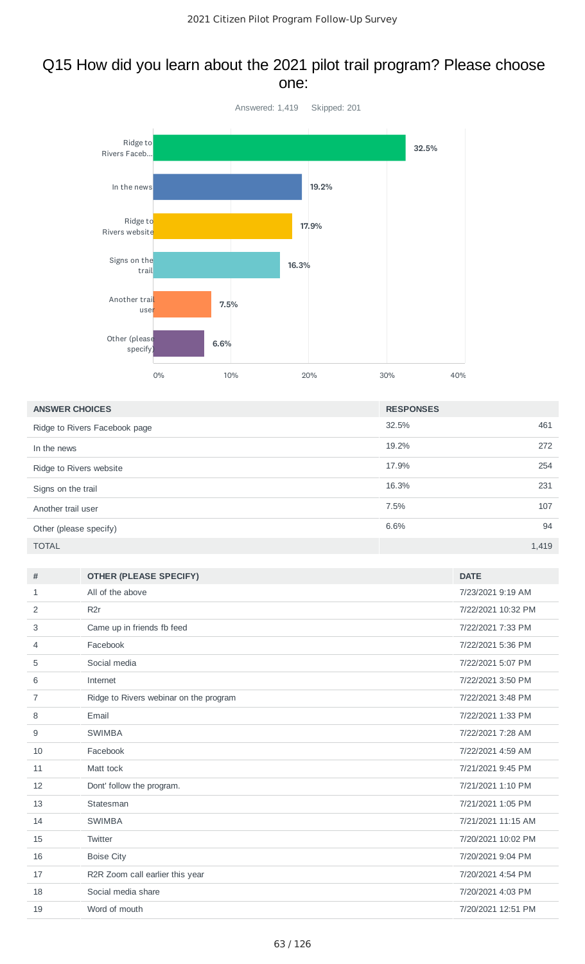## Q15 How did you learn about the 2021 pilot trail program? Please choose one:



| <b>ANSWER CHOICES</b>         | <b>RESPONSES</b> |       |
|-------------------------------|------------------|-------|
| Ridge to Rivers Facebook page | 32.5%            | 461   |
| In the news                   | 19.2%            | 272   |
| Ridge to Rivers website       | 17.9%            | 254   |
| Signs on the trail            | 16.3%            | 231   |
| Another trail user            | 7.5%             | 107   |
| Other (please specify)        | 6.6%             | 94    |
| <b>TOTAL</b>                  |                  | 1,419 |

| #  | <b>OTHER (PLEASE SPECIFY)</b>          | <b>DATE</b>        |
|----|----------------------------------------|--------------------|
| 1  | All of the above                       | 7/23/2021 9:19 AM  |
| 2  | R <sub>2</sub> r                       | 7/22/2021 10:32 PM |
| 3  | Came up in friends fb feed             | 7/22/2021 7:33 PM  |
| 4  | Facebook                               | 7/22/2021 5:36 PM  |
| 5  | Social media                           | 7/22/2021 5:07 PM  |
| 6  | Internet                               | 7/22/2021 3:50 PM  |
| 7  | Ridge to Rivers webinar on the program | 7/22/2021 3:48 PM  |
| 8  | Email                                  | 7/22/2021 1:33 PM  |
| 9  | <b>SWIMBA</b>                          | 7/22/2021 7:28 AM  |
| 10 | Facebook                               | 7/22/2021 4:59 AM  |
| 11 | Matt tock                              | 7/21/2021 9:45 PM  |
| 12 | Dont' follow the program.              | 7/21/2021 1:10 PM  |
| 13 | Statesman                              | 7/21/2021 1:05 PM  |
| 14 | <b>SWIMBA</b>                          | 7/21/2021 11:15 AM |
| 15 | Twitter                                | 7/20/2021 10:02 PM |
| 16 | <b>Boise City</b>                      | 7/20/2021 9:04 PM  |
| 17 | R2R Zoom call earlier this year        | 7/20/2021 4:54 PM  |
| 18 | Social media share                     | 7/20/2021 4:03 PM  |
| 19 | Word of mouth                          | 7/20/2021 12:51 PM |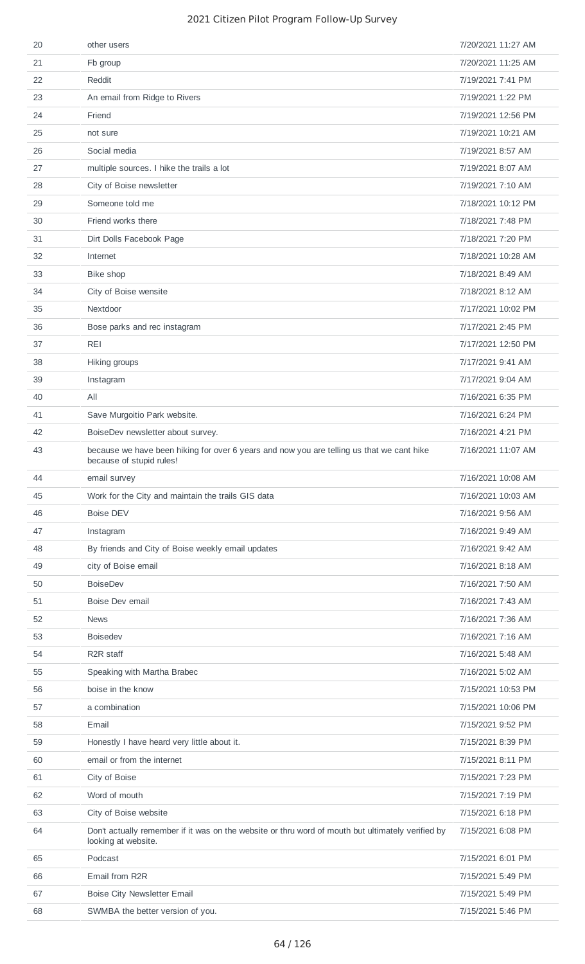| 20 | other users                                                                                                              | 7/20/2021 11:27 AM |
|----|--------------------------------------------------------------------------------------------------------------------------|--------------------|
| 21 | Fb group                                                                                                                 | 7/20/2021 11:25 AM |
| 22 | Reddit                                                                                                                   | 7/19/2021 7:41 PM  |
| 23 | An email from Ridge to Rivers                                                                                            | 7/19/2021 1:22 PM  |
| 24 | Friend                                                                                                                   | 7/19/2021 12:56 PM |
| 25 | not sure                                                                                                                 | 7/19/2021 10:21 AM |
| 26 | Social media                                                                                                             | 7/19/2021 8:57 AM  |
| 27 | multiple sources. I hike the trails a lot                                                                                | 7/19/2021 8:07 AM  |
| 28 | City of Boise newsletter                                                                                                 | 7/19/2021 7:10 AM  |
| 29 | Someone told me                                                                                                          | 7/18/2021 10:12 PM |
| 30 | Friend works there                                                                                                       | 7/18/2021 7:48 PM  |
| 31 | Dirt Dolls Facebook Page                                                                                                 | 7/18/2021 7:20 PM  |
| 32 | Internet                                                                                                                 | 7/18/2021 10:28 AM |
| 33 | Bike shop                                                                                                                | 7/18/2021 8:49 AM  |
| 34 | City of Boise wensite                                                                                                    | 7/18/2021 8:12 AM  |
| 35 | Nextdoor                                                                                                                 | 7/17/2021 10:02 PM |
| 36 | Bose parks and rec instagram                                                                                             | 7/17/2021 2:45 PM  |
| 37 | <b>REI</b>                                                                                                               | 7/17/2021 12:50 PM |
| 38 | Hiking groups                                                                                                            | 7/17/2021 9:41 AM  |
| 39 | Instagram                                                                                                                | 7/17/2021 9:04 AM  |
| 40 | All                                                                                                                      | 7/16/2021 6:35 PM  |
| 41 | Save Murgoitio Park website.                                                                                             | 7/16/2021 6:24 PM  |
| 42 | BoiseDev newsletter about survey.                                                                                        | 7/16/2021 4:21 PM  |
| 43 | because we have been hiking for over 6 years and now you are telling us that we cant hike<br>because of stupid rules!    | 7/16/2021 11:07 AM |
| 44 | email survey                                                                                                             | 7/16/2021 10:08 AM |
| 45 | Work for the City and maintain the trails GIS data                                                                       | 7/16/2021 10:03 AM |
| 46 | <b>Boise DEV</b>                                                                                                         | 7/16/2021 9:56 AM  |
| 47 | Instagram                                                                                                                | 7/16/2021 9:49 AM  |
| 48 | By friends and City of Boise weekly email updates                                                                        | 7/16/2021 9:42 AM  |
| 49 | city of Boise email                                                                                                      | 7/16/2021 8:18 AM  |
| 50 | <b>BoiseDev</b>                                                                                                          | 7/16/2021 7:50 AM  |
| 51 | Boise Dev email                                                                                                          | 7/16/2021 7:43 AM  |
| 52 | <b>News</b>                                                                                                              | 7/16/2021 7:36 AM  |
| 53 | <b>Boisedev</b>                                                                                                          | 7/16/2021 7:16 AM  |
| 54 | R <sub>2</sub> R staff                                                                                                   | 7/16/2021 5:48 AM  |
| 55 | Speaking with Martha Brabec                                                                                              | 7/16/2021 5:02 AM  |
| 56 | boise in the know                                                                                                        | 7/15/2021 10:53 PM |
| 57 | a combination                                                                                                            | 7/15/2021 10:06 PM |
| 58 | Email                                                                                                                    | 7/15/2021 9:52 PM  |
| 59 | Honestly I have heard very little about it.                                                                              | 7/15/2021 8:39 PM  |
| 60 | email or from the internet                                                                                               | 7/15/2021 8:11 PM  |
| 61 | City of Boise                                                                                                            | 7/15/2021 7:23 PM  |
| 62 | Word of mouth                                                                                                            | 7/15/2021 7:19 PM  |
| 63 | City of Boise website                                                                                                    | 7/15/2021 6:18 PM  |
| 64 | Don't actually remember if it was on the website or thru word of mouth but ultimately verified by<br>looking at website. | 7/15/2021 6:08 PM  |
| 65 | Podcast                                                                                                                  | 7/15/2021 6:01 PM  |
| 66 | Email from R2R                                                                                                           | 7/15/2021 5:49 PM  |
| 67 | Boise City Newsletter Email                                                                                              | 7/15/2021 5:49 PM  |
| 68 | SWMBA the better version of you.                                                                                         | 7/15/2021 5:46 PM  |
|    |                                                                                                                          |                    |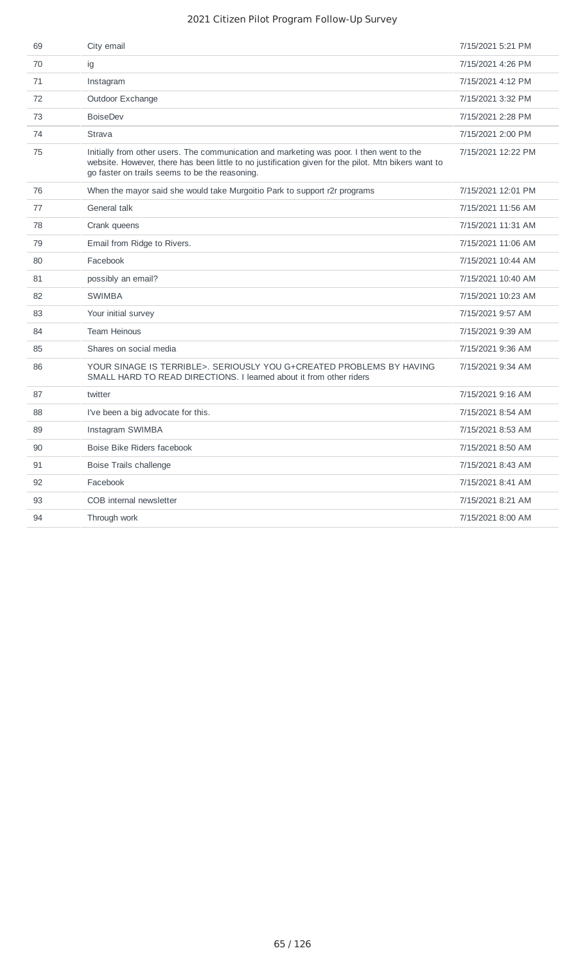| 69 | City email                                                                                                                                                                                                                                        | 7/15/2021 5:21 PM  |
|----|---------------------------------------------------------------------------------------------------------------------------------------------------------------------------------------------------------------------------------------------------|--------------------|
| 70 | ig                                                                                                                                                                                                                                                | 7/15/2021 4:26 PM  |
| 71 | Instagram                                                                                                                                                                                                                                         | 7/15/2021 4:12 PM  |
| 72 | Outdoor Exchange                                                                                                                                                                                                                                  | 7/15/2021 3:32 PM  |
| 73 | <b>BoiseDev</b>                                                                                                                                                                                                                                   | 7/15/2021 2:28 PM  |
| 74 | Strava                                                                                                                                                                                                                                            | 7/15/2021 2:00 PM  |
| 75 | Initially from other users. The communication and marketing was poor. I then went to the<br>website. However, there has been little to no justification given for the pilot. Mtn bikers want to<br>go faster on trails seems to be the reasoning. | 7/15/2021 12:22 PM |
| 76 | When the mayor said she would take Murgoitio Park to support r2r programs                                                                                                                                                                         | 7/15/2021 12:01 PM |
| 77 | General talk                                                                                                                                                                                                                                      | 7/15/2021 11:56 AM |
| 78 | Crank queens                                                                                                                                                                                                                                      | 7/15/2021 11:31 AM |
| 79 | Email from Ridge to Rivers.                                                                                                                                                                                                                       | 7/15/2021 11:06 AM |
| 80 | Facebook                                                                                                                                                                                                                                          | 7/15/2021 10:44 AM |
| 81 | possibly an email?                                                                                                                                                                                                                                | 7/15/2021 10:40 AM |
| 82 | <b>SWIMBA</b>                                                                                                                                                                                                                                     | 7/15/2021 10:23 AM |
| 83 | Your initial survey                                                                                                                                                                                                                               | 7/15/2021 9:57 AM  |
| 84 | <b>Team Heinous</b>                                                                                                                                                                                                                               | 7/15/2021 9:39 AM  |
| 85 | Shares on social media                                                                                                                                                                                                                            | 7/15/2021 9:36 AM  |
| 86 | YOUR SINAGE IS TERRIBLE>. SERIOUSLY YOU G+CREATED PROBLEMS BY HAVING<br>SMALL HARD TO READ DIRECTIONS. I learned about it from other riders                                                                                                       | 7/15/2021 9:34 AM  |
| 87 | twitter                                                                                                                                                                                                                                           | 7/15/2021 9:16 AM  |
| 88 | I've been a big advocate for this.                                                                                                                                                                                                                | 7/15/2021 8:54 AM  |
| 89 | Instagram SWIMBA                                                                                                                                                                                                                                  | 7/15/2021 8:53 AM  |
| 90 | Boise Bike Riders facebook                                                                                                                                                                                                                        | 7/15/2021 8:50 AM  |
| 91 | Boise Trails challenge                                                                                                                                                                                                                            | 7/15/2021 8:43 AM  |
| 92 | Facebook                                                                                                                                                                                                                                          | 7/15/2021 8:41 AM  |
| 93 | COB internal newsletter                                                                                                                                                                                                                           | 7/15/2021 8:21 AM  |
| 94 | Through work                                                                                                                                                                                                                                      | 7/15/2021 8:00 AM  |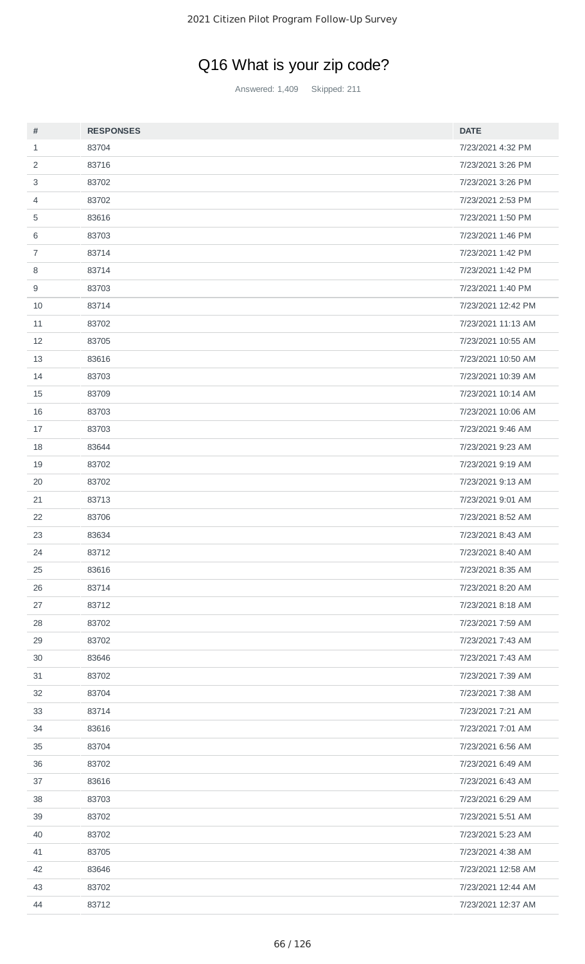# Q16 What is your zip code?

Answered: 1,409 Skipped: 211

| #              | <b>RESPONSES</b> | <b>DATE</b>        |
|----------------|------------------|--------------------|
| $\mathbf{1}$   | 83704            | 7/23/2021 4:32 PM  |
| $\overline{c}$ | 83716            | 7/23/2021 3:26 PM  |
| 3              | 83702            | 7/23/2021 3:26 PM  |
| 4              | 83702            | 7/23/2021 2:53 PM  |
| 5              | 83616            | 7/23/2021 1:50 PM  |
| 6              | 83703            | 7/23/2021 1:46 PM  |
| $\overline{7}$ | 83714            | 7/23/2021 1:42 PM  |
| 8              | 83714            | 7/23/2021 1:42 PM  |
| 9              | 83703            | 7/23/2021 1:40 PM  |
| 10             | 83714            | 7/23/2021 12:42 PM |
| 11             | 83702            | 7/23/2021 11:13 AM |
| 12             | 83705            | 7/23/2021 10:55 AM |
| 13             | 83616            | 7/23/2021 10:50 AM |
| 14             | 83703            | 7/23/2021 10:39 AM |
| 15             | 83709            | 7/23/2021 10:14 AM |
| 16             | 83703            | 7/23/2021 10:06 AM |
| 17             | 83703            | 7/23/2021 9:46 AM  |
| 18             | 83644            | 7/23/2021 9:23 AM  |
| 19             | 83702            | 7/23/2021 9:19 AM  |
| 20             | 83702            | 7/23/2021 9:13 AM  |
| 21             | 83713            | 7/23/2021 9:01 AM  |
| 22             | 83706            | 7/23/2021 8:52 AM  |
| 23             | 83634            | 7/23/2021 8:43 AM  |
| 24             | 83712            | 7/23/2021 8:40 AM  |
| 25             | 83616            | 7/23/2021 8:35 AM  |
| 26             | 83714            | 7/23/2021 8:20 AM  |
| 27             | 83712            | 7/23/2021 8:18 AM  |
| 28             | 83702            | 7/23/2021 7:59 AM  |
| 29             | 83702            | 7/23/2021 7:43 AM  |
| 30             | 83646            | 7/23/2021 7:43 AM  |
| 31             | 83702            | 7/23/2021 7:39 AM  |
| 32             | 83704            | 7/23/2021 7:38 AM  |
| 33             | 83714            | 7/23/2021 7:21 AM  |
| 34             | 83616            | 7/23/2021 7:01 AM  |
| 35             | 83704            | 7/23/2021 6:56 AM  |
| 36             | 83702            | 7/23/2021 6:49 AM  |
| 37             | 83616            | 7/23/2021 6:43 AM  |
| 38             | 83703            | 7/23/2021 6:29 AM  |
| 39             | 83702            | 7/23/2021 5:51 AM  |
| 40             | 83702            | 7/23/2021 5:23 AM  |
| 41             | 83705            | 7/23/2021 4:38 AM  |
| 42             | 83646            | 7/23/2021 12:58 AM |
| 43             | 83702            | 7/23/2021 12:44 AM |
| 44             | 83712            | 7/23/2021 12:37 AM |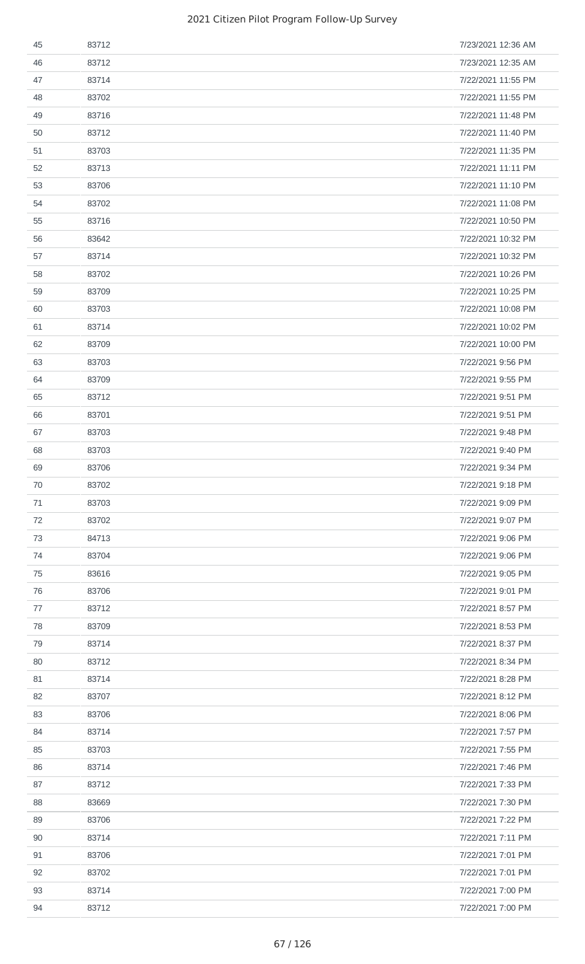| 45 | 83712 | 7/23/2021 12:36 AM |
|----|-------|--------------------|
| 46 | 83712 | 7/23/2021 12:35 AM |
| 47 | 83714 | 7/22/2021 11:55 PM |
| 48 | 83702 | 7/22/2021 11:55 PM |
| 49 | 83716 | 7/22/2021 11:48 PM |
| 50 | 83712 | 7/22/2021 11:40 PM |
| 51 | 83703 | 7/22/2021 11:35 PM |
| 52 | 83713 | 7/22/2021 11:11 PM |
| 53 | 83706 | 7/22/2021 11:10 PM |
| 54 | 83702 | 7/22/2021 11:08 PM |
| 55 | 83716 | 7/22/2021 10:50 PM |
| 56 | 83642 | 7/22/2021 10:32 PM |
| 57 | 83714 | 7/22/2021 10:32 PM |
| 58 | 83702 | 7/22/2021 10:26 PM |
| 59 | 83709 | 7/22/2021 10:25 PM |
| 60 | 83703 | 7/22/2021 10:08 PM |
| 61 | 83714 | 7/22/2021 10:02 PM |
| 62 | 83709 | 7/22/2021 10:00 PM |
| 63 | 83703 | 7/22/2021 9:56 PM  |
| 64 | 83709 | 7/22/2021 9:55 PM  |
| 65 | 83712 | 7/22/2021 9:51 PM  |
| 66 | 83701 | 7/22/2021 9:51 PM  |
| 67 | 83703 | 7/22/2021 9:48 PM  |
| 68 | 83703 | 7/22/2021 9:40 PM  |
| 69 | 83706 | 7/22/2021 9:34 PM  |
| 70 | 83702 | 7/22/2021 9:18 PM  |
| 71 | 83703 | 7/22/2021 9:09 PM  |
| 72 | 83702 | 7/22/2021 9:07 PM  |
| 73 | 84713 | 7/22/2021 9:06 PM  |
| 74 | 83704 | 7/22/2021 9:06 PM  |
| 75 | 83616 | 7/22/2021 9:05 PM  |
| 76 | 83706 | 7/22/2021 9:01 PM  |
| 77 | 83712 | 7/22/2021 8:57 PM  |
| 78 | 83709 | 7/22/2021 8:53 PM  |
| 79 | 83714 | 7/22/2021 8:37 PM  |
| 80 | 83712 | 7/22/2021 8:34 PM  |
| 81 | 83714 | 7/22/2021 8:28 PM  |
| 82 | 83707 | 7/22/2021 8:12 PM  |
| 83 | 83706 | 7/22/2021 8:06 PM  |
| 84 | 83714 | 7/22/2021 7:57 PM  |
| 85 | 83703 | 7/22/2021 7:55 PM  |
| 86 | 83714 | 7/22/2021 7:46 PM  |
| 87 | 83712 | 7/22/2021 7:33 PM  |
| 88 | 83669 | 7/22/2021 7:30 PM  |
| 89 | 83706 | 7/22/2021 7:22 PM  |
| 90 | 83714 | 7/22/2021 7:11 PM  |
| 91 | 83706 | 7/22/2021 7:01 PM  |
| 92 | 83702 | 7/22/2021 7:01 PM  |
| 93 | 83714 | 7/22/2021 7:00 PM  |
| 94 | 83712 | 7/22/2021 7:00 PM  |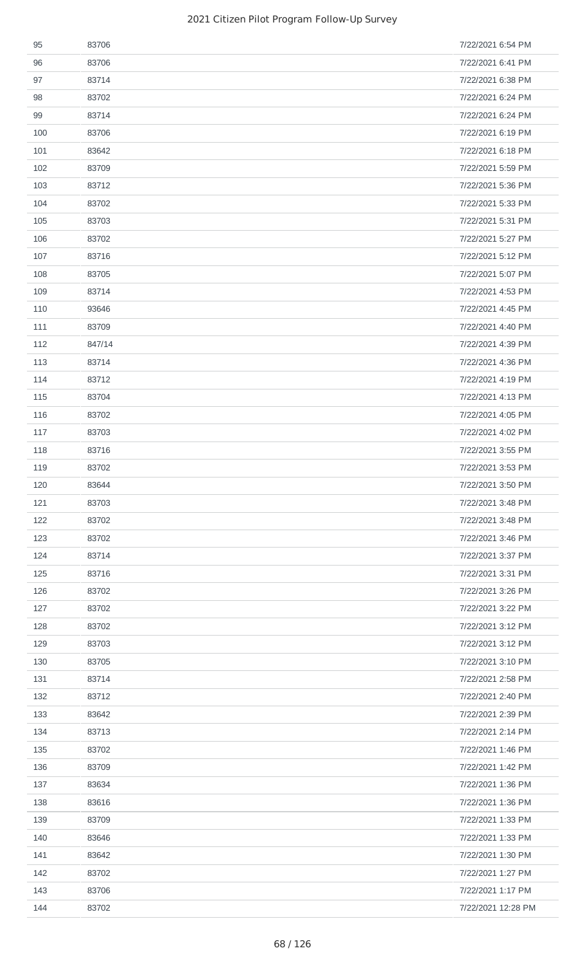| 95  | 83706  | 7/22/2021 6:54 PM  |
|-----|--------|--------------------|
| 96  | 83706  | 7/22/2021 6:41 PM  |
| 97  | 83714  | 7/22/2021 6:38 PM  |
| 98  | 83702  | 7/22/2021 6:24 PM  |
| 99  | 83714  | 7/22/2021 6:24 PM  |
| 100 | 83706  | 7/22/2021 6:19 PM  |
| 101 | 83642  | 7/22/2021 6:18 PM  |
| 102 | 83709  | 7/22/2021 5:59 PM  |
| 103 | 83712  | 7/22/2021 5:36 PM  |
| 104 | 83702  | 7/22/2021 5:33 PM  |
| 105 | 83703  | 7/22/2021 5:31 PM  |
| 106 | 83702  | 7/22/2021 5:27 PM  |
| 107 | 83716  | 7/22/2021 5:12 PM  |
| 108 | 83705  | 7/22/2021 5:07 PM  |
| 109 | 83714  | 7/22/2021 4:53 PM  |
| 110 | 93646  | 7/22/2021 4:45 PM  |
| 111 | 83709  | 7/22/2021 4:40 PM  |
| 112 | 847/14 | 7/22/2021 4:39 PM  |
| 113 | 83714  | 7/22/2021 4:36 PM  |
| 114 | 83712  | 7/22/2021 4:19 PM  |
| 115 | 83704  | 7/22/2021 4:13 PM  |
| 116 | 83702  | 7/22/2021 4:05 PM  |
| 117 | 83703  | 7/22/2021 4:02 PM  |
| 118 | 83716  | 7/22/2021 3:55 PM  |
| 119 | 83702  | 7/22/2021 3:53 PM  |
| 120 | 83644  | 7/22/2021 3:50 PM  |
| 121 | 83703  | 7/22/2021 3:48 PM  |
| 122 | 83702  | 7/22/2021 3:48 PM  |
| 123 | 83702  | 7/22/2021 3:46 PM  |
| 124 | 83714  | 7/22/2021 3:37 PM  |
| 125 | 83716  | 7/22/2021 3:31 PM  |
| 126 | 83702  | 7/22/2021 3:26 PM  |
| 127 | 83702  | 7/22/2021 3:22 PM  |
| 128 | 83702  | 7/22/2021 3:12 PM  |
| 129 | 83703  | 7/22/2021 3:12 PM  |
| 130 | 83705  | 7/22/2021 3:10 PM  |
| 131 | 83714  | 7/22/2021 2:58 PM  |
| 132 | 83712  | 7/22/2021 2:40 PM  |
| 133 | 83642  | 7/22/2021 2:39 PM  |
| 134 | 83713  | 7/22/2021 2:14 PM  |
| 135 | 83702  | 7/22/2021 1:46 PM  |
| 136 | 83709  | 7/22/2021 1:42 PM  |
| 137 | 83634  | 7/22/2021 1:36 PM  |
| 138 | 83616  | 7/22/2021 1:36 PM  |
| 139 | 83709  | 7/22/2021 1:33 PM  |
| 140 | 83646  | 7/22/2021 1:33 PM  |
| 141 | 83642  | 7/22/2021 1:30 PM  |
| 142 | 83702  | 7/22/2021 1:27 PM  |
| 143 | 83706  | 7/22/2021 1:17 PM  |
| 144 | 83702  | 7/22/2021 12:28 PM |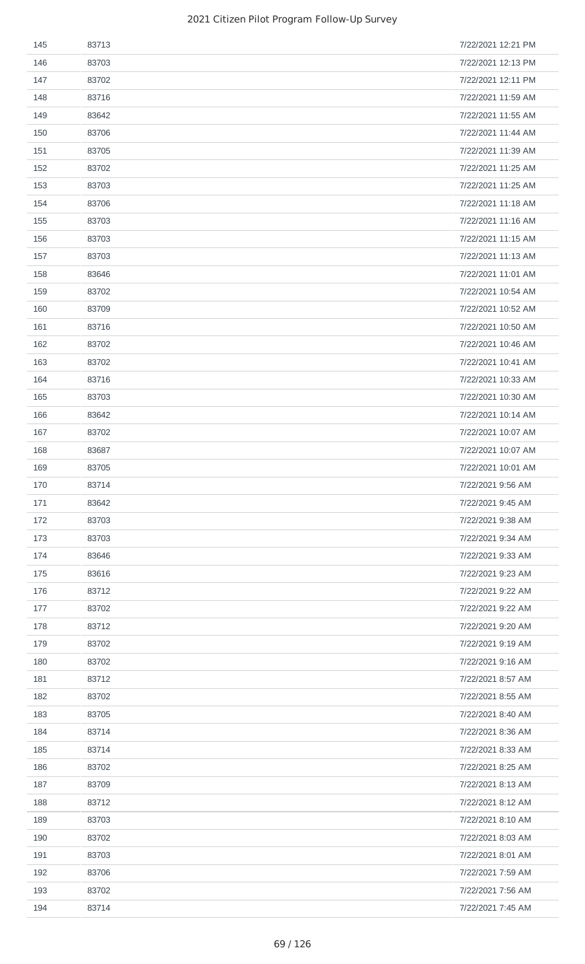| 145 | 83713 | 7/22/2021 12:21 PM |
|-----|-------|--------------------|
| 146 | 83703 | 7/22/2021 12:13 PM |
| 147 | 83702 | 7/22/2021 12:11 PM |
| 148 | 83716 | 7/22/2021 11:59 AM |
| 149 | 83642 | 7/22/2021 11:55 AM |
| 150 | 83706 | 7/22/2021 11:44 AM |
| 151 | 83705 | 7/22/2021 11:39 AM |
| 152 | 83702 | 7/22/2021 11:25 AM |
| 153 | 83703 | 7/22/2021 11:25 AM |
| 154 | 83706 | 7/22/2021 11:18 AM |
| 155 | 83703 | 7/22/2021 11:16 AM |
| 156 | 83703 | 7/22/2021 11:15 AM |
| 157 | 83703 | 7/22/2021 11:13 AM |
| 158 | 83646 | 7/22/2021 11:01 AM |
| 159 | 83702 | 7/22/2021 10:54 AM |
| 160 | 83709 | 7/22/2021 10:52 AM |
| 161 | 83716 | 7/22/2021 10:50 AM |
| 162 | 83702 | 7/22/2021 10:46 AM |
| 163 | 83702 | 7/22/2021 10:41 AM |
| 164 | 83716 | 7/22/2021 10:33 AM |
| 165 | 83703 | 7/22/2021 10:30 AM |
| 166 | 83642 | 7/22/2021 10:14 AM |
| 167 | 83702 | 7/22/2021 10:07 AM |
| 168 | 83687 | 7/22/2021 10:07 AM |
| 169 | 83705 | 7/22/2021 10:01 AM |
| 170 | 83714 | 7/22/2021 9:56 AM  |
| 171 | 83642 | 7/22/2021 9:45 AM  |
| 172 | 83703 | 7/22/2021 9:38 AM  |
| 173 | 83703 | 7/22/2021 9:34 AM  |
| 174 | 83646 | 7/22/2021 9:33 AM  |
| 175 | 83616 | 7/22/2021 9:23 AM  |
| 176 | 83712 | 7/22/2021 9:22 AM  |
| 177 | 83702 | 7/22/2021 9:22 AM  |
| 178 | 83712 | 7/22/2021 9:20 AM  |
| 179 | 83702 | 7/22/2021 9:19 AM  |
| 180 | 83702 | 7/22/2021 9:16 AM  |
| 181 | 83712 | 7/22/2021 8:57 AM  |
| 182 | 83702 | 7/22/2021 8:55 AM  |
| 183 | 83705 | 7/22/2021 8:40 AM  |
| 184 | 83714 | 7/22/2021 8:36 AM  |
| 185 | 83714 | 7/22/2021 8:33 AM  |
| 186 | 83702 | 7/22/2021 8:25 AM  |
| 187 | 83709 | 7/22/2021 8:13 AM  |
| 188 | 83712 | 7/22/2021 8:12 AM  |
| 189 | 83703 | 7/22/2021 8:10 AM  |
| 190 | 83702 | 7/22/2021 8:03 AM  |
| 191 | 83703 | 7/22/2021 8:01 AM  |
| 192 | 83706 | 7/22/2021 7:59 AM  |
| 193 | 83702 | 7/22/2021 7:56 AM  |
| 194 | 83714 | 7/22/2021 7:45 AM  |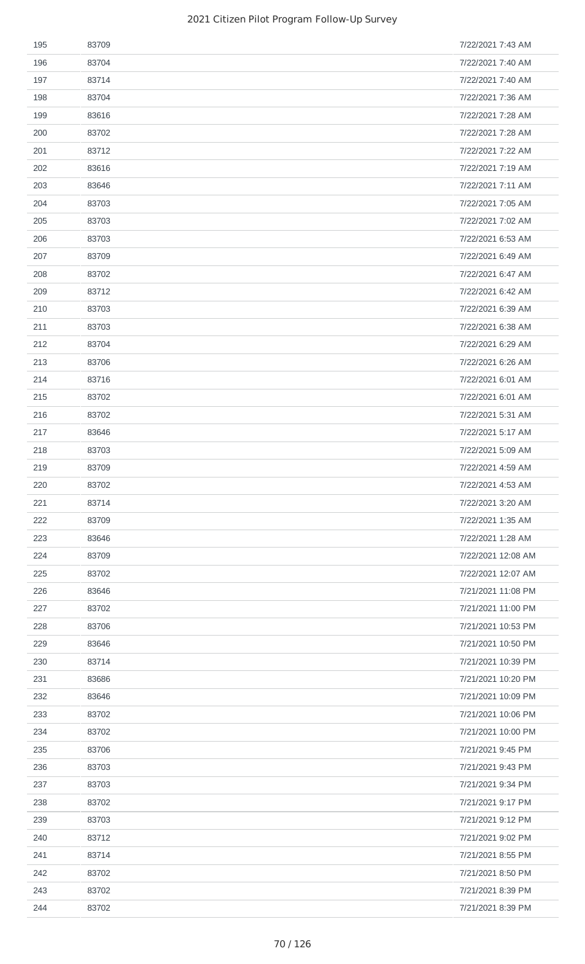| 195 | 83709 | 7/22/2021 7:43 AM  |
|-----|-------|--------------------|
| 196 | 83704 | 7/22/2021 7:40 AM  |
| 197 | 83714 | 7/22/2021 7:40 AM  |
| 198 | 83704 | 7/22/2021 7:36 AM  |
| 199 | 83616 | 7/22/2021 7:28 AM  |
| 200 | 83702 | 7/22/2021 7:28 AM  |
| 201 | 83712 | 7/22/2021 7:22 AM  |
| 202 | 83616 | 7/22/2021 7:19 AM  |
| 203 | 83646 | 7/22/2021 7:11 AM  |
| 204 | 83703 | 7/22/2021 7:05 AM  |
| 205 | 83703 | 7/22/2021 7:02 AM  |
| 206 | 83703 | 7/22/2021 6:53 AM  |
| 207 | 83709 | 7/22/2021 6:49 AM  |
| 208 | 83702 | 7/22/2021 6:47 AM  |
| 209 | 83712 | 7/22/2021 6:42 AM  |
| 210 | 83703 | 7/22/2021 6:39 AM  |
| 211 | 83703 | 7/22/2021 6:38 AM  |
| 212 | 83704 | 7/22/2021 6:29 AM  |
| 213 | 83706 | 7/22/2021 6:26 AM  |
| 214 | 83716 | 7/22/2021 6:01 AM  |
| 215 | 83702 | 7/22/2021 6:01 AM  |
| 216 | 83702 | 7/22/2021 5:31 AM  |
| 217 | 83646 | 7/22/2021 5:17 AM  |
| 218 | 83703 | 7/22/2021 5:09 AM  |
| 219 | 83709 | 7/22/2021 4:59 AM  |
| 220 | 83702 | 7/22/2021 4:53 AM  |
| 221 | 83714 | 7/22/2021 3:20 AM  |
| 222 | 83709 | 7/22/2021 1:35 AM  |
| 223 | 83646 | 7/22/2021 1:28 AM  |
| 224 | 83709 | 7/22/2021 12:08 AM |
| 225 | 83702 | 7/22/2021 12:07 AM |
| 226 | 83646 | 7/21/2021 11:08 PM |
| 227 | 83702 | 7/21/2021 11:00 PM |
| 228 | 83706 | 7/21/2021 10:53 PM |
| 229 | 83646 | 7/21/2021 10:50 PM |
| 230 | 83714 | 7/21/2021 10:39 PM |
| 231 | 83686 | 7/21/2021 10:20 PM |
| 232 | 83646 | 7/21/2021 10:09 PM |
| 233 | 83702 | 7/21/2021 10:06 PM |
| 234 | 83702 | 7/21/2021 10:00 PM |
| 235 | 83706 | 7/21/2021 9:45 PM  |
| 236 | 83703 | 7/21/2021 9:43 PM  |
| 237 | 83703 | 7/21/2021 9:34 PM  |
| 238 | 83702 | 7/21/2021 9:17 PM  |
| 239 | 83703 | 7/21/2021 9:12 PM  |
| 240 | 83712 | 7/21/2021 9:02 PM  |
| 241 | 83714 | 7/21/2021 8:55 PM  |
| 242 | 83702 | 7/21/2021 8:50 PM  |
| 243 | 83702 | 7/21/2021 8:39 PM  |
| 244 | 83702 | 7/21/2021 8:39 PM  |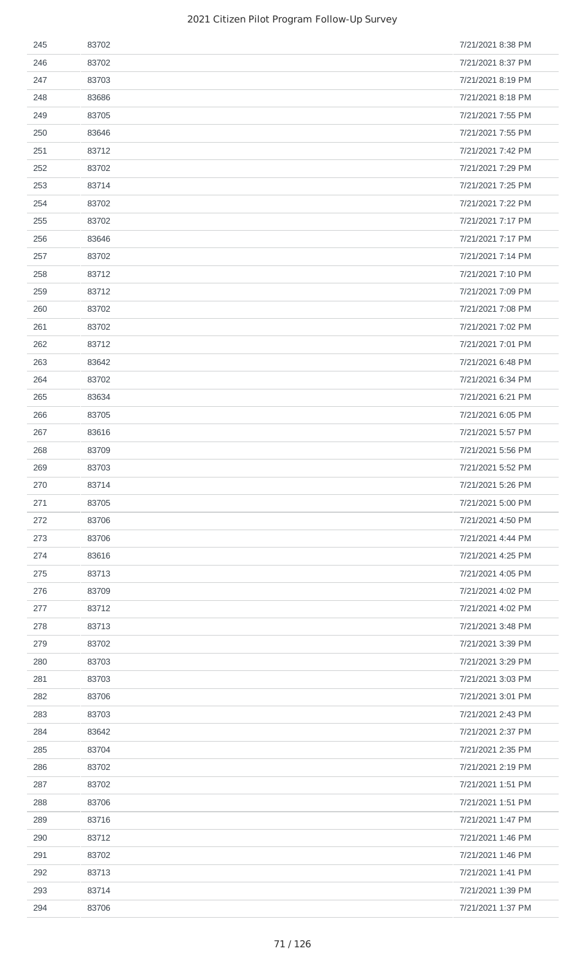| 245 | 83702 | 7/21/2021 8:38 PM |
|-----|-------|-------------------|
| 246 | 83702 | 7/21/2021 8:37 PM |
| 247 | 83703 | 7/21/2021 8:19 PM |
| 248 | 83686 | 7/21/2021 8:18 PM |
| 249 | 83705 | 7/21/2021 7:55 PM |
| 250 | 83646 | 7/21/2021 7:55 PM |
| 251 | 83712 | 7/21/2021 7:42 PM |
| 252 | 83702 | 7/21/2021 7:29 PM |
| 253 | 83714 | 7/21/2021 7:25 PM |
| 254 | 83702 | 7/21/2021 7:22 PM |
| 255 | 83702 | 7/21/2021 7:17 PM |
| 256 | 83646 | 7/21/2021 7:17 PM |
| 257 | 83702 | 7/21/2021 7:14 PM |
| 258 | 83712 | 7/21/2021 7:10 PM |
| 259 | 83712 | 7/21/2021 7:09 PM |
| 260 | 83702 | 7/21/2021 7:08 PM |
| 261 | 83702 | 7/21/2021 7:02 PM |
| 262 | 83712 | 7/21/2021 7:01 PM |
| 263 | 83642 | 7/21/2021 6:48 PM |
| 264 | 83702 | 7/21/2021 6:34 PM |
| 265 | 83634 | 7/21/2021 6:21 PM |
| 266 | 83705 | 7/21/2021 6:05 PM |
| 267 | 83616 | 7/21/2021 5:57 PM |
| 268 | 83709 | 7/21/2021 5:56 PM |
| 269 | 83703 | 7/21/2021 5:52 PM |
| 270 | 83714 | 7/21/2021 5:26 PM |
| 271 | 83705 | 7/21/2021 5:00 PM |
| 272 | 83706 | 7/21/2021 4:50 PM |
| 273 | 83706 | 7/21/2021 4:44 PM |
| 274 | 83616 | 7/21/2021 4:25 PM |
| 275 | 83713 | 7/21/2021 4:05 PM |
| 276 | 83709 | 7/21/2021 4:02 PM |
| 277 | 83712 | 7/21/2021 4:02 PM |
| 278 | 83713 | 7/21/2021 3:48 PM |
| 279 | 83702 | 7/21/2021 3:39 PM |
| 280 | 83703 | 7/21/2021 3:29 PM |
| 281 | 83703 | 7/21/2021 3:03 PM |
| 282 | 83706 | 7/21/2021 3:01 PM |
| 283 | 83703 | 7/21/2021 2:43 PM |
| 284 | 83642 | 7/21/2021 2:37 PM |
| 285 | 83704 | 7/21/2021 2:35 PM |
| 286 | 83702 | 7/21/2021 2:19 PM |
| 287 | 83702 | 7/21/2021 1:51 PM |
| 288 | 83706 | 7/21/2021 1:51 PM |
| 289 | 83716 | 7/21/2021 1:47 PM |
| 290 | 83712 | 7/21/2021 1:46 PM |
| 291 | 83702 | 7/21/2021 1:46 PM |
| 292 | 83713 | 7/21/2021 1:41 PM |
| 293 | 83714 | 7/21/2021 1:39 PM |
| 294 | 83706 | 7/21/2021 1:37 PM |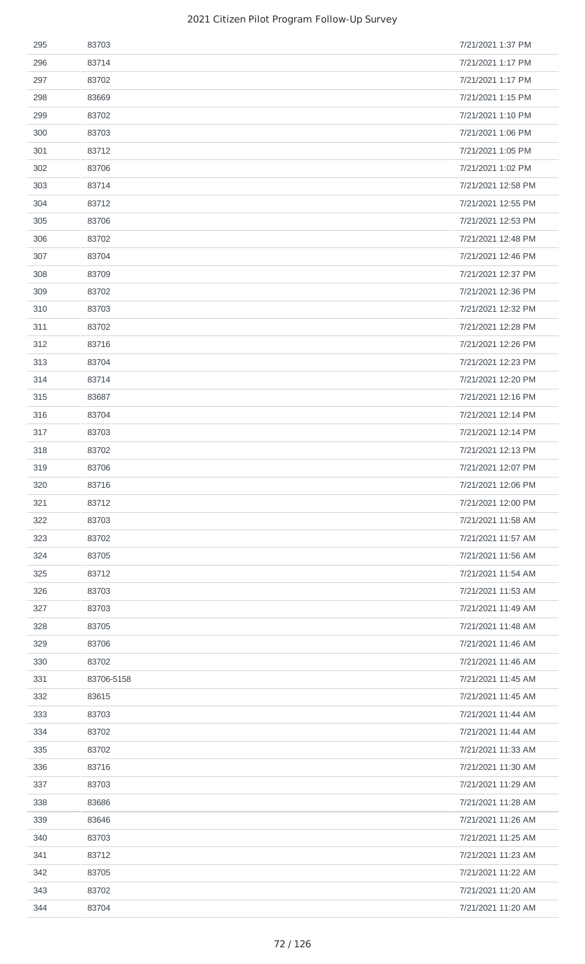| 295 | 83703      | 7/21/2021 1:37 PM  |
|-----|------------|--------------------|
| 296 | 83714      | 7/21/2021 1:17 PM  |
| 297 | 83702      | 7/21/2021 1:17 PM  |
| 298 | 83669      | 7/21/2021 1:15 PM  |
| 299 | 83702      | 7/21/2021 1:10 PM  |
| 300 | 83703      | 7/21/2021 1:06 PM  |
| 301 | 83712      | 7/21/2021 1:05 PM  |
| 302 | 83706      | 7/21/2021 1:02 PM  |
| 303 | 83714      | 7/21/2021 12:58 PM |
| 304 | 83712      | 7/21/2021 12:55 PM |
| 305 | 83706      | 7/21/2021 12:53 PM |
| 306 | 83702      | 7/21/2021 12:48 PM |
| 307 | 83704      | 7/21/2021 12:46 PM |
| 308 | 83709      | 7/21/2021 12:37 PM |
| 309 | 83702      | 7/21/2021 12:36 PM |
| 310 | 83703      | 7/21/2021 12:32 PM |
| 311 | 83702      | 7/21/2021 12:28 PM |
| 312 | 83716      | 7/21/2021 12:26 PM |
| 313 | 83704      | 7/21/2021 12:23 PM |
| 314 | 83714      | 7/21/2021 12:20 PM |
| 315 | 83687      | 7/21/2021 12:16 PM |
| 316 | 83704      | 7/21/2021 12:14 PM |
| 317 | 83703      | 7/21/2021 12:14 PM |
| 318 | 83702      | 7/21/2021 12:13 PM |
| 319 | 83706      | 7/21/2021 12:07 PM |
| 320 | 83716      | 7/21/2021 12:06 PM |
| 321 | 83712      | 7/21/2021 12:00 PM |
| 322 | 83703      | 7/21/2021 11:58 AM |
| 323 | 83702      | 7/21/2021 11:57 AM |
| 324 | 83705      | 7/21/2021 11:56 AM |
| 325 | 83712      | 7/21/2021 11:54 AM |
| 326 | 83703      | 7/21/2021 11:53 AM |
| 327 | 83703      | 7/21/2021 11:49 AM |
| 328 | 83705      | 7/21/2021 11:48 AM |
| 329 | 83706      | 7/21/2021 11:46 AM |
| 330 | 83702      | 7/21/2021 11:46 AM |
| 331 | 83706-5158 | 7/21/2021 11:45 AM |
| 332 | 83615      | 7/21/2021 11:45 AM |
| 333 | 83703      | 7/21/2021 11:44 AM |
| 334 | 83702      | 7/21/2021 11:44 AM |
| 335 | 83702      | 7/21/2021 11:33 AM |
| 336 | 83716      | 7/21/2021 11:30 AM |
| 337 | 83703      | 7/21/2021 11:29 AM |
| 338 | 83686      | 7/21/2021 11:28 AM |
| 339 | 83646      | 7/21/2021 11:26 AM |
| 340 | 83703      | 7/21/2021 11:25 AM |
| 341 | 83712      | 7/21/2021 11:23 AM |
| 342 | 83705      | 7/21/2021 11:22 AM |
| 343 | 83702      | 7/21/2021 11:20 AM |
| 344 | 83704      | 7/21/2021 11:20 AM |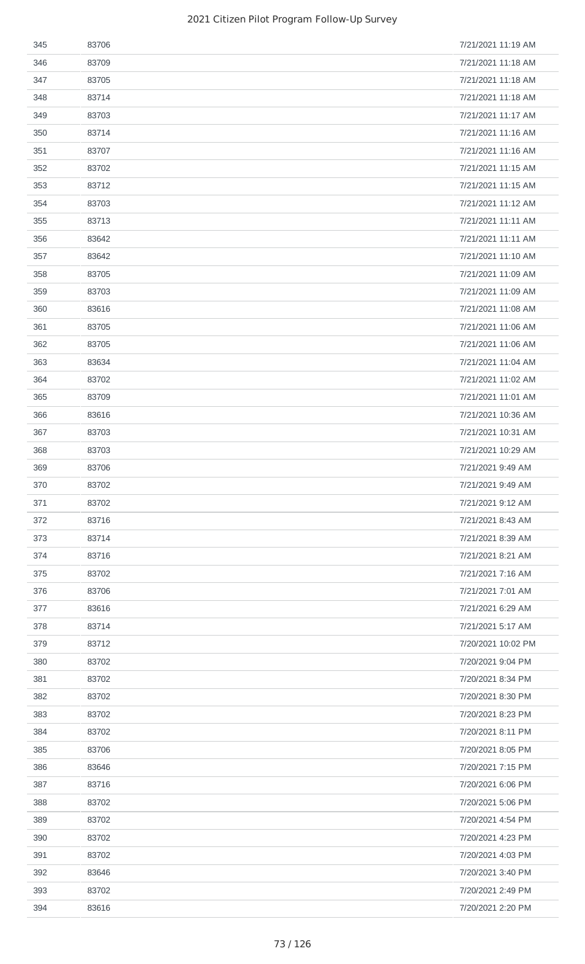| 345 | 83706 | 7/21/2021 11:19 AM |
|-----|-------|--------------------|
| 346 | 83709 | 7/21/2021 11:18 AM |
| 347 | 83705 | 7/21/2021 11:18 AM |
| 348 | 83714 | 7/21/2021 11:18 AM |
| 349 | 83703 | 7/21/2021 11:17 AM |
| 350 | 83714 | 7/21/2021 11:16 AM |
| 351 | 83707 | 7/21/2021 11:16 AM |
| 352 | 83702 | 7/21/2021 11:15 AM |
| 353 | 83712 | 7/21/2021 11:15 AM |
| 354 | 83703 | 7/21/2021 11:12 AM |
| 355 | 83713 | 7/21/2021 11:11 AM |
| 356 | 83642 | 7/21/2021 11:11 AM |
| 357 | 83642 | 7/21/2021 11:10 AM |
| 358 | 83705 | 7/21/2021 11:09 AM |
| 359 | 83703 | 7/21/2021 11:09 AM |
| 360 | 83616 | 7/21/2021 11:08 AM |
| 361 | 83705 | 7/21/2021 11:06 AM |
| 362 | 83705 | 7/21/2021 11:06 AM |
| 363 | 83634 | 7/21/2021 11:04 AM |
| 364 | 83702 | 7/21/2021 11:02 AM |
| 365 | 83709 | 7/21/2021 11:01 AM |
| 366 | 83616 | 7/21/2021 10:36 AM |
| 367 | 83703 | 7/21/2021 10:31 AM |
| 368 | 83703 | 7/21/2021 10:29 AM |
| 369 | 83706 | 7/21/2021 9:49 AM  |
| 370 | 83702 | 7/21/2021 9:49 AM  |
| 371 | 83702 | 7/21/2021 9:12 AM  |
| 372 | 83716 | 7/21/2021 8:43 AM  |
| 373 | 83714 | 7/21/2021 8:39 AM  |
| 374 | 83716 | 7/21/2021 8:21 AM  |
| 375 | 83702 | 7/21/2021 7:16 AM  |
| 376 | 83706 | 7/21/2021 7:01 AM  |
| 377 | 83616 | 7/21/2021 6:29 AM  |
| 378 | 83714 | 7/21/2021 5:17 AM  |
| 379 | 83712 | 7/20/2021 10:02 PM |
| 380 | 83702 | 7/20/2021 9:04 PM  |
| 381 | 83702 | 7/20/2021 8:34 PM  |
| 382 | 83702 | 7/20/2021 8:30 PM  |
| 383 | 83702 | 7/20/2021 8:23 PM  |
| 384 | 83702 | 7/20/2021 8:11 PM  |
| 385 | 83706 | 7/20/2021 8:05 PM  |
| 386 | 83646 | 7/20/2021 7:15 PM  |
| 387 | 83716 | 7/20/2021 6:06 PM  |
| 388 | 83702 | 7/20/2021 5:06 PM  |
| 389 | 83702 | 7/20/2021 4:54 PM  |
| 390 | 83702 | 7/20/2021 4:23 PM  |
| 391 | 83702 | 7/20/2021 4:03 PM  |
| 392 | 83646 | 7/20/2021 3:40 PM  |
| 393 | 83702 | 7/20/2021 2:49 PM  |
|     |       | 7/20/2021 2:20 PM  |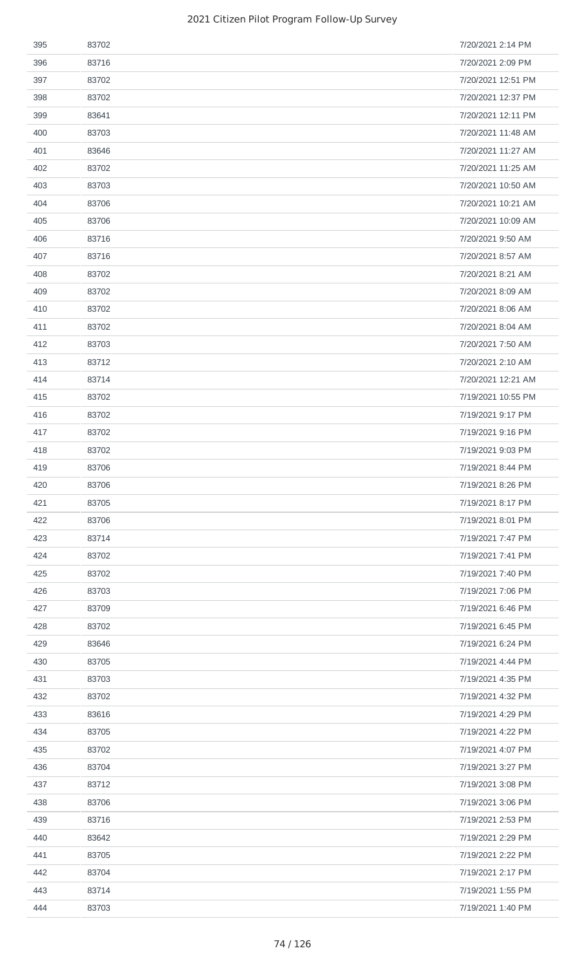| 395 | 83702 | 7/20/2021 2:14 PM  |
|-----|-------|--------------------|
| 396 | 83716 | 7/20/2021 2:09 PM  |
| 397 | 83702 | 7/20/2021 12:51 PM |
| 398 | 83702 | 7/20/2021 12:37 PM |
| 399 | 83641 | 7/20/2021 12:11 PM |
| 400 | 83703 | 7/20/2021 11:48 AM |
| 401 | 83646 | 7/20/2021 11:27 AM |
| 402 | 83702 | 7/20/2021 11:25 AM |
| 403 | 83703 | 7/20/2021 10:50 AM |
| 404 | 83706 | 7/20/2021 10:21 AM |
| 405 | 83706 | 7/20/2021 10:09 AM |
| 406 | 83716 | 7/20/2021 9:50 AM  |
| 407 | 83716 | 7/20/2021 8:57 AM  |
| 408 | 83702 | 7/20/2021 8:21 AM  |
| 409 | 83702 | 7/20/2021 8:09 AM  |
| 410 | 83702 | 7/20/2021 8:06 AM  |
| 411 | 83702 | 7/20/2021 8:04 AM  |
| 412 | 83703 | 7/20/2021 7:50 AM  |
| 413 | 83712 | 7/20/2021 2:10 AM  |
| 414 | 83714 | 7/20/2021 12:21 AM |
| 415 | 83702 | 7/19/2021 10:55 PM |
| 416 | 83702 | 7/19/2021 9:17 PM  |
| 417 | 83702 | 7/19/2021 9:16 PM  |
| 418 | 83702 | 7/19/2021 9:03 PM  |
| 419 | 83706 | 7/19/2021 8:44 PM  |
| 420 | 83706 | 7/19/2021 8:26 PM  |
| 421 | 83705 | 7/19/2021 8:17 PM  |
| 422 | 83706 | 7/19/2021 8:01 PM  |
| 423 | 83714 | 7/19/2021 7:47 PM  |
| 424 | 83702 | 7/19/2021 7:41 PM  |
| 425 | 83702 | 7/19/2021 7:40 PM  |
| 426 | 83703 | 7/19/2021 7:06 PM  |
| 427 | 83709 | 7/19/2021 6:46 PM  |
| 428 | 83702 | 7/19/2021 6:45 PM  |
| 429 | 83646 | 7/19/2021 6:24 PM  |
| 430 | 83705 | 7/19/2021 4:44 PM  |
| 431 | 83703 | 7/19/2021 4:35 PM  |
| 432 | 83702 | 7/19/2021 4:32 PM  |
| 433 | 83616 | 7/19/2021 4:29 PM  |
| 434 | 83705 | 7/19/2021 4:22 PM  |
| 435 | 83702 | 7/19/2021 4:07 PM  |
| 436 | 83704 | 7/19/2021 3:27 PM  |
| 437 | 83712 | 7/19/2021 3:08 PM  |
| 438 | 83706 | 7/19/2021 3:06 PM  |
| 439 | 83716 | 7/19/2021 2:53 PM  |
| 440 | 83642 | 7/19/2021 2:29 PM  |
| 441 | 83705 | 7/19/2021 2:22 PM  |
| 442 | 83704 | 7/19/2021 2:17 PM  |
| 443 | 83714 | 7/19/2021 1:55 PM  |
| 444 | 83703 | 7/19/2021 1:40 PM  |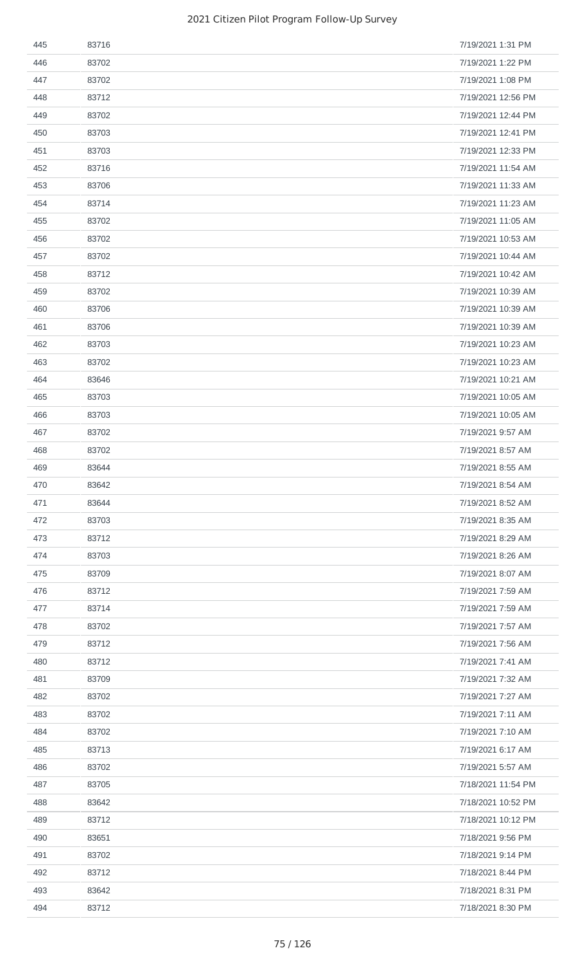| 445 | 83716 | 7/19/2021 1:31 PM  |
|-----|-------|--------------------|
| 446 | 83702 | 7/19/2021 1:22 PM  |
| 447 | 83702 | 7/19/2021 1:08 PM  |
| 448 | 83712 | 7/19/2021 12:56 PM |
| 449 | 83702 | 7/19/2021 12:44 PM |
| 450 | 83703 | 7/19/2021 12:41 PM |
| 451 | 83703 | 7/19/2021 12:33 PM |
| 452 | 83716 | 7/19/2021 11:54 AM |
| 453 | 83706 | 7/19/2021 11:33 AM |
| 454 | 83714 | 7/19/2021 11:23 AM |
| 455 | 83702 | 7/19/2021 11:05 AM |
| 456 | 83702 | 7/19/2021 10:53 AM |
| 457 | 83702 | 7/19/2021 10:44 AM |
| 458 | 83712 | 7/19/2021 10:42 AM |
| 459 | 83702 | 7/19/2021 10:39 AM |
| 460 | 83706 | 7/19/2021 10:39 AM |
| 461 | 83706 | 7/19/2021 10:39 AM |
| 462 | 83703 | 7/19/2021 10:23 AM |
| 463 | 83702 | 7/19/2021 10:23 AM |
| 464 | 83646 | 7/19/2021 10:21 AM |
| 465 | 83703 | 7/19/2021 10:05 AM |
| 466 | 83703 | 7/19/2021 10:05 AM |
| 467 | 83702 | 7/19/2021 9:57 AM  |
| 468 | 83702 | 7/19/2021 8:57 AM  |
| 469 | 83644 | 7/19/2021 8:55 AM  |
| 470 | 83642 | 7/19/2021 8:54 AM  |
| 471 | 83644 | 7/19/2021 8:52 AM  |
| 472 | 83703 | 7/19/2021 8:35 AM  |
| 473 | 83712 | 7/19/2021 8:29 AM  |
| 474 | 83703 | 7/19/2021 8:26 AM  |
| 475 | 83709 | 7/19/2021 8:07 AM  |
| 476 | 83712 | 7/19/2021 7:59 AM  |
| 477 | 83714 | 7/19/2021 7:59 AM  |
| 478 | 83702 | 7/19/2021 7:57 AM  |
| 479 | 83712 | 7/19/2021 7:56 AM  |
| 480 | 83712 | 7/19/2021 7:41 AM  |
| 481 | 83709 | 7/19/2021 7:32 AM  |
| 482 | 83702 | 7/19/2021 7:27 AM  |
| 483 | 83702 | 7/19/2021 7:11 AM  |
| 484 | 83702 | 7/19/2021 7:10 AM  |
| 485 | 83713 | 7/19/2021 6:17 AM  |
| 486 | 83702 | 7/19/2021 5:57 AM  |
| 487 | 83705 | 7/18/2021 11:54 PM |
| 488 | 83642 | 7/18/2021 10:52 PM |
| 489 | 83712 | 7/18/2021 10:12 PM |
| 490 | 83651 | 7/18/2021 9:56 PM  |
| 491 | 83702 | 7/18/2021 9:14 PM  |
| 492 | 83712 | 7/18/2021 8:44 PM  |
| 493 | 83642 | 7/18/2021 8:31 PM  |
| 494 | 83712 | 7/18/2021 8:30 PM  |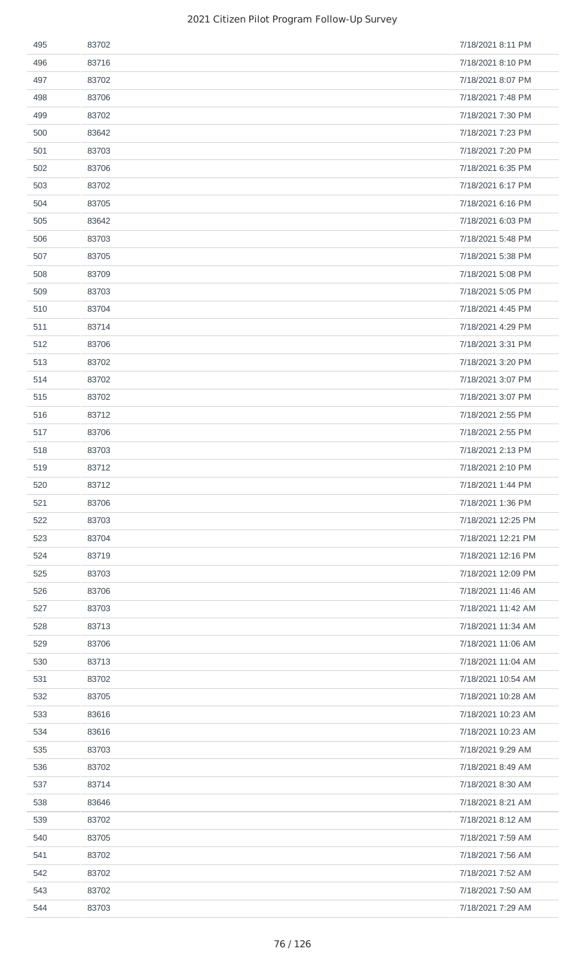| 495 | 83702 | 7/18/2021 8:11 PM  |
|-----|-------|--------------------|
| 496 | 83716 | 7/18/2021 8:10 PM  |
| 497 | 83702 | 7/18/2021 8:07 PM  |
| 498 | 83706 | 7/18/2021 7:48 PM  |
| 499 | 83702 | 7/18/2021 7:30 PM  |
| 500 | 83642 | 7/18/2021 7:23 PM  |
| 501 | 83703 | 7/18/2021 7:20 PM  |
| 502 | 83706 | 7/18/2021 6:35 PM  |
| 503 | 83702 | 7/18/2021 6:17 PM  |
| 504 | 83705 | 7/18/2021 6:16 PM  |
| 505 | 83642 | 7/18/2021 6:03 PM  |
| 506 | 83703 | 7/18/2021 5:48 PM  |
| 507 | 83705 | 7/18/2021 5:38 PM  |
| 508 | 83709 | 7/18/2021 5:08 PM  |
| 509 | 83703 | 7/18/2021 5:05 PM  |
| 510 | 83704 | 7/18/2021 4:45 PM  |
| 511 | 83714 | 7/18/2021 4:29 PM  |
| 512 | 83706 | 7/18/2021 3:31 PM  |
| 513 | 83702 | 7/18/2021 3:20 PM  |
| 514 | 83702 | 7/18/2021 3:07 PM  |
| 515 | 83702 | 7/18/2021 3:07 PM  |
| 516 | 83712 | 7/18/2021 2:55 PM  |
| 517 | 83706 | 7/18/2021 2:55 PM  |
| 518 | 83703 | 7/18/2021 2:13 PM  |
| 519 | 83712 | 7/18/2021 2:10 PM  |
| 520 | 83712 | 7/18/2021 1:44 PM  |
| 521 | 83706 | 7/18/2021 1:36 PM  |
| 522 | 83703 | 7/18/2021 12:25 PM |
| 523 | 83704 | 7/18/2021 12:21 PM |
| 524 | 83719 | 7/18/2021 12:16 PM |
| 525 | 83703 | 7/18/2021 12:09 PM |
| 526 | 83706 | 7/18/2021 11:46 AM |
| 527 | 83703 | 7/18/2021 11:42 AM |
| 528 | 83713 | 7/18/2021 11:34 AM |
| 529 | 83706 | 7/18/2021 11:06 AM |
| 530 | 83713 | 7/18/2021 11:04 AM |
| 531 | 83702 | 7/18/2021 10:54 AM |
| 532 | 83705 | 7/18/2021 10:28 AM |
| 533 | 83616 | 7/18/2021 10:23 AM |
| 534 | 83616 | 7/18/2021 10:23 AM |
| 535 | 83703 | 7/18/2021 9:29 AM  |
| 536 | 83702 | 7/18/2021 8:49 AM  |
| 537 | 83714 | 7/18/2021 8:30 AM  |
| 538 | 83646 | 7/18/2021 8:21 AM  |
| 539 | 83702 | 7/18/2021 8:12 AM  |
| 540 | 83705 | 7/18/2021 7:59 AM  |
| 541 | 83702 | 7/18/2021 7:56 AM  |
| 542 | 83702 | 7/18/2021 7:52 AM  |
| 543 | 83702 | 7/18/2021 7:50 AM  |
| 544 | 83703 | 7/18/2021 7:29 AM  |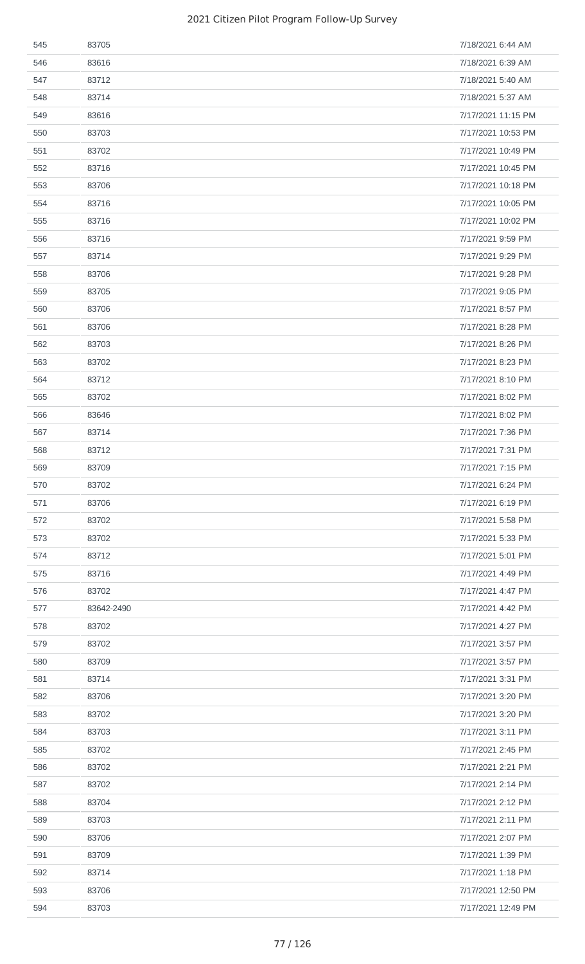| 545 | 83705      | 7/18/2021 6:44 AM  |
|-----|------------|--------------------|
| 546 | 83616      | 7/18/2021 6:39 AM  |
| 547 | 83712      | 7/18/2021 5:40 AM  |
| 548 | 83714      | 7/18/2021 5:37 AM  |
| 549 | 83616      | 7/17/2021 11:15 PM |
| 550 | 83703      | 7/17/2021 10:53 PM |
| 551 | 83702      | 7/17/2021 10:49 PM |
| 552 | 83716      | 7/17/2021 10:45 PM |
| 553 | 83706      | 7/17/2021 10:18 PM |
| 554 | 83716      | 7/17/2021 10:05 PM |
| 555 | 83716      | 7/17/2021 10:02 PM |
| 556 | 83716      | 7/17/2021 9:59 PM  |
| 557 | 83714      | 7/17/2021 9:29 PM  |
| 558 | 83706      | 7/17/2021 9:28 PM  |
| 559 | 83705      | 7/17/2021 9:05 PM  |
| 560 | 83706      | 7/17/2021 8:57 PM  |
| 561 | 83706      | 7/17/2021 8:28 PM  |
| 562 | 83703      | 7/17/2021 8:26 PM  |
| 563 | 83702      | 7/17/2021 8:23 PM  |
| 564 | 83712      | 7/17/2021 8:10 PM  |
| 565 | 83702      | 7/17/2021 8:02 PM  |
| 566 | 83646      | 7/17/2021 8:02 PM  |
| 567 | 83714      | 7/17/2021 7:36 PM  |
| 568 | 83712      | 7/17/2021 7:31 PM  |
| 569 | 83709      | 7/17/2021 7:15 PM  |
| 570 | 83702      | 7/17/2021 6:24 PM  |
| 571 | 83706      | 7/17/2021 6:19 PM  |
| 572 | 83702      | 7/17/2021 5:58 PM  |
| 573 | 83702      | 7/17/2021 5:33 PM  |
| 574 | 83712      | 7/17/2021 5:01 PM  |
| 575 | 83716      | 7/17/2021 4:49 PM  |
| 576 | 83702      | 7/17/2021 4:47 PM  |
| 577 | 83642-2490 | 7/17/2021 4:42 PM  |
| 578 | 83702      | 7/17/2021 4:27 PM  |
| 579 | 83702      | 7/17/2021 3:57 PM  |
| 580 | 83709      | 7/17/2021 3:57 PM  |
| 581 | 83714      | 7/17/2021 3:31 PM  |
| 582 | 83706      | 7/17/2021 3:20 PM  |
| 583 | 83702      | 7/17/2021 3:20 PM  |
| 584 | 83703      | 7/17/2021 3:11 PM  |
| 585 | 83702      | 7/17/2021 2:45 PM  |
| 586 | 83702      | 7/17/2021 2:21 PM  |
| 587 | 83702      | 7/17/2021 2:14 PM  |
| 588 | 83704      | 7/17/2021 2:12 PM  |
| 589 | 83703      | 7/17/2021 2:11 PM  |
| 590 | 83706      | 7/17/2021 2:07 PM  |
| 591 | 83709      | 7/17/2021 1:39 PM  |
| 592 | 83714      | 7/17/2021 1:18 PM  |
| 593 | 83706      | 7/17/2021 12:50 PM |
| 594 | 83703      | 7/17/2021 12:49 PM |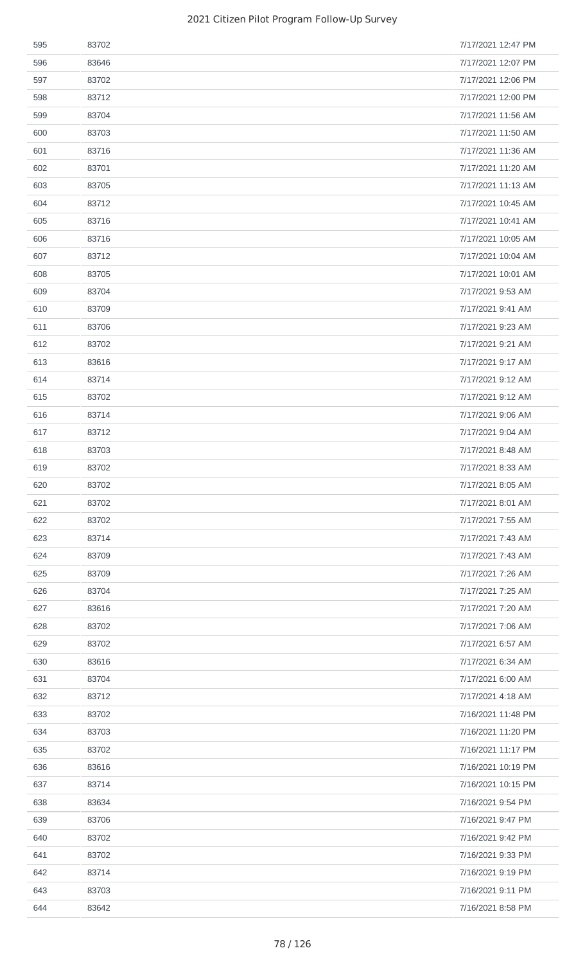| 595 | 83702 | 7/17/2021 12:47 PM |
|-----|-------|--------------------|
| 596 | 83646 | 7/17/2021 12:07 PM |
| 597 | 83702 | 7/17/2021 12:06 PM |
| 598 | 83712 | 7/17/2021 12:00 PM |
| 599 | 83704 | 7/17/2021 11:56 AM |
| 600 | 83703 | 7/17/2021 11:50 AM |
| 601 | 83716 | 7/17/2021 11:36 AM |
| 602 | 83701 | 7/17/2021 11:20 AM |
| 603 | 83705 | 7/17/2021 11:13 AM |
| 604 | 83712 | 7/17/2021 10:45 AM |
| 605 | 83716 | 7/17/2021 10:41 AM |
| 606 | 83716 | 7/17/2021 10:05 AM |
| 607 | 83712 | 7/17/2021 10:04 AM |
| 608 | 83705 | 7/17/2021 10:01 AM |
| 609 | 83704 | 7/17/2021 9:53 AM  |
| 610 | 83709 | 7/17/2021 9:41 AM  |
| 611 | 83706 | 7/17/2021 9:23 AM  |
| 612 | 83702 | 7/17/2021 9:21 AM  |
| 613 | 83616 | 7/17/2021 9:17 AM  |
| 614 | 83714 | 7/17/2021 9:12 AM  |
| 615 | 83702 | 7/17/2021 9:12 AM  |
| 616 | 83714 | 7/17/2021 9:06 AM  |
| 617 | 83712 | 7/17/2021 9:04 AM  |
| 618 | 83703 | 7/17/2021 8:48 AM  |
| 619 | 83702 | 7/17/2021 8:33 AM  |
| 620 | 83702 | 7/17/2021 8:05 AM  |
| 621 | 83702 | 7/17/2021 8:01 AM  |
| 622 | 83702 | 7/17/2021 7:55 AM  |
| 623 | 83714 | 7/17/2021 7:43 AM  |
| 624 | 83709 | 7/17/2021 7:43 AM  |
| 625 | 83709 | 7/17/2021 7:26 AM  |
| 626 | 83704 | 7/17/2021 7:25 AM  |
| 627 | 83616 | 7/17/2021 7:20 AM  |
| 628 | 83702 | 7/17/2021 7:06 AM  |
| 629 | 83702 | 7/17/2021 6:57 AM  |
| 630 | 83616 | 7/17/2021 6:34 AM  |
| 631 | 83704 | 7/17/2021 6:00 AM  |
| 632 | 83712 | 7/17/2021 4:18 AM  |
| 633 | 83702 | 7/16/2021 11:48 PM |
| 634 | 83703 | 7/16/2021 11:20 PM |
| 635 | 83702 | 7/16/2021 11:17 PM |
| 636 | 83616 | 7/16/2021 10:19 PM |
| 637 | 83714 | 7/16/2021 10:15 PM |
| 638 | 83634 | 7/16/2021 9:54 PM  |
| 639 | 83706 | 7/16/2021 9:47 PM  |
| 640 | 83702 | 7/16/2021 9:42 PM  |
| 641 | 83702 | 7/16/2021 9:33 PM  |
| 642 | 83714 | 7/16/2021 9:19 PM  |
| 643 | 83703 | 7/16/2021 9:11 PM  |
| 644 | 83642 | 7/16/2021 8:58 PM  |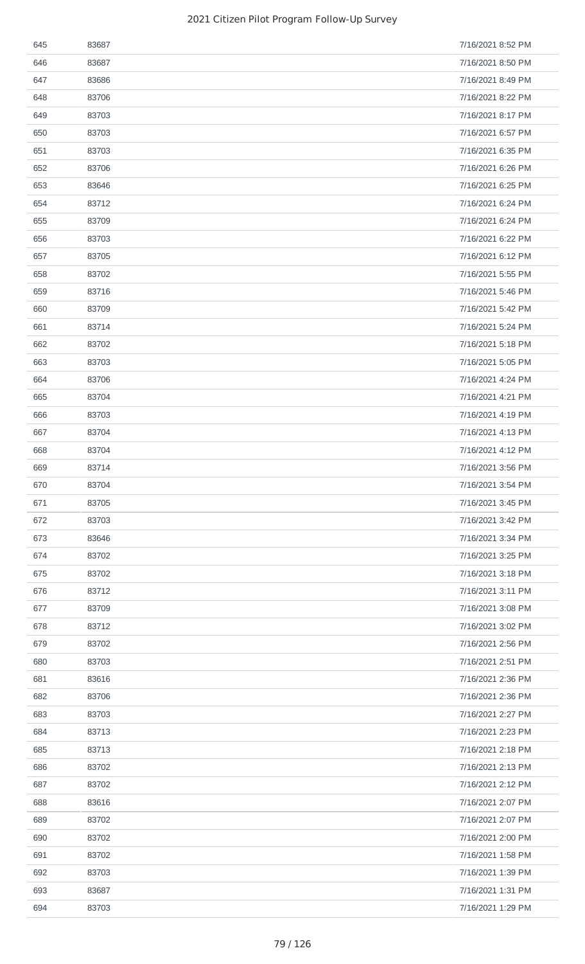| 645 | 83687 | 7/16/2021 8:52 PM |
|-----|-------|-------------------|
| 646 | 83687 | 7/16/2021 8:50 PM |
| 647 | 83686 | 7/16/2021 8:49 PM |
| 648 | 83706 | 7/16/2021 8:22 PM |
| 649 | 83703 | 7/16/2021 8:17 PM |
| 650 | 83703 | 7/16/2021 6:57 PM |
| 651 | 83703 | 7/16/2021 6:35 PM |
| 652 | 83706 | 7/16/2021 6:26 PM |
| 653 | 83646 | 7/16/2021 6:25 PM |
| 654 | 83712 | 7/16/2021 6:24 PM |
| 655 | 83709 | 7/16/2021 6:24 PM |
| 656 | 83703 | 7/16/2021 6:22 PM |
| 657 | 83705 | 7/16/2021 6:12 PM |
| 658 | 83702 | 7/16/2021 5:55 PM |
| 659 | 83716 | 7/16/2021 5:46 PM |
| 660 | 83709 | 7/16/2021 5:42 PM |
| 661 | 83714 | 7/16/2021 5:24 PM |
| 662 | 83702 | 7/16/2021 5:18 PM |
| 663 | 83703 | 7/16/2021 5:05 PM |
| 664 | 83706 | 7/16/2021 4:24 PM |
| 665 | 83704 | 7/16/2021 4:21 PM |
| 666 | 83703 | 7/16/2021 4:19 PM |
| 667 | 83704 | 7/16/2021 4:13 PM |
| 668 | 83704 | 7/16/2021 4:12 PM |
| 669 | 83714 | 7/16/2021 3:56 PM |
| 670 | 83704 | 7/16/2021 3:54 PM |
| 671 | 83705 | 7/16/2021 3:45 PM |
| 672 | 83703 | 7/16/2021 3:42 PM |
| 673 | 83646 | 7/16/2021 3:34 PM |
| 674 | 83702 | 7/16/2021 3:25 PM |
| 675 | 83702 | 7/16/2021 3:18 PM |
| 676 | 83712 | 7/16/2021 3:11 PM |
| 677 | 83709 | 7/16/2021 3:08 PM |
| 678 | 83712 | 7/16/2021 3:02 PM |
| 679 | 83702 | 7/16/2021 2:56 PM |
| 680 | 83703 | 7/16/2021 2:51 PM |
| 681 | 83616 | 7/16/2021 2:36 PM |
| 682 | 83706 | 7/16/2021 2:36 PM |
| 683 | 83703 | 7/16/2021 2:27 PM |
| 684 | 83713 | 7/16/2021 2:23 PM |
| 685 | 83713 | 7/16/2021 2:18 PM |
| 686 | 83702 | 7/16/2021 2:13 PM |
| 687 | 83702 | 7/16/2021 2:12 PM |
| 688 | 83616 | 7/16/2021 2:07 PM |
| 689 | 83702 | 7/16/2021 2:07 PM |
| 690 | 83702 | 7/16/2021 2:00 PM |
| 691 | 83702 | 7/16/2021 1:58 PM |
| 692 | 83703 | 7/16/2021 1:39 PM |
| 693 | 83687 | 7/16/2021 1:31 PM |
| 694 | 83703 | 7/16/2021 1:29 PM |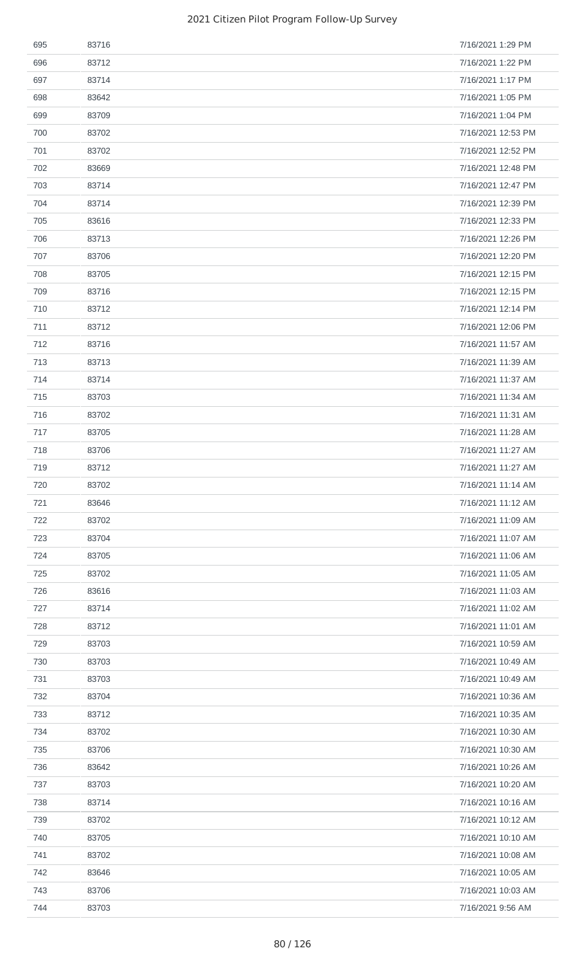| 695 | 83716 | 7/16/2021 1:29 PM  |
|-----|-------|--------------------|
| 696 | 83712 | 7/16/2021 1:22 PM  |
| 697 | 83714 | 7/16/2021 1:17 PM  |
| 698 | 83642 | 7/16/2021 1:05 PM  |
| 699 | 83709 | 7/16/2021 1:04 PM  |
| 700 | 83702 | 7/16/2021 12:53 PM |
| 701 | 83702 | 7/16/2021 12:52 PM |
| 702 | 83669 | 7/16/2021 12:48 PM |
| 703 | 83714 | 7/16/2021 12:47 PM |
| 704 | 83714 | 7/16/2021 12:39 PM |
| 705 | 83616 | 7/16/2021 12:33 PM |
| 706 | 83713 | 7/16/2021 12:26 PM |
| 707 | 83706 | 7/16/2021 12:20 PM |
| 708 | 83705 | 7/16/2021 12:15 PM |
| 709 | 83716 | 7/16/2021 12:15 PM |
| 710 | 83712 | 7/16/2021 12:14 PM |
| 711 | 83712 | 7/16/2021 12:06 PM |
| 712 | 83716 | 7/16/2021 11:57 AM |
| 713 | 83713 | 7/16/2021 11:39 AM |
| 714 | 83714 | 7/16/2021 11:37 AM |
| 715 | 83703 | 7/16/2021 11:34 AM |
| 716 | 83702 | 7/16/2021 11:31 AM |
| 717 | 83705 | 7/16/2021 11:28 AM |
| 718 | 83706 | 7/16/2021 11:27 AM |
| 719 | 83712 | 7/16/2021 11:27 AM |
| 720 | 83702 | 7/16/2021 11:14 AM |
| 721 | 83646 | 7/16/2021 11:12 AM |
| 722 | 83702 | 7/16/2021 11:09 AM |
| 723 | 83704 | 7/16/2021 11:07 AM |
| 724 | 83705 | 7/16/2021 11:06 AM |
| 725 | 83702 | 7/16/2021 11:05 AM |
| 726 | 83616 | 7/16/2021 11:03 AM |
| 727 | 83714 | 7/16/2021 11:02 AM |
| 728 | 83712 | 7/16/2021 11:01 AM |
| 729 | 83703 | 7/16/2021 10:59 AM |
| 730 | 83703 | 7/16/2021 10:49 AM |
| 731 | 83703 | 7/16/2021 10:49 AM |
| 732 | 83704 | 7/16/2021 10:36 AM |
| 733 | 83712 | 7/16/2021 10:35 AM |
| 734 | 83702 | 7/16/2021 10:30 AM |
| 735 | 83706 | 7/16/2021 10:30 AM |
| 736 | 83642 | 7/16/2021 10:26 AM |
| 737 | 83703 | 7/16/2021 10:20 AM |
| 738 | 83714 | 7/16/2021 10:16 AM |
| 739 | 83702 | 7/16/2021 10:12 AM |
| 740 | 83705 | 7/16/2021 10:10 AM |
| 741 | 83702 | 7/16/2021 10:08 AM |
| 742 | 83646 | 7/16/2021 10:05 AM |
| 743 | 83706 | 7/16/2021 10:03 AM |
| 744 | 83703 | 7/16/2021 9:56 AM  |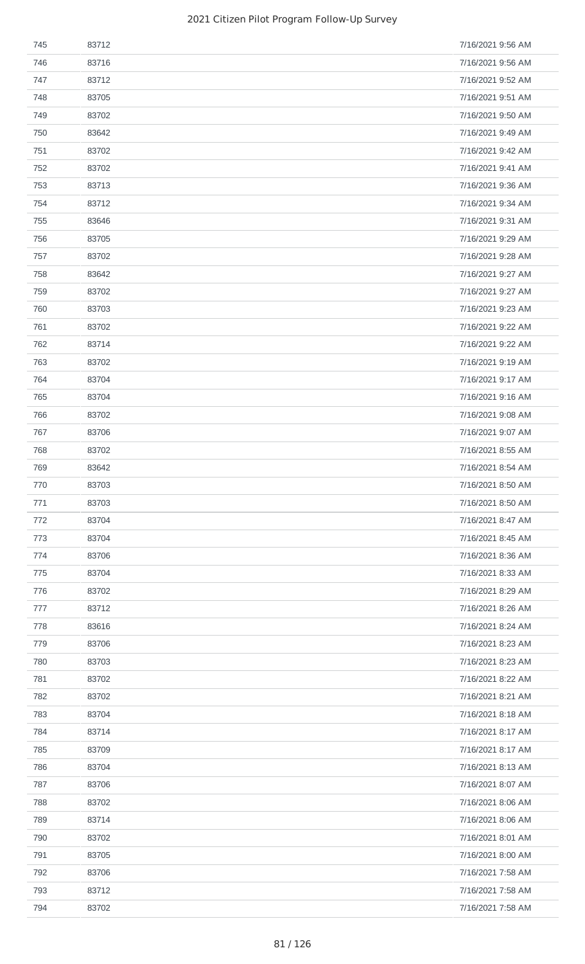| 745 | 83712 | 7/16/2021 9:56 AM |
|-----|-------|-------------------|
| 746 | 83716 | 7/16/2021 9:56 AM |
| 747 | 83712 | 7/16/2021 9:52 AM |
| 748 | 83705 | 7/16/2021 9:51 AM |
| 749 | 83702 | 7/16/2021 9:50 AM |
| 750 | 83642 | 7/16/2021 9:49 AM |
| 751 | 83702 | 7/16/2021 9:42 AM |
| 752 | 83702 | 7/16/2021 9:41 AM |
| 753 | 83713 | 7/16/2021 9:36 AM |
| 754 | 83712 | 7/16/2021 9:34 AM |
| 755 | 83646 | 7/16/2021 9:31 AM |
| 756 | 83705 | 7/16/2021 9:29 AM |
| 757 | 83702 | 7/16/2021 9:28 AM |
| 758 | 83642 | 7/16/2021 9:27 AM |
| 759 | 83702 | 7/16/2021 9:27 AM |
| 760 | 83703 | 7/16/2021 9:23 AM |
| 761 | 83702 | 7/16/2021 9:22 AM |
| 762 | 83714 | 7/16/2021 9:22 AM |
| 763 | 83702 | 7/16/2021 9:19 AM |
| 764 | 83704 | 7/16/2021 9:17 AM |
| 765 | 83704 | 7/16/2021 9:16 AM |
| 766 | 83702 | 7/16/2021 9:08 AM |
| 767 | 83706 | 7/16/2021 9:07 AM |
| 768 | 83702 | 7/16/2021 8:55 AM |
| 769 | 83642 | 7/16/2021 8:54 AM |
| 770 | 83703 | 7/16/2021 8:50 AM |
| 771 | 83703 | 7/16/2021 8:50 AM |
| 772 | 83704 | 7/16/2021 8:47 AM |
| 773 | 83704 | 7/16/2021 8:45 AM |
| 774 | 83706 | 7/16/2021 8:36 AM |
| 775 | 83704 | 7/16/2021 8:33 AM |
| 776 | 83702 | 7/16/2021 8:29 AM |
| 777 | 83712 | 7/16/2021 8:26 AM |
| 778 | 83616 | 7/16/2021 8:24 AM |
| 779 | 83706 | 7/16/2021 8:23 AM |
| 780 | 83703 | 7/16/2021 8:23 AM |
| 781 | 83702 | 7/16/2021 8:22 AM |
| 782 | 83702 | 7/16/2021 8:21 AM |
| 783 | 83704 | 7/16/2021 8:18 AM |
| 784 | 83714 | 7/16/2021 8:17 AM |
| 785 | 83709 | 7/16/2021 8:17 AM |
| 786 | 83704 | 7/16/2021 8:13 AM |
| 787 | 83706 | 7/16/2021 8:07 AM |
| 788 | 83702 | 7/16/2021 8:06 AM |
| 789 | 83714 | 7/16/2021 8:06 AM |
| 790 | 83702 | 7/16/2021 8:01 AM |
| 791 | 83705 | 7/16/2021 8:00 AM |
| 792 | 83706 | 7/16/2021 7:58 AM |
| 793 | 83712 | 7/16/2021 7:58 AM |
| 794 | 83702 | 7/16/2021 7:58 AM |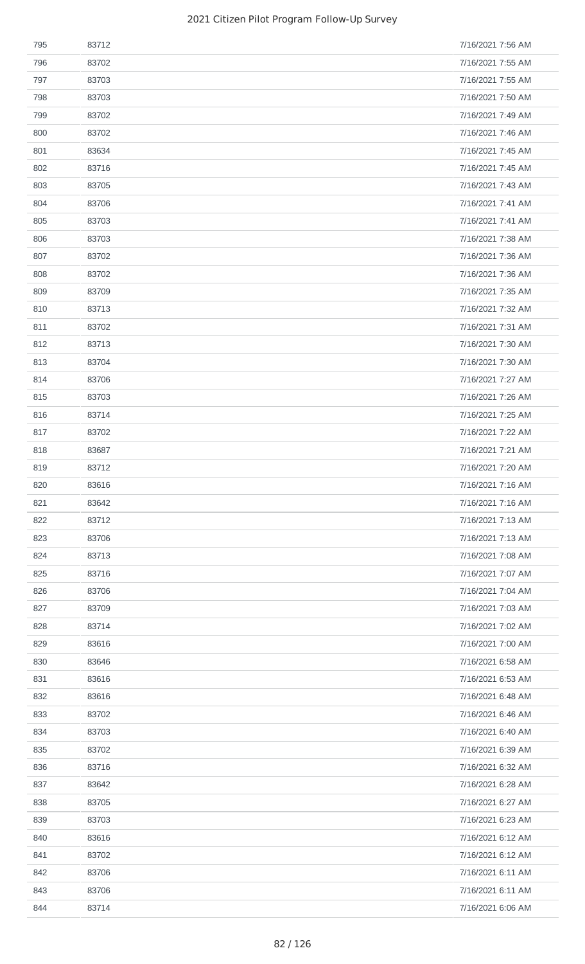| 795 | 83712 | 7/16/2021 7:56 AM |
|-----|-------|-------------------|
| 796 | 83702 | 7/16/2021 7:55 AM |
| 797 | 83703 | 7/16/2021 7:55 AM |
| 798 | 83703 | 7/16/2021 7:50 AM |
| 799 | 83702 | 7/16/2021 7:49 AM |
| 800 | 83702 | 7/16/2021 7:46 AM |
| 801 | 83634 | 7/16/2021 7:45 AM |
| 802 | 83716 | 7/16/2021 7:45 AM |
| 803 | 83705 | 7/16/2021 7:43 AM |
| 804 | 83706 | 7/16/2021 7:41 AM |
| 805 | 83703 | 7/16/2021 7:41 AM |
| 806 | 83703 | 7/16/2021 7:38 AM |
| 807 | 83702 | 7/16/2021 7:36 AM |
| 808 | 83702 | 7/16/2021 7:36 AM |
| 809 | 83709 | 7/16/2021 7:35 AM |
| 810 | 83713 | 7/16/2021 7:32 AM |
| 811 | 83702 | 7/16/2021 7:31 AM |
| 812 | 83713 | 7/16/2021 7:30 AM |
| 813 | 83704 | 7/16/2021 7:30 AM |
| 814 | 83706 | 7/16/2021 7:27 AM |
| 815 | 83703 | 7/16/2021 7:26 AM |
| 816 | 83714 | 7/16/2021 7:25 AM |
| 817 | 83702 | 7/16/2021 7:22 AM |
| 818 | 83687 | 7/16/2021 7:21 AM |
| 819 | 83712 | 7/16/2021 7:20 AM |
| 820 | 83616 | 7/16/2021 7:16 AM |
| 821 | 83642 | 7/16/2021 7:16 AM |
| 822 | 83712 | 7/16/2021 7:13 AM |
| 823 | 83706 | 7/16/2021 7:13 AM |
| 824 | 83713 | 7/16/2021 7:08 AM |
| 825 | 83716 | 7/16/2021 7:07 AM |
| 826 | 83706 | 7/16/2021 7:04 AM |
| 827 | 83709 | 7/16/2021 7:03 AM |
| 828 | 83714 | 7/16/2021 7:02 AM |
| 829 | 83616 | 7/16/2021 7:00 AM |
| 830 | 83646 | 7/16/2021 6:58 AM |
| 831 | 83616 | 7/16/2021 6:53 AM |
| 832 | 83616 | 7/16/2021 6:48 AM |
| 833 | 83702 | 7/16/2021 6:46 AM |
| 834 | 83703 | 7/16/2021 6:40 AM |
| 835 | 83702 | 7/16/2021 6:39 AM |
| 836 | 83716 | 7/16/2021 6:32 AM |
| 837 | 83642 | 7/16/2021 6:28 AM |
| 838 | 83705 | 7/16/2021 6:27 AM |
| 839 | 83703 | 7/16/2021 6:23 AM |
| 840 | 83616 | 7/16/2021 6:12 AM |
| 841 | 83702 | 7/16/2021 6:12 AM |
| 842 | 83706 | 7/16/2021 6:11 AM |
| 843 | 83706 | 7/16/2021 6:11 AM |
| 844 | 83714 | 7/16/2021 6:06 AM |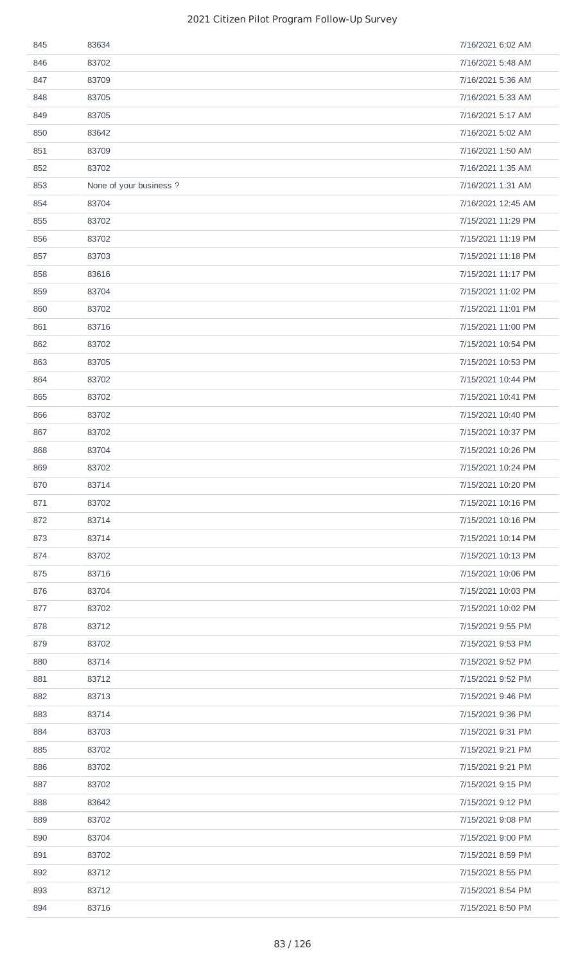| 845 | 83634                   | 7/16/2021 6:02 AM  |
|-----|-------------------------|--------------------|
| 846 | 83702                   | 7/16/2021 5:48 AM  |
| 847 | 83709                   | 7/16/2021 5:36 AM  |
| 848 | 83705                   | 7/16/2021 5:33 AM  |
| 849 | 83705                   | 7/16/2021 5:17 AM  |
| 850 | 83642                   | 7/16/2021 5:02 AM  |
| 851 | 83709                   | 7/16/2021 1:50 AM  |
| 852 | 83702                   | 7/16/2021 1:35 AM  |
| 853 | None of your business ? | 7/16/2021 1:31 AM  |
| 854 | 83704                   | 7/16/2021 12:45 AM |
| 855 | 83702                   | 7/15/2021 11:29 PM |
| 856 | 83702                   | 7/15/2021 11:19 PM |
| 857 | 83703                   | 7/15/2021 11:18 PM |
| 858 | 83616                   | 7/15/2021 11:17 PM |
| 859 | 83704                   | 7/15/2021 11:02 PM |
| 860 | 83702                   | 7/15/2021 11:01 PM |
| 861 | 83716                   | 7/15/2021 11:00 PM |
| 862 | 83702                   | 7/15/2021 10:54 PM |
| 863 | 83705                   | 7/15/2021 10:53 PM |
| 864 | 83702                   | 7/15/2021 10:44 PM |
| 865 | 83702                   | 7/15/2021 10:41 PM |
| 866 | 83702                   | 7/15/2021 10:40 PM |
| 867 | 83702                   | 7/15/2021 10:37 PM |
| 868 | 83704                   | 7/15/2021 10:26 PM |
| 869 | 83702                   | 7/15/2021 10:24 PM |
| 870 | 83714                   | 7/15/2021 10:20 PM |
| 871 | 83702                   | 7/15/2021 10:16 PM |
| 872 | 83714                   | 7/15/2021 10:16 PM |
| 873 | 83714                   | 7/15/2021 10:14 PM |
| 874 | 83702                   | 7/15/2021 10:13 PM |
| 875 | 83716                   | 7/15/2021 10:06 PM |
| 876 | 83704                   | 7/15/2021 10:03 PM |
| 877 | 83702                   | 7/15/2021 10:02 PM |
| 878 | 83712                   | 7/15/2021 9:55 PM  |
| 879 | 83702                   | 7/15/2021 9:53 PM  |
| 880 | 83714                   | 7/15/2021 9:52 PM  |
| 881 | 83712                   | 7/15/2021 9:52 PM  |
| 882 | 83713                   | 7/15/2021 9:46 PM  |
| 883 | 83714                   | 7/15/2021 9:36 PM  |
| 884 | 83703                   | 7/15/2021 9:31 PM  |
| 885 | 83702                   | 7/15/2021 9:21 PM  |
| 886 | 83702                   | 7/15/2021 9:21 PM  |
| 887 | 83702                   | 7/15/2021 9:15 PM  |
| 888 | 83642                   | 7/15/2021 9:12 PM  |
| 889 | 83702                   | 7/15/2021 9:08 PM  |
| 890 | 83704                   | 7/15/2021 9:00 PM  |
| 891 | 83702                   | 7/15/2021 8:59 PM  |
| 892 | 83712                   | 7/15/2021 8:55 PM  |
| 893 | 83712                   | 7/15/2021 8:54 PM  |
| 894 | 83716                   | 7/15/2021 8:50 PM  |
|     |                         |                    |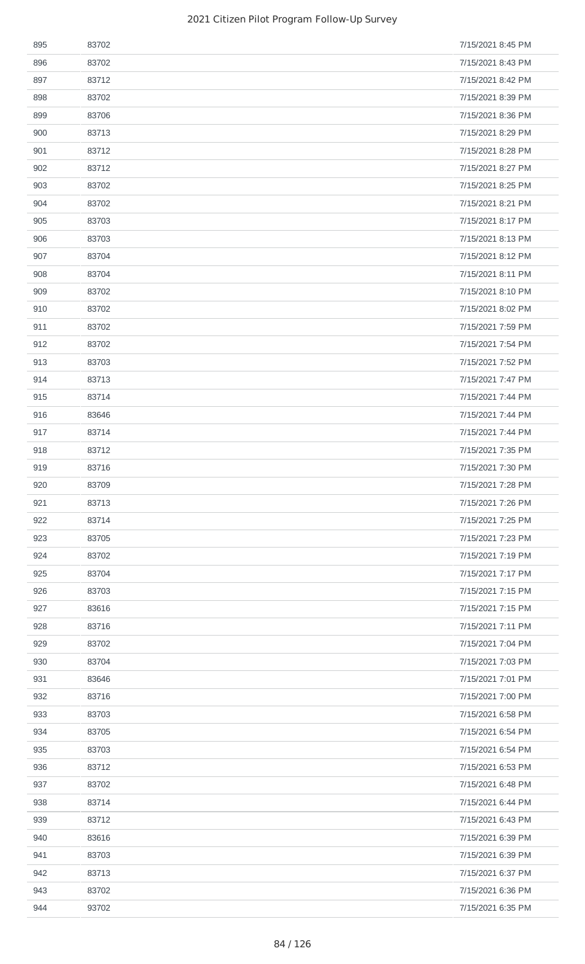| 895 | 83702 | 7/15/2021 8:45 PM |
|-----|-------|-------------------|
| 896 | 83702 | 7/15/2021 8:43 PM |
| 897 | 83712 | 7/15/2021 8:42 PM |
| 898 | 83702 | 7/15/2021 8:39 PM |
| 899 | 83706 | 7/15/2021 8:36 PM |
| 900 | 83713 | 7/15/2021 8:29 PM |
| 901 | 83712 | 7/15/2021 8:28 PM |
| 902 | 83712 | 7/15/2021 8:27 PM |
| 903 | 83702 | 7/15/2021 8:25 PM |
| 904 | 83702 | 7/15/2021 8:21 PM |
| 905 | 83703 | 7/15/2021 8:17 PM |
| 906 | 83703 | 7/15/2021 8:13 PM |
| 907 | 83704 | 7/15/2021 8:12 PM |
| 908 | 83704 | 7/15/2021 8:11 PM |
| 909 | 83702 | 7/15/2021 8:10 PM |
| 910 | 83702 | 7/15/2021 8:02 PM |
| 911 | 83702 | 7/15/2021 7:59 PM |
| 912 | 83702 | 7/15/2021 7:54 PM |
| 913 | 83703 | 7/15/2021 7:52 PM |
| 914 | 83713 | 7/15/2021 7:47 PM |
| 915 | 83714 | 7/15/2021 7:44 PM |
| 916 | 83646 | 7/15/2021 7:44 PM |
| 917 | 83714 | 7/15/2021 7:44 PM |
| 918 | 83712 | 7/15/2021 7:35 PM |
| 919 | 83716 | 7/15/2021 7:30 PM |
| 920 | 83709 | 7/15/2021 7:28 PM |
| 921 | 83713 | 7/15/2021 7:26 PM |
| 922 | 83714 | 7/15/2021 7:25 PM |
| 923 | 83705 | 7/15/2021 7:23 PM |
| 924 | 83702 | 7/15/2021 7:19 PM |
| 925 | 83704 | 7/15/2021 7:17 PM |
| 926 | 83703 | 7/15/2021 7:15 PM |
| 927 | 83616 | 7/15/2021 7:15 PM |
| 928 | 83716 | 7/15/2021 7:11 PM |
| 929 | 83702 | 7/15/2021 7:04 PM |
| 930 | 83704 | 7/15/2021 7:03 PM |
| 931 | 83646 | 7/15/2021 7:01 PM |
| 932 | 83716 | 7/15/2021 7:00 PM |
| 933 | 83703 | 7/15/2021 6:58 PM |
| 934 | 83705 | 7/15/2021 6:54 PM |
| 935 | 83703 | 7/15/2021 6:54 PM |
| 936 | 83712 | 7/15/2021 6:53 PM |
| 937 | 83702 | 7/15/2021 6:48 PM |
| 938 | 83714 | 7/15/2021 6:44 PM |
| 939 | 83712 | 7/15/2021 6:43 PM |
| 940 | 83616 | 7/15/2021 6:39 PM |
| 941 | 83703 | 7/15/2021 6:39 PM |
| 942 | 83713 | 7/15/2021 6:37 PM |
| 943 | 83702 | 7/15/2021 6:36 PM |
| 944 | 93702 | 7/15/2021 6:35 PM |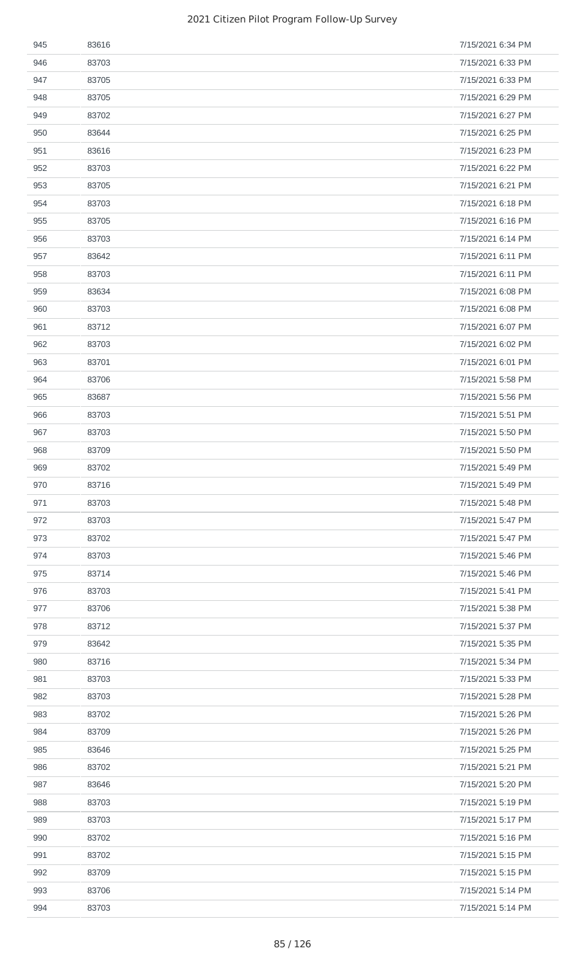| 945 | 83616 | 7/15/2021 6:34 PM |
|-----|-------|-------------------|
| 946 | 83703 | 7/15/2021 6:33 PM |
| 947 | 83705 | 7/15/2021 6:33 PM |
| 948 | 83705 | 7/15/2021 6:29 PM |
| 949 | 83702 | 7/15/2021 6:27 PM |
| 950 | 83644 | 7/15/2021 6:25 PM |
| 951 | 83616 | 7/15/2021 6:23 PM |
| 952 | 83703 | 7/15/2021 6:22 PM |
| 953 | 83705 | 7/15/2021 6:21 PM |
| 954 | 83703 | 7/15/2021 6:18 PM |
| 955 | 83705 | 7/15/2021 6:16 PM |
| 956 | 83703 | 7/15/2021 6:14 PM |
| 957 | 83642 | 7/15/2021 6:11 PM |
| 958 | 83703 | 7/15/2021 6:11 PM |
| 959 | 83634 | 7/15/2021 6:08 PM |
| 960 | 83703 | 7/15/2021 6:08 PM |
| 961 | 83712 | 7/15/2021 6:07 PM |
| 962 | 83703 | 7/15/2021 6:02 PM |
| 963 | 83701 | 7/15/2021 6:01 PM |
| 964 | 83706 | 7/15/2021 5:58 PM |
| 965 | 83687 | 7/15/2021 5:56 PM |
| 966 | 83703 | 7/15/2021 5:51 PM |
| 967 | 83703 | 7/15/2021 5:50 PM |
| 968 | 83709 | 7/15/2021 5:50 PM |
| 969 | 83702 | 7/15/2021 5:49 PM |
| 970 | 83716 | 7/15/2021 5:49 PM |
| 971 | 83703 | 7/15/2021 5:48 PM |
| 972 | 83703 | 7/15/2021 5:47 PM |
| 973 | 83702 | 7/15/2021 5:47 PM |
| 974 | 83703 | 7/15/2021 5:46 PM |
| 975 | 83714 | 7/15/2021 5:46 PM |
| 976 | 83703 | 7/15/2021 5:41 PM |
| 977 | 83706 | 7/15/2021 5:38 PM |
| 978 | 83712 | 7/15/2021 5:37 PM |
| 979 | 83642 | 7/15/2021 5:35 PM |
| 980 | 83716 | 7/15/2021 5:34 PM |
| 981 | 83703 | 7/15/2021 5:33 PM |
| 982 | 83703 | 7/15/2021 5:28 PM |
| 983 | 83702 | 7/15/2021 5:26 PM |
| 984 | 83709 | 7/15/2021 5:26 PM |
| 985 | 83646 | 7/15/2021 5:25 PM |
| 986 | 83702 | 7/15/2021 5:21 PM |
| 987 | 83646 | 7/15/2021 5:20 PM |
| 988 | 83703 | 7/15/2021 5:19 PM |
| 989 | 83703 | 7/15/2021 5:17 PM |
| 990 | 83702 | 7/15/2021 5:16 PM |
| 991 | 83702 | 7/15/2021 5:15 PM |
| 992 | 83709 | 7/15/2021 5:15 PM |
| 993 | 83706 | 7/15/2021 5:14 PM |
| 994 | 83703 | 7/15/2021 5:14 PM |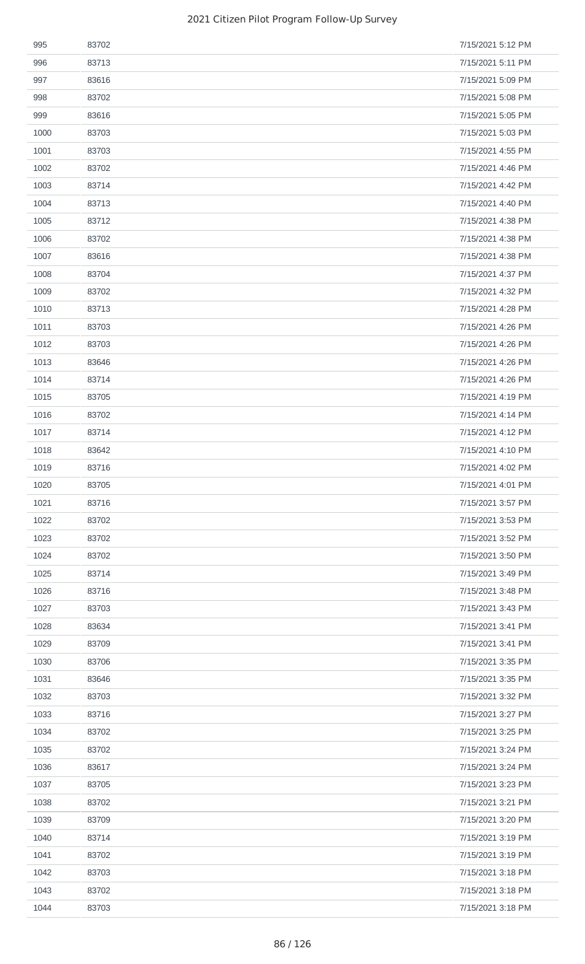| 995  | 83702 | 7/15/2021 5:12 PM |
|------|-------|-------------------|
| 996  | 83713 | 7/15/2021 5:11 PM |
| 997  | 83616 | 7/15/2021 5:09 PM |
| 998  | 83702 | 7/15/2021 5:08 PM |
| 999  | 83616 | 7/15/2021 5:05 PM |
| 1000 | 83703 | 7/15/2021 5:03 PM |
| 1001 | 83703 | 7/15/2021 4:55 PM |
| 1002 | 83702 | 7/15/2021 4:46 PM |
| 1003 | 83714 | 7/15/2021 4:42 PM |
| 1004 | 83713 | 7/15/2021 4:40 PM |
| 1005 | 83712 | 7/15/2021 4:38 PM |
| 1006 | 83702 | 7/15/2021 4:38 PM |
| 1007 | 83616 | 7/15/2021 4:38 PM |
| 1008 | 83704 | 7/15/2021 4:37 PM |
| 1009 | 83702 | 7/15/2021 4:32 PM |
| 1010 | 83713 | 7/15/2021 4:28 PM |
| 1011 | 83703 | 7/15/2021 4:26 PM |
| 1012 | 83703 | 7/15/2021 4:26 PM |
| 1013 | 83646 | 7/15/2021 4:26 PM |
| 1014 | 83714 | 7/15/2021 4:26 PM |
| 1015 | 83705 | 7/15/2021 4:19 PM |
| 1016 | 83702 | 7/15/2021 4:14 PM |
| 1017 | 83714 | 7/15/2021 4:12 PM |
| 1018 | 83642 | 7/15/2021 4:10 PM |
| 1019 | 83716 | 7/15/2021 4:02 PM |
| 1020 | 83705 | 7/15/2021 4:01 PM |
| 1021 | 83716 | 7/15/2021 3:57 PM |
| 1022 | 83702 | 7/15/2021 3:53 PM |
| 1023 | 83702 | 7/15/2021 3:52 PM |
| 1024 | 83702 | 7/15/2021 3:50 PM |
| 1025 | 83714 | 7/15/2021 3:49 PM |
| 1026 | 83716 | 7/15/2021 3:48 PM |
| 1027 | 83703 | 7/15/2021 3:43 PM |
| 1028 | 83634 | 7/15/2021 3:41 PM |
| 1029 | 83709 | 7/15/2021 3:41 PM |
| 1030 | 83706 | 7/15/2021 3:35 PM |
| 1031 | 83646 | 7/15/2021 3:35 PM |
| 1032 | 83703 | 7/15/2021 3:32 PM |
| 1033 | 83716 | 7/15/2021 3:27 PM |
| 1034 | 83702 | 7/15/2021 3:25 PM |
| 1035 | 83702 | 7/15/2021 3:24 PM |
| 1036 | 83617 | 7/15/2021 3:24 PM |
| 1037 | 83705 | 7/15/2021 3:23 PM |
| 1038 | 83702 | 7/15/2021 3:21 PM |
| 1039 | 83709 | 7/15/2021 3:20 PM |
| 1040 | 83714 | 7/15/2021 3:19 PM |
| 1041 | 83702 | 7/15/2021 3:19 PM |
| 1042 | 83703 | 7/15/2021 3:18 PM |
| 1043 | 83702 | 7/15/2021 3:18 PM |
| 1044 | 83703 | 7/15/2021 3:18 PM |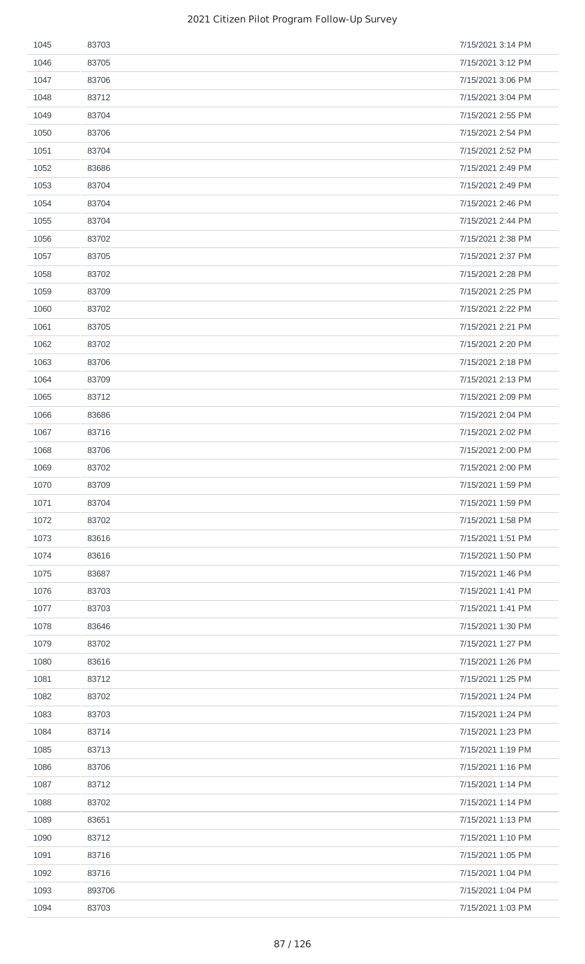| 1045 | 83703  | 7/15/2021 3:14 PM |
|------|--------|-------------------|
| 1046 | 83705  | 7/15/2021 3:12 PM |
| 1047 | 83706  | 7/15/2021 3:06 PM |
| 1048 | 83712  | 7/15/2021 3:04 PM |
| 1049 | 83704  | 7/15/2021 2:55 PM |
| 1050 | 83706  | 7/15/2021 2:54 PM |
| 1051 | 83704  | 7/15/2021 2:52 PM |
| 1052 | 83686  | 7/15/2021 2:49 PM |
| 1053 | 83704  | 7/15/2021 2:49 PM |
| 1054 | 83704  | 7/15/2021 2:46 PM |
| 1055 | 83704  | 7/15/2021 2:44 PM |
| 1056 | 83702  | 7/15/2021 2:38 PM |
| 1057 | 83705  | 7/15/2021 2:37 PM |
| 1058 | 83702  | 7/15/2021 2:28 PM |
| 1059 | 83709  | 7/15/2021 2:25 PM |
| 1060 | 83702  | 7/15/2021 2:22 PM |
| 1061 | 83705  | 7/15/2021 2:21 PM |
| 1062 | 83702  | 7/15/2021 2:20 PM |
| 1063 | 83706  | 7/15/2021 2:18 PM |
| 1064 | 83709  | 7/15/2021 2:13 PM |
| 1065 | 83712  | 7/15/2021 2:09 PM |
| 1066 | 83686  | 7/15/2021 2:04 PM |
| 1067 | 83716  | 7/15/2021 2:02 PM |
| 1068 | 83706  | 7/15/2021 2:00 PM |
| 1069 | 83702  | 7/15/2021 2:00 PM |
| 1070 | 83709  | 7/15/2021 1:59 PM |
| 1071 | 83704  | 7/15/2021 1:59 PM |
| 1072 | 83702  | 7/15/2021 1:58 PM |
| 1073 | 83616  | 7/15/2021 1:51 PM |
| 1074 | 83616  | 7/15/2021 1:50 PM |
| 1075 | 83687  | 7/15/2021 1:46 PM |
| 1076 | 83703  | 7/15/2021 1:41 PM |
| 1077 | 83703  | 7/15/2021 1:41 PM |
| 1078 | 83646  | 7/15/2021 1:30 PM |
| 1079 | 83702  | 7/15/2021 1:27 PM |
| 1080 | 83616  | 7/15/2021 1:26 PM |
| 1081 | 83712  | 7/15/2021 1:25 PM |
| 1082 | 83702  | 7/15/2021 1:24 PM |
| 1083 | 83703  | 7/15/2021 1:24 PM |
| 1084 | 83714  | 7/15/2021 1:23 PM |
| 1085 | 83713  | 7/15/2021 1:19 PM |
| 1086 | 83706  | 7/15/2021 1:16 PM |
| 1087 | 83712  | 7/15/2021 1:14 PM |
| 1088 | 83702  | 7/15/2021 1:14 PM |
| 1089 | 83651  | 7/15/2021 1:13 PM |
| 1090 | 83712  | 7/15/2021 1:10 PM |
| 1091 | 83716  | 7/15/2021 1:05 PM |
| 1092 | 83716  | 7/15/2021 1:04 PM |
| 1093 | 893706 | 7/15/2021 1:04 PM |
| 1094 | 83703  | 7/15/2021 1:03 PM |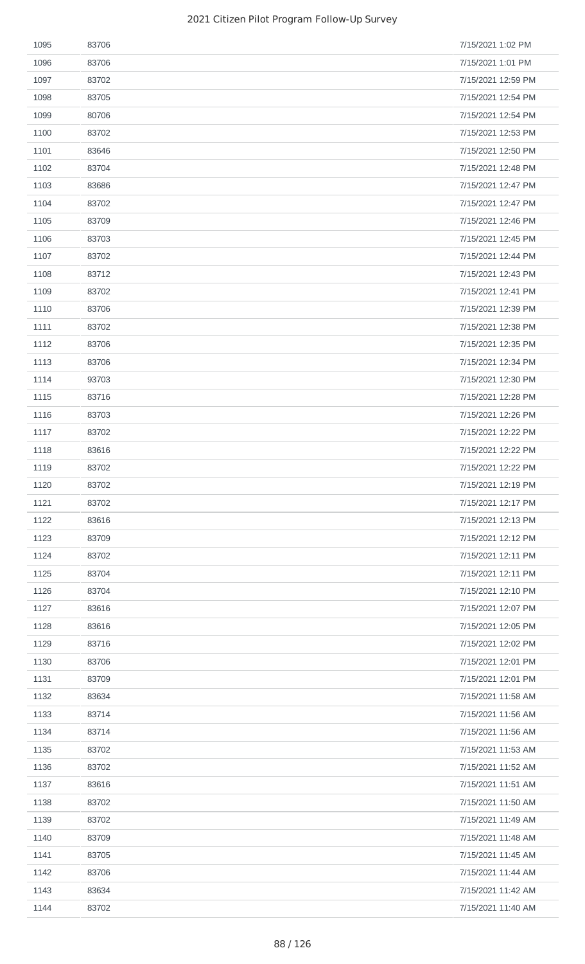| 1095 | 83706 | 7/15/2021 1:02 PM  |
|------|-------|--------------------|
| 1096 | 83706 | 7/15/2021 1:01 PM  |
| 1097 | 83702 | 7/15/2021 12:59 PM |
| 1098 | 83705 | 7/15/2021 12:54 PM |
| 1099 | 80706 | 7/15/2021 12:54 PM |
| 1100 | 83702 | 7/15/2021 12:53 PM |
| 1101 | 83646 | 7/15/2021 12:50 PM |
| 1102 | 83704 | 7/15/2021 12:48 PM |
| 1103 | 83686 | 7/15/2021 12:47 PM |
| 1104 | 83702 | 7/15/2021 12:47 PM |
| 1105 | 83709 | 7/15/2021 12:46 PM |
| 1106 | 83703 | 7/15/2021 12:45 PM |
| 1107 | 83702 | 7/15/2021 12:44 PM |
| 1108 | 83712 | 7/15/2021 12:43 PM |
| 1109 | 83702 | 7/15/2021 12:41 PM |
| 1110 | 83706 | 7/15/2021 12:39 PM |
| 1111 | 83702 | 7/15/2021 12:38 PM |
| 1112 | 83706 | 7/15/2021 12:35 PM |
| 1113 | 83706 | 7/15/2021 12:34 PM |
| 1114 | 93703 | 7/15/2021 12:30 PM |
| 1115 | 83716 | 7/15/2021 12:28 PM |
| 1116 | 83703 | 7/15/2021 12:26 PM |
| 1117 | 83702 | 7/15/2021 12:22 PM |
| 1118 | 83616 | 7/15/2021 12:22 PM |
| 1119 | 83702 | 7/15/2021 12:22 PM |
| 1120 | 83702 | 7/15/2021 12:19 PM |
| 1121 | 83702 | 7/15/2021 12:17 PM |
| 1122 | 83616 | 7/15/2021 12:13 PM |
| 1123 | 83709 | 7/15/2021 12:12 PM |
| 1124 | 83702 | 7/15/2021 12:11 PM |
| 1125 | 83704 | 7/15/2021 12:11 PM |
| 1126 | 83704 | 7/15/2021 12:10 PM |
| 1127 | 83616 | 7/15/2021 12:07 PM |
| 1128 | 83616 | 7/15/2021 12:05 PM |
| 1129 | 83716 | 7/15/2021 12:02 PM |
| 1130 | 83706 | 7/15/2021 12:01 PM |
| 1131 | 83709 | 7/15/2021 12:01 PM |
| 1132 | 83634 | 7/15/2021 11:58 AM |
| 1133 | 83714 | 7/15/2021 11:56 AM |
| 1134 | 83714 | 7/15/2021 11:56 AM |
| 1135 | 83702 | 7/15/2021 11:53 AM |
| 1136 | 83702 | 7/15/2021 11:52 AM |
| 1137 | 83616 | 7/15/2021 11:51 AM |
| 1138 | 83702 | 7/15/2021 11:50 AM |
| 1139 | 83702 | 7/15/2021 11:49 AM |
| 1140 | 83709 | 7/15/2021 11:48 AM |
| 1141 | 83705 | 7/15/2021 11:45 AM |
| 1142 | 83706 | 7/15/2021 11:44 AM |
| 1143 | 83634 | 7/15/2021 11:42 AM |
| 1144 | 83702 | 7/15/2021 11:40 AM |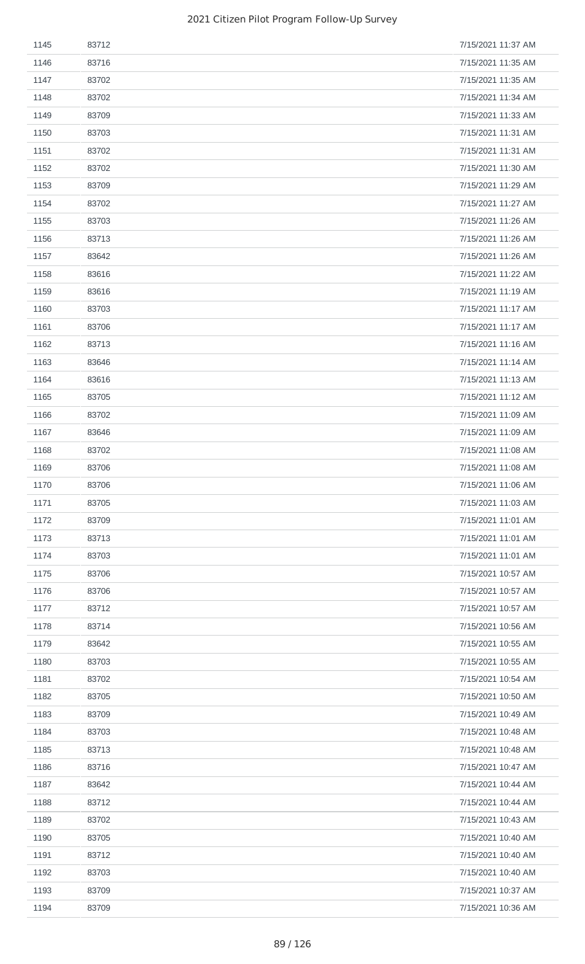| 1145 | 83712 | 7/15/2021 11:37 AM |
|------|-------|--------------------|
| 1146 | 83716 | 7/15/2021 11:35 AM |
| 1147 | 83702 | 7/15/2021 11:35 AM |
| 1148 | 83702 | 7/15/2021 11:34 AM |
| 1149 | 83709 | 7/15/2021 11:33 AM |
| 1150 | 83703 | 7/15/2021 11:31 AM |
| 1151 | 83702 | 7/15/2021 11:31 AM |
| 1152 | 83702 | 7/15/2021 11:30 AM |
| 1153 | 83709 | 7/15/2021 11:29 AM |
| 1154 | 83702 | 7/15/2021 11:27 AM |
| 1155 | 83703 | 7/15/2021 11:26 AM |
| 1156 | 83713 | 7/15/2021 11:26 AM |
| 1157 | 83642 | 7/15/2021 11:26 AM |
| 1158 | 83616 | 7/15/2021 11:22 AM |
| 1159 | 83616 | 7/15/2021 11:19 AM |
| 1160 | 83703 | 7/15/2021 11:17 AM |
| 1161 | 83706 | 7/15/2021 11:17 AM |
| 1162 | 83713 | 7/15/2021 11:16 AM |
| 1163 | 83646 | 7/15/2021 11:14 AM |
| 1164 | 83616 | 7/15/2021 11:13 AM |
| 1165 | 83705 | 7/15/2021 11:12 AM |
| 1166 | 83702 | 7/15/2021 11:09 AM |
| 1167 | 83646 | 7/15/2021 11:09 AM |
| 1168 | 83702 | 7/15/2021 11:08 AM |
| 1169 | 83706 | 7/15/2021 11:08 AM |
| 1170 | 83706 | 7/15/2021 11:06 AM |
| 1171 | 83705 | 7/15/2021 11:03 AM |
| 1172 | 83709 | 7/15/2021 11:01 AM |
| 1173 | 83713 | 7/15/2021 11:01 AM |
| 1174 | 83703 | 7/15/2021 11:01 AM |
| 1175 | 83706 | 7/15/2021 10:57 AM |
| 1176 | 83706 | 7/15/2021 10:57 AM |
| 1177 | 83712 | 7/15/2021 10:57 AM |
| 1178 | 83714 | 7/15/2021 10:56 AM |
| 1179 | 83642 | 7/15/2021 10:55 AM |
| 1180 | 83703 | 7/15/2021 10:55 AM |
| 1181 | 83702 | 7/15/2021 10:54 AM |
|      |       | 7/15/2021 10:50 AM |
| 1182 | 83705 |                    |
| 1183 | 83709 | 7/15/2021 10:49 AM |
| 1184 | 83703 | 7/15/2021 10:48 AM |
| 1185 | 83713 | 7/15/2021 10:48 AM |
| 1186 | 83716 | 7/15/2021 10:47 AM |
| 1187 | 83642 | 7/15/2021 10:44 AM |
| 1188 | 83712 | 7/15/2021 10:44 AM |
| 1189 | 83702 | 7/15/2021 10:43 AM |
| 1190 | 83705 | 7/15/2021 10:40 AM |
| 1191 | 83712 | 7/15/2021 10:40 AM |
| 1192 | 83703 | 7/15/2021 10:40 AM |
| 1193 | 83709 | 7/15/2021 10:37 AM |
| 1194 | 83709 | 7/15/2021 10:36 AM |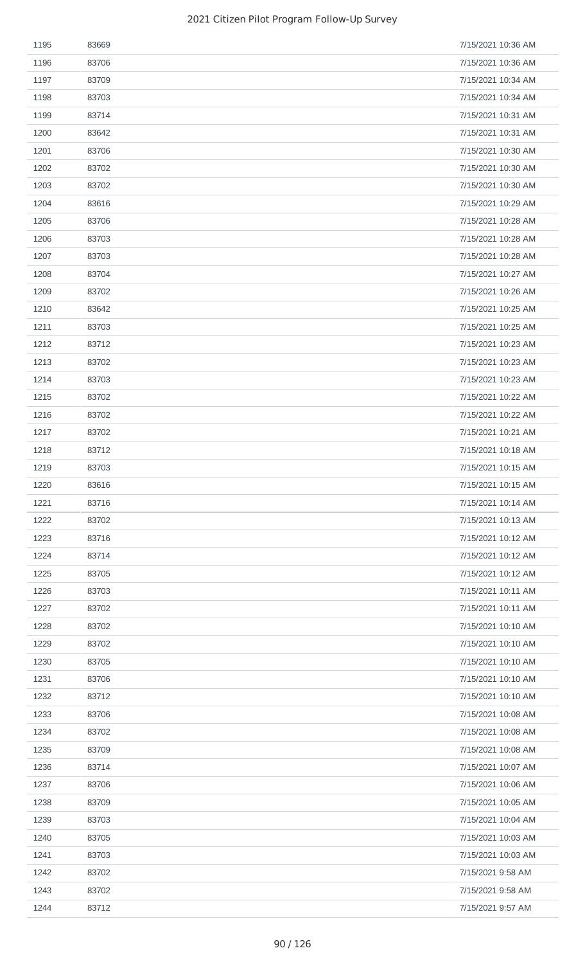| 1195 | 83669 | 7/15/2021 10:36 AM |
|------|-------|--------------------|
| 1196 | 83706 | 7/15/2021 10:36 AM |
| 1197 | 83709 | 7/15/2021 10:34 AM |
| 1198 | 83703 | 7/15/2021 10:34 AM |
| 1199 | 83714 | 7/15/2021 10:31 AM |
| 1200 | 83642 | 7/15/2021 10:31 AM |
| 1201 | 83706 | 7/15/2021 10:30 AM |
| 1202 | 83702 | 7/15/2021 10:30 AM |
| 1203 | 83702 | 7/15/2021 10:30 AM |
| 1204 | 83616 | 7/15/2021 10:29 AM |
| 1205 | 83706 | 7/15/2021 10:28 AM |
| 1206 | 83703 | 7/15/2021 10:28 AM |
| 1207 | 83703 | 7/15/2021 10:28 AM |
| 1208 | 83704 | 7/15/2021 10:27 AM |
| 1209 | 83702 | 7/15/2021 10:26 AM |
| 1210 | 83642 | 7/15/2021 10:25 AM |
| 1211 | 83703 | 7/15/2021 10:25 AM |
| 1212 | 83712 | 7/15/2021 10:23 AM |
| 1213 | 83702 | 7/15/2021 10:23 AM |
| 1214 | 83703 | 7/15/2021 10:23 AM |
| 1215 | 83702 | 7/15/2021 10:22 AM |
| 1216 | 83702 | 7/15/2021 10:22 AM |
| 1217 | 83702 | 7/15/2021 10:21 AM |
| 1218 | 83712 | 7/15/2021 10:18 AM |
| 1219 | 83703 | 7/15/2021 10:15 AM |
| 1220 | 83616 | 7/15/2021 10:15 AM |
| 1221 | 83716 | 7/15/2021 10:14 AM |
| 1222 | 83702 | 7/15/2021 10:13 AM |
| 1223 | 83716 | 7/15/2021 10:12 AM |
| 1224 | 83714 | 7/15/2021 10:12 AM |
| 1225 | 83705 | 7/15/2021 10:12 AM |
| 1226 | 83703 | 7/15/2021 10:11 AM |
| 1227 | 83702 | 7/15/2021 10:11 AM |
| 1228 | 83702 | 7/15/2021 10:10 AM |
| 1229 | 83702 | 7/15/2021 10:10 AM |
| 1230 | 83705 | 7/15/2021 10:10 AM |
| 1231 | 83706 | 7/15/2021 10:10 AM |
| 1232 | 83712 | 7/15/2021 10:10 AM |
| 1233 | 83706 | 7/15/2021 10:08 AM |
| 1234 | 83702 | 7/15/2021 10:08 AM |
| 1235 | 83709 | 7/15/2021 10:08 AM |
| 1236 | 83714 | 7/15/2021 10:07 AM |
| 1237 | 83706 | 7/15/2021 10:06 AM |
| 1238 | 83709 | 7/15/2021 10:05 AM |
| 1239 | 83703 | 7/15/2021 10:04 AM |
| 1240 | 83705 | 7/15/2021 10:03 AM |
| 1241 | 83703 | 7/15/2021 10:03 AM |
| 1242 | 83702 | 7/15/2021 9:58 AM  |
| 1243 | 83702 | 7/15/2021 9:58 AM  |
| 1244 | 83712 | 7/15/2021 9:57 AM  |
|      |       |                    |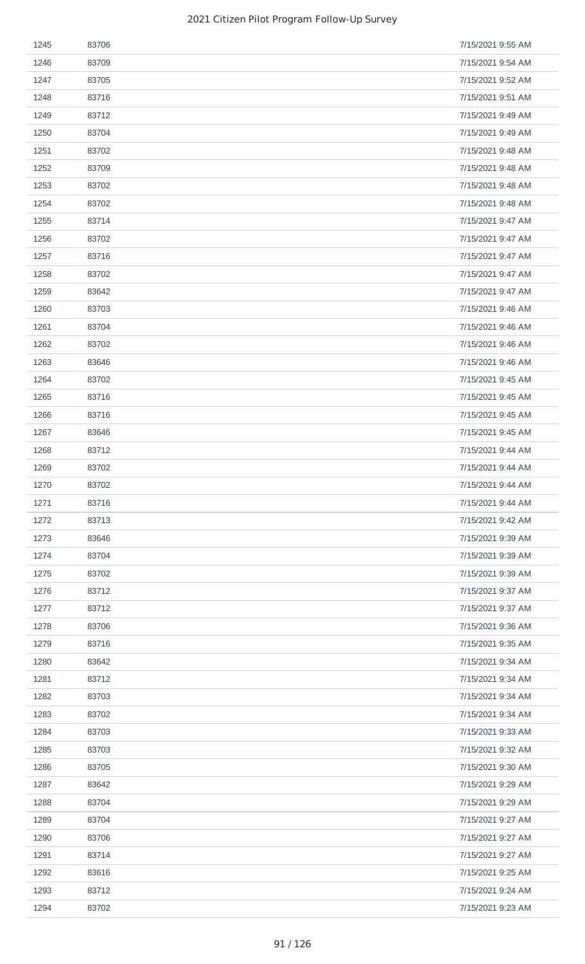| 1245 | 83706 | 7/15/2021 9:55 AM |
|------|-------|-------------------|
| 1246 | 83709 | 7/15/2021 9:54 AM |
| 1247 | 83705 | 7/15/2021 9:52 AM |
| 1248 | 83716 | 7/15/2021 9:51 AM |
| 1249 | 83712 | 7/15/2021 9:49 AM |
| 1250 | 83704 | 7/15/2021 9:49 AM |
| 1251 | 83702 | 7/15/2021 9:48 AM |
| 1252 | 83709 | 7/15/2021 9:48 AM |
| 1253 | 83702 | 7/15/2021 9:48 AM |
| 1254 | 83702 | 7/15/2021 9:48 AM |
| 1255 | 83714 | 7/15/2021 9:47 AM |
| 1256 | 83702 | 7/15/2021 9:47 AM |
| 1257 | 83716 | 7/15/2021 9:47 AM |
| 1258 | 83702 | 7/15/2021 9:47 AM |
| 1259 | 83642 | 7/15/2021 9:47 AM |
| 1260 | 83703 | 7/15/2021 9:46 AM |
| 1261 | 83704 | 7/15/2021 9:46 AM |
| 1262 | 83702 | 7/15/2021 9:46 AM |
| 1263 | 83646 | 7/15/2021 9:46 AM |
| 1264 | 83702 | 7/15/2021 9:45 AM |
| 1265 | 83716 | 7/15/2021 9:45 AM |
| 1266 | 83716 | 7/15/2021 9:45 AM |
| 1267 | 83646 | 7/15/2021 9:45 AM |
| 1268 | 83712 | 7/15/2021 9:44 AM |
| 1269 | 83702 | 7/15/2021 9:44 AM |
| 1270 | 83702 | 7/15/2021 9:44 AM |
| 1271 | 83716 | 7/15/2021 9:44 AM |
| 1272 | 83713 | 7/15/2021 9:42 AM |
| 1273 | 83646 | 7/15/2021 9:39 AM |
| 1274 | 83704 | 7/15/2021 9:39 AM |
| 1275 | 83702 | 7/15/2021 9:39 AM |
| 1276 | 83712 | 7/15/2021 9:37 AM |
| 1277 | 83712 | 7/15/2021 9:37 AM |
| 1278 | 83706 | 7/15/2021 9:36 AM |
| 1279 | 83716 | 7/15/2021 9:35 AM |
| 1280 | 83642 | 7/15/2021 9:34 AM |
| 1281 | 83712 | 7/15/2021 9:34 AM |
| 1282 | 83703 | 7/15/2021 9:34 AM |
| 1283 | 83702 | 7/15/2021 9:34 AM |
| 1284 | 83703 | 7/15/2021 9:33 AM |
| 1285 | 83703 | 7/15/2021 9:32 AM |
| 1286 | 83705 | 7/15/2021 9:30 AM |
| 1287 | 83642 | 7/15/2021 9:29 AM |
| 1288 | 83704 | 7/15/2021 9:29 AM |
| 1289 | 83704 | 7/15/2021 9:27 AM |
| 1290 | 83706 | 7/15/2021 9:27 AM |
| 1291 | 83714 | 7/15/2021 9:27 AM |
| 1292 | 83616 | 7/15/2021 9:25 AM |
| 1293 | 83712 | 7/15/2021 9:24 AM |
| 1294 | 83702 | 7/15/2021 9:23 AM |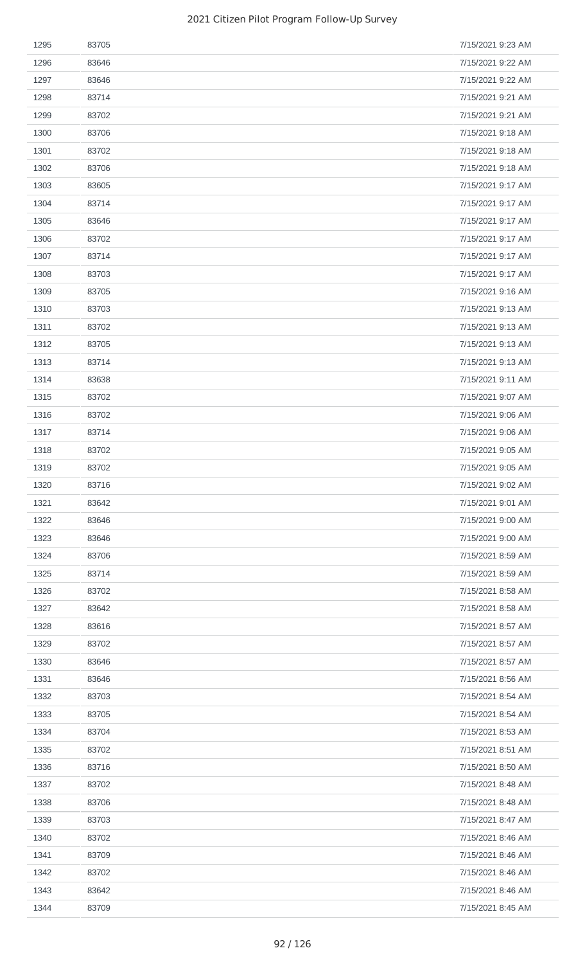| 1295 | 83705 | 7/15/2021 9:23 AM |
|------|-------|-------------------|
| 1296 | 83646 | 7/15/2021 9:22 AM |
| 1297 | 83646 | 7/15/2021 9:22 AM |
| 1298 | 83714 | 7/15/2021 9:21 AM |
| 1299 | 83702 | 7/15/2021 9:21 AM |
| 1300 | 83706 | 7/15/2021 9:18 AM |
| 1301 | 83702 | 7/15/2021 9:18 AM |
| 1302 | 83706 | 7/15/2021 9:18 AM |
| 1303 | 83605 | 7/15/2021 9:17 AM |
| 1304 | 83714 | 7/15/2021 9:17 AM |
| 1305 | 83646 | 7/15/2021 9:17 AM |
| 1306 | 83702 | 7/15/2021 9:17 AM |
| 1307 | 83714 | 7/15/2021 9:17 AM |
| 1308 | 83703 | 7/15/2021 9:17 AM |
| 1309 | 83705 | 7/15/2021 9:16 AM |
| 1310 | 83703 | 7/15/2021 9:13 AM |
| 1311 | 83702 | 7/15/2021 9:13 AM |
| 1312 | 83705 | 7/15/2021 9:13 AM |
| 1313 | 83714 | 7/15/2021 9:13 AM |
| 1314 | 83638 | 7/15/2021 9:11 AM |
| 1315 | 83702 | 7/15/2021 9:07 AM |
| 1316 | 83702 | 7/15/2021 9:06 AM |
| 1317 | 83714 | 7/15/2021 9:06 AM |
| 1318 | 83702 | 7/15/2021 9:05 AM |
| 1319 | 83702 | 7/15/2021 9:05 AM |
| 1320 | 83716 | 7/15/2021 9:02 AM |
| 1321 | 83642 | 7/15/2021 9:01 AM |
| 1322 | 83646 | 7/15/2021 9:00 AM |
| 1323 | 83646 | 7/15/2021 9:00 AM |
| 1324 | 83706 | 7/15/2021 8:59 AM |
| 1325 | 83714 | 7/15/2021 8:59 AM |
| 1326 | 83702 | 7/15/2021 8:58 AM |
| 1327 | 83642 | 7/15/2021 8:58 AM |
| 1328 | 83616 | 7/15/2021 8:57 AM |
| 1329 | 83702 | 7/15/2021 8:57 AM |
| 1330 | 83646 | 7/15/2021 8:57 AM |
| 1331 | 83646 | 7/15/2021 8:56 AM |
| 1332 | 83703 | 7/15/2021 8:54 AM |
| 1333 | 83705 | 7/15/2021 8:54 AM |
| 1334 | 83704 | 7/15/2021 8:53 AM |
| 1335 | 83702 | 7/15/2021 8:51 AM |
| 1336 | 83716 | 7/15/2021 8:50 AM |
| 1337 | 83702 | 7/15/2021 8:48 AM |
| 1338 | 83706 | 7/15/2021 8:48 AM |
| 1339 | 83703 | 7/15/2021 8:47 AM |
| 1340 | 83702 | 7/15/2021 8:46 AM |
| 1341 | 83709 | 7/15/2021 8:46 AM |
| 1342 | 83702 | 7/15/2021 8:46 AM |
| 1343 | 83642 | 7/15/2021 8:46 AM |
| 1344 | 83709 | 7/15/2021 8:45 AM |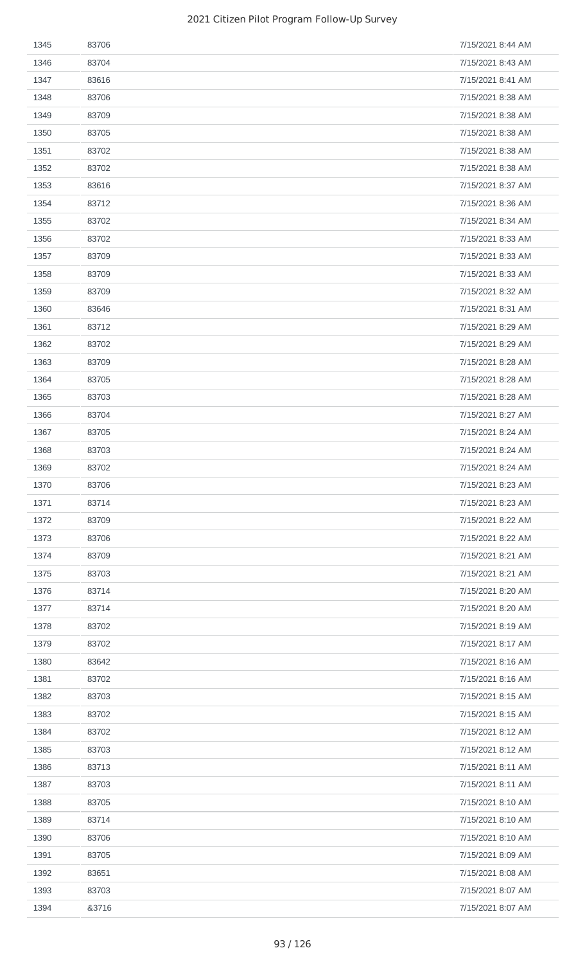| 1345 | 83706 | 7/15/2021 8:44 AM |
|------|-------|-------------------|
| 1346 | 83704 | 7/15/2021 8:43 AM |
| 1347 | 83616 | 7/15/2021 8:41 AM |
| 1348 | 83706 | 7/15/2021 8:38 AM |
| 1349 | 83709 | 7/15/2021 8:38 AM |
| 1350 | 83705 | 7/15/2021 8:38 AM |
| 1351 | 83702 | 7/15/2021 8:38 AM |
| 1352 | 83702 | 7/15/2021 8:38 AM |
| 1353 | 83616 | 7/15/2021 8:37 AM |
| 1354 | 83712 | 7/15/2021 8:36 AM |
| 1355 | 83702 | 7/15/2021 8:34 AM |
| 1356 | 83702 | 7/15/2021 8:33 AM |
| 1357 | 83709 | 7/15/2021 8:33 AM |
| 1358 | 83709 | 7/15/2021 8:33 AM |
| 1359 | 83709 | 7/15/2021 8:32 AM |
| 1360 | 83646 | 7/15/2021 8:31 AM |
| 1361 | 83712 | 7/15/2021 8:29 AM |
| 1362 | 83702 | 7/15/2021 8:29 AM |
| 1363 | 83709 | 7/15/2021 8:28 AM |
| 1364 | 83705 | 7/15/2021 8:28 AM |
| 1365 | 83703 | 7/15/2021 8:28 AM |
| 1366 | 83704 | 7/15/2021 8:27 AM |
| 1367 | 83705 | 7/15/2021 8:24 AM |
| 1368 | 83703 | 7/15/2021 8:24 AM |
| 1369 | 83702 | 7/15/2021 8:24 AM |
| 1370 | 83706 | 7/15/2021 8:23 AM |
| 1371 | 83714 | 7/15/2021 8:23 AM |
| 1372 | 83709 | 7/15/2021 8:22 AM |
| 1373 | 83706 | 7/15/2021 8:22 AM |
| 1374 | 83709 | 7/15/2021 8:21 AM |
| 1375 | 83703 | 7/15/2021 8:21 AM |
| 1376 | 83714 | 7/15/2021 8:20 AM |
| 1377 | 83714 | 7/15/2021 8:20 AM |
| 1378 | 83702 | 7/15/2021 8:19 AM |
| 1379 | 83702 | 7/15/2021 8:17 AM |
| 1380 | 83642 | 7/15/2021 8:16 AM |
| 1381 | 83702 | 7/15/2021 8:16 AM |
| 1382 | 83703 | 7/15/2021 8:15 AM |
| 1383 | 83702 | 7/15/2021 8:15 AM |
| 1384 | 83702 | 7/15/2021 8:12 AM |
| 1385 | 83703 | 7/15/2021 8:12 AM |
| 1386 | 83713 | 7/15/2021 8:11 AM |
| 1387 | 83703 | 7/15/2021 8:11 AM |
| 1388 | 83705 | 7/15/2021 8:10 AM |
| 1389 | 83714 | 7/15/2021 8:10 AM |
| 1390 | 83706 | 7/15/2021 8:10 AM |
| 1391 | 83705 | 7/15/2021 8:09 AM |
| 1392 | 83651 | 7/15/2021 8:08 AM |
| 1393 | 83703 | 7/15/2021 8:07 AM |
| 1394 | &3716 | 7/15/2021 8:07 AM |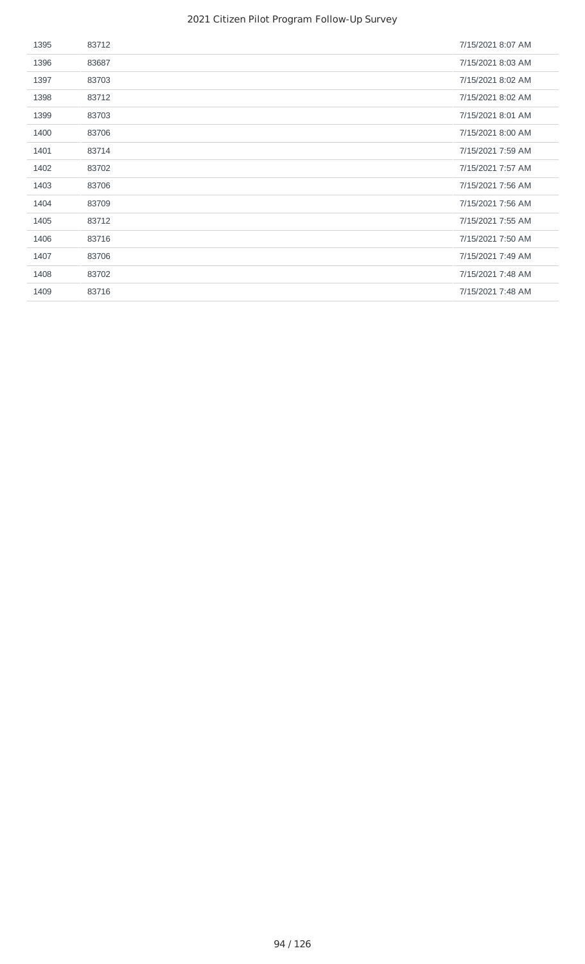| 1395 | 83712 | 7/15/2021 8:07 AM |
|------|-------|-------------------|
| 1396 | 83687 | 7/15/2021 8:03 AM |
| 1397 | 83703 | 7/15/2021 8:02 AM |
| 1398 | 83712 | 7/15/2021 8:02 AM |
| 1399 | 83703 | 7/15/2021 8:01 AM |
| 1400 | 83706 | 7/15/2021 8:00 AM |
| 1401 | 83714 | 7/15/2021 7:59 AM |
| 1402 | 83702 | 7/15/2021 7:57 AM |
| 1403 | 83706 | 7/15/2021 7:56 AM |
| 1404 | 83709 | 7/15/2021 7:56 AM |
| 1405 | 83712 | 7/15/2021 7:55 AM |
| 1406 | 83716 | 7/15/2021 7:50 AM |
| 1407 | 83706 | 7/15/2021 7:49 AM |
| 1408 | 83702 | 7/15/2021 7:48 AM |
| 1409 | 83716 | 7/15/2021 7:48 AM |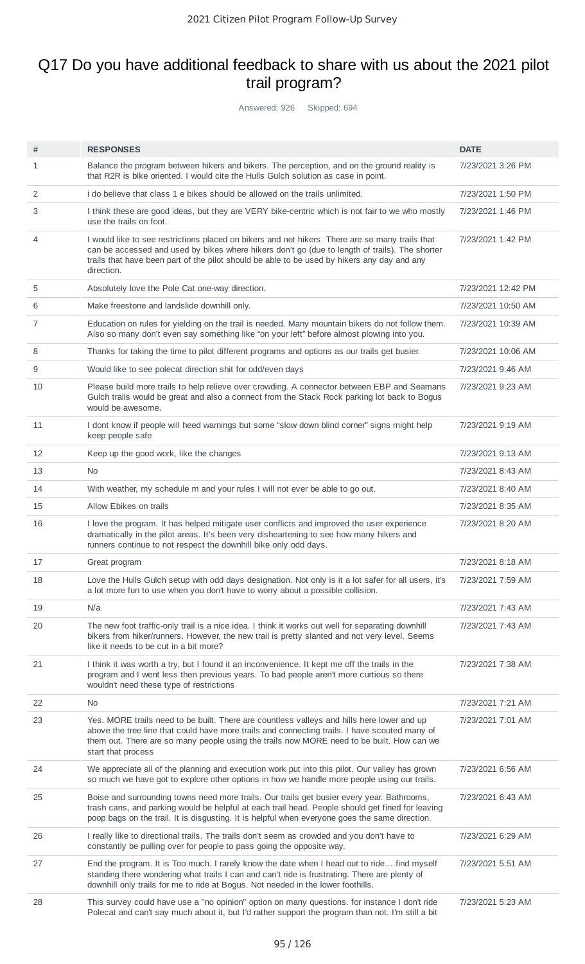# Q17 Do you have additional feedback to share with us about the 2021 pilot trail program?

Answered: 926 Skipped: 694

| #              | <b>RESPONSES</b>                                                                                                                                                                                                                                                                                               | <b>DATE</b>        |
|----------------|----------------------------------------------------------------------------------------------------------------------------------------------------------------------------------------------------------------------------------------------------------------------------------------------------------------|--------------------|
| 1              | Balance the program between hikers and bikers. The perception, and on the ground reality is<br>that R2R is bike oriented. I would cite the Hulls Gulch solution as case in point.                                                                                                                              | 7/23/2021 3:26 PM  |
| 2              | i do believe that class 1 e bikes should be allowed on the trails unlimited.                                                                                                                                                                                                                                   | 7/23/2021 1:50 PM  |
| 3              | I think these are good ideas, but they are VERY bike-centric which is not fair to we who mostly<br>use the trails on foot.                                                                                                                                                                                     | 7/23/2021 1:46 PM  |
| 4              | I would like to see restrictions placed on bikers and not hikers. There are so many trails that<br>can be accessed and used by bikes where hikers don't go (due to length of trails). The shorter<br>trails that have been part of the pilot should be able to be used by hikers any day and any<br>direction. | 7/23/2021 1:42 PM  |
| 5              | Absolutely love the Pole Cat one-way direction.                                                                                                                                                                                                                                                                | 7/23/2021 12:42 PM |
| 6              | Make freestone and landslide downhill only.                                                                                                                                                                                                                                                                    | 7/23/2021 10:50 AM |
| $\overline{7}$ | Education on rules for yielding on the trail is needed. Many mountain bikers do not follow them.<br>Also so many don't even say something like "on your left" before almost plowing into you.                                                                                                                  | 7/23/2021 10:39 AM |
| 8              | Thanks for taking the time to pilot different programs and options as our trails get busier.                                                                                                                                                                                                                   | 7/23/2021 10:06 AM |
| 9              | Would like to see polecat direction shit for odd/even days                                                                                                                                                                                                                                                     | 7/23/2021 9:46 AM  |
| 10             | Please build more trails to help relieve over crowding. A connector between EBP and Seamans<br>Gulch trails would be great and also a connect from the Stack Rock parking lot back to Bogus<br>would be awesome.                                                                                               | 7/23/2021 9:23 AM  |
| 11             | I dont know if people will heed warnings but some "slow down blind corner" signs might help<br>keep people safe                                                                                                                                                                                                | 7/23/2021 9:19 AM  |
| 12             | Keep up the good work, like the changes                                                                                                                                                                                                                                                                        | 7/23/2021 9:13 AM  |
| 13             | <b>No</b>                                                                                                                                                                                                                                                                                                      | 7/23/2021 8:43 AM  |
| 14             | With weather, my schedule m and your rules I will not ever be able to go out.                                                                                                                                                                                                                                  | 7/23/2021 8:40 AM  |
| 15             | Allow Ebikes on trails                                                                                                                                                                                                                                                                                         | 7/23/2021 8:35 AM  |
| 16             | I love the program. It has helped mitigate user conflicts and improved the user experience<br>dramatically in the pilot areas. It's been very disheartening to see how many hikers and<br>runners continue to not respect the downhill bike only odd days.                                                     | 7/23/2021 8:20 AM  |
| 17             | Great program                                                                                                                                                                                                                                                                                                  | 7/23/2021 8:18 AM  |
| 18             | Love the Hulls Gulch setup with odd days designation. Not only is it a lot safer for all users, it's<br>a lot more fun to use when you don't have to worry about a possible collision.                                                                                                                         | 7/23/2021 7:59 AM  |
| 19             | N/a                                                                                                                                                                                                                                                                                                            | 7/23/2021 7:43 AM  |
| 20             | The new foot traffic-only trail is a nice idea. I think it works out well for separating downhill<br>bikers from hiker/runners. However, the new trail is pretty slanted and not very level. Seems<br>like it needs to be cut in a bit more?                                                                   | 7/23/2021 7:43 AM  |
| 21             | I think it was worth a try, but I found it an inconvenience. It kept me off the trails in the<br>program and I went less then previous years. To bad people aren't more curtious so there<br>wouldn't need these type of restrictions                                                                          | 7/23/2021 7:38 AM  |
| 22             | No                                                                                                                                                                                                                                                                                                             | 7/23/2021 7:21 AM  |
| 23             | Yes. MORE trails need to be built. There are countless valleys and hills here lower and up<br>above the tree line that could have more trails and connecting trails. I have scouted many of<br>them out. There are so many people using the trails now MORE need to be built. How can we<br>start that process | 7/23/2021 7:01 AM  |
| 24             | We appreciate all of the planning and execution work put into this pilot. Our valley has grown<br>so much we have got to explore other options in how we handle more people using our trails.                                                                                                                  | 7/23/2021 6:56 AM  |
| 25             | Boise and surrounding towns need more trails. Our trails get busier every year. Bathrooms,<br>trash cans, and parking would be helpful at each trail head. People should get fined for leaving<br>poop bags on the trail. It is disgusting. It is helpful when everyone goes the same direction.               | 7/23/2021 6:43 AM  |
| 26             | I really like to directional trails. The trails don't seem as crowded and you don't have to<br>constantly be pulling over for people to pass going the opposite way.                                                                                                                                           | 7/23/2021 6:29 AM  |
| 27             | End the program. It is Too much. I rarely know the date when I head out to ridefind myself<br>standing there wondering what trails I can and can't ride is frustrating. There are plenty of<br>downhill only trails for me to ride at Bogus. Not needed in the lower foothills.                                | 7/23/2021 5:51 AM  |
| 28             | This survey could have use a "no opinion" option on many questions. for instance I don't ride<br>Polecat and can't say much about it, but I'd rather support the program than not. I'm still a bit                                                                                                             | 7/23/2021 5:23 AM  |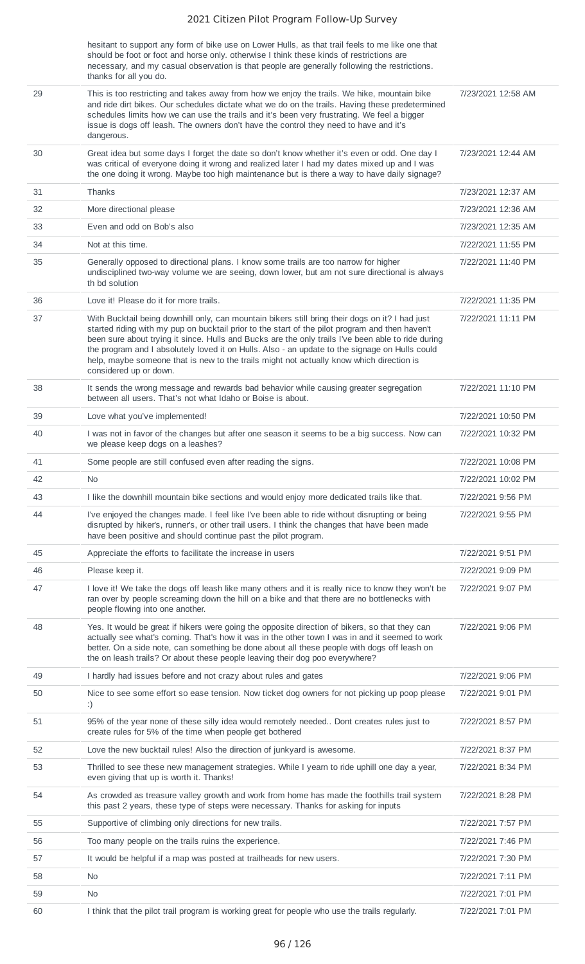|    | hesitant to support any form of bike use on Lower Hulls, as that trail feels to me like one that<br>should be foot or foot and horse only. otherwise I think these kinds of restrictions are<br>necessary, and my casual observation is that people are generally following the restrictions.<br>thanks for all you do.                                                                                                                                                                                                          |                    |
|----|----------------------------------------------------------------------------------------------------------------------------------------------------------------------------------------------------------------------------------------------------------------------------------------------------------------------------------------------------------------------------------------------------------------------------------------------------------------------------------------------------------------------------------|--------------------|
| 29 | This is too restricting and takes away from how we enjoy the trails. We hike, mountain bike<br>and ride dirt bikes. Our schedules dictate what we do on the trails. Having these predetermined<br>schedules limits how we can use the trails and it's been very frustrating. We feel a bigger<br>issue is dogs off leash. The owners don't have the control they need to have and it's<br>dangerous.                                                                                                                             | 7/23/2021 12:58 AM |
| 30 | Great idea but some days I forget the date so don't know whether it's even or odd. One day I<br>was critical of everyone doing it wrong and realized later I had my dates mixed up and I was<br>the one doing it wrong. Maybe too high maintenance but is there a way to have daily signage?                                                                                                                                                                                                                                     | 7/23/2021 12:44 AM |
| 31 | Thanks                                                                                                                                                                                                                                                                                                                                                                                                                                                                                                                           | 7/23/2021 12:37 AM |
| 32 | More directional please                                                                                                                                                                                                                                                                                                                                                                                                                                                                                                          | 7/23/2021 12:36 AM |
| 33 | Even and odd on Bob's also                                                                                                                                                                                                                                                                                                                                                                                                                                                                                                       | 7/23/2021 12:35 AM |
| 34 | Not at this time.                                                                                                                                                                                                                                                                                                                                                                                                                                                                                                                | 7/22/2021 11:55 PM |
| 35 | Generally opposed to directional plans. I know some trails are too narrow for higher<br>undisciplined two-way volume we are seeing, down lower, but am not sure directional is always<br>th bd solution                                                                                                                                                                                                                                                                                                                          | 7/22/2021 11:40 PM |
| 36 | Love it! Please do it for more trails.                                                                                                                                                                                                                                                                                                                                                                                                                                                                                           | 7/22/2021 11:35 PM |
| 37 | With Bucktail being downhill only, can mountain bikers still bring their dogs on it? I had just<br>started riding with my pup on bucktail prior to the start of the pilot program and then haven't<br>been sure about trying it since. Hulls and Bucks are the only trails I've been able to ride during<br>the program and I absolutely loved it on Hulls. Also - an update to the signage on Hulls could<br>help, maybe someone that is new to the trails might not actually know which direction is<br>considered up or down. | 7/22/2021 11:11 PM |
| 38 | It sends the wrong message and rewards bad behavior while causing greater segregation<br>between all users. That's not what Idaho or Boise is about.                                                                                                                                                                                                                                                                                                                                                                             | 7/22/2021 11:10 PM |
| 39 | Love what you've implemented!                                                                                                                                                                                                                                                                                                                                                                                                                                                                                                    | 7/22/2021 10:50 PM |
| 40 | I was not in favor of the changes but after one season it seems to be a big success. Now can<br>we please keep dogs on a leashes?                                                                                                                                                                                                                                                                                                                                                                                                | 7/22/2021 10:32 PM |
| 41 | Some people are still confused even after reading the signs.                                                                                                                                                                                                                                                                                                                                                                                                                                                                     | 7/22/2021 10:08 PM |
| 42 | <b>No</b>                                                                                                                                                                                                                                                                                                                                                                                                                                                                                                                        | 7/22/2021 10:02 PM |
| 43 | I like the downhill mountain bike sections and would enjoy more dedicated trails like that.                                                                                                                                                                                                                                                                                                                                                                                                                                      | 7/22/2021 9:56 PM  |
| 44 | I've enjoyed the changes made. I feel like I've been able to ride without disrupting or being<br>disrupted by hiker's, runner's, or other trail users. I think the changes that have been made<br>have been positive and should continue past the pilot program.                                                                                                                                                                                                                                                                 | 7/22/2021 9:55 PM  |
| 45 | Appreciate the efforts to facilitate the increase in users                                                                                                                                                                                                                                                                                                                                                                                                                                                                       | 7/22/2021 9:51 PM  |
| 46 | Please keep it.                                                                                                                                                                                                                                                                                                                                                                                                                                                                                                                  | 7/22/2021 9:09 PM  |
| 47 | I love it! We take the dogs off leash like many others and it is really nice to know they won't be<br>ran over by people screaming down the hill on a bike and that there are no bottlenecks with<br>people flowing into one another.                                                                                                                                                                                                                                                                                            | 7/22/2021 9:07 PM  |
| 48 | Yes. It would be great if hikers were going the opposite direction of bikers, so that they can<br>actually see what's coming. That's how it was in the other town I was in and it seemed to work<br>better. On a side note, can something be done about all these people with dogs off leash on<br>the on leash trails? Or about these people leaving their dog poo everywhere?                                                                                                                                                  | 7/22/2021 9:06 PM  |
| 49 | I hardly had issues before and not crazy about rules and gates                                                                                                                                                                                                                                                                                                                                                                                                                                                                   | 7/22/2021 9:06 PM  |
| 50 |                                                                                                                                                                                                                                                                                                                                                                                                                                                                                                                                  |                    |
|    | Nice to see some effort so ease tension. Now ticket dog owners for not picking up poop please<br>:)                                                                                                                                                                                                                                                                                                                                                                                                                              | 7/22/2021 9:01 PM  |
| 51 | 95% of the year none of these silly idea would remotely needed Dont creates rules just to<br>create rules for 5% of the time when people get bothered                                                                                                                                                                                                                                                                                                                                                                            | 7/22/2021 8:57 PM  |
| 52 | Love the new bucktail rules! Also the direction of junkyard is awesome.                                                                                                                                                                                                                                                                                                                                                                                                                                                          | 7/22/2021 8:37 PM  |
| 53 | Thrilled to see these new management strategies. While I yearn to ride uphill one day a year,<br>even giving that up is worth it. Thanks!                                                                                                                                                                                                                                                                                                                                                                                        | 7/22/2021 8:34 PM  |
| 54 | As crowded as treasure valley growth and work from home has made the foothills trail system<br>this past 2 years, these type of steps were necessary. Thanks for asking for inputs                                                                                                                                                                                                                                                                                                                                               | 7/22/2021 8:28 PM  |
| 55 | Supportive of climbing only directions for new trails.                                                                                                                                                                                                                                                                                                                                                                                                                                                                           | 7/22/2021 7:57 PM  |
| 56 | Too many people on the trails ruins the experience.                                                                                                                                                                                                                                                                                                                                                                                                                                                                              | 7/22/2021 7:46 PM  |
| 57 | It would be helpful if a map was posted at trailheads for new users.                                                                                                                                                                                                                                                                                                                                                                                                                                                             | 7/22/2021 7:30 PM  |
| 58 | N <sub>0</sub>                                                                                                                                                                                                                                                                                                                                                                                                                                                                                                                   | 7/22/2021 7:11 PM  |
| 59 | No.                                                                                                                                                                                                                                                                                                                                                                                                                                                                                                                              | 7/22/2021 7:01 PM  |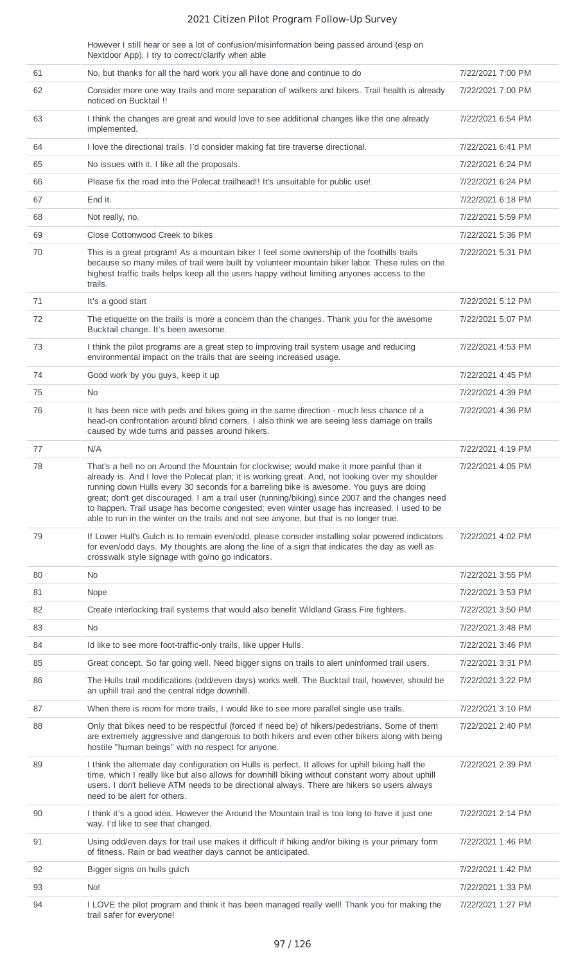However I still hear or see a lot of confusion/misinformation being passed around (esp on Nextdoor App). I try to correct/clarify when able

| 61 | No, but thanks for all the hard work you all have done and continue to do                                                                                                                                                                                                                                                                                                                                                                                                                                                                                                            | 7/22/2021 7:00 PM |
|----|--------------------------------------------------------------------------------------------------------------------------------------------------------------------------------------------------------------------------------------------------------------------------------------------------------------------------------------------------------------------------------------------------------------------------------------------------------------------------------------------------------------------------------------------------------------------------------------|-------------------|
| 62 | Consider more one way trails and more separation of walkers and bikers. Trail health is already<br>noticed on Bucktail !!                                                                                                                                                                                                                                                                                                                                                                                                                                                            | 7/22/2021 7:00 PM |
| 63 | I think the changes are great and would love to see additional changes like the one already<br>implemented.                                                                                                                                                                                                                                                                                                                                                                                                                                                                          | 7/22/2021 6:54 PM |
| 64 | I love the directional trails. I'd consider making fat tire traverse directional.                                                                                                                                                                                                                                                                                                                                                                                                                                                                                                    | 7/22/2021 6:41 PM |
| 65 | No issues with it. I like all the proposals.                                                                                                                                                                                                                                                                                                                                                                                                                                                                                                                                         | 7/22/2021 6:24 PM |
| 66 | Please fix the road into the Polecat trailhead!! It's unsuitable for public use!                                                                                                                                                                                                                                                                                                                                                                                                                                                                                                     | 7/22/2021 6:24 PM |
| 67 | End it.                                                                                                                                                                                                                                                                                                                                                                                                                                                                                                                                                                              | 7/22/2021 6:18 PM |
| 68 | Not really, no.                                                                                                                                                                                                                                                                                                                                                                                                                                                                                                                                                                      | 7/22/2021 5:59 PM |
| 69 | Close Cottonwood Creek to bikes                                                                                                                                                                                                                                                                                                                                                                                                                                                                                                                                                      | 7/22/2021 5:36 PM |
| 70 | This is a great program! As a mountain biker I feel some ownership of the foothills trails<br>because so many miles of trail were built by volunteer mountain biker labor. These rules on the<br>highest traffic trails helps keep all the users happy without limiting anyones access to the<br>trails.                                                                                                                                                                                                                                                                             | 7/22/2021 5:31 PM |
| 71 | It's a good start                                                                                                                                                                                                                                                                                                                                                                                                                                                                                                                                                                    | 7/22/2021 5:12 PM |
| 72 | The etiquette on the trails is more a concern than the changes. Thank you for the awesome<br>Bucktail change. It's been awesome.                                                                                                                                                                                                                                                                                                                                                                                                                                                     | 7/22/2021 5:07 PM |
| 73 | I think the pilot programs are a great step to improving trail system usage and reducing<br>environmental impact on the trails that are seeing increased usage.                                                                                                                                                                                                                                                                                                                                                                                                                      | 7/22/2021 4:53 PM |
| 74 | Good work by you guys, keep it up                                                                                                                                                                                                                                                                                                                                                                                                                                                                                                                                                    | 7/22/2021 4:45 PM |
| 75 | No.                                                                                                                                                                                                                                                                                                                                                                                                                                                                                                                                                                                  | 7/22/2021 4:39 PM |
| 76 | It has been nice with peds and bikes going in the same direction - much less chance of a<br>head-on confrontation around blind corners. I also think we are seeing less damage on trails<br>caused by wide turns and passes around hikers.                                                                                                                                                                                                                                                                                                                                           | 7/22/2021 4:36 PM |
| 77 | N/A                                                                                                                                                                                                                                                                                                                                                                                                                                                                                                                                                                                  | 7/22/2021 4:19 PM |
| 78 | That's a hell no on Around the Mountain for clockwise; would make it more painful than it<br>already is. And I love the Polecat plan; it is working great. And, not looking over my shoulder<br>running down Hulls every 30 seconds for a barreling bike is awesome. You guys are doing<br>great; don't get discouraged. I am a trail user (running/biking) since 2007 and the changes need<br>to happen. Trail usage has become congested; even winter usage has increased. I used to be<br>able to run in the winter on the trails and not see anyone, but that is no longer true. | 7/22/2021 4:05 PM |
| 79 | If Lower Hull's Gulch is to remain even/odd, please consider installing solar powered indicators<br>for even/odd days. My thoughts are along the line of a sign that indicates the day as well as<br>crosswalk style signage with go/no go indicators.                                                                                                                                                                                                                                                                                                                               | 7/22/2021 4:02 PM |
| 80 | No.                                                                                                                                                                                                                                                                                                                                                                                                                                                                                                                                                                                  | 7/22/2021 3:55 PM |
| 81 | Nope                                                                                                                                                                                                                                                                                                                                                                                                                                                                                                                                                                                 | 7/22/2021 3:53 PM |
| 82 | Create interlocking trail systems that would also benefit Wildland Grass Fire fighters.                                                                                                                                                                                                                                                                                                                                                                                                                                                                                              | 7/22/2021 3:50 PM |
| 83 | No                                                                                                                                                                                                                                                                                                                                                                                                                                                                                                                                                                                   | 7/22/2021 3:48 PM |
| 84 | Id like to see more foot-traffic-only trails, like upper Hulls.                                                                                                                                                                                                                                                                                                                                                                                                                                                                                                                      | 7/22/2021 3:46 PM |
| 85 | Great concept. So far going well. Need bigger signs on trails to alert uninformed trail users.                                                                                                                                                                                                                                                                                                                                                                                                                                                                                       | 7/22/2021 3:31 PM |
| 86 | The Hulls trail modifications (odd/even days) works well. The Bucktail trail, however, should be<br>an uphill trail and the central ridge downhill.                                                                                                                                                                                                                                                                                                                                                                                                                                  | 7/22/2021 3:22 PM |
| 87 | When there is room for more trails, I would like to see more parallel single use trails.                                                                                                                                                                                                                                                                                                                                                                                                                                                                                             | 7/22/2021 3:10 PM |
| 88 | Only that bikes need to be respectful (forced if need be) of hikers/pedestrians. Some of them<br>are extremely aggressive and dangerous to both hikers and even other bikers along with being<br>hostile "human beings" with no respect for anyone.                                                                                                                                                                                                                                                                                                                                  | 7/22/2021 2:40 PM |
| 89 | I think the alternate day configuration on Hulls is perfect. It allows for uphill biking half the<br>time, which I really like but also allows for downhill biking without constant worry about uphill<br>users. I don't believe ATM needs to be directional always. There are hikers so users always<br>need to be alert for others.                                                                                                                                                                                                                                                | 7/22/2021 2:39 PM |
| 90 | I think it's a good idea. However the Around the Mountain trail is too long to have it just one<br>way. I'd like to see that changed.                                                                                                                                                                                                                                                                                                                                                                                                                                                | 7/22/2021 2:14 PM |
| 91 | Using odd/even days for trail use makes it difficult if hiking and/or biking is your primary form<br>of fitness. Rain or bad weather days cannot be anticipated.                                                                                                                                                                                                                                                                                                                                                                                                                     | 7/22/2021 1:46 PM |
| 92 | Bigger signs on hulls gulch                                                                                                                                                                                                                                                                                                                                                                                                                                                                                                                                                          | 7/22/2021 1:42 PM |
| 93 | No!                                                                                                                                                                                                                                                                                                                                                                                                                                                                                                                                                                                  | 7/22/2021 1:33 PM |
| 94 | I LOVE the pilot program and think it has been managed really well! Thank you for making the<br>trail safer for everyone!                                                                                                                                                                                                                                                                                                                                                                                                                                                            | 7/22/2021 1:27 PM |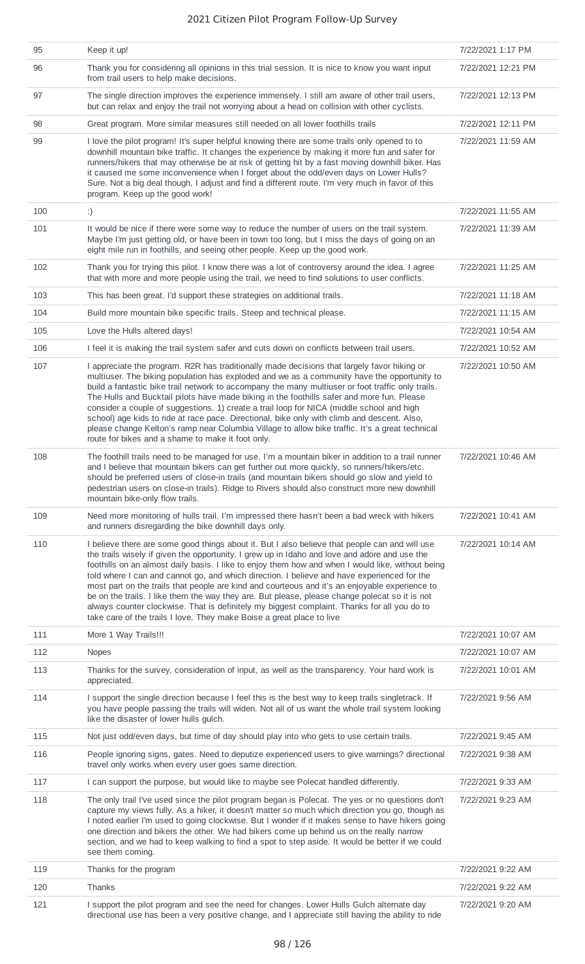| 95  | Keep it up!                                                                                                                                                                                                                                                                                                                                                                                                                                                                                                                                                                                                                                                                                                                                                                     | 7/22/2021 1:17 PM  |
|-----|---------------------------------------------------------------------------------------------------------------------------------------------------------------------------------------------------------------------------------------------------------------------------------------------------------------------------------------------------------------------------------------------------------------------------------------------------------------------------------------------------------------------------------------------------------------------------------------------------------------------------------------------------------------------------------------------------------------------------------------------------------------------------------|--------------------|
| 96  | Thank you for considering all opinions in this trial session. It is nice to know you want input<br>from trail users to help make decisions.                                                                                                                                                                                                                                                                                                                                                                                                                                                                                                                                                                                                                                     | 7/22/2021 12:21 PM |
| 97  | The single direction improves the experience immensely. I still am aware of other trail users,<br>but can relax and enjoy the trail not worrying about a head on collision with other cyclists.                                                                                                                                                                                                                                                                                                                                                                                                                                                                                                                                                                                 | 7/22/2021 12:13 PM |
| 98  | Great program. More similar measures still needed on all lower foothills trails                                                                                                                                                                                                                                                                                                                                                                                                                                                                                                                                                                                                                                                                                                 | 7/22/2021 12:11 PM |
| 99  | I love the pilot program! It's super helpful knowing there are some trails only opened to to<br>downhill mountain bike traffic. It changes the experience by making it more fun and safer for<br>runners/hikers that may otherwise be at risk of getting hit by a fast moving downhill biker. Has<br>it caused me some inconvenience when I forget about the odd/even days on Lower Hulls?<br>Sure. Not a big deal though, I adjust and find a different route. I'm very much in favor of this<br>program. Keep up the good work!                                                                                                                                                                                                                                               | 7/22/2021 11:59 AM |
| 100 | :)                                                                                                                                                                                                                                                                                                                                                                                                                                                                                                                                                                                                                                                                                                                                                                              | 7/22/2021 11:55 AM |
| 101 | It would be nice if there were some way to reduce the number of users on the trail system.<br>Maybe I'm just getting old, or have been in town too long, but I miss the days of going on an<br>eight mile run in foothills, and seeing other people. Keep up the good work.                                                                                                                                                                                                                                                                                                                                                                                                                                                                                                     | 7/22/2021 11:39 AM |
| 102 | Thank you for trying this pilot. I know there was a lot of controversy around the idea. I agree<br>that with more and more people using the trail, we need to find solutions to user conflicts.                                                                                                                                                                                                                                                                                                                                                                                                                                                                                                                                                                                 | 7/22/2021 11:25 AM |
| 103 | This has been great. I'd support these strategies on additional trails.                                                                                                                                                                                                                                                                                                                                                                                                                                                                                                                                                                                                                                                                                                         | 7/22/2021 11:18 AM |
| 104 | Build more mountain bike specific trails. Steep and technical please.                                                                                                                                                                                                                                                                                                                                                                                                                                                                                                                                                                                                                                                                                                           | 7/22/2021 11:15 AM |
| 105 | Love the Hulls altered days!                                                                                                                                                                                                                                                                                                                                                                                                                                                                                                                                                                                                                                                                                                                                                    | 7/22/2021 10:54 AM |
| 106 | I feel it is making the trail system safer and cuts down on conflicts between trail users.                                                                                                                                                                                                                                                                                                                                                                                                                                                                                                                                                                                                                                                                                      | 7/22/2021 10:52 AM |
| 107 | I appreciate the program. R2R has traditionally made decisions that largely favor hiking or<br>multiuser. The biking population has exploded and we as a community have the opportunity to<br>build a fantastic bike trail network to accompany the many multiuser or foot traffic only trails.<br>The Hulls and Bucktail pilots have made biking in the foothills safer and more fun. Please<br>consider a couple of suggestions. 1) create a trail loop for NICA (middle school and high<br>school) age kids to ride at race pace. Directional, bike only with climb and descent. Also,<br>please change Kelton's ramp near Columbia Village to allow bike traffic. It's a great technical<br>route for bikes and a shame to make it foot only.                               | 7/22/2021 10:50 AM |
| 108 | The foothill trails need to be managed for use. I'm a mountain biker in addition to a trail runner<br>and I believe that mountain bikers can get further out more quickly, so runners/hikers/etc.<br>should be preferred users of close-in trails (and mountain bikers should go slow and yield to<br>pedestrian users on close-in trails). Ridge to Rivers should also construct more new downhill<br>mountain bike-only flow trails.                                                                                                                                                                                                                                                                                                                                          | 7/22/2021 10:46 AM |
| 109 | Need more monitoring of hulls trail. I'm impressed there hasn't been a bad wreck with hikers<br>and runners disregarding the bike downhill days only.                                                                                                                                                                                                                                                                                                                                                                                                                                                                                                                                                                                                                           | 7/22/2021 10:41 AM |
| 110 | I believe there are some good things about it. But I also believe that people can and will use<br>the trails wisely if given the opportunity. I grew up in Idaho and love and adore and use the<br>foothills on an almost daily basis. I like to enjoy them how and when I would like, without being<br>told where I can and cannot go, and which direction. I believe and have experienced for the<br>most part on the trails that people are kind and courteous and it's an enjoyable experience to<br>be on the trails. I like them the way they are. But please, please change polecat so it is not<br>always counter clockwise. That is definitely my biggest complaint. Thanks for all you do to<br>take care of the trails I love. They make Boise a great place to live | 7/22/2021 10:14 AM |
| 111 | More 1 Way Trails!!!                                                                                                                                                                                                                                                                                                                                                                                                                                                                                                                                                                                                                                                                                                                                                            | 7/22/2021 10:07 AM |
| 112 | <b>Nopes</b>                                                                                                                                                                                                                                                                                                                                                                                                                                                                                                                                                                                                                                                                                                                                                                    | 7/22/2021 10:07 AM |
| 113 | Thanks for the survey, consideration of input, as well as the transparency. Your hard work is<br>appreciated.                                                                                                                                                                                                                                                                                                                                                                                                                                                                                                                                                                                                                                                                   | 7/22/2021 10:01 AM |
| 114 | I support the single direction because I feel this is the best way to keep trails singletrack. If<br>you have people passing the trails will widen. Not all of us want the whole trail system looking<br>like the disaster of lower hulls gulch.                                                                                                                                                                                                                                                                                                                                                                                                                                                                                                                                | 7/22/2021 9:56 AM  |
| 115 | Not just odd/even days, but time of day should play into who gets to use certain trails.                                                                                                                                                                                                                                                                                                                                                                                                                                                                                                                                                                                                                                                                                        | 7/22/2021 9:45 AM  |
| 116 | People ignoring signs, gates. Need to deputize experienced users to give warnings? directional<br>travel only works when every user goes same direction.                                                                                                                                                                                                                                                                                                                                                                                                                                                                                                                                                                                                                        | 7/22/2021 9:38 AM  |
| 117 | I can support the purpose, but would like to maybe see Polecat handled differently.                                                                                                                                                                                                                                                                                                                                                                                                                                                                                                                                                                                                                                                                                             | 7/22/2021 9:33 AM  |
| 118 | The only trail I've used since the pilot program began is Polecat. The yes or no questions don't<br>capture my views fully. As a hiker, it doesn't matter so much which direction you go, though as<br>I noted earlier I'm used to going clockwise. But I wonder if it makes sense to have hikers going<br>one direction and bikers the other. We had bikers come up behind us on the really narrow<br>section, and we had to keep walking to find a spot to step aside. It would be better if we could<br>see them coming.                                                                                                                                                                                                                                                     | 7/22/2021 9:23 AM  |
| 119 | Thanks for the program                                                                                                                                                                                                                                                                                                                                                                                                                                                                                                                                                                                                                                                                                                                                                          | 7/22/2021 9:22 AM  |
| 120 | Thanks                                                                                                                                                                                                                                                                                                                                                                                                                                                                                                                                                                                                                                                                                                                                                                          | 7/22/2021 9:22 AM  |
| 121 | I support the pilot program and see the need for changes. Lower Hulls Gulch alternate day<br>directional use has been a very positive change, and I appreciate still having the ability to ride                                                                                                                                                                                                                                                                                                                                                                                                                                                                                                                                                                                 | 7/22/2021 9:20 AM  |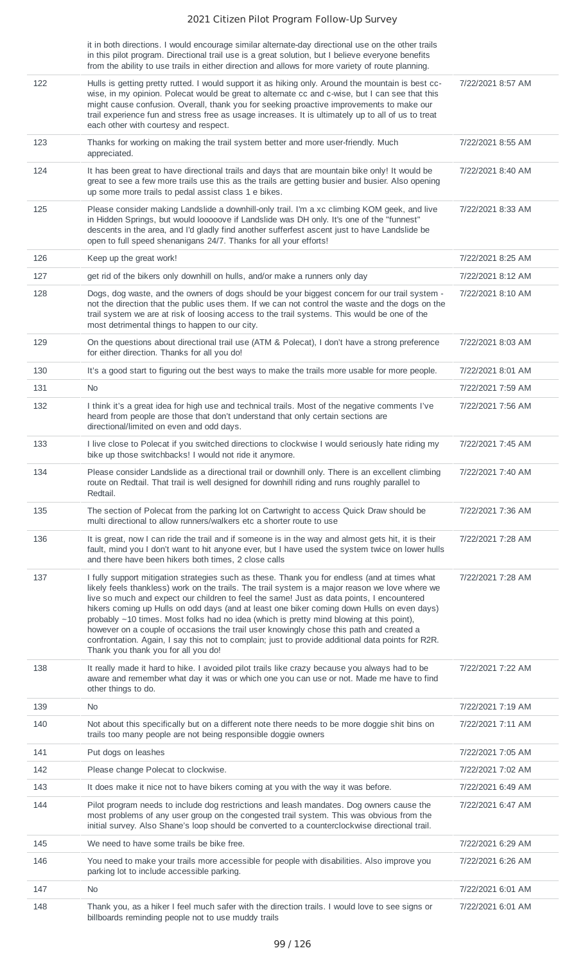|     | it in both directions. I would encourage similar alternate-day directional use on the other trails<br>in this pilot program. Directional trail use is a great solution, but I believe everyone benefits<br>from the ability to use trails in either direction and allows for more variety of route planning.                                                                                                                                                                                                                                                                                                                                                                                                                   |                   |
|-----|--------------------------------------------------------------------------------------------------------------------------------------------------------------------------------------------------------------------------------------------------------------------------------------------------------------------------------------------------------------------------------------------------------------------------------------------------------------------------------------------------------------------------------------------------------------------------------------------------------------------------------------------------------------------------------------------------------------------------------|-------------------|
| 122 | Hulls is getting pretty rutted. I would support it as hiking only. Around the mountain is best cc-<br>wise, in my opinion. Polecat would be great to alternate cc and c-wise, but I can see that this<br>might cause confusion. Overall, thank you for seeking proactive improvements to make our<br>trail experience fun and stress free as usage increases. It is ultimately up to all of us to treat<br>each other with courtesy and respect.                                                                                                                                                                                                                                                                               | 7/22/2021 8:57 AM |
| 123 | Thanks for working on making the trail system better and more user-friendly. Much<br>appreciated.                                                                                                                                                                                                                                                                                                                                                                                                                                                                                                                                                                                                                              | 7/22/2021 8:55 AM |
| 124 | It has been great to have directional trails and days that are mountain bike only! It would be<br>great to see a few more trails use this as the trails are getting busier and busier. Also opening<br>up some more trails to pedal assist class 1 e bikes.                                                                                                                                                                                                                                                                                                                                                                                                                                                                    | 7/22/2021 8:40 AM |
| 125 | Please consider making Landslide a downhill-only trail. I'm a xc climbing KOM geek, and live<br>in Hidden Springs, but would looooove if Landslide was DH only. It's one of the "funnest"<br>descents in the area, and I'd gladly find another sufferfest ascent just to have Landslide be<br>open to full speed shenanigans 24/7. Thanks for all your efforts!                                                                                                                                                                                                                                                                                                                                                                | 7/22/2021 8:33 AM |
| 126 | Keep up the great work!                                                                                                                                                                                                                                                                                                                                                                                                                                                                                                                                                                                                                                                                                                        | 7/22/2021 8:25 AM |
| 127 | get rid of the bikers only downhill on hulls, and/or make a runners only day                                                                                                                                                                                                                                                                                                                                                                                                                                                                                                                                                                                                                                                   | 7/22/2021 8:12 AM |
| 128 | Dogs, dog waste, and the owners of dogs should be your biggest concern for our trail system -<br>not the direction that the public uses them. If we can not control the waste and the dogs on the<br>trail system we are at risk of loosing access to the trail systems. This would be one of the<br>most detrimental things to happen to our city.                                                                                                                                                                                                                                                                                                                                                                            | 7/22/2021 8:10 AM |
| 129 | On the questions about directional trail use (ATM & Polecat), I don't have a strong preference<br>for either direction. Thanks for all you do!                                                                                                                                                                                                                                                                                                                                                                                                                                                                                                                                                                                 | 7/22/2021 8:03 AM |
| 130 | It's a good start to figuring out the best ways to make the trails more usable for more people.                                                                                                                                                                                                                                                                                                                                                                                                                                                                                                                                                                                                                                | 7/22/2021 8:01 AM |
| 131 | <b>No</b>                                                                                                                                                                                                                                                                                                                                                                                                                                                                                                                                                                                                                                                                                                                      | 7/22/2021 7:59 AM |
| 132 | I think it's a great idea for high use and technical trails. Most of the negative comments I've<br>heard from people are those that don't understand that only certain sections are<br>directional/limited on even and odd days.                                                                                                                                                                                                                                                                                                                                                                                                                                                                                               | 7/22/2021 7:56 AM |
| 133 | I live close to Polecat if you switched directions to clockwise I would seriously hate riding my<br>bike up those switchbacks! I would not ride it anymore.                                                                                                                                                                                                                                                                                                                                                                                                                                                                                                                                                                    | 7/22/2021 7:45 AM |
| 134 | Please consider Landslide as a directional trail or downhill only. There is an excellent climbing<br>route on Redtail. That trail is well designed for downhill riding and runs roughly parallel to<br>Redtail.                                                                                                                                                                                                                                                                                                                                                                                                                                                                                                                | 7/22/2021 7:40 AM |
| 135 | The section of Polecat from the parking lot on Cartwright to access Quick Draw should be<br>multi directional to allow runners/walkers etc a shorter route to use                                                                                                                                                                                                                                                                                                                                                                                                                                                                                                                                                              | 7/22/2021 7:36 AM |
| 136 | It is great, now I can ride the trail and if someone is in the way and almost gets hit, it is their<br>fault, mind you I don't want to hit anyone ever, but I have used the system twice on lower hulls<br>and there have been hikers both times, 2 close calls                                                                                                                                                                                                                                                                                                                                                                                                                                                                | 7/22/2021 7:28 AM |
| 137 | I fully support mitigation strategies such as these. Thank you for endless (and at times what<br>likely feels thankless) work on the trails. The trail system is a major reason we love where we<br>live so much and expect our children to feel the same! Just as data points, I encountered<br>hikers coming up Hulls on odd days (and at least one biker coming down Hulls on even days)<br>probably ~10 times. Most folks had no idea (which is pretty mind blowing at this point),<br>however on a couple of occasions the trail user knowingly chose this path and created a<br>confrontation. Again, I say this not to complain; just to provide additional data points for R2R.<br>Thank you thank you for all you do! | 7/22/2021 7:28 AM |
| 138 | It really made it hard to hike. I avoided pilot trails like crazy because you always had to be<br>aware and remember what day it was or which one you can use or not. Made me have to find<br>other things to do.                                                                                                                                                                                                                                                                                                                                                                                                                                                                                                              | 7/22/2021 7:22 AM |
| 139 | No                                                                                                                                                                                                                                                                                                                                                                                                                                                                                                                                                                                                                                                                                                                             | 7/22/2021 7:19 AM |
| 140 | Not about this specifically but on a different note there needs to be more doggie shit bins on<br>trails too many people are not being responsible doggie owners                                                                                                                                                                                                                                                                                                                                                                                                                                                                                                                                                               | 7/22/2021 7:11 AM |
| 141 | Put dogs on leashes                                                                                                                                                                                                                                                                                                                                                                                                                                                                                                                                                                                                                                                                                                            | 7/22/2021 7:05 AM |
| 142 | Please change Polecat to clockwise.                                                                                                                                                                                                                                                                                                                                                                                                                                                                                                                                                                                                                                                                                            | 7/22/2021 7:02 AM |
| 143 | It does make it nice not to have bikers coming at you with the way it was before.                                                                                                                                                                                                                                                                                                                                                                                                                                                                                                                                                                                                                                              | 7/22/2021 6:49 AM |
| 144 | Pilot program needs to include dog restrictions and leash mandates. Dog owners cause the<br>most problems of any user group on the congested trail system. This was obvious from the<br>initial survey. Also Shane's loop should be converted to a counterclockwise directional trail.                                                                                                                                                                                                                                                                                                                                                                                                                                         | 7/22/2021 6:47 AM |
| 145 | We need to have some trails be bike free.                                                                                                                                                                                                                                                                                                                                                                                                                                                                                                                                                                                                                                                                                      | 7/22/2021 6:29 AM |
| 146 | You need to make your trails more accessible for people with disabilities. Also improve you<br>parking lot to include accessible parking.                                                                                                                                                                                                                                                                                                                                                                                                                                                                                                                                                                                      | 7/22/2021 6:26 AM |
| 147 | No.                                                                                                                                                                                                                                                                                                                                                                                                                                                                                                                                                                                                                                                                                                                            | 7/22/2021 6:01 AM |
| 148 | Thank you, as a hiker I feel much safer with the direction trails. I would love to see signs or<br>billboards reminding people not to use muddy trails                                                                                                                                                                                                                                                                                                                                                                                                                                                                                                                                                                         | 7/22/2021 6:01 AM |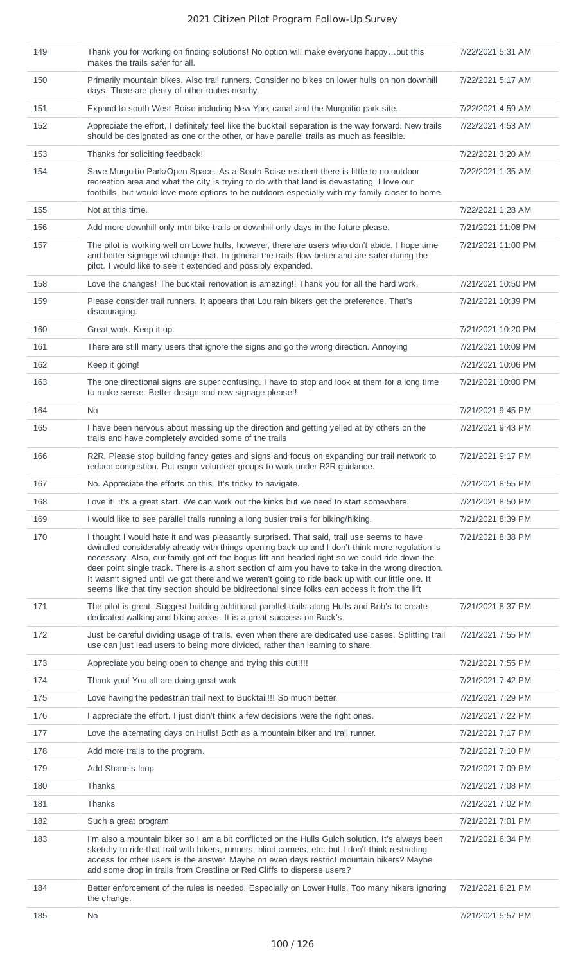| 149 | Thank you for working on finding solutions! No option will make everyone happybut this<br>makes the trails safer for all.                                                                                                                                                                                                                                                                                                                                                                                                                                                                              | 7/22/2021 5:31 AM  |
|-----|--------------------------------------------------------------------------------------------------------------------------------------------------------------------------------------------------------------------------------------------------------------------------------------------------------------------------------------------------------------------------------------------------------------------------------------------------------------------------------------------------------------------------------------------------------------------------------------------------------|--------------------|
| 150 | Primarily mountain bikes. Also trail runners. Consider no bikes on lower hulls on non downhill<br>days. There are plenty of other routes nearby.                                                                                                                                                                                                                                                                                                                                                                                                                                                       | 7/22/2021 5:17 AM  |
| 151 | Expand to south West Boise including New York canal and the Murgoitio park site.                                                                                                                                                                                                                                                                                                                                                                                                                                                                                                                       | 7/22/2021 4:59 AM  |
| 152 | Appreciate the effort, I definitely feel like the bucktail separation is the way forward. New trails<br>should be designated as one or the other, or have parallel trails as much as feasible.                                                                                                                                                                                                                                                                                                                                                                                                         | 7/22/2021 4:53 AM  |
| 153 | Thanks for soliciting feedback!                                                                                                                                                                                                                                                                                                                                                                                                                                                                                                                                                                        | 7/22/2021 3:20 AM  |
| 154 | Save Murguitio Park/Open Space. As a South Boise resident there is little to no outdoor<br>recreation area and what the city is trying to do with that land is devastating. I love our<br>foothills, but would love more options to be outdoors especially with my family closer to home.                                                                                                                                                                                                                                                                                                              | 7/22/2021 1:35 AM  |
| 155 | Not at this time.                                                                                                                                                                                                                                                                                                                                                                                                                                                                                                                                                                                      | 7/22/2021 1:28 AM  |
| 156 | Add more downhill only mtn bike trails or downhill only days in the future please.                                                                                                                                                                                                                                                                                                                                                                                                                                                                                                                     | 7/21/2021 11:08 PM |
| 157 | The pilot is working well on Lowe hulls, however, there are users who don't abide. I hope time<br>and better signage wil change that. In general the trails flow better and are safer during the<br>pilot. I would like to see it extended and possibly expanded.                                                                                                                                                                                                                                                                                                                                      | 7/21/2021 11:00 PM |
| 158 | Love the changes! The bucktail renovation is amazing!! Thank you for all the hard work.                                                                                                                                                                                                                                                                                                                                                                                                                                                                                                                | 7/21/2021 10:50 PM |
| 159 | Please consider trail runners. It appears that Lou rain bikers get the preference. That's<br>discouraging.                                                                                                                                                                                                                                                                                                                                                                                                                                                                                             | 7/21/2021 10:39 PM |
| 160 | Great work. Keep it up.                                                                                                                                                                                                                                                                                                                                                                                                                                                                                                                                                                                | 7/21/2021 10:20 PM |
| 161 | There are still many users that ignore the signs and go the wrong direction. Annoying                                                                                                                                                                                                                                                                                                                                                                                                                                                                                                                  | 7/21/2021 10:09 PM |
| 162 | Keep it going!                                                                                                                                                                                                                                                                                                                                                                                                                                                                                                                                                                                         | 7/21/2021 10:06 PM |
| 163 | The one directional signs are super confusing. I have to stop and look at them for a long time<br>to make sense. Better design and new signage please!!                                                                                                                                                                                                                                                                                                                                                                                                                                                | 7/21/2021 10:00 PM |
| 164 | No.                                                                                                                                                                                                                                                                                                                                                                                                                                                                                                                                                                                                    | 7/21/2021 9:45 PM  |
| 165 | I have been nervous about messing up the direction and getting yelled at by others on the<br>trails and have completely avoided some of the trails                                                                                                                                                                                                                                                                                                                                                                                                                                                     | 7/21/2021 9:43 PM  |
| 166 | R2R, Please stop building fancy gates and signs and focus on expanding our trail network to<br>reduce congestion. Put eager volunteer groups to work under R2R guidance.                                                                                                                                                                                                                                                                                                                                                                                                                               | 7/21/2021 9:17 PM  |
| 167 | No. Appreciate the efforts on this. It's tricky to navigate.                                                                                                                                                                                                                                                                                                                                                                                                                                                                                                                                           | 7/21/2021 8:55 PM  |
| 168 | Love it! It's a great start. We can work out the kinks but we need to start somewhere.                                                                                                                                                                                                                                                                                                                                                                                                                                                                                                                 | 7/21/2021 8:50 PM  |
| 169 | I would like to see parallel trails running a long busier trails for biking/hiking.                                                                                                                                                                                                                                                                                                                                                                                                                                                                                                                    | 7/21/2021 8:39 PM  |
| 170 | I thought I would hate it and was pleasantly surprised. That said, trail use seems to have<br>dwindled considerably already with things opening back up and I don't think more regulation is<br>necessary. Also, our family got off the bogus lift and headed right so we could ride down the<br>deer point single track. There is a short section of atm you have to take in the wrong direction.<br>It wasn't signed until we got there and we weren't going to ride back up with our little one. It<br>seems like that tiny section should be bidirectional since folks can access it from the lift | 7/21/2021 8:38 PM  |
| 171 | The pilot is great. Suggest building additional parallel trails along Hulls and Bob's to create<br>dedicated walking and biking areas. It is a great success on Buck's.                                                                                                                                                                                                                                                                                                                                                                                                                                | 7/21/2021 8:37 PM  |
| 172 | Just be careful dividing usage of trails, even when there are dedicated use cases. Splitting trail<br>use can just lead users to being more divided, rather than learning to share.                                                                                                                                                                                                                                                                                                                                                                                                                    | 7/21/2021 7:55 PM  |
| 173 | Appreciate you being open to change and trying this out!!!!                                                                                                                                                                                                                                                                                                                                                                                                                                                                                                                                            | 7/21/2021 7:55 PM  |
| 174 | Thank you! You all are doing great work                                                                                                                                                                                                                                                                                                                                                                                                                                                                                                                                                                | 7/21/2021 7:42 PM  |
| 175 | Love having the pedestrian trail next to Bucktail!!! So much better.                                                                                                                                                                                                                                                                                                                                                                                                                                                                                                                                   | 7/21/2021 7:29 PM  |
| 176 | I appreciate the effort. I just didn't think a few decisions were the right ones.                                                                                                                                                                                                                                                                                                                                                                                                                                                                                                                      | 7/21/2021 7:22 PM  |
| 177 | Love the alternating days on Hulls! Both as a mountain biker and trail runner.                                                                                                                                                                                                                                                                                                                                                                                                                                                                                                                         | 7/21/2021 7:17 PM  |
| 178 | Add more trails to the program.                                                                                                                                                                                                                                                                                                                                                                                                                                                                                                                                                                        | 7/21/2021 7:10 PM  |
| 179 | Add Shane's loop                                                                                                                                                                                                                                                                                                                                                                                                                                                                                                                                                                                       | 7/21/2021 7:09 PM  |
| 180 | Thanks                                                                                                                                                                                                                                                                                                                                                                                                                                                                                                                                                                                                 | 7/21/2021 7:08 PM  |
| 181 | <b>Thanks</b>                                                                                                                                                                                                                                                                                                                                                                                                                                                                                                                                                                                          | 7/21/2021 7:02 PM  |
| 182 | Such a great program                                                                                                                                                                                                                                                                                                                                                                                                                                                                                                                                                                                   | 7/21/2021 7:01 PM  |
| 183 | I'm also a mountain biker so I am a bit conflicted on the Hulls Gulch solution. It's always been<br>sketchy to ride that trail with hikers, runners, blind corners, etc. but I don't think restricting<br>access for other users is the answer. Maybe on even days restrict mountain bikers? Maybe<br>add some drop in trails from Crestline or Red Cliffs to disperse users?                                                                                                                                                                                                                          | 7/21/2021 6:34 PM  |
| 184 | Better enforcement of the rules is needed. Especially on Lower Hulls. Too many hikers ignoring<br>the change.                                                                                                                                                                                                                                                                                                                                                                                                                                                                                          | 7/21/2021 6:21 PM  |
| 185 | No                                                                                                                                                                                                                                                                                                                                                                                                                                                                                                                                                                                                     | 7/21/2021 5:57 PM  |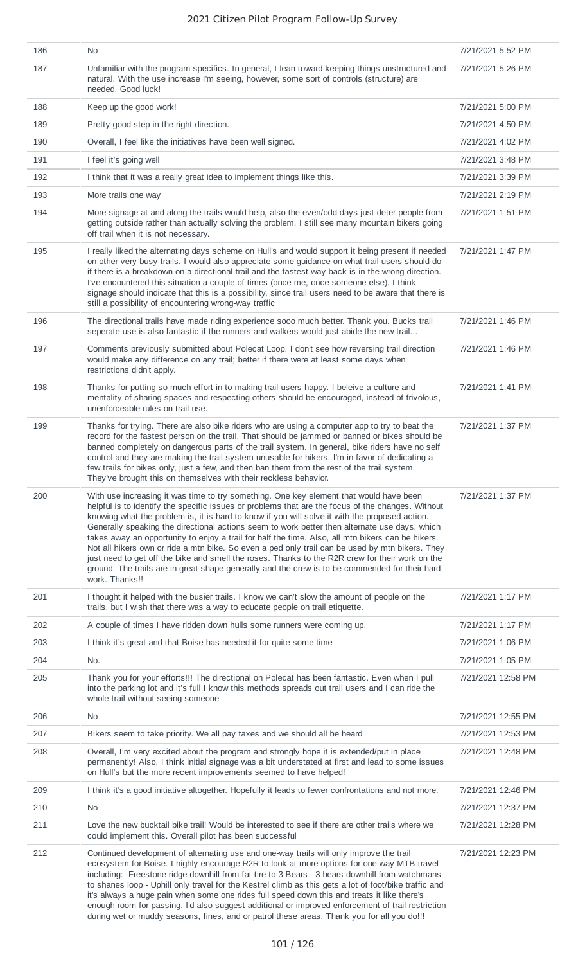| 186 | No.                                                                                                                                                                                                                                                                                                                                                                                                                                                                                                                                                                                                                                                                                                                                                                                                                           | 7/21/2021 5:52 PM  |
|-----|-------------------------------------------------------------------------------------------------------------------------------------------------------------------------------------------------------------------------------------------------------------------------------------------------------------------------------------------------------------------------------------------------------------------------------------------------------------------------------------------------------------------------------------------------------------------------------------------------------------------------------------------------------------------------------------------------------------------------------------------------------------------------------------------------------------------------------|--------------------|
| 187 | Unfamiliar with the program specifics. In general, I lean toward keeping things unstructured and<br>natural. With the use increase I'm seeing, however, some sort of controls (structure) are<br>needed. Good luck!                                                                                                                                                                                                                                                                                                                                                                                                                                                                                                                                                                                                           | 7/21/2021 5:26 PM  |
| 188 | Keep up the good work!                                                                                                                                                                                                                                                                                                                                                                                                                                                                                                                                                                                                                                                                                                                                                                                                        | 7/21/2021 5:00 PM  |
| 189 | Pretty good step in the right direction.                                                                                                                                                                                                                                                                                                                                                                                                                                                                                                                                                                                                                                                                                                                                                                                      | 7/21/2021 4:50 PM  |
| 190 | Overall, I feel like the initiatives have been well signed.                                                                                                                                                                                                                                                                                                                                                                                                                                                                                                                                                                                                                                                                                                                                                                   | 7/21/2021 4:02 PM  |
| 191 | I feel it's going well                                                                                                                                                                                                                                                                                                                                                                                                                                                                                                                                                                                                                                                                                                                                                                                                        | 7/21/2021 3:48 PM  |
| 192 | I think that it was a really great idea to implement things like this.                                                                                                                                                                                                                                                                                                                                                                                                                                                                                                                                                                                                                                                                                                                                                        | 7/21/2021 3:39 PM  |
| 193 | More trails one way                                                                                                                                                                                                                                                                                                                                                                                                                                                                                                                                                                                                                                                                                                                                                                                                           | 7/21/2021 2:19 PM  |
| 194 | More signage at and along the trails would help, also the even/odd days just deter people from<br>getting outside rather than actually solving the problem. I still see many mountain bikers going<br>off trail when it is not necessary.                                                                                                                                                                                                                                                                                                                                                                                                                                                                                                                                                                                     | 7/21/2021 1:51 PM  |
| 195 | I really liked the alternating days scheme on Hull's and would support it being present if needed<br>on other very busy trails. I would also appreciate some guidance on what trail users should do<br>if there is a breakdown on a directional trail and the fastest way back is in the wrong direction.<br>I've encountered this situation a couple of times (once me, once someone else). I think<br>signage should indicate that this is a possibility, since trail users need to be aware that there is<br>still a possibility of encountering wrong-way traffic                                                                                                                                                                                                                                                         | 7/21/2021 1:47 PM  |
| 196 | The directional trails have made riding experience sooo much better. Thank you. Bucks trail<br>seperate use is also fantastic if the runners and walkers would just abide the new trail                                                                                                                                                                                                                                                                                                                                                                                                                                                                                                                                                                                                                                       | 7/21/2021 1:46 PM  |
| 197 | Comments previously submitted about Polecat Loop. I don't see how reversing trail direction<br>would make any difference on any trail; better if there were at least some days when<br>restrictions didn't apply.                                                                                                                                                                                                                                                                                                                                                                                                                                                                                                                                                                                                             | 7/21/2021 1:46 PM  |
| 198 | Thanks for putting so much effort in to making trail users happy. I beleive a culture and<br>mentality of sharing spaces and respecting others should be encouraged, instead of frivolous,<br>unenforceable rules on trail use.                                                                                                                                                                                                                                                                                                                                                                                                                                                                                                                                                                                               | 7/21/2021 1:41 PM  |
| 199 | Thanks for trying. There are also bike riders who are using a computer app to try to beat the<br>record for the fastest person on the trail. That should be jammed or banned or bikes should be<br>banned completely on dangerous parts of the trail system. In general, bike riders have no self<br>control and they are making the trail system unusable for hikers. I'm in favor of dedicating a<br>few trails for bikes only, just a few, and then ban them from the rest of the trail system.<br>They've brought this on themselves with their reckless behavior.                                                                                                                                                                                                                                                        | 7/21/2021 1:37 PM  |
| 200 | With use increasing it was time to try something. One key element that would have been<br>helpful is to identify the specific issues or problems that are the focus of the changes. Without<br>knowing what the problem is, it is hard to know if you will solve it with the proposed action.<br>Generally speaking the directional actions seem to work better then alternate use days, which<br>takes away an opportunity to enjoy a trail for half the time. Also, all mtn bikers can be hikers.<br>Not all hikers own or ride a mtn bike. So even a ped only trail can be used by mtn bikers. They<br>just need to get off the bike and smell the roses. Thanks to the R2R crew for their work on the<br>ground. The trails are in great shape generally and the crew is to be commended for their hard<br>work. Thanks!! | 7/21/2021 1:37 PM  |
| 201 | I thought it helped with the busier trails. I know we can't slow the amount of people on the<br>trails, but I wish that there was a way to educate people on trail etiquette.                                                                                                                                                                                                                                                                                                                                                                                                                                                                                                                                                                                                                                                 | 7/21/2021 1:17 PM  |
| 202 | A couple of times I have ridden down hulls some runners were coming up.                                                                                                                                                                                                                                                                                                                                                                                                                                                                                                                                                                                                                                                                                                                                                       | 7/21/2021 1:17 PM  |
| 203 | I think it's great and that Boise has needed it for quite some time                                                                                                                                                                                                                                                                                                                                                                                                                                                                                                                                                                                                                                                                                                                                                           | 7/21/2021 1:06 PM  |
| 204 | No.                                                                                                                                                                                                                                                                                                                                                                                                                                                                                                                                                                                                                                                                                                                                                                                                                           | 7/21/2021 1:05 PM  |
| 205 | Thank you for your efforts!!! The directional on Polecat has been fantastic. Even when I pull<br>into the parking lot and it's full I know this methods spreads out trail users and I can ride the<br>whole trail without seeing someone                                                                                                                                                                                                                                                                                                                                                                                                                                                                                                                                                                                      | 7/21/2021 12:58 PM |
| 206 | No.                                                                                                                                                                                                                                                                                                                                                                                                                                                                                                                                                                                                                                                                                                                                                                                                                           | 7/21/2021 12:55 PM |
| 207 | Bikers seem to take priority. We all pay taxes and we should all be heard                                                                                                                                                                                                                                                                                                                                                                                                                                                                                                                                                                                                                                                                                                                                                     | 7/21/2021 12:53 PM |
| 208 | Overall, I'm very excited about the program and strongly hope it is extended/put in place<br>permanently! Also, I think initial signage was a bit understated at first and lead to some issues<br>on Hull's but the more recent improvements seemed to have helped!                                                                                                                                                                                                                                                                                                                                                                                                                                                                                                                                                           | 7/21/2021 12:48 PM |
| 209 | I think it's a good initiative altogether. Hopefully it leads to fewer confrontations and not more.                                                                                                                                                                                                                                                                                                                                                                                                                                                                                                                                                                                                                                                                                                                           | 7/21/2021 12:46 PM |
| 210 | No                                                                                                                                                                                                                                                                                                                                                                                                                                                                                                                                                                                                                                                                                                                                                                                                                            | 7/21/2021 12:37 PM |
| 211 | Love the new bucktail bike trail! Would be interested to see if there are other trails where we<br>could implement this. Overall pilot has been successful                                                                                                                                                                                                                                                                                                                                                                                                                                                                                                                                                                                                                                                                    | 7/21/2021 12:28 PM |
| 212 | Continued development of alternating use and one-way trails will only improve the trail<br>ecosystem for Boise. I highly encourage R2R to look at more options for one-way MTB travel<br>including: -Freestone ridge downhill from fat tire to 3 Bears - 3 bears downhill from watchmans<br>to shanes loop - Uphill only travel for the Kestrel climb as this gets a lot of foot/bike traffic and<br>it's always a huge pain when some one rides full speed down this and treats it like there's<br>enough room for passing. I'd also suggest additional or improved enforcement of trail restriction<br>during wet or muddy seasons, fines, and or patrol these areas. Thank you for all you do!!!                                                                                                                           | 7/21/2021 12:23 PM |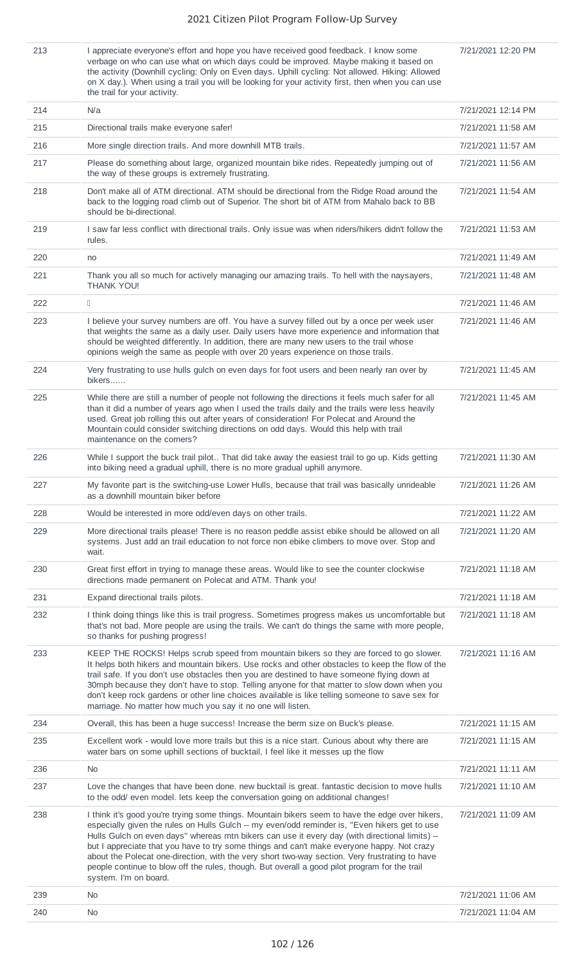7/21/2021 12:20 PM

213 I appreciate everyone's effort and hope you have received good feedback. I know some verbage on who can use what on which days could be improved. Maybe making it based on the activity (Downhill cycling: Only on Even days. Uphill cycling: Not allowed. Hiking: Allowed on X day.). When using a trail you will be looking for your activity first, then when you can use the trail for your activity.

| 214 | N/a                                                                                                                                                                                                                                                                                                                                                                                                                                                                                                                                                                                                                          | 7/21/2021 12:14 PM |
|-----|------------------------------------------------------------------------------------------------------------------------------------------------------------------------------------------------------------------------------------------------------------------------------------------------------------------------------------------------------------------------------------------------------------------------------------------------------------------------------------------------------------------------------------------------------------------------------------------------------------------------------|--------------------|
| 215 | Directional trails make everyone safer!                                                                                                                                                                                                                                                                                                                                                                                                                                                                                                                                                                                      | 7/21/2021 11:58 AM |
| 216 | More single direction trails. And more downhill MTB trails.                                                                                                                                                                                                                                                                                                                                                                                                                                                                                                                                                                  | 7/21/2021 11:57 AM |
| 217 | Please do something about large, organized mountain bike rides. Repeatedly jumping out of<br>the way of these groups is extremely frustrating.                                                                                                                                                                                                                                                                                                                                                                                                                                                                               | 7/21/2021 11:56 AM |
| 218 | Don't make all of ATM directional. ATM should be directional from the Ridge Road around the<br>back to the logging road climb out of Superior. The short bit of ATM from Mahalo back to BB<br>should be bi-directional.                                                                                                                                                                                                                                                                                                                                                                                                      | 7/21/2021 11:54 AM |
| 219 | I saw far less conflict with directional trails. Only issue was when riders/hikers didn't follow the<br>rules.                                                                                                                                                                                                                                                                                                                                                                                                                                                                                                               | 7/21/2021 11:53 AM |
| 220 | no                                                                                                                                                                                                                                                                                                                                                                                                                                                                                                                                                                                                                           | 7/21/2021 11:49 AM |
| 221 | Thank you all so much for actively managing our amazing trails. To hell with the naysayers,<br>THANK YOU!                                                                                                                                                                                                                                                                                                                                                                                                                                                                                                                    | 7/21/2021 11:48 AM |
| 222 | $\begin{array}{c} \square \end{array}$                                                                                                                                                                                                                                                                                                                                                                                                                                                                                                                                                                                       | 7/21/2021 11:46 AM |
| 223 | I believe your survey numbers are off. You have a survey filled out by a once per week user<br>that weights the same as a daily user. Daily users have more experience and information that<br>should be weighted differently. In addition, there are many new users to the trail whose<br>opinions weigh the same as people with over 20 years experience on those trails.                                                                                                                                                                                                                                                  | 7/21/2021 11:46 AM |
| 224 | Very frustrating to use hulls gulch on even days for foot users and been nearly ran over by<br>bikers                                                                                                                                                                                                                                                                                                                                                                                                                                                                                                                        | 7/21/2021 11:45 AM |
| 225 | While there are still a number of people not following the directions it feels much safer for all<br>than it did a number of years ago when I used the trails daily and the trails were less heavily<br>used. Great job rolling this out after years of consideration! For Polecat and Around the<br>Mountain could consider switching directions on odd days. Would this help with trail<br>maintenance on the corners?                                                                                                                                                                                                     | 7/21/2021 11:45 AM |
| 226 | While I support the buck trail pilot That did take away the easiest trail to go up. Kids getting<br>into biking need a gradual uphill, there is no more gradual uphill anymore.                                                                                                                                                                                                                                                                                                                                                                                                                                              | 7/21/2021 11:30 AM |
| 227 | My favorite part is the switching-use Lower Hulls, because that trail was basically unrideable<br>as a downhill mountain biker before                                                                                                                                                                                                                                                                                                                                                                                                                                                                                        | 7/21/2021 11:26 AM |
| 228 | Would be interested in more odd/even days on other trails.                                                                                                                                                                                                                                                                                                                                                                                                                                                                                                                                                                   | 7/21/2021 11:22 AM |
| 229 | More directional trails please! There is no reason peddle assist ebike should be allowed on all<br>systems. Just add an trail education to not force non ebike climbers to move over. Stop and<br>wait.                                                                                                                                                                                                                                                                                                                                                                                                                      | 7/21/2021 11:20 AM |
| 230 | Great first effort in trying to manage these areas. Would like to see the counter clockwise<br>directions made permanent on Polecat and ATM. Thank you!                                                                                                                                                                                                                                                                                                                                                                                                                                                                      | 7/21/2021 11:18 AM |
| 231 | Expand directional trails pilots.                                                                                                                                                                                                                                                                                                                                                                                                                                                                                                                                                                                            | 7/21/2021 11:18 AM |
| 232 | I think doing things like this is trail progress. Sometimes progress makes us uncomfortable but<br>that's not bad. More people are using the trails. We can't do things the same with more people,<br>so thanks for pushing progress!                                                                                                                                                                                                                                                                                                                                                                                        | 7/21/2021 11:18 AM |
| 233 | KEEP THE ROCKS! Helps scrub speed from mountain bikers so they are forced to go slower.<br>It helps both hikers and mountain bikers. Use rocks and other obstacles to keep the flow of the<br>trail safe. If you don't use obstacles then you are destined to have someone flying down at<br>30mph because they don't have to stop. Telling anyone for that matter to slow down when you<br>don't keep rock gardens or other line choices available is like telling someone to save sex for<br>marriage. No matter how much you say it no one will listen.                                                                   | 7/21/2021 11:16 AM |
| 234 | Overall, this has been a huge success! Increase the berm size on Buck's please.                                                                                                                                                                                                                                                                                                                                                                                                                                                                                                                                              | 7/21/2021 11:15 AM |
| 235 | Excellent work - would love more trails but this is a nice start. Curious about why there are<br>water bars on some uphill sections of bucktail, I feel like it messes up the flow                                                                                                                                                                                                                                                                                                                                                                                                                                           | 7/21/2021 11:15 AM |
| 236 | <b>No</b>                                                                                                                                                                                                                                                                                                                                                                                                                                                                                                                                                                                                                    | 7/21/2021 11:11 AM |
| 237 | Love the changes that have been done. new bucktail is great. fantastic decision to move hulls<br>to the odd/ even model. lets keep the conversation going on additional changes!                                                                                                                                                                                                                                                                                                                                                                                                                                             | 7/21/2021 11:10 AM |
| 238 | I think it's good you're trying some things. Mountain bikers seem to have the edge over hikers,<br>especially given the rules on Hulls Gulch -- my even/odd reminder is, "Even hikers get to use<br>Hulls Gulch on even days" whereas mtn bikers can use it every day (with directional limits) --<br>but I appreciate that you have to try some things and can't make everyone happy. Not crazy<br>about the Polecat one-direction, with the very short two-way section. Very frustrating to have<br>people continue to blow off the rules, though. But overall a good pilot program for the trail<br>system. I'm on board. | 7/21/2021 11:09 AM |
| 239 | No                                                                                                                                                                                                                                                                                                                                                                                                                                                                                                                                                                                                                           | 7/21/2021 11:06 AM |
| 240 | No                                                                                                                                                                                                                                                                                                                                                                                                                                                                                                                                                                                                                           | 7/21/2021 11:04 AM |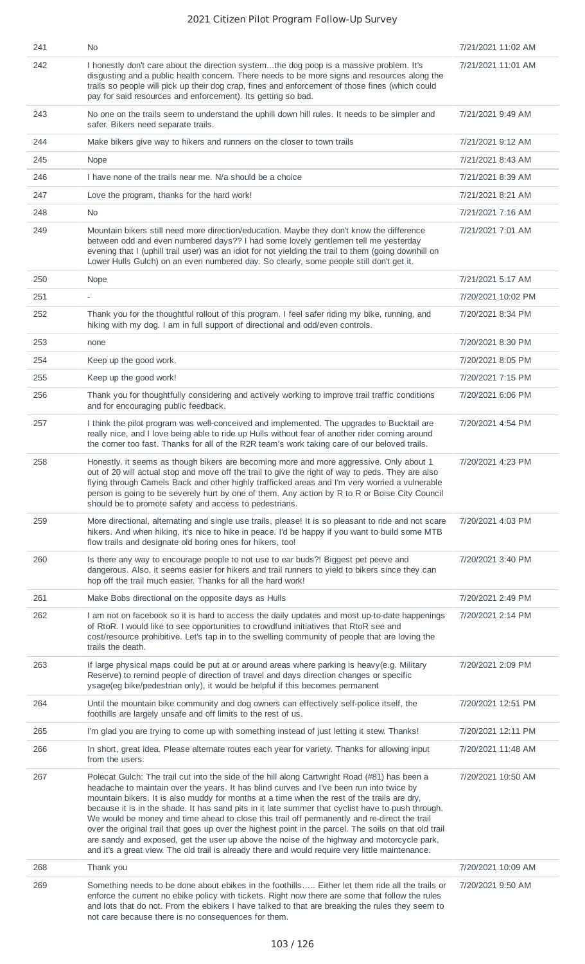| 241 | No.                                                                                                                                                                                                                                                                                                                                                                                                                                                                                                                                                                                                                                                                                                                                                                                                       | 7/21/2021 11:02 AM |
|-----|-----------------------------------------------------------------------------------------------------------------------------------------------------------------------------------------------------------------------------------------------------------------------------------------------------------------------------------------------------------------------------------------------------------------------------------------------------------------------------------------------------------------------------------------------------------------------------------------------------------------------------------------------------------------------------------------------------------------------------------------------------------------------------------------------------------|--------------------|
| 242 | I honestly don't care about the direction systemthe dog poop is a massive problem. It's<br>disgusting and a public health concern. There needs to be more signs and resources along the<br>trails so people will pick up their dog crap, fines and enforcement of those fines (which could<br>pay for said resources and enforcement). Its getting so bad.                                                                                                                                                                                                                                                                                                                                                                                                                                                | 7/21/2021 11:01 AM |
| 243 | No one on the trails seem to understand the uphill down hill rules. It needs to be simpler and<br>safer. Bikers need separate trails.                                                                                                                                                                                                                                                                                                                                                                                                                                                                                                                                                                                                                                                                     | 7/21/2021 9:49 AM  |
| 244 | Make bikers give way to hikers and runners on the closer to town trails                                                                                                                                                                                                                                                                                                                                                                                                                                                                                                                                                                                                                                                                                                                                   | 7/21/2021 9:12 AM  |
| 245 | Nope                                                                                                                                                                                                                                                                                                                                                                                                                                                                                                                                                                                                                                                                                                                                                                                                      | 7/21/2021 8:43 AM  |
| 246 | I have none of the trails near me. N/a should be a choice                                                                                                                                                                                                                                                                                                                                                                                                                                                                                                                                                                                                                                                                                                                                                 | 7/21/2021 8:39 AM  |
| 247 | Love the program, thanks for the hard work!                                                                                                                                                                                                                                                                                                                                                                                                                                                                                                                                                                                                                                                                                                                                                               | 7/21/2021 8:21 AM  |
| 248 | No                                                                                                                                                                                                                                                                                                                                                                                                                                                                                                                                                                                                                                                                                                                                                                                                        | 7/21/2021 7:16 AM  |
| 249 | Mountain bikers still need more direction/education. Maybe they don't know the difference<br>between odd and even numbered days?? I had some lovely gentlemen tell me yesterday<br>evening that I (uphill trail user) was an idiot for not yielding the trail to them (going downhill on<br>Lower Hulls Gulch) on an even numbered day. So clearly, some people still don't get it.                                                                                                                                                                                                                                                                                                                                                                                                                       | 7/21/2021 7:01 AM  |
| 250 | Nope                                                                                                                                                                                                                                                                                                                                                                                                                                                                                                                                                                                                                                                                                                                                                                                                      | 7/21/2021 5:17 AM  |
| 251 |                                                                                                                                                                                                                                                                                                                                                                                                                                                                                                                                                                                                                                                                                                                                                                                                           | 7/20/2021 10:02 PM |
| 252 | Thank you for the thoughtful rollout of this program. I feel safer riding my bike, running, and<br>hiking with my dog. I am in full support of directional and odd/even controls.                                                                                                                                                                                                                                                                                                                                                                                                                                                                                                                                                                                                                         | 7/20/2021 8:34 PM  |
| 253 | none                                                                                                                                                                                                                                                                                                                                                                                                                                                                                                                                                                                                                                                                                                                                                                                                      | 7/20/2021 8:30 PM  |
| 254 | Keep up the good work.                                                                                                                                                                                                                                                                                                                                                                                                                                                                                                                                                                                                                                                                                                                                                                                    | 7/20/2021 8:05 PM  |
| 255 | Keep up the good work!                                                                                                                                                                                                                                                                                                                                                                                                                                                                                                                                                                                                                                                                                                                                                                                    | 7/20/2021 7:15 PM  |
| 256 | Thank you for thoughtfully considering and actively working to improve trail traffic conditions<br>and for encouraging public feedback.                                                                                                                                                                                                                                                                                                                                                                                                                                                                                                                                                                                                                                                                   | 7/20/2021 6:06 PM  |
| 257 | I think the pilot program was well-conceived and implemented. The upgrades to Bucktail are<br>really nice, and I love being able to ride up Hulls without fear of another rider coming around<br>the corner too fast. Thanks for all of the R2R team's work taking care of our beloved trails.                                                                                                                                                                                                                                                                                                                                                                                                                                                                                                            | 7/20/2021 4:54 PM  |
| 258 | Honestly, it seems as though bikers are becoming more and more aggressive. Only about 1<br>out of 20 will actual stop and move off the trail to give the right of way to peds. They are also<br>flying through Camels Back and other highly trafficked areas and I'm very worried a vulnerable<br>person is going to be severely hurt by one of them. Any action by R to R or Boise City Council<br>should be to promote safety and access to pedestrians.                                                                                                                                                                                                                                                                                                                                                | 7/20/2021 4:23 PM  |
| 259 | More directional, alternating and single use trails, please! It is so pleasant to ride and not scare<br>hikers. And when hiking, it's nice to hike in peace. I'd be happy if you want to build some MTB<br>flow trails and designate old boring ones for hikers, too!                                                                                                                                                                                                                                                                                                                                                                                                                                                                                                                                     | 7/20/2021 4:03 PM  |
| 260 | Is there any way to encourage people to not use to ear buds?! Biggest pet peeve and<br>dangerous. Also, it seems easier for hikers and trail runners to yield to bikers since they can<br>hop off the trail much easier. Thanks for all the hard work!                                                                                                                                                                                                                                                                                                                                                                                                                                                                                                                                                    | 7/20/2021 3:40 PM  |
| 261 | Make Bobs directional on the opposite days as Hulls                                                                                                                                                                                                                                                                                                                                                                                                                                                                                                                                                                                                                                                                                                                                                       | 7/20/2021 2:49 PM  |
| 262 | I am not on facebook so it is hard to access the daily updates and most up-to-date happenings<br>of RtoR. I would like to see opportunities to crowdfund initiatives that RtoR see and<br>cost/resource prohibitive. Let's tap in to the swelling community of people that are loving the<br>trails the death.                                                                                                                                                                                                                                                                                                                                                                                                                                                                                            | 7/20/2021 2:14 PM  |
| 263 | If large physical maps could be put at or around areas where parking is heavy(e.g. Military<br>Reserve) to remind people of direction of travel and days direction changes or specific<br>ysage(eg bike/pedestrian only), it would be helpful if this becomes permanent                                                                                                                                                                                                                                                                                                                                                                                                                                                                                                                                   | 7/20/2021 2:09 PM  |
| 264 | Until the mountain bike community and dog owners can effectively self-police itself, the<br>foothills are largely unsafe and off limits to the rest of us.                                                                                                                                                                                                                                                                                                                                                                                                                                                                                                                                                                                                                                                | 7/20/2021 12:51 PM |
| 265 | I'm glad you are trying to come up with something instead of just letting it stew. Thanks!                                                                                                                                                                                                                                                                                                                                                                                                                                                                                                                                                                                                                                                                                                                | 7/20/2021 12:11 PM |
| 266 | In short, great idea. Please alternate routes each year for variety. Thanks for allowing input<br>from the users.                                                                                                                                                                                                                                                                                                                                                                                                                                                                                                                                                                                                                                                                                         | 7/20/2021 11:48 AM |
| 267 | Polecat Gulch: The trail cut into the side of the hill along Cartwright Road (#81) has been a<br>headache to maintain over the years. It has blind curves and I've been run into twice by<br>mountain bikers. It is also muddy for months at a time when the rest of the trails are dry,<br>because it is in the shade. It has sand pits in it late summer that cyclist have to push through.<br>We would be money and time ahead to close this trail off permanently and re-direct the trail<br>over the original trail that goes up over the highest point in the parcel. The soils on that old trail<br>are sandy and exposed, get the user up above the noise of the highway and motorcycle park,<br>and it's a great view. The old trail is already there and would require very little maintenance. | 7/20/2021 10:50 AM |
| 268 | Thank you                                                                                                                                                                                                                                                                                                                                                                                                                                                                                                                                                                                                                                                                                                                                                                                                 | 7/20/2021 10:09 AM |
| 269 | Something needs to be done about ebikes in the foothills Either let them ride all the trails or<br>enforce the current no ebike policy with tickets. Right now there are some that follow the rules<br>and lots that do not. From the ebikers I have talked to that are breaking the rules they seem to<br>not care because there is no consequences for them.                                                                                                                                                                                                                                                                                                                                                                                                                                            | 7/20/2021 9:50 AM  |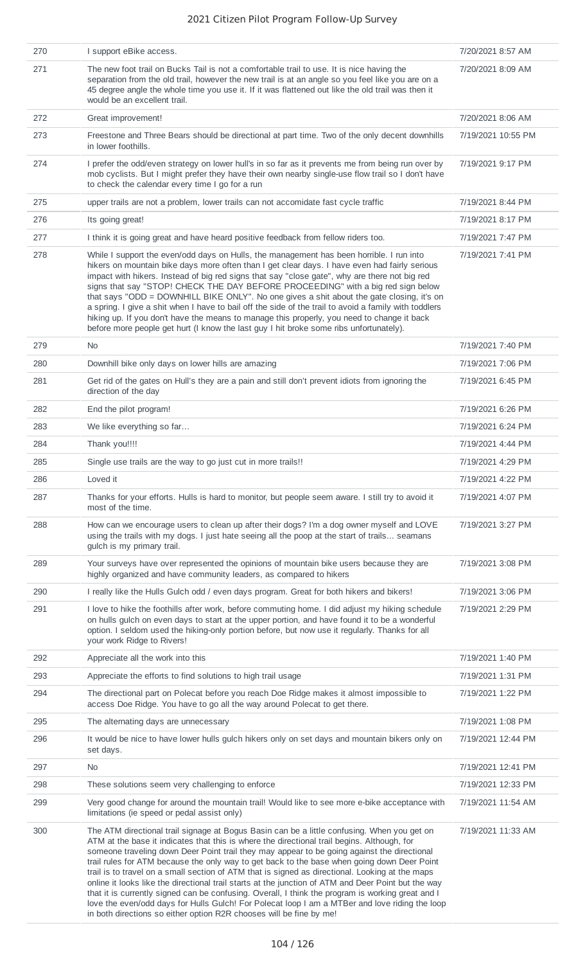| 270 | I support eBike access.                                                                                                                                                                                                                                                                                                                                                                                                                                                                                                                                                                                                                                                                                                                                                                                                                                                          | 7/20/2021 8:57 AM  |
|-----|----------------------------------------------------------------------------------------------------------------------------------------------------------------------------------------------------------------------------------------------------------------------------------------------------------------------------------------------------------------------------------------------------------------------------------------------------------------------------------------------------------------------------------------------------------------------------------------------------------------------------------------------------------------------------------------------------------------------------------------------------------------------------------------------------------------------------------------------------------------------------------|--------------------|
| 271 | The new foot trail on Bucks Tail is not a comfortable trail to use. It is nice having the<br>separation from the old trail, however the new trail is at an angle so you feel like you are on a<br>45 degree angle the whole time you use it. If it was flattened out like the old trail was then it<br>would be an excellent trail.                                                                                                                                                                                                                                                                                                                                                                                                                                                                                                                                              | 7/20/2021 8:09 AM  |
| 272 | Great improvement!                                                                                                                                                                                                                                                                                                                                                                                                                                                                                                                                                                                                                                                                                                                                                                                                                                                               | 7/20/2021 8:06 AM  |
| 273 | Freestone and Three Bears should be directional at part time. Two of the only decent downhills<br>in lower foothills.                                                                                                                                                                                                                                                                                                                                                                                                                                                                                                                                                                                                                                                                                                                                                            | 7/19/2021 10:55 PM |
| 274 | I prefer the odd/even strategy on lower hull's in so far as it prevents me from being run over by<br>mob cyclists. But I might prefer they have their own nearby single-use flow trail so I don't have<br>to check the calendar every time I go for a run                                                                                                                                                                                                                                                                                                                                                                                                                                                                                                                                                                                                                        | 7/19/2021 9:17 PM  |
| 275 | upper trails are not a problem, lower trails can not accomidate fast cycle traffic                                                                                                                                                                                                                                                                                                                                                                                                                                                                                                                                                                                                                                                                                                                                                                                               | 7/19/2021 8:44 PM  |
| 276 | Its going great!                                                                                                                                                                                                                                                                                                                                                                                                                                                                                                                                                                                                                                                                                                                                                                                                                                                                 | 7/19/2021 8:17 PM  |
| 277 | I think it is going great and have heard positive feedback from fellow riders too.                                                                                                                                                                                                                                                                                                                                                                                                                                                                                                                                                                                                                                                                                                                                                                                               | 7/19/2021 7:47 PM  |
| 278 | While I support the even/odd days on Hulls, the management has been horrible. I run into<br>hikers on mountain bike days more often than I get clear days. I have even had fairly serious<br>impact with hikers. Instead of big red signs that say "close gate", why are there not big red<br>signs that say "STOP! CHECK THE DAY BEFORE PROCEEDING" with a big red sign below<br>that says "ODD = DOWNHILL BIKE ONLY". No one gives a shit about the gate closing, it's on<br>a spring. I give a shit when I have to bail off the side of the trail to avoid a family with toddlers<br>hiking up. If you don't have the means to manage this properly, you need to change it back<br>before more people get hurt (I know the last guy I hit broke some ribs unfortunately).                                                                                                     | 7/19/2021 7:41 PM  |
| 279 | <b>No</b>                                                                                                                                                                                                                                                                                                                                                                                                                                                                                                                                                                                                                                                                                                                                                                                                                                                                        | 7/19/2021 7:40 PM  |
| 280 | Downhill bike only days on lower hills are amazing                                                                                                                                                                                                                                                                                                                                                                                                                                                                                                                                                                                                                                                                                                                                                                                                                               | 7/19/2021 7:06 PM  |
| 281 | Get rid of the gates on Hull's they are a pain and still don't prevent idiots from ignoring the<br>direction of the day                                                                                                                                                                                                                                                                                                                                                                                                                                                                                                                                                                                                                                                                                                                                                          | 7/19/2021 6:45 PM  |
| 282 | End the pilot program!                                                                                                                                                                                                                                                                                                                                                                                                                                                                                                                                                                                                                                                                                                                                                                                                                                                           | 7/19/2021 6:26 PM  |
| 283 | We like everything so far                                                                                                                                                                                                                                                                                                                                                                                                                                                                                                                                                                                                                                                                                                                                                                                                                                                        | 7/19/2021 6:24 PM  |
| 284 | Thank you!!!!                                                                                                                                                                                                                                                                                                                                                                                                                                                                                                                                                                                                                                                                                                                                                                                                                                                                    | 7/19/2021 4:44 PM  |
| 285 | Single use trails are the way to go just cut in more trails!!                                                                                                                                                                                                                                                                                                                                                                                                                                                                                                                                                                                                                                                                                                                                                                                                                    | 7/19/2021 4:29 PM  |
| 286 | Loved it                                                                                                                                                                                                                                                                                                                                                                                                                                                                                                                                                                                                                                                                                                                                                                                                                                                                         | 7/19/2021 4:22 PM  |
| 287 | Thanks for your efforts. Hulls is hard to monitor, but people seem aware. I still try to avoid it<br>most of the time.                                                                                                                                                                                                                                                                                                                                                                                                                                                                                                                                                                                                                                                                                                                                                           | 7/19/2021 4:07 PM  |
| 288 | How can we encourage users to clean up after their dogs? I'm a dog owner myself and LOVE<br>using the trails with my dogs. I just hate seeing all the poop at the start of trails seamans<br>gulch is my primary trail.                                                                                                                                                                                                                                                                                                                                                                                                                                                                                                                                                                                                                                                          | 7/19/2021 3:27 PM  |
| 289 | Your surveys have over represented the opinions of mountain bike users because they are<br>highly organized and have community leaders, as compared to hikers                                                                                                                                                                                                                                                                                                                                                                                                                                                                                                                                                                                                                                                                                                                    | 7/19/2021 3:08 PM  |
| 290 | I really like the Hulls Gulch odd / even days program. Great for both hikers and bikers!                                                                                                                                                                                                                                                                                                                                                                                                                                                                                                                                                                                                                                                                                                                                                                                         | 7/19/2021 3:06 PM  |
| 291 | I love to hike the foothills after work, before commuting home. I did adjust my hiking schedule<br>on hulls gulch on even days to start at the upper portion, and have found it to be a wonderful<br>option. I seldom used the hiking-only portion before, but now use it regularly. Thanks for all<br>your work Ridge to Rivers!                                                                                                                                                                                                                                                                                                                                                                                                                                                                                                                                                | 7/19/2021 2:29 PM  |
| 292 | Appreciate all the work into this                                                                                                                                                                                                                                                                                                                                                                                                                                                                                                                                                                                                                                                                                                                                                                                                                                                | 7/19/2021 1:40 PM  |
| 293 | Appreciate the efforts to find solutions to high trail usage                                                                                                                                                                                                                                                                                                                                                                                                                                                                                                                                                                                                                                                                                                                                                                                                                     | 7/19/2021 1:31 PM  |
| 294 | The directional part on Polecat before you reach Doe Ridge makes it almost impossible to<br>access Doe Ridge. You have to go all the way around Polecat to get there.                                                                                                                                                                                                                                                                                                                                                                                                                                                                                                                                                                                                                                                                                                            | 7/19/2021 1:22 PM  |
| 295 | The alternating days are unnecessary                                                                                                                                                                                                                                                                                                                                                                                                                                                                                                                                                                                                                                                                                                                                                                                                                                             | 7/19/2021 1:08 PM  |
| 296 | It would be nice to have lower hulls gulch hikers only on set days and mountain bikers only on<br>set days.                                                                                                                                                                                                                                                                                                                                                                                                                                                                                                                                                                                                                                                                                                                                                                      | 7/19/2021 12:44 PM |
| 297 | No.                                                                                                                                                                                                                                                                                                                                                                                                                                                                                                                                                                                                                                                                                                                                                                                                                                                                              | 7/19/2021 12:41 PM |
| 298 | These solutions seem very challenging to enforce                                                                                                                                                                                                                                                                                                                                                                                                                                                                                                                                                                                                                                                                                                                                                                                                                                 | 7/19/2021 12:33 PM |
| 299 | Very good change for around the mountain trail! Would like to see more e-bike acceptance with<br>limitations (ie speed or pedal assist only)                                                                                                                                                                                                                                                                                                                                                                                                                                                                                                                                                                                                                                                                                                                                     | 7/19/2021 11:54 AM |
| 300 | The ATM directional trail signage at Bogus Basin can be a little confusing. When you get on<br>ATM at the base it indicates that this is where the directional trail begins. Although, for<br>someone traveling down Deer Point trail they may appear to be going against the directional<br>trail rules for ATM because the only way to get back to the base when going down Deer Point<br>trail is to travel on a small section of ATM that is signed as directional. Looking at the maps<br>online it looks like the directional trail starts at the junction of ATM and Deer Point but the way<br>that it is currently signed can be confusing. Overall, I think the program is working great and I<br>love the even/odd days for Hulls Gulch! For Polecat loop I am a MTBer and love riding the loop<br>in both directions so either option R2R chooses will be fine by me! | 7/19/2021 11:33 AM |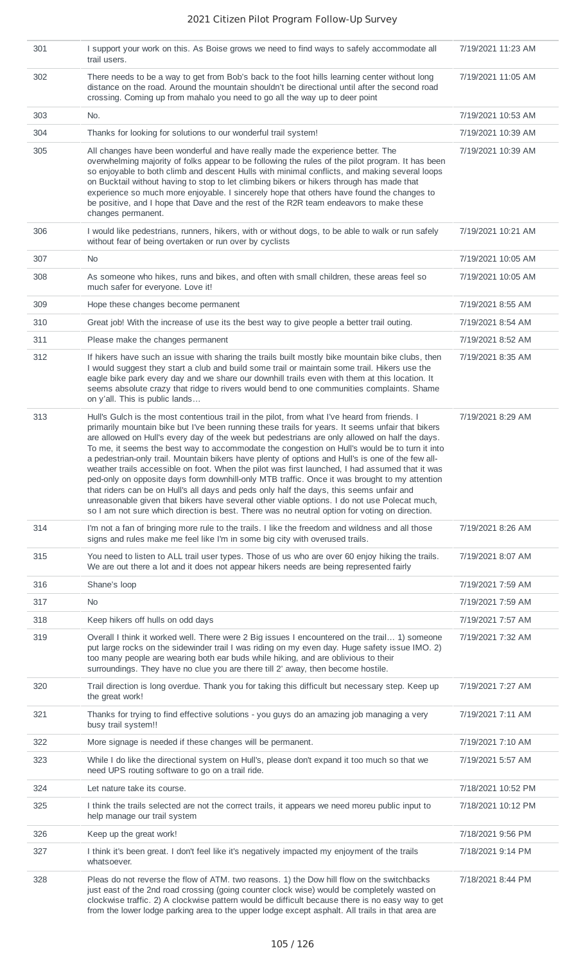| 301 | I support your work on this. As Boise grows we need to find ways to safely accommodate all<br>trail users.                                                                                                                                                                                                                                                                                                                                                                                                                                                                                                                                                                                                                                                                                                                                                                                                                                                                                                   | 7/19/2021 11:23 AM |
|-----|--------------------------------------------------------------------------------------------------------------------------------------------------------------------------------------------------------------------------------------------------------------------------------------------------------------------------------------------------------------------------------------------------------------------------------------------------------------------------------------------------------------------------------------------------------------------------------------------------------------------------------------------------------------------------------------------------------------------------------------------------------------------------------------------------------------------------------------------------------------------------------------------------------------------------------------------------------------------------------------------------------------|--------------------|
| 302 | There needs to be a way to get from Bob's back to the foot hills learning center without long<br>distance on the road. Around the mountain shouldn't be directional until after the second road<br>crossing. Coming up from mahalo you need to go all the way up to deer point                                                                                                                                                                                                                                                                                                                                                                                                                                                                                                                                                                                                                                                                                                                               | 7/19/2021 11:05 AM |
| 303 | No.                                                                                                                                                                                                                                                                                                                                                                                                                                                                                                                                                                                                                                                                                                                                                                                                                                                                                                                                                                                                          | 7/19/2021 10:53 AM |
| 304 | Thanks for looking for solutions to our wonderful trail system!                                                                                                                                                                                                                                                                                                                                                                                                                                                                                                                                                                                                                                                                                                                                                                                                                                                                                                                                              | 7/19/2021 10:39 AM |
| 305 | All changes have been wonderful and have really made the experience better. The<br>overwhelming majority of folks appear to be following the rules of the pilot program. It has been<br>so enjoyable to both climb and descent Hulls with minimal conflicts, and making several loops<br>on Bucktail without having to stop to let climbing bikers or hikers through has made that<br>experience so much more enjoyable. I sincerely hope that others have found the changes to<br>be positive, and I hope that Dave and the rest of the R2R team endeavors to make these<br>changes permanent.                                                                                                                                                                                                                                                                                                                                                                                                              | 7/19/2021 10:39 AM |
| 306 | I would like pedestrians, runners, hikers, with or without dogs, to be able to walk or run safely<br>without fear of being overtaken or run over by cyclists                                                                                                                                                                                                                                                                                                                                                                                                                                                                                                                                                                                                                                                                                                                                                                                                                                                 | 7/19/2021 10:21 AM |
| 307 | No                                                                                                                                                                                                                                                                                                                                                                                                                                                                                                                                                                                                                                                                                                                                                                                                                                                                                                                                                                                                           | 7/19/2021 10:05 AM |
| 308 | As someone who hikes, runs and bikes, and often with small children, these areas feel so<br>much safer for everyone. Love it!                                                                                                                                                                                                                                                                                                                                                                                                                                                                                                                                                                                                                                                                                                                                                                                                                                                                                | 7/19/2021 10:05 AM |
| 309 | Hope these changes become permanent                                                                                                                                                                                                                                                                                                                                                                                                                                                                                                                                                                                                                                                                                                                                                                                                                                                                                                                                                                          | 7/19/2021 8:55 AM  |
| 310 | Great job! With the increase of use its the best way to give people a better trail outing.                                                                                                                                                                                                                                                                                                                                                                                                                                                                                                                                                                                                                                                                                                                                                                                                                                                                                                                   | 7/19/2021 8:54 AM  |
| 311 | Please make the changes permanent                                                                                                                                                                                                                                                                                                                                                                                                                                                                                                                                                                                                                                                                                                                                                                                                                                                                                                                                                                            | 7/19/2021 8:52 AM  |
| 312 | If hikers have such an issue with sharing the trails built mostly bike mountain bike clubs, then<br>I would suggest they start a club and build some trail or maintain some trail. Hikers use the<br>eagle bike park every day and we share our downhill trails even with them at this location. It<br>seems absolute crazy that ridge to rivers would bend to one communities complaints. Shame<br>on y'all. This is public lands                                                                                                                                                                                                                                                                                                                                                                                                                                                                                                                                                                           | 7/19/2021 8:35 AM  |
| 313 | Hull's Gulch is the most contentious trail in the pilot, from what I've heard from friends. I<br>primarily mountain bike but I've been running these trails for years. It seems unfair that bikers<br>are allowed on Hull's every day of the week but pedestrians are only allowed on half the days.<br>To me, it seems the best way to accommodate the congestion on Hull's would be to turn it into<br>a pedestrian-only trail. Mountain bikers have plenty of options and Hull's is one of the few all-<br>weather trails accessible on foot. When the pilot was first launched, I had assumed that it was<br>ped-only on opposite days form downhill-only MTB traffic. Once it was brought to my attention<br>that riders can be on Hull's all days and peds only half the days, this seems unfair and<br>unreasonable given that bikers have several other viable options. I do not use Polecat much,<br>so I am not sure which direction is best. There was no neutral option for voting on direction. | 7/19/2021 8:29 AM  |
| 314 | I'm not a fan of bringing more rule to the trails. I like the freedom and wildness and all those<br>signs and rules make me feel like I'm in some big city with overused trails.                                                                                                                                                                                                                                                                                                                                                                                                                                                                                                                                                                                                                                                                                                                                                                                                                             | 7/19/2021 8:26 AM  |
| 315 | You need to listen to ALL trail user types. Those of us who are over 60 enjoy hiking the trails.<br>We are out there a lot and it does not appear hikers needs are being represented fairly                                                                                                                                                                                                                                                                                                                                                                                                                                                                                                                                                                                                                                                                                                                                                                                                                  | 7/19/2021 8:07 AM  |
| 316 | Shane's loop                                                                                                                                                                                                                                                                                                                                                                                                                                                                                                                                                                                                                                                                                                                                                                                                                                                                                                                                                                                                 | 7/19/2021 7:59 AM  |
| 317 | No                                                                                                                                                                                                                                                                                                                                                                                                                                                                                                                                                                                                                                                                                                                                                                                                                                                                                                                                                                                                           | 7/19/2021 7:59 AM  |
| 318 | Keep hikers off hulls on odd days                                                                                                                                                                                                                                                                                                                                                                                                                                                                                                                                                                                                                                                                                                                                                                                                                                                                                                                                                                            | 7/19/2021 7:57 AM  |
| 319 | Overall I think it worked well. There were 2 Big issues I encountered on the trail 1) someone<br>put large rocks on the sidewinder trail I was riding on my even day. Huge safety issue IMO. 2)<br>too many people are wearing both ear buds while hiking, and are oblivious to their<br>surroundings. They have no clue you are there till 2' away, then become hostile.                                                                                                                                                                                                                                                                                                                                                                                                                                                                                                                                                                                                                                    | 7/19/2021 7:32 AM  |
| 320 | Trail direction is long overdue. Thank you for taking this difficult but necessary step. Keep up<br>the great work!                                                                                                                                                                                                                                                                                                                                                                                                                                                                                                                                                                                                                                                                                                                                                                                                                                                                                          | 7/19/2021 7:27 AM  |
| 321 | Thanks for trying to find effective solutions - you guys do an amazing job managing a very<br>busy trail system!!                                                                                                                                                                                                                                                                                                                                                                                                                                                                                                                                                                                                                                                                                                                                                                                                                                                                                            | 7/19/2021 7:11 AM  |
| 322 | More signage is needed if these changes will be permanent.                                                                                                                                                                                                                                                                                                                                                                                                                                                                                                                                                                                                                                                                                                                                                                                                                                                                                                                                                   | 7/19/2021 7:10 AM  |
| 323 | While I do like the directional system on Hull's, please don't expand it too much so that we<br>need UPS routing software to go on a trail ride.                                                                                                                                                                                                                                                                                                                                                                                                                                                                                                                                                                                                                                                                                                                                                                                                                                                             | 7/19/2021 5:57 AM  |
| 324 | Let nature take its course.                                                                                                                                                                                                                                                                                                                                                                                                                                                                                                                                                                                                                                                                                                                                                                                                                                                                                                                                                                                  | 7/18/2021 10:52 PM |
| 325 | I think the trails selected are not the correct trails, it appears we need moreu public input to<br>help manage our trail system                                                                                                                                                                                                                                                                                                                                                                                                                                                                                                                                                                                                                                                                                                                                                                                                                                                                             | 7/18/2021 10:12 PM |
| 326 | Keep up the great work!                                                                                                                                                                                                                                                                                                                                                                                                                                                                                                                                                                                                                                                                                                                                                                                                                                                                                                                                                                                      | 7/18/2021 9:56 PM  |
| 327 | I think it's been great. I don't feel like it's negatively impacted my enjoyment of the trails<br>whatsoever.                                                                                                                                                                                                                                                                                                                                                                                                                                                                                                                                                                                                                                                                                                                                                                                                                                                                                                | 7/18/2021 9:14 PM  |
| 328 | Pleas do not reverse the flow of ATM. two reasons. 1) the Dow hill flow on the switchbacks<br>just east of the 2nd road crossing (going counter clock wise) would be completely wasted on<br>clockwise traffic. 2) A clockwise pattern would be difficult because there is no easy way to get<br>from the lower lodge parking area to the upper lodge except asphalt. All trails in that area are                                                                                                                                                                                                                                                                                                                                                                                                                                                                                                                                                                                                            | 7/18/2021 8:44 PM  |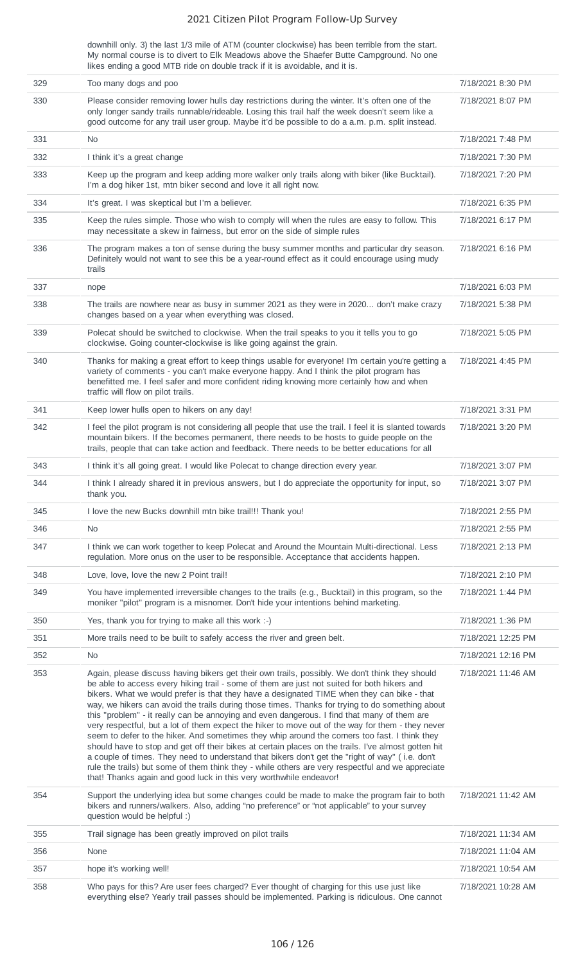downhill only. 3) the last 1/3 mile of ATM (counter clockwise) has been terrible from the start. My normal course is to divert to Elk Meadows above the Shaefer Butte Campground. No one likes ending a good MTB ride on double track if it is avoidable, and it is.

| 329 | Too many dogs and poo                                                                                                                                                                                                                                                                                                                                                                                                                                                                                                                                                                                                                                                                                                                                                                                                                                                                                                                                                                                                                                                                   | 7/18/2021 8:30 PM  |
|-----|-----------------------------------------------------------------------------------------------------------------------------------------------------------------------------------------------------------------------------------------------------------------------------------------------------------------------------------------------------------------------------------------------------------------------------------------------------------------------------------------------------------------------------------------------------------------------------------------------------------------------------------------------------------------------------------------------------------------------------------------------------------------------------------------------------------------------------------------------------------------------------------------------------------------------------------------------------------------------------------------------------------------------------------------------------------------------------------------|--------------------|
| 330 | Please consider removing lower hulls day restrictions during the winter. It's often one of the<br>only longer sandy trails runnable/rideable. Losing this trail half the week doesn't seem like a<br>good outcome for any trail user group. Maybe it'd be possible to do a a.m. p.m. split instead.                                                                                                                                                                                                                                                                                                                                                                                                                                                                                                                                                                                                                                                                                                                                                                                     | 7/18/2021 8:07 PM  |
| 331 | No.                                                                                                                                                                                                                                                                                                                                                                                                                                                                                                                                                                                                                                                                                                                                                                                                                                                                                                                                                                                                                                                                                     | 7/18/2021 7:48 PM  |
| 332 | I think it's a great change                                                                                                                                                                                                                                                                                                                                                                                                                                                                                                                                                                                                                                                                                                                                                                                                                                                                                                                                                                                                                                                             | 7/18/2021 7:30 PM  |
| 333 | Keep up the program and keep adding more walker only trails along with biker (like Bucktail).<br>I'm a dog hiker 1st, mtn biker second and love it all right now.                                                                                                                                                                                                                                                                                                                                                                                                                                                                                                                                                                                                                                                                                                                                                                                                                                                                                                                       | 7/18/2021 7:20 PM  |
| 334 | It's great. I was skeptical but I'm a believer.                                                                                                                                                                                                                                                                                                                                                                                                                                                                                                                                                                                                                                                                                                                                                                                                                                                                                                                                                                                                                                         | 7/18/2021 6:35 PM  |
| 335 | Keep the rules simple. Those who wish to comply will when the rules are easy to follow. This<br>may necessitate a skew in fairness, but error on the side of simple rules                                                                                                                                                                                                                                                                                                                                                                                                                                                                                                                                                                                                                                                                                                                                                                                                                                                                                                               | 7/18/2021 6:17 PM  |
| 336 | The program makes a ton of sense during the busy summer months and particular dry season.<br>Definitely would not want to see this be a year-round effect as it could encourage using mudy<br>trails                                                                                                                                                                                                                                                                                                                                                                                                                                                                                                                                                                                                                                                                                                                                                                                                                                                                                    | 7/18/2021 6:16 PM  |
| 337 | nope                                                                                                                                                                                                                                                                                                                                                                                                                                                                                                                                                                                                                                                                                                                                                                                                                                                                                                                                                                                                                                                                                    | 7/18/2021 6:03 PM  |
| 338 | The trails are nowhere near as busy in summer 2021 as they were in 2020 don't make crazy<br>changes based on a year when everything was closed.                                                                                                                                                                                                                                                                                                                                                                                                                                                                                                                                                                                                                                                                                                                                                                                                                                                                                                                                         | 7/18/2021 5:38 PM  |
| 339 | Polecat should be switched to clockwise. When the trail speaks to you it tells you to go<br>clockwise. Going counter-clockwise is like going against the grain.                                                                                                                                                                                                                                                                                                                                                                                                                                                                                                                                                                                                                                                                                                                                                                                                                                                                                                                         | 7/18/2021 5:05 PM  |
| 340 | Thanks for making a great effort to keep things usable for everyone! I'm certain you're getting a<br>variety of comments - you can't make everyone happy. And I think the pilot program has<br>benefitted me. I feel safer and more confident riding knowing more certainly how and when<br>traffic will flow on pilot trails.                                                                                                                                                                                                                                                                                                                                                                                                                                                                                                                                                                                                                                                                                                                                                          | 7/18/2021 4:45 PM  |
| 341 | Keep lower hulls open to hikers on any day!                                                                                                                                                                                                                                                                                                                                                                                                                                                                                                                                                                                                                                                                                                                                                                                                                                                                                                                                                                                                                                             | 7/18/2021 3:31 PM  |
| 342 | I feel the pilot program is not considering all people that use the trail. I feel it is slanted towards<br>mountain bikers. If the becomes permanent, there needs to be hosts to guide people on the<br>trails, people that can take action and feedback. There needs to be better educations for all                                                                                                                                                                                                                                                                                                                                                                                                                                                                                                                                                                                                                                                                                                                                                                                   | 7/18/2021 3:20 PM  |
| 343 | I think it's all going great. I would like Polecat to change direction every year.                                                                                                                                                                                                                                                                                                                                                                                                                                                                                                                                                                                                                                                                                                                                                                                                                                                                                                                                                                                                      | 7/18/2021 3:07 PM  |
| 344 | I think I already shared it in previous answers, but I do appreciate the opportunity for input, so<br>thank you.                                                                                                                                                                                                                                                                                                                                                                                                                                                                                                                                                                                                                                                                                                                                                                                                                                                                                                                                                                        | 7/18/2021 3:07 PM  |
| 345 | I love the new Bucks downhill mtn bike trail!!! Thank you!                                                                                                                                                                                                                                                                                                                                                                                                                                                                                                                                                                                                                                                                                                                                                                                                                                                                                                                                                                                                                              | 7/18/2021 2:55 PM  |
| 346 | <b>No</b>                                                                                                                                                                                                                                                                                                                                                                                                                                                                                                                                                                                                                                                                                                                                                                                                                                                                                                                                                                                                                                                                               | 7/18/2021 2:55 PM  |
| 347 | I think we can work together to keep Polecat and Around the Mountain Multi-directional. Less<br>regulation. More onus on the user to be responsible. Acceptance that accidents happen.                                                                                                                                                                                                                                                                                                                                                                                                                                                                                                                                                                                                                                                                                                                                                                                                                                                                                                  | 7/18/2021 2:13 PM  |
| 348 | Love, love, love the new 2 Point trail!                                                                                                                                                                                                                                                                                                                                                                                                                                                                                                                                                                                                                                                                                                                                                                                                                                                                                                                                                                                                                                                 | 7/18/2021 2:10 PM  |
| 349 | You have implemented irreversible changes to the trails (e.g., Bucktail) in this program, so the<br>moniker "pilot" program is a misnomer. Don't hide your intentions behind marketing.                                                                                                                                                                                                                                                                                                                                                                                                                                                                                                                                                                                                                                                                                                                                                                                                                                                                                                 | 7/18/2021 1:44 PM  |
| 350 | Yes, thank you for trying to make all this work :-)                                                                                                                                                                                                                                                                                                                                                                                                                                                                                                                                                                                                                                                                                                                                                                                                                                                                                                                                                                                                                                     | 7/18/2021 1:36 PM  |
| 351 | More trails need to be built to safely access the river and green belt.                                                                                                                                                                                                                                                                                                                                                                                                                                                                                                                                                                                                                                                                                                                                                                                                                                                                                                                                                                                                                 | 7/18/2021 12:25 PM |
| 352 | <b>No</b>                                                                                                                                                                                                                                                                                                                                                                                                                                                                                                                                                                                                                                                                                                                                                                                                                                                                                                                                                                                                                                                                               | 7/18/2021 12:16 PM |
| 353 | Again, please discuss having bikers get their own trails, possibly. We don't think they should<br>be able to access every hiking trail - some of them are just not suited for both hikers and<br>bikers. What we would prefer is that they have a designated TIME when they can bike - that<br>way, we hikers can avoid the trails during those times. Thanks for trying to do something about<br>this "problem" - it really can be annoying and even dangerous. I find that many of them are<br>very respectful, but a lot of them expect the hiker to move out of the way for them - they never<br>seem to defer to the hiker. And sometimes they whip around the corners too fast. I think they<br>should have to stop and get off their bikes at certain places on the trails. I've almost gotten hit<br>a couple of times. They need to understand that bikers don't get the "right of way" (i.e. don't<br>rule the trails) but some of them think they - while others are very respectful and we appreciate<br>that! Thanks again and good luck in this very worthwhile endeavor! | 7/18/2021 11:46 AM |
| 354 | Support the underlying idea but some changes could be made to make the program fair to both<br>bikers and runners/walkers. Also, adding "no preference" or "not applicable" to your survey<br>question would be helpful:)                                                                                                                                                                                                                                                                                                                                                                                                                                                                                                                                                                                                                                                                                                                                                                                                                                                               | 7/18/2021 11:42 AM |
| 355 | Trail signage has been greatly improved on pilot trails                                                                                                                                                                                                                                                                                                                                                                                                                                                                                                                                                                                                                                                                                                                                                                                                                                                                                                                                                                                                                                 | 7/18/2021 11:34 AM |
| 356 | None                                                                                                                                                                                                                                                                                                                                                                                                                                                                                                                                                                                                                                                                                                                                                                                                                                                                                                                                                                                                                                                                                    | 7/18/2021 11:04 AM |
| 357 | hope it's working well!                                                                                                                                                                                                                                                                                                                                                                                                                                                                                                                                                                                                                                                                                                                                                                                                                                                                                                                                                                                                                                                                 | 7/18/2021 10:54 AM |
| 358 | Who pays for this? Are user fees charged? Ever thought of charging for this use just like<br>everything else? Yearly trail passes should be implemented. Parking is ridiculous. One cannot                                                                                                                                                                                                                                                                                                                                                                                                                                                                                                                                                                                                                                                                                                                                                                                                                                                                                              | 7/18/2021 10:28 AM |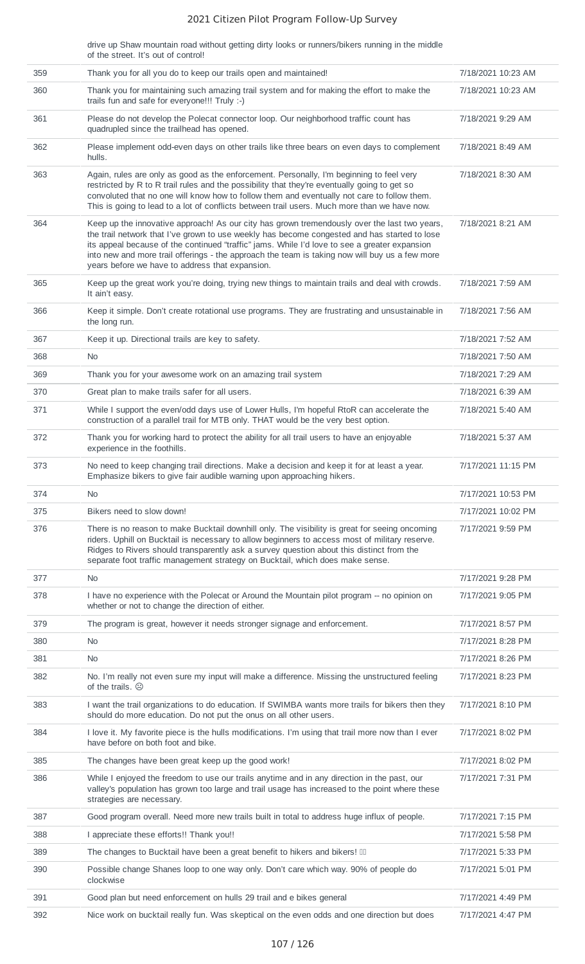drive up Shaw mountain road without getting dirty looks or runners/bikers running in the middle of the street. It's out of control!

| 359 | Thank you for all you do to keep our trails open and maintained!                                                                                                                                                                                                                                                                                                                                                                                   | 7/18/2021 10:23 AM |
|-----|----------------------------------------------------------------------------------------------------------------------------------------------------------------------------------------------------------------------------------------------------------------------------------------------------------------------------------------------------------------------------------------------------------------------------------------------------|--------------------|
| 360 | Thank you for maintaining such amazing trail system and for making the effort to make the<br>trails fun and safe for everyone!!! Truly :-)                                                                                                                                                                                                                                                                                                         | 7/18/2021 10:23 AM |
| 361 | Please do not develop the Polecat connector loop. Our neighborhood traffic count has<br>quadrupled since the trailhead has opened.                                                                                                                                                                                                                                                                                                                 | 7/18/2021 9:29 AM  |
| 362 | Please implement odd-even days on other trails like three bears on even days to complement<br>hulls.                                                                                                                                                                                                                                                                                                                                               | 7/18/2021 8:49 AM  |
| 363 | Again, rules are only as good as the enforcement. Personally, I'm beginning to feel very<br>restricted by R to R trail rules and the possibility that they're eventually going to get so<br>convoluted that no one will know how to follow them and eventually not care to follow them.<br>This is going to lead to a lot of conflicts between trail users. Much more than we have now.                                                            | 7/18/2021 8:30 AM  |
| 364 | Keep up the innovative approach! As our city has grown tremendously over the last two years,<br>the trail network that I've grown to use weekly has become congested and has started to lose<br>its appeal because of the continued "traffic" jams. While I'd love to see a greater expansion<br>into new and more trail offerings - the approach the team is taking now will buy us a few more<br>years before we have to address that expansion. | 7/18/2021 8:21 AM  |
| 365 | Keep up the great work you're doing, trying new things to maintain trails and deal with crowds.<br>It ain't easy.                                                                                                                                                                                                                                                                                                                                  | 7/18/2021 7:59 AM  |
| 366 | Keep it simple. Don't create rotational use programs. They are frustrating and unsustainable in<br>the long run.                                                                                                                                                                                                                                                                                                                                   | 7/18/2021 7:56 AM  |
| 367 | Keep it up. Directional trails are key to safety.                                                                                                                                                                                                                                                                                                                                                                                                  | 7/18/2021 7:52 AM  |
| 368 | No                                                                                                                                                                                                                                                                                                                                                                                                                                                 | 7/18/2021 7:50 AM  |
| 369 | Thank you for your awesome work on an amazing trail system                                                                                                                                                                                                                                                                                                                                                                                         | 7/18/2021 7:29 AM  |
| 370 | Great plan to make trails safer for all users.                                                                                                                                                                                                                                                                                                                                                                                                     | 7/18/2021 6:39 AM  |
| 371 | While I support the even/odd days use of Lower Hulls, I'm hopeful RtoR can accelerate the<br>construction of a parallel trail for MTB only. THAT would be the very best option.                                                                                                                                                                                                                                                                    | 7/18/2021 5:40 AM  |
| 372 | Thank you for working hard to protect the ability for all trail users to have an enjoyable<br>experience in the foothills.                                                                                                                                                                                                                                                                                                                         | 7/18/2021 5:37 AM  |
| 373 | No need to keep changing trail directions. Make a decision and keep it for at least a year.<br>Emphasize bikers to give fair audible warning upon approaching hikers.                                                                                                                                                                                                                                                                              | 7/17/2021 11:15 PM |
| 374 | No.                                                                                                                                                                                                                                                                                                                                                                                                                                                | 7/17/2021 10:53 PM |
| 375 | Bikers need to slow down!                                                                                                                                                                                                                                                                                                                                                                                                                          | 7/17/2021 10:02 PM |
| 376 | There is no reason to make Bucktail downhill only. The visibility is great for seeing oncoming<br>riders. Uphill on Bucktail is necessary to allow beginners to access most of military reserve.<br>Ridges to Rivers should transparently ask a survey question about this distinct from the<br>separate foot traffic management strategy on Bucktail, which does make sense.                                                                      | 7/17/2021 9:59 PM  |
| 377 | N <sub>0</sub>                                                                                                                                                                                                                                                                                                                                                                                                                                     | 7/17/2021 9:28 PM  |
| 378 | I have no experience with the Polecat or Around the Mountain pilot program -- no opinion on<br>whether or not to change the direction of either.                                                                                                                                                                                                                                                                                                   | 7/17/2021 9:05 PM  |
| 379 | The program is great, however it needs stronger signage and enforcement.                                                                                                                                                                                                                                                                                                                                                                           | 7/17/2021 8:57 PM  |
| 380 | N <sub>0</sub>                                                                                                                                                                                                                                                                                                                                                                                                                                     | 7/17/2021 8:28 PM  |
| 381 | N <sub>0</sub>                                                                                                                                                                                                                                                                                                                                                                                                                                     | 7/17/2021 8:26 PM  |
| 382 | No. I'm really not even sure my input will make a difference. Missing the unstructured feeling<br>of the trails. $\odot$                                                                                                                                                                                                                                                                                                                           | 7/17/2021 8:23 PM  |
| 383 | I want the trail organizations to do education. If SWIMBA wants more trails for bikers then they<br>should do more education. Do not put the onus on all other users.                                                                                                                                                                                                                                                                              | 7/17/2021 8:10 PM  |
| 384 | I love it. My favorite piece is the hulls modifications. I'm using that trail more now than I ever<br>have before on both foot and bike.                                                                                                                                                                                                                                                                                                           | 7/17/2021 8:02 PM  |
| 385 | The changes have been great keep up the good work!                                                                                                                                                                                                                                                                                                                                                                                                 | 7/17/2021 8:02 PM  |
| 386 | While I enjoyed the freedom to use our trails anytime and in any direction in the past, our<br>valley's population has grown too large and trail usage has increased to the point where these<br>strategies are necessary.                                                                                                                                                                                                                         | 7/17/2021 7:31 PM  |
| 387 | Good program overall. Need more new trails built in total to address huge influx of people.                                                                                                                                                                                                                                                                                                                                                        | 7/17/2021 7:15 PM  |
| 388 | I appreciate these efforts!! Thank you!!                                                                                                                                                                                                                                                                                                                                                                                                           | 7/17/2021 5:58 PM  |
| 389 | The changes to Bucktail have been a great benefit to hikers and bikers! III                                                                                                                                                                                                                                                                                                                                                                        | 7/17/2021 5:33 PM  |
| 390 | Possible change Shanes loop to one way only. Don't care which way. 90% of people do<br>clockwise                                                                                                                                                                                                                                                                                                                                                   | 7/17/2021 5:01 PM  |
| 391 | Good plan but need enforcement on hulls 29 trail and e bikes general                                                                                                                                                                                                                                                                                                                                                                               | 7/17/2021 4:49 PM  |
| 392 | Nice work on bucktail really fun. Was skeptical on the even odds and one direction but does                                                                                                                                                                                                                                                                                                                                                        | 7/17/2021 4:47 PM  |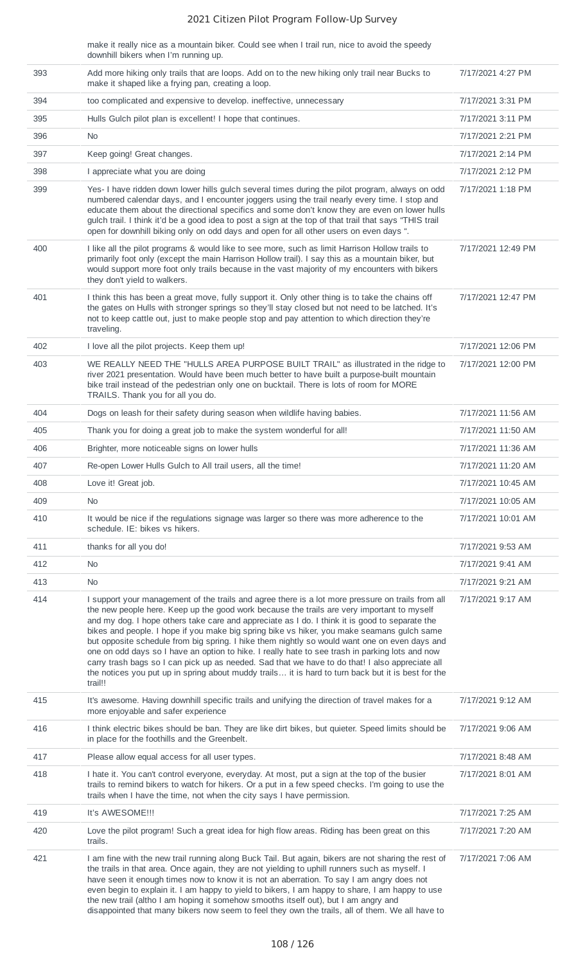make it really nice as a mountain biker. Could see when I trail run, nice to avoid the speedy downhill bikers when I'm running up.

| 393 | Add more hiking only trails that are loops. Add on to the new hiking only trail near Bucks to<br>make it shaped like a frying pan, creating a loop.                                                                                                                                                                                                                                                                                                                                                                                                                                                                                                                                                                                                                                                                     | 7/17/2021 4:27 PM  |
|-----|-------------------------------------------------------------------------------------------------------------------------------------------------------------------------------------------------------------------------------------------------------------------------------------------------------------------------------------------------------------------------------------------------------------------------------------------------------------------------------------------------------------------------------------------------------------------------------------------------------------------------------------------------------------------------------------------------------------------------------------------------------------------------------------------------------------------------|--------------------|
| 394 | too complicated and expensive to develop. ineffective, unnecessary                                                                                                                                                                                                                                                                                                                                                                                                                                                                                                                                                                                                                                                                                                                                                      | 7/17/2021 3:31 PM  |
| 395 | Hulls Gulch pilot plan is excellent! I hope that continues.                                                                                                                                                                                                                                                                                                                                                                                                                                                                                                                                                                                                                                                                                                                                                             | 7/17/2021 3:11 PM  |
| 396 | No.                                                                                                                                                                                                                                                                                                                                                                                                                                                                                                                                                                                                                                                                                                                                                                                                                     | 7/17/2021 2:21 PM  |
| 397 | Keep going! Great changes.                                                                                                                                                                                                                                                                                                                                                                                                                                                                                                                                                                                                                                                                                                                                                                                              | 7/17/2021 2:14 PM  |
| 398 | I appreciate what you are doing                                                                                                                                                                                                                                                                                                                                                                                                                                                                                                                                                                                                                                                                                                                                                                                         | 7/17/2021 2:12 PM  |
| 399 | Yes-I have ridden down lower hills gulch several times during the pilot program, always on odd<br>numbered calendar days, and I encounter joggers using the trail nearly every time. I stop and<br>educate them about the directional specifics and some don't know they are even on lower hulls<br>gulch trail. I think it'd be a good idea to post a sign at the top of that trail that says "THIS trail<br>open for downhill biking only on odd days and open for all other users on even days ".                                                                                                                                                                                                                                                                                                                    | 7/17/2021 1:18 PM  |
| 400 | I like all the pilot programs & would like to see more, such as limit Harrison Hollow trails to<br>primarily foot only (except the main Harrison Hollow trail). I say this as a mountain biker, but<br>would support more foot only trails because in the vast majority of my encounters with bikers<br>they don't yield to walkers.                                                                                                                                                                                                                                                                                                                                                                                                                                                                                    | 7/17/2021 12:49 PM |
| 401 | I think this has been a great move, fully support it. Only other thing is to take the chains off<br>the gates on Hulls with stronger springs so they'll stay closed but not need to be latched. It's<br>not to keep cattle out, just to make people stop and pay attention to which direction they're<br>traveling.                                                                                                                                                                                                                                                                                                                                                                                                                                                                                                     | 7/17/2021 12:47 PM |
| 402 | I love all the pilot projects. Keep them up!                                                                                                                                                                                                                                                                                                                                                                                                                                                                                                                                                                                                                                                                                                                                                                            | 7/17/2021 12:06 PM |
| 403 | WE REALLY NEED THE "HULLS AREA PURPOSE BUILT TRAIL" as illustrated in the ridge to<br>river 2021 presentation. Would have been much better to have built a purpose-built mountain<br>bike trail instead of the pedestrian only one on bucktail. There is lots of room for MORE<br>TRAILS. Thank you for all you do.                                                                                                                                                                                                                                                                                                                                                                                                                                                                                                     | 7/17/2021 12:00 PM |
| 404 | Dogs on leash for their safety during season when wildlife having babies.                                                                                                                                                                                                                                                                                                                                                                                                                                                                                                                                                                                                                                                                                                                                               | 7/17/2021 11:56 AM |
| 405 | Thank you for doing a great job to make the system wonderful for all!                                                                                                                                                                                                                                                                                                                                                                                                                                                                                                                                                                                                                                                                                                                                                   | 7/17/2021 11:50 AM |
| 406 | Brighter, more noticeable signs on lower hulls                                                                                                                                                                                                                                                                                                                                                                                                                                                                                                                                                                                                                                                                                                                                                                          | 7/17/2021 11:36 AM |
| 407 | Re-open Lower Hulls Gulch to All trail users, all the time!                                                                                                                                                                                                                                                                                                                                                                                                                                                                                                                                                                                                                                                                                                                                                             | 7/17/2021 11:20 AM |
| 408 | Love it! Great job.                                                                                                                                                                                                                                                                                                                                                                                                                                                                                                                                                                                                                                                                                                                                                                                                     | 7/17/2021 10:45 AM |
| 409 | No                                                                                                                                                                                                                                                                                                                                                                                                                                                                                                                                                                                                                                                                                                                                                                                                                      | 7/17/2021 10:05 AM |
| 410 | It would be nice if the regulations signage was larger so there was more adherence to the<br>schedule. IE: bikes vs hikers.                                                                                                                                                                                                                                                                                                                                                                                                                                                                                                                                                                                                                                                                                             | 7/17/2021 10:01 AM |
| 411 | thanks for all you do!                                                                                                                                                                                                                                                                                                                                                                                                                                                                                                                                                                                                                                                                                                                                                                                                  | 7/17/2021 9:53 AM  |
| 412 | <b>No</b>                                                                                                                                                                                                                                                                                                                                                                                                                                                                                                                                                                                                                                                                                                                                                                                                               | 7/17/2021 9:41 AM  |
| 413 | <b>No</b>                                                                                                                                                                                                                                                                                                                                                                                                                                                                                                                                                                                                                                                                                                                                                                                                               | 7/17/2021 9:21 AM  |
| 414 | I support your management of the trails and agree there is a lot more pressure on trails from all<br>the new people here. Keep up the good work because the trails are very important to myself<br>and my dog. I hope others take care and appreciate as I do. I think it is good to separate the<br>bikes and people. I hope if you make big spring bike vs hiker, you make seamans gulch same<br>but opposite schedule from big spring. I hike them nightly so would want one on even days and<br>one on odd days so I have an option to hike. I really hate to see trash in parking lots and now<br>carry trash bags so I can pick up as needed. Sad that we have to do that! I also appreciate all<br>the notices you put up in spring about muddy trails it is hard to turn back but it is best for the<br>trail!! | 7/17/2021 9:17 AM  |
| 415 | It's awesome. Having downhill specific trails and unifying the direction of travel makes for a<br>more enjoyable and safer experience                                                                                                                                                                                                                                                                                                                                                                                                                                                                                                                                                                                                                                                                                   | 7/17/2021 9:12 AM  |
| 416 | I think electric bikes should be ban. They are like dirt bikes, but quieter. Speed limits should be<br>in place for the foothills and the Greenbelt.                                                                                                                                                                                                                                                                                                                                                                                                                                                                                                                                                                                                                                                                    | 7/17/2021 9:06 AM  |
| 417 | Please allow equal access for all user types.                                                                                                                                                                                                                                                                                                                                                                                                                                                                                                                                                                                                                                                                                                                                                                           | 7/17/2021 8:48 AM  |
| 418 | I hate it. You can't control everyone, everyday. At most, put a sign at the top of the busier<br>trails to remind bikers to watch for hikers. Or a put in a few speed checks. I'm going to use the<br>trails when I have the time, not when the city says I have permission.                                                                                                                                                                                                                                                                                                                                                                                                                                                                                                                                            | 7/17/2021 8:01 AM  |
| 419 | It's AWESOME !!!                                                                                                                                                                                                                                                                                                                                                                                                                                                                                                                                                                                                                                                                                                                                                                                                        | 7/17/2021 7:25 AM  |
| 420 | Love the pilot program! Such a great idea for high flow areas. Riding has been great on this<br>trails.                                                                                                                                                                                                                                                                                                                                                                                                                                                                                                                                                                                                                                                                                                                 | 7/17/2021 7:20 AM  |
| 421 | I am fine with the new trail running along Buck Tail. But again, bikers are not sharing the rest of<br>the trails in that area. Once again, they are not yielding to uphill runners such as myself. I<br>have seen it enough times now to know it is not an aberration. To say I am angry does not<br>even begin to explain it. I am happy to yield to bikers, I am happy to share, I am happy to use<br>the new trail (altho I am hoping it somehow smooths itself out), but I am angry and<br>disappointed that many bikers now seem to feel they own the trails, all of them. We all have to                                                                                                                                                                                                                         | 7/17/2021 7:06 AM  |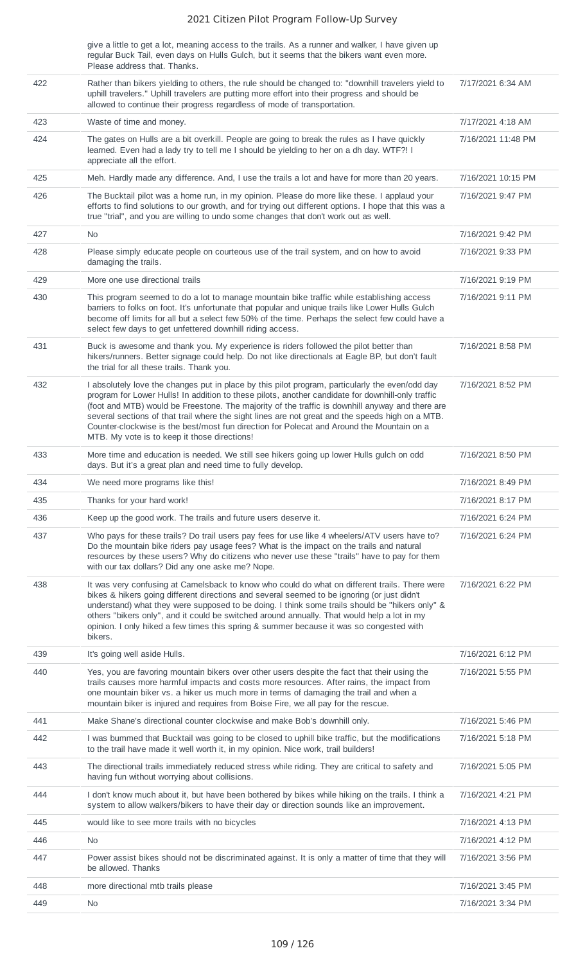give a little to get a lot, meaning access to the trails. As a runner and walker, I have given up regular Buck Tail, even days on Hulls Gulch, but it seems that the bikers want even more. Please address that. Thanks.

| 422 | Rather than bikers yielding to others, the rule should be changed to: "downhill travelers yield to<br>uphill travelers." Uphill travelers are putting more effort into their progress and should be<br>allowed to continue their progress regardless of mode of transportation.                                                                                                                                                                                                                                                                          | 7/17/2021 6:34 AM                      |
|-----|----------------------------------------------------------------------------------------------------------------------------------------------------------------------------------------------------------------------------------------------------------------------------------------------------------------------------------------------------------------------------------------------------------------------------------------------------------------------------------------------------------------------------------------------------------|----------------------------------------|
| 423 | Waste of time and money.                                                                                                                                                                                                                                                                                                                                                                                                                                                                                                                                 | 7/17/2021 4:18 AM                      |
| 424 | The gates on Hulls are a bit overkill. People are going to break the rules as I have quickly<br>learned. Even had a lady try to tell me I should be yielding to her on a dh day. WTF?! I<br>appreciate all the effort.                                                                                                                                                                                                                                                                                                                                   | 7/16/2021 11:48 PM                     |
| 425 | Meh. Hardly made any difference. And, I use the trails a lot and have for more than 20 years.                                                                                                                                                                                                                                                                                                                                                                                                                                                            | 7/16/2021 10:15 PM                     |
| 426 | The Bucktail pilot was a home run, in my opinion. Please do more like these. I applaud your<br>efforts to find solutions to our growth, and for trying out different options. I hope that this was a<br>true "trial", and you are willing to undo some changes that don't work out as well.                                                                                                                                                                                                                                                              | 7/16/2021 9:47 PM                      |
| 427 | <b>No</b>                                                                                                                                                                                                                                                                                                                                                                                                                                                                                                                                                | 7/16/2021 9:42 PM                      |
| 428 | Please simply educate people on courteous use of the trail system, and on how to avoid<br>damaging the trails.                                                                                                                                                                                                                                                                                                                                                                                                                                           | 7/16/2021 9:33 PM                      |
| 429 | More one use directional trails                                                                                                                                                                                                                                                                                                                                                                                                                                                                                                                          | 7/16/2021 9:19 PM                      |
| 430 | This program seemed to do a lot to manage mountain bike traffic while establishing access<br>barriers to folks on foot. It's unfortunate that popular and unique trails like Lower Hulls Gulch<br>become off limits for all but a select few 50% of the time. Perhaps the select few could have a<br>select few days to get unfettered downhill riding access.                                                                                                                                                                                           | 7/16/2021 9:11 PM                      |
| 431 | Buck is awesome and thank you. My experience is riders followed the pilot better than<br>hikers/runners. Better signage could help. Do not like directionals at Eagle BP, but don't fault<br>the trial for all these trails. Thank you.                                                                                                                                                                                                                                                                                                                  | 7/16/2021 8:58 PM                      |
| 432 | I absolutely love the changes put in place by this pilot program, particularly the even/odd day<br>program for Lower Hulls! In addition to these pilots, another candidate for downhill-only traffic<br>(foot and MTB) would be Freestone. The majority of the traffic is downhill anyway and there are<br>several sections of that trail where the sight lines are not great and the speeds high on a MTB.<br>Counter-clockwise is the best/most fun direction for Polecat and Around the Mountain on a<br>MTB. My vote is to keep it those directions! | 7/16/2021 8:52 PM                      |
| 433 | More time and education is needed. We still see hikers going up lower Hulls gulch on odd<br>days. But it's a great plan and need time to fully develop.                                                                                                                                                                                                                                                                                                                                                                                                  | 7/16/2021 8:50 PM                      |
| 434 | We need more programs like this!                                                                                                                                                                                                                                                                                                                                                                                                                                                                                                                         | 7/16/2021 8:49 PM                      |
| 435 | Thanks for your hard work!                                                                                                                                                                                                                                                                                                                                                                                                                                                                                                                               | 7/16/2021 8:17 PM                      |
| 436 | Keep up the good work. The trails and future users deserve it.                                                                                                                                                                                                                                                                                                                                                                                                                                                                                           | 7/16/2021 6:24 PM                      |
| 437 | Who pays for these trails? Do trail users pay fees for use like 4 wheelers/ATV users have to?<br>Do the mountain bike riders pay usage fees? What is the impact on the trails and natural<br>resources by these users? Why do citizens who never use these "trails" have to pay for them<br>with our tax dollars? Did any one aske me? Nope.                                                                                                                                                                                                             | 7/16/2021 6:24 PM                      |
| 438 | It was very confusing at Camelsback to know who could do what on different trails. There were<br>bikes & hikers going different directions and several seemed to be ignoring (or just didn't<br>understand) what they were supposed to be doing. I think some trails should be "hikers only" &<br>others "bikers only", and it could be switched around annually. That would help a lot in my<br>opinion. I only hiked a few times this spring & summer because it was so congested with<br>bikers.                                                      | 7/16/2021 6:22 PM                      |
| 439 | It's going well aside Hulls.                                                                                                                                                                                                                                                                                                                                                                                                                                                                                                                             | 7/16/2021 6:12 PM                      |
| 440 | Yes, you are favoring mountain bikers over other users despite the fact that their using the<br>trails causes more harmful impacts and costs more resources. After rains, the impact from<br>one mountain biker vs. a hiker us much more in terms of damaging the trail and when a                                                                                                                                                                                                                                                                       | 7/16/2021 5:55 PM                      |
|     | mountain biker is injured and requires from Boise Fire, we all pay for the rescue.                                                                                                                                                                                                                                                                                                                                                                                                                                                                       |                                        |
| 441 | Make Shane's directional counter clockwise and make Bob's downhill only.                                                                                                                                                                                                                                                                                                                                                                                                                                                                                 | 7/16/2021 5:46 PM                      |
| 442 | I was bummed that Bucktail was going to be closed to uphill bike traffic, but the modifications<br>to the trail have made it well worth it, in my opinion. Nice work, trail builders!                                                                                                                                                                                                                                                                                                                                                                    | 7/16/2021 5:18 PM                      |
| 443 | The directional trails immediately reduced stress while riding. They are critical to safety and<br>having fun without worrying about collisions.                                                                                                                                                                                                                                                                                                                                                                                                         | 7/16/2021 5:05 PM                      |
| 444 | I don't know much about it, but have been bothered by bikes while hiking on the trails. I think a<br>system to allow walkers/bikers to have their day or direction sounds like an improvement.                                                                                                                                                                                                                                                                                                                                                           | 7/16/2021 4:21 PM                      |
| 445 | would like to see more trails with no bicycles                                                                                                                                                                                                                                                                                                                                                                                                                                                                                                           | 7/16/2021 4:13 PM                      |
| 446 | N <sub>0</sub>                                                                                                                                                                                                                                                                                                                                                                                                                                                                                                                                           | 7/16/2021 4:12 PM                      |
| 447 | Power assist bikes should not be discriminated against. It is only a matter of time that they will<br>be allowed. Thanks                                                                                                                                                                                                                                                                                                                                                                                                                                 | 7/16/2021 3:56 PM                      |
| 448 | more directional mtb trails please                                                                                                                                                                                                                                                                                                                                                                                                                                                                                                                       | 7/16/2021 3:45 PM<br>7/16/2021 3:34 PM |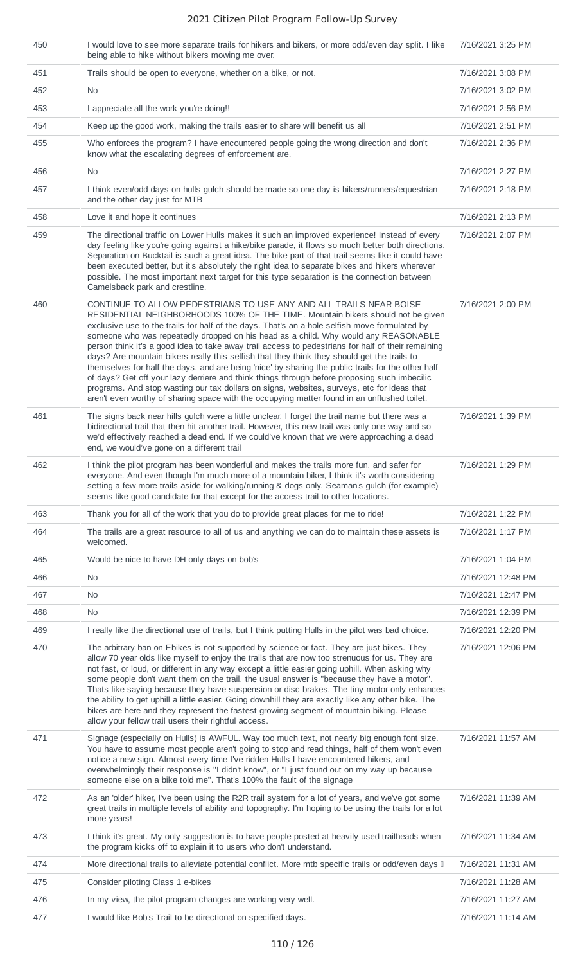| 450 | I would love to see more separate trails for hikers and bikers, or more odd/even day split. I like<br>being able to hike without bikers mowing me over.                                                                                                                                                                                                                                                                                                                                                                                                                                                                                                                                                                                                                                                                                                                                                                                               | 7/16/2021 3:25 PM  |
|-----|-------------------------------------------------------------------------------------------------------------------------------------------------------------------------------------------------------------------------------------------------------------------------------------------------------------------------------------------------------------------------------------------------------------------------------------------------------------------------------------------------------------------------------------------------------------------------------------------------------------------------------------------------------------------------------------------------------------------------------------------------------------------------------------------------------------------------------------------------------------------------------------------------------------------------------------------------------|--------------------|
| 451 | Trails should be open to everyone, whether on a bike, or not.                                                                                                                                                                                                                                                                                                                                                                                                                                                                                                                                                                                                                                                                                                                                                                                                                                                                                         | 7/16/2021 3:08 PM  |
| 452 | N <sub>0</sub>                                                                                                                                                                                                                                                                                                                                                                                                                                                                                                                                                                                                                                                                                                                                                                                                                                                                                                                                        | 7/16/2021 3:02 PM  |
| 453 | I appreciate all the work you're doing!!                                                                                                                                                                                                                                                                                                                                                                                                                                                                                                                                                                                                                                                                                                                                                                                                                                                                                                              | 7/16/2021 2:56 PM  |
| 454 | Keep up the good work, making the trails easier to share will benefit us all                                                                                                                                                                                                                                                                                                                                                                                                                                                                                                                                                                                                                                                                                                                                                                                                                                                                          | 7/16/2021 2:51 PM  |
| 455 | Who enforces the program? I have encountered people going the wrong direction and don't<br>know what the escalating degrees of enforcement are.                                                                                                                                                                                                                                                                                                                                                                                                                                                                                                                                                                                                                                                                                                                                                                                                       | 7/16/2021 2:36 PM  |
| 456 | <b>No</b>                                                                                                                                                                                                                                                                                                                                                                                                                                                                                                                                                                                                                                                                                                                                                                                                                                                                                                                                             | 7/16/2021 2:27 PM  |
| 457 | I think even/odd days on hulls gulch should be made so one day is hikers/runners/equestrian<br>and the other day just for MTB                                                                                                                                                                                                                                                                                                                                                                                                                                                                                                                                                                                                                                                                                                                                                                                                                         | 7/16/2021 2:18 PM  |
| 458 | Love it and hope it continues                                                                                                                                                                                                                                                                                                                                                                                                                                                                                                                                                                                                                                                                                                                                                                                                                                                                                                                         | 7/16/2021 2:13 PM  |
| 459 | The directional traffic on Lower Hulls makes it such an improved experience! Instead of every<br>day feeling like you're going against a hike/bike parade, it flows so much better both directions.<br>Separation on Bucktail is such a great idea. The bike part of that trail seems like it could have<br>been executed better, but it's absolutely the right idea to separate bikes and hikers wherever<br>possible. The most important next target for this type separation is the connection between<br>Camelsback park and crestline.                                                                                                                                                                                                                                                                                                                                                                                                           | 7/16/2021 2:07 PM  |
| 460 | CONTINUE TO ALLOW PEDESTRIANS TO USE ANY AND ALL TRAILS NEAR BOISE<br>RESIDENTIAL NEIGHBORHOODS 100% OF THE TIME. Mountain bikers should not be given<br>exclusive use to the trails for half of the days. That's an a-hole selfish move formulated by<br>someone who was repeatedly dropped on his head as a child. Why would any REASONABLE<br>person think it's a good idea to take away trail access to pedestrians for half of their remaining<br>days? Are mountain bikers really this selfish that they think they should get the trails to<br>themselves for half the days, and are being 'nice' by sharing the public trails for the other half<br>of days? Get off your lazy derriere and think things through before proposing such imbecilic<br>programs. And stop wasting our tax dollars on signs, websites, surveys, etc for ideas that<br>aren't even worthy of sharing space with the occupying matter found in an unflushed toilet. | 7/16/2021 2:00 PM  |
| 461 | The signs back near hills gulch were a little unclear. I forget the trail name but there was a<br>bidirectional trail that then hit another trail. However, this new trail was only one way and so<br>we'd effectively reached a dead end. If we could've known that we were approaching a dead<br>end, we would've gone on a different trail                                                                                                                                                                                                                                                                                                                                                                                                                                                                                                                                                                                                         | 7/16/2021 1:39 PM  |
| 462 | I think the pilot program has been wonderful and makes the trails more fun, and safer for<br>everyone. And even though I'm much more of a mountain biker, I think it's worth considering<br>setting a few more trails aside for walking/running & dogs only. Seaman's gulch (for example)<br>seems like good candidate for that except for the access trail to other locations.                                                                                                                                                                                                                                                                                                                                                                                                                                                                                                                                                                       | 7/16/2021 1:29 PM  |
| 463 | Thank you for all of the work that you do to provide great places for me to ride!                                                                                                                                                                                                                                                                                                                                                                                                                                                                                                                                                                                                                                                                                                                                                                                                                                                                     | 7/16/2021 1:22 PM  |
| 464 | The trails are a great resource to all of us and anything we can do to maintain these assets is<br>welcomed.                                                                                                                                                                                                                                                                                                                                                                                                                                                                                                                                                                                                                                                                                                                                                                                                                                          | 7/16/2021 1:17 PM  |
| 465 | Would be nice to have DH only days on bob's                                                                                                                                                                                                                                                                                                                                                                                                                                                                                                                                                                                                                                                                                                                                                                                                                                                                                                           | 7/16/2021 1:04 PM  |
| 466 | No                                                                                                                                                                                                                                                                                                                                                                                                                                                                                                                                                                                                                                                                                                                                                                                                                                                                                                                                                    | 7/16/2021 12:48 PM |
| 467 | No                                                                                                                                                                                                                                                                                                                                                                                                                                                                                                                                                                                                                                                                                                                                                                                                                                                                                                                                                    | 7/16/2021 12:47 PM |
| 468 | <b>No</b>                                                                                                                                                                                                                                                                                                                                                                                                                                                                                                                                                                                                                                                                                                                                                                                                                                                                                                                                             | 7/16/2021 12:39 PM |
| 469 | I really like the directional use of trails, but I think putting Hulls in the pilot was bad choice.                                                                                                                                                                                                                                                                                                                                                                                                                                                                                                                                                                                                                                                                                                                                                                                                                                                   | 7/16/2021 12:20 PM |
| 470 | The arbitrary ban on Ebikes is not supported by science or fact. They are just bikes. They<br>allow 70 year olds like myself to enjoy the trails that are now too strenuous for us. They are<br>not fast, or loud, or different in any way except a little easier going uphill. When asking why<br>some people don't want them on the trail, the usual answer is "because they have a motor".<br>Thats like saying because they have suspension or disc brakes. The tiny motor only enhances<br>the ability to get uphill a little easier. Going downhill they are exactly like any other bike. The<br>bikes are here and they represent the fastest growing segment of mountain biking. Please<br>allow your fellow trail users their rightful access.                                                                                                                                                                                               | 7/16/2021 12:06 PM |
| 471 | Signage (especially on Hulls) is AWFUL. Way too much text, not nearly big enough font size.<br>You have to assume most people aren't going to stop and read things, half of them won't even<br>notice a new sign. Almost every time I've ridden Hulls I have encountered hikers, and<br>overwhelmingly their response is "I didn't know", or "I just found out on my way up because<br>someone else on a bike told me". That's 100% the fault of the signage                                                                                                                                                                                                                                                                                                                                                                                                                                                                                          | 7/16/2021 11:57 AM |
| 472 | As an 'older' hiker, I've been using the R2R trail system for a lot of years, and we've got some<br>great trails in multiple levels of ability and topography. I'm hoping to be using the trails for a lot<br>more years!                                                                                                                                                                                                                                                                                                                                                                                                                                                                                                                                                                                                                                                                                                                             | 7/16/2021 11:39 AM |
| 473 | I think it's great. My only suggestion is to have people posted at heavily used trailheads when<br>the program kicks off to explain it to users who don't understand.                                                                                                                                                                                                                                                                                                                                                                                                                                                                                                                                                                                                                                                                                                                                                                                 | 7/16/2021 11:34 AM |
| 474 | More directional trails to alleviate potential conflict. More mtb specific trails or odd/even days I                                                                                                                                                                                                                                                                                                                                                                                                                                                                                                                                                                                                                                                                                                                                                                                                                                                  | 7/16/2021 11:31 AM |
| 475 | Consider piloting Class 1 e-bikes                                                                                                                                                                                                                                                                                                                                                                                                                                                                                                                                                                                                                                                                                                                                                                                                                                                                                                                     | 7/16/2021 11:28 AM |
| 476 | In my view, the pilot program changes are working very well.                                                                                                                                                                                                                                                                                                                                                                                                                                                                                                                                                                                                                                                                                                                                                                                                                                                                                          | 7/16/2021 11:27 AM |
| 477 | I would like Bob's Trail to be directional on specified days.                                                                                                                                                                                                                                                                                                                                                                                                                                                                                                                                                                                                                                                                                                                                                                                                                                                                                         | 7/16/2021 11:14 AM |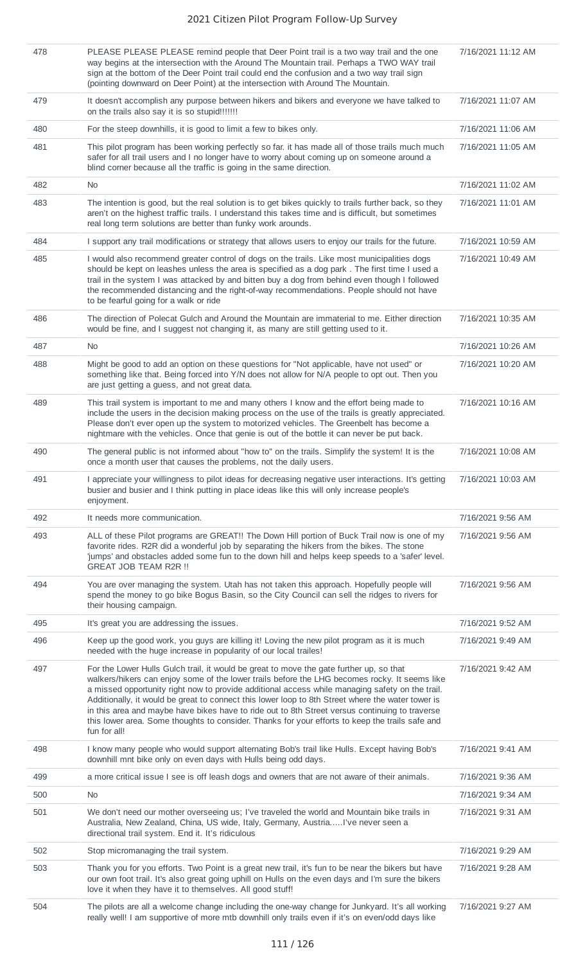| 478 | PLEASE PLEASE PLEASE remind people that Deer Point trail is a two way trail and the one<br>way begins at the intersection with the Around The Mountain trail. Perhaps a TWO WAY trail<br>sign at the bottom of the Deer Point trail could end the confusion and a two way trail sign<br>(pointing downward on Deer Point) at the intersection with Around The Mountain.                                                                                                                                                                                                                                               | 7/16/2021 11:12 AM |
|-----|-----------------------------------------------------------------------------------------------------------------------------------------------------------------------------------------------------------------------------------------------------------------------------------------------------------------------------------------------------------------------------------------------------------------------------------------------------------------------------------------------------------------------------------------------------------------------------------------------------------------------|--------------------|
| 479 | It doesn't accomplish any purpose between hikers and bikers and everyone we have talked to<br>on the trails also say it is so stupid!!!!!!!                                                                                                                                                                                                                                                                                                                                                                                                                                                                           | 7/16/2021 11:07 AM |
| 480 | For the steep downhills, it is good to limit a few to bikes only.                                                                                                                                                                                                                                                                                                                                                                                                                                                                                                                                                     | 7/16/2021 11:06 AM |
| 481 | This pilot program has been working perfectly so far. it has made all of those trails much much<br>safer for all trail users and I no longer have to worry about coming up on someone around a<br>blind corner because all the traffic is going in the same direction.                                                                                                                                                                                                                                                                                                                                                | 7/16/2021 11:05 AM |
| 482 | <b>No</b>                                                                                                                                                                                                                                                                                                                                                                                                                                                                                                                                                                                                             | 7/16/2021 11:02 AM |
| 483 | The intention is good, but the real solution is to get bikes quickly to trails further back, so they<br>aren't on the highest traffic trails. I understand this takes time and is difficult, but sometimes<br>real long term solutions are better than funky work arounds.                                                                                                                                                                                                                                                                                                                                            | 7/16/2021 11:01 AM |
| 484 | I support any trail modifications or strategy that allows users to enjoy our trails for the future.                                                                                                                                                                                                                                                                                                                                                                                                                                                                                                                   | 7/16/2021 10:59 AM |
| 485 | I would also recommend greater control of dogs on the trails. Like most municipalities dogs<br>should be kept on leashes unless the area is specified as a dog park. The first time I used a<br>trail in the system I was attacked by and bitten buy a dog from behind even though I followed<br>the recommended distancing and the right-of-way recommendations. People should not have<br>to be fearful going for a walk or ride                                                                                                                                                                                    | 7/16/2021 10:49 AM |
| 486 | The direction of Polecat Gulch and Around the Mountain are immaterial to me. Either direction<br>would be fine, and I suggest not changing it, as many are still getting used to it.                                                                                                                                                                                                                                                                                                                                                                                                                                  | 7/16/2021 10:35 AM |
| 487 | <b>No</b>                                                                                                                                                                                                                                                                                                                                                                                                                                                                                                                                                                                                             | 7/16/2021 10:26 AM |
| 488 | Might be good to add an option on these questions for "Not applicable, have not used" or<br>something like that. Being forced into Y/N does not allow for N/A people to opt out. Then you<br>are just getting a guess, and not great data.                                                                                                                                                                                                                                                                                                                                                                            | 7/16/2021 10:20 AM |
| 489 | This trail system is important to me and many others I know and the effort being made to<br>include the users in the decision making process on the use of the trails is greatly appreciated.<br>Please don't ever open up the system to motorized vehicles. The Greenbelt has become a<br>nightmare with the vehicles. Once that genie is out of the bottle it can never be put back.                                                                                                                                                                                                                                | 7/16/2021 10:16 AM |
| 490 | The general public is not informed about "how to" on the trails. Simplify the system! It is the<br>once a month user that causes the problems, not the daily users.                                                                                                                                                                                                                                                                                                                                                                                                                                                   | 7/16/2021 10:08 AM |
| 491 | I appreciate your willingness to pilot ideas for decreasing negative user interactions. It's getting<br>busier and busier and I think putting in place ideas like this will only increase people's<br>enjoyment.                                                                                                                                                                                                                                                                                                                                                                                                      | 7/16/2021 10:03 AM |
| 492 | It needs more communication.                                                                                                                                                                                                                                                                                                                                                                                                                                                                                                                                                                                          | 7/16/2021 9:56 AM  |
| 493 | ALL of these Pilot programs are GREAT!! The Down Hill portion of Buck Trail now is one of my<br>favorite rides. R2R did a wonderful job by separating the hikers from the bikes. The stone<br>'jumps' and obstacles added some fun to the down hill and helps keep speeds to a 'safer' level.<br><b>GREAT JOB TEAM R2R !!</b>                                                                                                                                                                                                                                                                                         | 7/16/2021 9:56 AM  |
| 494 | You are over managing the system. Utah has not taken this approach. Hopefully people will<br>spend the money to go bike Bogus Basin, so the City Council can sell the ridges to rivers for<br>their housing campaign.                                                                                                                                                                                                                                                                                                                                                                                                 | 7/16/2021 9:56 AM  |
| 495 | It's great you are addressing the issues.                                                                                                                                                                                                                                                                                                                                                                                                                                                                                                                                                                             | 7/16/2021 9:52 AM  |
| 496 | Keep up the good work, you guys are killing it! Loving the new pilot program as it is much<br>needed with the huge increase in popularity of our local trailes!                                                                                                                                                                                                                                                                                                                                                                                                                                                       | 7/16/2021 9:49 AM  |
| 497 | For the Lower Hulls Gulch trail, it would be great to move the gate further up, so that<br>walkers/hikers can enjoy some of the lower trails before the LHG becomes rocky. It seems like<br>a missed opportunity right now to provide additional access while managing safety on the trail.<br>Additionally, it would be great to connect this lower loop to 8th Street where the water tower is<br>in this area and maybe have bikes have to ride out to 8th Street versus continuing to traverse<br>this lower area. Some thoughts to consider. Thanks for your efforts to keep the trails safe and<br>fun for all! | 7/16/2021 9:42 AM  |
| 498 | I know many people who would support alternating Bob's trail like Hulls. Except having Bob's<br>downhill mnt bike only on even days with Hulls being odd days.                                                                                                                                                                                                                                                                                                                                                                                                                                                        | 7/16/2021 9:41 AM  |
| 499 | a more critical issue I see is off leash dogs and owners that are not aware of their animals.                                                                                                                                                                                                                                                                                                                                                                                                                                                                                                                         | 7/16/2021 9:36 AM  |
| 500 | No                                                                                                                                                                                                                                                                                                                                                                                                                                                                                                                                                                                                                    | 7/16/2021 9:34 AM  |
| 501 | We don't need our mother overseeing us; I've traveled the world and Mountain bike trails in<br>Australia, New Zealand, China, US wide, Italy, Germany, AustriaI've never seen a<br>directional trail system. End it. It's ridiculous                                                                                                                                                                                                                                                                                                                                                                                  | 7/16/2021 9:31 AM  |
| 502 | Stop micromanaging the trail system.                                                                                                                                                                                                                                                                                                                                                                                                                                                                                                                                                                                  | 7/16/2021 9:29 AM  |
| 503 | Thank you for you efforts. Two Point is a great new trail, it's fun to be near the bikers but have<br>our own foot trail. It's also great going uphill on Hulls on the even days and I'm sure the bikers<br>love it when they have it to themselves. All good stuff!                                                                                                                                                                                                                                                                                                                                                  | 7/16/2021 9:28 AM  |
| 504 | The pilots are all a welcome change including the one-way change for Junkyard. It's all working<br>really well! I am supportive of more mtb downhill only trails even if it's on even/odd days like                                                                                                                                                                                                                                                                                                                                                                                                                   | 7/16/2021 9:27 AM  |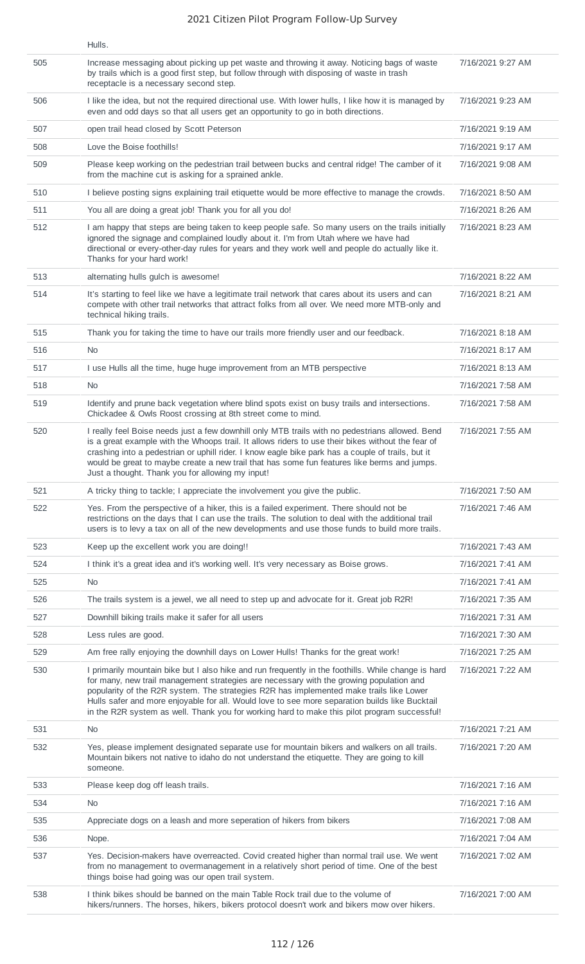|     | Hulls.                                                                                                                                                                                                                                                                                                                                                                                                                                                                                      |                   |
|-----|---------------------------------------------------------------------------------------------------------------------------------------------------------------------------------------------------------------------------------------------------------------------------------------------------------------------------------------------------------------------------------------------------------------------------------------------------------------------------------------------|-------------------|
| 505 | Increase messaging about picking up pet waste and throwing it away. Noticing bags of waste<br>by trails which is a good first step, but follow through with disposing of waste in trash<br>receptacle is a necessary second step.                                                                                                                                                                                                                                                           | 7/16/2021 9:27 AM |
| 506 | I like the idea, but not the required directional use. With lower hulls, I like how it is managed by<br>even and odd days so that all users get an opportunity to go in both directions.                                                                                                                                                                                                                                                                                                    | 7/16/2021 9:23 AM |
| 507 | open trail head closed by Scott Peterson                                                                                                                                                                                                                                                                                                                                                                                                                                                    | 7/16/2021 9:19 AM |
| 508 | Love the Boise foothills!                                                                                                                                                                                                                                                                                                                                                                                                                                                                   | 7/16/2021 9:17 AM |
| 509 | Please keep working on the pedestrian trail between bucks and central ridge! The camber of it<br>from the machine cut is asking for a sprained ankle.                                                                                                                                                                                                                                                                                                                                       | 7/16/2021 9:08 AM |
| 510 | I believe posting signs explaining trail etiquette would be more effective to manage the crowds.                                                                                                                                                                                                                                                                                                                                                                                            | 7/16/2021 8:50 AM |
| 511 | You all are doing a great job! Thank you for all you do!                                                                                                                                                                                                                                                                                                                                                                                                                                    | 7/16/2021 8:26 AM |
| 512 | I am happy that steps are being taken to keep people safe. So many users on the trails initially<br>ignored the signage and complained loudly about it. I'm from Utah where we have had<br>directional or every-other-day rules for years and they work well and people do actually like it.<br>Thanks for your hard work!                                                                                                                                                                  | 7/16/2021 8:23 AM |
| 513 | alternating hulls gulch is awesome!                                                                                                                                                                                                                                                                                                                                                                                                                                                         | 7/16/2021 8:22 AM |
| 514 | It's starting to feel like we have a legitimate trail network that cares about its users and can<br>compete with other trail networks that attract folks from all over. We need more MTB-only and<br>technical hiking trails.                                                                                                                                                                                                                                                               | 7/16/2021 8:21 AM |
| 515 | Thank you for taking the time to have our trails more friendly user and our feedback.                                                                                                                                                                                                                                                                                                                                                                                                       | 7/16/2021 8:18 AM |
| 516 | <b>No</b>                                                                                                                                                                                                                                                                                                                                                                                                                                                                                   | 7/16/2021 8:17 AM |
| 517 | I use Hulls all the time, huge huge improvement from an MTB perspective                                                                                                                                                                                                                                                                                                                                                                                                                     | 7/16/2021 8:13 AM |
| 518 | No                                                                                                                                                                                                                                                                                                                                                                                                                                                                                          | 7/16/2021 7:58 AM |
| 519 | Identify and prune back vegetation where blind spots exist on busy trails and intersections.<br>Chickadee & Owls Roost crossing at 8th street come to mind.                                                                                                                                                                                                                                                                                                                                 | 7/16/2021 7:58 AM |
| 520 | I really feel Boise needs just a few downhill only MTB trails with no pedestrians allowed. Bend<br>is a great example with the Whoops trail. It allows riders to use their bikes without the fear of<br>crashing into a pedestrian or uphill rider. I know eagle bike park has a couple of trails, but it<br>would be great to maybe create a new trail that has some fun features like berms and jumps.<br>Just a thought. Thank you for allowing my input!                                | 7/16/2021 7:55 AM |
| 521 | A tricky thing to tackle; I appreciate the involvement you give the public.                                                                                                                                                                                                                                                                                                                                                                                                                 | 7/16/2021 7:50 AM |
| 522 | Yes. From the perspective of a hiker, this is a failed experiment. There should not be<br>restrictions on the days that I can use the trails. The solution to deal with the additional trail<br>users is to levy a tax on all of the new developments and use those funds to build more trails.                                                                                                                                                                                             | 7/16/2021 7:46 AM |
| 523 | Keep up the excellent work you are doing!!                                                                                                                                                                                                                                                                                                                                                                                                                                                  | 7/16/2021 7:43 AM |
| 524 | I think it's a great idea and it's working well. It's very necessary as Boise grows.                                                                                                                                                                                                                                                                                                                                                                                                        | 7/16/2021 7:41 AM |
| 525 | <b>No</b>                                                                                                                                                                                                                                                                                                                                                                                                                                                                                   | 7/16/2021 7:41 AM |
| 526 | The trails system is a jewel, we all need to step up and advocate for it. Great job R2R!                                                                                                                                                                                                                                                                                                                                                                                                    | 7/16/2021 7:35 AM |
| 527 | Downhill biking trails make it safer for all users                                                                                                                                                                                                                                                                                                                                                                                                                                          | 7/16/2021 7:31 AM |
| 528 | Less rules are good.                                                                                                                                                                                                                                                                                                                                                                                                                                                                        | 7/16/2021 7:30 AM |
| 529 | Am free rally enjoying the downhill days on Lower Hulls! Thanks for the great work!                                                                                                                                                                                                                                                                                                                                                                                                         | 7/16/2021 7:25 AM |
| 530 | I primarily mountain bike but I also hike and run frequently in the foothills. While change is hard<br>for many, new trail management strategies are necessary with the growing population and<br>popularity of the R2R system. The strategies R2R has implemented make trails like Lower<br>Hulls safer and more enjoyable for all. Would love to see more separation builds like Bucktail<br>in the R2R system as well. Thank you for working hard to make this pilot program successful! | 7/16/2021 7:22 AM |
| 531 | <b>No</b>                                                                                                                                                                                                                                                                                                                                                                                                                                                                                   | 7/16/2021 7:21 AM |
| 532 | Yes, please implement designated separate use for mountain bikers and walkers on all trails.<br>Mountain bikers not native to idaho do not understand the etiquette. They are going to kill<br>someone.                                                                                                                                                                                                                                                                                     | 7/16/2021 7:20 AM |
| 533 | Please keep dog off leash trails.                                                                                                                                                                                                                                                                                                                                                                                                                                                           | 7/16/2021 7:16 AM |
| 534 | <b>No</b>                                                                                                                                                                                                                                                                                                                                                                                                                                                                                   | 7/16/2021 7:16 AM |
| 535 | Appreciate dogs on a leash and more seperation of hikers from bikers                                                                                                                                                                                                                                                                                                                                                                                                                        | 7/16/2021 7:08 AM |
| 536 | Nope.                                                                                                                                                                                                                                                                                                                                                                                                                                                                                       | 7/16/2021 7:04 AM |
| 537 | Yes. Decision-makers have overreacted. Covid created higher than normal trail use. We went<br>from no management to overmanagement in a relatively short period of time. One of the best<br>things boise had going was our open trail system.                                                                                                                                                                                                                                               | 7/16/2021 7:02 AM |
| 538 | I think bikes should be banned on the main Table Rock trail due to the volume of<br>hikers/runners. The horses, hikers, bikers protocol doesn't work and bikers mow over hikers.                                                                                                                                                                                                                                                                                                            | 7/16/2021 7:00 AM |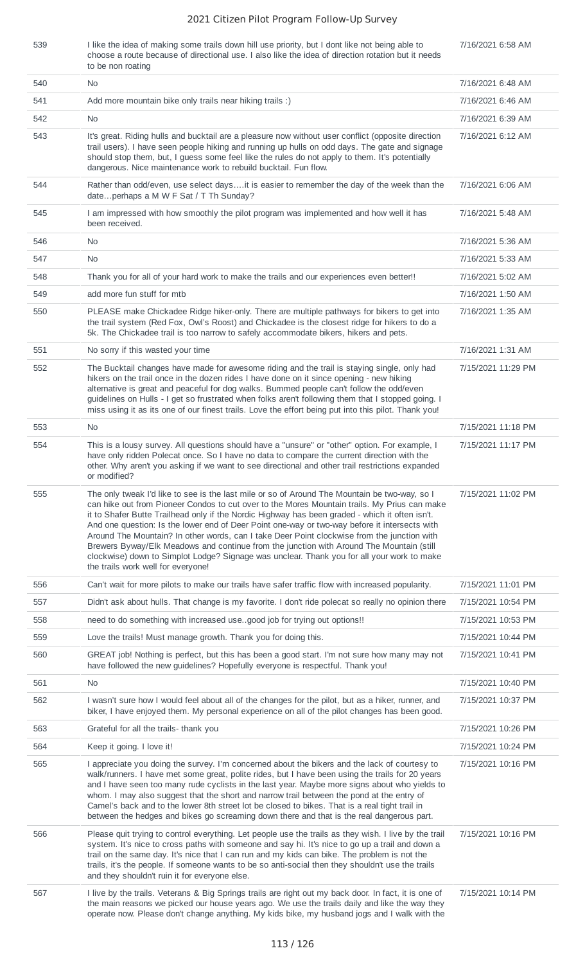539 I like the idea of making some trails down hill use priority, but I dont like not being able to

7/16/2021 6:58 AM

|     | choose a route because of directional use. I also like the idea of direction rotation but it needs<br>to be non roating                                                                                                                                                                                                                                                                                                                                                                                                                                                                                                                                                                                                          |                    |
|-----|----------------------------------------------------------------------------------------------------------------------------------------------------------------------------------------------------------------------------------------------------------------------------------------------------------------------------------------------------------------------------------------------------------------------------------------------------------------------------------------------------------------------------------------------------------------------------------------------------------------------------------------------------------------------------------------------------------------------------------|--------------------|
| 540 | No.                                                                                                                                                                                                                                                                                                                                                                                                                                                                                                                                                                                                                                                                                                                              | 7/16/2021 6:48 AM  |
| 541 | Add more mountain bike only trails near hiking trails :)                                                                                                                                                                                                                                                                                                                                                                                                                                                                                                                                                                                                                                                                         | 7/16/2021 6:46 AM  |
| 542 | No.                                                                                                                                                                                                                                                                                                                                                                                                                                                                                                                                                                                                                                                                                                                              | 7/16/2021 6:39 AM  |
| 543 | It's great. Riding hulls and bucktail are a pleasure now without user conflict (opposite direction<br>trail users). I have seen people hiking and running up hulls on odd days. The gate and signage<br>should stop them, but, I guess some feel like the rules do not apply to them. It's potentially<br>dangerous. Nice maintenance work to rebuild bucktail. Fun flow.                                                                                                                                                                                                                                                                                                                                                        | 7/16/2021 6:12 AM  |
| 544 | Rather than odd/even, use select daysit is easier to remember the day of the week than the<br>dateperhaps a M W F Sat / T Th Sunday?                                                                                                                                                                                                                                                                                                                                                                                                                                                                                                                                                                                             | 7/16/2021 6:06 AM  |
| 545 | I am impressed with how smoothly the pilot program was implemented and how well it has<br>been received.                                                                                                                                                                                                                                                                                                                                                                                                                                                                                                                                                                                                                         | 7/16/2021 5:48 AM  |
| 546 | No                                                                                                                                                                                                                                                                                                                                                                                                                                                                                                                                                                                                                                                                                                                               | 7/16/2021 5:36 AM  |
| 547 | <b>No</b>                                                                                                                                                                                                                                                                                                                                                                                                                                                                                                                                                                                                                                                                                                                        | 7/16/2021 5:33 AM  |
| 548 | Thank you for all of your hard work to make the trails and our experiences even better!!                                                                                                                                                                                                                                                                                                                                                                                                                                                                                                                                                                                                                                         | 7/16/2021 5:02 AM  |
| 549 | add more fun stuff for mtb                                                                                                                                                                                                                                                                                                                                                                                                                                                                                                                                                                                                                                                                                                       | 7/16/2021 1:50 AM  |
| 550 | PLEASE make Chickadee Ridge hiker-only. There are multiple pathways for bikers to get into<br>the trail system (Red Fox, Owl's Roost) and Chickadee is the closest ridge for hikers to do a<br>5k. The Chickadee trail is too narrow to safely accommodate bikers, hikers and pets.                                                                                                                                                                                                                                                                                                                                                                                                                                              | 7/16/2021 1:35 AM  |
| 551 | No sorry if this wasted your time                                                                                                                                                                                                                                                                                                                                                                                                                                                                                                                                                                                                                                                                                                | 7/16/2021 1:31 AM  |
| 552 | The Bucktail changes have made for awesome riding and the trail is staying single, only had<br>hikers on the trail once in the dozen rides I have done on it since opening - new hiking<br>alternative is great and peaceful for dog walks. Bummed people can't follow the odd/even<br>guidelines on Hulls - I get so frustrated when folks aren't following them that I stopped going. I<br>miss using it as its one of our finest trails. Love the effort being put into this pilot. Thank you!                                                                                                                                                                                                                                | 7/15/2021 11:29 PM |
| 553 | No                                                                                                                                                                                                                                                                                                                                                                                                                                                                                                                                                                                                                                                                                                                               | 7/15/2021 11:18 PM |
| 554 | This is a lousy survey. All questions should have a "unsure" or "other" option. For example, I<br>have only ridden Polecat once. So I have no data to compare the current direction with the<br>other. Why aren't you asking if we want to see directional and other trail restrictions expanded<br>or modified?                                                                                                                                                                                                                                                                                                                                                                                                                 | 7/15/2021 11:17 PM |
| 555 | The only tweak I'd like to see is the last mile or so of Around The Mountain be two-way, so I<br>can hike out from Pioneer Condos to cut over to the Mores Mountain trails. My Prius can make<br>it to Shafer Butte Trailhead only if the Nordic Highway has been graded - which it often isn't.<br>And one question: Is the lower end of Deer Point one-way or two-way before it intersects with<br>Around The Mountain? In other words, can I take Deer Point clockwise from the junction with<br>Brewers Byway/Elk Meadows and continue from the junction with Around The Mountain (still<br>clockwise) down to Simplot Lodge? Signage was unclear. Thank you for all your work to make<br>the trails work well for everyone! | 7/15/2021 11:02 PM |
| 556 | Can't wait for more pilots to make our trails have safer traffic flow with increased popularity.                                                                                                                                                                                                                                                                                                                                                                                                                                                                                                                                                                                                                                 | 7/15/2021 11:01 PM |
| 557 | Didn't ask about hulls. That change is my favorite. I don't ride polecat so really no opinion there                                                                                                                                                                                                                                                                                                                                                                                                                                                                                                                                                                                                                              | 7/15/2021 10:54 PM |
| 558 | need to do something with increased usegood job for trying out options!!                                                                                                                                                                                                                                                                                                                                                                                                                                                                                                                                                                                                                                                         | 7/15/2021 10:53 PM |
| 559 | Love the trails! Must manage growth. Thank you for doing this.                                                                                                                                                                                                                                                                                                                                                                                                                                                                                                                                                                                                                                                                   | 7/15/2021 10:44 PM |
| 560 | GREAT job! Nothing is perfect, but this has been a good start. I'm not sure how many may not<br>have followed the new guidelines? Hopefully everyone is respectful. Thank you!                                                                                                                                                                                                                                                                                                                                                                                                                                                                                                                                                   | 7/15/2021 10:41 PM |
| 561 | <b>No</b>                                                                                                                                                                                                                                                                                                                                                                                                                                                                                                                                                                                                                                                                                                                        | 7/15/2021 10:40 PM |
| 562 | I wasn't sure how I would feel about all of the changes for the pilot, but as a hiker, runner, and<br>biker, I have enjoyed them. My personal experience on all of the pilot changes has been good.                                                                                                                                                                                                                                                                                                                                                                                                                                                                                                                              | 7/15/2021 10:37 PM |
| 563 | Grateful for all the trails-thank you                                                                                                                                                                                                                                                                                                                                                                                                                                                                                                                                                                                                                                                                                            | 7/15/2021 10:26 PM |
| 564 | Keep it going. I love it!                                                                                                                                                                                                                                                                                                                                                                                                                                                                                                                                                                                                                                                                                                        | 7/15/2021 10:24 PM |
| 565 | I appreciate you doing the survey. I'm concerned about the bikers and the lack of courtesy to<br>walk/runners. I have met some great, polite rides, but I have been using the trails for 20 years<br>and I have seen too many rude cyclists in the last year. Maybe more signs about who yields to<br>whom. I may also suggest that the short and narrow trail between the pond at the entry of<br>Camel's back and to the lower 8th street lot be closed to bikes. That is a real tight trail in<br>between the hedges and bikes go screaming down there and that is the real dangerous part.                                                                                                                                   | 7/15/2021 10:16 PM |
| 566 | Please quit trying to control everything. Let people use the trails as they wish. I live by the trail<br>system. It's nice to cross paths with someone and say hi. It's nice to go up a trail and down a<br>trail on the same day. It's nice that I can run and my kids can bike. The problem is not the<br>trails, it's the people. If someone wants to be so anti-social then they shouldn't use the trails<br>and they shouldn't ruin it for everyone else.                                                                                                                                                                                                                                                                   | 7/15/2021 10:16 PM |
| 567 | I live by the trails. Veterans & Big Springs trails are right out my back door. In fact, it is one of<br>the main reasons we picked our house years ago. We use the trails daily and like the way they<br>operate now. Please don't change anything. My kids bike, my husband jogs and I walk with the                                                                                                                                                                                                                                                                                                                                                                                                                           | 7/15/2021 10:14 PM |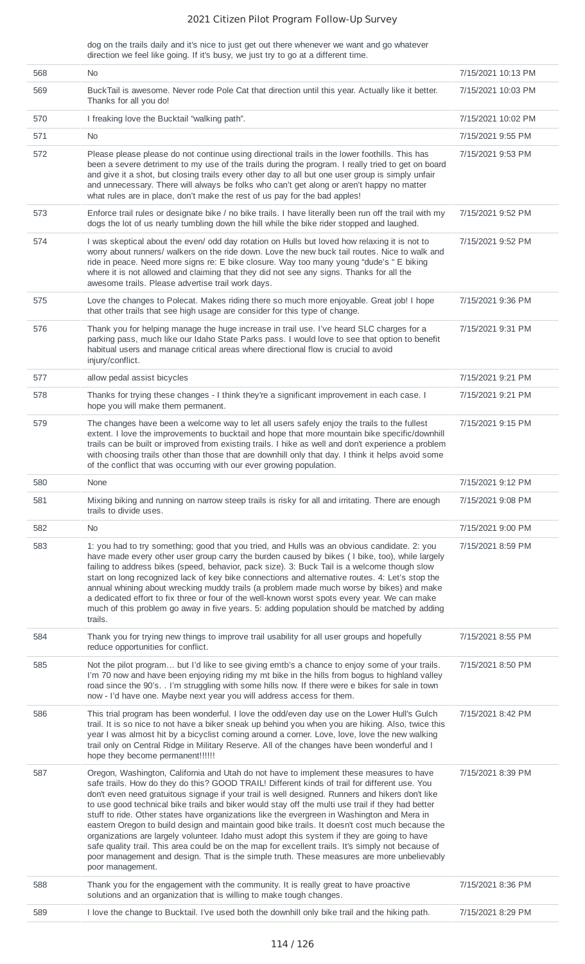dog on the trails daily and it's nice to just get out there whenever we want and go whatever direction we feel like going. If it's busy, we just try to go at a different time.

| 568 | N <sub>0</sub>                                                                                                                                                                                                                                                                                                                                                                                                                                                                                                                                                                                                                                                                                                                                                                                                                                                                                                            | 7/15/2021 10:13 PM |
|-----|---------------------------------------------------------------------------------------------------------------------------------------------------------------------------------------------------------------------------------------------------------------------------------------------------------------------------------------------------------------------------------------------------------------------------------------------------------------------------------------------------------------------------------------------------------------------------------------------------------------------------------------------------------------------------------------------------------------------------------------------------------------------------------------------------------------------------------------------------------------------------------------------------------------------------|--------------------|
| 569 | BuckTail is awesome. Never rode Pole Cat that direction until this year. Actually like it better.<br>Thanks for all you do!                                                                                                                                                                                                                                                                                                                                                                                                                                                                                                                                                                                                                                                                                                                                                                                               | 7/15/2021 10:03 PM |
| 570 | I freaking love the Bucktail "walking path".                                                                                                                                                                                                                                                                                                                                                                                                                                                                                                                                                                                                                                                                                                                                                                                                                                                                              | 7/15/2021 10:02 PM |
| 571 | <b>No</b>                                                                                                                                                                                                                                                                                                                                                                                                                                                                                                                                                                                                                                                                                                                                                                                                                                                                                                                 | 7/15/2021 9:55 PM  |
| 572 | Please please please do not continue using directional trails in the lower foothills. This has<br>been a severe detriment to my use of the trails during the program. I really tried to get on board<br>and give it a shot, but closing trails every other day to all but one user group is simply unfair<br>and unnecessary. There will always be folks who can't get along or aren't happy no matter<br>what rules are in place, don't make the rest of us pay for the bad apples!                                                                                                                                                                                                                                                                                                                                                                                                                                      | 7/15/2021 9:53 PM  |
| 573 | Enforce trail rules or designate bike / no bike trails. I have literally been run off the trail with my<br>dogs the lot of us nearly tumbling down the hill while the bike rider stopped and laughed.                                                                                                                                                                                                                                                                                                                                                                                                                                                                                                                                                                                                                                                                                                                     | 7/15/2021 9:52 PM  |
| 574 | I was skeptical about the even/ odd day rotation on Hulls but loved how relaxing it is not to<br>worry about runners/ walkers on the ride down. Love the new buck tail routes. Nice to walk and<br>ride in peace. Need more signs re: E bike closure. Way too many young "dude's " E biking<br>where it is not allowed and claiming that they did not see any signs. Thanks for all the<br>awesome trails. Please advertise trail work days.                                                                                                                                                                                                                                                                                                                                                                                                                                                                              | 7/15/2021 9:52 PM  |
| 575 | Love the changes to Polecat. Makes riding there so much more enjoyable. Great job! I hope<br>that other trails that see high usage are consider for this type of change.                                                                                                                                                                                                                                                                                                                                                                                                                                                                                                                                                                                                                                                                                                                                                  | 7/15/2021 9:36 PM  |
| 576 | Thank you for helping manage the huge increase in trail use. I've heard SLC charges for a<br>parking pass, much like our Idaho State Parks pass. I would love to see that option to benefit<br>habitual users and manage critical areas where directional flow is crucial to avoid<br>injury/conflict.                                                                                                                                                                                                                                                                                                                                                                                                                                                                                                                                                                                                                    | 7/15/2021 9:31 PM  |
| 577 | allow pedal assist bicycles                                                                                                                                                                                                                                                                                                                                                                                                                                                                                                                                                                                                                                                                                                                                                                                                                                                                                               | 7/15/2021 9:21 PM  |
| 578 | Thanks for trying these changes - I think they're a significant improvement in each case. I<br>hope you will make them permanent.                                                                                                                                                                                                                                                                                                                                                                                                                                                                                                                                                                                                                                                                                                                                                                                         | 7/15/2021 9:21 PM  |
| 579 | The changes have been a welcome way to let all users safely enjoy the trails to the fullest<br>extent. I love the improvements to bucktail and hope that more mountain bike specific/downhill<br>trails can be built or improved from existing trails. I hike as well and don't experience a problem<br>with choosing trails other than those that are downhill only that day. I think it helps avoid some<br>of the conflict that was occurring with our ever growing population.                                                                                                                                                                                                                                                                                                                                                                                                                                        | 7/15/2021 9:15 PM  |
| 580 | None                                                                                                                                                                                                                                                                                                                                                                                                                                                                                                                                                                                                                                                                                                                                                                                                                                                                                                                      | 7/15/2021 9:12 PM  |
| 581 | Mixing biking and running on narrow steep trails is risky for all and irritating. There are enough<br>trails to divide uses.                                                                                                                                                                                                                                                                                                                                                                                                                                                                                                                                                                                                                                                                                                                                                                                              | 7/15/2021 9:08 PM  |
| 582 | No                                                                                                                                                                                                                                                                                                                                                                                                                                                                                                                                                                                                                                                                                                                                                                                                                                                                                                                        | 7/15/2021 9:00 PM  |
| 583 | 1: you had to try something; good that you tried, and Hulls was an obvious candidate. 2: you<br>have made every other user group carry the burden caused by bikes (I bike, too), while largely<br>failing to address bikes (speed, behavior, pack size). 3: Buck Tail is a welcome though slow<br>start on long recognized lack of key bike connections and alternative routes. 4: Let's stop the<br>annual whining about wrecking muddy trails (a problem made much worse by bikes) and make<br>a dedicated effort to fix three or four of the well-known worst spots every year. We can make<br>much of this problem go away in five years. 5: adding population should be matched by adding<br>trails.                                                                                                                                                                                                                 | 7/15/2021 8:59 PM  |
| 584 | Thank you for trying new things to improve trail usability for all user groups and hopefully<br>reduce opportunities for conflict.                                                                                                                                                                                                                                                                                                                                                                                                                                                                                                                                                                                                                                                                                                                                                                                        | 7/15/2021 8:55 PM  |
| 585 | Not the pilot program but I'd like to see giving emtb's a chance to enjoy some of your trails.<br>I'm 70 now and have been enjoying riding my mt bike in the hills from bogus to highland valley<br>road since the 90's. . I'm struggling with some hills now. If there were e bikes for sale in town<br>now - I'd have one. Maybe next year you will address access for them.                                                                                                                                                                                                                                                                                                                                                                                                                                                                                                                                            | 7/15/2021 8:50 PM  |
| 586 | This trial program has been wonderful. I love the odd/even day use on the Lower Hull's Gulch<br>trail. It is so nice to not have a biker sneak up behind you when you are hiking. Also, twice this<br>year I was almost hit by a bicyclist coming around a corner. Love, love, love the new walking<br>trail only on Central Ridge in Military Reserve. All of the changes have been wonderful and I<br>hope they become permanent !!!!!!!                                                                                                                                                                                                                                                                                                                                                                                                                                                                                | 7/15/2021 8:42 PM  |
| 587 | Oregon, Washington, California and Utah do not have to implement these measures to have<br>safe trails. How do they do this? GOOD TRAIL! Different kinds of trail for different use. You<br>don't even need gratuitous signage if your trail is well designed. Runners and hikers don't like<br>to use good technical bike trails and biker would stay off the multi use trail if they had better<br>stuff to ride. Other states have organizations like the evergreen in Washington and Mera in<br>eastern Oregon to build design and maintain good bike trails. It doesn't cost much because the<br>organizations are largely volunteer. Idaho must adopt this system if they are going to have<br>safe quality trail. This area could be on the map for excellent trails. It's simply not because of<br>poor management and design. That is the simple truth. These measures are more unbelievably<br>poor management. | 7/15/2021 8:39 PM  |
| 588 | Thank you for the engagement with the community. It is really great to have proactive<br>solutions and an organization that is willing to make tough changes.                                                                                                                                                                                                                                                                                                                                                                                                                                                                                                                                                                                                                                                                                                                                                             | 7/15/2021 8:36 PM  |
| 589 | I love the change to Bucktail. I've used both the downhill only bike trail and the hiking path.                                                                                                                                                                                                                                                                                                                                                                                                                                                                                                                                                                                                                                                                                                                                                                                                                           | 7/15/2021 8:29 PM  |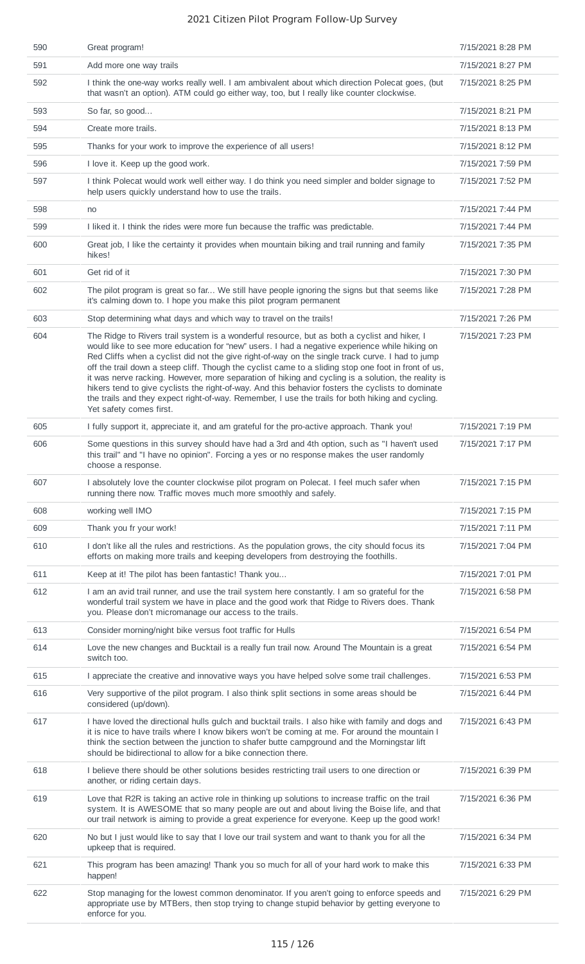| 590 | Great program!                                                                                                                                                                                                                                                                                                                                                                                                                                                                                                                                                                                                                                                                                                                                      | 7/15/2021 8:28 PM |
|-----|-----------------------------------------------------------------------------------------------------------------------------------------------------------------------------------------------------------------------------------------------------------------------------------------------------------------------------------------------------------------------------------------------------------------------------------------------------------------------------------------------------------------------------------------------------------------------------------------------------------------------------------------------------------------------------------------------------------------------------------------------------|-------------------|
| 591 | Add more one way trails                                                                                                                                                                                                                                                                                                                                                                                                                                                                                                                                                                                                                                                                                                                             | 7/15/2021 8:27 PM |
| 592 | I think the one-way works really well. I am ambivalent about which direction Polecat goes, (but<br>that wasn't an option). ATM could go either way, too, but I really like counter clockwise.                                                                                                                                                                                                                                                                                                                                                                                                                                                                                                                                                       | 7/15/2021 8:25 PM |
| 593 | So far, so good                                                                                                                                                                                                                                                                                                                                                                                                                                                                                                                                                                                                                                                                                                                                     | 7/15/2021 8:21 PM |
| 594 | Create more trails.                                                                                                                                                                                                                                                                                                                                                                                                                                                                                                                                                                                                                                                                                                                                 | 7/15/2021 8:13 PM |
| 595 | Thanks for your work to improve the experience of all users!                                                                                                                                                                                                                                                                                                                                                                                                                                                                                                                                                                                                                                                                                        | 7/15/2021 8:12 PM |
| 596 | I love it. Keep up the good work.                                                                                                                                                                                                                                                                                                                                                                                                                                                                                                                                                                                                                                                                                                                   | 7/15/2021 7:59 PM |
| 597 | I think Polecat would work well either way. I do think you need simpler and bolder signage to<br>help users quickly understand how to use the trails.                                                                                                                                                                                                                                                                                                                                                                                                                                                                                                                                                                                               | 7/15/2021 7:52 PM |
| 598 | no                                                                                                                                                                                                                                                                                                                                                                                                                                                                                                                                                                                                                                                                                                                                                  | 7/15/2021 7:44 PM |
| 599 | I liked it. I think the rides were more fun because the traffic was predictable.                                                                                                                                                                                                                                                                                                                                                                                                                                                                                                                                                                                                                                                                    | 7/15/2021 7:44 PM |
| 600 | Great job, I like the certainty it provides when mountain biking and trail running and family<br>hikes!                                                                                                                                                                                                                                                                                                                                                                                                                                                                                                                                                                                                                                             | 7/15/2021 7:35 PM |
| 601 | Get rid of it                                                                                                                                                                                                                                                                                                                                                                                                                                                                                                                                                                                                                                                                                                                                       | 7/15/2021 7:30 PM |
| 602 | The pilot program is great so far We still have people ignoring the signs but that seems like<br>it's calming down to. I hope you make this pilot program permanent                                                                                                                                                                                                                                                                                                                                                                                                                                                                                                                                                                                 | 7/15/2021 7:28 PM |
| 603 | Stop determining what days and which way to travel on the trails!                                                                                                                                                                                                                                                                                                                                                                                                                                                                                                                                                                                                                                                                                   | 7/15/2021 7:26 PM |
| 604 | The Ridge to Rivers trail system is a wonderful resource, but as both a cyclist and hiker, I<br>would like to see more education for "new" users. I had a negative experience while hiking on<br>Red Cliffs when a cyclist did not the give right-of-way on the single track curve. I had to jump<br>off the trail down a steep cliff. Though the cyclist came to a sliding stop one foot in front of us,<br>it was nerve racking. However, more separation of hiking and cycling is a solution, the reality is<br>hikers tend to give cyclists the right-of-way. And this behavior fosters the cyclists to dominate<br>the trails and they expect right-of-way. Remember, I use the trails for both hiking and cycling.<br>Yet safety comes first. | 7/15/2021 7:23 PM |
| 605 | I fully support it, appreciate it, and am grateful for the pro-active approach. Thank you!                                                                                                                                                                                                                                                                                                                                                                                                                                                                                                                                                                                                                                                          | 7/15/2021 7:19 PM |
| 606 | Some questions in this survey should have had a 3rd and 4th option, such as "I haven't used<br>this trail" and "I have no opinion". Forcing a yes or no response makes the user randomly<br>choose a response.                                                                                                                                                                                                                                                                                                                                                                                                                                                                                                                                      | 7/15/2021 7:17 PM |
| 607 | I absolutely love the counter clockwise pilot program on Polecat. I feel much safer when<br>running there now. Traffic moves much more smoothly and safely.                                                                                                                                                                                                                                                                                                                                                                                                                                                                                                                                                                                         | 7/15/2021 7:15 PM |
| 608 | working well IMO                                                                                                                                                                                                                                                                                                                                                                                                                                                                                                                                                                                                                                                                                                                                    | 7/15/2021 7:15 PM |
| 609 | Thank you fr your work!                                                                                                                                                                                                                                                                                                                                                                                                                                                                                                                                                                                                                                                                                                                             | 7/15/2021 7:11 PM |
| 610 | I don't like all the rules and restrictions. As the population grows, the city should focus its<br>efforts on making more trails and keeping developers from destroying the foothills.                                                                                                                                                                                                                                                                                                                                                                                                                                                                                                                                                              | 7/15/2021 7:04 PM |
| 611 | Keep at it! The pilot has been fantastic! Thank you                                                                                                                                                                                                                                                                                                                                                                                                                                                                                                                                                                                                                                                                                                 | 7/15/2021 7:01 PM |
| 612 | I am an avid trail runner, and use the trail system here constantly. I am so grateful for the<br>wonderful trail system we have in place and the good work that Ridge to Rivers does. Thank<br>you. Please don't micromanage our access to the trails.                                                                                                                                                                                                                                                                                                                                                                                                                                                                                              | 7/15/2021 6:58 PM |
| 613 | Consider morning/night bike versus foot traffic for Hulls                                                                                                                                                                                                                                                                                                                                                                                                                                                                                                                                                                                                                                                                                           | 7/15/2021 6:54 PM |
| 614 | Love the new changes and Bucktail is a really fun trail now. Around The Mountain is a great<br>switch too.                                                                                                                                                                                                                                                                                                                                                                                                                                                                                                                                                                                                                                          | 7/15/2021 6:54 PM |
| 615 | I appreciate the creative and innovative ways you have helped solve some trail challenges.                                                                                                                                                                                                                                                                                                                                                                                                                                                                                                                                                                                                                                                          | 7/15/2021 6:53 PM |
| 616 | Very supportive of the pilot program. I also think split sections in some areas should be<br>considered (up/down).                                                                                                                                                                                                                                                                                                                                                                                                                                                                                                                                                                                                                                  | 7/15/2021 6:44 PM |
| 617 | I have loved the directional hulls gulch and bucktail trails. I also hike with family and dogs and<br>it is nice to have trails where I know bikers won't be coming at me. For around the mountain I<br>think the section between the junction to shafer butte campground and the Morningstar lift<br>should be bidirectional to allow for a bike connection there.                                                                                                                                                                                                                                                                                                                                                                                 | 7/15/2021 6:43 PM |
| 618 | I believe there should be other solutions besides restricting trail users to one direction or<br>another, or riding certain days.                                                                                                                                                                                                                                                                                                                                                                                                                                                                                                                                                                                                                   | 7/15/2021 6:39 PM |
| 619 | Love that R2R is taking an active role in thinking up solutions to increase traffic on the trail<br>system. It is AWESOME that so many people are out and about living the Boise life, and that<br>our trail network is aiming to provide a great experience for everyone. Keep up the good work!                                                                                                                                                                                                                                                                                                                                                                                                                                                   | 7/15/2021 6:36 PM |
| 620 | No but I just would like to say that I love our trail system and want to thank you for all the<br>upkeep that is required.                                                                                                                                                                                                                                                                                                                                                                                                                                                                                                                                                                                                                          | 7/15/2021 6:34 PM |
| 621 | This program has been amazing! Thank you so much for all of your hard work to make this<br>happen!                                                                                                                                                                                                                                                                                                                                                                                                                                                                                                                                                                                                                                                  | 7/15/2021 6:33 PM |
| 622 | Stop managing for the lowest common denominator. If you aren't going to enforce speeds and<br>appropriate use by MTBers, then stop trying to change stupid behavior by getting everyone to<br>enforce for you.                                                                                                                                                                                                                                                                                                                                                                                                                                                                                                                                      | 7/15/2021 6:29 PM |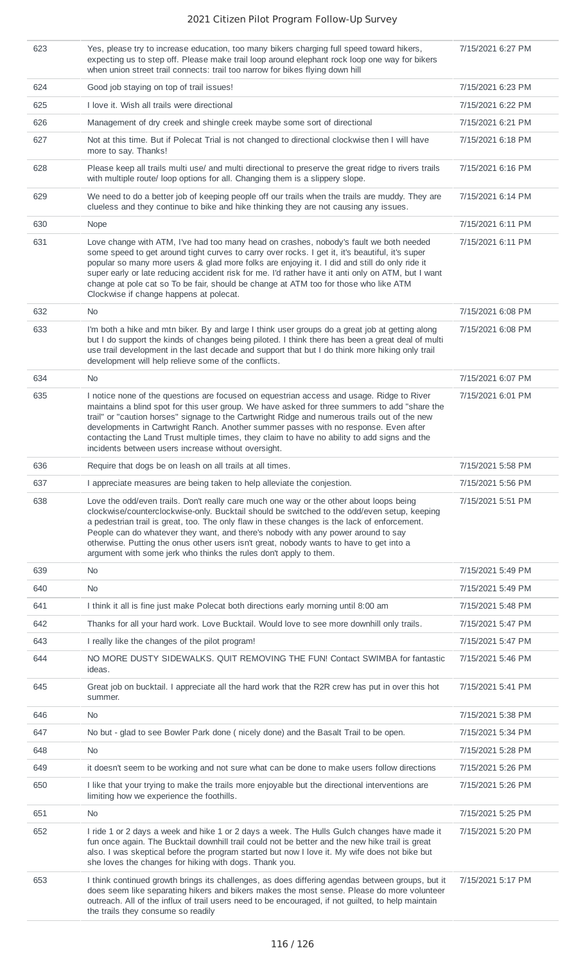| 623 | Yes, please try to increase education, too many bikers charging full speed toward hikers,<br>expecting us to step off. Please make trail loop around elephant rock loop one way for bikers<br>when union street trail connects: trail too narrow for bikes flying down hill                                                                                                                                                                                                                                                                 | 7/15/2021 6:27 PM |
|-----|---------------------------------------------------------------------------------------------------------------------------------------------------------------------------------------------------------------------------------------------------------------------------------------------------------------------------------------------------------------------------------------------------------------------------------------------------------------------------------------------------------------------------------------------|-------------------|
| 624 | Good job staying on top of trail issues!                                                                                                                                                                                                                                                                                                                                                                                                                                                                                                    | 7/15/2021 6:23 PM |
| 625 | I love it. Wish all trails were directional                                                                                                                                                                                                                                                                                                                                                                                                                                                                                                 | 7/15/2021 6:22 PM |
| 626 | Management of dry creek and shingle creek maybe some sort of directional                                                                                                                                                                                                                                                                                                                                                                                                                                                                    | 7/15/2021 6:21 PM |
| 627 | Not at this time. But if Polecat Trial is not changed to directional clockwise then I will have<br>more to say. Thanks!                                                                                                                                                                                                                                                                                                                                                                                                                     | 7/15/2021 6:18 PM |
| 628 | Please keep all trails multi use/ and multi directional to preserve the great ridge to rivers trails<br>with multiple route/ loop options for all. Changing them is a slippery slope.                                                                                                                                                                                                                                                                                                                                                       | 7/15/2021 6:16 PM |
| 629 | We need to do a better job of keeping people off our trails when the trails are muddy. They are<br>clueless and they continue to bike and hike thinking they are not causing any issues.                                                                                                                                                                                                                                                                                                                                                    | 7/15/2021 6:14 PM |
| 630 | Nope                                                                                                                                                                                                                                                                                                                                                                                                                                                                                                                                        | 7/15/2021 6:11 PM |
| 631 | Love change with ATM, I've had too many head on crashes, nobody's fault we both needed<br>some speed to get around tight curves to carry over rocks. I get it, it's beautiful, it's super<br>popular so many more users & glad more folks are enjoying it. I did and still do only ride it<br>super early or late reducing accident risk for me. I'd rather have it anti only on ATM, but I want<br>change at pole cat so To be fair, should be change at ATM too for those who like ATM<br>Clockwise if change happens at polecat.         | 7/15/2021 6:11 PM |
| 632 | No                                                                                                                                                                                                                                                                                                                                                                                                                                                                                                                                          | 7/15/2021 6:08 PM |
| 633 | I'm both a hike and mtn biker. By and large I think user groups do a great job at getting along<br>but I do support the kinds of changes being piloted. I think there has been a great deal of multi<br>use trail development in the last decade and support that but I do think more hiking only trail<br>development will help relieve some of the conflicts.                                                                                                                                                                             | 7/15/2021 6:08 PM |
| 634 | No                                                                                                                                                                                                                                                                                                                                                                                                                                                                                                                                          | 7/15/2021 6:07 PM |
| 635 | I notice none of the questions are focused on equestrian access and usage. Ridge to River<br>maintains a blind spot for this user group. We have asked for three summers to add "share the<br>trail" or "caution horses" signage to the Cartwright Ridge and numerous trails out of the new<br>developments in Cartwright Ranch. Another summer passes with no response. Even after<br>contacting the Land Trust multiple times, they claim to have no ability to add signs and the<br>incidents between users increase without oversight.  | 7/15/2021 6:01 PM |
| 636 | Require that dogs be on leash on all trails at all times.                                                                                                                                                                                                                                                                                                                                                                                                                                                                                   | 7/15/2021 5:58 PM |
| 637 | I appreciate measures are being taken to help alleviate the conjestion.                                                                                                                                                                                                                                                                                                                                                                                                                                                                     | 7/15/2021 5:56 PM |
| 638 | Love the odd/even trails. Don't really care much one way or the other about loops being<br>clockwise/counterclockwise-only. Bucktail should be switched to the odd/even setup, keeping<br>a pedestrian trail is great, too. The only flaw in these changes is the lack of enforcement.<br>People can do whatever they want, and there's nobody with any power around to say<br>otherwise. Putting the onus other users isn't great, nobody wants to have to get into a<br>argument with some jerk who thinks the rules don't apply to them. | 7/15/2021 5:51 PM |
| 639 | No.                                                                                                                                                                                                                                                                                                                                                                                                                                                                                                                                         | 7/15/2021 5:49 PM |
| 640 | No.                                                                                                                                                                                                                                                                                                                                                                                                                                                                                                                                         | 7/15/2021 5:49 PM |
| 641 | I think it all is fine just make Polecat both directions early morning until 8:00 am                                                                                                                                                                                                                                                                                                                                                                                                                                                        | 7/15/2021 5:48 PM |
| 642 | Thanks for all your hard work. Love Bucktail. Would love to see more downhill only trails.                                                                                                                                                                                                                                                                                                                                                                                                                                                  | 7/15/2021 5:47 PM |
| 643 | I really like the changes of the pilot program!                                                                                                                                                                                                                                                                                                                                                                                                                                                                                             | 7/15/2021 5:47 PM |
| 644 | NO MORE DUSTY SIDEWALKS. QUIT REMOVING THE FUN! Contact SWIMBA for fantastic<br>ideas.                                                                                                                                                                                                                                                                                                                                                                                                                                                      | 7/15/2021 5:46 PM |
| 645 | Great job on bucktail. I appreciate all the hard work that the R2R crew has put in over this hot<br>summer.                                                                                                                                                                                                                                                                                                                                                                                                                                 | 7/15/2021 5:41 PM |
| 646 | No.                                                                                                                                                                                                                                                                                                                                                                                                                                                                                                                                         | 7/15/2021 5:38 PM |
| 647 | No but - glad to see Bowler Park done (nicely done) and the Basalt Trail to be open.                                                                                                                                                                                                                                                                                                                                                                                                                                                        | 7/15/2021 5:34 PM |
| 648 | No                                                                                                                                                                                                                                                                                                                                                                                                                                                                                                                                          | 7/15/2021 5:28 PM |
| 649 | it doesn't seem to be working and not sure what can be done to make users follow directions                                                                                                                                                                                                                                                                                                                                                                                                                                                 | 7/15/2021 5:26 PM |
| 650 | I like that your trying to make the trails more enjoyable but the directional interventions are<br>limiting how we experience the foothills.                                                                                                                                                                                                                                                                                                                                                                                                | 7/15/2021 5:26 PM |
| 651 | <b>No</b>                                                                                                                                                                                                                                                                                                                                                                                                                                                                                                                                   | 7/15/2021 5:25 PM |
| 652 | I ride 1 or 2 days a week and hike 1 or 2 days a week. The Hulls Gulch changes have made it<br>fun once again. The Bucktail downhill trail could not be better and the new hike trail is great<br>also. I was skeptical before the program started but now I love it. My wife does not bike but<br>she loves the changes for hiking with dogs. Thank you.                                                                                                                                                                                   | 7/15/2021 5:20 PM |
| 653 | I think continued growth brings its challenges, as does differing agendas between groups, but it<br>does seem like separating hikers and bikers makes the most sense. Please do more volunteer<br>outreach. All of the influx of trail users need to be encouraged, if not guilted, to help maintain<br>the trails they consume so readily                                                                                                                                                                                                  | 7/15/2021 5:17 PM |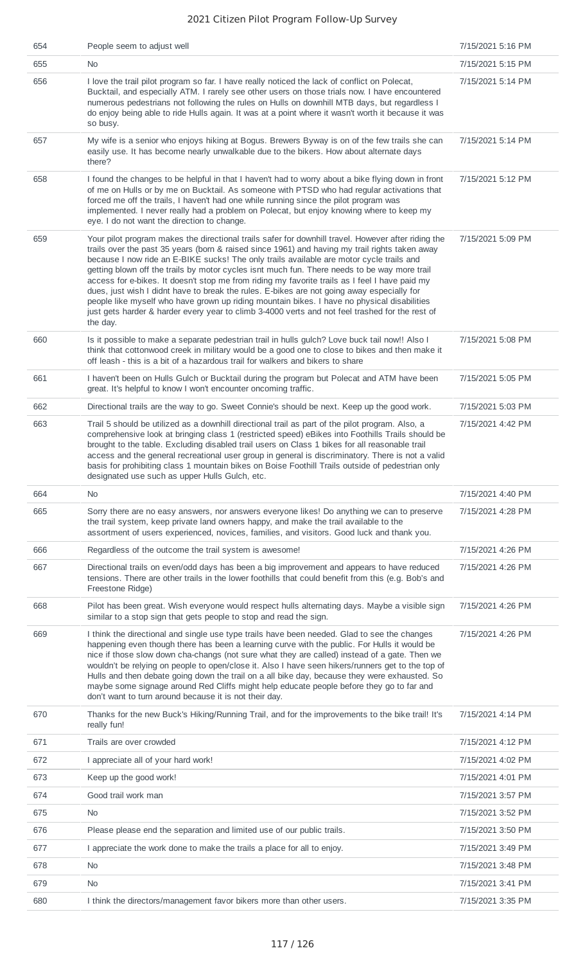| 654 | People seem to adjust well                                                                                                                                                                                                                                                                                                                                                                                                                                                                                                                                                                                                                                                                                                                                                                                      | 7/15/2021 5:16 PM |
|-----|-----------------------------------------------------------------------------------------------------------------------------------------------------------------------------------------------------------------------------------------------------------------------------------------------------------------------------------------------------------------------------------------------------------------------------------------------------------------------------------------------------------------------------------------------------------------------------------------------------------------------------------------------------------------------------------------------------------------------------------------------------------------------------------------------------------------|-------------------|
| 655 | No.                                                                                                                                                                                                                                                                                                                                                                                                                                                                                                                                                                                                                                                                                                                                                                                                             | 7/15/2021 5:15 PM |
| 656 | I love the trail pilot program so far. I have really noticed the lack of conflict on Polecat,<br>Bucktail, and especially ATM. I rarely see other users on those trials now. I have encountered<br>numerous pedestrians not following the rules on Hulls on downhill MTB days, but regardless I<br>do enjoy being able to ride Hulls again. It was at a point where it wasn't worth it because it was<br>so busy.                                                                                                                                                                                                                                                                                                                                                                                               | 7/15/2021 5:14 PM |
| 657 | My wife is a senior who enjoys hiking at Bogus. Brewers Byway is on of the few trails she can<br>easily use. It has become nearly unwalkable due to the bikers. How about alternate days<br>there?                                                                                                                                                                                                                                                                                                                                                                                                                                                                                                                                                                                                              | 7/15/2021 5:14 PM |
| 658 | I found the changes to be helpful in that I haven't had to worry about a bike flying down in front<br>of me on Hulls or by me on Bucktail. As someone with PTSD who had regular activations that<br>forced me off the trails, I haven't had one while running since the pilot program was<br>implemented. I never really had a problem on Polecat, but enjoy knowing where to keep my<br>eye. I do not want the direction to change.                                                                                                                                                                                                                                                                                                                                                                            | 7/15/2021 5:12 PM |
| 659 | Your pilot program makes the directional trails safer for downhill travel. However after riding the<br>trails over the past 35 years (born & raised since 1961) and having my trail rights taken away<br>because I now ride an E-BIKE sucks! The only trails available are motor cycle trails and<br>getting blown off the trails by motor cycles isnt much fun. There needs to be way more trail<br>access for e-bikes. It doesn't stop me from riding my favorite trails as I feel I have paid my<br>dues, just wish I didnt have to break the rules. E-bikes are not going away especially for<br>people like myself who have grown up riding mountain bikes. I have no physical disabilities<br>just gets harder & harder every year to climb 3-4000 verts and not feel trashed for the rest of<br>the day. | 7/15/2021 5:09 PM |
| 660 | Is it possible to make a separate pedestrian trail in hulls gulch? Love buck tail now!! Also I<br>think that cottonwood creek in military would be a good one to close to bikes and then make it<br>off leash - this is a bit of a hazardous trail for walkers and bikers to share                                                                                                                                                                                                                                                                                                                                                                                                                                                                                                                              | 7/15/2021 5:08 PM |
| 661 | I haven't been on Hulls Gulch or Bucktail during the program but Polecat and ATM have been<br>great. It's helpful to know I won't encounter oncoming traffic.                                                                                                                                                                                                                                                                                                                                                                                                                                                                                                                                                                                                                                                   | 7/15/2021 5:05 PM |
| 662 | Directional trails are the way to go. Sweet Connie's should be next. Keep up the good work.                                                                                                                                                                                                                                                                                                                                                                                                                                                                                                                                                                                                                                                                                                                     | 7/15/2021 5:03 PM |
| 663 | Trail 5 should be utilized as a downhill directional trail as part of the pilot program. Also, a<br>comprehensive look at bringing class 1 (restricted speed) eBikes into Foothills Trails should be<br>brought to the table. Excluding disabled trail users on Class 1 bikes for all reasonable trail<br>access and the general recreational user group in general is discriminatory. There is not a valid<br>basis for prohibiting class 1 mountain bikes on Boise Foothill Trails outside of pedestrian only<br>designated use such as upper Hulls Gulch, etc.                                                                                                                                                                                                                                               | 7/15/2021 4:42 PM |
| 664 | <b>No</b>                                                                                                                                                                                                                                                                                                                                                                                                                                                                                                                                                                                                                                                                                                                                                                                                       | 7/15/2021 4:40 PM |
| 665 | Sorry there are no easy answers, nor answers everyone likes! Do anything we can to preserve<br>the trail system, keep private land owners happy, and make the trail available to the<br>assortment of users experienced, novices, families, and visitors. Good luck and thank you.                                                                                                                                                                                                                                                                                                                                                                                                                                                                                                                              | 7/15/2021 4:28 PM |
| 666 | Regardless of the outcome the trail system is awesome!                                                                                                                                                                                                                                                                                                                                                                                                                                                                                                                                                                                                                                                                                                                                                          | 7/15/2021 4:26 PM |
| 667 | Directional trails on even/odd days has been a big improvement and appears to have reduced<br>tensions. There are other trails in the lower foothills that could benefit from this (e.g. Bob's and<br>Freestone Ridge)                                                                                                                                                                                                                                                                                                                                                                                                                                                                                                                                                                                          | 7/15/2021 4:26 PM |
| 668 | Pilot has been great. Wish everyone would respect hulls alternating days. Maybe a visible sign<br>similar to a stop sign that gets people to stop and read the sign.                                                                                                                                                                                                                                                                                                                                                                                                                                                                                                                                                                                                                                            | 7/15/2021 4:26 PM |
| 669 | I think the directional and single use type trails have been needed. Glad to see the changes<br>happening even though there has been a learning curve with the public. For Hulls it would be<br>nice if those slow down cha-changs (not sure what they are called) instead of a gate. Then we<br>wouldn't be relying on people to open/close it. Also I have seen hikers/runners get to the top of<br>Hulls and then debate going down the trail on a all bike day, because they were exhausted. So<br>maybe some signage around Red Cliffs might help educate people before they go to far and<br>don't want to turn around because it is not their day.                                                                                                                                                       | 7/15/2021 4:26 PM |
| 670 | Thanks for the new Buck's Hiking/Running Trail, and for the improvements to the bike trail! It's<br>really fun!                                                                                                                                                                                                                                                                                                                                                                                                                                                                                                                                                                                                                                                                                                 | 7/15/2021 4:14 PM |
| 671 |                                                                                                                                                                                                                                                                                                                                                                                                                                                                                                                                                                                                                                                                                                                                                                                                                 |                   |
| 672 | Trails are over crowded                                                                                                                                                                                                                                                                                                                                                                                                                                                                                                                                                                                                                                                                                                                                                                                         | 7/15/2021 4:12 PM |
|     | I appreciate all of your hard work!                                                                                                                                                                                                                                                                                                                                                                                                                                                                                                                                                                                                                                                                                                                                                                             | 7/15/2021 4:02 PM |
| 673 | Keep up the good work!                                                                                                                                                                                                                                                                                                                                                                                                                                                                                                                                                                                                                                                                                                                                                                                          | 7/15/2021 4:01 PM |
| 674 | Good trail work man                                                                                                                                                                                                                                                                                                                                                                                                                                                                                                                                                                                                                                                                                                                                                                                             | 7/15/2021 3:57 PM |
| 675 | <b>No</b>                                                                                                                                                                                                                                                                                                                                                                                                                                                                                                                                                                                                                                                                                                                                                                                                       | 7/15/2021 3:52 PM |
| 676 | Please please end the separation and limited use of our public trails.                                                                                                                                                                                                                                                                                                                                                                                                                                                                                                                                                                                                                                                                                                                                          | 7/15/2021 3:50 PM |
| 677 | I appreciate the work done to make the trails a place for all to enjoy.                                                                                                                                                                                                                                                                                                                                                                                                                                                                                                                                                                                                                                                                                                                                         | 7/15/2021 3:49 PM |
| 678 | <b>No</b>                                                                                                                                                                                                                                                                                                                                                                                                                                                                                                                                                                                                                                                                                                                                                                                                       | 7/15/2021 3:48 PM |
| 679 | <b>No</b>                                                                                                                                                                                                                                                                                                                                                                                                                                                                                                                                                                                                                                                                                                                                                                                                       | 7/15/2021 3:41 PM |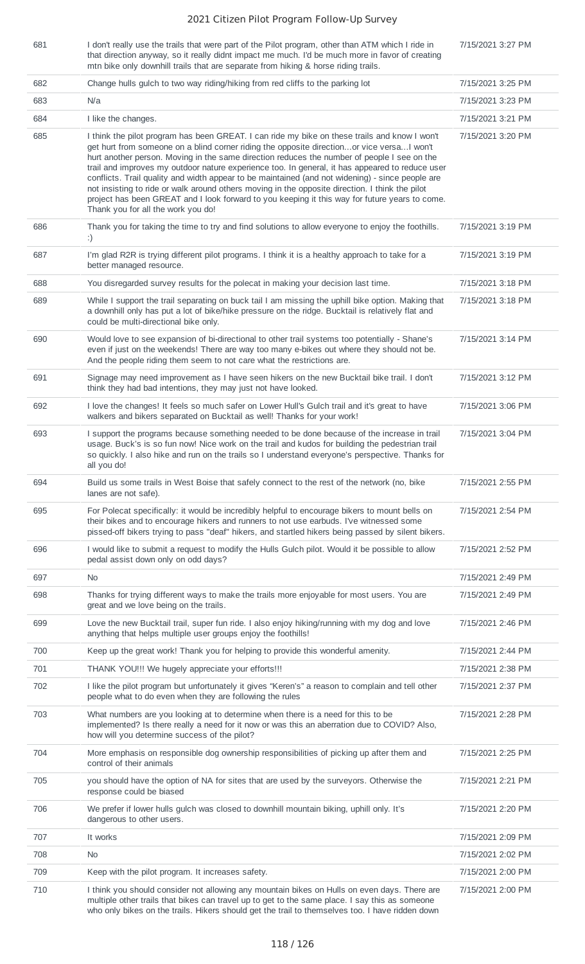| 681 | I don't really use the trails that were part of the Pilot program, other than ATM which I ride in<br>that direction anyway, so it really didnt impact me much. I'd be much more in favor of creating<br>mtn bike only downhill trails that are separate from hiking & horse riding trails.                                                                                                                                                                                                                                                                                                                                                                                                                                                   | 7/15/2021 3:27 PM |
|-----|----------------------------------------------------------------------------------------------------------------------------------------------------------------------------------------------------------------------------------------------------------------------------------------------------------------------------------------------------------------------------------------------------------------------------------------------------------------------------------------------------------------------------------------------------------------------------------------------------------------------------------------------------------------------------------------------------------------------------------------------|-------------------|
| 682 | Change hulls gulch to two way riding/hiking from red cliffs to the parking lot                                                                                                                                                                                                                                                                                                                                                                                                                                                                                                                                                                                                                                                               | 7/15/2021 3:25 PM |
| 683 | N/a                                                                                                                                                                                                                                                                                                                                                                                                                                                                                                                                                                                                                                                                                                                                          | 7/15/2021 3:23 PM |
| 684 | I like the changes.                                                                                                                                                                                                                                                                                                                                                                                                                                                                                                                                                                                                                                                                                                                          | 7/15/2021 3:21 PM |
| 685 | I think the pilot program has been GREAT. I can ride my bike on these trails and know I won't<br>get hurt from someone on a blind corner riding the opposite directionor vice versa I won't<br>hurt another person. Moving in the same direction reduces the number of people I see on the<br>trail and improves my outdoor nature experience too. In general, it has appeared to reduce user<br>conflicts. Trail quality and width appear to be maintained (and not widening) - since people are<br>not insisting to ride or walk around others moving in the opposite direction. I think the pilot<br>project has been GREAT and I look forward to you keeping it this way for future years to come.<br>Thank you for all the work you do! | 7/15/2021 3:20 PM |
| 686 | Thank you for taking the time to try and find solutions to allow everyone to enjoy the foothills.<br>:)                                                                                                                                                                                                                                                                                                                                                                                                                                                                                                                                                                                                                                      | 7/15/2021 3:19 PM |
| 687 | I'm glad R2R is trying different pilot programs. I think it is a healthy approach to take for a<br>better managed resource.                                                                                                                                                                                                                                                                                                                                                                                                                                                                                                                                                                                                                  | 7/15/2021 3:19 PM |
| 688 | You disregarded survey results for the polecat in making your decision last time.                                                                                                                                                                                                                                                                                                                                                                                                                                                                                                                                                                                                                                                            | 7/15/2021 3:18 PM |
| 689 | While I support the trail separating on buck tail I am missing the uphill bike option. Making that<br>a downhill only has put a lot of bike/hike pressure on the ridge. Bucktail is relatively flat and<br>could be multi-directional bike only.                                                                                                                                                                                                                                                                                                                                                                                                                                                                                             | 7/15/2021 3:18 PM |
| 690 | Would love to see expansion of bi-directional to other trail systems too potentially - Shane's<br>even if just on the weekends! There are way too many e-bikes out where they should not be.<br>And the people riding them seem to not care what the restrictions are.                                                                                                                                                                                                                                                                                                                                                                                                                                                                       | 7/15/2021 3:14 PM |
| 691 | Signage may need improvement as I have seen hikers on the new Bucktail bike trail. I don't<br>think they had bad intentions, they may just not have looked.                                                                                                                                                                                                                                                                                                                                                                                                                                                                                                                                                                                  | 7/15/2021 3:12 PM |
| 692 | I love the changes! It feels so much safer on Lower Hull's Gulch trail and it's great to have<br>walkers and bikers separated on Bucktail as well! Thanks for your work!                                                                                                                                                                                                                                                                                                                                                                                                                                                                                                                                                                     | 7/15/2021 3:06 PM |
| 693 | I support the programs because something needed to be done because of the increase in trail<br>usage. Buck's is so fun now! Nice work on the trail and kudos for building the pedestrian trail<br>so quickly. I also hike and run on the trails so I understand everyone's perspective. Thanks for<br>all you do!                                                                                                                                                                                                                                                                                                                                                                                                                            | 7/15/2021 3:04 PM |
| 694 | Build us some trails in West Boise that safely connect to the rest of the network (no, bike<br>lanes are not safe).                                                                                                                                                                                                                                                                                                                                                                                                                                                                                                                                                                                                                          | 7/15/2021 2:55 PM |
| 695 | For Polecat specifically: it would be incredibly helpful to encourage bikers to mount bells on<br>their bikes and to encourage hikers and runners to not use earbuds. I've witnessed some<br>pissed-off bikers trying to pass "deaf" hikers, and startled hikers being passed by silent bikers.                                                                                                                                                                                                                                                                                                                                                                                                                                              | 7/15/2021 2:54 PM |
| 696 | I would like to submit a request to modify the Hulls Gulch pilot. Would it be possible to allow<br>pedal assist down only on odd days?                                                                                                                                                                                                                                                                                                                                                                                                                                                                                                                                                                                                       | 7/15/2021 2:52 PM |
| 697 | No.                                                                                                                                                                                                                                                                                                                                                                                                                                                                                                                                                                                                                                                                                                                                          | 7/15/2021 2:49 PM |
| 698 | Thanks for trying different ways to make the trails more enjoyable for most users. You are<br>great and we love being on the trails.                                                                                                                                                                                                                                                                                                                                                                                                                                                                                                                                                                                                         | 7/15/2021 2:49 PM |
| 699 | Love the new Bucktail trail, super fun ride. I also enjoy hiking/running with my dog and love<br>anything that helps multiple user groups enjoy the foothills!                                                                                                                                                                                                                                                                                                                                                                                                                                                                                                                                                                               | 7/15/2021 2:46 PM |
| 700 | Keep up the great work! Thank you for helping to provide this wonderful amenity.                                                                                                                                                                                                                                                                                                                                                                                                                                                                                                                                                                                                                                                             | 7/15/2021 2:44 PM |
| 701 | THANK YOU!!! We hugely appreciate your efforts!!!                                                                                                                                                                                                                                                                                                                                                                                                                                                                                                                                                                                                                                                                                            | 7/15/2021 2:38 PM |
| 702 | I like the pilot program but unfortunately it gives "Keren's" a reason to complain and tell other<br>people what to do even when they are following the rules                                                                                                                                                                                                                                                                                                                                                                                                                                                                                                                                                                                | 7/15/2021 2:37 PM |
| 703 | What numbers are you looking at to determine when there is a need for this to be<br>implemented? Is there really a need for it now or was this an aberration due to COVID? Also,<br>how will you determine success of the pilot?                                                                                                                                                                                                                                                                                                                                                                                                                                                                                                             | 7/15/2021 2:28 PM |
| 704 | More emphasis on responsible dog ownership responsibilities of picking up after them and<br>control of their animals                                                                                                                                                                                                                                                                                                                                                                                                                                                                                                                                                                                                                         | 7/15/2021 2:25 PM |
| 705 | you should have the option of NA for sites that are used by the surveyors. Otherwise the<br>response could be biased                                                                                                                                                                                                                                                                                                                                                                                                                                                                                                                                                                                                                         | 7/15/2021 2:21 PM |
| 706 | We prefer if lower hulls gulch was closed to downhill mountain biking, uphill only. It's<br>dangerous to other users.                                                                                                                                                                                                                                                                                                                                                                                                                                                                                                                                                                                                                        | 7/15/2021 2:20 PM |
| 707 | It works                                                                                                                                                                                                                                                                                                                                                                                                                                                                                                                                                                                                                                                                                                                                     | 7/15/2021 2:09 PM |
| 708 | No                                                                                                                                                                                                                                                                                                                                                                                                                                                                                                                                                                                                                                                                                                                                           | 7/15/2021 2:02 PM |
| 709 | Keep with the pilot program. It increases safety.                                                                                                                                                                                                                                                                                                                                                                                                                                                                                                                                                                                                                                                                                            | 7/15/2021 2:00 PM |
| 710 | I think you should consider not allowing any mountain bikes on Hulls on even days. There are<br>multiple other trails that bikes can travel up to get to the same place. I say this as someone<br>who only bikes on the trails. Hikers should get the trail to themselves too. I have ridden down                                                                                                                                                                                                                                                                                                                                                                                                                                            | 7/15/2021 2:00 PM |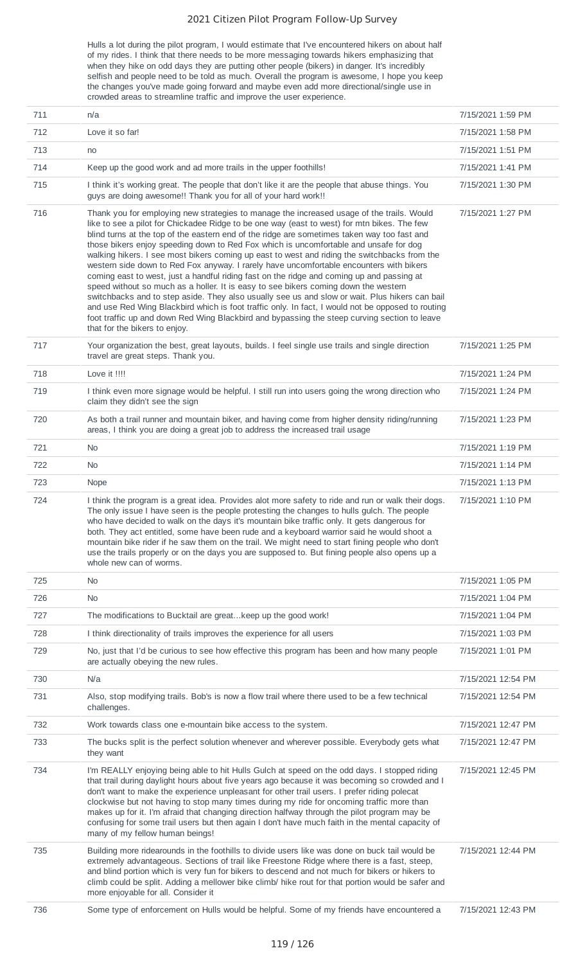Hulls a lot during the pilot program, I would estimate that I've encountered hikers on about half of my rides. I think that there needs to be more messaging towards hikers emphasizing that when they hike on odd days they are putting other people (bikers) in danger. It's incredibly selfish and people need to be told as much. Overall the program is awesome, I hope you keep the changes you've made going forward and maybe even add more directional/single use in crowded areas to streamline traffic and improve the user experience.

| 711 | n/a                                                                                                                                                                                                                                                                                                                                                                                                                                                                                                                                                                                                                                                                                                                                                                                                                                                                                                                                                                                                                                                                                                     | 7/15/2021 1:59 PM  |
|-----|---------------------------------------------------------------------------------------------------------------------------------------------------------------------------------------------------------------------------------------------------------------------------------------------------------------------------------------------------------------------------------------------------------------------------------------------------------------------------------------------------------------------------------------------------------------------------------------------------------------------------------------------------------------------------------------------------------------------------------------------------------------------------------------------------------------------------------------------------------------------------------------------------------------------------------------------------------------------------------------------------------------------------------------------------------------------------------------------------------|--------------------|
| 712 | Love it so far!                                                                                                                                                                                                                                                                                                                                                                                                                                                                                                                                                                                                                                                                                                                                                                                                                                                                                                                                                                                                                                                                                         | 7/15/2021 1:58 PM  |
| 713 | no                                                                                                                                                                                                                                                                                                                                                                                                                                                                                                                                                                                                                                                                                                                                                                                                                                                                                                                                                                                                                                                                                                      | 7/15/2021 1:51 PM  |
| 714 | Keep up the good work and ad more trails in the upper foothills!                                                                                                                                                                                                                                                                                                                                                                                                                                                                                                                                                                                                                                                                                                                                                                                                                                                                                                                                                                                                                                        | 7/15/2021 1:41 PM  |
| 715 | I think it's working great. The people that don't like it are the people that abuse things. You<br>guys are doing awesome!! Thank you for all of your hard work!!                                                                                                                                                                                                                                                                                                                                                                                                                                                                                                                                                                                                                                                                                                                                                                                                                                                                                                                                       | 7/15/2021 1:30 PM  |
| 716 | Thank you for employing new strategies to manage the increased usage of the trails. Would<br>like to see a pilot for Chickadee Ridge to be one way (east to west) for mtn bikes. The few<br>blind turns at the top of the eastern end of the ridge are sometimes taken way too fast and<br>those bikers enjoy speeding down to Red Fox which is uncomfortable and unsafe for dog<br>walking hikers. I see most bikers coming up east to west and riding the switchbacks from the<br>western side down to Red Fox anyway. I rarely have uncomfortable encounters with bikers<br>coming east to west, just a handful riding fast on the ridge and coming up and passing at<br>speed without so much as a holler. It is easy to see bikers coming down the western<br>switchbacks and to step aside. They also usually see us and slow or wait. Plus hikers can bail<br>and use Red Wing Blackbird which is foot traffic only. In fact, I would not be opposed to routing<br>foot traffic up and down Red Wing Blackbird and bypassing the steep curving section to leave<br>that for the bikers to enjoy. | 7/15/2021 1:27 PM  |
| 717 | Your organization the best, great layouts, builds. I feel single use trails and single direction<br>travel are great steps. Thank you.                                                                                                                                                                                                                                                                                                                                                                                                                                                                                                                                                                                                                                                                                                                                                                                                                                                                                                                                                                  | 7/15/2021 1:25 PM  |
| 718 | Love it !!!!                                                                                                                                                                                                                                                                                                                                                                                                                                                                                                                                                                                                                                                                                                                                                                                                                                                                                                                                                                                                                                                                                            | 7/15/2021 1:24 PM  |
| 719 | I think even more signage would be helpful. I still run into users going the wrong direction who<br>claim they didn't see the sign                                                                                                                                                                                                                                                                                                                                                                                                                                                                                                                                                                                                                                                                                                                                                                                                                                                                                                                                                                      | 7/15/2021 1:24 PM  |
| 720 | As both a trail runner and mountain biker, and having come from higher density riding/running<br>areas, I think you are doing a great job to address the increased trail usage                                                                                                                                                                                                                                                                                                                                                                                                                                                                                                                                                                                                                                                                                                                                                                                                                                                                                                                          | 7/15/2021 1:23 PM  |
| 721 | No.                                                                                                                                                                                                                                                                                                                                                                                                                                                                                                                                                                                                                                                                                                                                                                                                                                                                                                                                                                                                                                                                                                     | 7/15/2021 1:19 PM  |
| 722 | No                                                                                                                                                                                                                                                                                                                                                                                                                                                                                                                                                                                                                                                                                                                                                                                                                                                                                                                                                                                                                                                                                                      | 7/15/2021 1:14 PM  |
| 723 | Nope                                                                                                                                                                                                                                                                                                                                                                                                                                                                                                                                                                                                                                                                                                                                                                                                                                                                                                                                                                                                                                                                                                    | 7/15/2021 1:13 PM  |
| 724 | I think the program is a great idea. Provides alot more safety to ride and run or walk their dogs.<br>The only issue I have seen is the people protesting the changes to hulls gulch. The people<br>who have decided to walk on the days it's mountain bike traffic only. It gets dangerous for<br>both. They act entitled, some have been rude and a keyboard warrior said he would shoot a<br>mountain bike rider if he saw them on the trail. We might need to start fining people who don't<br>use the trails properly or on the days you are supposed to. But fining people also opens up a<br>whole new can of worms.                                                                                                                                                                                                                                                                                                                                                                                                                                                                             | 7/15/2021 1:10 PM  |
| 725 | N <sub>0</sub>                                                                                                                                                                                                                                                                                                                                                                                                                                                                                                                                                                                                                                                                                                                                                                                                                                                                                                                                                                                                                                                                                          | 7/15/2021 1:05 PM  |
| 726 | <b>No</b>                                                                                                                                                                                                                                                                                                                                                                                                                                                                                                                                                                                                                                                                                                                                                                                                                                                                                                                                                                                                                                                                                               | 7/15/2021 1:04 PM  |
| 727 | The modifications to Bucktail are great keep up the good work!                                                                                                                                                                                                                                                                                                                                                                                                                                                                                                                                                                                                                                                                                                                                                                                                                                                                                                                                                                                                                                          | 7/15/2021 1:04 PM  |
| 728 | I think directionality of trails improves the experience for all users                                                                                                                                                                                                                                                                                                                                                                                                                                                                                                                                                                                                                                                                                                                                                                                                                                                                                                                                                                                                                                  | 7/15/2021 1:03 PM  |
| 729 | No, just that I'd be curious to see how effective this program has been and how many people<br>are actually obeying the new rules.                                                                                                                                                                                                                                                                                                                                                                                                                                                                                                                                                                                                                                                                                                                                                                                                                                                                                                                                                                      | 7/15/2021 1:01 PM  |
| 730 | N/a                                                                                                                                                                                                                                                                                                                                                                                                                                                                                                                                                                                                                                                                                                                                                                                                                                                                                                                                                                                                                                                                                                     | 7/15/2021 12:54 PM |
| 731 | Also, stop modifying trails. Bob's is now a flow trail where there used to be a few technical<br>challenges.                                                                                                                                                                                                                                                                                                                                                                                                                                                                                                                                                                                                                                                                                                                                                                                                                                                                                                                                                                                            | 7/15/2021 12:54 PM |
| 732 | Work towards class one e-mountain bike access to the system.                                                                                                                                                                                                                                                                                                                                                                                                                                                                                                                                                                                                                                                                                                                                                                                                                                                                                                                                                                                                                                            | 7/15/2021 12:47 PM |
| 733 | The bucks split is the perfect solution whenever and wherever possible. Everybody gets what<br>they want                                                                                                                                                                                                                                                                                                                                                                                                                                                                                                                                                                                                                                                                                                                                                                                                                                                                                                                                                                                                | 7/15/2021 12:47 PM |
| 734 | I'm REALLY enjoying being able to hit Hulls Gulch at speed on the odd days. I stopped riding<br>that trail during daylight hours about five years ago because it was becoming so crowded and I<br>don't want to make the experience unpleasant for other trail users. I prefer riding polecat<br>clockwise but not having to stop many times during my ride for oncoming traffic more than<br>makes up for it. I'm afraid that changing direction halfway through the pilot program may be<br>confusing for some trail users but then again I don't have much faith in the mental capacity of<br>many of my fellow human beings!                                                                                                                                                                                                                                                                                                                                                                                                                                                                        | 7/15/2021 12:45 PM |
| 735 | Building more ridearounds in the foothills to divide users like was done on buck tail would be<br>extremely advantageous. Sections of trail like Freestone Ridge where there is a fast, steep,<br>and blind portion which is very fun for bikers to descend and not much for bikers or hikers to<br>climb could be split. Adding a mellower bike climb/ hike rout for that portion would be safer and<br>more enjoyable for all. Consider it                                                                                                                                                                                                                                                                                                                                                                                                                                                                                                                                                                                                                                                            | 7/15/2021 12:44 PM |
| 736 | Some type of enforcement on Hulls would be helpful. Some of my friends have encountered a                                                                                                                                                                                                                                                                                                                                                                                                                                                                                                                                                                                                                                                                                                                                                                                                                                                                                                                                                                                                               | 7/15/2021 12:43 PM |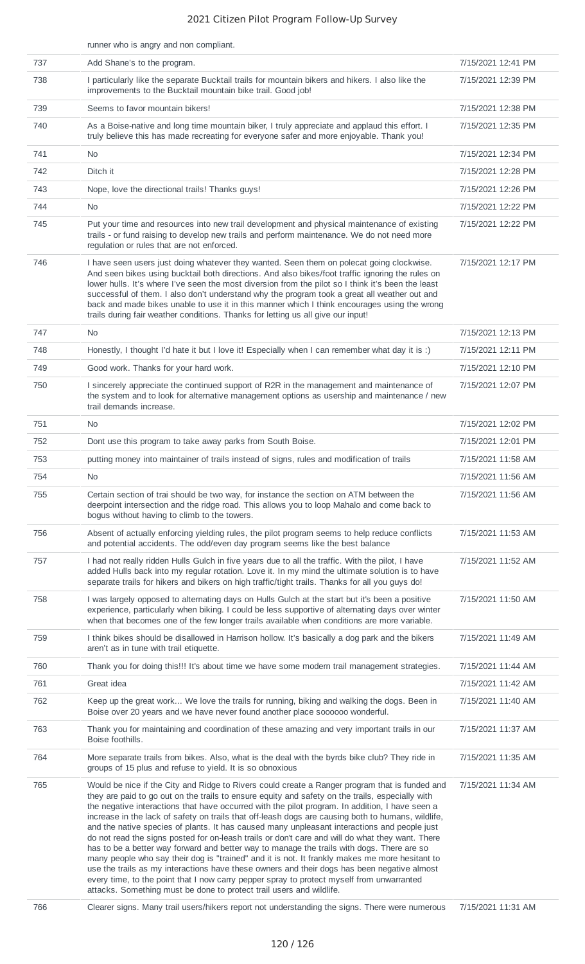|     | runner who is angry and non compliant.                                                                                                                                                                                                                                                                                                                                                                                                                                                                                                                                                                                                                                                                                                                                                                                                                                                                                                                                                                                                                                              |                    |
|-----|-------------------------------------------------------------------------------------------------------------------------------------------------------------------------------------------------------------------------------------------------------------------------------------------------------------------------------------------------------------------------------------------------------------------------------------------------------------------------------------------------------------------------------------------------------------------------------------------------------------------------------------------------------------------------------------------------------------------------------------------------------------------------------------------------------------------------------------------------------------------------------------------------------------------------------------------------------------------------------------------------------------------------------------------------------------------------------------|--------------------|
| 737 | Add Shane's to the program.                                                                                                                                                                                                                                                                                                                                                                                                                                                                                                                                                                                                                                                                                                                                                                                                                                                                                                                                                                                                                                                         | 7/15/2021 12:41 PM |
| 738 | I particularly like the separate Bucktail trails for mountain bikers and hikers. I also like the<br>improvements to the Bucktail mountain bike trail. Good job!                                                                                                                                                                                                                                                                                                                                                                                                                                                                                                                                                                                                                                                                                                                                                                                                                                                                                                                     | 7/15/2021 12:39 PM |
| 739 | Seems to favor mountain bikers!                                                                                                                                                                                                                                                                                                                                                                                                                                                                                                                                                                                                                                                                                                                                                                                                                                                                                                                                                                                                                                                     | 7/15/2021 12:38 PM |
| 740 | As a Boise-native and long time mountain biker, I truly appreciate and applaud this effort. I<br>truly believe this has made recreating for everyone safer and more enjoyable. Thank you!                                                                                                                                                                                                                                                                                                                                                                                                                                                                                                                                                                                                                                                                                                                                                                                                                                                                                           | 7/15/2021 12:35 PM |
| 741 | No.                                                                                                                                                                                                                                                                                                                                                                                                                                                                                                                                                                                                                                                                                                                                                                                                                                                                                                                                                                                                                                                                                 | 7/15/2021 12:34 PM |
| 742 | Ditch it                                                                                                                                                                                                                                                                                                                                                                                                                                                                                                                                                                                                                                                                                                                                                                                                                                                                                                                                                                                                                                                                            | 7/15/2021 12:28 PM |
| 743 | Nope, love the directional trails! Thanks guys!                                                                                                                                                                                                                                                                                                                                                                                                                                                                                                                                                                                                                                                                                                                                                                                                                                                                                                                                                                                                                                     | 7/15/2021 12:26 PM |
| 744 | <b>No</b>                                                                                                                                                                                                                                                                                                                                                                                                                                                                                                                                                                                                                                                                                                                                                                                                                                                                                                                                                                                                                                                                           | 7/15/2021 12:22 PM |
| 745 | Put your time and resources into new trail development and physical maintenance of existing<br>trails - or fund raising to develop new trails and perform maintenance. We do not need more<br>regulation or rules that are not enforced.                                                                                                                                                                                                                                                                                                                                                                                                                                                                                                                                                                                                                                                                                                                                                                                                                                            | 7/15/2021 12:22 PM |
| 746 | I have seen users just doing whatever they wanted. Seen them on polecat going clockwise.<br>And seen bikes using bucktail both directions. And also bikes/foot traffic ignoring the rules on<br>lower hulls. It's where I've seen the most diversion from the pilot so I think it's been the least<br>successful of them. I also don't understand why the program took a great all weather out and<br>back and made bikes unable to use it in this manner which I think encourages using the wrong<br>trails during fair weather conditions. Thanks for letting us all give our input!                                                                                                                                                                                                                                                                                                                                                                                                                                                                                              | 7/15/2021 12:17 PM |
| 747 | <b>No</b>                                                                                                                                                                                                                                                                                                                                                                                                                                                                                                                                                                                                                                                                                                                                                                                                                                                                                                                                                                                                                                                                           | 7/15/2021 12:13 PM |
| 748 | Honestly, I thought I'd hate it but I love it! Especially when I can remember what day it is :)                                                                                                                                                                                                                                                                                                                                                                                                                                                                                                                                                                                                                                                                                                                                                                                                                                                                                                                                                                                     | 7/15/2021 12:11 PM |
| 749 | Good work. Thanks for your hard work.                                                                                                                                                                                                                                                                                                                                                                                                                                                                                                                                                                                                                                                                                                                                                                                                                                                                                                                                                                                                                                               | 7/15/2021 12:10 PM |
| 750 | I sincerely appreciate the continued support of R2R in the management and maintenance of<br>the system and to look for alternative management options as usership and maintenance / new<br>trail demands increase.                                                                                                                                                                                                                                                                                                                                                                                                                                                                                                                                                                                                                                                                                                                                                                                                                                                                  | 7/15/2021 12:07 PM |
| 751 | <b>No</b>                                                                                                                                                                                                                                                                                                                                                                                                                                                                                                                                                                                                                                                                                                                                                                                                                                                                                                                                                                                                                                                                           | 7/15/2021 12:02 PM |
| 752 | Dont use this program to take away parks from South Boise.                                                                                                                                                                                                                                                                                                                                                                                                                                                                                                                                                                                                                                                                                                                                                                                                                                                                                                                                                                                                                          | 7/15/2021 12:01 PM |
| 753 | putting money into maintainer of trails instead of signs, rules and modification of trails                                                                                                                                                                                                                                                                                                                                                                                                                                                                                                                                                                                                                                                                                                                                                                                                                                                                                                                                                                                          | 7/15/2021 11:58 AM |
| 754 | <b>No</b>                                                                                                                                                                                                                                                                                                                                                                                                                                                                                                                                                                                                                                                                                                                                                                                                                                                                                                                                                                                                                                                                           | 7/15/2021 11:56 AM |
| 755 | Certain section of trai should be two way, for instance the section on ATM between the<br>deerpoint intersection and the ridge road. This allows you to loop Mahalo and come back to<br>bogus without having to climb to the towers.                                                                                                                                                                                                                                                                                                                                                                                                                                                                                                                                                                                                                                                                                                                                                                                                                                                | 7/15/2021 11:56 AM |
| 756 | Absent of actually enforcing yielding rules, the pilot program seems to help reduce conflicts<br>and potential accidents. The odd/even day program seems like the best balance                                                                                                                                                                                                                                                                                                                                                                                                                                                                                                                                                                                                                                                                                                                                                                                                                                                                                                      | 7/15/2021 11:53 AM |
| 757 | I had not really ridden Hulls Gulch in five years due to all the traffic. With the pilot, I have<br>added Hulls back into my regular rotation. Love it. In my mind the ultimate solution is to have<br>separate trails for hikers and bikers on high traffic/tight trails. Thanks for all you guys do!                                                                                                                                                                                                                                                                                                                                                                                                                                                                                                                                                                                                                                                                                                                                                                              | 7/15/2021 11:52 AM |
| 758 | I was largely opposed to alternating days on Hulls Gulch at the start but it's been a positive<br>experience, particularly when biking. I could be less supportive of alternating days over winter<br>when that becomes one of the few longer trails available when conditions are more variable.                                                                                                                                                                                                                                                                                                                                                                                                                                                                                                                                                                                                                                                                                                                                                                                   | 7/15/2021 11:50 AM |
| 759 | I think bikes should be disallowed in Harrison hollow. It's basically a dog park and the bikers<br>aren't as in tune with trail etiquette.                                                                                                                                                                                                                                                                                                                                                                                                                                                                                                                                                                                                                                                                                                                                                                                                                                                                                                                                          | 7/15/2021 11:49 AM |
| 760 | Thank you for doing this!!! It's about time we have some modern trail management strategies.                                                                                                                                                                                                                                                                                                                                                                                                                                                                                                                                                                                                                                                                                                                                                                                                                                                                                                                                                                                        | 7/15/2021 11:44 AM |
| 761 | Great idea                                                                                                                                                                                                                                                                                                                                                                                                                                                                                                                                                                                                                                                                                                                                                                                                                                                                                                                                                                                                                                                                          | 7/15/2021 11:42 AM |
| 762 | Keep up the great work We love the trails for running, biking and walking the dogs. Been in<br>Boise over 20 years and we have never found another place soooooo wonderful.                                                                                                                                                                                                                                                                                                                                                                                                                                                                                                                                                                                                                                                                                                                                                                                                                                                                                                         | 7/15/2021 11:40 AM |
| 763 | Thank you for maintaining and coordination of these amazing and very important trails in our<br>Boise foothills.                                                                                                                                                                                                                                                                                                                                                                                                                                                                                                                                                                                                                                                                                                                                                                                                                                                                                                                                                                    | 7/15/2021 11:37 AM |
| 764 | More separate trails from bikes. Also, what is the deal with the byrds bike club? They ride in<br>groups of 15 plus and refuse to yield. It is so obnoxious                                                                                                                                                                                                                                                                                                                                                                                                                                                                                                                                                                                                                                                                                                                                                                                                                                                                                                                         | 7/15/2021 11:35 AM |
| 765 | Would be nice if the City and Ridge to Rivers could create a Ranger program that is funded and<br>they are paid to go out on the trails to ensure equity and safety on the trails, especially with<br>the negative interactions that have occurred with the pilot program. In addition, I have seen a<br>increase in the lack of safety on trails that off-leash dogs are causing both to humans, wildlife,<br>and the native species of plants. It has caused many unpleasant interactions and people just<br>do not read the signs posted for on-leash trails or don't care and will do what they want. There<br>has to be a better way forward and better way to manage the trails with dogs. There are so<br>many people who say their dog is "trained" and it is not. It frankly makes me more hesitant to<br>use the trails as my interactions have these owners and their dogs has been negative almost<br>every time, to the point that I now carry pepper spray to protect myself from unwarranted<br>attacks. Something must be done to protect trail users and wildlife. | 7/15/2021 11:34 AM |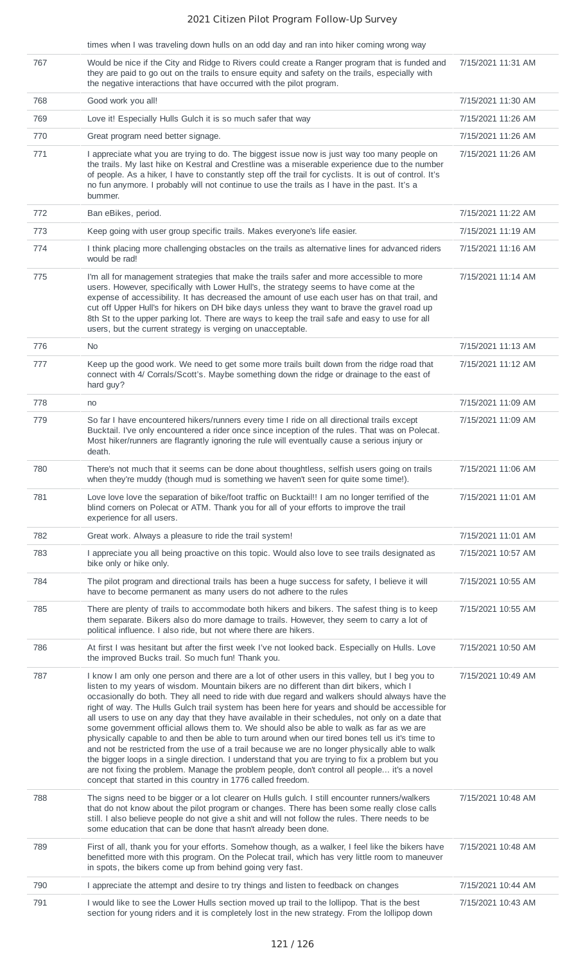### times when I was traveling down hulls on an odd day and ran into hiker coming wrong way

|     | times when I was traveling down nulls on an oud day and rail into miker coming wrong way                                                                                                                                                                                                                                                                                                                                                                                                                                                                                                                                                                                                                                                                                                                                                                                                                                                                                                                                                                                   |                    |
|-----|----------------------------------------------------------------------------------------------------------------------------------------------------------------------------------------------------------------------------------------------------------------------------------------------------------------------------------------------------------------------------------------------------------------------------------------------------------------------------------------------------------------------------------------------------------------------------------------------------------------------------------------------------------------------------------------------------------------------------------------------------------------------------------------------------------------------------------------------------------------------------------------------------------------------------------------------------------------------------------------------------------------------------------------------------------------------------|--------------------|
| 767 | Would be nice if the City and Ridge to Rivers could create a Ranger program that is funded and<br>they are paid to go out on the trails to ensure equity and safety on the trails, especially with<br>the negative interactions that have occurred with the pilot program.                                                                                                                                                                                                                                                                                                                                                                                                                                                                                                                                                                                                                                                                                                                                                                                                 | 7/15/2021 11:31 AM |
| 768 | Good work you all!                                                                                                                                                                                                                                                                                                                                                                                                                                                                                                                                                                                                                                                                                                                                                                                                                                                                                                                                                                                                                                                         | 7/15/2021 11:30 AM |
| 769 | Love it! Especially Hulls Gulch it is so much safer that way                                                                                                                                                                                                                                                                                                                                                                                                                                                                                                                                                                                                                                                                                                                                                                                                                                                                                                                                                                                                               | 7/15/2021 11:26 AM |
| 770 | Great program need better signage.                                                                                                                                                                                                                                                                                                                                                                                                                                                                                                                                                                                                                                                                                                                                                                                                                                                                                                                                                                                                                                         | 7/15/2021 11:26 AM |
| 771 | I appreciate what you are trying to do. The biggest issue now is just way too many people on<br>the trails. My last hike on Kestral and Crestline was a miserable experience due to the number<br>of people. As a hiker, I have to constantly step off the trail for cyclists. It is out of control. It's<br>no fun anymore. I probably will not continue to use the trails as I have in the past. It's a<br>bummer.                                                                                                                                                                                                                                                                                                                                                                                                                                                                                                                                                                                                                                                       | 7/15/2021 11:26 AM |
| 772 | Ban eBikes, period.                                                                                                                                                                                                                                                                                                                                                                                                                                                                                                                                                                                                                                                                                                                                                                                                                                                                                                                                                                                                                                                        | 7/15/2021 11:22 AM |
| 773 | Keep going with user group specific trails. Makes everyone's life easier.                                                                                                                                                                                                                                                                                                                                                                                                                                                                                                                                                                                                                                                                                                                                                                                                                                                                                                                                                                                                  | 7/15/2021 11:19 AM |
| 774 | I think placing more challenging obstacles on the trails as alternative lines for advanced riders<br>would be rad!                                                                                                                                                                                                                                                                                                                                                                                                                                                                                                                                                                                                                                                                                                                                                                                                                                                                                                                                                         | 7/15/2021 11:16 AM |
| 775 | I'm all for management strategies that make the trails safer and more accessible to more<br>users. However, specifically with Lower Hull's, the strategy seems to have come at the<br>expense of accessibility. It has decreased the amount of use each user has on that trail, and<br>cut off Upper Hull's for hikers on DH bike days unless they want to brave the gravel road up<br>8th St to the upper parking lot. There are ways to keep the trail safe and easy to use for all<br>users, but the current strategy is verging on unacceptable.                                                                                                                                                                                                                                                                                                                                                                                                                                                                                                                       | 7/15/2021 11:14 AM |
| 776 | <b>No</b>                                                                                                                                                                                                                                                                                                                                                                                                                                                                                                                                                                                                                                                                                                                                                                                                                                                                                                                                                                                                                                                                  | 7/15/2021 11:13 AM |
| 777 | Keep up the good work. We need to get some more trails built down from the ridge road that<br>connect with 4/ Corrals/Scott's. Maybe something down the ridge or drainage to the east of<br>hard guy?                                                                                                                                                                                                                                                                                                                                                                                                                                                                                                                                                                                                                                                                                                                                                                                                                                                                      | 7/15/2021 11:12 AM |
| 778 | no                                                                                                                                                                                                                                                                                                                                                                                                                                                                                                                                                                                                                                                                                                                                                                                                                                                                                                                                                                                                                                                                         | 7/15/2021 11:09 AM |
| 779 | So far I have encountered hikers/runners every time I ride on all directional trails except<br>Bucktail. I've only encountered a rider once since inception of the rules. That was on Polecat.<br>Most hiker/runners are flagrantly ignoring the rule will eventually cause a serious injury or<br>death.                                                                                                                                                                                                                                                                                                                                                                                                                                                                                                                                                                                                                                                                                                                                                                  | 7/15/2021 11:09 AM |
| 780 | There's not much that it seems can be done about thoughtless, selfish users going on trails<br>when they're muddy (though mud is something we haven't seen for quite some time!).                                                                                                                                                                                                                                                                                                                                                                                                                                                                                                                                                                                                                                                                                                                                                                                                                                                                                          | 7/15/2021 11:06 AM |
| 781 | Love love love the separation of bike/foot traffic on Bucktail!! I am no longer terrified of the<br>blind corners on Polecat or ATM. Thank you for all of your efforts to improve the trail<br>experience for all users.                                                                                                                                                                                                                                                                                                                                                                                                                                                                                                                                                                                                                                                                                                                                                                                                                                                   | 7/15/2021 11:01 AM |
| 782 | Great work. Always a pleasure to ride the trail system!                                                                                                                                                                                                                                                                                                                                                                                                                                                                                                                                                                                                                                                                                                                                                                                                                                                                                                                                                                                                                    | 7/15/2021 11:01 AM |
| 783 | I appreciate you all being proactive on this topic. Would also love to see trails designated as<br>bike only or hike only.                                                                                                                                                                                                                                                                                                                                                                                                                                                                                                                                                                                                                                                                                                                                                                                                                                                                                                                                                 | 7/15/2021 10:57 AM |
| 784 | The pilot program and directional trails has been a huge success for safety, I believe it will<br>have to become permanent as many users do not adhere to the rules                                                                                                                                                                                                                                                                                                                                                                                                                                                                                                                                                                                                                                                                                                                                                                                                                                                                                                        | 7/15/2021 10:55 AM |
| 785 | There are plenty of trails to accommodate both hikers and bikers. The safest thing is to keep<br>them separate. Bikers also do more damage to trails. However, they seem to carry a lot of<br>political influence. I also ride, but not where there are hikers.                                                                                                                                                                                                                                                                                                                                                                                                                                                                                                                                                                                                                                                                                                                                                                                                            | 7/15/2021 10:55 AM |
| 786 | At first I was hesitant but after the first week I've not looked back. Especially on Hulls. Love<br>the improved Bucks trail. So much fun! Thank you.                                                                                                                                                                                                                                                                                                                                                                                                                                                                                                                                                                                                                                                                                                                                                                                                                                                                                                                      | 7/15/2021 10:50 AM |
| 787 | I know I am only one person and there are a lot of other users in this valley, but I beg you to<br>listen to my years of wisdom. Mountain bikers are no different than dirt bikers, which I<br>occasionally do both. They all need to ride with due regard and walkers should always have the<br>right of way. The Hulls Gulch trail system has been here for years and should be accessible for<br>all users to use on any day that they have available in their schedules, not only on a date that<br>some government official allows them to. We should also be able to walk as far as we are<br>physically capable to and then be able to turn around when our tired bones tell us it's time to<br>and not be restricted from the use of a trail because we are no longer physically able to walk<br>the bigger loops in a single direction. I understand that you are trying to fix a problem but you<br>are not fixing the problem. Manage the problem people, don't control all people it's a novel<br>concept that started in this country in 1776 called freedom. | 7/15/2021 10:49 AM |
| 788 | The signs need to be bigger or a lot clearer on Hulls gulch. I still encounter runners/walkers<br>that do not know about the pilot program or changes. There has been some really close calls<br>still. I also believe people do not give a shit and will not follow the rules. There needs to be<br>some education that can be done that hasn't already been done.                                                                                                                                                                                                                                                                                                                                                                                                                                                                                                                                                                                                                                                                                                        | 7/15/2021 10:48 AM |
| 789 | First of all, thank you for your efforts. Somehow though, as a walker, I feel like the bikers have<br>benefitted more with this program. On the Polecat trail, which has very little room to maneuver<br>in spots, the bikers come up from behind going very fast.                                                                                                                                                                                                                                                                                                                                                                                                                                                                                                                                                                                                                                                                                                                                                                                                         | 7/15/2021 10:48 AM |
| 790 | I appreciate the attempt and desire to try things and listen to feedback on changes                                                                                                                                                                                                                                                                                                                                                                                                                                                                                                                                                                                                                                                                                                                                                                                                                                                                                                                                                                                        | 7/15/2021 10:44 AM |
| 791 | I would like to see the Lower Hulls section moved up trail to the lollipop. That is the best<br>section for young riders and it is completely lost in the new strategy. From the lollipop down                                                                                                                                                                                                                                                                                                                                                                                                                                                                                                                                                                                                                                                                                                                                                                                                                                                                             | 7/15/2021 10:43 AM |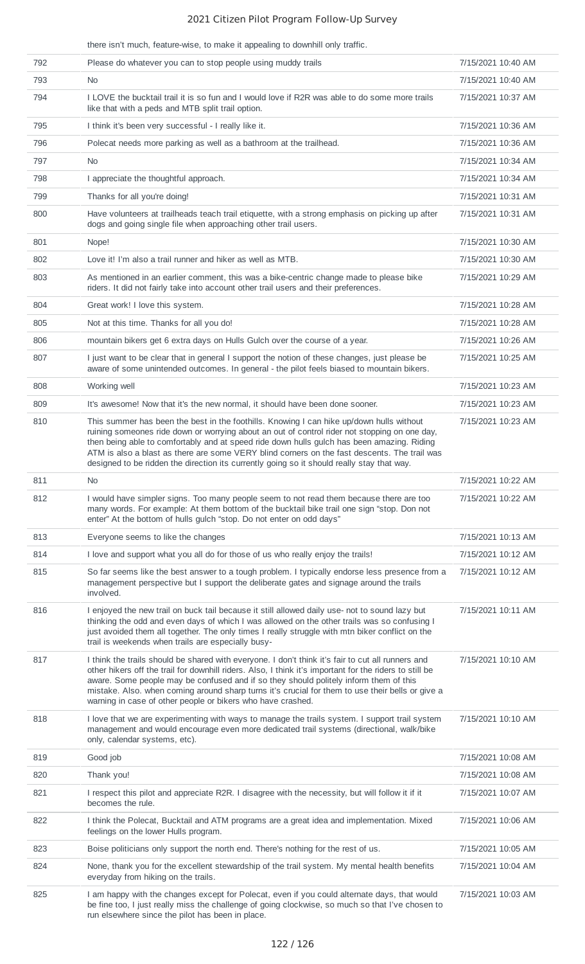there isn't much, feature-wise, to make it appealing to downhill only traffic.

| 792 | Please do whatever you can to stop people using muddy trails                                                                                                                                                                                                                                                                                                                                                                                                                          | 7/15/2021 10:40 AM |
|-----|---------------------------------------------------------------------------------------------------------------------------------------------------------------------------------------------------------------------------------------------------------------------------------------------------------------------------------------------------------------------------------------------------------------------------------------------------------------------------------------|--------------------|
| 793 | No.                                                                                                                                                                                                                                                                                                                                                                                                                                                                                   | 7/15/2021 10:40 AM |
| 794 | I LOVE the bucktail trail it is so fun and I would love if R2R was able to do some more trails<br>like that with a peds and MTB split trail option.                                                                                                                                                                                                                                                                                                                                   | 7/15/2021 10:37 AM |
| 795 | I think it's been very successful - I really like it.                                                                                                                                                                                                                                                                                                                                                                                                                                 | 7/15/2021 10:36 AM |
| 796 | Polecat needs more parking as well as a bathroom at the trailhead.                                                                                                                                                                                                                                                                                                                                                                                                                    | 7/15/2021 10:36 AM |
| 797 | No.                                                                                                                                                                                                                                                                                                                                                                                                                                                                                   | 7/15/2021 10:34 AM |
| 798 | I appreciate the thoughtful approach.                                                                                                                                                                                                                                                                                                                                                                                                                                                 | 7/15/2021 10:34 AM |
| 799 | Thanks for all you're doing!                                                                                                                                                                                                                                                                                                                                                                                                                                                          | 7/15/2021 10:31 AM |
| 800 | Have volunteers at trailheads teach trail etiquette, with a strong emphasis on picking up after<br>dogs and going single file when approaching other trail users.                                                                                                                                                                                                                                                                                                                     | 7/15/2021 10:31 AM |
| 801 | Nope!                                                                                                                                                                                                                                                                                                                                                                                                                                                                                 | 7/15/2021 10:30 AM |
| 802 | Love it! I'm also a trail runner and hiker as well as MTB.                                                                                                                                                                                                                                                                                                                                                                                                                            | 7/15/2021 10:30 AM |
| 803 | As mentioned in an earlier comment, this was a bike-centric change made to please bike<br>riders. It did not fairly take into account other trail users and their preferences.                                                                                                                                                                                                                                                                                                        | 7/15/2021 10:29 AM |
| 804 | Great work! I love this system.                                                                                                                                                                                                                                                                                                                                                                                                                                                       | 7/15/2021 10:28 AM |
| 805 | Not at this time. Thanks for all you do!                                                                                                                                                                                                                                                                                                                                                                                                                                              | 7/15/2021 10:28 AM |
| 806 | mountain bikers get 6 extra days on Hulls Gulch over the course of a year.                                                                                                                                                                                                                                                                                                                                                                                                            | 7/15/2021 10:26 AM |
| 807 | I just want to be clear that in general I support the notion of these changes, just please be<br>aware of some unintended outcomes. In general - the pilot feels biased to mountain bikers.                                                                                                                                                                                                                                                                                           | 7/15/2021 10:25 AM |
| 808 | Working well                                                                                                                                                                                                                                                                                                                                                                                                                                                                          | 7/15/2021 10:23 AM |
| 809 | It's awesome! Now that it's the new normal, it should have been done sooner.                                                                                                                                                                                                                                                                                                                                                                                                          | 7/15/2021 10:23 AM |
| 810 | This summer has been the best in the foothills. Knowing I can hike up/down hulls without<br>ruining someones ride down or worrying about an out of control rider not stopping on one day,<br>then being able to comfortably and at speed ride down hulls gulch has been amazing. Riding<br>ATM is also a blast as there are some VERY blind corners on the fast descents. The trail was<br>designed to be ridden the direction its currently going so it should really stay that way. | 7/15/2021 10:23 AM |
| 811 | No.                                                                                                                                                                                                                                                                                                                                                                                                                                                                                   | 7/15/2021 10:22 AM |
| 812 | I would have simpler signs. Too many people seem to not read them because there are too<br>many words. For example: At them bottom of the bucktail bike trail one sign "stop. Don not<br>enter" At the bottom of hulls gulch "stop. Do not enter on odd days"                                                                                                                                                                                                                         | 7/15/2021 10:22 AM |
| 813 | Everyone seems to like the changes                                                                                                                                                                                                                                                                                                                                                                                                                                                    | 7/15/2021 10:13 AM |
| 814 | I love and support what you all do for those of us who really enjoy the trails!                                                                                                                                                                                                                                                                                                                                                                                                       | 7/15/2021 10:12 AM |
| 815 | So far seems like the best answer to a tough problem. I typically endorse less presence from a<br>management perspective but I support the deliberate gates and signage around the trails<br>involved.                                                                                                                                                                                                                                                                                | 7/15/2021 10:12 AM |
| 816 | I enjoyed the new trail on buck tail because it still allowed daily use- not to sound lazy but<br>thinking the odd and even days of which I was allowed on the other trails was so confusing I<br>just avoided them all together. The only times I really struggle with mtn biker conflict on the<br>trail is weekends when trails are especially busy-                                                                                                                               | 7/15/2021 10:11 AM |
| 817 | I think the trails should be shared with everyone. I don't think it's fair to cut all runners and<br>other hikers off the trail for downhill riders. Also, I think it's important for the riders to still be<br>aware. Some people may be confused and if so they should politely inform them of this<br>mistake. Also. when coming around sharp turns it's crucial for them to use their bells or give a<br>warning in case of other people or bikers who have crashed.              | 7/15/2021 10:10 AM |
| 818 | I love that we are experimenting with ways to manage the trails system. I support trail system<br>management and would encourage even more dedicated trail systems (directional, walk/bike<br>only, calendar systems, etc).                                                                                                                                                                                                                                                           | 7/15/2021 10:10 AM |
| 819 | Good job                                                                                                                                                                                                                                                                                                                                                                                                                                                                              | 7/15/2021 10:08 AM |
| 820 | Thank you!                                                                                                                                                                                                                                                                                                                                                                                                                                                                            | 7/15/2021 10:08 AM |
| 821 | I respect this pilot and appreciate R2R. I disagree with the necessity, but will follow it if it<br>becomes the rule.                                                                                                                                                                                                                                                                                                                                                                 | 7/15/2021 10:07 AM |
| 822 | I think the Polecat, Bucktail and ATM programs are a great idea and implementation. Mixed<br>feelings on the lower Hulls program.                                                                                                                                                                                                                                                                                                                                                     | 7/15/2021 10:06 AM |
| 823 | Boise politicians only support the north end. There's nothing for the rest of us.                                                                                                                                                                                                                                                                                                                                                                                                     | 7/15/2021 10:05 AM |
| 824 | None, thank you for the excellent stewardship of the trail system. My mental health benefits<br>everyday from hiking on the trails.                                                                                                                                                                                                                                                                                                                                                   | 7/15/2021 10:04 AM |
| 825 | I am happy with the changes except for Polecat, even if you could alternate days, that would<br>be fine too, I just really miss the challenge of going clockwise, so much so that I've chosen to<br>run elsewhere since the pilot has been in place.                                                                                                                                                                                                                                  | 7/15/2021 10:03 AM |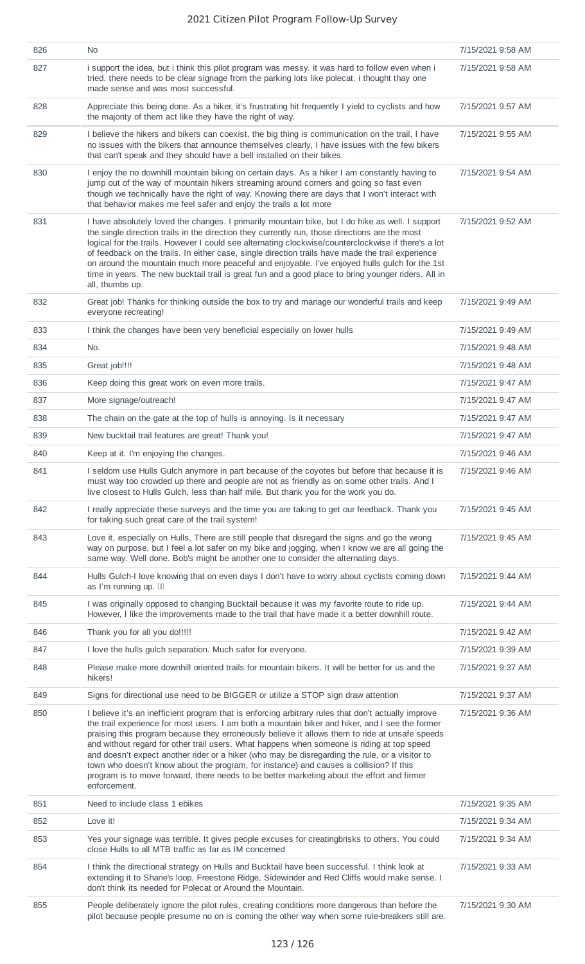| 826 | <b>No</b>                                                                                                                                                                                                                                                                                                                                                                                                                                                                                                                                                                                                                                                                                                        | 7/15/2021 9:58 AM |
|-----|------------------------------------------------------------------------------------------------------------------------------------------------------------------------------------------------------------------------------------------------------------------------------------------------------------------------------------------------------------------------------------------------------------------------------------------------------------------------------------------------------------------------------------------------------------------------------------------------------------------------------------------------------------------------------------------------------------------|-------------------|
| 827 | i support the idea, but i think this pilot program was messy. it was hard to follow even when i<br>tried. there needs to be clear signage from the parking lots like polecat. i thought thay one<br>made sense and was most successful.                                                                                                                                                                                                                                                                                                                                                                                                                                                                          | 7/15/2021 9:58 AM |
| 828 | Appreciate this being done. As a hiker, it's frustrating hit frequently I yield to cyclists and how<br>the majority of them act like they have the right of way.                                                                                                                                                                                                                                                                                                                                                                                                                                                                                                                                                 | 7/15/2021 9:57 AM |
| 829 | I believe the hikers and bikers can coexist, the big thing is communication on the trail, I have<br>no issues with the bikers that announce themselves clearly, I have issues with the few bikers<br>that can't speak and they should have a bell installed on their bikes.                                                                                                                                                                                                                                                                                                                                                                                                                                      | 7/15/2021 9:55 AM |
| 830 | I enjoy the no downhill mountain biking on certain days. As a hiker I am constantly having to<br>jump out of the way of mountain hikers streaming around corners and going so fast even<br>though we technically have the right of way. Knowing there are days that I won't interact with<br>that behavior makes me feel safer and enjoy the trails a lot more                                                                                                                                                                                                                                                                                                                                                   | 7/15/2021 9:54 AM |
| 831 | I have absolutely loved the changes. I primarily mountain bike, but I do hike as well. I support<br>the single direction trails in the direction they currently run, those directions are the most<br>logical for the trails. However I could see alternating clockwise/counterclockwise if there's a lot<br>of feedback on the trails. In either case, single direction trails have made the trail experience<br>on around the mountain much more peaceful and enjoyable. I've enjoyed hulls gulch for the 1st<br>time in years. The new bucktail trail is great fun and a good place to bring younger riders. All in<br>all, thumbs up.                                                                        | 7/15/2021 9:52 AM |
| 832 | Great job! Thanks for thinking outside the box to try and manage our wonderful trails and keep<br>everyone recreating!                                                                                                                                                                                                                                                                                                                                                                                                                                                                                                                                                                                           | 7/15/2021 9:49 AM |
| 833 | I think the changes have been very beneficial especially on lower hulls                                                                                                                                                                                                                                                                                                                                                                                                                                                                                                                                                                                                                                          | 7/15/2021 9:49 AM |
| 834 | No.                                                                                                                                                                                                                                                                                                                                                                                                                                                                                                                                                                                                                                                                                                              | 7/15/2021 9:48 AM |
| 835 | Great job!!!!                                                                                                                                                                                                                                                                                                                                                                                                                                                                                                                                                                                                                                                                                                    | 7/15/2021 9:48 AM |
| 836 | Keep doing this great work on even more trails.                                                                                                                                                                                                                                                                                                                                                                                                                                                                                                                                                                                                                                                                  | 7/15/2021 9:47 AM |
| 837 | More signage/outreach!                                                                                                                                                                                                                                                                                                                                                                                                                                                                                                                                                                                                                                                                                           | 7/15/2021 9:47 AM |
| 838 | The chain on the gate at the top of hulls is annoying. Is it necessary                                                                                                                                                                                                                                                                                                                                                                                                                                                                                                                                                                                                                                           | 7/15/2021 9:47 AM |
| 839 | New bucktail trail features are great! Thank you!                                                                                                                                                                                                                                                                                                                                                                                                                                                                                                                                                                                                                                                                | 7/15/2021 9:47 AM |
| 840 | Keep at it. I'm enjoying the changes.                                                                                                                                                                                                                                                                                                                                                                                                                                                                                                                                                                                                                                                                            | 7/15/2021 9:46 AM |
| 841 | I seldom use Hulls Gulch anymore in part because of the coyotes but before that because it is<br>must way too crowded up there and people are not as friendly as on some other trails. And I<br>live closest to Hulls Gulch, less than half mile. But thank you for the work you do.                                                                                                                                                                                                                                                                                                                                                                                                                             | 7/15/2021 9:46 AM |
| 842 | I really appreciate these surveys and the time you are taking to get our feedback. Thank you<br>for taking such great care of the trail system!                                                                                                                                                                                                                                                                                                                                                                                                                                                                                                                                                                  | 7/15/2021 9:45 AM |
| 843 | Love it, especially on Hulls. There are still people that disregard the signs and go the wrong<br>way on purpose, but I feel a lot safer on my bike and jogging, when I know we are all going the<br>same way. Well done. Bob's might be another one to consider the alternating days.                                                                                                                                                                                                                                                                                                                                                                                                                           | 7/15/2021 9:45 AM |
| 844 | Hulls Gulch-I love knowing that on even days I don't have to worry about cyclists coming down<br>as I'm running up. III                                                                                                                                                                                                                                                                                                                                                                                                                                                                                                                                                                                          | 7/15/2021 9:44 AM |
| 845 | I was originally opposed to changing Bucktail because it was my favorite route to ride up.<br>However, I like the improvements made to the trail that have made it a better downhill route.                                                                                                                                                                                                                                                                                                                                                                                                                                                                                                                      | 7/15/2021 9:44 AM |
| 846 | Thank you for all you do!!!!!                                                                                                                                                                                                                                                                                                                                                                                                                                                                                                                                                                                                                                                                                    | 7/15/2021 9:42 AM |
| 847 | I love the hulls gulch separation. Much safer for everyone.                                                                                                                                                                                                                                                                                                                                                                                                                                                                                                                                                                                                                                                      | 7/15/2021 9:39 AM |
| 848 | Please make more downhill oriented trails for mountain bikers. It will be better for us and the<br>hikers!                                                                                                                                                                                                                                                                                                                                                                                                                                                                                                                                                                                                       | 7/15/2021 9:37 AM |
| 849 | Signs for directional use need to be BIGGER or utilize a STOP sign draw attention                                                                                                                                                                                                                                                                                                                                                                                                                                                                                                                                                                                                                                | 7/15/2021 9:37 AM |
| 850 | I believe it's an inefficient program that is enforcing arbitrary rules that don't actually improve<br>the trail experience for most users. I am both a mountain biker and hiker, and I see the former<br>praising this program because they erroneously believe it allows them to ride at unsafe speeds<br>and without regard for other trail users. What happens when someone is riding at top speed<br>and doesn't expect another rider or a hiker (who may be disregarding the rule, or a visitor to<br>town who doesn't know about the program, for instance) and causes a collision? If this<br>program is to move forward, there needs to be better marketing about the effort and firmer<br>enforcement. | 7/15/2021 9:36 AM |
| 851 | Need to include class 1 ebikes                                                                                                                                                                                                                                                                                                                                                                                                                                                                                                                                                                                                                                                                                   | 7/15/2021 9:35 AM |
| 852 | Love it!                                                                                                                                                                                                                                                                                                                                                                                                                                                                                                                                                                                                                                                                                                         | 7/15/2021 9:34 AM |
| 853 | Yes your signage was terrible. It gives people excuses for creatingbrisks to others. You could<br>close Hulls to all MTB traffic as far as IM concerned                                                                                                                                                                                                                                                                                                                                                                                                                                                                                                                                                          | 7/15/2021 9:34 AM |
| 854 | I think the directional strategy on Hulls and Bucktail have been successful. I think look at<br>extending it to Shane's loop, Freestone Ridge, Sidewinder and Red Cliffs would make sense. I<br>don't think its needed for Polecat or Around the Mountain.                                                                                                                                                                                                                                                                                                                                                                                                                                                       | 7/15/2021 9:33 AM |
| 855 | People deliberately ignore the pilot rules, creating conditions more dangerous than before the<br>pilot because people presume no on is coming the other way when some rule-breakers still are.                                                                                                                                                                                                                                                                                                                                                                                                                                                                                                                  | 7/15/2021 9:30 AM |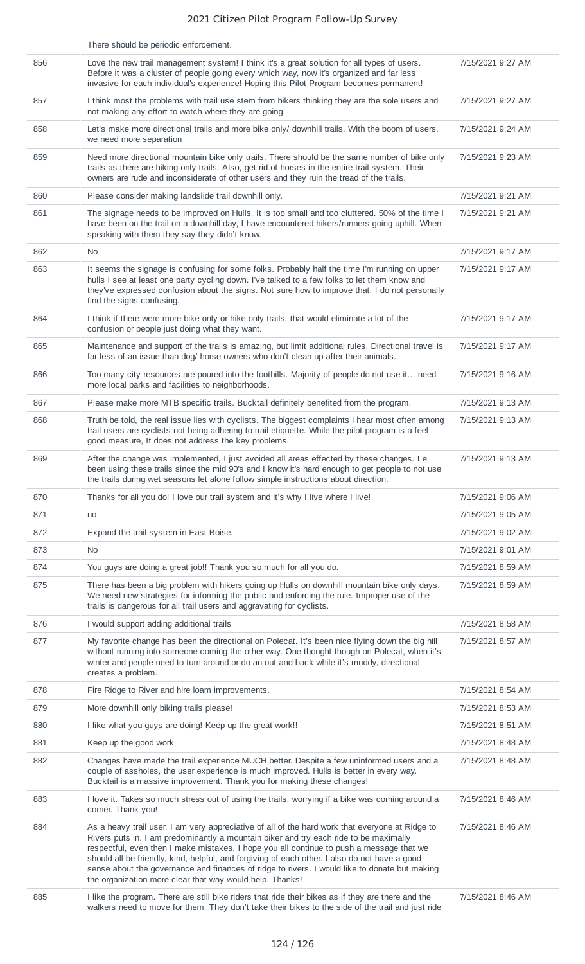|     | There should be periodic enforcement.                                                                                                                                                                                                                                                                                                                                                                                                                                                                                                              |                   |
|-----|----------------------------------------------------------------------------------------------------------------------------------------------------------------------------------------------------------------------------------------------------------------------------------------------------------------------------------------------------------------------------------------------------------------------------------------------------------------------------------------------------------------------------------------------------|-------------------|
| 856 | Love the new trail management system! I think it's a great solution for all types of users.<br>Before it was a cluster of people going every which way, now it's organized and far less<br>invasive for each individual's experience! Hoping this Pilot Program becomes permanent!                                                                                                                                                                                                                                                                 | 7/15/2021 9:27 AM |
| 857 | I think most the problems with trail use stem from bikers thinking they are the sole users and<br>not making any effort to watch where they are going.                                                                                                                                                                                                                                                                                                                                                                                             | 7/15/2021 9:27 AM |
| 858 | Let's make more directional trails and more bike only/ downhill trails. With the boom of users,<br>we need more separation                                                                                                                                                                                                                                                                                                                                                                                                                         | 7/15/2021 9:24 AM |
| 859 | Need more directional mountain bike only trails. There should be the same number of bike only<br>trails as there are hiking only trails. Also, get rid of horses in the entire trail system. Their<br>owners are rude and inconsiderate of other users and they ruin the tread of the trails.                                                                                                                                                                                                                                                      | 7/15/2021 9:23 AM |
| 860 | Please consider making landslide trail downhill only.                                                                                                                                                                                                                                                                                                                                                                                                                                                                                              | 7/15/2021 9:21 AM |
| 861 | The signage needs to be improved on Hulls. It is too small and too cluttered. 50% of the time I<br>have been on the trail on a downhill day, I have encountered hikers/runners going uphill. When<br>speaking with them they say they didn't know.                                                                                                                                                                                                                                                                                                 | 7/15/2021 9:21 AM |
| 862 | No.                                                                                                                                                                                                                                                                                                                                                                                                                                                                                                                                                | 7/15/2021 9:17 AM |
| 863 | It seems the signage is confusing for some folks. Probably half the time I'm running on upper<br>hulls I see at least one party cycling down. I've talked to a few folks to let them know and<br>they've expressed confusion about the signs. Not sure how to improve that, I do not personally<br>find the signs confusing.                                                                                                                                                                                                                       | 7/15/2021 9:17 AM |
| 864 | I think if there were more bike only or hike only trails, that would eliminate a lot of the<br>confusion or people just doing what they want.                                                                                                                                                                                                                                                                                                                                                                                                      | 7/15/2021 9:17 AM |
| 865 | Maintenance and support of the trails is amazing, but limit additional rules. Directional travel is<br>far less of an issue than dog/ horse owners who don't clean up after their animals.                                                                                                                                                                                                                                                                                                                                                         | 7/15/2021 9:17 AM |
| 866 | Too many city resources are poured into the foothills. Majority of people do not use it need<br>more local parks and facilities to neighborhoods.                                                                                                                                                                                                                                                                                                                                                                                                  | 7/15/2021 9:16 AM |
| 867 | Please make more MTB specific trails. Bucktail definitely benefited from the program.                                                                                                                                                                                                                                                                                                                                                                                                                                                              | 7/15/2021 9:13 AM |
| 868 | Truth be told, the real issue lies with cyclists. The biggest complaints i hear most often among<br>trail users are cyclists not being adhering to trail etiquette. While the pilot program is a feel<br>good measure, It does not address the key problems.                                                                                                                                                                                                                                                                                       | 7/15/2021 9:13 AM |
| 869 | After the change was implemented, I just avoided all areas effected by these changes. I e<br>been using these trails since the mid 90's and I know it's hard enough to get people to not use<br>the trails during wet seasons let alone follow simple instructions about direction.                                                                                                                                                                                                                                                                | 7/15/2021 9:13 AM |
| 870 | Thanks for all you do! I love our trail system and it's why I live where I live!                                                                                                                                                                                                                                                                                                                                                                                                                                                                   | 7/15/2021 9:06 AM |
| 871 | no                                                                                                                                                                                                                                                                                                                                                                                                                                                                                                                                                 | 7/15/2021 9:05 AM |
| 872 | Expand the trail system in East Boise.                                                                                                                                                                                                                                                                                                                                                                                                                                                                                                             | 7/15/2021 9:02 AM |
| 873 | <b>No</b>                                                                                                                                                                                                                                                                                                                                                                                                                                                                                                                                          | 7/15/2021 9:01 AM |
| 874 | You guys are doing a great job!! Thank you so much for all you do.                                                                                                                                                                                                                                                                                                                                                                                                                                                                                 | 7/15/2021 8:59 AM |
| 875 | There has been a big problem with hikers going up Hulls on downhill mountain bike only days.<br>We need new strategies for informing the public and enforcing the rule. Improper use of the<br>trails is dangerous for all trail users and aggravating for cyclists.                                                                                                                                                                                                                                                                               | 7/15/2021 8:59 AM |
| 876 | I would support adding additional trails                                                                                                                                                                                                                                                                                                                                                                                                                                                                                                           | 7/15/2021 8:58 AM |
| 877 | My favorite change has been the directional on Polecat. It's been nice flying down the big hill<br>without running into someone coming the other way. One thought though on Polecat, when it's<br>winter and people need to turn around or do an out and back while it's muddy, directional<br>creates a problem.                                                                                                                                                                                                                                  | 7/15/2021 8:57 AM |
| 878 | Fire Ridge to River and hire loam improvements.                                                                                                                                                                                                                                                                                                                                                                                                                                                                                                    | 7/15/2021 8:54 AM |
| 879 | More downhill only biking trails please!                                                                                                                                                                                                                                                                                                                                                                                                                                                                                                           | 7/15/2021 8:53 AM |
| 880 | I like what you guys are doing! Keep up the great work!!                                                                                                                                                                                                                                                                                                                                                                                                                                                                                           | 7/15/2021 8:51 AM |
| 881 | Keep up the good work                                                                                                                                                                                                                                                                                                                                                                                                                                                                                                                              | 7/15/2021 8:48 AM |
| 882 | Changes have made the trail experience MUCH better. Despite a few uninformed users and a<br>couple of assholes, the user experience is much improved. Hulls is better in every way.<br>Bucktail is a massive improvement. Thank you for making these changes!                                                                                                                                                                                                                                                                                      | 7/15/2021 8:48 AM |
| 883 | I love it. Takes so much stress out of using the trails, worrying if a bike was coming around a<br>corner. Thank you!                                                                                                                                                                                                                                                                                                                                                                                                                              | 7/15/2021 8:46 AM |
| 884 | As a heavy trail user, I am very appreciative of all of the hard work that everyone at Ridge to<br>Rivers puts in. I am predominantly a mountain biker and try each ride to be maximally<br>respectful, even then I make mistakes. I hope you all continue to push a message that we<br>should all be friendly, kind, helpful, and forgiving of each other. I also do not have a good<br>sense about the governance and finances of ridge to rivers. I would like to donate but making<br>the organization more clear that way would help. Thanks! | 7/15/2021 8:46 AM |
| 885 | I like the program. There are still bike riders that ride their bikes as if they are there and the<br>walkers need to move for them. They don't take their bikes to the side of the trail and just ride                                                                                                                                                                                                                                                                                                                                            | 7/15/2021 8:46 AM |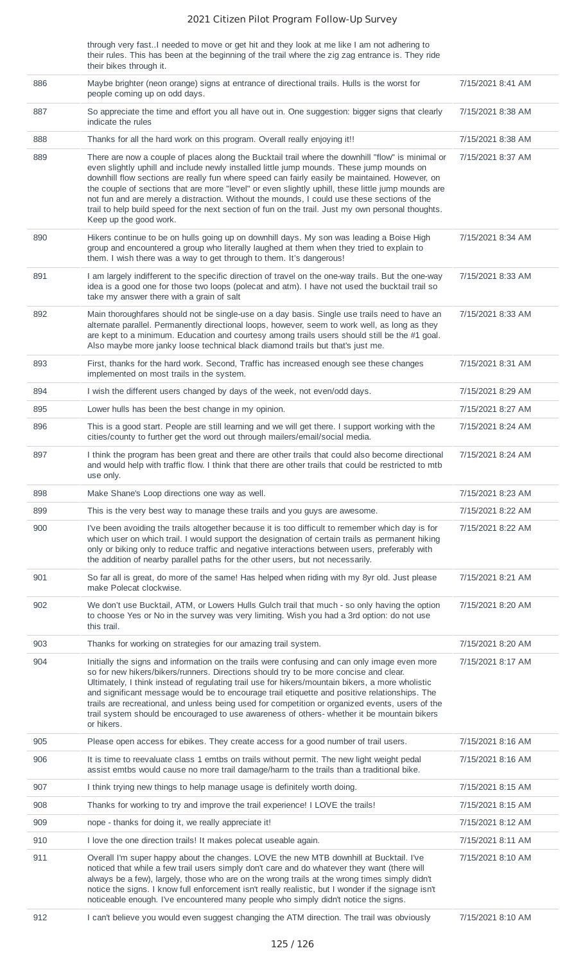through very fast..I needed to move or get hit and they look at me like I am not adhering to their rules. This has been at the beginning of the trail where the zig zag entrance is. They ride their bikes through it.

| 886<br>Maybe brighter (neon orange) signs at entrance of directional trails. Hulls is the worst for<br>7/15/2021 8:41 AM<br>people coming up on odd days.<br>So appreciate the time and effort you all have out in. One suggestion: bigger signs that clearly<br>887<br>7/15/2021 8:38 AM<br>indicate the rules<br>Thanks for all the hard work on this program. Overall really enjoying it!!<br>888<br>7/15/2021 8:38 AM<br>889<br>There are now a couple of places along the Bucktail trail where the downhill "flow" is minimal or<br>7/15/2021 8:37 AM<br>even slightly uphill and include newly installed little jump mounds. These jump mounds on<br>downhill flow sections are really fun where speed can fairly easily be maintained. However, on<br>the couple of sections that are more "level" or even slightly uphill, these little jump mounds are<br>not fun and are merely a distraction. Without the mounds, I could use these sections of the<br>trail to help build speed for the next section of fun on the trail. Just my own personal thoughts.<br>Keep up the good work.<br>890<br>Hikers continue to be on hulls going up on downhill days. My son was leading a Boise High<br>7/15/2021 8:34 AM<br>group and encountered a group who literally laughed at them when they tried to explain to<br>them. I wish there was a way to get through to them. It's dangerous!<br>891<br>I am largely indifferent to the specific direction of travel on the one-way trails. But the one-way<br>7/15/2021 8:33 AM<br>idea is a good one for those two loops (polecat and atm). I have not used the bucktail trail so<br>take my answer there with a grain of salt<br>892<br>Main thoroughfares should not be single-use on a day basis. Single use trails need to have an<br>7/15/2021 8:33 AM<br>alternate parallel. Permanently directional loops, however, seem to work well, as long as they<br>are kept to a minimum. Education and courtesy among trails users should still be the #1 goal.<br>Also maybe more janky loose technical black diamond trails but that's just me.<br>893<br>First, thanks for the hard work. Second, Traffic has increased enough see these changes<br>7/15/2021 8:31 AM<br>implemented on most trails in the system.<br>894<br>I wish the different users changed by days of the week, not even/odd days.<br>7/15/2021 8:29 AM<br>895<br>Lower hulls has been the best change in my opinion.<br>7/15/2021 8:27 AM<br>896<br>This is a good start. People are still learning and we will get there. I support working with the<br>7/15/2021 8:24 AM<br>cities/county to further get the word out through mailers/email/social media.<br>897<br>I think the program has been great and there are other trails that could also become directional<br>7/15/2021 8:24 AM<br>and would help with traffic flow. I think that there are other trails that could be restricted to mtb<br>use only.<br>898<br>Make Shane's Loop directions one way as well.<br>7/15/2021 8:23 AM<br>899<br>7/15/2021 8:22 AM<br>This is the very best way to manage these trails and you guys are awesome.<br>900<br>I've been avoiding the trails altogether because it is too difficult to remember which day is for<br>7/15/2021 8:22 AM<br>which user on which trail. I would support the designation of certain trails as permanent hiking<br>only or biking only to reduce traffic and negative interactions between users, preferably with<br>the addition of nearby parallel paths for the other users, but not necessarily.<br>So far all is great, do more of the same! Has helped when riding with my 8yr old. Just please<br>901<br>7/15/2021 8:21 AM<br>make Polecat clockwise.<br>We don't use Bucktail, ATM, or Lowers Hulls Gulch trail that much - so only having the option<br>902<br>7/15/2021 8:20 AM<br>to choose Yes or No in the survey was very limiting. Wish you had a 3rd option: do not use<br>this trail.<br>903<br>Thanks for working on strategies for our amazing trail system.<br>7/15/2021 8:20 AM<br>904<br>Initially the signs and information on the trails were confusing and can only image even more<br>7/15/2021 8:17 AM<br>so for new hikers/bikers/runners. Directions should try to be more concise and clear.<br>Ultimately, I think instead of regulating trail use for hikers/mountain bikers, a more wholistic<br>and significant message would be to encourage trail etiquette and positive relationships. The<br>trails are recreational, and unless being used for competition or organized events, users of the<br>trail system should be encouraged to use awareness of others- whether it be mountain bikers<br>or hikers.<br>905<br>Please open access for ebikes. They create access for a good number of trail users.<br>7/15/2021 8:16 AM<br>906<br>It is time to reevaluate class 1 emtbs on trails without permit. The new light weight pedal<br>7/15/2021 8:16 AM<br>assist emtbs would cause no more trail damage/harm to the trails than a traditional bike.<br>907<br>I think trying new things to help manage usage is definitely worth doing.<br>7/15/2021 8:15 AM<br>908<br>Thanks for working to try and improve the trail experience! I LOVE the trails!<br>7/15/2021 8:15 AM<br>909<br>nope - thanks for doing it, we really appreciate it!<br>7/15/2021 8:12 AM<br>910<br>I love the one direction trails! It makes polecat useable again.<br>7/15/2021 8:11 AM<br>911<br>Overall I'm super happy about the changes. LOVE the new MTB downhill at Bucktail. I've<br>7/15/2021 8:10 AM<br>noticed that while a few trail users simply don't care and do whatever they want (there will<br>always be a few), largely, those who are on the wrong trails at the wrong times simply didn't<br>notice the signs. I know full enforcement isn't really realistic, but I wonder if the signage isn't<br>noticeable enough. I've encountered many people who simply didn't notice the signs. |  |  |
|------------------------------------------------------------------------------------------------------------------------------------------------------------------------------------------------------------------------------------------------------------------------------------------------------------------------------------------------------------------------------------------------------------------------------------------------------------------------------------------------------------------------------------------------------------------------------------------------------------------------------------------------------------------------------------------------------------------------------------------------------------------------------------------------------------------------------------------------------------------------------------------------------------------------------------------------------------------------------------------------------------------------------------------------------------------------------------------------------------------------------------------------------------------------------------------------------------------------------------------------------------------------------------------------------------------------------------------------------------------------------------------------------------------------------------------------------------------------------------------------------------------------------------------------------------------------------------------------------------------------------------------------------------------------------------------------------------------------------------------------------------------------------------------------------------------------------------------------------------------------------------------------------------------------------------------------------------------------------------------------------------------------------------------------------------------------------------------------------------------------------------------------------------------------------------------------------------------------------------------------------------------------------------------------------------------------------------------------------------------------------------------------------------------------------------------------------------------------------------------------------------------------------------------------------------------------------------------------------------------------------------------------------------------------------------------------------------------------------------------------------------------------------------------------------------------------------------------------------------------------------------------------------------------------------------------------------------------------------------------------------------------------------------------------------------------------------------------------------------------------------------------------------------------------------------------------------------------------------------------------------------------------------------------------------------------------------------------------------------------------------------------------------------------------------------------------------------------------------------------------------------------------------------------------------------------------------------------------------------------------------------------------------------------------------------------------------------------------------------------------------------------------------------------------------------------------------------------------------------------------------------------------------------------------------------------------------------------------------------------------------------------------------------------------------------------------------------------------------------------------------------------------------------------------------------------------------------------------------------------------------------------------------------------------------------------------------------------------------------------------------------------------------------------------------------------------------------------------------------------------------------------------------------------------------------------------------------------------------------------------------------------------------------------------------------------------------------------------------------------------------------------------------------------------------------------------------------------------------------------------------------------------------------------------------------------------------------------------------------------------------------------------------------------------------------------------------------------------------------------------------------------------------------------------------------------------------------------------------------------------------------------------------------------------------------------------------------------------------------------------------------------------------------------------------------------------------------------------------------------------------------------------------------------------------------------------------------------------------------------------------------------------------------------------------------------------------------------------------------------------------------------------------------------------------------------------------------------------------------------------------------------------------------------------------------------------------------------------------------|--|--|
|                                                                                                                                                                                                                                                                                                                                                                                                                                                                                                                                                                                                                                                                                                                                                                                                                                                                                                                                                                                                                                                                                                                                                                                                                                                                                                                                                                                                                                                                                                                                                                                                                                                                                                                                                                                                                                                                                                                                                                                                                                                                                                                                                                                                                                                                                                                                                                                                                                                                                                                                                                                                                                                                                                                                                                                                                                                                                                                                                                                                                                                                                                                                                                                                                                                                                                                                                                                                                                                                                                                                                                                                                                                                                                                                                                                                                                                                                                                                                                                                                                                                                                                                                                                                                                                                                                                                                                                                                                                                                                                                                                                                                                                                                                                                                                                                                                                                                                                                                                                                                                                                                                                                                                                                                                                                                                                                                                                                                                                                                                                                                                                                                                                                                                                                                                                                                                                                                                                                                                                    |  |  |
|                                                                                                                                                                                                                                                                                                                                                                                                                                                                                                                                                                                                                                                                                                                                                                                                                                                                                                                                                                                                                                                                                                                                                                                                                                                                                                                                                                                                                                                                                                                                                                                                                                                                                                                                                                                                                                                                                                                                                                                                                                                                                                                                                                                                                                                                                                                                                                                                                                                                                                                                                                                                                                                                                                                                                                                                                                                                                                                                                                                                                                                                                                                                                                                                                                                                                                                                                                                                                                                                                                                                                                                                                                                                                                                                                                                                                                                                                                                                                                                                                                                                                                                                                                                                                                                                                                                                                                                                                                                                                                                                                                                                                                                                                                                                                                                                                                                                                                                                                                                                                                                                                                                                                                                                                                                                                                                                                                                                                                                                                                                                                                                                                                                                                                                                                                                                                                                                                                                                                                                    |  |  |
|                                                                                                                                                                                                                                                                                                                                                                                                                                                                                                                                                                                                                                                                                                                                                                                                                                                                                                                                                                                                                                                                                                                                                                                                                                                                                                                                                                                                                                                                                                                                                                                                                                                                                                                                                                                                                                                                                                                                                                                                                                                                                                                                                                                                                                                                                                                                                                                                                                                                                                                                                                                                                                                                                                                                                                                                                                                                                                                                                                                                                                                                                                                                                                                                                                                                                                                                                                                                                                                                                                                                                                                                                                                                                                                                                                                                                                                                                                                                                                                                                                                                                                                                                                                                                                                                                                                                                                                                                                                                                                                                                                                                                                                                                                                                                                                                                                                                                                                                                                                                                                                                                                                                                                                                                                                                                                                                                                                                                                                                                                                                                                                                                                                                                                                                                                                                                                                                                                                                                                                    |  |  |
|                                                                                                                                                                                                                                                                                                                                                                                                                                                                                                                                                                                                                                                                                                                                                                                                                                                                                                                                                                                                                                                                                                                                                                                                                                                                                                                                                                                                                                                                                                                                                                                                                                                                                                                                                                                                                                                                                                                                                                                                                                                                                                                                                                                                                                                                                                                                                                                                                                                                                                                                                                                                                                                                                                                                                                                                                                                                                                                                                                                                                                                                                                                                                                                                                                                                                                                                                                                                                                                                                                                                                                                                                                                                                                                                                                                                                                                                                                                                                                                                                                                                                                                                                                                                                                                                                                                                                                                                                                                                                                                                                                                                                                                                                                                                                                                                                                                                                                                                                                                                                                                                                                                                                                                                                                                                                                                                                                                                                                                                                                                                                                                                                                                                                                                                                                                                                                                                                                                                                                                    |  |  |
|                                                                                                                                                                                                                                                                                                                                                                                                                                                                                                                                                                                                                                                                                                                                                                                                                                                                                                                                                                                                                                                                                                                                                                                                                                                                                                                                                                                                                                                                                                                                                                                                                                                                                                                                                                                                                                                                                                                                                                                                                                                                                                                                                                                                                                                                                                                                                                                                                                                                                                                                                                                                                                                                                                                                                                                                                                                                                                                                                                                                                                                                                                                                                                                                                                                                                                                                                                                                                                                                                                                                                                                                                                                                                                                                                                                                                                                                                                                                                                                                                                                                                                                                                                                                                                                                                                                                                                                                                                                                                                                                                                                                                                                                                                                                                                                                                                                                                                                                                                                                                                                                                                                                                                                                                                                                                                                                                                                                                                                                                                                                                                                                                                                                                                                                                                                                                                                                                                                                                                                    |  |  |
|                                                                                                                                                                                                                                                                                                                                                                                                                                                                                                                                                                                                                                                                                                                                                                                                                                                                                                                                                                                                                                                                                                                                                                                                                                                                                                                                                                                                                                                                                                                                                                                                                                                                                                                                                                                                                                                                                                                                                                                                                                                                                                                                                                                                                                                                                                                                                                                                                                                                                                                                                                                                                                                                                                                                                                                                                                                                                                                                                                                                                                                                                                                                                                                                                                                                                                                                                                                                                                                                                                                                                                                                                                                                                                                                                                                                                                                                                                                                                                                                                                                                                                                                                                                                                                                                                                                                                                                                                                                                                                                                                                                                                                                                                                                                                                                                                                                                                                                                                                                                                                                                                                                                                                                                                                                                                                                                                                                                                                                                                                                                                                                                                                                                                                                                                                                                                                                                                                                                                                                    |  |  |
|                                                                                                                                                                                                                                                                                                                                                                                                                                                                                                                                                                                                                                                                                                                                                                                                                                                                                                                                                                                                                                                                                                                                                                                                                                                                                                                                                                                                                                                                                                                                                                                                                                                                                                                                                                                                                                                                                                                                                                                                                                                                                                                                                                                                                                                                                                                                                                                                                                                                                                                                                                                                                                                                                                                                                                                                                                                                                                                                                                                                                                                                                                                                                                                                                                                                                                                                                                                                                                                                                                                                                                                                                                                                                                                                                                                                                                                                                                                                                                                                                                                                                                                                                                                                                                                                                                                                                                                                                                                                                                                                                                                                                                                                                                                                                                                                                                                                                                                                                                                                                                                                                                                                                                                                                                                                                                                                                                                                                                                                                                                                                                                                                                                                                                                                                                                                                                                                                                                                                                                    |  |  |
|                                                                                                                                                                                                                                                                                                                                                                                                                                                                                                                                                                                                                                                                                                                                                                                                                                                                                                                                                                                                                                                                                                                                                                                                                                                                                                                                                                                                                                                                                                                                                                                                                                                                                                                                                                                                                                                                                                                                                                                                                                                                                                                                                                                                                                                                                                                                                                                                                                                                                                                                                                                                                                                                                                                                                                                                                                                                                                                                                                                                                                                                                                                                                                                                                                                                                                                                                                                                                                                                                                                                                                                                                                                                                                                                                                                                                                                                                                                                                                                                                                                                                                                                                                                                                                                                                                                                                                                                                                                                                                                                                                                                                                                                                                                                                                                                                                                                                                                                                                                                                                                                                                                                                                                                                                                                                                                                                                                                                                                                                                                                                                                                                                                                                                                                                                                                                                                                                                                                                                                    |  |  |
|                                                                                                                                                                                                                                                                                                                                                                                                                                                                                                                                                                                                                                                                                                                                                                                                                                                                                                                                                                                                                                                                                                                                                                                                                                                                                                                                                                                                                                                                                                                                                                                                                                                                                                                                                                                                                                                                                                                                                                                                                                                                                                                                                                                                                                                                                                                                                                                                                                                                                                                                                                                                                                                                                                                                                                                                                                                                                                                                                                                                                                                                                                                                                                                                                                                                                                                                                                                                                                                                                                                                                                                                                                                                                                                                                                                                                                                                                                                                                                                                                                                                                                                                                                                                                                                                                                                                                                                                                                                                                                                                                                                                                                                                                                                                                                                                                                                                                                                                                                                                                                                                                                                                                                                                                                                                                                                                                                                                                                                                                                                                                                                                                                                                                                                                                                                                                                                                                                                                                                                    |  |  |
|                                                                                                                                                                                                                                                                                                                                                                                                                                                                                                                                                                                                                                                                                                                                                                                                                                                                                                                                                                                                                                                                                                                                                                                                                                                                                                                                                                                                                                                                                                                                                                                                                                                                                                                                                                                                                                                                                                                                                                                                                                                                                                                                                                                                                                                                                                                                                                                                                                                                                                                                                                                                                                                                                                                                                                                                                                                                                                                                                                                                                                                                                                                                                                                                                                                                                                                                                                                                                                                                                                                                                                                                                                                                                                                                                                                                                                                                                                                                                                                                                                                                                                                                                                                                                                                                                                                                                                                                                                                                                                                                                                                                                                                                                                                                                                                                                                                                                                                                                                                                                                                                                                                                                                                                                                                                                                                                                                                                                                                                                                                                                                                                                                                                                                                                                                                                                                                                                                                                                                                    |  |  |
|                                                                                                                                                                                                                                                                                                                                                                                                                                                                                                                                                                                                                                                                                                                                                                                                                                                                                                                                                                                                                                                                                                                                                                                                                                                                                                                                                                                                                                                                                                                                                                                                                                                                                                                                                                                                                                                                                                                                                                                                                                                                                                                                                                                                                                                                                                                                                                                                                                                                                                                                                                                                                                                                                                                                                                                                                                                                                                                                                                                                                                                                                                                                                                                                                                                                                                                                                                                                                                                                                                                                                                                                                                                                                                                                                                                                                                                                                                                                                                                                                                                                                                                                                                                                                                                                                                                                                                                                                                                                                                                                                                                                                                                                                                                                                                                                                                                                                                                                                                                                                                                                                                                                                                                                                                                                                                                                                                                                                                                                                                                                                                                                                                                                                                                                                                                                                                                                                                                                                                                    |  |  |
|                                                                                                                                                                                                                                                                                                                                                                                                                                                                                                                                                                                                                                                                                                                                                                                                                                                                                                                                                                                                                                                                                                                                                                                                                                                                                                                                                                                                                                                                                                                                                                                                                                                                                                                                                                                                                                                                                                                                                                                                                                                                                                                                                                                                                                                                                                                                                                                                                                                                                                                                                                                                                                                                                                                                                                                                                                                                                                                                                                                                                                                                                                                                                                                                                                                                                                                                                                                                                                                                                                                                                                                                                                                                                                                                                                                                                                                                                                                                                                                                                                                                                                                                                                                                                                                                                                                                                                                                                                                                                                                                                                                                                                                                                                                                                                                                                                                                                                                                                                                                                                                                                                                                                                                                                                                                                                                                                                                                                                                                                                                                                                                                                                                                                                                                                                                                                                                                                                                                                                                    |  |  |
|                                                                                                                                                                                                                                                                                                                                                                                                                                                                                                                                                                                                                                                                                                                                                                                                                                                                                                                                                                                                                                                                                                                                                                                                                                                                                                                                                                                                                                                                                                                                                                                                                                                                                                                                                                                                                                                                                                                                                                                                                                                                                                                                                                                                                                                                                                                                                                                                                                                                                                                                                                                                                                                                                                                                                                                                                                                                                                                                                                                                                                                                                                                                                                                                                                                                                                                                                                                                                                                                                                                                                                                                                                                                                                                                                                                                                                                                                                                                                                                                                                                                                                                                                                                                                                                                                                                                                                                                                                                                                                                                                                                                                                                                                                                                                                                                                                                                                                                                                                                                                                                                                                                                                                                                                                                                                                                                                                                                                                                                                                                                                                                                                                                                                                                                                                                                                                                                                                                                                                                    |  |  |
|                                                                                                                                                                                                                                                                                                                                                                                                                                                                                                                                                                                                                                                                                                                                                                                                                                                                                                                                                                                                                                                                                                                                                                                                                                                                                                                                                                                                                                                                                                                                                                                                                                                                                                                                                                                                                                                                                                                                                                                                                                                                                                                                                                                                                                                                                                                                                                                                                                                                                                                                                                                                                                                                                                                                                                                                                                                                                                                                                                                                                                                                                                                                                                                                                                                                                                                                                                                                                                                                                                                                                                                                                                                                                                                                                                                                                                                                                                                                                                                                                                                                                                                                                                                                                                                                                                                                                                                                                                                                                                                                                                                                                                                                                                                                                                                                                                                                                                                                                                                                                                                                                                                                                                                                                                                                                                                                                                                                                                                                                                                                                                                                                                                                                                                                                                                                                                                                                                                                                                                    |  |  |
|                                                                                                                                                                                                                                                                                                                                                                                                                                                                                                                                                                                                                                                                                                                                                                                                                                                                                                                                                                                                                                                                                                                                                                                                                                                                                                                                                                                                                                                                                                                                                                                                                                                                                                                                                                                                                                                                                                                                                                                                                                                                                                                                                                                                                                                                                                                                                                                                                                                                                                                                                                                                                                                                                                                                                                                                                                                                                                                                                                                                                                                                                                                                                                                                                                                                                                                                                                                                                                                                                                                                                                                                                                                                                                                                                                                                                                                                                                                                                                                                                                                                                                                                                                                                                                                                                                                                                                                                                                                                                                                                                                                                                                                                                                                                                                                                                                                                                                                                                                                                                                                                                                                                                                                                                                                                                                                                                                                                                                                                                                                                                                                                                                                                                                                                                                                                                                                                                                                                                                                    |  |  |
|                                                                                                                                                                                                                                                                                                                                                                                                                                                                                                                                                                                                                                                                                                                                                                                                                                                                                                                                                                                                                                                                                                                                                                                                                                                                                                                                                                                                                                                                                                                                                                                                                                                                                                                                                                                                                                                                                                                                                                                                                                                                                                                                                                                                                                                                                                                                                                                                                                                                                                                                                                                                                                                                                                                                                                                                                                                                                                                                                                                                                                                                                                                                                                                                                                                                                                                                                                                                                                                                                                                                                                                                                                                                                                                                                                                                                                                                                                                                                                                                                                                                                                                                                                                                                                                                                                                                                                                                                                                                                                                                                                                                                                                                                                                                                                                                                                                                                                                                                                                                                                                                                                                                                                                                                                                                                                                                                                                                                                                                                                                                                                                                                                                                                                                                                                                                                                                                                                                                                                                    |  |  |
|                                                                                                                                                                                                                                                                                                                                                                                                                                                                                                                                                                                                                                                                                                                                                                                                                                                                                                                                                                                                                                                                                                                                                                                                                                                                                                                                                                                                                                                                                                                                                                                                                                                                                                                                                                                                                                                                                                                                                                                                                                                                                                                                                                                                                                                                                                                                                                                                                                                                                                                                                                                                                                                                                                                                                                                                                                                                                                                                                                                                                                                                                                                                                                                                                                                                                                                                                                                                                                                                                                                                                                                                                                                                                                                                                                                                                                                                                                                                                                                                                                                                                                                                                                                                                                                                                                                                                                                                                                                                                                                                                                                                                                                                                                                                                                                                                                                                                                                                                                                                                                                                                                                                                                                                                                                                                                                                                                                                                                                                                                                                                                                                                                                                                                                                                                                                                                                                                                                                                                                    |  |  |
|                                                                                                                                                                                                                                                                                                                                                                                                                                                                                                                                                                                                                                                                                                                                                                                                                                                                                                                                                                                                                                                                                                                                                                                                                                                                                                                                                                                                                                                                                                                                                                                                                                                                                                                                                                                                                                                                                                                                                                                                                                                                                                                                                                                                                                                                                                                                                                                                                                                                                                                                                                                                                                                                                                                                                                                                                                                                                                                                                                                                                                                                                                                                                                                                                                                                                                                                                                                                                                                                                                                                                                                                                                                                                                                                                                                                                                                                                                                                                                                                                                                                                                                                                                                                                                                                                                                                                                                                                                                                                                                                                                                                                                                                                                                                                                                                                                                                                                                                                                                                                                                                                                                                                                                                                                                                                                                                                                                                                                                                                                                                                                                                                                                                                                                                                                                                                                                                                                                                                                                    |  |  |
|                                                                                                                                                                                                                                                                                                                                                                                                                                                                                                                                                                                                                                                                                                                                                                                                                                                                                                                                                                                                                                                                                                                                                                                                                                                                                                                                                                                                                                                                                                                                                                                                                                                                                                                                                                                                                                                                                                                                                                                                                                                                                                                                                                                                                                                                                                                                                                                                                                                                                                                                                                                                                                                                                                                                                                                                                                                                                                                                                                                                                                                                                                                                                                                                                                                                                                                                                                                                                                                                                                                                                                                                                                                                                                                                                                                                                                                                                                                                                                                                                                                                                                                                                                                                                                                                                                                                                                                                                                                                                                                                                                                                                                                                                                                                                                                                                                                                                                                                                                                                                                                                                                                                                                                                                                                                                                                                                                                                                                                                                                                                                                                                                                                                                                                                                                                                                                                                                                                                                                                    |  |  |
|                                                                                                                                                                                                                                                                                                                                                                                                                                                                                                                                                                                                                                                                                                                                                                                                                                                                                                                                                                                                                                                                                                                                                                                                                                                                                                                                                                                                                                                                                                                                                                                                                                                                                                                                                                                                                                                                                                                                                                                                                                                                                                                                                                                                                                                                                                                                                                                                                                                                                                                                                                                                                                                                                                                                                                                                                                                                                                                                                                                                                                                                                                                                                                                                                                                                                                                                                                                                                                                                                                                                                                                                                                                                                                                                                                                                                                                                                                                                                                                                                                                                                                                                                                                                                                                                                                                                                                                                                                                                                                                                                                                                                                                                                                                                                                                                                                                                                                                                                                                                                                                                                                                                                                                                                                                                                                                                                                                                                                                                                                                                                                                                                                                                                                                                                                                                                                                                                                                                                                                    |  |  |
|                                                                                                                                                                                                                                                                                                                                                                                                                                                                                                                                                                                                                                                                                                                                                                                                                                                                                                                                                                                                                                                                                                                                                                                                                                                                                                                                                                                                                                                                                                                                                                                                                                                                                                                                                                                                                                                                                                                                                                                                                                                                                                                                                                                                                                                                                                                                                                                                                                                                                                                                                                                                                                                                                                                                                                                                                                                                                                                                                                                                                                                                                                                                                                                                                                                                                                                                                                                                                                                                                                                                                                                                                                                                                                                                                                                                                                                                                                                                                                                                                                                                                                                                                                                                                                                                                                                                                                                                                                                                                                                                                                                                                                                                                                                                                                                                                                                                                                                                                                                                                                                                                                                                                                                                                                                                                                                                                                                                                                                                                                                                                                                                                                                                                                                                                                                                                                                                                                                                                                                    |  |  |
|                                                                                                                                                                                                                                                                                                                                                                                                                                                                                                                                                                                                                                                                                                                                                                                                                                                                                                                                                                                                                                                                                                                                                                                                                                                                                                                                                                                                                                                                                                                                                                                                                                                                                                                                                                                                                                                                                                                                                                                                                                                                                                                                                                                                                                                                                                                                                                                                                                                                                                                                                                                                                                                                                                                                                                                                                                                                                                                                                                                                                                                                                                                                                                                                                                                                                                                                                                                                                                                                                                                                                                                                                                                                                                                                                                                                                                                                                                                                                                                                                                                                                                                                                                                                                                                                                                                                                                                                                                                                                                                                                                                                                                                                                                                                                                                                                                                                                                                                                                                                                                                                                                                                                                                                                                                                                                                                                                                                                                                                                                                                                                                                                                                                                                                                                                                                                                                                                                                                                                                    |  |  |
|                                                                                                                                                                                                                                                                                                                                                                                                                                                                                                                                                                                                                                                                                                                                                                                                                                                                                                                                                                                                                                                                                                                                                                                                                                                                                                                                                                                                                                                                                                                                                                                                                                                                                                                                                                                                                                                                                                                                                                                                                                                                                                                                                                                                                                                                                                                                                                                                                                                                                                                                                                                                                                                                                                                                                                                                                                                                                                                                                                                                                                                                                                                                                                                                                                                                                                                                                                                                                                                                                                                                                                                                                                                                                                                                                                                                                                                                                                                                                                                                                                                                                                                                                                                                                                                                                                                                                                                                                                                                                                                                                                                                                                                                                                                                                                                                                                                                                                                                                                                                                                                                                                                                                                                                                                                                                                                                                                                                                                                                                                                                                                                                                                                                                                                                                                                                                                                                                                                                                                                    |  |  |
|                                                                                                                                                                                                                                                                                                                                                                                                                                                                                                                                                                                                                                                                                                                                                                                                                                                                                                                                                                                                                                                                                                                                                                                                                                                                                                                                                                                                                                                                                                                                                                                                                                                                                                                                                                                                                                                                                                                                                                                                                                                                                                                                                                                                                                                                                                                                                                                                                                                                                                                                                                                                                                                                                                                                                                                                                                                                                                                                                                                                                                                                                                                                                                                                                                                                                                                                                                                                                                                                                                                                                                                                                                                                                                                                                                                                                                                                                                                                                                                                                                                                                                                                                                                                                                                                                                                                                                                                                                                                                                                                                                                                                                                                                                                                                                                                                                                                                                                                                                                                                                                                                                                                                                                                                                                                                                                                                                                                                                                                                                                                                                                                                                                                                                                                                                                                                                                                                                                                                                                    |  |  |
|                                                                                                                                                                                                                                                                                                                                                                                                                                                                                                                                                                                                                                                                                                                                                                                                                                                                                                                                                                                                                                                                                                                                                                                                                                                                                                                                                                                                                                                                                                                                                                                                                                                                                                                                                                                                                                                                                                                                                                                                                                                                                                                                                                                                                                                                                                                                                                                                                                                                                                                                                                                                                                                                                                                                                                                                                                                                                                                                                                                                                                                                                                                                                                                                                                                                                                                                                                                                                                                                                                                                                                                                                                                                                                                                                                                                                                                                                                                                                                                                                                                                                                                                                                                                                                                                                                                                                                                                                                                                                                                                                                                                                                                                                                                                                                                                                                                                                                                                                                                                                                                                                                                                                                                                                                                                                                                                                                                                                                                                                                                                                                                                                                                                                                                                                                                                                                                                                                                                                                                    |  |  |
|                                                                                                                                                                                                                                                                                                                                                                                                                                                                                                                                                                                                                                                                                                                                                                                                                                                                                                                                                                                                                                                                                                                                                                                                                                                                                                                                                                                                                                                                                                                                                                                                                                                                                                                                                                                                                                                                                                                                                                                                                                                                                                                                                                                                                                                                                                                                                                                                                                                                                                                                                                                                                                                                                                                                                                                                                                                                                                                                                                                                                                                                                                                                                                                                                                                                                                                                                                                                                                                                                                                                                                                                                                                                                                                                                                                                                                                                                                                                                                                                                                                                                                                                                                                                                                                                                                                                                                                                                                                                                                                                                                                                                                                                                                                                                                                                                                                                                                                                                                                                                                                                                                                                                                                                                                                                                                                                                                                                                                                                                                                                                                                                                                                                                                                                                                                                                                                                                                                                                                                    |  |  |